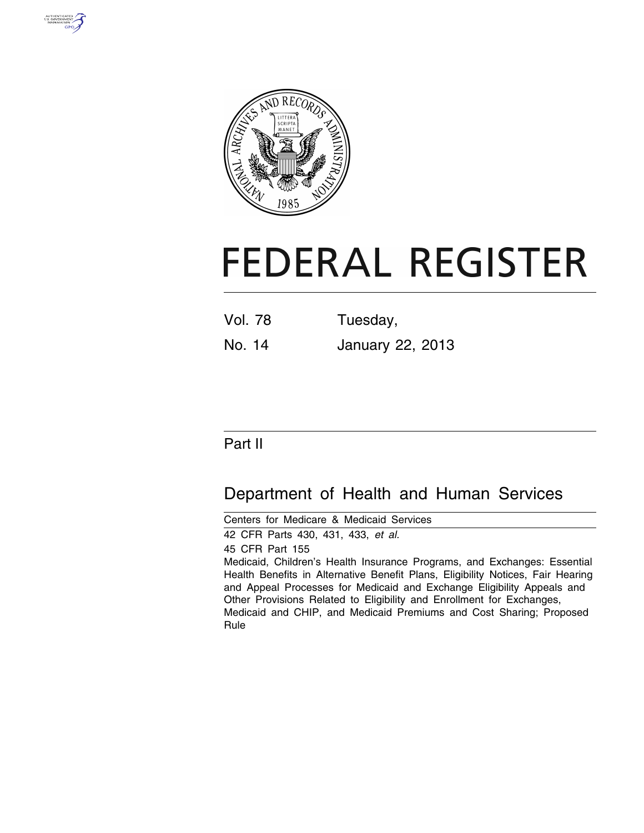



# **FEDERAL REGISTER**

| Vol. 78 | Tuesday, |
|---------|----------|
|         |          |

No. 14 January 22, 2013

### Part II

## Department of Health and Human Services

Centers for Medicare & Medicaid Services 42 CFR Parts 430, 431, 433, *et al.*  45 CFR Part 155 Medicaid, Children's Health Insurance Programs, and Exchanges: Essential Health Benefits in Alternative Benefit Plans, Eligibility Notices, Fair Hearing and Appeal Processes for Medicaid and Exchange Eligibility Appeals and Other Provisions Related to Eligibility and Enrollment for Exchanges, Medicaid and CHIP, and Medicaid Premiums and Cost Sharing; Proposed Rule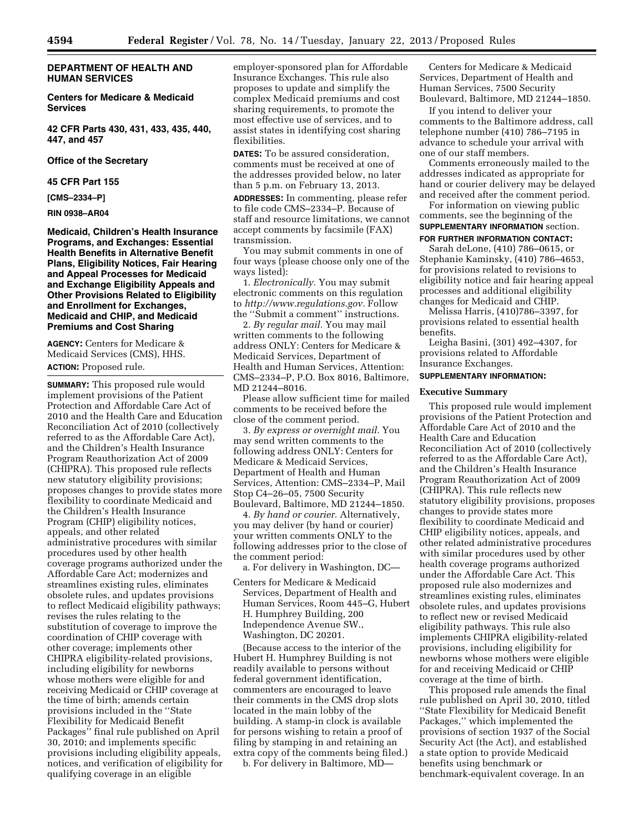#### **DEPARTMENT OF HEALTH AND HUMAN SERVICES**

**Centers for Medicare & Medicaid Services** 

**42 CFR Parts 430, 431, 433, 435, 440, 447, and 457** 

#### **Office of the Secretary**

#### **45 CFR Part 155**

**[CMS–2334–P]** 

#### **RIN 0938–AR04**

**Medicaid, Children's Health Insurance Programs, and Exchanges: Essential Health Benefits in Alternative Benefit Plans, Eligibility Notices, Fair Hearing and Appeal Processes for Medicaid and Exchange Eligibility Appeals and Other Provisions Related to Eligibility and Enrollment for Exchanges, Medicaid and CHIP, and Medicaid Premiums and Cost Sharing** 

**AGENCY:** Centers for Medicare & Medicaid Services (CMS), HHS. **ACTION:** Proposed rule.

**SUMMARY:** This proposed rule would implement provisions of the Patient Protection and Affordable Care Act of 2010 and the Health Care and Education Reconciliation Act of 2010 (collectively referred to as the Affordable Care Act), and the Children's Health Insurance Program Reauthorization Act of 2009 (CHIPRA). This proposed rule reflects new statutory eligibility provisions; proposes changes to provide states more flexibility to coordinate Medicaid and the Children's Health Insurance Program (CHIP) eligibility notices, appeals, and other related administrative procedures with similar procedures used by other health coverage programs authorized under the Affordable Care Act; modernizes and streamlines existing rules, eliminates obsolete rules, and updates provisions to reflect Medicaid eligibility pathways; revises the rules relating to the substitution of coverage to improve the coordination of CHIP coverage with other coverage; implements other CHIPRA eligibility-related provisions, including eligibility for newborns whose mothers were eligible for and receiving Medicaid or CHIP coverage at the time of birth; amends certain provisions included in the ''State Flexibility for Medicaid Benefit Packages'' final rule published on April 30, 2010; and implements specific provisions including eligibility appeals, notices, and verification of eligibility for qualifying coverage in an eligible

employer-sponsored plan for Affordable Insurance Exchanges. This rule also proposes to update and simplify the complex Medicaid premiums and cost sharing requirements, to promote the most effective use of services, and to assist states in identifying cost sharing flexibilities.

**DATES:** To be assured consideration, comments must be received at one of the addresses provided below, no later than 5 p.m. on February 13, 2013.

**ADDRESSES:** In commenting, please refer to file code CMS–2334–P. Because of staff and resource limitations, we cannot accept comments by facsimile (FAX) transmission.

You may submit comments in one of four ways (please choose only one of the ways listed):

1. *Electronically.* You may submit electronic comments on this regulation to *[http://www.regulations.gov.](http://www.regulations.gov)* Follow the ''Submit a comment'' instructions.

2. *By regular mail.* You may mail written comments to the following address ONLY: Centers for Medicare & Medicaid Services, Department of Health and Human Services, Attention: CMS–2334–P, P.O. Box 8016, Baltimore, MD 21244–8016.

Please allow sufficient time for mailed comments to be received before the close of the comment period.

3. *By express or overnight mail.* You may send written comments to the following address ONLY: Centers for Medicare & Medicaid Services, Department of Health and Human Services, Attention: CMS–2334–P, Mail Stop C4–26–05, 7500 Security Boulevard, Baltimore, MD 21244–1850.

4. *By hand or courier.* Alternatively, you may deliver (by hand or courier) your written comments ONLY to the following addresses prior to the close of the comment period:

a. For delivery in Washington, DC—

Centers for Medicare & Medicaid Services, Department of Health and Human Services, Room 445–G, Hubert H. Humphrey Building, 200 Independence Avenue SW., Washington, DC 20201.

(Because access to the interior of the Hubert H. Humphrey Building is not readily available to persons without federal government identification, commenters are encouraged to leave their comments in the CMS drop slots located in the main lobby of the building. A stamp-in clock is available for persons wishing to retain a proof of filing by stamping in and retaining an extra copy of the comments being filed.)

b. For delivery in Baltimore, MD—

Centers for Medicare & Medicaid Services, Department of Health and Human Services, 7500 Security Boulevard, Baltimore, MD 21244–1850.

If you intend to deliver your comments to the Baltimore address, call telephone number (410) 786–7195 in advance to schedule your arrival with one of our staff members.

Comments erroneously mailed to the addresses indicated as appropriate for hand or courier delivery may be delayed and received after the comment period.

For information on viewing public comments, see the beginning of the **SUPPLEMENTARY INFORMATION** section. **FOR FURTHER INFORMATION CONTACT:** 

Sarah deLone, (410) 786–0615, or Stephanie Kaminsky, (410) 786–4653, for provisions related to revisions to eligibility notice and fair hearing appeal processes and additional eligibility changes for Medicaid and CHIP.

Melissa Harris, (410)786–3397, for provisions related to essential health benefits.

Leigha Basini, (301) 492–4307, for provisions related to Affordable Insurance Exchanges.

#### **SUPPLEMENTARY INFORMATION:**

#### **Executive Summary**

This proposed rule would implement provisions of the Patient Protection and Affordable Care Act of 2010 and the Health Care and Education Reconciliation Act of 2010 (collectively referred to as the Affordable Care Act), and the Children's Health Insurance Program Reauthorization Act of 2009 (CHIPRA). This rule reflects new statutory eligibility provisions, proposes changes to provide states more flexibility to coordinate Medicaid and CHIP eligibility notices, appeals, and other related administrative procedures with similar procedures used by other health coverage programs authorized under the Affordable Care Act. This proposed rule also modernizes and streamlines existing rules, eliminates obsolete rules, and updates provisions to reflect new or revised Medicaid eligibility pathways. This rule also implements CHIPRA eligibility-related provisions, including eligibility for newborns whose mothers were eligible for and receiving Medicaid or CHIP coverage at the time of birth.

This proposed rule amends the final rule published on April 30, 2010, titled ''State Flexibility for Medicaid Benefit Packages,'' which implemented the provisions of section 1937 of the Social Security Act (the Act), and established a state option to provide Medicaid benefits using benchmark or benchmark-equivalent coverage. In an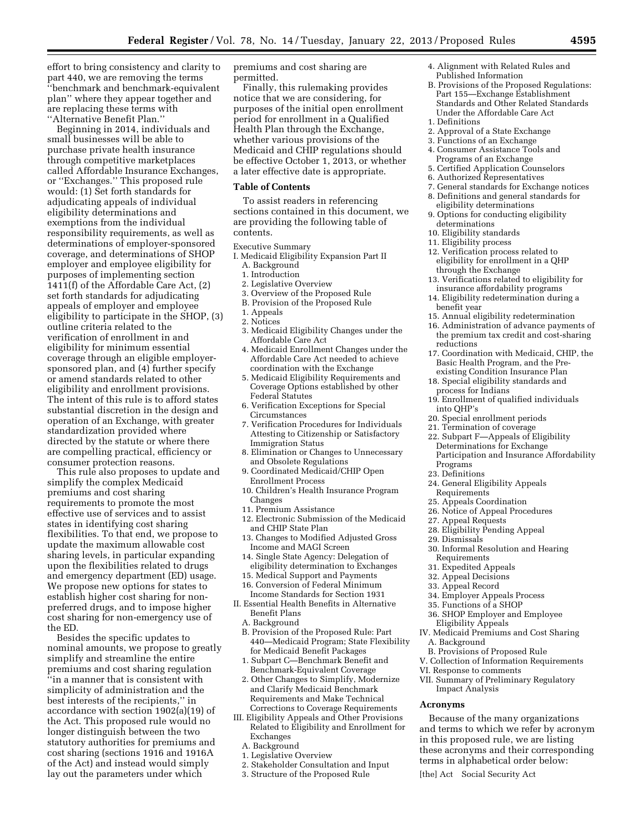effort to bring consistency and clarity to part 440, we are removing the terms ''benchmark and benchmark-equivalent plan'' where they appear together and are replacing these terms with ''Alternative Benefit Plan.''

Beginning in 2014, individuals and small businesses will be able to purchase private health insurance through competitive marketplaces called Affordable Insurance Exchanges, or ''Exchanges.'' This proposed rule would: (1) Set forth standards for adjudicating appeals of individual eligibility determinations and exemptions from the individual responsibility requirements, as well as determinations of employer-sponsored coverage, and determinations of SHOP employer and employee eligibility for purposes of implementing section 1411(f) of the Affordable Care Act, (2) set forth standards for adjudicating appeals of employer and employee eligibility to participate in the SHOP, (3) outline criteria related to the verification of enrollment in and eligibility for minimum essential coverage through an eligible employersponsored plan, and (4) further specify or amend standards related to other eligibility and enrollment provisions. The intent of this rule is to afford states substantial discretion in the design and operation of an Exchange, with greater standardization provided where directed by the statute or where there are compelling practical, efficiency or consumer protection reasons.

This rule also proposes to update and simplify the complex Medicaid premiums and cost sharing requirements to promote the most effective use of services and to assist states in identifying cost sharing flexibilities. To that end, we propose to update the maximum allowable cost sharing levels, in particular expanding upon the flexibilities related to drugs and emergency department (ED) usage. We propose new options for states to establish higher cost sharing for nonpreferred drugs, and to impose higher cost sharing for non-emergency use of the ED.

Besides the specific updates to nominal amounts, we propose to greatly simplify and streamline the entire premiums and cost sharing regulation ''in a manner that is consistent with simplicity of administration and the best interests of the recipients,'' in accordance with section 1902(a)(19) of the Act. This proposed rule would no longer distinguish between the two statutory authorities for premiums and cost sharing (sections 1916 and 1916A of the Act) and instead would simply lay out the parameters under which

premiums and cost sharing are permitted.

Finally, this rulemaking provides notice that we are considering, for purposes of the initial open enrollment period for enrollment in a Qualified Health Plan through the Exchange, whether various provisions of the Medicaid and CHIP regulations should be effective October 1, 2013, or whether a later effective date is appropriate.

#### **Table of Contents**

To assist readers in referencing sections contained in this document, we are providing the following table of contents.

Executive Summary

- I. Medicaid Eligibility Expansion Part II
	- A. Background
	- 1. Introduction
	- 2. Legislative Overview
	- 3. Overview of the Proposed Rule
	- B. Provision of the Proposed Rule
	- 1. Appeals 2. Notices
	- 3. Medicaid Eligibility Changes under the Affordable Care Act
	- 4. Medicaid Enrollment Changes under the Affordable Care Act needed to achieve coordination with the Exchange
	- 5. Medicaid Eligibility Requirements and Coverage Options established by other Federal Statutes
	- 6. Verification Exceptions for Special Circumstances
	- 7. Verification Procedures for Individuals Attesting to Citizenship or Satisfactory Immigration Status
	- 8. Elimination or Changes to Unnecessary and Obsolete Regulations
	- 9. Coordinated Medicaid/CHIP Open Enrollment Process
	- 10. Children's Health Insurance Program Changes
	- 11. Premium Assistance
	- 12. Electronic Submission of the Medicaid and CHIP State Plan
	- 13. Changes to Modified Adjusted Gross Income and MAGI Screen
	- 14. Single State Agency: Delegation of eligibility determination to Exchanges
	- 15. Medical Support and Payments
	- 16. Conversion of Federal Minimum Income Standards for Section 1931
- II. Essential Health Benefits in Alternative Benefit Plans
	- A. Background
	- B. Provision of the Proposed Rule: Part 440—Medicaid Program; State Flexibility for Medicaid Benefit Packages
	- 1. Subpart C—Benchmark Benefit and Benchmark-Equivalent Coverage
- 2. Other Changes to Simplify, Modernize and Clarify Medicaid Benchmark Requirements and Make Technical Corrections to Coverage Requirements
- III. Eligibility Appeals and Other Provisions Related to Eligibility and Enrollment for Exchanges
	- A. Background
	- 1. Legislative Overview
	- 2. Stakeholder Consultation and Input
	- 3. Structure of the Proposed Rule
- 4. Alignment with Related Rules and Published Information
- B. Provisions of the Proposed Regulations: Part 155—Exchange Establishment Standards and Other Related Standards Under the Affordable Care Act 1. Definitions
- 2. Approval of a State Exchange
- 3. Functions of an Exchange
- 4. Consumer Assistance Tools and Programs of an Exchange
- 5. Certified Application Counselors
- 6. Authorized Representatives
- 7. General standards for Exchange notices 8. Definitions and general standards for
- eligibility determinations
- 9. Options for conducting eligibility determinations
- 10. Eligibility standards
- 11. Eligibility process
- 12. Verification process related to eligibility for enrollment in a QHP through the Exchange
- 13. Verifications related to eligibility for insurance affordability programs
- 14. Eligibility redetermination during a benefit year
- 15. Annual eligibility redetermination
- 16. Administration of advance payments of the premium tax credit and cost-sharing reductions
- 17. Coordination with Medicaid, CHIP, the Basic Health Program, and the Preexisting Condition Insurance Plan
- 18. Special eligibility standards and process for Indians
- 19. Enrollment of qualified individuals into QHP's
- 20. Special enrollment periods
- 21. Termination of coverage
- 22. Subpart F—Appeals of Eligibility Determinations for Exchange Participation and Insurance Affordability Programs
- 23. Definitions
- 24. General Eligibility Appeals
- Requirements
- 25. Appeals Coordination
- 26. Notice of Appeal Procedures
- 27. Appeal Requests
- 28. Eligibility Pending Appeal
- 29. Dismissals
- 30. Informal Resolution and Hearing Requirements
- 31. Expedited Appeals
- 32. Appeal Decisions
- 
- 33. Appeal Record
- 34. Employer Appeals Process 35. Functions of a SHOP
- 36. SHOP Employer and Employee
- Eligibility Appeals
- IV. Medicaid Premiums and Cost Sharing A. Background
- B. Provisions of Proposed Rule
- V. Collection of Information Requirements
- VI. Response to comments
- VII. Summary of Preliminary Regulatory Impact Analysis

#### **Acronyms**

Because of the many organizations and terms to which we refer by acronym in this proposed rule, we are listing these acronyms and their corresponding terms in alphabetical order below:

[the] Act Social Security Act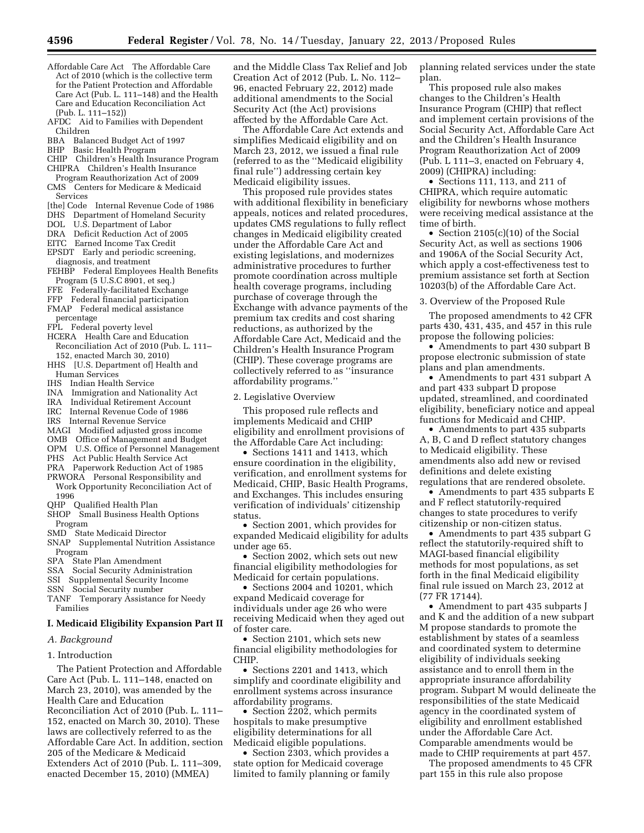- Affordable Care Act The Affordable Care Act of 2010 (which is the collective term for the Patient Protection and Affordable Care Act (Pub. L. 111–148) and the Health Care and Education Reconciliation Act (Pub. L. 111–152))
- AFDC Aid to Families with Dependent Children
- BBA Balanced Budget Act of 1997<br>BHP Basic Health Program
- Basic Health Program
- CHIP Children's Health Insurance Program CHIPRA Children's Health Insurance
- Program Reauthorization Act of 2009 CMS Centers for Medicare & Medicaid
- Services<br>Ithel Code Internal Revenue Code of 1986
- 
- DHS Department of Homeland Security
- DOL U.S. Department of Labor
- DRA Deficit Reduction Act of 2005
- EITC Earned Income Tax Credit
- EPSDT Early and periodic screening,
- diagnosis, and treatment FEHBP Federal Employees Health Benefits Program (5 U.S.C 8901, et seq.)
- FFE Federally-facilitated Exchange
- FFP Federal financial participation
- FMAP Federal medical assistance
- percentage
- FPL Federal poverty level
- HCERA Health Care and Education Reconciliation Act of 2010 (Pub. L. 111– 152, enacted March 30, 2010)
- HHS [U.S. Department of] Health and Human Services
- IHS Indian Health Service
- 
- INA Immigration and Nationality Act IRA Individual Retirement Account
- Internal Revenue Code of 1986
- IRS Internal Revenue Service
- MAGI Modified adjusted gross income
- OMB Office of Management and Budget
- OPM U.S. Office of Personnel Management
- PHS Act Public Health Service Act
- PRA Paperwork Reduction Act of 1985 PRWORA Personal Responsibility and Work Opportunity Reconciliation Act of
- 1996 QHP Qualified Health Plan
- SHOP Small Business Health Options Program
- SMD State Medicaid Director
- SNAP Supplemental Nutrition Assistance Program<br>SPA State
- State Plan Amendment
- SSA Social Security Administration
- SSI Supplemental Security Income
- SSN Social Security number
- TANF Temporary Assistance for Needy Families

#### **I. Medicaid Eligibility Expansion Part II**

- *A. Background*
- 1. Introduction

The Patient Protection and Affordable Care Act (Pub. L. 111–148, enacted on March 23, 2010), was amended by the Health Care and Education Reconciliation Act of 2010 (Pub. L. 111– 152, enacted on March 30, 2010). These laws are collectively referred to as the Affordable Care Act. In addition, section 205 of the Medicare & Medicaid Extenders Act of 2010 (Pub. L. 111–309, enacted December 15, 2010) (MMEA)

and the Middle Class Tax Relief and Job Creation Act of 2012 (Pub. L. No. 112– 96, enacted February 22, 2012) made additional amendments to the Social Security Act (the Act) provisions affected by the Affordable Care Act.

The Affordable Care Act extends and simplifies Medicaid eligibility and on March 23, 2012, we issued a final rule (referred to as the ''Medicaid eligibility final rule'') addressing certain key Medicaid eligibility issues.

This proposed rule provides states with additional flexibility in beneficiary appeals, notices and related procedures, updates CMS regulations to fully reflect changes in Medicaid eligibility created under the Affordable Care Act and existing legislations, and modernizes administrative procedures to further promote coordination across multiple health coverage programs, including purchase of coverage through the Exchange with advance payments of the premium tax credits and cost sharing reductions, as authorized by the Affordable Care Act, Medicaid and the Children's Health Insurance Program (CHIP). These coverage programs are collectively referred to as ''insurance affordability programs.''

2. Legislative Overview

This proposed rule reflects and implements Medicaid and CHIP eligibility and enrollment provisions of the Affordable Care Act including:

• Sections 1411 and 1413, which ensure coordination in the eligibility, verification, and enrollment systems for Medicaid, CHIP, Basic Health Programs, and Exchanges. This includes ensuring verification of individuals' citizenship status.

• Section 2001, which provides for expanded Medicaid eligibility for adults under age 65.

• Section 2002, which sets out new financial eligibility methodologies for Medicaid for certain populations.

• Sections 2004 and 10201, which expand Medicaid coverage for individuals under age 26 who were receiving Medicaid when they aged out of foster care.

• Section 2101, which sets new financial eligibility methodologies for CHIP.

• Sections 2201 and 1413, which simplify and coordinate eligibility and enrollment systems across insurance affordability programs.

• Section 2202, which permits hospitals to make presumptive eligibility determinations for all Medicaid eligible populations.

• Section 2303, which provides a state option for Medicaid coverage limited to family planning or family planning related services under the state plan.

This proposed rule also makes changes to the Children's Health Insurance Program (CHIP) that reflect and implement certain provisions of the Social Security Act, Affordable Care Act and the Children's Health Insurance Program Reauthorization Act of 2009 (Pub. L 111–3, enacted on February 4, 2009) (CHIPRA) including:

• Sections 111, 113, and 211 of CHIPRA, which require automatic eligibility for newborns whose mothers were receiving medical assistance at the time of birth.

• Section 2105(c)(10) of the Social Security Act, as well as sections 1906 and 1906A of the Social Security Act, which apply a cost-effectiveness test to premium assistance set forth at Section 10203(b) of the Affordable Care Act.

3. Overview of the Proposed Rule

The proposed amendments to 42 CFR parts 430, 431, 435, and 457 in this rule propose the following policies:

• Amendments to part 430 subpart B propose electronic submission of state plans and plan amendments.

• Amendments to part 431 subpart A and part 433 subpart D propose updated, streamlined, and coordinated eligibility, beneficiary notice and appeal functions for Medicaid and CHIP.

• Amendments to part 435 subparts A, B, C and D reflect statutory changes to Medicaid eligibility. These amendments also add new or revised definitions and delete existing regulations that are rendered obsolete.

• Amendments to part 435 subparts E and F reflect statutorily-required changes to state procedures to verify citizenship or non-citizen status.

• Amendments to part 435 subpart G reflect the statutorily-required shift to MAGI-based financial eligibility methods for most populations, as set forth in the final Medicaid eligibility final rule issued on March 23, 2012 at (77 FR 17144).

• Amendment to part 435 subparts J and K and the addition of a new subpart M propose standards to promote the establishment by states of a seamless and coordinated system to determine eligibility of individuals seeking assistance and to enroll them in the appropriate insurance affordability program. Subpart M would delineate the responsibilities of the state Medicaid agency in the coordinated system of eligibility and enrollment established under the Affordable Care Act. Comparable amendments would be made to CHIP requirements at part 457.

The proposed amendments to 45 CFR part 155 in this rule also propose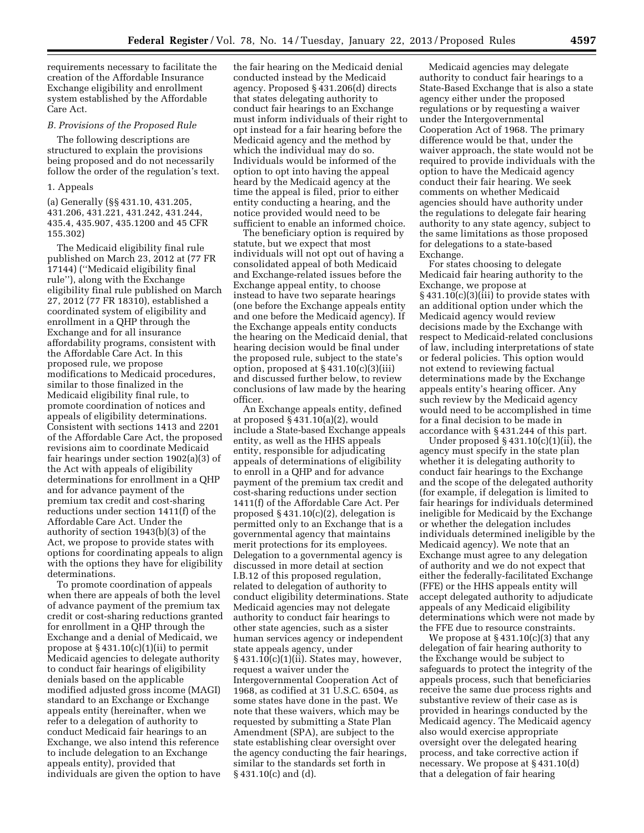requirements necessary to facilitate the creation of the Affordable Insurance Exchange eligibility and enrollment system established by the Affordable Care Act.

#### *B. Provisions of the Proposed Rule*

The following descriptions are structured to explain the provisions being proposed and do not necessarily follow the order of the regulation's text.

#### 1. Appeals

(a) Generally (§§ 431.10, 431.205, 431.206, 431.221, 431.242, 431.244, 435.4, 435.907, 435.1200 and 45 CFR 155.302)

The Medicaid eligibility final rule published on March 23, 2012 at (77 FR 17144) (''Medicaid eligibility final rule''), along with the Exchange eligibility final rule published on March 27, 2012 (77 FR 18310), established a coordinated system of eligibility and enrollment in a QHP through the Exchange and for all insurance affordability programs, consistent with the Affordable Care Act. In this proposed rule, we propose modifications to Medicaid procedures, similar to those finalized in the Medicaid eligibility final rule, to promote coordination of notices and appeals of eligibility determinations. Consistent with sections 1413 and 2201 of the Affordable Care Act, the proposed revisions aim to coordinate Medicaid fair hearings under section 1902(a)(3) of the Act with appeals of eligibility determinations for enrollment in a QHP and for advance payment of the premium tax credit and cost-sharing reductions under section 1411(f) of the Affordable Care Act. Under the authority of section 1943(b)(3) of the Act, we propose to provide states with options for coordinating appeals to align with the options they have for eligibility determinations.

To promote coordination of appeals when there are appeals of both the level of advance payment of the premium tax credit or cost-sharing reductions granted for enrollment in a QHP through the Exchange and a denial of Medicaid, we propose at  $\S 431.10(c)(1)(ii)$  to permit Medicaid agencies to delegate authority to conduct fair hearings of eligibility denials based on the applicable modified adjusted gross income (MAGI) standard to an Exchange or Exchange appeals entity (hereinafter, when we refer to a delegation of authority to conduct Medicaid fair hearings to an Exchange, we also intend this reference to include delegation to an Exchange appeals entity), provided that individuals are given the option to have

the fair hearing on the Medicaid denial conducted instead by the Medicaid agency. Proposed § 431.206(d) directs that states delegating authority to conduct fair hearings to an Exchange must inform individuals of their right to opt instead for a fair hearing before the Medicaid agency and the method by which the individual may do so. Individuals would be informed of the option to opt into having the appeal heard by the Medicaid agency at the time the appeal is filed, prior to either entity conducting a hearing, and the notice provided would need to be sufficient to enable an informed choice.

The beneficiary option is required by statute, but we expect that most individuals will not opt out of having a consolidated appeal of both Medicaid and Exchange-related issues before the Exchange appeal entity, to choose instead to have two separate hearings (one before the Exchange appeals entity and one before the Medicaid agency). If the Exchange appeals entity conducts the hearing on the Medicaid denial, that hearing decision would be final under the proposed rule, subject to the state's option, proposed at § 431.10(c)(3)(iii) and discussed further below, to review conclusions of law made by the hearing officer.

An Exchange appeals entity, defined at proposed § 431.10(a)(2), would include a State-based Exchange appeals entity, as well as the HHS appeals entity, responsible for adjudicating appeals of determinations of eligibility to enroll in a QHP and for advance payment of the premium tax credit and cost-sharing reductions under section 1411(f) of the Affordable Care Act. Per proposed § 431.10(c)(2), delegation is permitted only to an Exchange that is a governmental agency that maintains merit protections for its employees. Delegation to a governmental agency is discussed in more detail at section I.B.12 of this proposed regulation, related to delegation of authority to conduct eligibility determinations. State Medicaid agencies may not delegate authority to conduct fair hearings to other state agencies, such as a sister human services agency or independent state appeals agency, under § 431.10(c)(1)(ii). States may, however, request a waiver under the Intergovernmental Cooperation Act of 1968, as codified at 31 U.S.C. 6504, as some states have done in the past. We note that these waivers, which may be requested by submitting a State Plan Amendment (SPA), are subject to the state establishing clear oversight over the agency conducting the fair hearings, similar to the standards set forth in § 431.10(c) and (d).

Medicaid agencies may delegate authority to conduct fair hearings to a State-Based Exchange that is also a state agency either under the proposed regulations or by requesting a waiver under the Intergovernmental Cooperation Act of 1968. The primary difference would be that, under the waiver approach, the state would not be required to provide individuals with the option to have the Medicaid agency conduct their fair hearing. We seek comments on whether Medicaid agencies should have authority under the regulations to delegate fair hearing authority to any state agency, subject to the same limitations as those proposed for delegations to a state-based Exchange.

For states choosing to delegate Medicaid fair hearing authority to the Exchange, we propose at § 431.10(c)(3)(iii) to provide states with an additional option under which the Medicaid agency would review decisions made by the Exchange with respect to Medicaid-related conclusions of law, including interpretations of state or federal policies. This option would not extend to reviewing factual determinations made by the Exchange appeals entity's hearing officer. Any such review by the Medicaid agency would need to be accomplished in time for a final decision to be made in accordance with § 431.244 of this part.

Under proposed  $\S 431.10(c)(1)(ii)$ , the agency must specify in the state plan whether it is delegating authority to conduct fair hearings to the Exchange and the scope of the delegated authority (for example, if delegation is limited to fair hearings for individuals determined ineligible for Medicaid by the Exchange or whether the delegation includes individuals determined ineligible by the Medicaid agency). We note that an Exchange must agree to any delegation of authority and we do not expect that either the federally-facilitated Exchange (FFE) or the HHS appeals entity will accept delegated authority to adjudicate appeals of any Medicaid eligibility determinations which were not made by the FFE due to resource constraints.

We propose at § 431.10(c)(3) that any delegation of fair hearing authority to the Exchange would be subject to safeguards to protect the integrity of the appeals process, such that beneficiaries receive the same due process rights and substantive review of their case as is provided in hearings conducted by the Medicaid agency. The Medicaid agency also would exercise appropriate oversight over the delegated hearing process, and take corrective action if necessary. We propose at § 431.10(d) that a delegation of fair hearing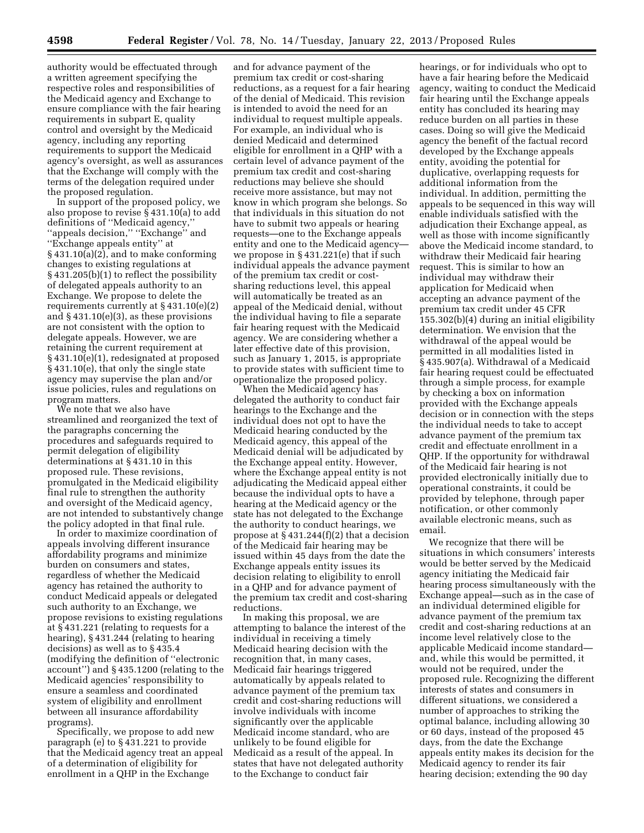authority would be effectuated through a written agreement specifying the respective roles and responsibilities of the Medicaid agency and Exchange to ensure compliance with the fair hearing requirements in subpart E, quality control and oversight by the Medicaid agency, including any reporting requirements to support the Medicaid agency's oversight, as well as assurances that the Exchange will comply with the terms of the delegation required under the proposed regulation.

In support of the proposed policy, we also propose to revise § 431.10(a) to add definitions of ''Medicaid agency,'' ''appeals decision,'' ''Exchange'' and ''Exchange appeals entity'' at § 431.10(a)(2), and to make conforming changes to existing regulations at § 431.205(b)(1) to reflect the possibility of delegated appeals authority to an Exchange. We propose to delete the requirements currently at § 431.10(e)(2) and § 431.10(e)(3), as these provisions are not consistent with the option to delegate appeals. However, we are retaining the current requirement at § 431.10(e)(1), redesignated at proposed § 431.10(e), that only the single state agency may supervise the plan and/or issue policies, rules and regulations on program matters.

We note that we also have streamlined and reorganized the text of the paragraphs concerning the procedures and safeguards required to permit delegation of eligibility determinations at § 431.10 in this proposed rule. These revisions, promulgated in the Medicaid eligibility final rule to strengthen the authority and oversight of the Medicaid agency, are not intended to substantively change the policy adopted in that final rule.

In order to maximize coordination of appeals involving different insurance affordability programs and minimize burden on consumers and states, regardless of whether the Medicaid agency has retained the authority to conduct Medicaid appeals or delegated such authority to an Exchange, we propose revisions to existing regulations at § 431.221 (relating to requests for a hearing), § 431.244 (relating to hearing decisions) as well as to § 435.4 (modifying the definition of ''electronic account'') and § 435.1200 (relating to the Medicaid agencies' responsibility to ensure a seamless and coordinated system of eligibility and enrollment between all insurance affordability programs).

Specifically, we propose to add new paragraph (e) to § 431.221 to provide that the Medicaid agency treat an appeal of a determination of eligibility for enrollment in a QHP in the Exchange

and for advance payment of the premium tax credit or cost-sharing reductions, as a request for a fair hearing of the denial of Medicaid. This revision is intended to avoid the need for an individual to request multiple appeals. For example, an individual who is denied Medicaid and determined eligible for enrollment in a QHP with a certain level of advance payment of the premium tax credit and cost-sharing reductions may believe she should receive more assistance, but may not know in which program she belongs. So that individuals in this situation do not have to submit two appeals or hearing requests—one to the Exchange appeals entity and one to the Medicaid agency we propose in § 431.221(e) that if such individual appeals the advance payment of the premium tax credit or costsharing reductions level, this appeal will automatically be treated as an appeal of the Medicaid denial, without the individual having to file a separate fair hearing request with the Medicaid agency. We are considering whether a later effective date of this provision, such as January 1, 2015, is appropriate to provide states with sufficient time to operationalize the proposed policy.

When the Medicaid agency has delegated the authority to conduct fair hearings to the Exchange and the individual does not opt to have the Medicaid hearing conducted by the Medicaid agency, this appeal of the Medicaid denial will be adjudicated by the Exchange appeal entity. However, where the Exchange appeal entity is not adjudicating the Medicaid appeal either because the individual opts to have a hearing at the Medicaid agency or the state has not delegated to the Exchange the authority to conduct hearings, we propose at  $\S 431.244(f)(2)$  that a decision of the Medicaid fair hearing may be issued within 45 days from the date the Exchange appeals entity issues its decision relating to eligibility to enroll in a QHP and for advance payment of the premium tax credit and cost-sharing reductions.

In making this proposal, we are attempting to balance the interest of the individual in receiving a timely Medicaid hearing decision with the recognition that, in many cases, Medicaid fair hearings triggered automatically by appeals related to advance payment of the premium tax credit and cost-sharing reductions will involve individuals with income significantly over the applicable Medicaid income standard, who are unlikely to be found eligible for Medicaid as a result of the appeal. In states that have not delegated authority to the Exchange to conduct fair

hearings, or for individuals who opt to have a fair hearing before the Medicaid agency, waiting to conduct the Medicaid fair hearing until the Exchange appeals entity has concluded its hearing may reduce burden on all parties in these cases. Doing so will give the Medicaid agency the benefit of the factual record developed by the Exchange appeals entity, avoiding the potential for duplicative, overlapping requests for additional information from the individual. In addition, permitting the appeals to be sequenced in this way will enable individuals satisfied with the adjudication their Exchange appeal, as well as those with income significantly above the Medicaid income standard, to withdraw their Medicaid fair hearing request. This is similar to how an individual may withdraw their application for Medicaid when accepting an advance payment of the premium tax credit under 45 CFR 155.302(b)(4) during an initial eligibility determination. We envision that the withdrawal of the appeal would be permitted in all modalities listed in § 435.907(a). Withdrawal of a Medicaid fair hearing request could be effectuated through a simple process, for example by checking a box on information provided with the Exchange appeals decision or in connection with the steps the individual needs to take to accept advance payment of the premium tax credit and effectuate enrollment in a QHP. If the opportunity for withdrawal of the Medicaid fair hearing is not provided electronically initially due to operational constraints, it could be provided by telephone, through paper notification, or other commonly available electronic means, such as email.

We recognize that there will be situations in which consumers' interests would be better served by the Medicaid agency initiating the Medicaid fair hearing process simultaneously with the Exchange appeal—such as in the case of an individual determined eligible for advance payment of the premium tax credit and cost-sharing reductions at an income level relatively close to the applicable Medicaid income standard and, while this would be permitted, it would not be required, under the proposed rule. Recognizing the different interests of states and consumers in different situations, we considered a number of approaches to striking the optimal balance, including allowing 30 or 60 days, instead of the proposed 45 days, from the date the Exchange appeals entity makes its decision for the Medicaid agency to render its fair hearing decision; extending the 90 day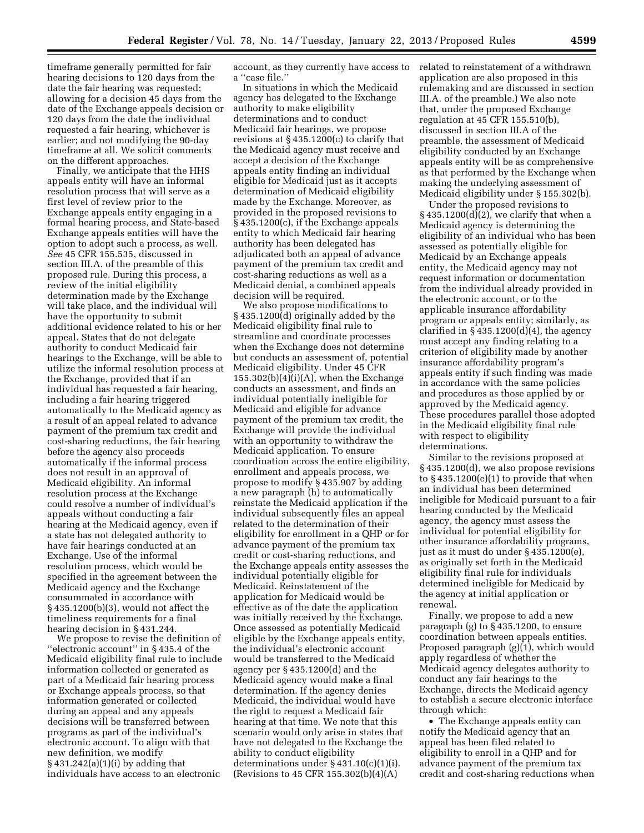timeframe generally permitted for fair hearing decisions to 120 days from the date the fair hearing was requested; allowing for a decision 45 days from the date of the Exchange appeals decision or 120 days from the date the individual requested a fair hearing, whichever is earlier; and not modifying the 90-day timeframe at all. We solicit comments on the different approaches.

Finally, we anticipate that the HHS appeals entity will have an informal resolution process that will serve as a first level of review prior to the Exchange appeals entity engaging in a formal hearing process, and State-based Exchange appeals entities will have the option to adopt such a process, as well. *See* 45 CFR 155.535, discussed in section III.A. of the preamble of this proposed rule. During this process, a review of the initial eligibility determination made by the Exchange will take place, and the individual will have the opportunity to submit additional evidence related to his or her appeal. States that do not delegate authority to conduct Medicaid fair hearings to the Exchange, will be able to utilize the informal resolution process at the Exchange, provided that if an individual has requested a fair hearing, including a fair hearing triggered automatically to the Medicaid agency as a result of an appeal related to advance payment of the premium tax credit and cost-sharing reductions, the fair hearing before the agency also proceeds automatically if the informal process does not result in an approval of Medicaid eligibility. An informal resolution process at the Exchange could resolve a number of individual's appeals without conducting a fair hearing at the Medicaid agency, even if a state has not delegated authority to have fair hearings conducted at an Exchange. Use of the informal resolution process, which would be specified in the agreement between the Medicaid agency and the Exchange consummated in accordance with § 435.1200(b)(3), would not affect the timeliness requirements for a final hearing decision in § 431.244.

We propose to revise the definition of ''electronic account'' in § 435.4 of the Medicaid eligibility final rule to include information collected or generated as part of a Medicaid fair hearing process or Exchange appeals process, so that information generated or collected during an appeal and any appeals decisions will be transferred between programs as part of the individual's electronic account. To align with that new definition, we modify § 431.242(a)(1)(i) by adding that individuals have access to an electronic

account, as they currently have access to a ''case file.''

In situations in which the Medicaid agency has delegated to the Exchange authority to make eligibility determinations and to conduct Medicaid fair hearings, we propose revisions at § 435.1200(c) to clarify that the Medicaid agency must receive and accept a decision of the Exchange appeals entity finding an individual eligible for Medicaid just as it accepts determination of Medicaid eligibility made by the Exchange. Moreover, as provided in the proposed revisions to § 435.1200(c), if the Exchange appeals entity to which Medicaid fair hearing authority has been delegated has adjudicated both an appeal of advance payment of the premium tax credit and cost-sharing reductions as well as a Medicaid denial, a combined appeals decision will be required.

We also propose modifications to § 435.1200(d) originally added by the Medicaid eligibility final rule to streamline and coordinate processes when the Exchange does not determine but conducts an assessment of, potential Medicaid eligibility. Under 45 CFR  $155.302(b)(4)(i)(A)$ , when the Exchange conducts an assessment, and finds an individual potentially ineligible for Medicaid and eligible for advance payment of the premium tax credit, the Exchange will provide the individual with an opportunity to withdraw the Medicaid application. To ensure coordination across the entire eligibility, enrollment and appeals process, we propose to modify § 435.907 by adding a new paragraph (h) to automatically reinstate the Medicaid application if the individual subsequently files an appeal related to the determination of their eligibility for enrollment in a QHP or for advance payment of the premium tax credit or cost-sharing reductions, and the Exchange appeals entity assesses the individual potentially eligible for Medicaid. Reinstatement of the application for Medicaid would be effective as of the date the application was initially received by the Exchange. Once assessed as potentially Medicaid eligible by the Exchange appeals entity, the individual's electronic account would be transferred to the Medicaid agency per § 435.1200(d) and the Medicaid agency would make a final determination. If the agency denies Medicaid, the individual would have the right to request a Medicaid fair hearing at that time. We note that this scenario would only arise in states that have not delegated to the Exchange the ability to conduct eligibility determinations under § 431.10(c)(1)(i). (Revisions to 45 CFR 155.302(b)(4)(A)

related to reinstatement of a withdrawn application are also proposed in this rulemaking and are discussed in section III.A. of the preamble.) We also note that, under the proposed Exchange regulation at 45 CFR 155.510(b), discussed in section III.A of the preamble, the assessment of Medicaid eligibility conducted by an Exchange appeals entity will be as comprehensive as that performed by the Exchange when making the underlying assessment of Medicaid eligibility under § 155.302(b).

Under the proposed revisions to § 435.1200(d)(2), we clarify that when a Medicaid agency is determining the eligibility of an individual who has been assessed as potentially eligible for Medicaid by an Exchange appeals entity, the Medicaid agency may not request information or documentation from the individual already provided in the electronic account, or to the applicable insurance affordability program or appeals entity; similarly, as clarified in  $\S 435.1200(d)(4)$ , the agency must accept any finding relating to a criterion of eligibility made by another insurance affordability program's appeals entity if such finding was made in accordance with the same policies and procedures as those applied by or approved by the Medicaid agency. These procedures parallel those adopted in the Medicaid eligibility final rule with respect to eligibility determinations.

Similar to the revisions proposed at § 435.1200(d), we also propose revisions to  $\S$  435.1200(e)(1) to provide that when an individual has been determined ineligible for Medicaid pursuant to a fair hearing conducted by the Medicaid agency, the agency must assess the individual for potential eligibility for other insurance affordability programs, just as it must do under § 435.1200(e), as originally set forth in the Medicaid eligibility final rule for individuals determined ineligible for Medicaid by the agency at initial application or renewal.

Finally, we propose to add a new paragraph (g) to § 435.1200, to ensure coordination between appeals entities. Proposed paragraph (g)(1), which would apply regardless of whether the Medicaid agency delegates authority to conduct any fair hearings to the Exchange, directs the Medicaid agency to establish a secure electronic interface through which:

• The Exchange appeals entity can notify the Medicaid agency that an appeal has been filed related to eligibility to enroll in a QHP and for advance payment of the premium tax credit and cost-sharing reductions when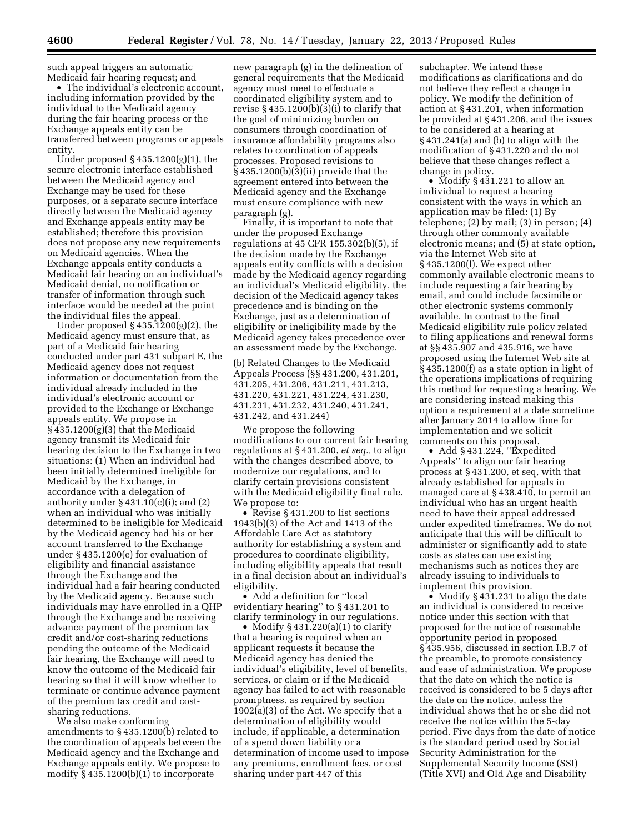such appeal triggers an automatic Medicaid fair hearing request; and

• The individual's electronic account, including information provided by the individual to the Medicaid agency during the fair hearing process or the Exchange appeals entity can be transferred between programs or appeals entity.

Under proposed § 435.1200(g)(1), the secure electronic interface established between the Medicaid agency and Exchange may be used for these purposes, or a separate secure interface directly between the Medicaid agency and Exchange appeals entity may be established; therefore this provision does not propose any new requirements on Medicaid agencies. When the Exchange appeals entity conducts a Medicaid fair hearing on an individual's Medicaid denial, no notification or transfer of information through such interface would be needed at the point the individual files the appeal.

Under proposed § 435.1200(g)(2), the Medicaid agency must ensure that, as part of a Medicaid fair hearing conducted under part 431 subpart E, the Medicaid agency does not request information or documentation from the individual already included in the individual's electronic account or provided to the Exchange or Exchange appeals entity. We propose in § 435.1200(g)(3) that the Medicaid agency transmit its Medicaid fair hearing decision to the Exchange in two situations: (1) When an individual had been initially determined ineligible for Medicaid by the Exchange, in accordance with a delegation of authority under  $\S 431.10(c)(i)$ ; and  $(2)$ when an individual who was initially determined to be ineligible for Medicaid by the Medicaid agency had his or her account transferred to the Exchange under § 435.1200(e) for evaluation of eligibility and financial assistance through the Exchange and the individual had a fair hearing conducted by the Medicaid agency. Because such individuals may have enrolled in a QHP through the Exchange and be receiving advance payment of the premium tax credit and/or cost-sharing reductions pending the outcome of the Medicaid fair hearing, the Exchange will need to know the outcome of the Medicaid fair hearing so that it will know whether to terminate or continue advance payment of the premium tax credit and costsharing reductions.

We also make conforming amendments to § 435.1200(b) related to the coordination of appeals between the Medicaid agency and the Exchange and Exchange appeals entity. We propose to modify § 435.1200(b)(1) to incorporate

new paragraph (g) in the delineation of general requirements that the Medicaid agency must meet to effectuate a coordinated eligibility system and to revise  $\S 435.1200(b)(3)(i)$  to clarify that the goal of minimizing burden on consumers through coordination of insurance affordability programs also relates to coordination of appeals processes. Proposed revisions to § 435.1200(b)(3)(ii) provide that the agreement entered into between the Medicaid agency and the Exchange must ensure compliance with new paragraph (g).

Finally, it is important to note that under the proposed Exchange regulations at 45 CFR 155.302(b)(5), if the decision made by the Exchange appeals entity conflicts with a decision made by the Medicaid agency regarding an individual's Medicaid eligibility, the decision of the Medicaid agency takes precedence and is binding on the Exchange, just as a determination of eligibility or ineligibility made by the Medicaid agency takes precedence over an assessment made by the Exchange.

(b) Related Changes to the Medicaid Appeals Process (§§ 431.200, 431.201, 431.205, 431.206, 431.211, 431.213, 431.220, 431.221, 431.224, 431.230, 431.231, 431.232, 431.240, 431.241, 431.242, and 431.244)

We propose the following modifications to our current fair hearing regulations at § 431.200, *et seq.,* to align with the changes described above, to modernize our regulations, and to clarify certain provisions consistent with the Medicaid eligibility final rule. We propose to:

• Revise §431.200 to list sections 1943(b)(3) of the Act and 1413 of the Affordable Care Act as statutory authority for establishing a system and procedures to coordinate eligibility, including eligibility appeals that result in a final decision about an individual's eligibility.

• Add a definition for ''local evidentiary hearing'' to § 431.201 to clarify terminology in our regulations.

• Modify  $§$  431.220(a)(1) to clarify that a hearing is required when an applicant requests it because the Medicaid agency has denied the individual's eligibility, level of benefits, services, or claim or if the Medicaid agency has failed to act with reasonable promptness, as required by section 1902(a)(3) of the Act. We specify that a determination of eligibility would include, if applicable, a determination of a spend down liability or a determination of income used to impose any premiums, enrollment fees, or cost sharing under part 447 of this

subchapter. We intend these modifications as clarifications and do not believe they reflect a change in policy. We modify the definition of action at § 431.201, when information be provided at § 431.206, and the issues to be considered at a hearing at § 431.241(a) and (b) to align with the modification of § 431.220 and do not believe that these changes reflect a change in policy.

• Modify § 431.221 to allow an individual to request a hearing consistent with the ways in which an application may be filed: (1) By telephone; (2) by mail; (3) in person; (4) through other commonly available electronic means; and (5) at state option, via the Internet Web site at § 435.1200(f). We expect other commonly available electronic means to include requesting a fair hearing by email, and could include facsimile or other electronic systems commonly available. In contrast to the final Medicaid eligibility rule policy related to filing applications and renewal forms at §§ 435.907 and 435.916, we have proposed using the Internet Web site at § 435.1200(f) as a state option in light of the operations implications of requiring this method for requesting a hearing. We are considering instead making this option a requirement at a date sometime after January 2014 to allow time for implementation and we solicit comments on this proposal.

• Add §431.224, "Expedited Appeals'' to align our fair hearing process at § 431.200, et seq, with that already established for appeals in managed care at § 438.410, to permit an individual who has an urgent health need to have their appeal addressed under expedited timeframes. We do not anticipate that this will be difficult to administer or significantly add to state costs as states can use existing mechanisms such as notices they are already issuing to individuals to implement this provision.

• Modify §431.231 to align the date an individual is considered to receive notice under this section with that proposed for the notice of reasonable opportunity period in proposed § 435.956, discussed in section I.B.7 of the preamble, to promote consistency and ease of administration. We propose that the date on which the notice is received is considered to be 5 days after the date on the notice, unless the individual shows that he or she did not receive the notice within the 5-day period. Five days from the date of notice is the standard period used by Social Security Administration for the Supplemental Security Income (SSI) (Title XVI) and Old Age and Disability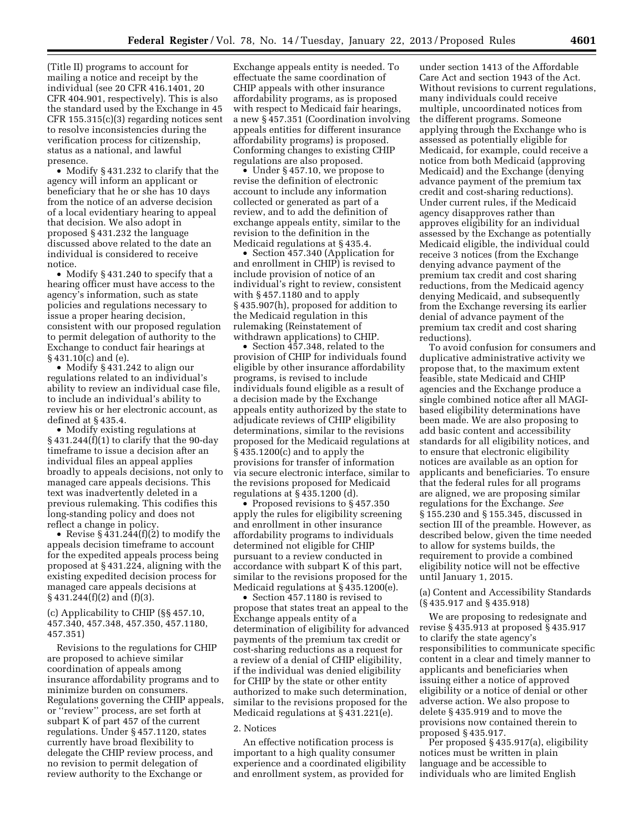(Title II) programs to account for mailing a notice and receipt by the individual (see 20 CFR 416.1401, 20 CFR 404.901, respectively). This is also the standard used by the Exchange in 45 CFR 155.315(c)(3) regarding notices sent to resolve inconsistencies during the verification process for citizenship, status as a national, and lawful presence.

• Modify § 431.232 to clarify that the agency will inform an applicant or beneficiary that he or she has 10 days from the notice of an adverse decision of a local evidentiary hearing to appeal that decision. We also adopt in proposed § 431.232 the language discussed above related to the date an individual is considered to receive notice.

• Modify §431.240 to specify that a hearing officer must have access to the agency's information, such as state policies and regulations necessary to issue a proper hearing decision, consistent with our proposed regulation to permit delegation of authority to the Exchange to conduct fair hearings at § 431.10(c) and (e).

• Modify § 431.242 to align our regulations related to an individual's ability to review an individual case file, to include an individual's ability to review his or her electronic account, as defined at § 435.4.

• Modify existing regulations at  $\S$  431.244(f)(1) to clarify that the 90-day timeframe to issue a decision after an individual files an appeal applies broadly to appeals decisions, not only to managed care appeals decisions. This text was inadvertently deleted in a previous rulemaking. This codifies this long-standing policy and does not reflect a change in policy.

• Revise § 431.244(f)(2) to modify the appeals decision timeframe to account for the expedited appeals process being proposed at § 431.224, aligning with the existing expedited decision process for managed care appeals decisions at § 431.244(f)(2) and (f)(3).

#### (c) Applicability to CHIP (§§ 457.10, 457.340, 457.348, 457.350, 457.1180, 457.351)

Revisions to the regulations for CHIP are proposed to achieve similar coordination of appeals among insurance affordability programs and to minimize burden on consumers. Regulations governing the CHIP appeals, or ''review'' process, are set forth at subpart K of part 457 of the current regulations. Under § 457.1120, states currently have broad flexibility to delegate the CHIP review process, and no revision to permit delegation of review authority to the Exchange or

Exchange appeals entity is needed. To effectuate the same coordination of CHIP appeals with other insurance affordability programs, as is proposed with respect to Medicaid fair hearings, a new § 457.351 (Coordination involving appeals entities for different insurance affordability programs) is proposed. Conforming changes to existing CHIP regulations are also proposed.

• Under § 457.10, we propose to revise the definition of electronic account to include any information collected or generated as part of a review, and to add the definition of exchange appeals entity, similar to the revision to the definition in the Medicaid regulations at § 435.4.

• Section 457.340 (Application for and enrollment in CHIP) is revised to include provision of notice of an individual's right to review, consistent with § 457.1180 and to apply § 435.907(h), proposed for addition to the Medicaid regulation in this rulemaking (Reinstatement of withdrawn applications) to CHIP.

• Section  $\overline{457.348}$ , related to the provision of CHIP for individuals found eligible by other insurance affordability programs, is revised to include individuals found eligible as a result of a decision made by the Exchange appeals entity authorized by the state to adjudicate reviews of CHIP eligibility determinations, similar to the revisions proposed for the Medicaid regulations at § 435.1200(c) and to apply the provisions for transfer of information via secure electronic interface, similar to the revisions proposed for Medicaid regulations at § 435.1200 (d).

• Proposed revisions to § 457.350 apply the rules for eligibility screening and enrollment in other insurance affordability programs to individuals determined not eligible for CHIP pursuant to a review conducted in accordance with subpart K of this part, similar to the revisions proposed for the Medicaid regulations at § 435.1200(e).

• Section 457.1180 is revised to propose that states treat an appeal to the Exchange appeals entity of a determination of eligibility for advanced payments of the premium tax credit or cost-sharing reductions as a request for a review of a denial of CHIP eligibility, if the individual was denied eligibility for CHIP by the state or other entity authorized to make such determination, similar to the revisions proposed for the Medicaid regulations at § 431.221(e).

#### 2. Notices

An effective notification process is important to a high quality consumer experience and a coordinated eligibility and enrollment system, as provided for

under section 1413 of the Affordable Care Act and section 1943 of the Act. Without revisions to current regulations, many individuals could receive multiple, uncoordinated notices from the different programs. Someone applying through the Exchange who is assessed as potentially eligible for Medicaid, for example, could receive a notice from both Medicaid (approving Medicaid) and the Exchange (denying advance payment of the premium tax credit and cost-sharing reductions). Under current rules, if the Medicaid agency disapproves rather than approves eligibility for an individual assessed by the Exchange as potentially Medicaid eligible, the individual could receive 3 notices (from the Exchange denying advance payment of the premium tax credit and cost sharing reductions, from the Medicaid agency denying Medicaid, and subsequently from the Exchange reversing its earlier denial of advance payment of the premium tax credit and cost sharing reductions).

To avoid confusion for consumers and duplicative administrative activity we propose that, to the maximum extent feasible, state Medicaid and CHIP agencies and the Exchange produce a single combined notice after all MAGIbased eligibility determinations have been made. We are also proposing to add basic content and accessibility standards for all eligibility notices, and to ensure that electronic eligibility notices are available as an option for applicants and beneficiaries. To ensure that the federal rules for all programs are aligned, we are proposing similar regulations for the Exchange. *See*  § 155.230 and § 155.345, discussed in section III of the preamble. However, as described below, given the time needed to allow for systems builds, the requirement to provide a combined eligibility notice will not be effective until January 1, 2015.

(a) Content and Accessibility Standards (§ 435.917 and § 435.918)

We are proposing to redesignate and revise § 435.913 at proposed § 435.917 to clarify the state agency's responsibilities to communicate specific content in a clear and timely manner to applicants and beneficiaries when issuing either a notice of approved eligibility or a notice of denial or other adverse action. We also propose to delete § 435.919 and to move the provisions now contained therein to proposed § 435.917.

Per proposed § 435.917(a), eligibility notices must be written in plain language and be accessible to individuals who are limited English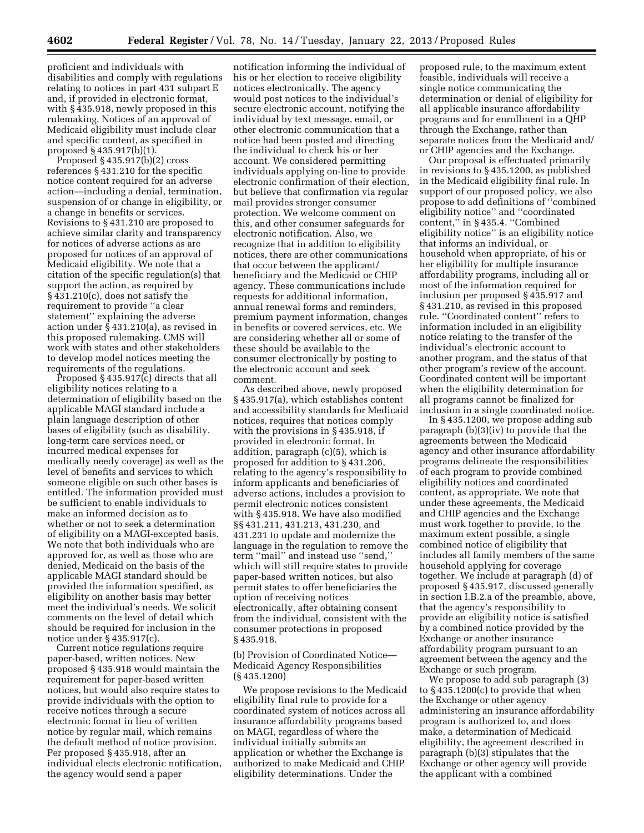proficient and individuals with disabilities and comply with regulations relating to notices in part 431 subpart E and, if provided in electronic format, with § 435.918, newly proposed in this rulemaking. Notices of an approval of Medicaid eligibility must include clear and specific content, as specified in proposed § 435.917(b)(1).

Proposed § 435.917(b)(2) cross references § 431.210 for the specific notice content required for an adverse action—including a denial, termination, suspension of or change in eligibility, or a change in benefits or services. Revisions to § 431.210 are proposed to achieve similar clarity and transparency for notices of adverse actions as are proposed for notices of an approval of Medicaid eligibility. We note that a citation of the specific regulation(s) that support the action, as required by § 431.210(c), does not satisfy the requirement to provide ''a clear statement'' explaining the adverse action under § 431.210(a), as revised in this proposed rulemaking. CMS will work with states and other stakeholders to develop model notices meeting the requirements of the regulations.

Proposed § 435.917(c) directs that all eligibility notices relating to a determination of eligibility based on the applicable MAGI standard include a plain language description of other bases of eligibility (such as disability, long-term care services need, or incurred medical expenses for medically needy coverage) as well as the level of benefits and services to which someone eligible on such other bases is entitled. The information provided must be sufficient to enable individuals to make an informed decision as to whether or not to seek a determination of eligibility on a MAGI-excepted basis. We note that both individuals who are approved for, as well as those who are denied, Medicaid on the basis of the applicable MAGI standard should be provided the information specified, as eligibility on another basis may better meet the individual's needs. We solicit comments on the level of detail which should be required for inclusion in the notice under § 435.917(c).

Current notice regulations require paper-based, written notices. New proposed § 435.918 would maintain the requirement for paper-based written notices, but would also require states to provide individuals with the option to receive notices through a secure electronic format in lieu of written notice by regular mail, which remains the default method of notice provision. Per proposed § 435.918, after an individual elects electronic notification, the agency would send a paper

notification informing the individual of his or her election to receive eligibility notices electronically. The agency would post notices to the individual's secure electronic account, notifying the individual by text message, email, or other electronic communication that a notice had been posted and directing the individual to check his or her account. We considered permitting individuals applying on-line to provide electronic confirmation of their election, but believe that confirmation via regular mail provides stronger consumer protection. We welcome comment on this, and other consumer safeguards for electronic notification. Also, we recognize that in addition to eligibility notices, there are other communications that occur between the applicant/ beneficiary and the Medicaid or CHIP agency. These communications include requests for additional information, annual renewal forms and reminders, premium payment information, changes in benefits or covered services, etc. We are considering whether all or some of these should be available to the consumer electronically by posting to the electronic account and seek comment.

As described above, newly proposed § 435.917(a), which establishes content and accessibility standards for Medicaid notices, requires that notices comply with the provisions in § 435.918, if provided in electronic format. In addition, paragraph (c)(5), which is proposed for addition to § 431.206, relating to the agency's responsibility to inform applicants and beneficiaries of adverse actions, includes a provision to permit electronic notices consistent with § 435.918. We have also modified §§ 431.211, 431.213, 431.230, and 431.231 to update and modernize the language in the regulation to remove the term ''mail'' and instead use ''send,'' which will still require states to provide paper-based written notices, but also permit states to offer beneficiaries the option of receiving notices electronically, after obtaining consent from the individual, consistent with the consumer protections in proposed § 435.918.

(b) Provision of Coordinated Notice— Medicaid Agency Responsibilities (§ 435.1200)

We propose revisions to the Medicaid eligibility final rule to provide for a coordinated system of notices across all insurance affordability programs based on MAGI, regardless of where the individual initially submits an application or whether the Exchange is authorized to make Medicaid and CHIP eligibility determinations. Under the

proposed rule, to the maximum extent feasible, individuals will receive a single notice communicating the determination or denial of eligibility for all applicable insurance affordability programs and for enrollment in a QHP through the Exchange, rather than separate notices from the Medicaid and/ or CHIP agencies and the Exchange.

Our proposal is effectuated primarily in revisions to § 435.1200, as published in the Medicaid eligibility final rule. In support of our proposed policy, we also propose to add definitions of ''combined eligibility notice'' and ''coordinated content,'' in § 435.4. ''Combined eligibility notice'' is an eligibility notice that informs an individual, or household when appropriate, of his or her eligibility for multiple insurance affordability programs, including all or most of the information required for inclusion per proposed § 435.917 and § 431.210, as revised in this proposed rule. ''Coordinated content'' refers to information included in an eligibility notice relating to the transfer of the individual's electronic account to another program, and the status of that other program's review of the account. Coordinated content will be important when the eligibility determination for all programs cannot be finalized for inclusion in a single coordinated notice.

In § 435.1200, we propose adding sub paragraph (b)(3)(iv) to provide that the agreements between the Medicaid agency and other insurance affordability programs delineate the responsibilities of each program to provide combined eligibility notices and coordinated content, as appropriate. We note that under these agreements, the Medicaid and CHIP agencies and the Exchange must work together to provide, to the maximum extent possible, a single combined notice of eligibility that includes all family members of the same household applying for coverage together. We include at paragraph (d) of proposed § 435.917, discussed generally in section I.B.2.a of the preamble, above, that the agency's responsibility to provide an eligibility notice is satisfied by a combined notice provided by the Exchange or another insurance affordability program pursuant to an agreement between the agency and the Exchange or such program.

We propose to add sub paragraph (3) to § 435.1200(c) to provide that when the Exchange or other agency administering an insurance affordability program is authorized to, and does make, a determination of Medicaid eligibility, the agreement described in paragraph (b)(3) stipulates that the Exchange or other agency will provide the applicant with a combined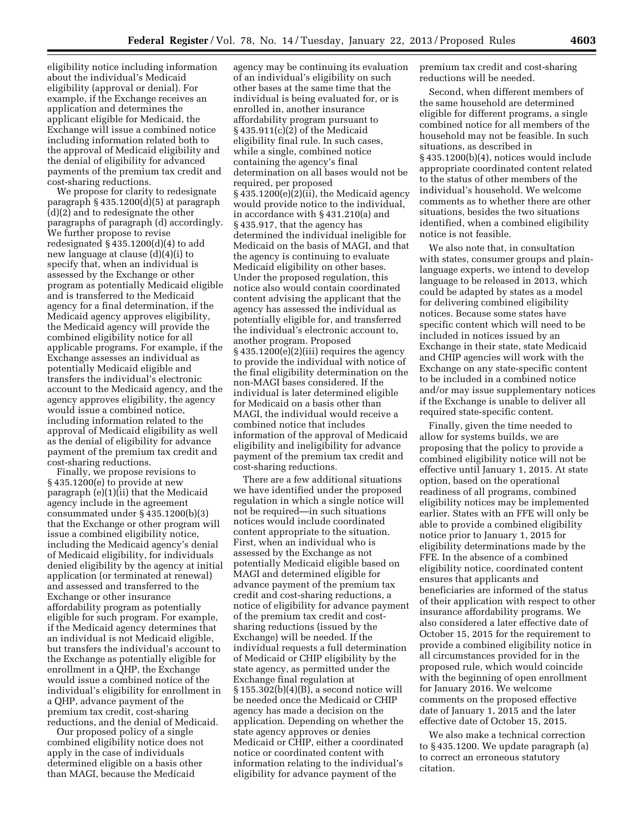eligibility notice including information about the individual's Medicaid eligibility (approval or denial). For example, if the Exchange receives an application and determines the applicant eligible for Medicaid, the Exchange will issue a combined notice including information related both to the approval of Medicaid eligibility and the denial of eligibility for advanced payments of the premium tax credit and cost-sharing reductions.

We propose for clarity to redesignate paragraph § 435.1200(d)(5) at paragraph (d)(2) and to redesignate the other paragraphs of paragraph (d) accordingly. We further propose to revise redesignated  $\S$  435.1200(d)(4) to add new language at clause (d)(4)(i) to specify that, when an individual is assessed by the Exchange or other program as potentially Medicaid eligible and is transferred to the Medicaid agency for a final determination, if the Medicaid agency approves eligibility, the Medicaid agency will provide the combined eligibility notice for all applicable programs. For example, if the Exchange assesses an individual as potentially Medicaid eligible and transfers the individual's electronic account to the Medicaid agency, and the agency approves eligibility, the agency would issue a combined notice, including information related to the approval of Medicaid eligibility as well as the denial of eligibility for advance payment of the premium tax credit and cost-sharing reductions.

Finally, we propose revisions to § 435.1200(e) to provide at new paragraph (e)(1)(ii) that the Medicaid agency include in the agreement consummated under § 435.1200(b)(3) that the Exchange or other program will issue a combined eligibility notice, including the Medicaid agency's denial of Medicaid eligibility, for individuals denied eligibility by the agency at initial application (or terminated at renewal) and assessed and transferred to the Exchange or other insurance affordability program as potentially eligible for such program. For example, if the Medicaid agency determines that an individual is not Medicaid eligible, but transfers the individual's account to the Exchange as potentially eligible for enrollment in a QHP, the Exchange would issue a combined notice of the individual's eligibility for enrollment in a QHP, advance payment of the premium tax credit, cost-sharing reductions, and the denial of Medicaid.

Our proposed policy of a single combined eligibility notice does not apply in the case of individuals determined eligible on a basis other than MAGI, because the Medicaid

agency may be continuing its evaluation of an individual's eligibility on such other bases at the same time that the individual is being evaluated for, or is enrolled in, another insurance affordability program pursuant to § 435.911(c)(2) of the Medicaid eligibility final rule. In such cases, while a single, combined notice containing the agency's final determination on all bases would not be required, per proposed § 435.1200(e)(2)(ii), the Medicaid agency would provide notice to the individual, in accordance with § 431.210(a) and § 435.917, that the agency has determined the individual ineligible for Medicaid on the basis of MAGI, and that the agency is continuing to evaluate Medicaid eligibility on other bases. Under the proposed regulation, this notice also would contain coordinated content advising the applicant that the agency has assessed the individual as potentially eligible for, and transferred the individual's electronic account to, another program. Proposed § 435.1200(e)(2)(iii) requires the agency to provide the individual with notice of the final eligibility determination on the non-MAGI bases considered. If the individual is later determined eligible for Medicaid on a basis other than MAGI, the individual would receive a combined notice that includes information of the approval of Medicaid eligibility and ineligibility for advance payment of the premium tax credit and cost-sharing reductions.

There are a few additional situations we have identified under the proposed regulation in which a single notice will not be required—in such situations notices would include coordinated content appropriate to the situation. First, when an individual who is assessed by the Exchange as not potentially Medicaid eligible based on MAGI and determined eligible for advance payment of the premium tax credit and cost-sharing reductions, a notice of eligibility for advance payment of the premium tax credit and costsharing reductions (issued by the Exchange) will be needed. If the individual requests a full determination of Medicaid or CHIP eligibility by the state agency, as permitted under the Exchange final regulation at § 155.302(b)(4)(B), a second notice will be needed once the Medicaid or CHIP agency has made a decision on the application. Depending on whether the state agency approves or denies Medicaid or CHIP, either a coordinated notice or coordinated content with information relating to the individual's eligibility for advance payment of the

premium tax credit and cost-sharing reductions will be needed.

Second, when different members of the same household are determined eligible for different programs, a single combined notice for all members of the household may not be feasible. In such situations, as described in § 435.1200(b)(4), notices would include appropriate coordinated content related to the status of other members of the individual's household. We welcome comments as to whether there are other situations, besides the two situations identified, when a combined eligibility notice is not feasible.

We also note that, in consultation with states, consumer groups and plainlanguage experts, we intend to develop language to be released in 2013, which could be adapted by states as a model for delivering combined eligibility notices. Because some states have specific content which will need to be included in notices issued by an Exchange in their state, state Medicaid and CHIP agencies will work with the Exchange on any state-specific content to be included in a combined notice and/or may issue supplementary notices if the Exchange is unable to deliver all required state-specific content.

Finally, given the time needed to allow for systems builds, we are proposing that the policy to provide a combined eligibility notice will not be effective until January 1, 2015. At state option, based on the operational readiness of all programs, combined eligibility notices may be implemented earlier. States with an FFE will only be able to provide a combined eligibility notice prior to January 1, 2015 for eligibility determinations made by the FFE. In the absence of a combined eligibility notice, coordinated content ensures that applicants and beneficiaries are informed of the status of their application with respect to other insurance affordability programs. We also considered a later effective date of October 15, 2015 for the requirement to provide a combined eligibility notice in all circumstances provided for in the proposed rule, which would coincide with the beginning of open enrollment for January 2016. We welcome comments on the proposed effective date of January 1, 2015 and the later effective date of October 15, 2015.

We also make a technical correction to § 435.1200. We update paragraph (a) to correct an erroneous statutory citation.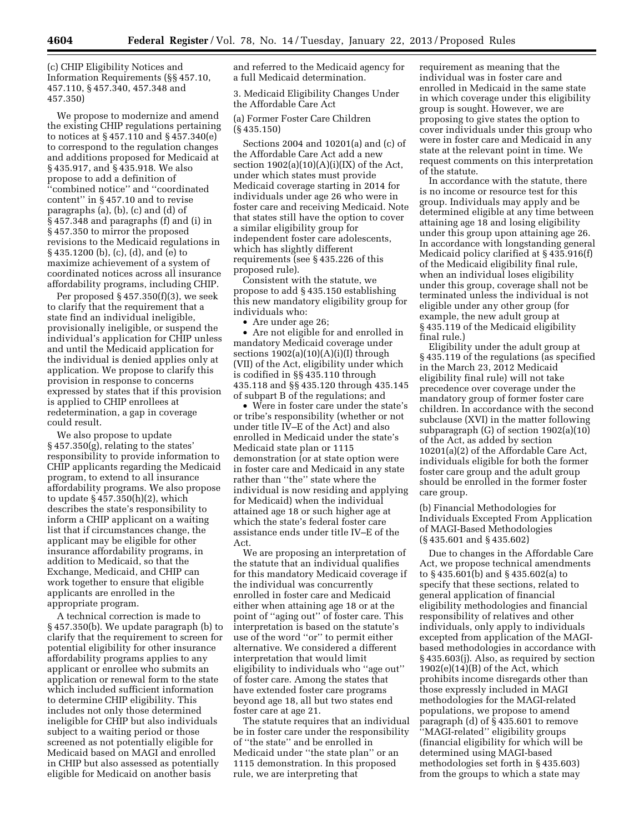(c) CHIP Eligibility Notices and Information Requirements (§§ 457.10, 457.110, § 457.340, 457.348 and 457.350)

We propose to modernize and amend the existing CHIP regulations pertaining to notices at § 457.110 and § 457.340(e) to correspond to the regulation changes and additions proposed for Medicaid at § 435.917, and § 435.918. We also propose to add a definition of 'combined notice" and "coordinated content'' in § 457.10 and to revise paragraphs (a), (b), (c) and (d) of § 457.348 and paragraphs (f) and (i) in § 457.350 to mirror the proposed revisions to the Medicaid regulations in § 435.1200 (b), (c), (d), and (e) to maximize achievement of a system of coordinated notices across all insurance affordability programs, including CHIP.

Per proposed § 457.350(f)(3), we seek to clarify that the requirement that a state find an individual ineligible, provisionally ineligible, or suspend the individual's application for CHIP unless and until the Medicaid application for the individual is denied applies only at application. We propose to clarify this provision in response to concerns expressed by states that if this provision is applied to CHIP enrollees at redetermination, a gap in coverage could result.

We also propose to update § 457.350(g), relating to the states' responsibility to provide information to CHIP applicants regarding the Medicaid program, to extend to all insurance affordability programs. We also propose to update § 457.350(h)(2), which describes the state's responsibility to inform a CHIP applicant on a waiting list that if circumstances change, the applicant may be eligible for other insurance affordability programs, in addition to Medicaid, so that the Exchange, Medicaid, and CHIP can work together to ensure that eligible applicants are enrolled in the appropriate program.

A technical correction is made to § 457.350(b). We update paragraph (b) to clarify that the requirement to screen for potential eligibility for other insurance affordability programs applies to any applicant or enrollee who submits an application or renewal form to the state which included sufficient information to determine CHIP eligibility. This includes not only those determined ineligible for CHIP but also individuals subject to a waiting period or those screened as not potentially eligible for Medicaid based on MAGI and enrolled in CHIP but also assessed as potentially eligible for Medicaid on another basis

and referred to the Medicaid agency for a full Medicaid determination.

3. Medicaid Eligibility Changes Under the Affordable Care Act

(a) Former Foster Care Children (§ 435.150)

Sections 2004 and 10201(a) and (c) of the Affordable Care Act add a new section  $1902(a)(10)(A)(i)(IX)$  of the Act, under which states must provide Medicaid coverage starting in 2014 for individuals under age 26 who were in foster care and receiving Medicaid. Note that states still have the option to cover a similar eligibility group for independent foster care adolescents, which has slightly different requirements (see § 435.226 of this proposed rule).

Consistent with the statute, we propose to add § 435.150 establishing this new mandatory eligibility group for individuals who:

• Are under age 26;

• Are not eligible for and enrolled in mandatory Medicaid coverage under sections  $1902(a)(10)(A)(i)(I)$  through (VII) of the Act, eligibility under which is codified in §§ 435.110 through 435.118 and §§ 435.120 through 435.145 of subpart B of the regulations; and

• Were in foster care under the state's or tribe's responsibility (whether or not under title IV–E of the Act) and also enrolled in Medicaid under the state's Medicaid state plan or 1115 demonstration (or at state option were in foster care and Medicaid in any state rather than ''the'' state where the individual is now residing and applying for Medicaid) when the individual attained age 18 or such higher age at which the state's federal foster care assistance ends under title IV–E of the Act.

We are proposing an interpretation of the statute that an individual qualifies for this mandatory Medicaid coverage if the individual was concurrently enrolled in foster care and Medicaid either when attaining age 18 or at the point of ''aging out'' of foster care. This interpretation is based on the statute's use of the word ''or'' to permit either alternative. We considered a different interpretation that would limit eligibility to individuals who ''age out'' of foster care. Among the states that have extended foster care programs beyond age 18, all but two states end foster care at age 21.

The statute requires that an individual be in foster care under the responsibility of ''the state'' and be enrolled in Medicaid under ''the state plan'' or an 1115 demonstration. In this proposed rule, we are interpreting that

requirement as meaning that the individual was in foster care and enrolled in Medicaid in the same state in which coverage under this eligibility group is sought. However, we are proposing to give states the option to cover individuals under this group who were in foster care and Medicaid in any state at the relevant point in time. We request comments on this interpretation of the statute.

In accordance with the statute, there is no income or resource test for this group. Individuals may apply and be determined eligible at any time between attaining age 18 and losing eligibility under this group upon attaining age 26. In accordance with longstanding general Medicaid policy clarified at § 435.916(f) of the Medicaid eligibility final rule, when an individual loses eligibility under this group, coverage shall not be terminated unless the individual is not eligible under any other group (for example, the new adult group at § 435.119 of the Medicaid eligibility final rule.)

Eligibility under the adult group at § 435.119 of the regulations (as specified in the March 23, 2012 Medicaid eligibility final rule) will not take precedence over coverage under the mandatory group of former foster care children. In accordance with the second subclause (XVI) in the matter following subparagraph (G) of section 1902(a)(10) of the Act, as added by section 10201(a)(2) of the Affordable Care Act, individuals eligible for both the former foster care group and the adult group should be enrolled in the former foster care group.

(b) Financial Methodologies for Individuals Excepted From Application of MAGI-Based Methodologies (§ 435.601 and § 435.602)

Due to changes in the Affordable Care Act, we propose technical amendments to § 435.601(b) and § 435.602(a) to specify that these sections, related to general application of financial eligibility methodologies and financial responsibility of relatives and other individuals, only apply to individuals excepted from application of the MAGIbased methodologies in accordance with § 435.603(j). Also, as required by section  $1902(e)(14)(B)$  of the Act, which prohibits income disregards other than those expressly included in MAGI methodologies for the MAGI-related populations, we propose to amend paragraph (d) of § 435.601 to remove ''MAGI-related'' eligibility groups (financial eligibility for which will be determined using MAGI-based methodologies set forth in § 435.603) from the groups to which a state may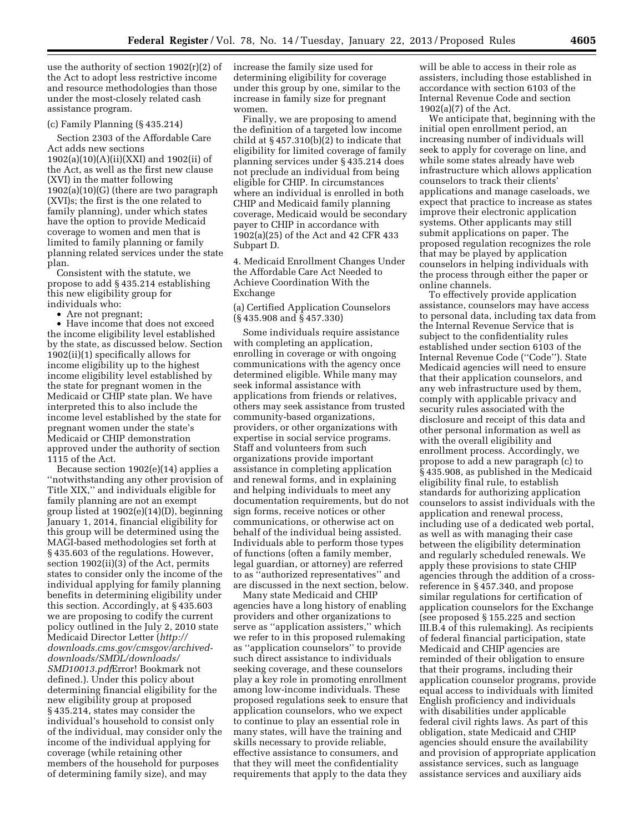use the authority of section 1902(r)(2) of the Act to adopt less restrictive income and resource methodologies than those under the most-closely related cash assistance program.

#### (c) Family Planning (§ 435.214)

Section 2303 of the Affordable Care Act adds new sections 1902(a)(10)(A)(ii)(XXI) and 1902(ii) of the Act, as well as the first new clause (XVI) in the matter following 1902(a)(10)(G) (there are two paragraph (XVI)s; the first is the one related to family planning), under which states have the option to provide Medicaid coverage to women and men that is limited to family planning or family planning related services under the state plan.

Consistent with the statute, we propose to add § 435.214 establishing this new eligibility group for individuals who:

• Are not pregnant;

• Have income that does not exceed the income eligibility level established by the state, as discussed below. Section 1902(ii)(1) specifically allows for income eligibility up to the highest income eligibility level established by the state for pregnant women in the Medicaid or CHIP state plan. We have interpreted this to also include the income level established by the state for pregnant women under the state's Medicaid or CHIP demonstration approved under the authority of section 1115 of the Act.

Because section 1902(e)(14) applies a ''notwithstanding any other provision of Title XIX,'' and individuals eligible for family planning are not an exempt group listed at 1902(e)(14)(D), beginning January 1, 2014, financial eligibility for this group will be determined using the MAGI-based methodologies set forth at § 435.603 of the regulations. However, section 1902(ii)(3) of the Act, permits states to consider only the income of the individual applying for family planning benefits in determining eligibility under this section. Accordingly, at § 435.603 we are proposing to codify the current policy outlined in the July 2, 2010 state Medicaid Director Letter (*[http://](http://downloads.cms.gov/cmsgov/archived-downloads/SMDL/downloads/SMD10013.pdfError) [downloads.cms.gov/cmsgov/archived](http://downloads.cms.gov/cmsgov/archived-downloads/SMDL/downloads/SMD10013.pdfError)[downloads/SMDL/downloads/](http://downloads.cms.gov/cmsgov/archived-downloads/SMDL/downloads/SMD10013.pdfError)  [SMD10013.pdf](http://downloads.cms.gov/cmsgov/archived-downloads/SMDL/downloads/SMD10013.pdfError)*Error! Bookmark not defined.). Under this policy about determining financial eligibility for the new eligibility group at proposed § 435.214, states may consider the individual's household to consist only of the individual, may consider only the income of the individual applying for coverage (while retaining other members of the household for purposes of determining family size), and may

increase the family size used for determining eligibility for coverage under this group by one, similar to the increase in family size for pregnant women.

Finally, we are proposing to amend the definition of a targeted low income child at § 457.310(b)(2) to indicate that eligibility for limited coverage of family planning services under § 435.214 does not preclude an individual from being eligible for CHIP. In circumstances where an individual is enrolled in both CHIP and Medicaid family planning coverage, Medicaid would be secondary payer to CHIP in accordance with 1902(a)(25) of the Act and 42 CFR 433 Subpart D.

4. Medicaid Enrollment Changes Under the Affordable Care Act Needed to Achieve Coordination With the Exchange

(a) Certified Application Counselors (§ 435.908 and § 457.330)

Some individuals require assistance with completing an application, enrolling in coverage or with ongoing communications with the agency once determined eligible. While many may seek informal assistance with applications from friends or relatives, others may seek assistance from trusted community-based organizations, providers, or other organizations with expertise in social service programs. Staff and volunteers from such organizations provide important assistance in completing application and renewal forms, and in explaining and helping individuals to meet any documentation requirements, but do not sign forms, receive notices or other communications, or otherwise act on behalf of the individual being assisted. Individuals able to perform those types of functions (often a family member, legal guardian, or attorney) are referred to as ''authorized representatives'' and are discussed in the next section, below.

Many state Medicaid and CHIP agencies have a long history of enabling providers and other organizations to serve as ''application assisters,'' which we refer to in this proposed rulemaking as ''application counselors'' to provide such direct assistance to individuals seeking coverage, and these counselors play a key role in promoting enrollment among low-income individuals. These proposed regulations seek to ensure that application counselors, who we expect to continue to play an essential role in many states, will have the training and skills necessary to provide reliable, effective assistance to consumers, and that they will meet the confidentiality requirements that apply to the data they

will be able to access in their role as assisters, including those established in accordance with section 6103 of the Internal Revenue Code and section 1902(a)(7) of the Act.

We anticipate that, beginning with the initial open enrollment period, an increasing number of individuals will seek to apply for coverage on line, and while some states already have web infrastructure which allows application counselors to track their clients' applications and manage caseloads, we expect that practice to increase as states improve their electronic application systems. Other applicants may still submit applications on paper. The proposed regulation recognizes the role that may be played by application counselors in helping individuals with the process through either the paper or online channels.

To effectively provide application assistance, counselors may have access to personal data, including tax data from the Internal Revenue Service that is subject to the confidentiality rules established under section 6103 of the Internal Revenue Code (''Code''). State Medicaid agencies will need to ensure that their application counselors, and any web infrastructure used by them, comply with applicable privacy and security rules associated with the disclosure and receipt of this data and other personal information as well as with the overall eligibility and enrollment process. Accordingly, we propose to add a new paragraph (c) to § 435.908, as published in the Medicaid eligibility final rule, to establish standards for authorizing application counselors to assist individuals with the application and renewal process, including use of a dedicated web portal, as well as with managing their case between the eligibility determination and regularly scheduled renewals. We apply these provisions to state CHIP agencies through the addition of a crossreference in § 457.340, and propose similar regulations for certification of application counselors for the Exchange (see proposed § 155.225 and section III.B.4 of this rulemaking). As recipients of federal financial participation, state Medicaid and CHIP agencies are reminded of their obligation to ensure that their programs, including their application counselor programs, provide equal access to individuals with limited English proficiency and individuals with disabilities under applicable federal civil rights laws. As part of this obligation, state Medicaid and CHIP agencies should ensure the availability and provision of appropriate application assistance services, such as language assistance services and auxiliary aids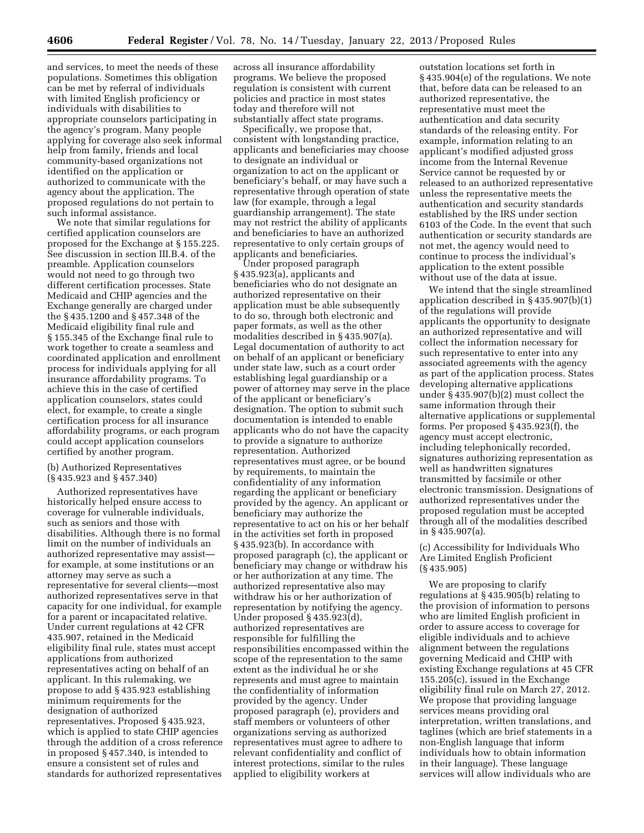and services, to meet the needs of these populations. Sometimes this obligation can be met by referral of individuals with limited English proficiency or individuals with disabilities to appropriate counselors participating in the agency's program. Many people applying for coverage also seek informal help from family, friends and local community-based organizations not identified on the application or authorized to communicate with the agency about the application. The proposed regulations do not pertain to such informal assistance.

We note that similar regulations for certified application counselors are proposed for the Exchange at § 155.225. See discussion in section III.B.4. of the preamble. Application counselors would not need to go through two different certification processes. State Medicaid and CHIP agencies and the Exchange generally are charged under the § 435.1200 and § 457.348 of the Medicaid eligibility final rule and § 155.345 of the Exchange final rule to work together to create a seamless and coordinated application and enrollment process for individuals applying for all insurance affordability programs. To achieve this in the case of certified application counselors, states could elect, for example, to create a single certification process for all insurance affordability programs, or each program could accept application counselors certified by another program.

#### (b) Authorized Representatives (§ 435.923 and § 457.340)

Authorized representatives have historically helped ensure access to coverage for vulnerable individuals, such as seniors and those with disabilities. Although there is no formal limit on the number of individuals an authorized representative may assist for example, at some institutions or an attorney may serve as such a representative for several clients—most authorized representatives serve in that capacity for one individual, for example for a parent or incapacitated relative. Under current regulations at 42 CFR 435.907, retained in the Medicaid eligibility final rule, states must accept applications from authorized representatives acting on behalf of an applicant. In this rulemaking, we propose to add § 435.923 establishing minimum requirements for the designation of authorized representatives. Proposed § 435.923, which is applied to state CHIP agencies through the addition of a cross reference in proposed § 457.340, is intended to ensure a consistent set of rules and standards for authorized representatives

across all insurance affordability programs. We believe the proposed regulation is consistent with current policies and practice in most states today and therefore will not substantially affect state programs.

Specifically, we propose that, consistent with longstanding practice, applicants and beneficiaries may choose to designate an individual or organization to act on the applicant or beneficiary's behalf, or may have such a representative through operation of state law (for example, through a legal guardianship arrangement). The state may not restrict the ability of applicants and beneficiaries to have an authorized representative to only certain groups of applicants and beneficiaries.

Under proposed paragraph § 435.923(a), applicants and beneficiaries who do not designate an authorized representative on their application must be able subsequently to do so, through both electronic and paper formats, as well as the other modalities described in § 435.907(a). Legal documentation of authority to act on behalf of an applicant or beneficiary under state law, such as a court order establishing legal guardianship or a power of attorney may serve in the place of the applicant or beneficiary's designation. The option to submit such documentation is intended to enable applicants who do not have the capacity to provide a signature to authorize representation. Authorized representatives must agree, or be bound by requirements, to maintain the confidentiality of any information regarding the applicant or beneficiary provided by the agency. An applicant or beneficiary may authorize the representative to act on his or her behalf in the activities set forth in proposed § 435.923(b). In accordance with proposed paragraph (c), the applicant or beneficiary may change or withdraw his or her authorization at any time. The authorized representative also may withdraw his or her authorization of representation by notifying the agency. Under proposed § 435.923(d), authorized representatives are responsible for fulfilling the responsibilities encompassed within the scope of the representation to the same extent as the individual he or she represents and must agree to maintain the confidentiality of information provided by the agency. Under proposed paragraph (e), providers and staff members or volunteers of other organizations serving as authorized representatives must agree to adhere to relevant confidentiality and conflict of interest protections, similar to the rules applied to eligibility workers at

outstation locations set forth in § 435.904(e) of the regulations. We note that, before data can be released to an authorized representative, the representative must meet the authentication and data security standards of the releasing entity. For example, information relating to an applicant's modified adjusted gross income from the Internal Revenue Service cannot be requested by or released to an authorized representative unless the representative meets the authentication and security standards established by the IRS under section 6103 of the Code. In the event that such authentication or security standards are not met, the agency would need to continue to process the individual's application to the extent possible without use of the data at issue.

We intend that the single streamlined application described in § 435.907(b)(1) of the regulations will provide applicants the opportunity to designate an authorized representative and will collect the information necessary for such representative to enter into any associated agreements with the agency as part of the application process. States developing alternative applications under § 435.907(b)(2) must collect the same information through their alternative applications or supplemental forms. Per proposed § 435.923(f), the agency must accept electronic, including telephonically recorded, signatures authorizing representation as well as handwritten signatures transmitted by facsimile or other electronic transmission. Designations of authorized representatives under the proposed regulation must be accepted through all of the modalities described in § 435.907(a).

#### (c) Accessibility for Individuals Who Are Limited English Proficient (§ 435.905)

We are proposing to clarify regulations at § 435.905(b) relating to the provision of information to persons who are limited English proficient in order to assure access to coverage for eligible individuals and to achieve alignment between the regulations governing Medicaid and CHIP with existing Exchange regulations at 45 CFR 155.205(c), issued in the Exchange eligibility final rule on March 27, 2012. We propose that providing language services means providing oral interpretation, written translations, and taglines (which are brief statements in a non-English language that inform individuals how to obtain information in their language). These language services will allow individuals who are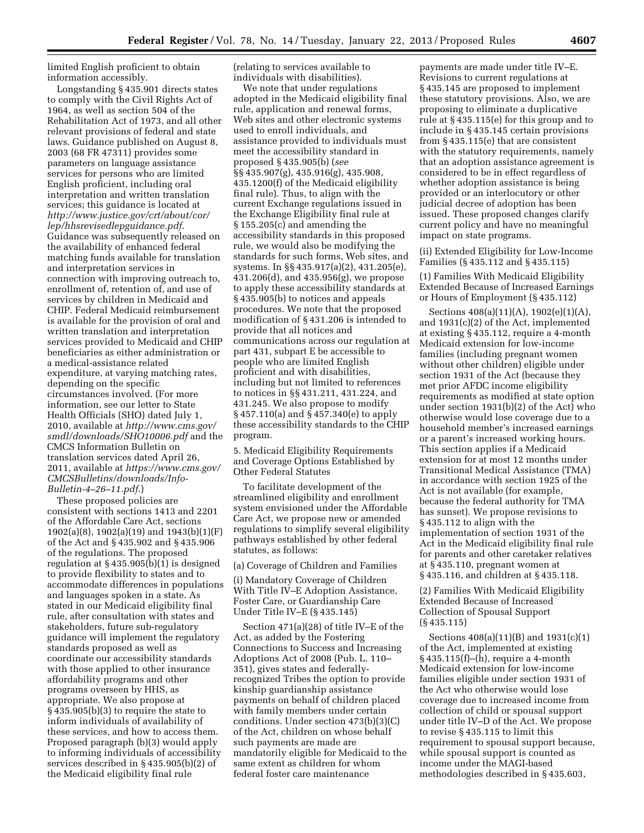limited English proficient to obtain information accessibly.

Longstanding § 435.901 directs states to comply with the Civil Rights Act of 1964, as well as section 504 of the Rehabilitation Act of 1973, and all other relevant provisions of federal and state laws. Guidance published on August 8, 2003 (68 FR 47311) provides some parameters on language assistance services for persons who are limited English proficient, including oral interpretation and written translation services; this guidance is located at *[http://www.justice.gov/crt/about/cor/](http://www.justice.gov/crt/about/cor/lep/hhsrevisedlepguidance.pdf)  [lep/hhsrevisedlepguidance.pdf](http://www.justice.gov/crt/about/cor/lep/hhsrevisedlepguidance.pdf)*. Guidance was subsequently released on the availability of enhanced federal matching funds available for translation and interpretation services in connection with improving outreach to, enrollment of, retention of, and use of services by children in Medicaid and CHIP. Federal Medicaid reimbursement is available for the provision of oral and written translation and interpretation services provided to Medicaid and CHIP beneficiaries as either administration or a medical-assistance related expenditure, at varying matching rates, depending on the specific circumstances involved. (For more information, see our letter to State Health Officials (SHO) dated July 1, 2010, available at *[http://www.cms.gov/](http://www.cms.gov/smdl/downloads/SHO10006.pdf)  [smdl/downloads/SHO10006.pdf](http://www.cms.gov/smdl/downloads/SHO10006.pdf)* and the CMCS Information Bulletin on translation services dated April 26, 2011, available at *[https://www.cms.gov/](https://www.cms.gov/CMCSBulletins/downloads/Info-Bulletin-4-26-11.pdf)  [CMCSBulletins/downloads/Info-](https://www.cms.gov/CMCSBulletins/downloads/Info-Bulletin-4-26-11.pdf)[Bulletin-4–26–11.pdf](https://www.cms.gov/CMCSBulletins/downloads/Info-Bulletin-4-26-11.pdf)*.)

These proposed policies are consistent with sections 1413 and 2201 of the Affordable Care Act, sections 1902(a)(8), 1902(a)(19) and 1943(b)(1)(F) of the Act and § 435.902 and § 435.906 of the regulations. The proposed regulation at § 435.905(b)(1) is designed to provide flexibility to states and to accommodate differences in populations and languages spoken in a state. As stated in our Medicaid eligibility final rule, after consultation with states and stakeholders, future sub-regulatory guidance will implement the regulatory standards proposed as well as coordinate our accessibility standards with those applied to other insurance affordability programs and other programs overseen by HHS, as appropriate. We also propose at § 435.905(b)(3) to require the state to inform individuals of availability of these services, and how to access them. Proposed paragraph (b)(3) would apply to informing individuals of accessibility services described in § 435.905(b)(2) of the Medicaid eligibility final rule

(relating to services available to individuals with disabilities).

We note that under regulations adopted in the Medicaid eligibility final rule, application and renewal forms, Web sites and other electronic systems used to enroll individuals, and assistance provided to individuals must meet the accessibility standard in proposed § 435.905(b) (*see*  §§ 435.907(g), 435.916(g), 435.908, 435.1200(f) of the Medicaid eligibility final rule). Thus, to align with the current Exchange regulations issued in the Exchange Eligibility final rule at § 155.205(c) and amending the accessibility standards in this proposed rule, we would also be modifying the standards for such forms, Web sites, and systems. In §§ 435.917(a)(2), 431.205(e), 431.206(d), and 435.956(g), we propose to apply these accessibility standards at § 435.905(b) to notices and appeals procedures. We note that the proposed modification of § 431.206 is intended to provide that all notices and communications across our regulation at part 431, subpart E be accessible to people who are limited English proficient and with disabilities, including but not limited to references to notices in §§ 431.211, 431.224, and 431.245. We also propose to modify § 457.110(a) and § 457.340(e) to apply these accessibility standards to the CHIP program.

5. Medicaid Eligibility Requirements and Coverage Options Established by Other Federal Statutes

To facilitate development of the streamlined eligibility and enrollment system envisioned under the Affordable Care Act, we propose new or amended regulations to simplify several eligibility pathways established by other federal statutes, as follows:

(a) Coverage of Children and Families

(i) Mandatory Coverage of Children With Title IV–E Adoption Assistance, Foster Care, or Guardianship Care Under Title IV–E (§ 435.145)

Section 471(a)(28) of title IV–E of the Act, as added by the Fostering Connections to Success and Increasing Adoptions Act of 2008 (Pub. L. 110– 351), gives states and federallyrecognized Tribes the option to provide kinship guardianship assistance payments on behalf of children placed with family members under certain conditions. Under section 473(b)(3)(C) of the Act, children on whose behalf such payments are made are mandatorily eligible for Medicaid to the same extent as children for whom federal foster care maintenance

payments are made under title IV–E. Revisions to current regulations at § 435.145 are proposed to implement these statutory provisions. Also, we are proposing to eliminate a duplicative rule at § 435.115(e) for this group and to include in § 435.145 certain provisions from § 435.115(e) that are consistent with the statutory requirements, namely that an adoption assistance agreement is considered to be in effect regardless of whether adoption assistance is being provided or an interlocutory or other judicial decree of adoption has been issued. These proposed changes clarify current policy and have no meaningful impact on state programs.

(ii) Extended Eligibility for Low-Income Families (§ 435.112 and § 435.115)

(1) Families With Medicaid Eligibility Extended Because of Increased Earnings or Hours of Employment (§ 435.112)

Sections 408(a)(11)(A), 1902(e)(1)(A), and 1931(c)(2) of the Act, implemented at existing § 435.112, require a 4-month Medicaid extension for low-income families (including pregnant women without other children) eligible under section 1931 of the Act (because they met prior AFDC income eligibility requirements as modified at state option under section 1931(b)(2) of the Act) who otherwise would lose coverage due to a household member's increased earnings or a parent's increased working hours. This section applies if a Medicaid extension for at most 12 months under Transitional Medical Assistance (TMA) in accordance with section 1925 of the Act is not available (for example, because the federal authority for TMA has sunset). We propose revisions to § 435.112 to align with the implementation of section 1931 of the Act in the Medicaid eligibility final rule for parents and other caretaker relatives at § 435.110, pregnant women at § 435.116, and children at § 435.118.

(2) Families With Medicaid Eligibility Extended Because of Increased Collection of Spousal Support (§ 435.115)

Sections 408(a)(11)(B) and 1931(c)(1) of the Act, implemented at existing § 435.115(f)–(h), require a 4-month Medicaid extension for low-income families eligible under section 1931 of the Act who otherwise would lose coverage due to increased income from collection of child or spousal support under title IV–D of the Act. We propose to revise § 435.115 to limit this requirement to spousal support because, while spousal support is counted as income under the MAGI-based methodologies described in § 435.603,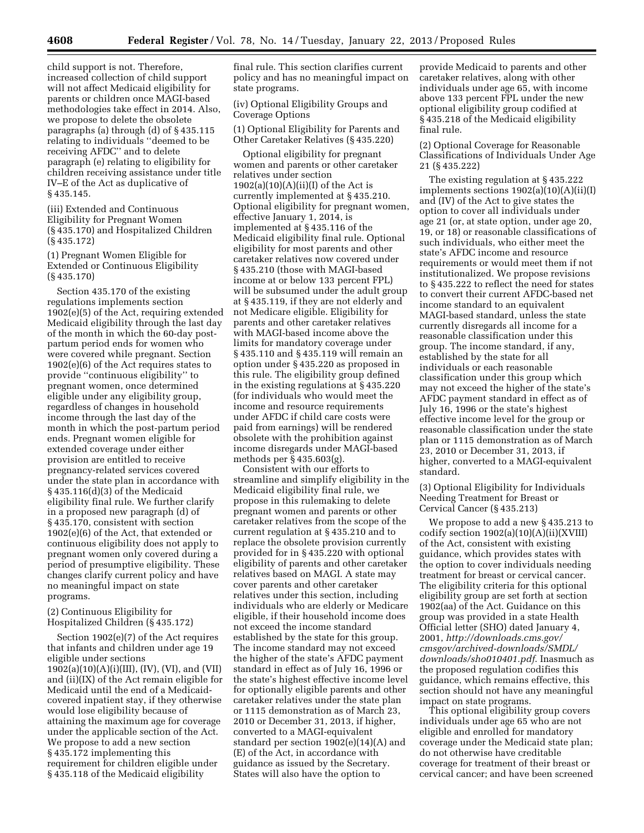child support is not. Therefore, increased collection of child support will not affect Medicaid eligibility for parents or children once MAGI-based methodologies take effect in 2014. Also, we propose to delete the obsolete paragraphs (a) through (d) of § 435.115 relating to individuals ''deemed to be receiving AFDC'' and to delete paragraph (e) relating to eligibility for children receiving assistance under title IV–E of the Act as duplicative of § 435.145.

(iii) Extended and Continuous Eligibility for Pregnant Women (§ 435.170) and Hospitalized Children (§ 435.172)

(1) Pregnant Women Eligible for Extended or Continuous Eligibility (§ 435.170)

Section 435.170 of the existing regulations implements section 1902(e)(5) of the Act, requiring extended Medicaid eligibility through the last day of the month in which the 60-day postpartum period ends for women who were covered while pregnant. Section 1902(e)(6) of the Act requires states to provide ''continuous eligibility'' to pregnant women, once determined eligible under any eligibility group, regardless of changes in household income through the last day of the month in which the post-partum period ends. Pregnant women eligible for extended coverage under either provision are entitled to receive pregnancy-related services covered under the state plan in accordance with § 435.116(d)(3) of the Medicaid eligibility final rule. We further clarify in a proposed new paragraph (d) of § 435.170, consistent with section 1902(e)(6) of the Act, that extended or continuous eligibility does not apply to pregnant women only covered during a period of presumptive eligibility. These changes clarify current policy and have no meaningful impact on state programs.

(2) Continuous Eligibility for Hospitalized Children (§ 435.172)

Section 1902(e)(7) of the Act requires that infants and children under age 19 eligible under sections  $1902(a)(10)(A)(i)(III)$ , (IV), (VI), and (VII) and (ii)(IX) of the Act remain eligible for Medicaid until the end of a Medicaidcovered inpatient stay, if they otherwise would lose eligibility because of attaining the maximum age for coverage under the applicable section of the Act. We propose to add a new section § 435.172 implementing this requirement for children eligible under § 435.118 of the Medicaid eligibility

final rule. This section clarifies current policy and has no meaningful impact on state programs.

(iv) Optional Eligibility Groups and Coverage Options

(1) Optional Eligibility for Parents and Other Caretaker Relatives (§ 435.220)

Optional eligibility for pregnant women and parents or other caretaker relatives under section  $1902(a)(10)(A)(ii)(I)$  of the Act is currently implemented at § 435.210. Optional eligibility for pregnant women, effective January 1, 2014, is implemented at § 435.116 of the Medicaid eligibility final rule. Optional eligibility for most parents and other caretaker relatives now covered under § 435.210 (those with MAGI-based income at or below 133 percent FPL) will be subsumed under the adult group at § 435.119, if they are not elderly and not Medicare eligible. Eligibility for parents and other caretaker relatives with MAGI-based income above the limits for mandatory coverage under § 435.110 and § 435.119 will remain an option under § 435.220 as proposed in this rule. The eligibility group defined in the existing regulations at § 435.220 (for individuals who would meet the income and resource requirements under AFDC if child care costs were paid from earnings) will be rendered obsolete with the prohibition against income disregards under MAGI-based methods per § 435.603(g).

Consistent with our efforts to streamline and simplify eligibility in the Medicaid eligibility final rule, we propose in this rulemaking to delete pregnant women and parents or other caretaker relatives from the scope of the current regulation at § 435.210 and to replace the obsolete provision currently provided for in § 435.220 with optional eligibility of parents and other caretaker relatives based on MAGI. A state may cover parents and other caretaker relatives under this section, including individuals who are elderly or Medicare eligible, if their household income does not exceed the income standard established by the state for this group. The income standard may not exceed the higher of the state's AFDC payment standard in effect as of July 16, 1996 or the state's highest effective income level for optionally eligible parents and other caretaker relatives under the state plan or 1115 demonstration as of March 23, 2010 or December 31, 2013, if higher, converted to a MAGI-equivalent standard per section 1902(e)(14)(A) and (E) of the Act, in accordance with guidance as issued by the Secretary. States will also have the option to

provide Medicaid to parents and other caretaker relatives, along with other individuals under age 65, with income above 133 percent FPL under the new optional eligibility group codified at § 435.218 of the Medicaid eligibility final rule.

(2) Optional Coverage for Reasonable Classifications of Individuals Under Age 21 (§ 435.222)

The existing regulation at § 435.222 implements sections 1902(a)(10)(A)(ii)(I) and (IV) of the Act to give states the option to cover all individuals under age 21 (or, at state option, under age 20, 19, or 18) or reasonable classifications of such individuals, who either meet the state's AFDC income and resource requirements or would meet them if not institutionalized. We propose revisions to § 435.222 to reflect the need for states to convert their current AFDC-based net income standard to an equivalent MAGI-based standard, unless the state currently disregards all income for a reasonable classification under this group. The income standard, if any, established by the state for all individuals or each reasonable classification under this group which may not exceed the higher of the state's AFDC payment standard in effect as of July 16, 1996 or the state's highest effective income level for the group or reasonable classification under the state plan or 1115 demonstration as of March 23, 2010 or December 31, 2013, if higher, converted to a MAGI-equivalent standard.

(3) Optional Eligibility for Individuals Needing Treatment for Breast or Cervical Cancer (§ 435.213)

We propose to add a new § 435.213 to codify section 1902(a)(10)(A)(ii)(XVIII) of the Act, consistent with existing guidance, which provides states with the option to cover individuals needing treatment for breast or cervical cancer. The eligibility criteria for this optional eligibility group are set forth at section 1902(aa) of the Act. Guidance on this group was provided in a state Health Official letter (SHO) dated January 4, 2001, *[http://downloads.cms.gov/](http://downloads.cms.gov/cmsgov/archived-downloads/SMDL/downloads/sho010401.pdf)  [cmsgov/archived-downloads/SMDL/](http://downloads.cms.gov/cmsgov/archived-downloads/SMDL/downloads/sho010401.pdf) [downloads/sho010401.pdf](http://downloads.cms.gov/cmsgov/archived-downloads/SMDL/downloads/sho010401.pdf)*. Inasmuch as the proposed regulation codifies this guidance, which remains effective, this section should not have any meaningful impact on state programs.

This optional eligibility group covers individuals under age 65 who are not eligible and enrolled for mandatory coverage under the Medicaid state plan; do not otherwise have creditable coverage for treatment of their breast or cervical cancer; and have been screened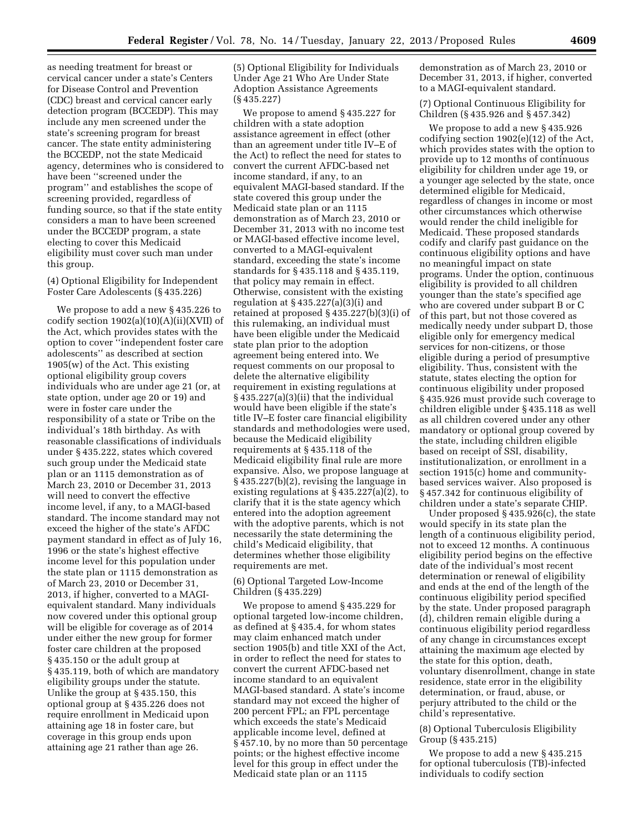as needing treatment for breast or cervical cancer under a state's Centers for Disease Control and Prevention (CDC) breast and cervical cancer early detection program (BCCEDP). This may include any men screened under the state's screening program for breast cancer. The state entity administering the BCCEDP, not the state Medicaid agency, determines who is considered to have been ''screened under the program'' and establishes the scope of screening provided, regardless of funding source, so that if the state entity considers a man to have been screened under the BCCEDP program, a state electing to cover this Medicaid eligibility must cover such man under this group.

#### (4) Optional Eligibility for Independent Foster Care Adolescents (§ 435.226)

We propose to add a new § 435.226 to codify section 1902(a)(10)(A)(ii)(XVII) of the Act, which provides states with the option to cover ''independent foster care adolescents'' as described at section 1905(w) of the Act. This existing optional eligibility group covers individuals who are under age 21 (or, at state option, under age 20 or 19) and were in foster care under the responsibility of a state or Tribe on the individual's 18th birthday. As with reasonable classifications of individuals under § 435.222, states which covered such group under the Medicaid state plan or an 1115 demonstration as of March 23, 2010 or December 31, 2013 will need to convert the effective income level, if any, to a MAGI-based standard. The income standard may not exceed the higher of the state's AFDC payment standard in effect as of July 16, 1996 or the state's highest effective income level for this population under the state plan or 1115 demonstration as of March 23, 2010 or December 31, 2013, if higher, converted to a MAGIequivalent standard. Many individuals now covered under this optional group will be eligible for coverage as of 2014 under either the new group for former foster care children at the proposed § 435.150 or the adult group at § 435.119, both of which are mandatory eligibility groups under the statute. Unlike the group at § 435.150, this optional group at § 435.226 does not require enrollment in Medicaid upon attaining age 18 in foster care, but coverage in this group ends upon attaining age 21 rather than age 26.

(5) Optional Eligibility for Individuals Under Age 21 Who Are Under State Adoption Assistance Agreements (§ 435.227)

We propose to amend § 435.227 for children with a state adoption assistance agreement in effect (other than an agreement under title IV–E of the Act) to reflect the need for states to convert the current AFDC-based net income standard, if any, to an equivalent MAGI-based standard. If the state covered this group under the Medicaid state plan or an 1115 demonstration as of March 23, 2010 or December 31, 2013 with no income test or MAGI-based effective income level, converted to a MAGI-equivalent standard, exceeding the state's income standards for § 435.118 and § 435.119, that policy may remain in effect. Otherwise, consistent with the existing regulation at  $\S 435.227(a)(3)(i)$  and retained at proposed § 435.227(b)(3)(i) of this rulemaking, an individual must have been eligible under the Medicaid state plan prior to the adoption agreement being entered into. We request comments on our proposal to delete the alternative eligibility requirement in existing regulations at § 435.227(a)(3)(ii) that the individual would have been eligible if the state's title IV–E foster care financial eligibility standards and methodologies were used, because the Medicaid eligibility requirements at § 435.118 of the Medicaid eligibility final rule are more expansive. Also, we propose language at § 435.227(b)(2), revising the language in existing regulations at § 435.227(a)(2), to clarify that it is the state agency which entered into the adoption agreement with the adoptive parents, which is not necessarily the state determining the child's Medicaid eligibility, that determines whether those eligibility requirements are met.

(6) Optional Targeted Low-Income Children (§ 435.229)

We propose to amend § 435.229 for optional targeted low-income children, as defined at § 435.4, for whom states may claim enhanced match under section 1905(b) and title XXI of the Act, in order to reflect the need for states to convert the current AFDC-based net income standard to an equivalent MAGI-based standard. A state's income standard may not exceed the higher of 200 percent FPL; an FPL percentage which exceeds the state's Medicaid applicable income level, defined at § 457.10, by no more than 50 percentage points; or the highest effective income level for this group in effect under the Medicaid state plan or an 1115

demonstration as of March 23, 2010 or December 31, 2013, if higher, converted to a MAGI-equivalent standard.

(7) Optional Continuous Eligibility for Children (§ 435.926 and § 457.342)

We propose to add a new § 435.926 codifying section 1902(e)(12) of the Act, which provides states with the option to provide up to 12 months of continuous eligibility for children under age 19, or a younger age selected by the state, once determined eligible for Medicaid, regardless of changes in income or most other circumstances which otherwise would render the child ineligible for Medicaid. These proposed standards codify and clarify past guidance on the continuous eligibility options and have no meaningful impact on state programs. Under the option, continuous eligibility is provided to all children younger than the state's specified age who are covered under subpart B or C of this part, but not those covered as medically needy under subpart D, those eligible only for emergency medical services for non-citizens, or those eligible during a period of presumptive eligibility. Thus, consistent with the statute, states electing the option for continuous eligibility under proposed § 435.926 must provide such coverage to children eligible under § 435.118 as well as all children covered under any other mandatory or optional group covered by the state, including children eligible based on receipt of SSI, disability, institutionalization, or enrollment in a section 1915(c) home and communitybased services waiver. Also proposed is § 457.342 for continuous eligibility of children under a state's separate CHIP.

Under proposed § 435.926(c), the state would specify in its state plan the length of a continuous eligibility period, not to exceed 12 months. A continuous eligibility period begins on the effective date of the individual's most recent determination or renewal of eligibility and ends at the end of the length of the continuous eligibility period specified by the state. Under proposed paragraph (d), children remain eligible during a continuous eligibility period regardless of any change in circumstances except attaining the maximum age elected by the state for this option, death, voluntary disenrollment, change in state residence, state error in the eligibility determination, or fraud, abuse, or perjury attributed to the child or the child's representative.

#### (8) Optional Tuberculosis Eligibility Group (§ 435.215)

We propose to add a new § 435.215 for optional tuberculosis (TB)-infected individuals to codify section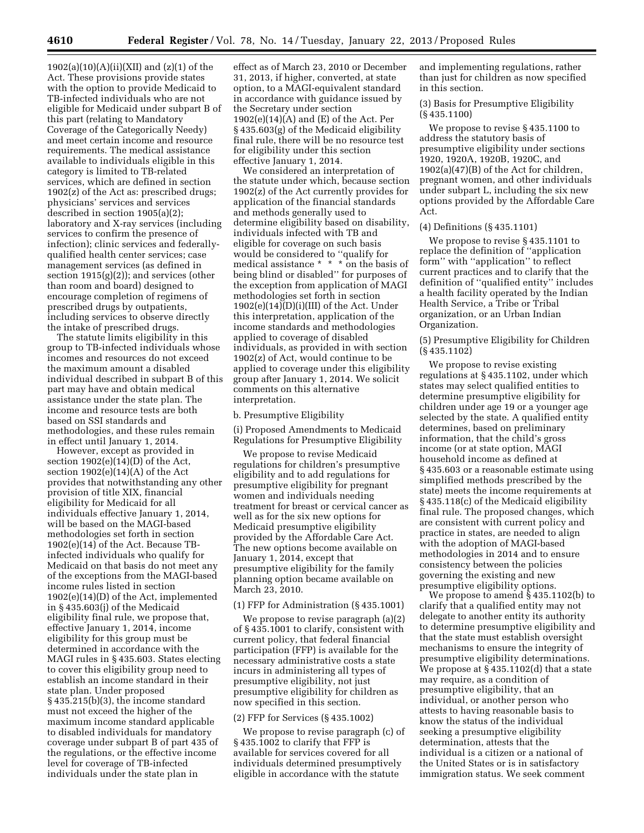1902(a)(10)(A)(ii)(XII) and (z)(1) of the Act. These provisions provide states with the option to provide Medicaid to TB-infected individuals who are not eligible for Medicaid under subpart B of this part (relating to Mandatory Coverage of the Categorically Needy) and meet certain income and resource requirements. The medical assistance available to individuals eligible in this category is limited to TB-related services, which are defined in section 1902(z) of the Act as: prescribed drugs; physicians' services and services described in section 1905(a)(2); laboratory and X-ray services (including services to confirm the presence of infection); clinic services and federallyqualified health center services; case management services (as defined in section  $1915(g)(2)$ ; and services (other than room and board) designed to encourage completion of regimens of prescribed drugs by outpatients, including services to observe directly the intake of prescribed drugs.

The statute limits eligibility in this group to TB-infected individuals whose incomes and resources do not exceed the maximum amount a disabled individual described in subpart B of this part may have and obtain medical assistance under the state plan. The income and resource tests are both based on SSI standards and methodologies, and these rules remain in effect until January 1, 2014.

However, except as provided in section 1902(e)(14)(D) of the Act, section 1902(e)(14)(A) of the Act provides that notwithstanding any other provision of title XIX, financial eligibility for Medicaid for all individuals effective January 1, 2014, will be based on the MAGI-based methodologies set forth in section 1902(e)(14) of the Act. Because TBinfected individuals who qualify for Medicaid on that basis do not meet any of the exceptions from the MAGI-based income rules listed in section 1902(e)(14)(D) of the Act, implemented in § 435.603(j) of the Medicaid eligibility final rule, we propose that, effective January 1, 2014, income eligibility for this group must be determined in accordance with the MAGI rules in § 435.603. States electing to cover this eligibility group need to establish an income standard in their state plan. Under proposed § 435.215(b)(3), the income standard must not exceed the higher of the maximum income standard applicable to disabled individuals for mandatory coverage under subpart B of part 435 of the regulations, or the effective income level for coverage of TB-infected individuals under the state plan in

effect as of March 23, 2010 or December 31, 2013, if higher, converted, at state option, to a MAGI-equivalent standard in accordance with guidance issued by the Secretary under section  $1902(e)(14)(A)$  and  $(E)$  of the Act. Per § 435.603(g) of the Medicaid eligibility final rule, there will be no resource test for eligibility under this section effective January 1, 2014.

We considered an interpretation of the statute under which, because section 1902(z) of the Act currently provides for application of the financial standards and methods generally used to determine eligibility based on disability, individuals infected with TB and eligible for coverage on such basis would be considered to ''qualify for medical assistance  $* * * \text{ on the basis of}$ being blind or disabled'' for purposes of the exception from application of MAGI methodologies set forth in section  $1902(e)(14)(D)(i)(III)$  of the Act. Under this interpretation, application of the income standards and methodologies applied to coverage of disabled individuals, as provided in with section 1902(z) of Act, would continue to be applied to coverage under this eligibility group after January 1, 2014. We solicit comments on this alternative interpretation.

#### b. Presumptive Eligibility

(i) Proposed Amendments to Medicaid Regulations for Presumptive Eligibility

We propose to revise Medicaid regulations for children's presumptive eligibility and to add regulations for presumptive eligibility for pregnant women and individuals needing treatment for breast or cervical cancer as well as for the six new options for Medicaid presumptive eligibility provided by the Affordable Care Act. The new options become available on January 1, 2014, except that presumptive eligibility for the family planning option became available on March 23, 2010.

#### (1) FFP for Administration (§ 435.1001)

We propose to revise paragraph (a)(2) of § 435.1001 to clarify, consistent with current policy, that federal financial participation (FFP) is available for the necessary administrative costs a state incurs in administering all types of presumptive eligibility, not just presumptive eligibility for children as now specified in this section.

#### (2) FFP for Services (§ 435.1002)

We propose to revise paragraph (c) of § 435.1002 to clarify that FFP is available for services covered for all individuals determined presumptively eligible in accordance with the statute

and implementing regulations, rather than just for children as now specified in this section.

(3) Basis for Presumptive Eligibility (§ 435.1100)

We propose to revise § 435.1100 to address the statutory basis of presumptive eligibility under sections 1920, 1920A, 1920B, 1920C, and 1902(a)(47)(B) of the Act for children, pregnant women, and other individuals under subpart L, including the six new options provided by the Affordable Care Act.

#### (4) Definitions (§ 435.1101)

We propose to revise § 435.1101 to replace the definition of ''application form'' with ''application'' to reflect current practices and to clarify that the definition of ''qualified entity'' includes a health facility operated by the Indian Health Service, a Tribe or Tribal organization, or an Urban Indian Organization.

#### (5) Presumptive Eligibility for Children (§ 435.1102)

We propose to revise existing regulations at § 435.1102, under which states may select qualified entities to determine presumptive eligibility for children under age 19 or a younger age selected by the state. A qualified entity determines, based on preliminary information, that the child's gross income (or at state option, MAGI household income as defined at § 435.603 or a reasonable estimate using simplified methods prescribed by the state) meets the income requirements at § 435.118(c) of the Medicaid eligibility final rule. The proposed changes, which are consistent with current policy and practice in states, are needed to align with the adoption of MAGI-based methodologies in 2014 and to ensure consistency between the policies governing the existing and new presumptive eligibility options.

We propose to amend § 435.1102(b) to clarify that a qualified entity may not delegate to another entity its authority to determine presumptive eligibility and that the state must establish oversight mechanisms to ensure the integrity of presumptive eligibility determinations. We propose at § 435.1102(d) that a state may require, as a condition of presumptive eligibility, that an individual, or another person who attests to having reasonable basis to know the status of the individual seeking a presumptive eligibility determination, attests that the individual is a citizen or a national of the United States or is in satisfactory immigration status. We seek comment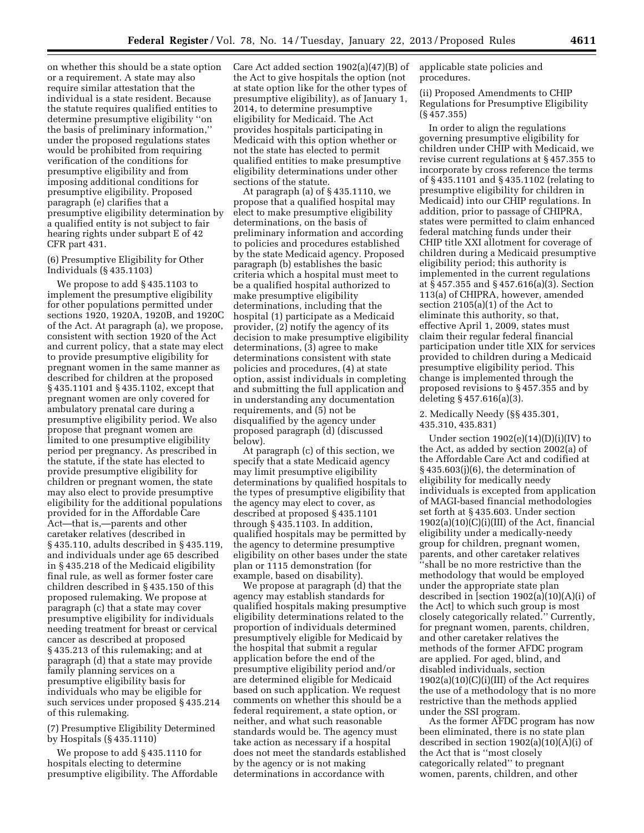on whether this should be a state option or a requirement. A state may also require similar attestation that the individual is a state resident. Because the statute requires qualified entities to determine presumptive eligibility ''on the basis of preliminary information,'' under the proposed regulations states would be prohibited from requiring verification of the conditions for presumptive eligibility and from imposing additional conditions for presumptive eligibility. Proposed paragraph (e) clarifies that a presumptive eligibility determination by a qualified entity is not subject to fair hearing rights under subpart E of 42 CFR part 431.

#### (6) Presumptive Eligibility for Other Individuals (§ 435.1103)

We propose to add § 435.1103 to implement the presumptive eligibility for other populations permitted under sections 1920, 1920A, 1920B, and 1920C of the Act. At paragraph (a), we propose, consistent with section 1920 of the Act and current policy, that a state may elect to provide presumptive eligibility for pregnant women in the same manner as described for children at the proposed § 435.1101 and § 435.1102, except that pregnant women are only covered for ambulatory prenatal care during a presumptive eligibility period. We also propose that pregnant women are limited to one presumptive eligibility period per pregnancy. As prescribed in the statute, if the state has elected to provide presumptive eligibility for children or pregnant women, the state may also elect to provide presumptive eligibility for the additional populations provided for in the Affordable Care Act—that is,—parents and other caretaker relatives (described in § 435.110, adults described in § 435.119, and individuals under age 65 described in § 435.218 of the Medicaid eligibility final rule, as well as former foster care children described in § 435.150 of this proposed rulemaking. We propose at paragraph (c) that a state may cover presumptive eligibility for individuals needing treatment for breast or cervical cancer as described at proposed § 435.213 of this rulemaking; and at paragraph (d) that a state may provide family planning services on a presumptive eligibility basis for individuals who may be eligible for such services under proposed § 435.214 of this rulemaking.

(7) Presumptive Eligibility Determined by Hospitals (§ 435.1110)

We propose to add § 435.1110 for hospitals electing to determine presumptive eligibility. The Affordable Care Act added section 1902(a)(47)(B) of the Act to give hospitals the option (not at state option like for the other types of presumptive eligibility), as of January 1, 2014, to determine presumptive eligibility for Medicaid. The Act provides hospitals participating in Medicaid with this option whether or not the state has elected to permit qualified entities to make presumptive eligibility determinations under other sections of the statute.

At paragraph (a) of § 435.1110, we propose that a qualified hospital may elect to make presumptive eligibility determinations, on the basis of preliminary information and according to policies and procedures established by the state Medicaid agency. Proposed paragraph (b) establishes the basic criteria which a hospital must meet to be a qualified hospital authorized to make presumptive eligibility determinations, including that the hospital (1) participate as a Medicaid provider, (2) notify the agency of its decision to make presumptive eligibility determinations, (3) agree to make determinations consistent with state policies and procedures, (4) at state option, assist individuals in completing and submitting the full application and in understanding any documentation requirements, and (5) not be disqualified by the agency under proposed paragraph (d) (discussed below).

At paragraph (c) of this section, we specify that a state Medicaid agency may limit presumptive eligibility determinations by qualified hospitals to the types of presumptive eligibility that the agency may elect to cover, as described at proposed § 435.1101 through § 435.1103. In addition, qualified hospitals may be permitted by the agency to determine presumptive eligibility on other bases under the state plan or 1115 demonstration (for example, based on disability).

We propose at paragraph (d) that the agency may establish standards for qualified hospitals making presumptive eligibility determinations related to the proportion of individuals determined presumptively eligible for Medicaid by the hospital that submit a regular application before the end of the presumptive eligibility period and/or are determined eligible for Medicaid based on such application. We request comments on whether this should be a federal requirement, a state option, or neither, and what such reasonable standards would be. The agency must take action as necessary if a hospital does not meet the standards established by the agency or is not making determinations in accordance with

applicable state policies and procedures.

(ii) Proposed Amendments to CHIP Regulations for Presumptive Eligibility (§ 457.355)

In order to align the regulations governing presumptive eligibility for children under CHIP with Medicaid, we revise current regulations at § 457.355 to incorporate by cross reference the terms of § 435.1101 and § 435.1102 (relating to presumptive eligibility for children in Medicaid) into our CHIP regulations. In addition, prior to passage of CHIPRA, states were permitted to claim enhanced federal matching funds under their CHIP title XXI allotment for coverage of children during a Medicaid presumptive eligibility period; this authority is implemented in the current regulations at § 457.355 and § 457.616(a)(3). Section 113(a) of CHIPRA, however, amended section 2105(a)(1) of the Act to eliminate this authority, so that, effective April 1, 2009, states must claim their regular federal financial participation under title XIX for services provided to children during a Medicaid presumptive eligibility period. This change is implemented through the proposed revisions to § 457.355 and by deleting § 457.616(a)(3).

#### 2. Medically Needy (§§ 435.301, 435.310, 435.831)

Under section  $1902(e)(14)(D)(i)(IV)$  to the Act, as added by section 2002(a) of the Affordable Care Act and codified at § 435.603(j)(6), the determination of eligibility for medically needy individuals is excepted from application of MAGI-based financial methodologies set forth at § 435.603. Under section  $1902(a)(10)(C)(i)(III)$  of the Act, financial eligibility under a medically-needy group for children, pregnant women, parents, and other caretaker relatives ''shall be no more restrictive than the methodology that would be employed under the appropriate state plan described in [section 1902(a)(10)(A)(i) of the Act] to which such group is most closely categorically related.'' Currently, for pregnant women, parents, children, and other caretaker relatives the methods of the former AFDC program are applied. For aged, blind, and disabled individuals, section 1902(a)(10)(C)(i)(III) of the Act requires the use of a methodology that is no more restrictive than the methods applied under the SSI program.

As the former AFDC program has now been eliminated, there is no state plan described in section 1902(a)(10)(A)(i) of the Act that is ''most closely categorically related'' to pregnant women, parents, children, and other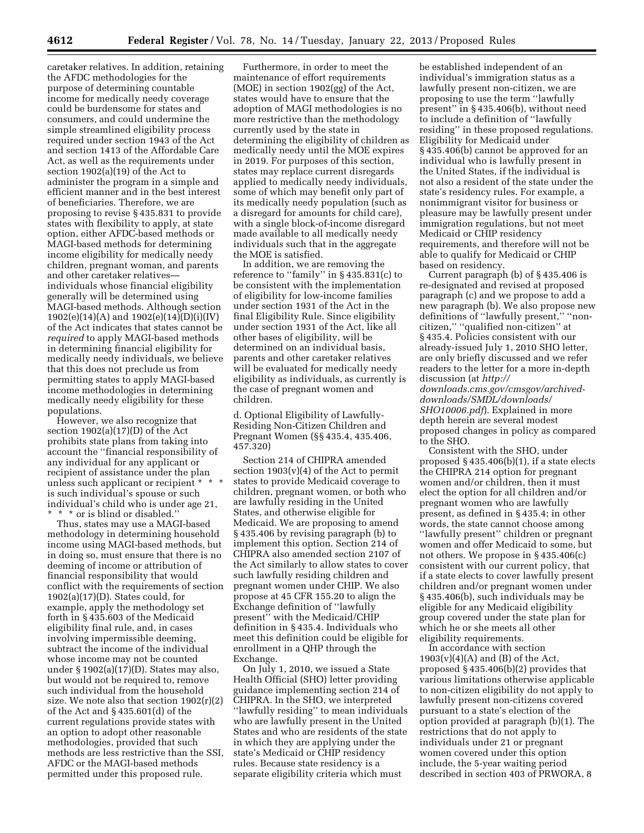caretaker relatives. In addition, retaining the AFDC methodologies for the purpose of determining countable income for medically needy coverage could be burdensome for states and consumers, and could undermine the simple streamlined eligibility process required under section 1943 of the Act and section 1413 of the Affordable Care Act, as well as the requirements under section 1902(a)(19) of the Act to administer the program in a simple and efficient manner and in the best interest of beneficiaries. Therefore, we are proposing to revise § 435.831 to provide states with flexibility to apply, at state option, either AFDC-based methods or MAGI-based methods for determining income eligibility for medically needy children, pregnant woman, and parents and other caretaker relatives individuals whose financial eligibility generally will be determined using MAGI-based methods. Although section 1902(e)(14)(A) and 1902(e)(14)(D)(i)(IV) of the Act indicates that states cannot be *required* to apply MAGI-based methods in determining financial eligibility for medically needy individuals, we believe that this does not preclude us from permitting states to apply MAGI-based income methodologies in determining medically needy eligibility for these populations.

However, we also recognize that section  $1902(a)(17)(D)$  of the Act prohibits state plans from taking into account the ''financial responsibility of any individual for any applicant or recipient of assistance under the plan unless such applicant or recipient \* \* \* is such individual's spouse or such individual's child who is under age 21, \* \* \* or is blind or disabled.''

Thus, states may use a MAGI-based methodology in determining household income using MAGI-based methods, but in doing so, must ensure that there is no deeming of income or attribution of financial responsibility that would conflict with the requirements of section  $1902(a)(17)(D)$ . States could, for example, apply the methodology set forth in § 435.603 of the Medicaid eligibility final rule, and, in cases involving impermissible deeming, subtract the income of the individual whose income may not be counted under  $\S 1902(a)(17)$ (D). States may also, but would not be required to, remove such individual from the household size. We note also that section 1902(r)(2) of the Act and § 435.601(d) of the current regulations provide states with an option to adopt other reasonable methodologies, provided that such methods are less restrictive than the SSI, AFDC or the MAGI-based methods permitted under this proposed rule.

Furthermore, in order to meet the maintenance of effort requirements (MOE) in section 1902(gg) of the Act, states would have to ensure that the adoption of MAGI methodologies is no more restrictive than the methodology currently used by the state in determining the eligibility of children as medically needy until the MOE expires in 2019. For purposes of this section, states may replace current disregards applied to medically needy individuals, some of which may benefit only part of its medically needy population (such as a disregard for amounts for child care), with a single block-of-income disregard made available to all medically needy individuals such that in the aggregate the MOE is satisfied.

In addition, we are removing the reference to ''family'' in § 435.831(c) to be consistent with the implementation of eligibility for low-income families under section 1931 of the Act in the final Eligibility Rule. Since eligibility under section 1931 of the Act, like all other bases of eligibility, will be determined on an individual basis, parents and other caretaker relatives will be evaluated for medically needy eligibility as individuals, as currently is the case of pregnant women and children.

d. Optional Eligibility of Lawfully-Residing Non-Citizen Children and Pregnant Women (§§ 435.4, 435.406, 457.320)

Section 214 of CHIPRA amended section  $1903(v)(4)$  of the Act to permit states to provide Medicaid coverage to children, pregnant women, or both who are lawfully residing in the United States, and otherwise eligible for Medicaid. We are proposing to amend § 435.406 by revising paragraph (b) to implement this option. Section 214 of CHIPRA also amended section 2107 of the Act similarly to allow states to cover such lawfully residing children and pregnant women under CHIP. We also propose at 45 CFR 155.20 to align the Exchange definition of ''lawfully present'' with the Medicaid/CHIP definition in § 435.4. Individuals who meet this definition could be eligible for enrollment in a QHP through the Exchange.

On July 1, 2010, we issued a State Health Official (SHO) letter providing guidance implementing section 214 of CHIPRA. In the SHO, we interpreted ''lawfully residing'' to mean individuals who are lawfully present in the United States and who are residents of the state in which they are applying under the state's Medicaid or CHIP residency rules. Because state residency is a separate eligibility criteria which must

be established independent of an individual's immigration status as a lawfully present non-citizen, we are proposing to use the term ''lawfully present'' in § 435.406(b), without need to include a definition of ''lawfully residing'' in these proposed regulations. Eligibility for Medicaid under § 435.406(b) cannot be approved for an individual who is lawfully present in the United States, if the individual is not also a resident of the state under the state's residency rules. For example, a nonimmigrant visitor for business or pleasure may be lawfully present under immigration regulations, but not meet Medicaid or CHIP residency requirements, and therefore will not be able to qualify for Medicaid or CHIP based on residency.

Current paragraph (b) of § 435.406 is re-designated and revised at proposed paragraph (c) and we propose to add a new paragraph (b). We also propose new definitions of ''lawfully present,'' ''noncitizen,'' ''qualified non-citizen'' at § 435.4. Policies consistent with our already-issued July 1, 2010 SHO letter, are only briefly discussed and we refer readers to the letter for a more in-depth discussion (at *[http://](http://downloads.cms.gov/cmsgov/archived-downloads/SMDL/downloads/SHO10006.pdf)  [downloads.cms.gov/cmsgov/archived](http://downloads.cms.gov/cmsgov/archived-downloads/SMDL/downloads/SHO10006.pdf)[downloads/SMDL/downloads/](http://downloads.cms.gov/cmsgov/archived-downloads/SMDL/downloads/SHO10006.pdf)  [SHO10006.pdf](http://downloads.cms.gov/cmsgov/archived-downloads/SMDL/downloads/SHO10006.pdf)*). Explained in more depth herein are several modest proposed changes in policy as compared to the SHO.

Consistent with the SHO, under proposed § 435.406(b)(1), if a state elects the CHIPRA 214 option for pregnant women and/or children, then it must elect the option for all children and/or pregnant women who are lawfully present, as defined in § 435.4; in other words, the state cannot choose among ''lawfully present'' children or pregnant women and offer Medicaid to some, but not others. We propose in § 435.406(c) consistent with our current policy, that if a state elects to cover lawfully present children and/or pregnant women under § 435.406(b), such individuals may be eligible for any Medicaid eligibility group covered under the state plan for which he or she meets all other eligibility requirements.

In accordance with section  $1903(v)(4)(A)$  and  $(B)$  of the Act, proposed § 435.406(b)(2) provides that various limitations otherwise applicable to non-citizen eligibility do not apply to lawfully present non-citizens covered pursuant to a state's election of the option provided at paragraph (b)(1). The restrictions that do not apply to individuals under 21 or pregnant women covered under this option include, the 5-year waiting period described in section 403 of PRWORA, 8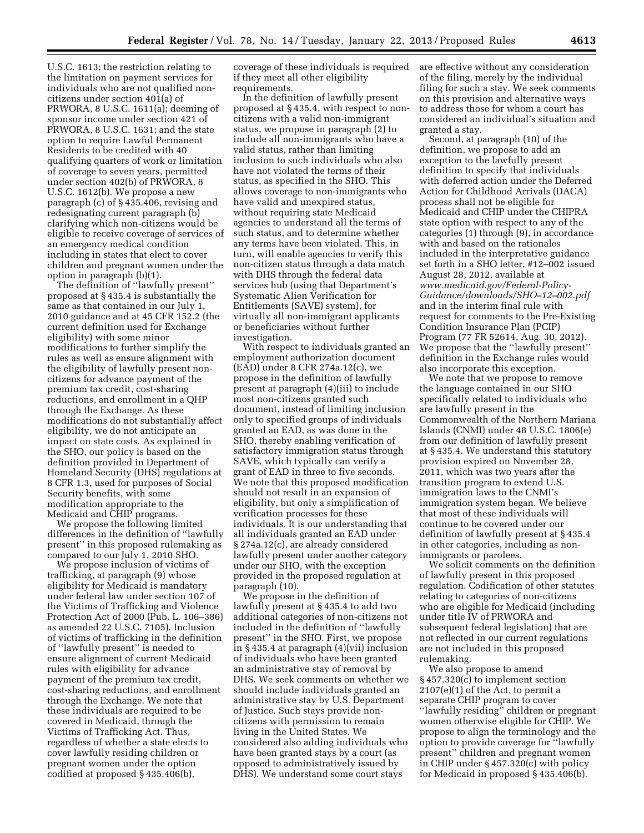U.S.C. 1613; the restriction relating to the limitation on payment services for individuals who are not qualified noncitizens under section 401(a) of PRWORA, 8 U.S.C. 1611(a); deeming of sponsor income under section 421 of PRWORA, 8 U.S.C. 1631; and the state option to require Lawful Permanent Residents to be credited with 40 qualifying quarters of work or limitation of coverage to seven years, permitted under section 402(b) of PRWORA, 8 U.S.C. 1612(b). We propose a new paragraph (c) of § 435.406, revising and redesignating current paragraph (b) clarifying which non-citizens would be eligible to receive coverage of services of an emergency medical condition including in states that elect to cover children and pregnant women under the option in paragraph (b)(1).

The definition of ''lawfully present'' proposed at § 435.4 is substantially the same as that contained in our July 1, 2010 guidance and at 45 CFR 152.2 (the current definition used for Exchange eligibility) with some minor modifications to further simplify the rules as well as ensure alignment with the eligibility of lawfully present noncitizens for advance payment of the premium tax credit, cost-sharing reductions, and enrollment in a QHP through the Exchange. As these modifications do not substantially affect eligibility, we do not anticipate an impact on state costs. As explained in the SHO, our policy is based on the definition provided in Department of Homeland Security (DHS) regulations at 8 CFR 1.3, used for purposes of Social Security benefits, with some modification appropriate to the Medicaid and CHIP programs.

We propose the following limited differences in the definition of ''lawfully present'' in this proposed rulemaking as compared to our July 1, 2010 SHO.

We propose inclusion of victims of trafficking, at paragraph (9) whose eligibility for Medicaid is mandatory under federal law under section 107 of the Victims of Trafficking and Violence Protection Act of 2000 (Pub. L. 106–386) as amended 22 U.S.C. 7105). Inclusion of victims of trafficking in the definition of ''lawfully present'' is needed to ensure alignment of current Medicaid rules with eligibility for advance payment of the premium tax credit, cost-sharing reductions, and enrollment through the Exchange. We note that these individuals are required to be covered in Medicaid, through the Victims of Trafficking Act. Thus, regardless of whether a state elects to cover lawfully residing children or pregnant women under the option codified at proposed § 435.406(b),

coverage of these individuals is required if they meet all other eligibility requirements.

In the definition of lawfully present proposed at § 435.4, with respect to noncitizens with a valid non-immigrant status, we propose in paragraph (2) to include all non-immigrants who have a valid status, rather than limiting inclusion to such individuals who also have not violated the terms of their status, as specified in the SHO. This allows coverage to non-immigrants who have valid and unexpired status, without requiring state Medicaid agencies to understand all the terms of such status, and to determine whether any terms have been violated. This, in turn, will enable agencies to verify this non-citizen status through a data match with DHS through the federal data services hub (using that Department's Systematic Alien Verification for Entitlements (SAVE) system), for virtually all non-immigrant applicants or beneficiaries without further investigation.

With respect to individuals granted an employment authorization document (EAD) under 8 CFR 274a.12(c), we propose in the definition of lawfully present at paragraph (4)(iii) to include most non-citizens granted such document, instead of limiting inclusion only to specified groups of individuals granted an EAD, as was done in the SHO, thereby enabling verification of satisfactory immigration status through SAVE, which typically can verify a grant of EAD in three to five seconds. We note that this proposed modification should not result in an expansion of eligibility, but only a simplification of verification processes for these individuals. It is our understanding that all individuals granted an EAD under § 274a.12(c), are already considered lawfully present under another category under our SHO, with the exception provided in the proposed regulation at paragraph (10).

We propose in the definition of lawfully present at § 435.4 to add two additional categories of non-citizens not included in the definition of ''lawfully present'' in the SHO. First, we propose in § 435.4 at paragraph (4)(vii) inclusion of individuals who have been granted an administrative stay of removal by DHS. We seek comments on whether we should include individuals granted an administrative stay by U.S. Department of Justice. Such stays provide noncitizens with permission to remain living in the United States. We considered also adding individuals who have been granted stays by a court (as opposed to administratively issued by DHS). We understand some court stays

are effective without any consideration of the filing, merely by the individual filing for such a stay. We seek comments on this provision and alternative ways to address those for whom a court has considered an individual's situation and granted a stay.

Second, at paragraph (10) of the definition, we propose to add an exception to the lawfully present definition to specify that individuals with deferred action under the Deferred Action for Childhood Arrivals (DACA) process shall not be eligible for Medicaid and CHIP under the CHIPRA state option with respect to any of the categories (1) through (9), in accordance with and based on the rationales included in the interpretative guidance set forth in a SHO letter, #12–002 issued August 28, 2012, available at *[www.medicaid.gov/Federal-Policy-](http://www.medicaid.gov/Federal-Policy-Guidance/downloads/SHO-12-002.pdf)[Guidance/downloads/SHO–12–002.pdf](http://www.medicaid.gov/Federal-Policy-Guidance/downloads/SHO-12-002.pdf)*  and in the interim final rule with request for comments to the Pre-Existing Condition Insurance Plan (PCIP) Program (77 FR 52614, Aug. 30, 2012). We propose that the ''lawfully present'' definition in the Exchange rules would also incorporate this exception.

We note that we propose to remove the language contained in our SHO specifically related to individuals who are lawfully present in the Commonwealth of the Northern Mariana Islands (CNMI) under 48 U.S.C. 1806(e) from our definition of lawfully present at § 435.4. We understand this statutory provision expired on November 28, 2011, which was two years after the transition program to extend U.S. immigration laws to the CNMI's immigration system began. We believe that most of these individuals will continue to be covered under our definition of lawfully present at § 435.4 in other categories, including as nonimmigrants or parolees.

We solicit comments on the definition of lawfully present in this proposed regulation. Codification of other statutes relating to categories of non-citizens who are eligible for Medicaid (including under title IV of PRWORA and subsequent federal legislation) that are not reflected in our current regulations are not included in this proposed rulemaking.

We also propose to amend § 457.320(c) to implement section 2107(e)(1) of the Act, to permit a separate CHIP program to cover ''lawfully residing'' children or pregnant women otherwise eligible for CHIP. We propose to align the terminology and the option to provide coverage for ''lawfully present'' children and pregnant women in CHIP under § 457.320(c) with policy for Medicaid in proposed § 435.406(b).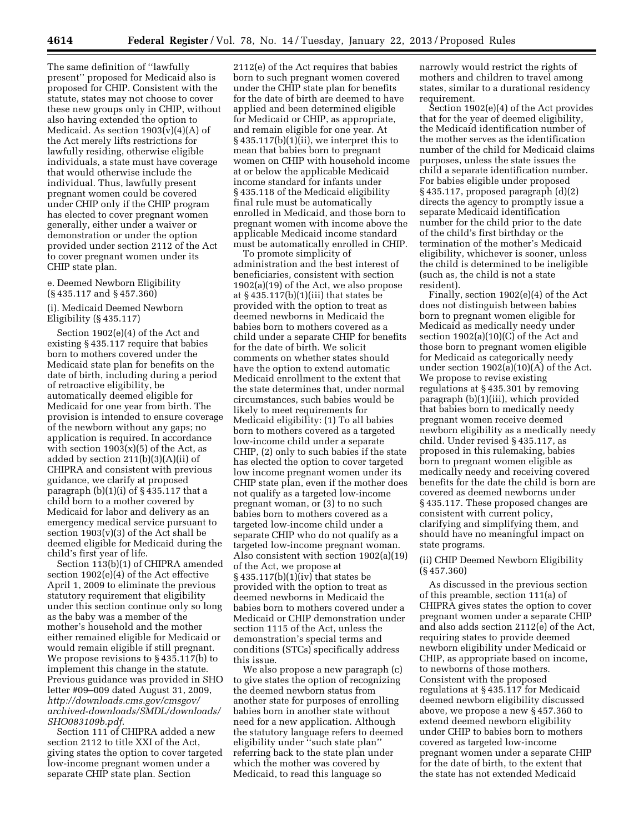The same definition of ''lawfully present'' proposed for Medicaid also is proposed for CHIP. Consistent with the statute, states may not choose to cover these new groups only in CHIP, without also having extended the option to Medicaid. As section 1903(v)(4)(A) of the Act merely lifts restrictions for lawfully residing, otherwise eligible individuals, a state must have coverage that would otherwise include the individual. Thus, lawfully present pregnant women could be covered under CHIP only if the CHIP program has elected to cover pregnant women generally, either under a waiver or demonstration or under the option provided under section 2112 of the Act to cover pregnant women under its CHIP state plan.

#### e. Deemed Newborn Eligibility (§ 435.117 and § 457.360)

#### (i). Medicaid Deemed Newborn Eligibility (§ 435.117)

Section 1902(e)(4) of the Act and existing § 435.117 require that babies born to mothers covered under the Medicaid state plan for benefits on the date of birth, including during a period of retroactive eligibility, be automatically deemed eligible for Medicaid for one year from birth. The provision is intended to ensure coverage of the newborn without any gaps; no application is required. In accordance with section  $1903(x)(5)$  of the Act, as added by section 211(b)(3)(A)(ii) of CHIPRA and consistent with previous guidance, we clarify at proposed paragraph  $(b)(1)(i)$  of  $\S$  435.117 that a child born to a mother covered by Medicaid for labor and delivery as an emergency medical service pursuant to section  $1903(v)(3)$  of the Act shall be deemed eligible for Medicaid during the child's first year of life.

Section 113(b)(1) of CHIPRA amended section 1902(e)(4) of the Act effective April 1, 2009 to eliminate the previous statutory requirement that eligibility under this section continue only so long as the baby was a member of the mother's household and the mother either remained eligible for Medicaid or would remain eligible if still pregnant. We propose revisions to § 435.117(b) to implement this change in the statute. Previous guidance was provided in SHO letter #09–009 dated August 31, 2009, *[http://downloads.cms.gov/cmsgov/](http://downloads.cms.gov/cmsgov/archived-downloads/SMDL/downloads/SHO083109b.pdf) [archived-downloads/SMDL/downloads/](http://downloads.cms.gov/cmsgov/archived-downloads/SMDL/downloads/SHO083109b.pdf)  [SHO083109b.pdf](http://downloads.cms.gov/cmsgov/archived-downloads/SMDL/downloads/SHO083109b.pdf)*.

Section 111 of CHIPRA added a new section 2112 to title XXI of the Act, giving states the option to cover targeted low-income pregnant women under a separate CHIP state plan. Section

2112(e) of the Act requires that babies born to such pregnant women covered under the CHIP state plan for benefits for the date of birth are deemed to have applied and been determined eligible for Medicaid or CHIP, as appropriate, and remain eligible for one year. At § 435.117(b)(1)(ii), we interpret this to mean that babies born to pregnant women on CHIP with household income at or below the applicable Medicaid income standard for infants under § 435.118 of the Medicaid eligibility final rule must be automatically enrolled in Medicaid, and those born to pregnant women with income above the applicable Medicaid income standard must be automatically enrolled in CHIP.

To promote simplicity of administration and the best interest of beneficiaries, consistent with section 1902(a)(19) of the Act, we also propose at  $\S 435.117(b)(1)(iii)$  that states be provided with the option to treat as deemed newborns in Medicaid the babies born to mothers covered as a child under a separate CHIP for benefits for the date of birth. We solicit comments on whether states should have the option to extend automatic Medicaid enrollment to the extent that the state determines that, under normal circumstances, such babies would be likely to meet requirements for Medicaid eligibility: (1) To all babies born to mothers covered as a targeted low-income child under a separate CHIP, (2) only to such babies if the state has elected the option to cover targeted low income pregnant women under its CHIP state plan, even if the mother does not qualify as a targeted low-income pregnant woman, or (3) to no such babies born to mothers covered as a targeted low-income child under a separate CHIP who do not qualify as a targeted low-income pregnant woman. Also consistent with section 1902(a)(19) of the Act, we propose at § 435.117(b)(1)(iv) that states be provided with the option to treat as deemed newborns in Medicaid the babies born to mothers covered under a Medicaid or CHIP demonstration under section 1115 of the Act, unless the demonstration's special terms and conditions (STCs) specifically address this issue.

We also propose a new paragraph (c) to give states the option of recognizing the deemed newborn status from another state for purposes of enrolling babies born in another state without need for a new application. Although the statutory language refers to deemed eligibility under ''such state plan'' referring back to the state plan under which the mother was covered by Medicaid, to read this language so

narrowly would restrict the rights of mothers and children to travel among states, similar to a durational residency requirement.

Section 1902(e)(4) of the Act provides that for the year of deemed eligibility, the Medicaid identification number of the mother serves as the identification number of the child for Medicaid claims purposes, unless the state issues the child a separate identification number. For babies eligible under proposed § 435.117, proposed paragraph (d)(2) directs the agency to promptly issue a separate Medicaid identification number for the child prior to the date of the child's first birthday or the termination of the mother's Medicaid eligibility, whichever is sooner, unless the child is determined to be ineligible (such as, the child is not a state resident).

Finally, section 1902(e)(4) of the Act does not distinguish between babies born to pregnant women eligible for Medicaid as medically needy under section 1902(a)(10)(C) of the Act and those born to pregnant women eligible for Medicaid as categorically needy under section  $1902(a)(10)(A)$  of the Act. We propose to revise existing regulations at § 435.301 by removing paragraph (b)(1)(iii), which provided that babies born to medically needy pregnant women receive deemed newborn eligibility as a medically needy child. Under revised § 435.117, as proposed in this rulemaking, babies born to pregnant women eligible as medically needy and receiving covered benefits for the date the child is born are covered as deemed newborns under § 435.117. These proposed changes are consistent with current policy, clarifying and simplifying them, and should have no meaningful impact on state programs.

#### (ii) CHIP Deemed Newborn Eligibility (§ 457.360)

As discussed in the previous section of this preamble, section 111(a) of CHIPRA gives states the option to cover pregnant women under a separate CHIP and also adds section 2112(e) of the Act, requiring states to provide deemed newborn eligibility under Medicaid or CHIP, as appropriate based on income, to newborns of those mothers. Consistent with the proposed regulations at § 435.117 for Medicaid deemed newborn eligibility discussed above, we propose a new § 457.360 to extend deemed newborn eligibility under CHIP to babies born to mothers covered as targeted low-income pregnant women under a separate CHIP for the date of birth, to the extent that the state has not extended Medicaid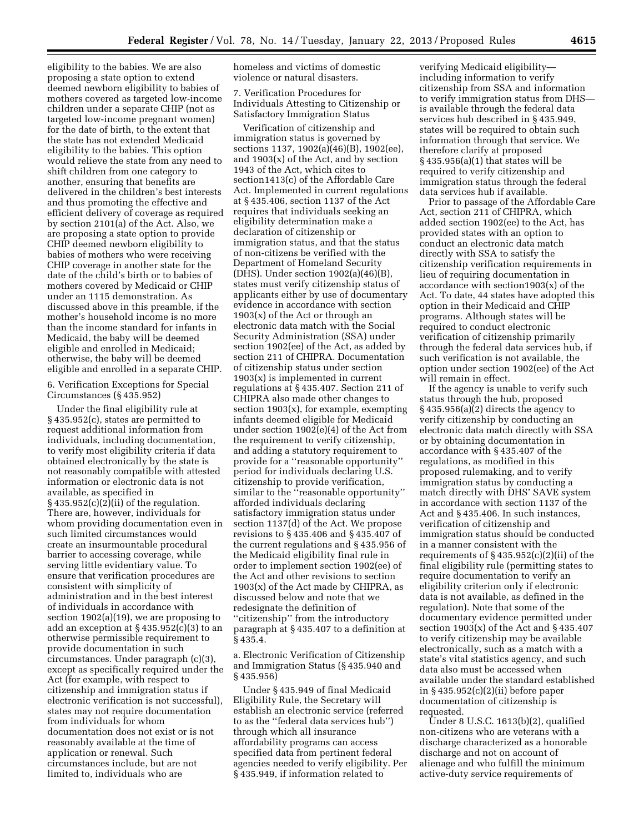eligibility to the babies. We are also proposing a state option to extend deemed newborn eligibility to babies of mothers covered as targeted low-income children under a separate CHIP (not as targeted low-income pregnant women) for the date of birth, to the extent that the state has not extended Medicaid eligibility to the babies. This option would relieve the state from any need to shift children from one category to another, ensuring that benefits are delivered in the children's best interests and thus promoting the effective and efficient delivery of coverage as required by section 2101(a) of the Act. Also, we are proposing a state option to provide CHIP deemed newborn eligibility to babies of mothers who were receiving CHIP coverage in another state for the date of the child's birth or to babies of mothers covered by Medicaid or CHIP under an 1115 demonstration. As discussed above in this preamble, if the mother's household income is no more than the income standard for infants in Medicaid, the baby will be deemed eligible and enrolled in Medicaid; otherwise, the baby will be deemed eligible and enrolled in a separate CHIP.

6. Verification Exceptions for Special Circumstances (§ 435.952)

Under the final eligibility rule at § 435.952(c), states are permitted to request additional information from individuals, including documentation, to verify most eligibility criteria if data obtained electronically by the state is not reasonably compatible with attested information or electronic data is not available, as specified in  $§$  435.952(c)(2)(ii) of the regulation. There are, however, individuals for whom providing documentation even in such limited circumstances would create an insurmountable procedural barrier to accessing coverage, while serving little evidentiary value. To ensure that verification procedures are consistent with simplicity of administration and in the best interest of individuals in accordance with section 1902(a)(19), we are proposing to add an exception at  $\S 435.952(c)(3)$  to an otherwise permissible requirement to provide documentation in such circumstances. Under paragraph (c)(3), except as specifically required under the Act (for example, with respect to citizenship and immigration status if electronic verification is not successful), states may not require documentation from individuals for whom documentation does not exist or is not reasonably available at the time of application or renewal. Such circumstances include, but are not limited to, individuals who are

homeless and victims of domestic violence or natural disasters.

7. Verification Procedures for Individuals Attesting to Citizenship or Satisfactory Immigration Status

Verification of citizenship and immigration status is governed by sections 1137, 1902(a)(46)(B), 1902(ee), and 1903(x) of the Act, and by section 1943 of the Act, which cites to section1413(c) of the Affordable Care Act. Implemented in current regulations at § 435.406, section 1137 of the Act requires that individuals seeking an eligibility determination make a declaration of citizenship or immigration status, and that the status of non-citizens be verified with the Department of Homeland Security (DHS). Under section 1902(a)(46)(B), states must verify citizenship status of applicants either by use of documentary evidence in accordance with section 1903(x) of the Act or through an electronic data match with the Social Security Administration (SSA) under section 1902(ee) of the Act, as added by section 211 of CHIPRA. Documentation of citizenship status under section 1903(x) is implemented in current regulations at § 435.407. Section 211 of CHIPRA also made other changes to section 1903(x), for example, exempting infants deemed eligible for Medicaid under section 1902(e)(4) of the Act from the requirement to verify citizenship, and adding a statutory requirement to provide for a ''reasonable opportunity'' period for individuals declaring U.S. citizenship to provide verification, similar to the "reasonable opportunity" afforded individuals declaring satisfactory immigration status under section 1137(d) of the Act. We propose revisions to § 435.406 and § 435.407 of the current regulations and § 435.956 of the Medicaid eligibility final rule in order to implement section 1902(ee) of the Act and other revisions to section 1903(x) of the Act made by CHIPRA, as discussed below and note that we redesignate the definition of ''citizenship'' from the introductory paragraph at § 435.407 to a definition at § 435.4.

a. Electronic Verification of Citizenship and Immigration Status (§ 435.940 and § 435.956)

Under § 435.949 of final Medicaid Eligibility Rule, the Secretary will establish an electronic service (referred to as the ''federal data services hub'') through which all insurance affordability programs can access specified data from pertinent federal agencies needed to verify eligibility. Per § 435.949, if information related to

verifying Medicaid eligibility including information to verify citizenship from SSA and information to verify immigration status from DHS is available through the federal data services hub described in § 435.949, states will be required to obtain such information through that service. We therefore clarify at proposed § 435.956(a)(1) that states will be required to verify citizenship and immigration status through the federal data services hub if available.

Prior to passage of the Affordable Care Act, section 211 of CHIPRA, which added section 1902(ee) to the Act, has provided states with an option to conduct an electronic data match directly with SSA to satisfy the citizenship verification requirements in lieu of requiring documentation in accordance with section1903(x) of the Act. To date, 44 states have adopted this option in their Medicaid and CHIP programs. Although states will be required to conduct electronic verification of citizenship primarily through the federal data services hub, if such verification is not available, the option under section 1902(ee) of the Act will remain in effect.

If the agency is unable to verify such status through the hub, proposed  $§$  435.956(a)(2) directs the agency to verify citizenship by conducting an electronic data match directly with SSA or by obtaining documentation in accordance with § 435.407 of the regulations, as modified in this proposed rulemaking, and to verify immigration status by conducting a match directly with DHS' SAVE system in accordance with section 1137 of the Act and § 435.406. In such instances, verification of citizenship and immigration status should be conducted in a manner consistent with the requirements of  $\S 435.952(c)(2)(ii)$  of the final eligibility rule (permitting states to require documentation to verify an eligibility criterion only if electronic data is not available, as defined in the regulation). Note that some of the documentary evidence permitted under section 1903(x) of the Act and  $\S$  435.407 to verify citizenship may be available electronically, such as a match with a state's vital statistics agency, and such data also must be accessed when available under the standard established in § 435.952(c)(2)(ii) before paper documentation of citizenship is requested.

Under 8 U.S.C. 1613(b)(2), qualified non-citizens who are veterans with a discharge characterized as a honorable discharge and not on account of alienage and who fulfill the minimum active-duty service requirements of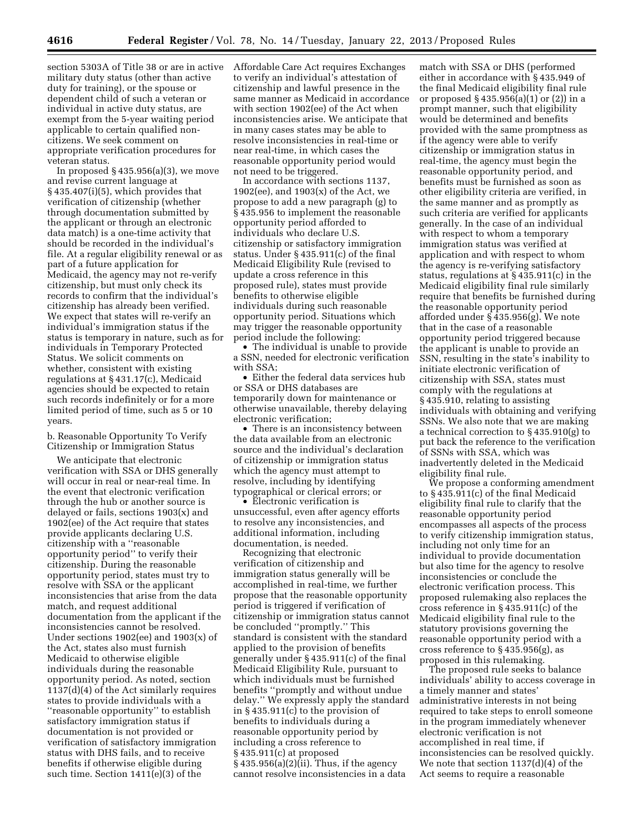section 5303A of Title 38 or are in active military duty status (other than active duty for training), or the spouse or dependent child of such a veteran or individual in active duty status, are exempt from the 5-year waiting period applicable to certain qualified noncitizens. We seek comment on appropriate verification procedures for veteran status.

In proposed  $\S 435.956(a)(3)$ , we move and revise current language at § 435.407(i)(5), which provides that verification of citizenship (whether through documentation submitted by the applicant or through an electronic data match) is a one-time activity that should be recorded in the individual's file. At a regular eligibility renewal or as part of a future application for Medicaid, the agency may not re-verify citizenship, but must only check its records to confirm that the individual's citizenship has already been verified. We expect that states will re-verify an individual's immigration status if the status is temporary in nature, such as for individuals in Temporary Protected Status. We solicit comments on whether, consistent with existing regulations at § 431.17(c), Medicaid agencies should be expected to retain such records indefinitely or for a more limited period of time, such as 5 or 10 years.

b. Reasonable Opportunity To Verify Citizenship or Immigration Status

We anticipate that electronic verification with SSA or DHS generally will occur in real or near-real time. In the event that electronic verification through the hub or another source is delayed or fails, sections 1903(x) and 1902(ee) of the Act require that states provide applicants declaring U.S. citizenship with a ''reasonable opportunity period'' to verify their citizenship. During the reasonable opportunity period, states must try to resolve with SSA or the applicant inconsistencies that arise from the data match, and request additional documentation from the applicant if the inconsistencies cannot be resolved. Under sections 1902(ee) and 1903(x) of the Act, states also must furnish Medicaid to otherwise eligible individuals during the reasonable opportunity period. As noted, section 1137(d)(4) of the Act similarly requires states to provide individuals with a ''reasonable opportunity'' to establish satisfactory immigration status if documentation is not provided or verification of satisfactory immigration status with DHS fails, and to receive benefits if otherwise eligible during such time. Section 1411(e)(3) of the

Affordable Care Act requires Exchanges to verify an individual's attestation of citizenship and lawful presence in the same manner as Medicaid in accordance with section 1902(ee) of the Act when inconsistencies arise. We anticipate that in many cases states may be able to resolve inconsistencies in real-time or near real-time, in which cases the reasonable opportunity period would not need to be triggered.

In accordance with sections 1137,  $1902(ee)$ , and  $1903(x)$  of the Act, we propose to add a new paragraph (g) to § 435.956 to implement the reasonable opportunity period afforded to individuals who declare U.S. citizenship or satisfactory immigration status. Under § 435.911(c) of the final Medicaid Eligibility Rule (revised to update a cross reference in this proposed rule), states must provide benefits to otherwise eligible individuals during such reasonable opportunity period. Situations which may trigger the reasonable opportunity period include the following:

• The individual is unable to provide a SSN, needed for electronic verification with SSA;

• Either the federal data services hub or SSA or DHS databases are temporarily down for maintenance or otherwise unavailable, thereby delaying electronic verification;

• There is an inconsistency between the data available from an electronic source and the individual's declaration of citizenship or immigration status which the agency must attempt to resolve, including by identifying typographical or clerical errors; or

• Electronic verification is unsuccessful, even after agency efforts to resolve any inconsistencies, and additional information, including documentation, is needed.

Recognizing that electronic verification of citizenship and immigration status generally will be accomplished in real-time, we further propose that the reasonable opportunity period is triggered if verification of citizenship or immigration status cannot be concluded ''promptly.'' This standard is consistent with the standard applied to the provision of benefits generally under § 435.911(c) of the final Medicaid Eligibility Rule, pursuant to which individuals must be furnished benefits ''promptly and without undue delay.'' We expressly apply the standard in § 435.911(c) to the provision of benefits to individuals during a reasonable opportunity period by including a cross reference to § 435.911(c) at proposed § 435.956(a)(2)(ii). Thus, if the agency cannot resolve inconsistencies in a data

match with SSA or DHS (performed either in accordance with § 435.949 of the final Medicaid eligibility final rule or proposed § 435.956(a)(1) or (2)) in a prompt manner, such that eligibility would be determined and benefits provided with the same promptness as if the agency were able to verify citizenship or immigration status in real-time, the agency must begin the reasonable opportunity period, and benefits must be furnished as soon as other eligibility criteria are verified, in the same manner and as promptly as such criteria are verified for applicants generally. In the case of an individual with respect to whom a temporary immigration status was verified at application and with respect to whom the agency is re-verifying satisfactory status, regulations at § 435.911(c) in the Medicaid eligibility final rule similarly require that benefits be furnished during the reasonable opportunity period afforded under § 435.956(g). We note that in the case of a reasonable opportunity period triggered because the applicant is unable to provide an SSN, resulting in the state's inability to initiate electronic verification of citizenship with SSA, states must comply with the regulations at § 435.910, relating to assisting individuals with obtaining and verifying SSNs. We also note that we are making a technical correction to § 435.910(g) to put back the reference to the verification of SSNs with SSA, which was inadvertently deleted in the Medicaid eligibility final rule.

We propose a conforming amendment to § 435.911(c) of the final Medicaid eligibility final rule to clarify that the reasonable opportunity period encompasses all aspects of the process to verify citizenship immigration status, including not only time for an individual to provide documentation but also time for the agency to resolve inconsistencies or conclude the electronic verification process. This proposed rulemaking also replaces the cross reference in § 435.911(c) of the Medicaid eligibility final rule to the statutory provisions governing the reasonable opportunity period with a cross reference to § 435.956(g), as proposed in this rulemaking.

The proposed rule seeks to balance individuals' ability to access coverage in a timely manner and states' administrative interests in not being required to take steps to enroll someone in the program immediately whenever electronic verification is not accomplished in real time, if inconsistencies can be resolved quickly. We note that section 1137(d)(4) of the Act seems to require a reasonable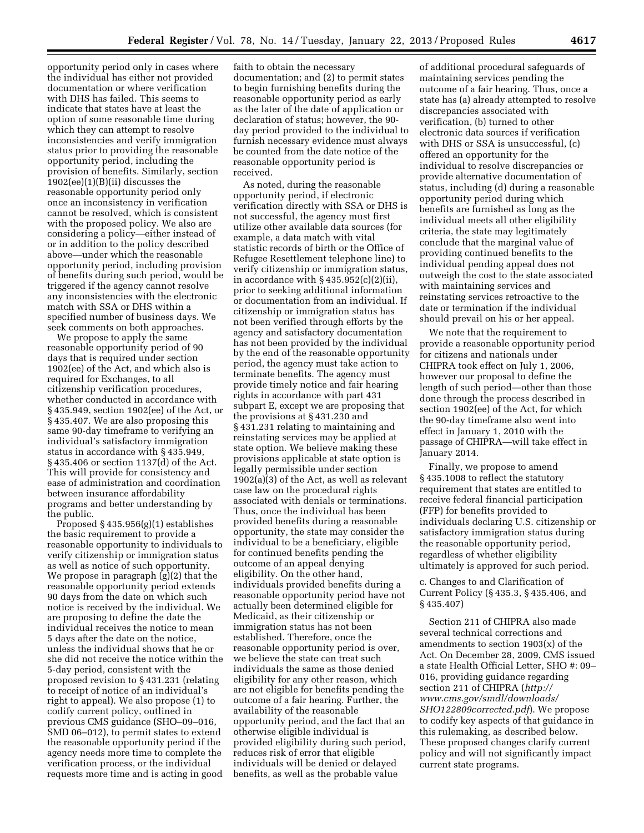opportunity period only in cases where the individual has either not provided documentation or where verification with DHS has failed. This seems to indicate that states have at least the option of some reasonable time during which they can attempt to resolve inconsistencies and verify immigration status prior to providing the reasonable opportunity period, including the provision of benefits. Similarly, section 1902(ee)(1)(B)(ii) discusses the reasonable opportunity period only once an inconsistency in verification cannot be resolved, which is consistent with the proposed policy. We also are considering a policy—either instead of or in addition to the policy described above—under which the reasonable opportunity period, including provision of benefits during such period, would be triggered if the agency cannot resolve any inconsistencies with the electronic match with SSA or DHS within a specified number of business days. We seek comments on both approaches.

We propose to apply the same reasonable opportunity period of 90 days that is required under section 1902(ee) of the Act, and which also is required for Exchanges, to all citizenship verification procedures, whether conducted in accordance with § 435.949, section 1902(ee) of the Act, or § 435.407. We are also proposing this same 90-day timeframe to verifying an individual's satisfactory immigration status in accordance with § 435.949, § 435.406 or section 1137(d) of the Act. This will provide for consistency and ease of administration and coordination between insurance affordability programs and better understanding by the public.

Proposed  $§$  435.956(g)(1) establishes the basic requirement to provide a reasonable opportunity to individuals to verify citizenship or immigration status as well as notice of such opportunity. We propose in paragraph (g)(2) that the reasonable opportunity period extends 90 days from the date on which such notice is received by the individual. We are proposing to define the date the individual receives the notice to mean 5 days after the date on the notice, unless the individual shows that he or she did not receive the notice within the 5-day period, consistent with the proposed revision to § 431.231 (relating to receipt of notice of an individual's right to appeal). We also propose (1) to codify current policy, outlined in previous CMS guidance (SHO–09–016, SMD 06–012), to permit states to extend the reasonable opportunity period if the agency needs more time to complete the verification process, or the individual requests more time and is acting in good

faith to obtain the necessary documentation; and (2) to permit states to begin furnishing benefits during the reasonable opportunity period as early as the later of the date of application or declaration of status; however, the 90 day period provided to the individual to furnish necessary evidence must always be counted from the date notice of the reasonable opportunity period is received.

As noted, during the reasonable opportunity period, if electronic verification directly with SSA or DHS is not successful, the agency must first utilize other available data sources (for example, a data match with vital statistic records of birth or the Office of Refugee Resettlement telephone line) to verify citizenship or immigration status, in accordance with  $\S 435.952(c)(2)(ii)$ , prior to seeking additional information or documentation from an individual. If citizenship or immigration status has not been verified through efforts by the agency and satisfactory documentation has not been provided by the individual by the end of the reasonable opportunity period, the agency must take action to terminate benefits. The agency must provide timely notice and fair hearing rights in accordance with part 431 subpart E, except we are proposing that the provisions at § 431.230 and § 431.231 relating to maintaining and reinstating services may be applied at state option. We believe making these provisions applicable at state option is legally permissible under section 1902(a)(3) of the Act, as well as relevant case law on the procedural rights associated with denials or terminations. Thus, once the individual has been provided benefits during a reasonable opportunity, the state may consider the individual to be a beneficiary, eligible for continued benefits pending the outcome of an appeal denying eligibility. On the other hand, individuals provided benefits during a reasonable opportunity period have not actually been determined eligible for Medicaid, as their citizenship or immigration status has not been established. Therefore, once the reasonable opportunity period is over, we believe the state can treat such individuals the same as those denied eligibility for any other reason, which are not eligible for benefits pending the outcome of a fair hearing. Further, the availability of the reasonable opportunity period, and the fact that an otherwise eligible individual is provided eligibility during such period, reduces risk of error that eligible individuals will be denied or delayed benefits, as well as the probable value

of additional procedural safeguards of maintaining services pending the outcome of a fair hearing. Thus, once a state has (a) already attempted to resolve discrepancies associated with verification, (b) turned to other electronic data sources if verification with DHS or SSA is unsuccessful, (c) offered an opportunity for the individual to resolve discrepancies or provide alternative documentation of status, including (d) during a reasonable opportunity period during which benefits are furnished as long as the individual meets all other eligibility criteria, the state may legitimately conclude that the marginal value of providing continued benefits to the individual pending appeal does not outweigh the cost to the state associated with maintaining services and reinstating services retroactive to the date or termination if the individual should prevail on his or her appeal.

We note that the requirement to provide a reasonable opportunity period for citizens and nationals under CHIPRA took effect on July 1, 2006, however our proposal to define the length of such period—other than those done through the process described in section 1902(ee) of the Act, for which the 90-day timeframe also went into effect in January 1, 2010 with the passage of CHIPRA—will take effect in January 2014.

Finally, we propose to amend § 435.1008 to reflect the statutory requirement that states are entitled to receive federal financial participation (FFP) for benefits provided to individuals declaring U.S. citizenship or satisfactory immigration status during the reasonable opportunity period, regardless of whether eligibility ultimately is approved for such period.

#### c. Changes to and Clarification of Current Policy (§ 435.3, § 435.406, and § 435.407)

Section 211 of CHIPRA also made several technical corrections and amendments to section 1903(x) of the Act. On December 28, 2009, CMS issued a state Health Official Letter, SHO #: 09– 016, providing guidance regarding section 211 of CHIPRA (*[http://](http://www.cms.gov/smdl/downloads/SHO122809corrected.pdf) [www.cms.gov/smdl/downloads/](http://www.cms.gov/smdl/downloads/SHO122809corrected.pdf) [SHO122809corrected.pdf](http://www.cms.gov/smdl/downloads/SHO122809corrected.pdf)*). We propose to codify key aspects of that guidance in this rulemaking, as described below. These proposed changes clarify current policy and will not significantly impact current state programs.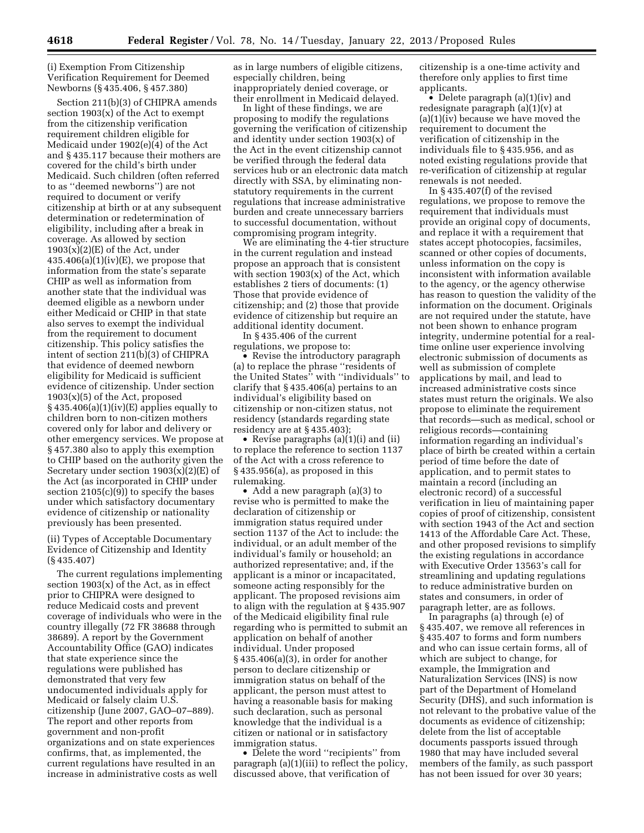(i) Exemption From Citizenship Verification Requirement for Deemed Newborns (§ 435.406, § 457.380)

Section 211(b)(3) of CHIPRA amends section 1903(x) of the Act to exempt from the citizenship verification requirement children eligible for Medicaid under 1902(e)(4) of the Act and § 435.117 because their mothers are covered for the child's birth under Medicaid. Such children (often referred to as ''deemed newborns'') are not required to document or verify citizenship at birth or at any subsequent determination or redetermination of eligibility, including after a break in coverage. As allowed by section  $1903(x)(2)(E)$  of the Act, under  $435.406(a)(1)(iv)(E)$ , we propose that information from the state's separate CHIP as well as information from another state that the individual was deemed eligible as a newborn under either Medicaid or CHIP in that state also serves to exempt the individual from the requirement to document citizenship. This policy satisfies the intent of section 211(b)(3) of CHIPRA that evidence of deemed newborn eligibility for Medicaid is sufficient evidence of citizenship. Under section  $1903(x)(5)$  of the Act, proposed  $§$  435.406(a)(1)(iv)(E) applies equally to children born to non-citizen mothers covered only for labor and delivery or other emergency services. We propose at § 457.380 also to apply this exemption to CHIP based on the authority given the Secretary under section 1903(x)(2)(E) of the Act (as incorporated in CHIP under section  $2105(c)(9)$  to specify the bases under which satisfactory documentary evidence of citizenship or nationality previously has been presented.

(ii) Types of Acceptable Documentary Evidence of Citizenship and Identity (§ 435.407)

The current regulations implementing section  $1903(x)$  of the Act, as in effect prior to CHIPRA were designed to reduce Medicaid costs and prevent coverage of individuals who were in the country illegally (72 FR 38688 through 38689). A report by the Government Accountability Office (GAO) indicates that state experience since the regulations were published has demonstrated that very few undocumented individuals apply for Medicaid or falsely claim U.S. citizenship (June 2007, GAO–07–889). The report and other reports from government and non-profit organizations and on state experiences confirms, that, as implemented, the current regulations have resulted in an increase in administrative costs as well

as in large numbers of eligible citizens, especially children, being inappropriately denied coverage, or their enrollment in Medicaid delayed.

In light of these findings, we are proposing to modify the regulations governing the verification of citizenship and identity under section 1903(x) of the Act in the event citizenship cannot be verified through the federal data services hub or an electronic data match directly with SSA, by eliminating nonstatutory requirements in the current regulations that increase administrative burden and create unnecessary barriers to successful documentation, without compromising program integrity.

We are eliminating the 4-tier structure in the current regulation and instead propose an approach that is consistent with section 1903(x) of the Act, which establishes 2 tiers of documents: (1) Those that provide evidence of citizenship; and (2) those that provide evidence of citizenship but require an additional identity document.

In § 435.406 of the current regulations, we propose to:

• Revise the introductory paragraph (a) to replace the phrase ''residents of the United States'' with ''individuals'' to clarify that § 435.406(a) pertains to an individual's eligibility based on citizenship or non-citizen status, not residency (standards regarding state residency are at § 435.403);

• Revise paragraphs (a)(1)(i) and (ii) to replace the reference to section 1137 of the Act with a cross reference to § 435.956(a), as proposed in this rulemaking.

• Add a new paragraph (a)(3) to revise who is permitted to make the declaration of citizenship or immigration status required under section 1137 of the Act to include: the individual, or an adult member of the individual's family or household; an authorized representative; and, if the applicant is a minor or incapacitated, someone acting responsibly for the applicant. The proposed revisions aim to align with the regulation at § 435.907 of the Medicaid eligibility final rule regarding who is permitted to submit an application on behalf of another individual. Under proposed § 435.406(a)(3), in order for another person to declare citizenship or immigration status on behalf of the applicant, the person must attest to having a reasonable basis for making such declaration, such as personal knowledge that the individual is a citizen or national or in satisfactory immigration status.

• Delete the word ''recipients'' from paragraph (a)(1)(iii) to reflect the policy, discussed above, that verification of

citizenship is a one-time activity and therefore only applies to first time applicants.

• Delete paragraph (a)(1)(iv) and redesignate paragraph (a)(1)(v) at (a)(1)(iv) because we have moved the requirement to document the verification of citizenship in the individuals file to § 435.956, and as noted existing regulations provide that re-verification of citizenship at regular renewals is not needed.

In § 435.407(f) of the revised regulations, we propose to remove the requirement that individuals must provide an original copy of documents, and replace it with a requirement that states accept photocopies, facsimiles, scanned or other copies of documents, unless information on the copy is inconsistent with information available to the agency, or the agency otherwise has reason to question the validity of the information on the document. Originals are not required under the statute, have not been shown to enhance program integrity, undermine potential for a realtime online user experience involving electronic submission of documents as well as submission of complete applications by mail, and lead to increased administrative costs since states must return the originals. We also propose to eliminate the requirement that records—such as medical, school or religious records—containing information regarding an individual's place of birth be created within a certain period of time before the date of application, and to permit states to maintain a record (including an electronic record) of a successful verification in lieu of maintaining paper copies of proof of citizenship, consistent with section 1943 of the Act and section 1413 of the Affordable Care Act. These, and other proposed revisions to simplify the existing regulations in accordance with Executive Order 13563's call for streamlining and updating regulations to reduce administrative burden on states and consumers, in order of paragraph letter, are as follows.

In paragraphs (a) through (e) of § 435.407, we remove all references in § 435.407 to forms and form numbers and who can issue certain forms, all of which are subject to change, for example, the Immigration and Naturalization Services (INS) is now part of the Department of Homeland Security (DHS), and such information is not relevant to the probative value of the documents as evidence of citizenship; delete from the list of acceptable documents passports issued through 1980 that may have included several members of the family, as such passport has not been issued for over 30 years;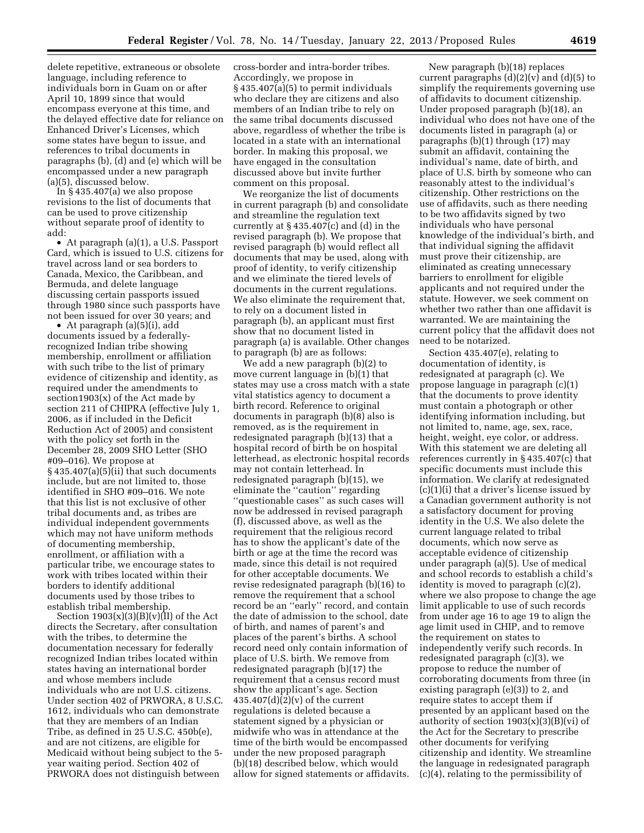delete repetitive, extraneous or obsolete language, including reference to individuals born in Guam on or after April 10, 1899 since that would encompass everyone at this time, and the delayed effective date for reliance on Enhanced Driver's Licenses, which some states have begun to issue, and references to tribal documents in paragraphs (b), (d) and (e) which will be encompassed under a new paragraph (a)(5), discussed below.

In § 435.407(a) we also propose revisions to the list of documents that can be used to prove citizenship without separate proof of identity to add:

• At paragraph (a)(1), a U.S. Passport Card, which is issued to U.S. citizens for travel across land or sea borders to Canada, Mexico, the Caribbean, and Bermuda, and delete language discussing certain passports issued through 1980 since such passports have not been issued for over 30 years; and

• At paragraph (a)(5)(i), add documents issued by a federallyrecognized Indian tribe showing membership, enrollment or affiliation with such tribe to the list of primary evidence of citizenship and identity, as required under the amendments to section1903(x) of the Act made by section 211 of CHIPRA (effective July 1, 2006, as if included in the Deficit Reduction Act of 2005) and consistent with the policy set forth in the December 28, 2009 SHO Letter (SHO #09–016). We propose at § 435.407(a)(5)(ii) that such documents include, but are not limited to, those identified in SHO #09–016. We note that this list is not exclusive of other tribal documents and, as tribes are individual independent governments which may not have uniform methods of documenting membership, enrollment, or affiliation with a particular tribe, we encourage states to work with tribes located within their borders to identify additional documents used by those tribes to establish tribal membership.

Section  $1903(x)(3)(B)(v)(II)$  of the Act directs the Secretary, after consultation with the tribes, to determine the documentation necessary for federally recognized Indian tribes located within states having an international border and whose members include individuals who are not U.S. citizens. Under section 402 of PRWORA, 8 U.S.C. 1612, individuals who can demonstrate that they are members of an Indian Tribe, as defined in 25 U.S.C. 450b(e), and are not citizens, are eligible for Medicaid without being subject to the 5 year waiting period. Section 402 of PRWORA does not distinguish between

cross-border and intra-border tribes. Accordingly, we propose in § 435.407(a)(5) to permit individuals who declare they are citizens and also members of an Indian tribe to rely on the same tribal documents discussed above, regardless of whether the tribe is located in a state with an international border. In making this proposal, we have engaged in the consultation discussed above but invite further comment on this proposal.

We reorganize the list of documents in current paragraph (b) and consolidate and streamline the regulation text currently at § 435.407(c) and (d) in the revised paragraph (b). We propose that revised paragraph (b) would reflect all documents that may be used, along with proof of identity, to verify citizenship and we eliminate the tiered levels of documents in the current regulations. We also eliminate the requirement that, to rely on a document listed in paragraph (b), an applicant must first show that no document listed in paragraph (a) is available. Other changes to paragraph (b) are as follows:

We add a new paragraph (b)(2) to move current language in (b)(1) that states may use a cross match with a state vital statistics agency to document a birth record. Reference to original documents in paragraph (b)(8) also is removed, as is the requirement in redesignated paragraph (b)(13) that a hospital record of birth be on hospital letterhead, as electronic hospital records may not contain letterhead. In redesignated paragraph (b)(15), we eliminate the ''caution'' regarding ''questionable cases'' as such cases will now be addressed in revised paragraph (f), discussed above, as well as the requirement that the religious record has to show the applicant's date of the birth or age at the time the record was made, since this detail is not required for other acceptable documents. We revise redesignated paragraph (b)(16) to remove the requirement that a school record be an ''early'' record, and contain the date of admission to the school, date of birth, and names of parent's and places of the parent's births. A school record need only contain information of place of U.S. birth. We remove from redesignated paragraph (b)(17) the requirement that a census record must show the applicant's age. Section  $435.407(d)(2)(v)$  of the current regulations is deleted because a statement signed by a physician or midwife who was in attendance at the time of the birth would be encompassed under the new proposed paragraph (b)(18) described below, which would allow for signed statements or affidavits.

New paragraph (b)(18) replaces current paragraphs  $(d)(2)(v)$  and  $(d)(5)$  to simplify the requirements governing use of affidavits to document citizenship. Under proposed paragraph (b)(18), an individual who does not have one of the documents listed in paragraph (a) or paragraphs (b)(1) through (17) may submit an affidavit, containing the individual's name, date of birth, and place of U.S. birth by someone who can reasonably attest to the individual's citizenship. Other restrictions on the use of affidavits, such as there needing to be two affidavits signed by two individuals who have personal knowledge of the individual's birth, and that individual signing the affidavit must prove their citizenship, are eliminated as creating unnecessary barriers to enrollment for eligible applicants and not required under the statute. However, we seek comment on whether two rather than one affidavit is warranted. We are maintaining the current policy that the affidavit does not need to be notarized.

Section 435.407(e), relating to documentation of identity, is redesignated at paragraph (c). We propose language in paragraph (c)(1) that the documents to prove identity must contain a photograph or other identifying information including, but not limited to, name, age, sex, race, height, weight, eye color, or address. With this statement we are deleting all references currently in § 435.407(c) that specific documents must include this information. We clarify at redesignated (c)(1)(i) that a driver's license issued by a Canadian government authority is not a satisfactory document for proving identity in the U.S. We also delete the current language related to tribal documents, which now serve as acceptable evidence of citizenship under paragraph (a)(5). Use of medical and school records to establish a child's identity is moved to paragraph (c)(2), where we also propose to change the age limit applicable to use of such records from under age 16 to age 19 to align the age limit used in CHIP, and to remove the requirement on states to independently verify such records. In redesignated paragraph (c)(3), we propose to reduce the number of corroborating documents from three (in existing paragraph (e)(3)) to 2, and require states to accept them if presented by an applicant based on the authority of section  $1903(x)(3)(B)(vi)$  of the Act for the Secretary to prescribe other documents for verifying citizenship and identity. We streamline the language in redesignated paragraph (c)(4), relating to the permissibility of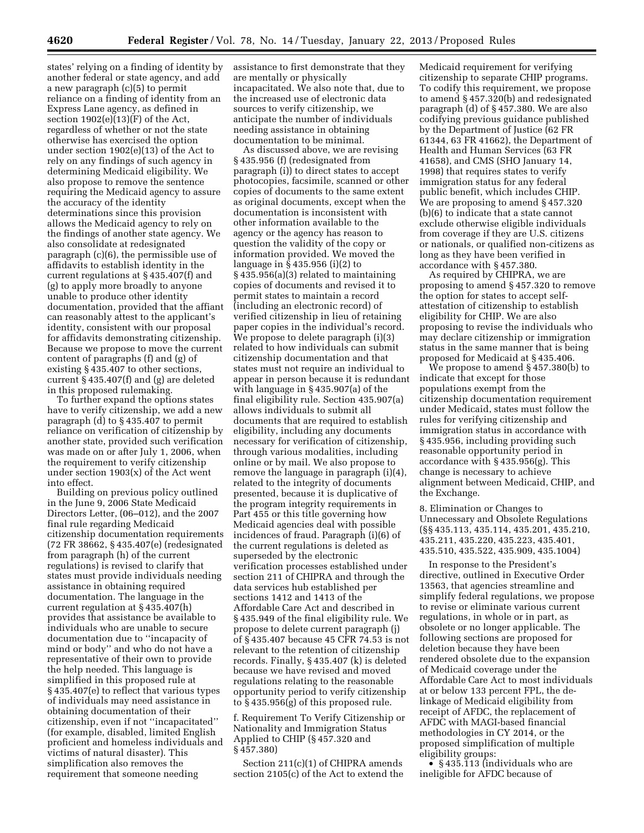states' relying on a finding of identity by another federal or state agency, and add a new paragraph (c)(5) to permit reliance on a finding of identity from an Express Lane agency, as defined in section  $1902(e)(13)(F)$  of the Act, regardless of whether or not the state otherwise has exercised the option under section 1902(e)(13) of the Act to rely on any findings of such agency in determining Medicaid eligibility. We also propose to remove the sentence requiring the Medicaid agency to assure the accuracy of the identity determinations since this provision allows the Medicaid agency to rely on the findings of another state agency. We also consolidate at redesignated paragraph (c)(6), the permissible use of affidavits to establish identity in the current regulations at § 435.407(f) and (g) to apply more broadly to anyone unable to produce other identity documentation, provided that the affiant can reasonably attest to the applicant's identity, consistent with our proposal for affidavits demonstrating citizenship. Because we propose to move the current content of paragraphs (f) and (g) of existing § 435.407 to other sections, current § 435.407(f) and (g) are deleted in this proposed rulemaking.

To further expand the options states have to verify citizenship, we add a new paragraph (d) to § 435.407 to permit reliance on verification of citizenship by another state, provided such verification was made on or after July 1, 2006, when the requirement to verify citizenship under section 1903(x) of the Act went into effect.

Building on previous policy outlined in the June 9, 2006 State Medicaid Directors Letter, (06–012), and the 2007 final rule regarding Medicaid citizenship documentation requirements (72 FR 38662, § 435.407(e) (redesignated from paragraph (h) of the current regulations) is revised to clarify that states must provide individuals needing assistance in obtaining required documentation. The language in the current regulation at § 435.407(h) provides that assistance be available to individuals who are unable to secure documentation due to ''incapacity of mind or body'' and who do not have a representative of their own to provide the help needed. This language is simplified in this proposed rule at § 435.407(e) to reflect that various types of individuals may need assistance in obtaining documentation of their citizenship, even if not ''incapacitated'' (for example, disabled, limited English proficient and homeless individuals and victims of natural disaster). This simplification also removes the requirement that someone needing

assistance to first demonstrate that they are mentally or physically incapacitated. We also note that, due to the increased use of electronic data sources to verify citizenship, we anticipate the number of individuals needing assistance in obtaining documentation to be minimal.

As discussed above, we are revising § 435.956 (f) (redesignated from paragraph (i)) to direct states to accept photocopies, facsimile, scanned or other copies of documents to the same extent as original documents, except when the documentation is inconsistent with other information available to the agency or the agency has reason to question the validity of the copy or information provided. We moved the language in § 435.956 (i)(2) to § 435.956(a)(3) related to maintaining copies of documents and revised it to permit states to maintain a record (including an electronic record) of verified citizenship in lieu of retaining paper copies in the individual's record. We propose to delete paragraph (i)(3) related to how individuals can submit citizenship documentation and that states must not require an individual to appear in person because it is redundant with language in § 435.907(a) of the final eligibility rule. Section 435.907(a) allows individuals to submit all documents that are required to establish eligibility, including any documents necessary for verification of citizenship, through various modalities, including online or by mail. We also propose to remove the language in paragraph (i)(4), related to the integrity of documents presented, because it is duplicative of the program integrity requirements in Part 455 or this title governing how Medicaid agencies deal with possible incidences of fraud. Paragraph (i)(6) of the current regulations is deleted as superseded by the electronic verification processes established under section 211 of CHIPRA and through the data services hub established per sections 1412 and 1413 of the Affordable Care Act and described in § 435.949 of the final eligibility rule. We propose to delete current paragraph (j) of § 435.407 because 45 CFR 74.53 is not relevant to the retention of citizenship records. Finally, § 435.407 (k) is deleted because we have revised and moved regulations relating to the reasonable opportunity period to verify citizenship to § 435.956(g) of this proposed rule.

f. Requirement To Verify Citizenship or Nationality and Immigration Status Applied to CHIP (§ 457.320 and § 457.380)

Section 211(c)(1) of CHIPRA amends section 2105(c) of the Act to extend the

Medicaid requirement for verifying citizenship to separate CHIP programs. To codify this requirement, we propose to amend § 457.320(b) and redesignated paragraph (d) of § 457.380. We are also codifying previous guidance published by the Department of Justice (62 FR 61344, 63 FR 41662), the Department of Health and Human Services (63 FR 41658), and CMS (SHO January 14, 1998) that requires states to verify immigration status for any federal public benefit, which includes CHIP. We are proposing to amend § 457.320 (b)(6) to indicate that a state cannot exclude otherwise eligible individuals from coverage if they are U.S. citizens or nationals, or qualified non-citizens as long as they have been verified in accordance with § 457.380.

As required by CHIPRA, we are proposing to amend § 457.320 to remove the option for states to accept selfattestation of citizenship to establish eligibility for CHIP. We are also proposing to revise the individuals who may declare citizenship or immigration status in the same manner that is being proposed for Medicaid at § 435.406.

We propose to amend § 457.380(b) to indicate that except for those populations exempt from the citizenship documentation requirement under Medicaid, states must follow the rules for verifying citizenship and immigration status in accordance with § 435.956, including providing such reasonable opportunity period in accordance with § 435.956(g). This change is necessary to achieve alignment between Medicaid, CHIP, and the Exchange.

8. Elimination or Changes to Unnecessary and Obsolete Regulations (§§ 435.113, 435.114, 435.201, 435.210, 435.211, 435.220, 435.223, 435.401, 435.510, 435.522, 435.909, 435.1004)

In response to the President's directive, outlined in Executive Order 13563, that agencies streamline and simplify federal regulations, we propose to revise or eliminate various current regulations, in whole or in part, as obsolete or no longer applicable. The following sections are proposed for deletion because they have been rendered obsolete due to the expansion of Medicaid coverage under the Affordable Care Act to most individuals at or below 133 percent FPL, the delinkage of Medicaid eligibility from receipt of AFDC, the replacement of AFDC with MAGI-based financial methodologies in CY 2014, or the proposed simplification of multiple eligibility groups:

•  $§ 435.113$  (individuals who are ineligible for AFDC because of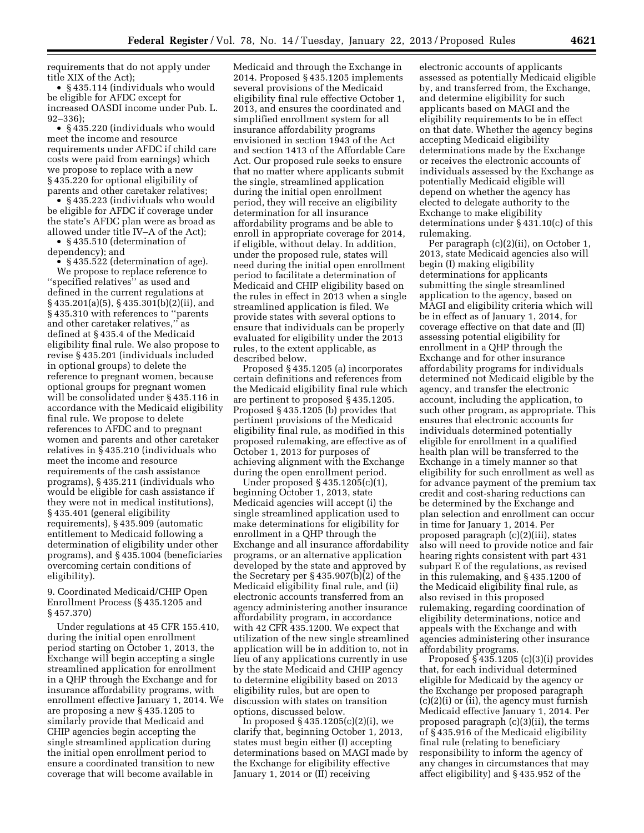requirements that do not apply under title XIX of the Act);

• § 435.114 (individuals who would be eligible for AFDC except for increased OASDI income under Pub. L. 92–336);

• § 435.220 (individuals who would meet the income and resource requirements under AFDC if child care costs were paid from earnings) which we propose to replace with a new § 435.220 for optional eligibility of parents and other caretaker relatives;

• § 435.223 (individuals who would be eligible for AFDC if coverage under the state's AFDC plan were as broad as allowed under title IV–A of the Act);

• § 435.510 (determination of dependency); and

• §435.522 (determination of age). We propose to replace reference to ''specified relatives'' as used and defined in the current regulations at § 435.201(a)(5), § 435.301(b)(2)(ii), and § 435.310 with references to ''parents and other caretaker relatives,'' as defined at § 435.4 of the Medicaid eligibility final rule. We also propose to revise § 435.201 (individuals included in optional groups) to delete the reference to pregnant women, because optional groups for pregnant women will be consolidated under § 435.116 in accordance with the Medicaid eligibility final rule. We propose to delete references to AFDC and to pregnant women and parents and other caretaker relatives in § 435.210 (individuals who meet the income and resource requirements of the cash assistance programs), § 435.211 (individuals who would be eligible for cash assistance if they were not in medical institutions), § 435.401 (general eligibility requirements), § 435.909 (automatic entitlement to Medicaid following a determination of eligibility under other programs), and § 435.1004 (beneficiaries overcoming certain conditions of eligibility).

9. Coordinated Medicaid/CHIP Open Enrollment Process (§ 435.1205 and § 457.370)

Under regulations at 45 CFR 155.410, during the initial open enrollment period starting on October 1, 2013, the Exchange will begin accepting a single streamlined application for enrollment in a QHP through the Exchange and for insurance affordability programs, with enrollment effective January 1, 2014. We are proposing a new § 435.1205 to similarly provide that Medicaid and CHIP agencies begin accepting the single streamlined application during the initial open enrollment period to ensure a coordinated transition to new coverage that will become available in

Medicaid and through the Exchange in 2014. Proposed § 435.1205 implements several provisions of the Medicaid eligibility final rule effective October 1, 2013, and ensures the coordinated and simplified enrollment system for all insurance affordability programs envisioned in section 1943 of the Act and section 1413 of the Affordable Care Act. Our proposed rule seeks to ensure that no matter where applicants submit the single, streamlined application during the initial open enrollment period, they will receive an eligibility determination for all insurance affordability programs and be able to enroll in appropriate coverage for 2014, if eligible, without delay. In addition, under the proposed rule, states will need during the initial open enrollment period to facilitate a determination of Medicaid and CHIP eligibility based on the rules in effect in 2013 when a single streamlined application is filed. We provide states with several options to ensure that individuals can be properly evaluated for eligibility under the 2013 rules, to the extent applicable, as described below.

Proposed § 435.1205 (a) incorporates certain definitions and references from the Medicaid eligibility final rule which are pertinent to proposed § 435.1205. Proposed § 435.1205 (b) provides that pertinent provisions of the Medicaid eligibility final rule, as modified in this proposed rulemaking, are effective as of October 1, 2013 for purposes of achieving alignment with the Exchange during the open enrollment period.

Under proposed § 435.1205(c)(1), beginning October 1, 2013, state Medicaid agencies will accept (i) the single streamlined application used to make determinations for eligibility for enrollment in a QHP through the Exchange and all insurance affordability programs, or an alternative application developed by the state and approved by the Secretary per § 435.907(b)(2) of the Medicaid eligibility final rule, and (ii) electronic accounts transferred from an agency administering another insurance affordability program, in accordance with 42 CFR 435.1200. We expect that utilization of the new single streamlined application will be in addition to, not in lieu of any applications currently in use by the state Medicaid and CHIP agency to determine eligibility based on 2013 eligibility rules, but are open to discussion with states on transition options, discussed below.

In proposed § 435.1205(c)(2)(i), we clarify that, beginning October 1, 2013, states must begin either (I) accepting determinations based on MAGI made by the Exchange for eligibility effective January 1, 2014 or (II) receiving

electronic accounts of applicants assessed as potentially Medicaid eligible by, and transferred from, the Exchange, and determine eligibility for such applicants based on MAGI and the eligibility requirements to be in effect on that date. Whether the agency begins accepting Medicaid eligibility determinations made by the Exchange or receives the electronic accounts of individuals assessed by the Exchange as potentially Medicaid eligible will depend on whether the agency has elected to delegate authority to the Exchange to make eligibility determinations under § 431.10(c) of this rulemaking.

Per paragraph (c)(2)(ii), on October 1, 2013, state Medicaid agencies also will begin (I) making eligibility determinations for applicants submitting the single streamlined application to the agency, based on MAGI and eligibility criteria which will be in effect as of January 1, 2014, for coverage effective on that date and (II) assessing potential eligibility for enrollment in a QHP through the Exchange and for other insurance affordability programs for individuals determined not Medicaid eligible by the agency, and transfer the electronic account, including the application, to such other program, as appropriate. This ensures that electronic accounts for individuals determined potentially eligible for enrollment in a qualified health plan will be transferred to the Exchange in a timely manner so that eligibility for such enrollment as well as for advance payment of the premium tax credit and cost-sharing reductions can be determined by the Exchange and plan selection and enrollment can occur in time for January 1, 2014. Per proposed paragraph (c)(2)(iii), states also will need to provide notice and fair hearing rights consistent with part 431 subpart E of the regulations, as revised in this rulemaking, and § 435.1200 of the Medicaid eligibility final rule, as also revised in this proposed rulemaking, regarding coordination of eligibility determinations, notice and appeals with the Exchange and with agencies administering other insurance affordability programs.

Proposed § 435.1205 (c)(3)(i) provides that, for each individual determined eligible for Medicaid by the agency or the Exchange per proposed paragraph (c)(2)(i) or (ii), the agency must furnish Medicaid effective January 1, 2014. Per proposed paragraph (c)(3)(ii), the terms of § 435.916 of the Medicaid eligibility final rule (relating to beneficiary responsibility to inform the agency of any changes in circumstances that may affect eligibility) and § 435.952 of the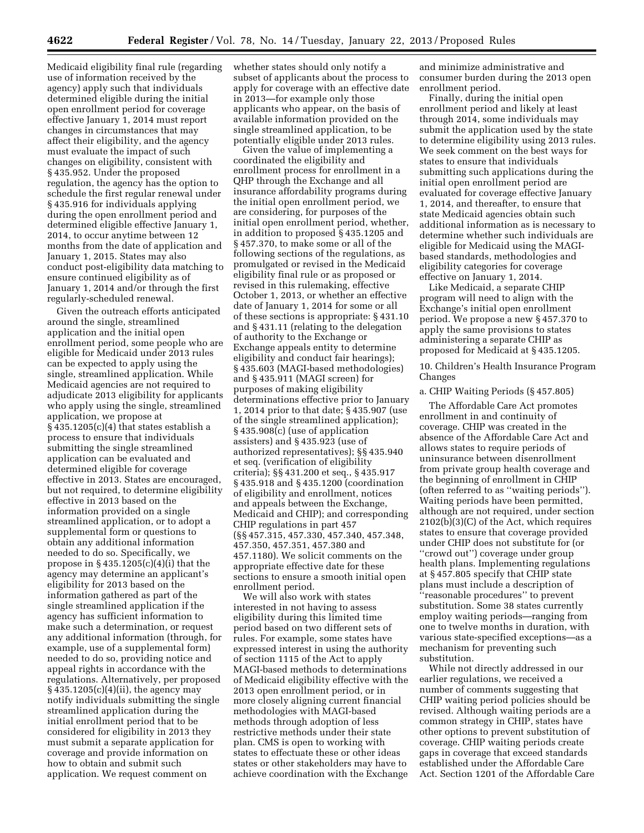Medicaid eligibility final rule (regarding use of information received by the agency) apply such that individuals determined eligible during the initial open enrollment period for coverage effective January 1, 2014 must report changes in circumstances that may affect their eligibility, and the agency must evaluate the impact of such changes on eligibility, consistent with § 435.952. Under the proposed regulation, the agency has the option to schedule the first regular renewal under § 435.916 for individuals applying during the open enrollment period and determined eligible effective January 1, 2014, to occur anytime between 12 months from the date of application and January 1, 2015. States may also conduct post-eligibility data matching to ensure continued eligibility as of January 1, 2014 and/or through the first regularly-scheduled renewal.

Given the outreach efforts anticipated around the single, streamlined application and the initial open enrollment period, some people who are eligible for Medicaid under 2013 rules can be expected to apply using the single, streamlined application. While Medicaid agencies are not required to adjudicate 2013 eligibility for applicants who apply using the single, streamlined application, we propose at  $§$  435.1205(c)(4) that states establish a process to ensure that individuals submitting the single streamlined application can be evaluated and determined eligible for coverage effective in 2013. States are encouraged, but not required, to determine eligibility effective in 2013 based on the information provided on a single streamlined application, or to adopt a supplemental form or questions to obtain any additional information needed to do so. Specifically, we propose in  $\S 435.1205(c)(4)(i)$  that the agency may determine an applicant's eligibility for 2013 based on the information gathered as part of the single streamlined application if the agency has sufficient information to make such a determination, or request any additional information (through, for example, use of a supplemental form) needed to do so, providing notice and appeal rights in accordance with the regulations. Alternatively, per proposed § 435.1205(c)(4)(ii), the agency may notify individuals submitting the single streamlined application during the initial enrollment period that to be considered for eligibility in 2013 they must submit a separate application for coverage and provide information on how to obtain and submit such application. We request comment on

whether states should only notify a subset of applicants about the process to apply for coverage with an effective date in 2013—for example only those applicants who appear, on the basis of available information provided on the single streamlined application, to be potentially eligible under 2013 rules.

Given the value of implementing a coordinated the eligibility and enrollment process for enrollment in a QHP through the Exchange and all insurance affordability programs during the initial open enrollment period, we are considering, for purposes of the initial open enrollment period, whether, in addition to proposed § 435.1205 and § 457.370, to make some or all of the following sections of the regulations, as promulgated or revised in the Medicaid eligibility final rule or as proposed or revised in this rulemaking, effective October 1, 2013, or whether an effective date of January 1, 2014 for some or all of these sections is appropriate: § 431.10 and § 431.11 (relating to the delegation of authority to the Exchange or Exchange appeals entity to determine eligibility and conduct fair hearings); § 435.603 (MAGI-based methodologies) and § 435.911 (MAGI screen) for purposes of making eligibility determinations effective prior to January 1, 2014 prior to that date; § 435.907 (use of the single streamlined application); § 435.908(c) (use of application assisters) and § 435.923 (use of authorized representatives); §§ 435.940 et seq. (verification of eligibility criteria); §§ 431.200 et seq., § 435.917 § 435.918 and § 435.1200 (coordination of eligibility and enrollment, notices and appeals between the Exchange, Medicaid and CHIP); and corresponding CHIP regulations in part 457 (§§ 457.315, 457.330, 457.340, 457.348, 457.350, 457.351, 457.380 and 457.1180). We solicit comments on the appropriate effective date for these sections to ensure a smooth initial open enrollment period.

We will also work with states interested in not having to assess eligibility during this limited time period based on two different sets of rules. For example, some states have expressed interest in using the authority of section 1115 of the Act to apply MAGI-based methods to determinations of Medicaid eligibility effective with the 2013 open enrollment period, or in more closely aligning current financial methodologies with MAGI-based methods through adoption of less restrictive methods under their state plan. CMS is open to working with states to effectuate these or other ideas states or other stakeholders may have to achieve coordination with the Exchange

and minimize administrative and consumer burden during the 2013 open enrollment period.

Finally, during the initial open enrollment period and likely at least through 2014, some individuals may submit the application used by the state to determine eligibility using 2013 rules. We seek comment on the best ways for states to ensure that individuals submitting such applications during the initial open enrollment period are evaluated for coverage effective January 1, 2014, and thereafter, to ensure that state Medicaid agencies obtain such additional information as is necessary to determine whether such individuals are eligible for Medicaid using the MAGIbased standards, methodologies and eligibility categories for coverage effective on January 1, 2014.

Like Medicaid, a separate CHIP program will need to align with the Exchange's initial open enrollment period. We propose a new § 457.370 to apply the same provisions to states administering a separate CHIP as proposed for Medicaid at § 435.1205.

10. Children's Health Insurance Program Changes

#### a. CHIP Waiting Periods (§ 457.805)

The Affordable Care Act promotes enrollment in and continuity of coverage. CHIP was created in the absence of the Affordable Care Act and allows states to require periods of uninsurance between disenrollment from private group health coverage and the beginning of enrollment in CHIP (often referred to as ''waiting periods''). Waiting periods have been permitted, although are not required, under section 2102(b)(3)(C) of the Act, which requires states to ensure that coverage provided under CHIP does not substitute for (or ''crowd out'') coverage under group health plans. Implementing regulations at § 457.805 specify that CHIP state plans must include a description of ''reasonable procedures'' to prevent substitution. Some 38 states currently employ waiting periods—ranging from one to twelve months in duration, with various state-specified exceptions—as a mechanism for preventing such substitution.

While not directly addressed in our earlier regulations, we received a number of comments suggesting that CHIP waiting period policies should be revised. Although waiting periods are a common strategy in CHIP, states have other options to prevent substitution of coverage. CHIP waiting periods create gaps in coverage that exceed standards established under the Affordable Care Act. Section 1201 of the Affordable Care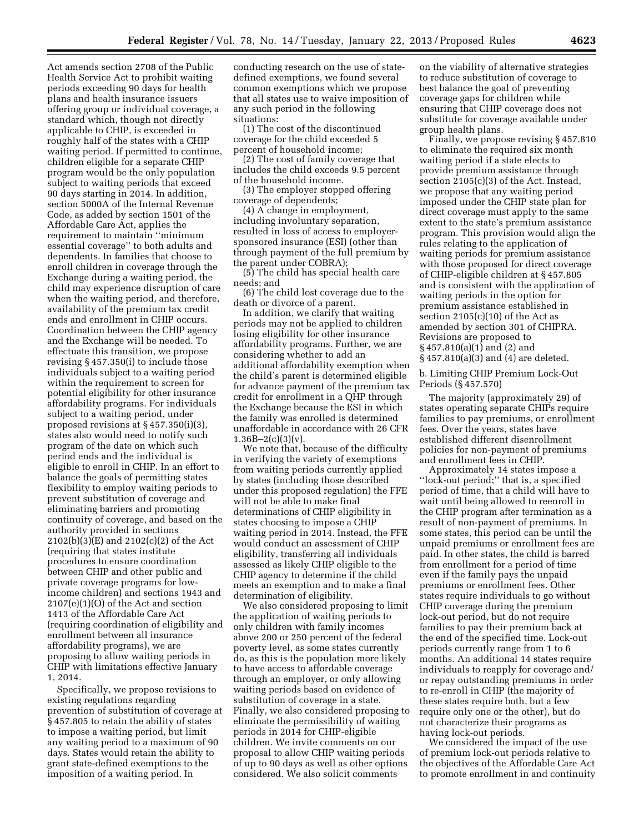Act amends section 2708 of the Public Health Service Act to prohibit waiting periods exceeding 90 days for health plans and health insurance issuers offering group or individual coverage, a standard which, though not directly applicable to CHIP, is exceeded in roughly half of the states with a CHIP waiting period. If permitted to continue, children eligible for a separate CHIP program would be the only population subject to waiting periods that exceed 90 days starting in 2014. In addition, section 5000A of the Internal Revenue Code, as added by section 1501 of the Affordable Care Act, applies the requirement to maintain ''minimum essential coverage'' to both adults and dependents. In families that choose to enroll children in coverage through the Exchange during a waiting period, the child may experience disruption of care when the waiting period, and therefore, availability of the premium tax credit ends and enrollment in CHIP occurs. Coordination between the CHIP agency and the Exchange will be needed. To effectuate this transition, we propose revising § 457.350(i) to include those individuals subject to a waiting period within the requirement to screen for potential eligibility for other insurance affordability programs. For individuals subject to a waiting period, under proposed revisions at § 457.350(i)(3), states also would need to notify such program of the date on which such period ends and the individual is eligible to enroll in CHIP. In an effort to balance the goals of permitting states flexibility to employ waiting periods to prevent substitution of coverage and eliminating barriers and promoting continuity of coverage, and based on the authority provided in sections 2102(b)(3)(E) and 2102(c)(2) of the Act (requiring that states institute procedures to ensure coordination between CHIP and other public and private coverage programs for lowincome children) and sections 1943 and 2107(e)(1)(O) of the Act and section 1413 of the Affordable Care Act (requiring coordination of eligibility and enrollment between all insurance affordability programs), we are proposing to allow waiting periods in CHIP with limitations effective January 1, 2014.

Specifically, we propose revisions to existing regulations regarding prevention of substitution of coverage at § 457.805 to retain the ability of states to impose a waiting period, but limit any waiting period to a maximum of 90 days. States would retain the ability to grant state-defined exemptions to the imposition of a waiting period. In

conducting research on the use of statedefined exemptions, we found several common exemptions which we propose that all states use to waive imposition of any such period in the following situations:

(1) The cost of the discontinued coverage for the child exceeded 5 percent of household income;

(2) The cost of family coverage that includes the child exceeds 9.5 percent of the household income.

(3) The employer stopped offering coverage of dependents;

(4) A change in employment, including involuntary separation, resulted in loss of access to employersponsored insurance (ESI) (other than through payment of the full premium by the parent under COBRA);

(5) The child has special health care needs; and

(6) The child lost coverage due to the death or divorce of a parent.

In addition, we clarify that waiting periods may not be applied to children losing eligibility for other insurance affordability programs. Further, we are considering whether to add an additional affordability exemption when the child's parent is determined eligible for advance payment of the premium tax credit for enrollment in a QHP through the Exchange because the ESI in which the family was enrolled is determined unaffordable in accordance with 26 CFR  $1.36B - 2(c)(3)(v)$ .

We note that, because of the difficulty in verifying the variety of exemptions from waiting periods currently applied by states (including those described under this proposed regulation) the FFE will not be able to make final determinations of CHIP eligibility in states choosing to impose a CHIP waiting period in 2014. Instead, the FFE would conduct an assessment of CHIP eligibility, transferring all individuals assessed as likely CHIP eligible to the CHIP agency to determine if the child meets an exemption and to make a final determination of eligibility.

We also considered proposing to limit the application of waiting periods to only children with family incomes above 200 or 250 percent of the federal poverty level, as some states currently do, as this is the population more likely to have access to affordable coverage through an employer, or only allowing waiting periods based on evidence of substitution of coverage in a state. Finally, we also considered proposing to eliminate the permissibility of waiting periods in 2014 for CHIP-eligible children. We invite comments on our proposal to allow CHIP waiting periods of up to 90 days as well as other options considered. We also solicit comments

on the viability of alternative strategies to reduce substitution of coverage to best balance the goal of preventing coverage gaps for children while ensuring that CHIP coverage does not substitute for coverage available under group health plans.

Finally, we propose revising § 457.810 to eliminate the required six month waiting period if a state elects to provide premium assistance through section 2105(c)(3) of the Act. Instead, we propose that any waiting period imposed under the CHIP state plan for direct coverage must apply to the same extent to the state's premium assistance program. This provision would align the rules relating to the application of waiting periods for premium assistance with those proposed for direct coverage of CHIP-eligible children at § 457.805 and is consistent with the application of waiting periods in the option for premium assistance established in section  $2105(c)(10)$  of the Act as amended by section 301 of CHIPRA. Revisions are proposed to § 457.810(a)(1) and (2) and § 457.810(a)(3) and (4) are deleted.

b. Limiting CHIP Premium Lock-Out Periods (§ 457.570)

The majority (approximately 29) of states operating separate CHIPs require families to pay premiums, or enrollment fees. Over the years, states have established different disenrollment policies for non-payment of premiums and enrollment fees in CHIP.

Approximately 14 states impose a ''lock-out period;'' that is, a specified period of time, that a child will have to wait until being allowed to reenroll in the CHIP program after termination as a result of non-payment of premiums. In some states, this period can be until the unpaid premiums or enrollment fees are paid. In other states, the child is barred from enrollment for a period of time even if the family pays the unpaid premiums or enrollment fees. Other states require individuals to go without CHIP coverage during the premium lock-out period, but do not require families to pay their premium back at the end of the specified time. Lock-out periods currently range from 1 to 6 months. An additional 14 states require individuals to reapply for coverage and/ or repay outstanding premiums in order to re-enroll in CHIP (the majority of these states require both, but a few require only one or the other), but do not characterize their programs as having lock-out periods.

We considered the impact of the use of premium lock-out periods relative to the objectives of the Affordable Care Act to promote enrollment in and continuity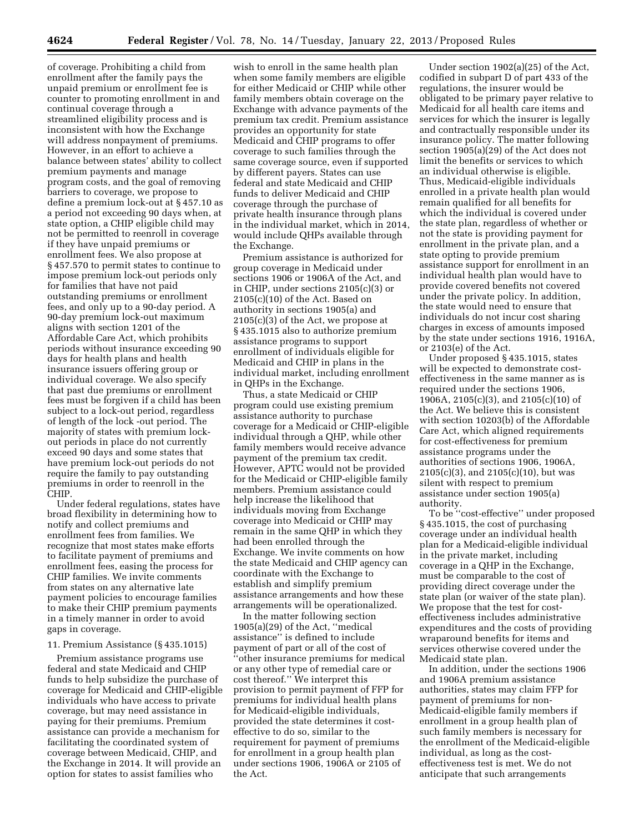of coverage. Prohibiting a child from enrollment after the family pays the unpaid premium or enrollment fee is counter to promoting enrollment in and continual coverage through a streamlined eligibility process and is inconsistent with how the Exchange will address nonpayment of premiums. However, in an effort to achieve a balance between states' ability to collect premium payments and manage program costs, and the goal of removing barriers to coverage, we propose to define a premium lock-out at § 457.10 as a period not exceeding 90 days when, at state option, a CHIP eligible child may not be permitted to reenroll in coverage if they have unpaid premiums or enrollment fees. We also propose at § 457.570 to permit states to continue to impose premium lock-out periods only for families that have not paid outstanding premiums or enrollment fees, and only up to a 90-day period. A 90-day premium lock-out maximum aligns with section 1201 of the Affordable Care Act, which prohibits periods without insurance exceeding 90 days for health plans and health insurance issuers offering group or individual coverage. We also specify that past due premiums or enrollment fees must be forgiven if a child has been subject to a lock-out period, regardless of length of the lock -out period. The majority of states with premium lockout periods in place do not currently exceed 90 days and some states that have premium lock-out periods do not require the family to pay outstanding premiums in order to reenroll in the CHIP.

Under federal regulations, states have broad flexibility in determining how to notify and collect premiums and enrollment fees from families. We recognize that most states make efforts to facilitate payment of premiums and enrollment fees, easing the process for CHIP families. We invite comments from states on any alternative late payment policies to encourage families to make their CHIP premium payments in a timely manner in order to avoid gaps in coverage.

#### 11. Premium Assistance (§ 435.1015)

Premium assistance programs use federal and state Medicaid and CHIP funds to help subsidize the purchase of coverage for Medicaid and CHIP-eligible individuals who have access to private coverage, but may need assistance in paying for their premiums. Premium assistance can provide a mechanism for facilitating the coordinated system of coverage between Medicaid, CHIP, and the Exchange in 2014. It will provide an option for states to assist families who

wish to enroll in the same health plan when some family members are eligible for either Medicaid or CHIP while other family members obtain coverage on the Exchange with advance payments of the premium tax credit. Premium assistance provides an opportunity for state Medicaid and CHIP programs to offer coverage to such families through the same coverage source, even if supported by different payers. States can use federal and state Medicaid and CHIP funds to deliver Medicaid and CHIP coverage through the purchase of private health insurance through plans in the individual market, which in 2014, would include QHPs available through the Exchange.

Premium assistance is authorized for group coverage in Medicaid under sections 1906 or 1906A of the Act, and in CHIP, under sections 2105(c)(3) or 2105(c)(10) of the Act. Based on authority in sections 1905(a) and 2105(c)(3) of the Act, we propose at § 435.1015 also to authorize premium assistance programs to support enrollment of individuals eligible for Medicaid and CHIP in plans in the individual market, including enrollment in QHPs in the Exchange.

Thus, a state Medicaid or CHIP program could use existing premium assistance authority to purchase coverage for a Medicaid or CHIP-eligible individual through a QHP, while other family members would receive advance payment of the premium tax credit. However, APTC would not be provided for the Medicaid or CHIP-eligible family members. Premium assistance could help increase the likelihood that individuals moving from Exchange coverage into Medicaid or CHIP may remain in the same QHP in which they had been enrolled through the Exchange. We invite comments on how the state Medicaid and CHIP agency can coordinate with the Exchange to establish and simplify premium assistance arrangements and how these arrangements will be operationalized.

In the matter following section 1905(a)(29) of the Act, ''medical assistance'' is defined to include payment of part or all of the cost of ''other insurance premiums for medical or any other type of remedial care or cost thereof.'' We interpret this provision to permit payment of FFP for premiums for individual health plans for Medicaid-eligible individuals, provided the state determines it costeffective to do so, similar to the requirement for payment of premiums for enrollment in a group health plan under sections 1906, 1906A or 2105 of the Act.

Under section 1902(a)(25) of the Act, codified in subpart D of part 433 of the regulations, the insurer would be obligated to be primary payer relative to Medicaid for all health care items and services for which the insurer is legally and contractually responsible under its insurance policy. The matter following section 1905(a)(29) of the Act does not limit the benefits or services to which an individual otherwise is eligible. Thus, Medicaid-eligible individuals enrolled in a private health plan would remain qualified for all benefits for which the individual is covered under the state plan, regardless of whether or not the state is providing payment for enrollment in the private plan, and a state opting to provide premium assistance support for enrollment in an individual health plan would have to provide covered benefits not covered under the private policy. In addition, the state would need to ensure that individuals do not incur cost sharing charges in excess of amounts imposed by the state under sections 1916, 1916A, or 2103(e) of the Act.

Under proposed § 435.1015, states will be expected to demonstrate costeffectiveness in the same manner as is required under the sections 1906, 1906A, 2105(c)(3), and 2105(c)(10) of the Act. We believe this is consistent with section 10203(b) of the Affordable Care Act, which aligned requirements for cost-effectiveness for premium assistance programs under the authorities of sections 1906, 1906A, 2105(c)(3), and 2105(c)(10), but was silent with respect to premium assistance under section 1905(a) authority.

To be ''cost-effective'' under proposed § 435.1015, the cost of purchasing coverage under an individual health plan for a Medicaid-eligible individual in the private market, including coverage in a QHP in the Exchange, must be comparable to the cost of providing direct coverage under the state plan (or waiver of the state plan). We propose that the test for costeffectiveness includes administrative expenditures and the costs of providing wraparound benefits for items and services otherwise covered under the Medicaid state plan.

In addition, under the sections 1906 and 1906A premium assistance authorities, states may claim FFP for payment of premiums for non-Medicaid-eligible family members if enrollment in a group health plan of such family members is necessary for the enrollment of the Medicaid-eligible individual, as long as the costeffectiveness test is met. We do not anticipate that such arrangements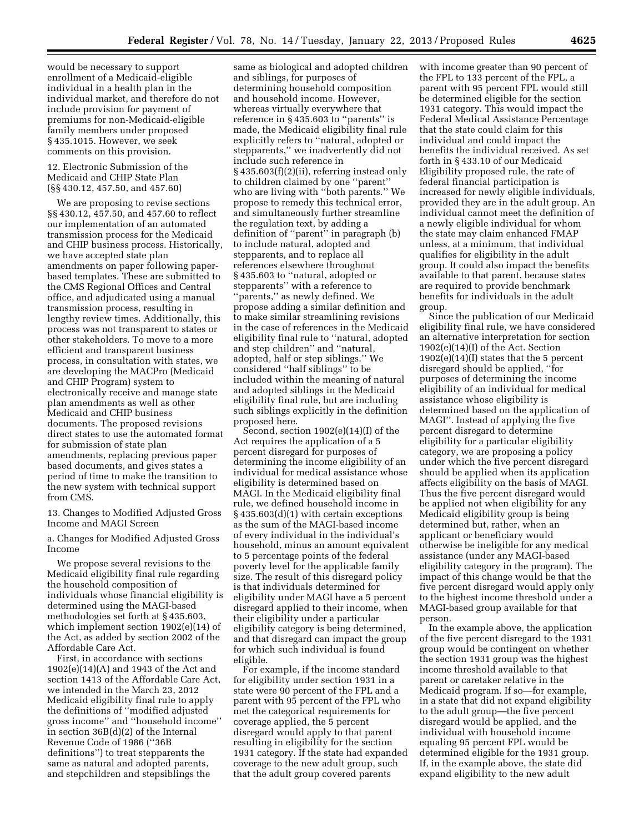would be necessary to support enrollment of a Medicaid-eligible individual in a health plan in the individual market, and therefore do not include provision for payment of premiums for non-Medicaid-eligible family members under proposed § 435.1015. However, we seek comments on this provision.

12. Electronic Submission of the Medicaid and CHIP State Plan (§§ 430.12, 457.50, and 457.60)

We are proposing to revise sections §§ 430.12, 457.50, and 457.60 to reflect our implementation of an automated transmission process for the Medicaid and CHIP business process. Historically, we have accepted state plan amendments on paper following paperbased templates. These are submitted to the CMS Regional Offices and Central office, and adjudicated using a manual transmission process, resulting in lengthy review times. Additionally, this process was not transparent to states or other stakeholders. To move to a more efficient and transparent business process, in consultation with states, we are developing the MACPro (Medicaid and CHIP Program) system to electronically receive and manage state plan amendments as well as other Medicaid and CHIP business documents. The proposed revisions direct states to use the automated format for submission of state plan amendments, replacing previous paper based documents, and gives states a period of time to make the transition to the new system with technical support from CMS.

13. Changes to Modified Adjusted Gross Income and MAGI Screen

a. Changes for Modified Adjusted Gross Income

We propose several revisions to the Medicaid eligibility final rule regarding the household composition of individuals whose financial eligibility is determined using the MAGI-based methodologies set forth at § 435.603, which implement section 1902(e)(14) of the Act, as added by section 2002 of the Affordable Care Act.

First, in accordance with sections 1902(e)(14)(A) and 1943 of the Act and section 1413 of the Affordable Care Act, we intended in the March 23, 2012 Medicaid eligibility final rule to apply the definitions of ''modified adjusted gross income'' and ''household income'' in section 36B(d)(2) of the Internal Revenue Code of 1986 (''36B definitions'') to treat stepparents the same as natural and adopted parents, and stepchildren and stepsiblings the

same as biological and adopted children and siblings, for purposes of determining household composition and household income. However, whereas virtually everywhere that reference in § 435.603 to ''parents'' is made, the Medicaid eligibility final rule explicitly refers to ''natural, adopted or stepparents,'' we inadvertently did not include such reference in § 435.603(f)(2)(ii), referring instead only to children claimed by one ''parent'' who are living with ''both parents.'' We propose to remedy this technical error, and simultaneously further streamline the regulation text, by adding a definition of ''parent'' in paragraph (b) to include natural, adopted and stepparents, and to replace all references elsewhere throughout § 435.603 to ''natural, adopted or stepparents'' with a reference to ''parents,'' as newly defined. We propose adding a similar definition and to make similar streamlining revisions in the case of references in the Medicaid eligibility final rule to ''natural, adopted and step children'' and ''natural, adopted, half or step siblings.'' We considered ''half siblings'' to be included within the meaning of natural and adopted siblings in the Medicaid eligibility final rule, but are including such siblings explicitly in the definition proposed here.

Second, section 1902(e)(14)(I) of the Act requires the application of a 5 percent disregard for purposes of determining the income eligibility of an individual for medical assistance whose eligibility is determined based on MAGI. In the Medicaid eligibility final rule, we defined household income in § 435.603(d)(1) with certain exceptions as the sum of the MAGI-based income of every individual in the individual's household, minus an amount equivalent to 5 percentage points of the federal poverty level for the applicable family size. The result of this disregard policy is that individuals determined for eligibility under MAGI have a 5 percent disregard applied to their income, when their eligibility under a particular eligibility category is being determined, and that disregard can impact the group for which such individual is found eligible.

For example, if the income standard for eligibility under section 1931 in a state were 90 percent of the FPL and a parent with 95 percent of the FPL who met the categorical requirements for coverage applied, the 5 percent disregard would apply to that parent resulting in eligibility for the section 1931 category. If the state had expanded coverage to the new adult group, such that the adult group covered parents

with income greater than 90 percent of the FPL to 133 percent of the FPL, a parent with 95 percent FPL would still be determined eligible for the section 1931 category. This would impact the Federal Medical Assistance Percentage that the state could claim for this individual and could impact the benefits the individual received. As set forth in § 433.10 of our Medicaid Eligibility proposed rule, the rate of federal financial participation is increased for newly eligible individuals, provided they are in the adult group. An individual cannot meet the definition of a newly eligible individual for whom the state may claim enhanced FMAP unless, at a minimum, that individual qualifies for eligibility in the adult group. It could also impact the benefits available to that parent, because states are required to provide benchmark benefits for individuals in the adult group.

Since the publication of our Medicaid eligibility final rule, we have considered an alternative interpretation for section 1902(e)(14)(I) of the Act. Section  $1902(e)(14)(I)$  states that the 5 percent disregard should be applied, ''for purposes of determining the income eligibility of an individual for medical assistance whose eligibility is determined based on the application of MAGI''. Instead of applying the five percent disregard to determine eligibility for a particular eligibility category, we are proposing a policy under which the five percent disregard should be applied when its application affects eligibility on the basis of MAGI. Thus the five percent disregard would be applied not when eligibility for any Medicaid eligibility group is being determined but, rather, when an applicant or beneficiary would otherwise be ineligible for any medical assistance (under any MAGI-based eligibility category in the program). The impact of this change would be that the five percent disregard would apply only to the highest income threshold under a MAGI-based group available for that person.

In the example above, the application of the five percent disregard to the 1931 group would be contingent on whether the section 1931 group was the highest income threshold available to that parent or caretaker relative in the Medicaid program. If so—for example, in a state that did not expand eligibility to the adult group—the five percent disregard would be applied, and the individual with household income equaling 95 percent FPL would be determined eligible for the 1931 group. If, in the example above, the state did expand eligibility to the new adult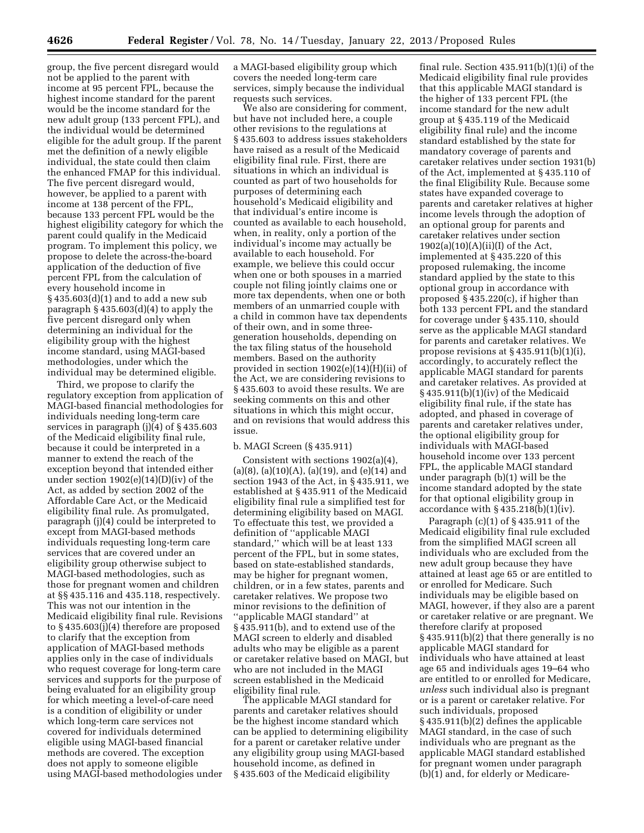group, the five percent disregard would not be applied to the parent with income at 95 percent FPL, because the highest income standard for the parent would be the income standard for the new adult group (133 percent FPL), and the individual would be determined eligible for the adult group. If the parent met the definition of a newly eligible individual, the state could then claim the enhanced FMAP for this individual. The five percent disregard would, however, be applied to a parent with income at 138 percent of the FPL, because 133 percent FPL would be the highest eligibility category for which the parent could qualify in the Medicaid program. To implement this policy, we propose to delete the across-the-board application of the deduction of five percent FPL from the calculation of every household income in § 435.603(d)(1) and to add a new sub paragraph  $\S$  435.603(d)(4) to apply the five percent disregard only when determining an individual for the eligibility group with the highest income standard, using MAGI-based methodologies, under which the individual may be determined eligible.

Third, we propose to clarify the regulatory exception from application of MAGI-based financial methodologies for individuals needing long-term care services in paragraph (j)(4) of § 435.603 of the Medicaid eligibility final rule, because it could be interpreted in a manner to extend the reach of the exception beyond that intended either under section 1902(e)(14)(D)(iv) of the Act, as added by section 2002 of the Affordable Care Act, or the Medicaid eligibility final rule. As promulgated, paragraph (j)(4) could be interpreted to except from MAGI-based methods individuals requesting long-term care services that are covered under an eligibility group otherwise subject to MAGI-based methodologies, such as those for pregnant women and children at §§ 435.116 and 435.118, respectively. This was not our intention in the Medicaid eligibility final rule. Revisions to § 435.603(j)(4) therefore are proposed to clarify that the exception from application of MAGI-based methods applies only in the case of individuals who request coverage for long-term care services and supports for the purpose of being evaluated for an eligibility group for which meeting a level-of-care need is a condition of eligibility or under which long-term care services not covered for individuals determined eligible using MAGI-based financial methods are covered. The exception does not apply to someone eligible using MAGI-based methodologies under

a MAGI-based eligibility group which covers the needed long-term care services, simply because the individual requests such services.

We also are considering for comment, but have not included here, a couple other revisions to the regulations at § 435.603 to address issues stakeholders have raised as a result of the Medicaid eligibility final rule. First, there are situations in which an individual is counted as part of two households for purposes of determining each household's Medicaid eligibility and that individual's entire income is counted as available to each household, when, in reality, only a portion of the individual's income may actually be available to each household. For example, we believe this could occur when one or both spouses in a married couple not filing jointly claims one or more tax dependents, when one or both members of an unmarried couple with a child in common have tax dependents of their own, and in some threegeneration households, depending on the tax filing status of the household members. Based on the authority provided in section 1902(e)(14)(H)(ii) of the Act, we are considering revisions to § 435.603 to avoid these results. We are seeking comments on this and other situations in which this might occur, and on revisions that would address this issue.

#### b. MAGI Screen (§ 435.911)

Consistent with sections 1902(a)(4),  $(a)(8)$ ,  $(a)(10)(A)$ ,  $(a)(19)$ , and  $(e)(14)$  and section 1943 of the Act, in § 435.911, we established at § 435.911 of the Medicaid eligibility final rule a simplified test for determining eligibility based on MAGI. To effectuate this test, we provided a definition of ''applicable MAGI standard,'' which will be at least 133 percent of the FPL, but in some states, based on state-established standards, may be higher for pregnant women, children, or in a few states, parents and caretaker relatives. We propose two minor revisions to the definition of ''applicable MAGI standard'' at § 435.911(b), and to extend use of the MAGI screen to elderly and disabled adults who may be eligible as a parent or caretaker relative based on MAGI, but who are not included in the MAGI screen established in the Medicaid eligibility final rule.

The applicable MAGI standard for parents and caretaker relatives should be the highest income standard which can be applied to determining eligibility for a parent or caretaker relative under any eligibility group using MAGI-based household income, as defined in § 435.603 of the Medicaid eligibility

final rule. Section 435.911(b)(1)(i) of the Medicaid eligibility final rule provides that this applicable MAGI standard is the higher of 133 percent FPL (the income standard for the new adult group at § 435.119 of the Medicaid eligibility final rule) and the income standard established by the state for mandatory coverage of parents and caretaker relatives under section 1931(b) of the Act, implemented at § 435.110 of the final Eligibility Rule. Because some states have expanded coverage to parents and caretaker relatives at higher income levels through the adoption of an optional group for parents and caretaker relatives under section  $1902(a)(10)(A)(ii)(I)$  of the Act, implemented at § 435.220 of this proposed rulemaking, the income standard applied by the state to this optional group in accordance with proposed § 435.220(c), if higher than both 133 percent FPL and the standard for coverage under § 435.110, should serve as the applicable MAGI standard for parents and caretaker relatives. We propose revisions at  $\S 435.911(b)(1)(i)$ , accordingly, to accurately reflect the applicable MAGI standard for parents and caretaker relatives. As provided at § 435.911(b)(1)(iv) of the Medicaid eligibility final rule, if the state has adopted, and phased in coverage of parents and caretaker relatives under, the optional eligibility group for individuals with MAGI-based household income over 133 percent FPL, the applicable MAGI standard under paragraph (b)(1) will be the income standard adopted by the state for that optional eligibility group in accordance with  $\S 435.218(b)(1)(iv)$ .

Paragraph (c)(1) of § 435.911 of the Medicaid eligibility final rule excluded from the simplified MAGI screen all individuals who are excluded from the new adult group because they have attained at least age 65 or are entitled to or enrolled for Medicare. Such individuals may be eligible based on MAGI, however, if they also are a parent or caretaker relative or are pregnant. We therefore clarify at proposed § 435.911(b)(2) that there generally is no applicable MAGI standard for individuals who have attained at least age 65 and individuals ages 19–64 who are entitled to or enrolled for Medicare, *unless* such individual also is pregnant or is a parent or caretaker relative. For such individuals, proposed § 435.911(b)(2) defines the applicable MAGI standard, in the case of such individuals who are pregnant as the applicable MAGI standard established for pregnant women under paragraph (b)(1) and, for elderly or Medicare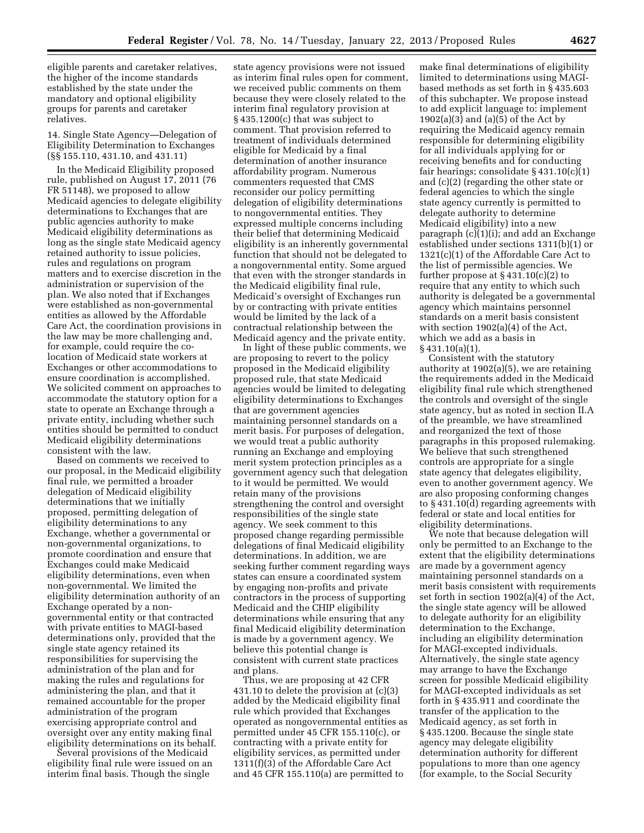eligible parents and caretaker relatives, the higher of the income standards established by the state under the mandatory and optional eligibility groups for parents and caretaker relatives.

14. Single State Agency—Delegation of Eligibility Determination to Exchanges (§§ 155.110, 431.10, and 431.11)

In the Medicaid Eligibility proposed rule, published on August 17, 2011 (76 FR 51148), we proposed to allow Medicaid agencies to delegate eligibility determinations to Exchanges that are public agencies authority to make Medicaid eligibility determinations as long as the single state Medicaid agency retained authority to issue policies, rules and regulations on program matters and to exercise discretion in the administration or supervision of the plan. We also noted that if Exchanges were established as non-governmental entities as allowed by the Affordable Care Act, the coordination provisions in the law may be more challenging and, for example, could require the colocation of Medicaid state workers at Exchanges or other accommodations to ensure coordination is accomplished. We solicited comment on approaches to accommodate the statutory option for a state to operate an Exchange through a private entity, including whether such entities should be permitted to conduct Medicaid eligibility determinations consistent with the law.

Based on comments we received to our proposal, in the Medicaid eligibility final rule, we permitted a broader delegation of Medicaid eligibility determinations that we initially proposed, permitting delegation of eligibility determinations to any Exchange, whether a governmental or non-governmental organizations, to promote coordination and ensure that Exchanges could make Medicaid eligibility determinations, even when non-governmental. We limited the eligibility determination authority of an Exchange operated by a nongovernmental entity or that contracted with private entities to MAGI-based determinations only, provided that the single state agency retained its responsibilities for supervising the administration of the plan and for making the rules and regulations for administering the plan, and that it remained accountable for the proper administration of the program exercising appropriate control and oversight over any entity making final eligibility determinations on its behalf.

Several provisions of the Medicaid eligibility final rule were issued on an interim final basis. Though the single

state agency provisions were not issued as interim final rules open for comment, we received public comments on them because they were closely related to the interim final regulatory provision at § 435.1200(c) that was subject to comment. That provision referred to treatment of individuals determined eligible for Medicaid by a final determination of another insurance affordability program. Numerous commenters requested that CMS reconsider our policy permitting delegation of eligibility determinations to nongovernmental entities. They expressed multiple concerns including their belief that determining Medicaid eligibility is an inherently governmental function that should not be delegated to a nongovernmental entity. Some argued that even with the stronger standards in the Medicaid eligibility final rule, Medicaid's oversight of Exchanges run by or contracting with private entities would be limited by the lack of a contractual relationship between the Medicaid agency and the private entity.

In light of these public comments, we are proposing to revert to the policy proposed in the Medicaid eligibility proposed rule, that state Medicaid agencies would be limited to delegating eligibility determinations to Exchanges that are government agencies maintaining personnel standards on a merit basis. For purposes of delegation, we would treat a public authority running an Exchange and employing merit system protection principles as a government agency such that delegation to it would be permitted. We would retain many of the provisions strengthening the control and oversight responsibilities of the single state agency. We seek comment to this proposed change regarding permissible delegations of final Medicaid eligibility determinations. In addition, we are seeking further comment regarding ways states can ensure a coordinated system by engaging non-profits and private contractors in the process of supporting Medicaid and the CHIP eligibility determinations while ensuring that any final Medicaid eligibility determination is made by a government agency. We believe this potential change is consistent with current state practices and plans.

Thus, we are proposing at 42 CFR 431.10 to delete the provision at (c)(3) added by the Medicaid eligibility final rule which provided that Exchanges operated as nongovernmental entities as permitted under 45 CFR 155.110(c), or contracting with a private entity for eligibility services, as permitted under 1311(f)(3) of the Affordable Care Act and 45 CFR 155.110(a) are permitted to

make final determinations of eligibility limited to determinations using MAGIbased methods as set forth in § 435.603 of this subchapter. We propose instead to add explicit language to: implement  $1902(a)(3)$  and  $(a)(5)$  of the Act by requiring the Medicaid agency remain responsible for determining eligibility for all individuals applying for or receiving benefits and for conducting fair hearings; consolidate § 431.10(c)(1) and (c)(2) (regarding the other state or federal agencies to which the single state agency currently is permitted to delegate authority to determine Medicaid eligibility) into a new paragraph (c)(1)(i); and add an Exchange established under sections 1311(b)(1) or 1321(c)(1) of the Affordable Care Act to the list of permissible agencies. We further propose at  $\S 431.10(c)(2)$  to require that any entity to which such authority is delegated be a governmental agency which maintains personnel standards on a merit basis consistent with section 1902(a)(4) of the Act, which we add as a basis in § 431.10(a)(1).

Consistent with the statutory authority at 1902(a)(5), we are retaining the requirements added in the Medicaid eligibility final rule which strengthened the controls and oversight of the single state agency, but as noted in section II.A of the preamble, we have streamlined and reorganized the text of those paragraphs in this proposed rulemaking. We believe that such strengthened controls are appropriate for a single state agency that delegates eligibility, even to another government agency. We are also proposing conforming changes to § 431.10(d) regarding agreements with federal or state and local entities for eligibility determinations.

We note that because delegation will only be permitted to an Exchange to the extent that the eligibility determinations are made by a government agency maintaining personnel standards on a merit basis consistent with requirements set forth in section 1902(a)(4) of the Act, the single state agency will be allowed to delegate authority for an eligibility determination to the Exchange, including an eligibility determination for MAGI-excepted individuals. Alternatively, the single state agency may arrange to have the Exchange screen for possible Medicaid eligibility for MAGI-excepted individuals as set forth in § 435.911 and coordinate the transfer of the application to the Medicaid agency, as set forth in § 435.1200. Because the single state agency may delegate eligibility determination authority for different populations to more than one agency (for example, to the Social Security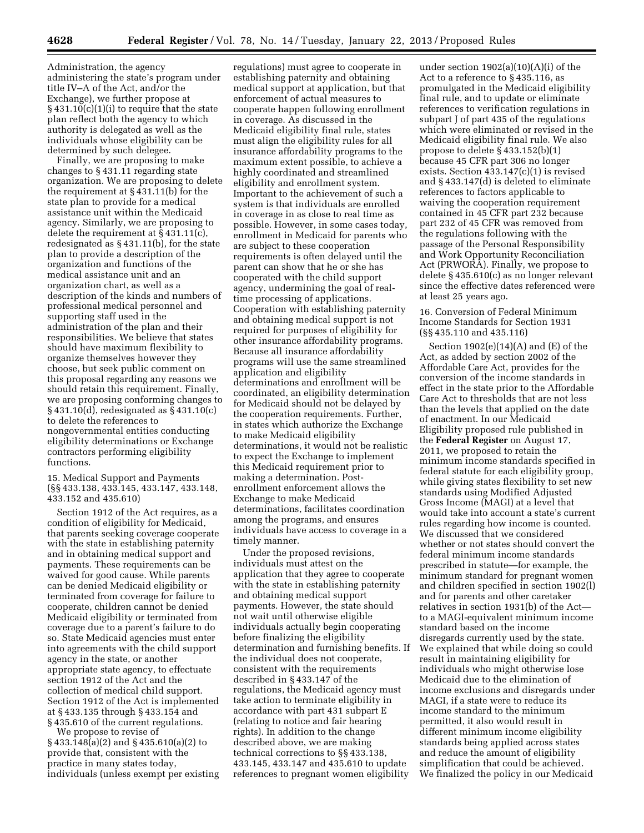Administration, the agency administering the state's program under title IV–A of the Act, and/or the Exchange), we further propose at  $§$  431.10(c)(1)(i) to require that the state plan reflect both the agency to which authority is delegated as well as the individuals whose eligibility can be determined by such delegee.

Finally, we are proposing to make changes to § 431.11 regarding state organization. We are proposing to delete the requirement at § 431.11(b) for the state plan to provide for a medical assistance unit within the Medicaid agency. Similarly, we are proposing to delete the requirement at § 431.11(c), redesignated as § 431.11(b), for the state plan to provide a description of the organization and functions of the medical assistance unit and an organization chart, as well as a description of the kinds and numbers of professional medical personnel and supporting staff used in the administration of the plan and their responsibilities. We believe that states should have maximum flexibility to organize themselves however they choose, but seek public comment on this proposal regarding any reasons we should retain this requirement. Finally, we are proposing conforming changes to § 431.10(d), redesignated as § 431.10(c) to delete the references to nongovernmental entities conducting eligibility determinations or Exchange contractors performing eligibility functions.

15. Medical Support and Payments (§§ 433.138, 433.145, 433.147, 433.148, 433.152 and 435.610)

Section 1912 of the Act requires, as a condition of eligibility for Medicaid, that parents seeking coverage cooperate with the state in establishing paternity and in obtaining medical support and payments. These requirements can be waived for good cause. While parents can be denied Medicaid eligibility or terminated from coverage for failure to cooperate, children cannot be denied Medicaid eligibility or terminated from coverage due to a parent's failure to do so. State Medicaid agencies must enter into agreements with the child support agency in the state, or another appropriate state agency, to effectuate section 1912 of the Act and the collection of medical child support. Section 1912 of the Act is implemented at § 433.135 through § 433.154 and § 435.610 of the current regulations.

We propose to revise of § 433.148(a)(2) and § 435.610(a)(2) to provide that, consistent with the practice in many states today, individuals (unless exempt per existing

regulations) must agree to cooperate in establishing paternity and obtaining medical support at application, but that enforcement of actual measures to cooperate happen following enrollment in coverage. As discussed in the Medicaid eligibility final rule, states must align the eligibility rules for all insurance affordability programs to the maximum extent possible, to achieve a highly coordinated and streamlined eligibility and enrollment system. Important to the achievement of such a system is that individuals are enrolled in coverage in as close to real time as possible. However, in some cases today, enrollment in Medicaid for parents who are subject to these cooperation requirements is often delayed until the parent can show that he or she has cooperated with the child support agency, undermining the goal of realtime processing of applications. Cooperation with establishing paternity and obtaining medical support is not required for purposes of eligibility for other insurance affordability programs. Because all insurance affordability programs will use the same streamlined application and eligibility determinations and enrollment will be coordinated, an eligibility determination for Medicaid should not be delayed by the cooperation requirements. Further, in states which authorize the Exchange to make Medicaid eligibility determinations, it would not be realistic to expect the Exchange to implement this Medicaid requirement prior to making a determination. Postenrollment enforcement allows the Exchange to make Medicaid determinations, facilitates coordination among the programs, and ensures individuals have access to coverage in a timely manner.

Under the proposed revisions, individuals must attest on the application that they agree to cooperate with the state in establishing paternity and obtaining medical support payments. However, the state should not wait until otherwise eligible individuals actually begin cooperating before finalizing the eligibility determination and furnishing benefits. If the individual does not cooperate, consistent with the requirements described in § 433.147 of the regulations, the Medicaid agency must take action to terminate eligibility in accordance with part 431 subpart E (relating to notice and fair hearing rights). In addition to the change described above, we are making technical corrections to §§ 433.138, 433.145, 433.147 and 435.610 to update references to pregnant women eligibility

under section 1902(a)(10)(A)(i) of the Act to a reference to § 435.116, as promulgated in the Medicaid eligibility final rule, and to update or eliminate references to verification regulations in subpart J of part 435 of the regulations which were eliminated or revised in the Medicaid eligibility final rule. We also propose to delete § 433.152(b)(1) because 45 CFR part 306 no longer exists. Section 433.147(c)(1) is revised and § 433.147(d) is deleted to eliminate references to factors applicable to waiving the cooperation requirement contained in 45 CFR part 232 because part 232 of 45 CFR was removed from the regulations following with the passage of the Personal Responsibility and Work Opportunity Reconciliation Act (PRWORA). Finally, we propose to delete § 435.610(c) as no longer relevant since the effective dates referenced were at least 25 years ago.

16. Conversion of Federal Minimum Income Standards for Section 1931 (§§ 435.110 and 435.116)

Section  $1902(e)(14)(A)$  and  $(E)$  of the Act, as added by section 2002 of the Affordable Care Act, provides for the conversion of the income standards in effect in the state prior to the Affordable Care Act to thresholds that are not less than the levels that applied on the date of enactment. In our Medicaid Eligibility proposed rule published in the **Federal Register** on August 17, 2011, we proposed to retain the minimum income standards specified in federal statute for each eligibility group, while giving states flexibility to set new standards using Modified Adjusted Gross Income (MAGI) at a level that would take into account a state's current rules regarding how income is counted. We discussed that we considered whether or not states should convert the federal minimum income standards prescribed in statute—for example, the minimum standard for pregnant women and children specified in section 1902(l) and for parents and other caretaker relatives in section 1931(b) of the Act to a MAGI-equivalent minimum income standard based on the income disregards currently used by the state. We explained that while doing so could result in maintaining eligibility for individuals who might otherwise lose Medicaid due to the elimination of income exclusions and disregards under MAGI, if a state were to reduce its income standard to the minimum permitted, it also would result in different minimum income eligibility standards being applied across states and reduce the amount of eligibility simplification that could be achieved. We finalized the policy in our Medicaid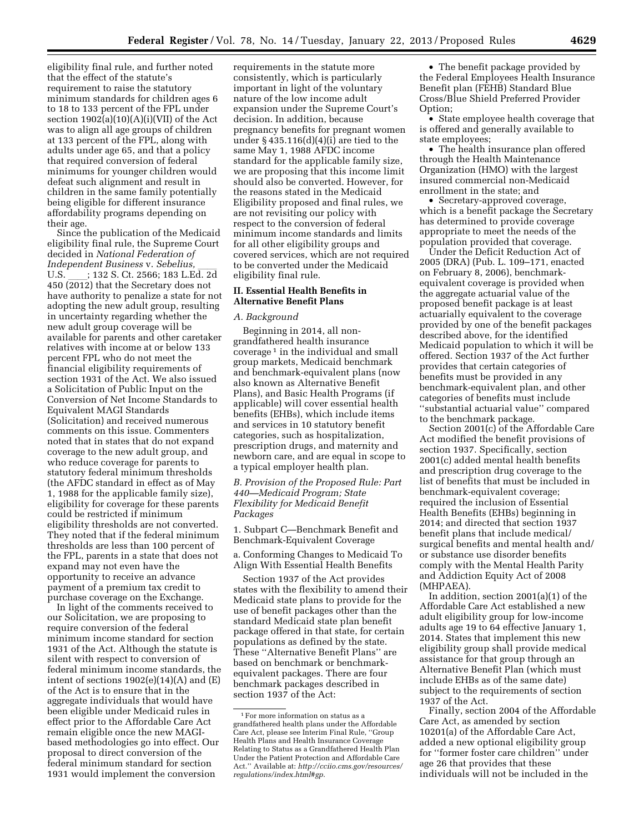eligibility final rule, and further noted that the effect of the statute's requirement to raise the statutory minimum standards for children ages 6 to 18 to 133 percent of the FPL under section  $1902(a)(10)(A)(i)(VII)$  of the Act was to align all age groups of children at 133 percent of the FPL, along with adults under age 65, and that a policy that required conversion of federal minimums for younger children would defeat such alignment and result in children in the same family potentially being eligible for different insurance affordability programs depending on their age.

Since the publication of the Medicaid eligibility final rule, the Supreme Court decided in *National Federation of Independent Business* v. *Sebelius,* ll U.S. \_\_\_\_; 132 S. Ct. 2566; 183 L.Ed. 2d<br>450 (2012) that the Secretary does not have authority to penalize a state for not adopting the new adult group, resulting in uncertainty regarding whether the new adult group coverage will be available for parents and other caretaker relatives with income at or below 133 percent FPL who do not meet the financial eligibility requirements of section 1931 of the Act. We also issued a Solicitation of Public Input on the Conversion of Net Income Standards to Equivalent MAGI Standards (Solicitation) and received numerous comments on this issue. Commenters noted that in states that do not expand coverage to the new adult group, and who reduce coverage for parents to statutory federal minimum thresholds (the AFDC standard in effect as of May 1, 1988 for the applicable family size), eligibility for coverage for these parents could be restricted if minimum eligibility thresholds are not converted. They noted that if the federal minimum thresholds are less than 100 percent of the FPL, parents in a state that does not expand may not even have the opportunity to receive an advance payment of a premium tax credit to purchase coverage on the Exchange.

In light of the comments received to our Solicitation, we are proposing to require conversion of the federal minimum income standard for section 1931 of the Act. Although the statute is silent with respect to conversion of federal minimum income standards, the intent of sections  $1902(e)(14)(A)$  and  $(E)$ of the Act is to ensure that in the aggregate individuals that would have been eligible under Medicaid rules in effect prior to the Affordable Care Act remain eligible once the new MAGIbased methodologies go into effect. Our proposal to direct conversion of the federal minimum standard for section 1931 would implement the conversion

requirements in the statute more consistently, which is particularly important in light of the voluntary nature of the low income adult expansion under the Supreme Court's decision. In addition, because pregnancy benefits for pregnant women under § 435.116(d)(4)(i) are tied to the same May 1, 1988 AFDC income standard for the applicable family size, we are proposing that this income limit should also be converted. However, for the reasons stated in the Medicaid Eligibility proposed and final rules, we are not revisiting our policy with respect to the conversion of federal minimum income standards and limits for all other eligibility groups and covered services, which are not required to be converted under the Medicaid eligibility final rule.

## **II. Essential Health Benefits in Alternative Benefit Plans**

# *A. Background*

Beginning in 2014, all nongrandfathered health insurance coverage 1 in the individual and small group markets, Medicaid benchmark and benchmark-equivalent plans (now also known as Alternative Benefit Plans), and Basic Health Programs (if applicable) will cover essential health benefits (EHBs), which include items and services in 10 statutory benefit categories, such as hospitalization, prescription drugs, and maternity and newborn care, and are equal in scope to a typical employer health plan.

*B. Provision of the Proposed Rule: Part 440—Medicaid Program; State Flexibility for Medicaid Benefit Packages* 

1. Subpart C—Benchmark Benefit and Benchmark-Equivalent Coverage

a. Conforming Changes to Medicaid To Align With Essential Health Benefits

Section 1937 of the Act provides states with the flexibility to amend their Medicaid state plans to provide for the use of benefit packages other than the standard Medicaid state plan benefit package offered in that state, for certain populations as defined by the state. These ''Alternative Benefit Plans'' are based on benchmark or benchmarkequivalent packages. There are four benchmark packages described in section 1937 of the Act:

• The benefit package provided by the Federal Employees Health Insurance Benefit plan (FEHB) Standard Blue Cross/Blue Shield Preferred Provider Option;

• State employee health coverage that is offered and generally available to state employees;

• The health insurance plan offered through the Health Maintenance Organization (HMO) with the largest insured commercial non-Medicaid enrollment in the state; and

• Secretary-approved coverage, which is a benefit package the Secretary has determined to provide coverage appropriate to meet the needs of the population provided that coverage.

Under the Deficit Reduction Act of 2005 (DRA) (Pub. L. 109–171, enacted on February 8, 2006), benchmarkequivalent coverage is provided when the aggregate actuarial value of the proposed benefit package is at least actuarially equivalent to the coverage provided by one of the benefit packages described above, for the identified Medicaid population to which it will be offered. Section 1937 of the Act further provides that certain categories of benefits must be provided in any benchmark-equivalent plan, and other categories of benefits must include ''substantial actuarial value'' compared to the benchmark package.

Section 2001(c) of the Affordable Care Act modified the benefit provisions of section 1937. Specifically, section 2001(c) added mental health benefits and prescription drug coverage to the list of benefits that must be included in benchmark-equivalent coverage; required the inclusion of Essential Health Benefits (EHBs) beginning in 2014; and directed that section 1937 benefit plans that include medical/ surgical benefits and mental health and/ or substance use disorder benefits comply with the Mental Health Parity and Addiction Equity Act of 2008 (MHPAEA).

In addition, section 2001(a)(1) of the Affordable Care Act established a new adult eligibility group for low-income adults age 19 to 64 effective January 1, 2014. States that implement this new eligibility group shall provide medical assistance for that group through an Alternative Benefit Plan (which must include EHBs as of the same date) subject to the requirements of section 1937 of the Act.

Finally, section 2004 of the Affordable Care Act, as amended by section 10201(a) of the Affordable Care Act, added a new optional eligibility group for ''former foster care children'' under age 26 that provides that these individuals will not be included in the

 $^{\rm 1}\mathrm{For}$  more information on status as a grandfathered health plans under the Affordable Care Act, please see Interim Final Rule, ''Group Health Plans and Health Insurance Coverage Relating to Status as a Grandfathered Health Plan Under the Patient Protection and Affordable Care Act.'' Available at: *[http://cciio.cms.gov/resources/](http://cciio.cms.gov/resources/regulations/index.html#gp)  [regulations/index.html#gp](http://cciio.cms.gov/resources/regulations/index.html#gp)*.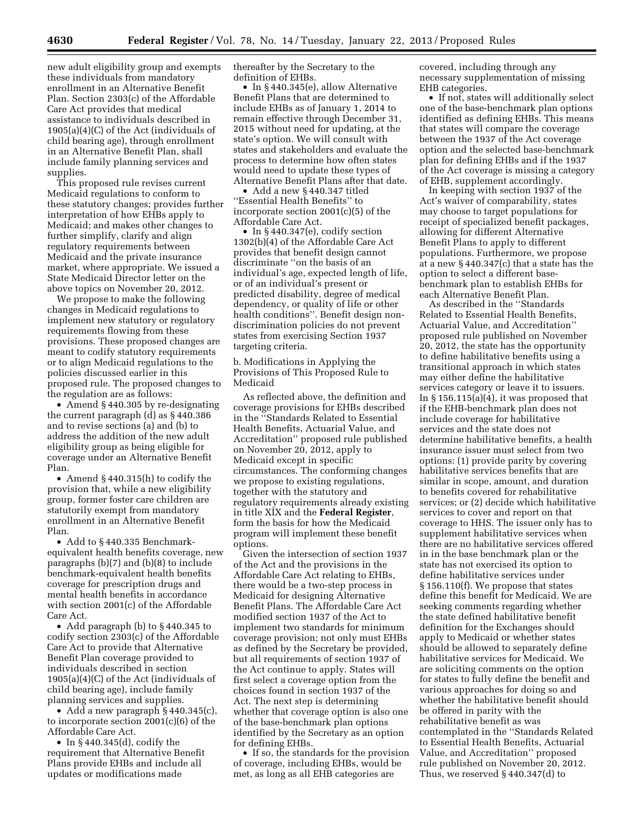new adult eligibility group and exempts these individuals from mandatory enrollment in an Alternative Benefit Plan. Section 2303(c) of the Affordable Care Act provides that medical assistance to individuals described in 1905(a)(4)(C) of the Act (individuals of child bearing age), through enrollment in an Alternative Benefit Plan, shall include family planning services and supplies.

This proposed rule revises current Medicaid regulations to conform to these statutory changes; provides further interpretation of how EHBs apply to Medicaid; and makes other changes to further simplify, clarify and align regulatory requirements between Medicaid and the private insurance market, where appropriate. We issued a State Medicaid Director letter on the above topics on November 20, 2012.

We propose to make the following changes in Medicaid regulations to implement new statutory or regulatory requirements flowing from these provisions. These proposed changes are meant to codify statutory requirements or to align Medicaid regulations to the policies discussed earlier in this proposed rule. The proposed changes to the regulation are as follows:

• Amend § 440.305 by re-designating the current paragraph (d) as § 440.386 and to revise sections (a) and (b) to address the addition of the new adult eligibility group as being eligible for coverage under an Alternative Benefit Plan.

• Amend §440.315(h) to codify the provision that, while a new eligibility group, former foster care children are statutorily exempt from mandatory enrollment in an Alternative Benefit Plan.

• Add to § 440.335 Benchmarkequivalent health benefits coverage, new paragraphs (b)(7) and (b)(8) to include benchmark-equivalent health benefits coverage for prescription drugs and mental health benefits in accordance with section 2001(c) of the Affordable Care Act.

• Add paragraph (b) to §440.345 to codify section 2303(c) of the Affordable Care Act to provide that Alternative Benefit Plan coverage provided to individuals described in section 1905(a)(4)(C) of the Act (individuals of child bearing age), include family planning services and supplies.

• Add a new paragraph § 440.345(c), to incorporate section 2001(c)(6) of the Affordable Care Act.

• In § 440.345(d), codify the requirement that Alternative Benefit Plans provide EHBs and include all updates or modifications made

thereafter by the Secretary to the definition of EHBs.

• In §440.345(e), allow Alternative Benefit Plans that are determined to include EHBs as of January 1, 2014 to remain effective through December 31, 2015 without need for updating, at the state's option. We will consult with states and stakeholders and evaluate the process to determine how often states would need to update these types of Alternative Benefit Plans after that date.

• Add a new § 440.347 titled ''Essential Health Benefits'' to incorporate section 2001(c)(5) of the Affordable Care Act.

• In §440.347(e), codify section 1302(b)(4) of the Affordable Care Act provides that benefit design cannot discriminate ''on the basis of an individual's age, expected length of life, or of an individual's present or predicted disability, degree of medical dependency, or quality of life or other health conditions''. Benefit design nondiscrimination policies do not prevent states from exercising Section 1937 targeting criteria.

b. Modifications in Applying the Provisions of This Proposed Rule to Medicaid

As reflected above, the definition and coverage provisions for EHBs described in the ''Standards Related to Essential Health Benefits, Actuarial Value, and Accreditation'' proposed rule published on November 20, 2012, apply to Medicaid except in specific circumstances. The conforming changes we propose to existing regulations, together with the statutory and regulatory requirements already existing in title XIX and the **Federal Register**, form the basis for how the Medicaid program will implement these benefit options.

Given the intersection of section 1937 of the Act and the provisions in the Affordable Care Act relating to EHBs, there would be a two-step process in Medicaid for designing Alternative Benefit Plans. The Affordable Care Act modified section 1937 of the Act to implement two standards for minimum coverage provision; not only must EHBs as defined by the Secretary be provided, but all requirements of section 1937 of the Act continue to apply. States will first select a coverage option from the choices found in section 1937 of the Act. The next step is determining whether that coverage option is also one of the base-benchmark plan options identified by the Secretary as an option for defining EHBs.

• If so, the standards for the provision of coverage, including EHBs, would be met, as long as all EHB categories are

covered, including through any necessary supplementation of missing EHB categories.

• If not, states will additionally select one of the base-benchmark plan options identified as defining EHBs. This means that states will compare the coverage between the 1937 of the Act coverage option and the selected base-benchmark plan for defining EHBs and if the 1937 of the Act coverage is missing a category of EHB, supplement accordingly.

In keeping with section 1937 of the Act's waiver of comparability, states may choose to target populations for receipt of specialized benefit packages, allowing for different Alternative Benefit Plans to apply to different populations. Furthermore, we propose at a new § 440.347(c) that a state has the option to select a different basebenchmark plan to establish EHBs for each Alternative Benefit Plan.

As described in the ''Standards Related to Essential Health Benefits, Actuarial Value, and Accreditation'' proposed rule published on November 20, 2012, the state has the opportunity to define habilitative benefits using a transitional approach in which states may either define the habilitative services category or leave it to issuers. In  $\S 156.115(a)(4)$ , it was proposed that if the EHB-benchmark plan does not include coverage for habilitative services and the state does not determine habilitative benefits, a health insurance issuer must select from two options: (1) provide parity by covering habilitative services benefits that are similar in scope, amount, and duration to benefits covered for rehabilitative services; or (2) decide which habilitative services to cover and report on that coverage to HHS. The issuer only has to supplement habilitative services when there are no habilitative services offered in in the base benchmark plan or the state has not exercised its option to define habilitative services under § 156.110(f). We propose that states define this benefit for Medicaid. We are seeking comments regarding whether the state defined habilitative benefit definition for the Exchanges should apply to Medicaid or whether states should be allowed to separately define habilitative services for Medicaid. We are soliciting comments on the option for states to fully define the benefit and various approaches for doing so and whether the habilitative benefit should be offered in parity with the rehabilitative benefit as was contemplated in the ''Standards Related to Essential Health Benefits, Actuarial Value, and Accreditation'' proposed rule published on November 20, 2012. Thus, we reserved § 440.347(d) to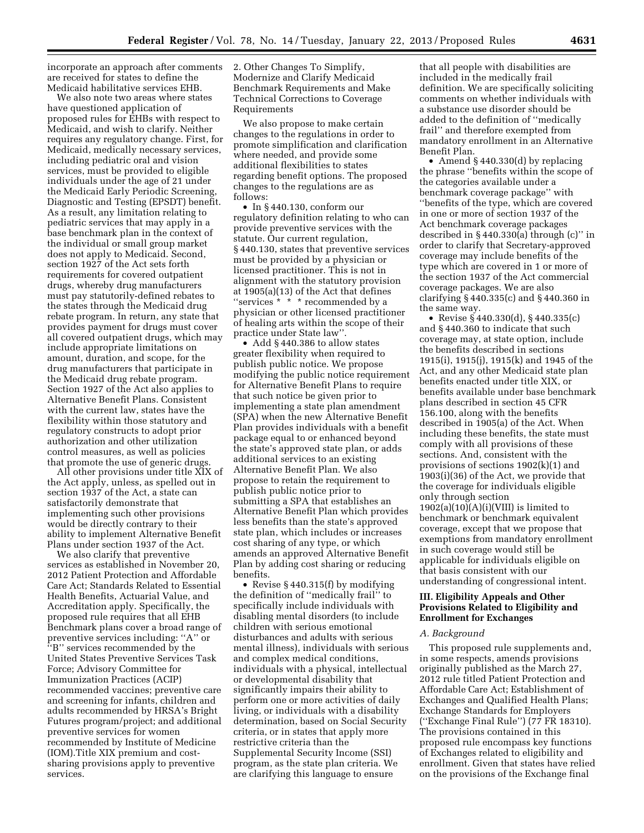incorporate an approach after comments are received for states to define the Medicaid habilitative services EHB.

We also note two areas where states have questioned application of proposed rules for EHBs with respect to Medicaid, and wish to clarify. Neither requires any regulatory change. First, for Medicaid, medically necessary services, including pediatric oral and vision services, must be provided to eligible individuals under the age of 21 under the Medicaid Early Periodic Screening, Diagnostic and Testing (EPSDT) benefit. As a result, any limitation relating to pediatric services that may apply in a base benchmark plan in the context of the individual or small group market does not apply to Medicaid. Second, section 1927 of the Act sets forth requirements for covered outpatient drugs, whereby drug manufacturers must pay statutorily-defined rebates to the states through the Medicaid drug rebate program. In return, any state that provides payment for drugs must cover all covered outpatient drugs, which may include appropriate limitations on amount, duration, and scope, for the drug manufacturers that participate in the Medicaid drug rebate program. Section 1927 of the Act also applies to Alternative Benefit Plans. Consistent with the current law, states have the flexibility within those statutory and regulatory constructs to adopt prior authorization and other utilization control measures, as well as policies that promote the use of generic drugs.

All other provisions under title XIX of the Act apply, unless, as spelled out in section 1937 of the Act, a state can satisfactorily demonstrate that implementing such other provisions would be directly contrary to their ability to implement Alternative Benefit Plans under section 1937 of the Act.

We also clarify that preventive services as established in November 20, 2012 Patient Protection and Affordable Care Act; Standards Related to Essential Health Benefits, Actuarial Value, and Accreditation apply. Specifically, the proposed rule requires that all EHB Benchmark plans cover a broad range of preventive services including: ''A'' or ''B'' services recommended by the United States Preventive Services Task Force; Advisory Committee for Immunization Practices (ACIP) recommended vaccines; preventive care and screening for infants, children and adults recommended by HRSA's Bright Futures program/project; and additional preventive services for women recommended by Institute of Medicine (IOM).Title XIX premium and costsharing provisions apply to preventive services.

2. Other Changes To Simplify, Modernize and Clarify Medicaid Benchmark Requirements and Make Technical Corrections to Coverage Requirements

We also propose to make certain changes to the regulations in order to promote simplification and clarification where needed, and provide some additional flexibilities to states regarding benefit options. The proposed changes to the regulations are as follows:

• In § 440.130, conform our regulatory definition relating to who can provide preventive services with the statute. Our current regulation, § 440.130, states that preventive services must be provided by a physician or licensed practitioner. This is not in alignment with the statutory provision at 1905(a)(13) of the Act that defines ''services \* \* \* recommended by a physician or other licensed practitioner of healing arts within the scope of their practice under State law''.

• Add §440.386 to allow states greater flexibility when required to publish public notice. We propose modifying the public notice requirement for Alternative Benefit Plans to require that such notice be given prior to implementing a state plan amendment (SPA) when the new Alternative Benefit Plan provides individuals with a benefit package equal to or enhanced beyond the state's approved state plan, or adds additional services to an existing Alternative Benefit Plan. We also propose to retain the requirement to publish public notice prior to submitting a SPA that establishes an Alternative Benefit Plan which provides less benefits than the state's approved state plan, which includes or increases cost sharing of any type, or which amends an approved Alternative Benefit Plan by adding cost sharing or reducing benefits.

• Revise § 440.315(f) by modifying the definition of ''medically frail'' to specifically include individuals with disabling mental disorders (to include children with serious emotional disturbances and adults with serious mental illness), individuals with serious and complex medical conditions, individuals with a physical, intellectual or developmental disability that significantly impairs their ability to perform one or more activities of daily living, or individuals with a disability determination, based on Social Security criteria, or in states that apply more restrictive criteria than the Supplemental Security Income (SSI) program, as the state plan criteria. We are clarifying this language to ensure

that all people with disabilities are included in the medically frail definition. We are specifically soliciting comments on whether individuals with a substance use disorder should be added to the definition of ''medically frail'' and therefore exempted from mandatory enrollment in an Alternative Benefit Plan.

• Amend §440.330(d) by replacing the phrase ''benefits within the scope of the categories available under a benchmark coverage package'' with ''benefits of the type, which are covered in one or more of section 1937 of the Act benchmark coverage packages described in § 440.330(a) through (c)'' in order to clarify that Secretary-approved coverage may include benefits of the type which are covered in 1 or more of the section 1937 of the Act commercial coverage packages. We are also clarifying § 440.335(c) and § 440.360 in the same way.

• Revise § 440.330(d), § 440.335(c) and § 440.360 to indicate that such coverage may, at state option, include the benefits described in sections 1915(i), 1915(j), 1915(k) and 1945 of the Act, and any other Medicaid state plan benefits enacted under title XIX, or benefits available under base benchmark plans described in section 45 CFR 156.100, along with the benefits described in 1905(a) of the Act. When including these benefits, the state must comply with all provisions of these sections. And, consistent with the provisions of sections 1902(k)(1) and 1903(i)(36) of the Act, we provide that the coverage for individuals eligible only through section  $1902(a)(10)(A)(i)(VIII)$  is limited to benchmark or benchmark equivalent coverage, except that we propose that exemptions from mandatory enrollment in such coverage would still be applicable for individuals eligible on that basis consistent with our understanding of congressional intent.

# **III. Eligibility Appeals and Other Provisions Related to Eligibility and Enrollment for Exchanges**

#### *A. Background*

This proposed rule supplements and, in some respects, amends provisions originally published as the March 27, 2012 rule titled Patient Protection and Affordable Care Act; Establishment of Exchanges and Qualified Health Plans; Exchange Standards for Employers (''Exchange Final Rule'') (77 FR 18310). The provisions contained in this proposed rule encompass key functions of Exchanges related to eligibility and enrollment. Given that states have relied on the provisions of the Exchange final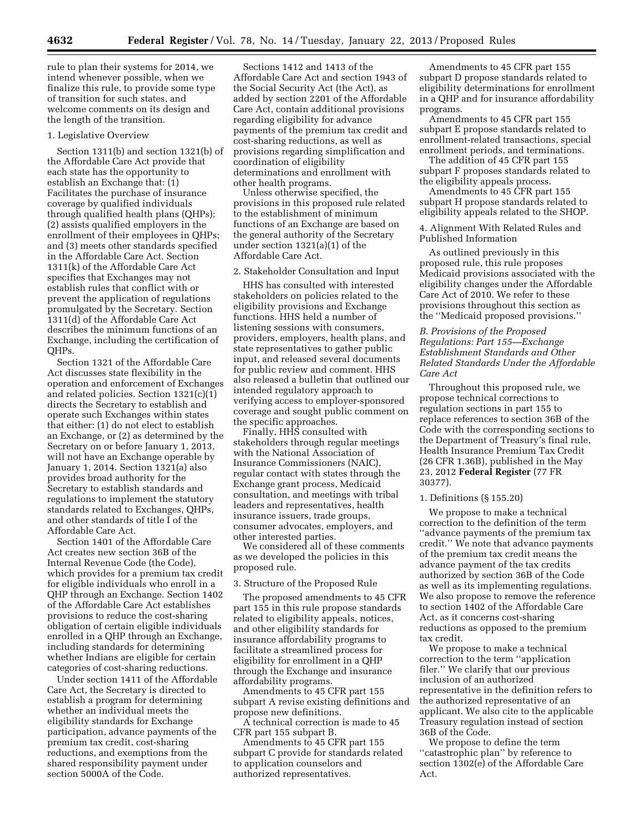rule to plan their systems for 2014, we intend whenever possible, when we finalize this rule, to provide some type of transition for such states, and welcome comments on its design and the length of the transition.

#### 1. Legislative Overview

Section 1311(b) and section 1321(b) of the Affordable Care Act provide that each state has the opportunity to establish an Exchange that: (1) Facilitates the purchase of insurance coverage by qualified individuals through qualified health plans (QHPs); (2) assists qualified employers in the enrollment of their employees in QHPs; and (3) meets other standards specified in the Affordable Care Act. Section 1311(k) of the Affordable Care Act specifies that Exchanges may not establish rules that conflict with or prevent the application of regulations promulgated by the Secretary. Section 1311(d) of the Affordable Care Act describes the minimum functions of an Exchange, including the certification of QHPs.

Section 1321 of the Affordable Care Act discusses state flexibility in the operation and enforcement of Exchanges and related policies. Section 1321(c)(1) directs the Secretary to establish and operate such Exchanges within states that either: (1) do not elect to establish an Exchange, or (2) as determined by the Secretary on or before January 1, 2013, will not have an Exchange operable by January 1, 2014. Section 1321(a) also provides broad authority for the Secretary to establish standards and regulations to implement the statutory standards related to Exchanges, QHPs, and other standards of title I of the Affordable Care Act.

Section 1401 of the Affordable Care Act creates new section 36B of the Internal Revenue Code (the Code), which provides for a premium tax credit for eligible individuals who enroll in a QHP through an Exchange. Section 1402 of the Affordable Care Act establishes provisions to reduce the cost-sharing obligation of certain eligible individuals enrolled in a QHP through an Exchange, including standards for determining whether Indians are eligible for certain categories of cost-sharing reductions.

Under section 1411 of the Affordable Care Act, the Secretary is directed to establish a program for determining whether an individual meets the eligibility standards for Exchange participation, advance payments of the premium tax credit, cost-sharing reductions, and exemptions from the shared responsibility payment under section 5000A of the Code.

Sections 1412 and 1413 of the Affordable Care Act and section 1943 of the Social Security Act (the Act), as added by section 2201 of the Affordable Care Act, contain additional provisions regarding eligibility for advance payments of the premium tax credit and cost-sharing reductions, as well as provisions regarding simplification and coordination of eligibility determinations and enrollment with other health programs.

Unless otherwise specified, the provisions in this proposed rule related to the establishment of minimum functions of an Exchange are based on the general authority of the Secretary under section 1321(a)(1) of the Affordable Care Act.

#### 2. Stakeholder Consultation and Input

HHS has consulted with interested stakeholders on policies related to the eligibility provisions and Exchange functions. HHS held a number of listening sessions with consumers, providers, employers, health plans, and state representatives to gather public input, and released several documents for public review and comment. HHS also released a bulletin that outlined our intended regulatory approach to verifying access to employer-sponsored coverage and sought public comment on the specific approaches.

Finally, HHS consulted with stakeholders through regular meetings with the National Association of Insurance Commissioners (NAIC), regular contact with states through the Exchange grant process, Medicaid consultation, and meetings with tribal leaders and representatives, health insurance issuers, trade groups, consumer advocates, employers, and other interested parties.

We considered all of these comments as we developed the policies in this proposed rule.

## 3. Structure of the Proposed Rule

The proposed amendments to 45 CFR part 155 in this rule propose standards related to eligibility appeals, notices, and other eligibility standards for insurance affordability programs to facilitate a streamlined process for eligibility for enrollment in a QHP through the Exchange and insurance affordability programs.

Amendments to 45 CFR part 155 subpart A revise existing definitions and propose new definitions.

A technical correction is made to 45 CFR part 155 subpart B.

Amendments to 45 CFR part 155 subpart C provide for standards related to application counselors and authorized representatives.

Amendments to 45 CFR part 155 subpart D propose standards related to eligibility determinations for enrollment in a QHP and for insurance affordability programs.

Amendments to 45 CFR part 155 subpart E propose standards related to enrollment-related transactions, special enrollment periods, and terminations.

The addition of 45 CFR part 155 subpart F proposes standards related to the eligibility appeals process.

Amendments to 45 CFR part 155 subpart H propose standards related to eligibility appeals related to the SHOP.

4. Alignment With Related Rules and Published Information

As outlined previously in this proposed rule, this rule proposes Medicaid provisions associated with the eligibility changes under the Affordable Care Act of 2010. We refer to these provisions throughout this section as the ''Medicaid proposed provisions.''

# *B. Provisions of the Proposed Regulations: Part 155—Exchange Establishment Standards and Other Related Standards Under the Affordable Care Act*

Throughout this proposed rule, we propose technical corrections to regulation sections in part 155 to replace references to section 36B of the Code with the corresponding sections to the Department of Treasury's final rule, Health Insurance Premium Tax Credit (26 CFR 1.36B), published in the May 23, 2012 **Federal Register** (77 FR 30377).

### 1. Definitions (§ 155.20)

We propose to make a technical correction to the definition of the term ''advance payments of the premium tax credit.'' We note that advance payments of the premium tax credit means the advance payment of the tax credits authorized by section 36B of the Code as well as its implementing regulations. We also propose to remove the reference to section 1402 of the Affordable Care Act, as it concerns cost-sharing reductions as opposed to the premium tax credit.

We propose to make a technical correction to the term ''application filer.'' We clarify that our previous inclusion of an authorized representative in the definition refers to the authorized representative of an applicant. We also cite to the applicable Treasury regulation instead of section 36B of the Code.

We propose to define the term ''catastrophic plan'' by reference to section 1302(e) of the Affordable Care Act.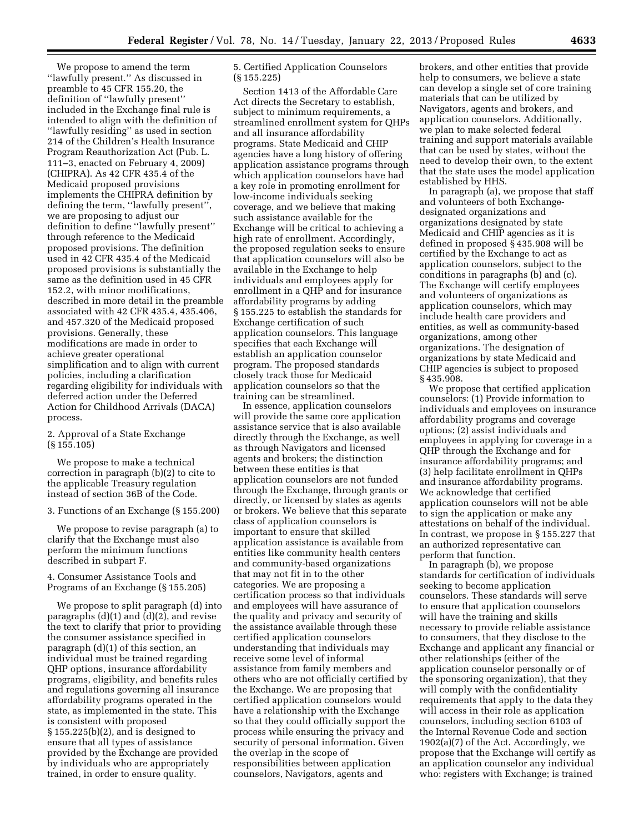We propose to amend the term ''lawfully present.'' As discussed in preamble to 45 CFR 155.20, the definition of ''lawfully present'' included in the Exchange final rule is intended to align with the definition of ''lawfully residing'' as used in section 214 of the Children's Health Insurance Program Reauthorization Act (Pub. L. 111–3, enacted on February 4, 2009) (CHIPRA). As 42 CFR 435.4 of the Medicaid proposed provisions implements the CHIPRA definition by defining the term, ''lawfully present'', we are proposing to adjust our definition to define ''lawfully present'' through reference to the Medicaid proposed provisions. The definition used in 42 CFR 435.4 of the Medicaid proposed provisions is substantially the same as the definition used in 45 CFR 152.2, with minor modifications, described in more detail in the preamble associated with 42 CFR 435.4, 435.406, and 457.320 of the Medicaid proposed provisions. Generally, these modifications are made in order to achieve greater operational simplification and to align with current policies, including a clarification regarding eligibility for individuals with deferred action under the Deferred Action for Childhood Arrivals (DACA) process.

# 2. Approval of a State Exchange (§ 155.105)

We propose to make a technical correction in paragraph (b)(2) to cite to the applicable Treasury regulation instead of section 36B of the Code.

### 3. Functions of an Exchange (§ 155.200)

We propose to revise paragraph (a) to clarify that the Exchange must also perform the minimum functions described in subpart F.

4. Consumer Assistance Tools and Programs of an Exchange (§ 155.205)

We propose to split paragraph (d) into paragraphs (d)(1) and (d)(2), and revise the text to clarify that prior to providing the consumer assistance specified in paragraph (d)(1) of this section, an individual must be trained regarding QHP options, insurance affordability programs, eligibility, and benefits rules and regulations governing all insurance affordability programs operated in the state, as implemented in the state. This is consistent with proposed § 155.225(b)(2), and is designed to ensure that all types of assistance provided by the Exchange are provided by individuals who are appropriately trained, in order to ensure quality.

# 5. Certified Application Counselors (§ 155.225)

Section 1413 of the Affordable Care Act directs the Secretary to establish, subject to minimum requirements, a streamlined enrollment system for QHPs and all insurance affordability programs. State Medicaid and CHIP agencies have a long history of offering application assistance programs through which application counselors have had a key role in promoting enrollment for low-income individuals seeking coverage, and we believe that making such assistance available for the Exchange will be critical to achieving a high rate of enrollment. Accordingly, the proposed regulation seeks to ensure that application counselors will also be available in the Exchange to help individuals and employees apply for enrollment in a QHP and for insurance affordability programs by adding § 155.225 to establish the standards for Exchange certification of such application counselors. This language specifies that each Exchange will establish an application counselor program. The proposed standards closely track those for Medicaid application counselors so that the training can be streamlined.

In essence, application counselors will provide the same core application assistance service that is also available directly through the Exchange, as well as through Navigators and licensed agents and brokers; the distinction between these entities is that application counselors are not funded through the Exchange, through grants or directly, or licensed by states as agents or brokers. We believe that this separate class of application counselors is important to ensure that skilled application assistance is available from entities like community health centers and community-based organizations that may not fit in to the other categories. We are proposing a certification process so that individuals and employees will have assurance of the quality and privacy and security of the assistance available through these certified application counselors understanding that individuals may receive some level of informal assistance from family members and others who are not officially certified by the Exchange. We are proposing that certified application counselors would have a relationship with the Exchange so that they could officially support the process while ensuring the privacy and security of personal information. Given the overlap in the scope of responsibilities between application counselors, Navigators, agents and

brokers, and other entities that provide help to consumers, we believe a state can develop a single set of core training materials that can be utilized by Navigators, agents and brokers, and application counselors. Additionally, we plan to make selected federal training and support materials available that can be used by states, without the need to develop their own, to the extent that the state uses the model application established by HHS.

In paragraph (a), we propose that staff and volunteers of both Exchangedesignated organizations and organizations designated by state Medicaid and CHIP agencies as it is defined in proposed § 435.908 will be certified by the Exchange to act as application counselors, subject to the conditions in paragraphs (b) and (c). The Exchange will certify employees and volunteers of organizations as application counselors, which may include health care providers and entities, as well as community-based organizations, among other organizations. The designation of organizations by state Medicaid and CHIP agencies is subject to proposed § 435.908.

We propose that certified application counselors: (1) Provide information to individuals and employees on insurance affordability programs and coverage options; (2) assist individuals and employees in applying for coverage in a QHP through the Exchange and for insurance affordability programs; and (3) help facilitate enrollment in QHPs and insurance affordability programs. We acknowledge that certified application counselors will not be able to sign the application or make any attestations on behalf of the individual. In contrast, we propose in § 155.227 that an authorized representative can perform that function.

In paragraph (b), we propose standards for certification of individuals seeking to become application counselors. These standards will serve to ensure that application counselors will have the training and skills necessary to provide reliable assistance to consumers, that they disclose to the Exchange and applicant any financial or other relationships (either of the application counselor personally or of the sponsoring organization), that they will comply with the confidentiality requirements that apply to the data they will access in their role as application counselors, including section 6103 of the Internal Revenue Code and section 1902(a)(7) of the Act. Accordingly, we propose that the Exchange will certify as an application counselor any individual who: registers with Exchange; is trained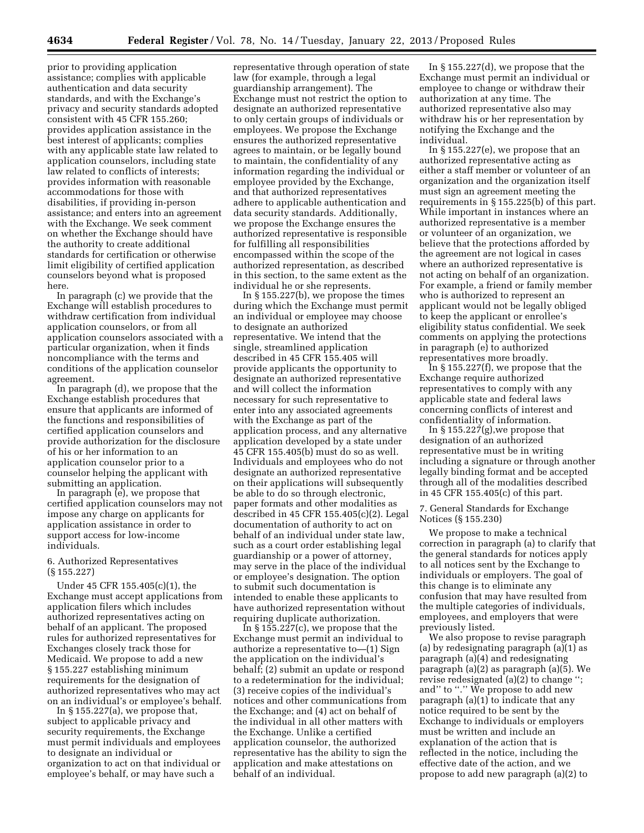prior to providing application assistance; complies with applicable authentication and data security standards, and with the Exchange's privacy and security standards adopted consistent with 45 CFR 155.260; provides application assistance in the best interest of applicants; complies with any applicable state law related to application counselors, including state law related to conflicts of interests; provides information with reasonable accommodations for those with disabilities, if providing in-person assistance; and enters into an agreement with the Exchange. We seek comment on whether the Exchange should have the authority to create additional standards for certification or otherwise limit eligibility of certified application counselors beyond what is proposed here.

In paragraph (c) we provide that the Exchange will establish procedures to withdraw certification from individual application counselors, or from all application counselors associated with a particular organization, when it finds noncompliance with the terms and conditions of the application counselor agreement.

In paragraph (d), we propose that the Exchange establish procedures that ensure that applicants are informed of the functions and responsibilities of certified application counselors and provide authorization for the disclosure of his or her information to an application counselor prior to a counselor helping the applicant with submitting an application.

In paragraph (e), we propose that certified application counselors may not impose any charge on applicants for application assistance in order to support access for low-income individuals.

# 6. Authorized Representatives (§ 155.227)

Under 45 CFR 155.405(c)(1), the Exchange must accept applications from application filers which includes authorized representatives acting on behalf of an applicant. The proposed rules for authorized representatives for Exchanges closely track those for Medicaid. We propose to add a new § 155.227 establishing minimum requirements for the designation of authorized representatives who may act on an individual's or employee's behalf.

In § 155.227(a), we propose that, subject to applicable privacy and security requirements, the Exchange must permit individuals and employees to designate an individual or organization to act on that individual or employee's behalf, or may have such a

representative through operation of state law (for example, through a legal guardianship arrangement). The Exchange must not restrict the option to designate an authorized representative to only certain groups of individuals or employees. We propose the Exchange ensures the authorized representative agrees to maintain, or be legally bound to maintain, the confidentiality of any information regarding the individual or employee provided by the Exchange, and that authorized representatives adhere to applicable authentication and data security standards. Additionally, we propose the Exchange ensures the authorized representative is responsible for fulfilling all responsibilities encompassed within the scope of the authorized representation, as described in this section, to the same extent as the individual he or she represents.

In § 155.227(b), we propose the times during which the Exchange must permit an individual or employee may choose to designate an authorized representative. We intend that the single, streamlined application described in 45 CFR 155.405 will provide applicants the opportunity to designate an authorized representative and will collect the information necessary for such representative to enter into any associated agreements with the Exchange as part of the application process, and any alternative application developed by a state under 45 CFR 155.405(b) must do so as well. Individuals and employees who do not designate an authorized representative on their applications will subsequently be able to do so through electronic, paper formats and other modalities as described in 45 CFR 155.405(c)(2). Legal documentation of authority to act on behalf of an individual under state law, such as a court order establishing legal guardianship or a power of attorney, may serve in the place of the individual or employee's designation. The option to submit such documentation is intended to enable these applicants to have authorized representation without requiring duplicate authorization.

In § 155.227(c), we propose that the Exchange must permit an individual to authorize a representative to—(1) Sign the application on the individual's behalf; (2) submit an update or respond to a redetermination for the individual; (3) receive copies of the individual's notices and other communications from the Exchange; and (4) act on behalf of the individual in all other matters with the Exchange. Unlike a certified application counselor, the authorized representative has the ability to sign the application and make attestations on behalf of an individual.

In § 155.227(d), we propose that the Exchange must permit an individual or employee to change or withdraw their authorization at any time. The authorized representative also may withdraw his or her representation by notifying the Exchange and the individual.

In § 155.227(e), we propose that an authorized representative acting as either a staff member or volunteer of an organization and the organization itself must sign an agreement meeting the requirements in § 155.225(b) of this part. While important in instances where an authorized representative is a member or volunteer of an organization, we believe that the protections afforded by the agreement are not logical in cases where an authorized representative is not acting on behalf of an organization. For example, a friend or family member who is authorized to represent an applicant would not be legally obliged to keep the applicant or enrollee's eligibility status confidential. We seek comments on applying the protections in paragraph (e) to authorized representatives more broadly.

In § 155.227(f), we propose that the Exchange require authorized representatives to comply with any applicable state and federal laws concerning conflicts of interest and confidentiality of information.

In  $\S 155.227(g)$ , we propose that designation of an authorized representative must be in writing including a signature or through another legally binding format and be accepted through all of the modalities described in 45 CFR 155.405(c) of this part.

7. General Standards for Exchange Notices (§ 155.230)

We propose to make a technical correction in paragraph (a) to clarify that the general standards for notices apply to all notices sent by the Exchange to individuals or employers. The goal of this change is to eliminate any confusion that may have resulted from the multiple categories of individuals, employees, and employers that were previously listed.

We also propose to revise paragraph (a) by redesignating paragraph (a)(1) as paragraph (a)(4) and redesignating paragraph (a)(2) as paragraph (a)(5). We revise redesignated (a)(2) to change ''; and" to "." We propose to add new paragraph (a)(1) to indicate that any notice required to be sent by the Exchange to individuals or employers must be written and include an explanation of the action that is reflected in the notice, including the effective date of the action, and we propose to add new paragraph (a)(2) to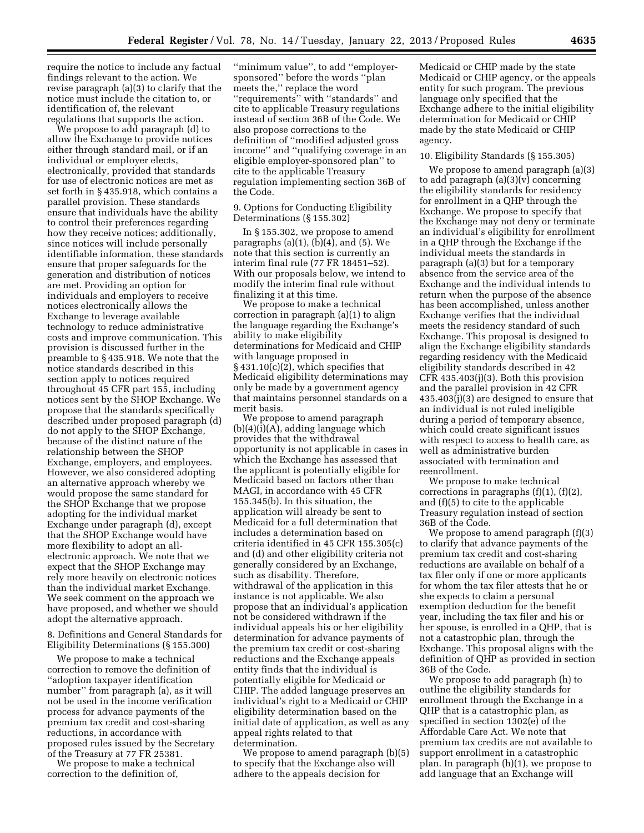require the notice to include any factual findings relevant to the action. We revise paragraph (a)(3) to clarify that the notice must include the citation to, or identification of, the relevant regulations that supports the action.

We propose to add paragraph (d) to allow the Exchange to provide notices either through standard mail, or if an individual or employer elects, electronically, provided that standards for use of electronic notices are met as set forth in § 435.918, which contains a parallel provision. These standards ensure that individuals have the ability to control their preferences regarding how they receive notices; additionally, since notices will include personally identifiable information, these standards ensure that proper safeguards for the generation and distribution of notices are met. Providing an option for individuals and employers to receive notices electronically allows the Exchange to leverage available technology to reduce administrative costs and improve communication. This provision is discussed further in the preamble to § 435.918. We note that the notice standards described in this section apply to notices required throughout 45 CFR part 155, including notices sent by the SHOP Exchange. We propose that the standards specifically described under proposed paragraph (d) do not apply to the SHOP Exchange, because of the distinct nature of the relationship between the SHOP Exchange, employers, and employees. However, we also considered adopting an alternative approach whereby we would propose the same standard for the SHOP Exchange that we propose adopting for the individual market Exchange under paragraph (d), except that the SHOP Exchange would have more flexibility to adopt an allelectronic approach. We note that we expect that the SHOP Exchange may rely more heavily on electronic notices than the individual market Exchange. We seek comment on the approach we have proposed, and whether we should adopt the alternative approach.

8. Definitions and General Standards for Eligibility Determinations (§ 155.300)

We propose to make a technical correction to remove the definition of ''adoption taxpayer identification number'' from paragraph (a), as it will not be used in the income verification process for advance payments of the premium tax credit and cost-sharing reductions, in accordance with proposed rules issued by the Secretary of the Treasury at 77 FR 25381.

We propose to make a technical correction to the definition of,

''minimum value'', to add ''employersponsored'' before the words ''plan meets the,'' replace the word ''requirements'' with ''standards'' and cite to applicable Treasury regulations instead of section 36B of the Code. We also propose corrections to the definition of ''modified adjusted gross income'' and ''qualifying coverage in an eligible employer-sponsored plan'' to cite to the applicable Treasury regulation implementing section 36B of the Code.

9. Options for Conducting Eligibility Determinations (§ 155.302)

In § 155.302, we propose to amend paragraphs  $(a)(1)$ ,  $(b)(4)$ , and  $(5)$ . We note that this section is currently an interim final rule (77 FR 18451–52). With our proposals below, we intend to modify the interim final rule without finalizing it at this time.

We propose to make a technical correction in paragraph (a)(1) to align the language regarding the Exchange's ability to make eligibility determinations for Medicaid and CHIP with language proposed in § 431.10(c)(2), which specifies that Medicaid eligibility determinations may only be made by a government agency that maintains personnel standards on a merit basis.

We propose to amend paragraph (b)(4)(i)(A), adding language which provides that the withdrawal opportunity is not applicable in cases in which the Exchange has assessed that the applicant is potentially eligible for Medicaid based on factors other than MAGI, in accordance with 45 CFR 155.345(b). In this situation, the application will already be sent to Medicaid for a full determination that includes a determination based on criteria identified in 45 CFR 155.305(c) and (d) and other eligibility criteria not generally considered by an Exchange, such as disability. Therefore, withdrawal of the application in this instance is not applicable. We also propose that an individual's application not be considered withdrawn if the individual appeals his or her eligibility determination for advance payments of the premium tax credit or cost-sharing reductions and the Exchange appeals entity finds that the individual is potentially eligible for Medicaid or CHIP. The added language preserves an individual's right to a Medicaid or CHIP eligibility determination based on the initial date of application, as well as any appeal rights related to that determination.

We propose to amend paragraph (b)(5) to specify that the Exchange also will adhere to the appeals decision for

Medicaid or CHIP made by the state Medicaid or CHIP agency, or the appeals entity for such program. The previous language only specified that the Exchange adhere to the initial eligibility determination for Medicaid or CHIP made by the state Medicaid or CHIP agency.

#### 10. Eligibility Standards (§ 155.305)

We propose to amend paragraph (a)(3) to add paragraph (a)(3)(v) concerning the eligibility standards for residency for enrollment in a QHP through the Exchange. We propose to specify that the Exchange may not deny or terminate an individual's eligibility for enrollment in a QHP through the Exchange if the individual meets the standards in paragraph (a)(3) but for a temporary absence from the service area of the Exchange and the individual intends to return when the purpose of the absence has been accomplished, unless another Exchange verifies that the individual meets the residency standard of such Exchange. This proposal is designed to align the Exchange eligibility standards regarding residency with the Medicaid eligibility standards described in 42 CFR 435.403(j)(3). Both this provision and the parallel provision in 42 CFR 435.403(j)(3) are designed to ensure that an individual is not ruled ineligible during a period of temporary absence, which could create significant issues with respect to access to health care, as well as administrative burden associated with termination and reenrollment.

We propose to make technical corrections in paragraphs  $(f)(1)$ ,  $(f)(2)$ , and (f)(5) to cite to the applicable Treasury regulation instead of section 36B of the Code.

We propose to amend paragraph (f)(3) to clarify that advance payments of the premium tax credit and cost-sharing reductions are available on behalf of a tax filer only if one or more applicants for whom the tax filer attests that he or she expects to claim a personal exemption deduction for the benefit year, including the tax filer and his or her spouse, is enrolled in a QHP, that is not a catastrophic plan, through the Exchange. This proposal aligns with the definition of QHP as provided in section 36B of the Code.

We propose to add paragraph (h) to outline the eligibility standards for enrollment through the Exchange in a QHP that is a catastrophic plan, as specified in section 1302(e) of the Affordable Care Act. We note that premium tax credits are not available to support enrollment in a catastrophic plan. In paragraph (h)(1), we propose to add language that an Exchange will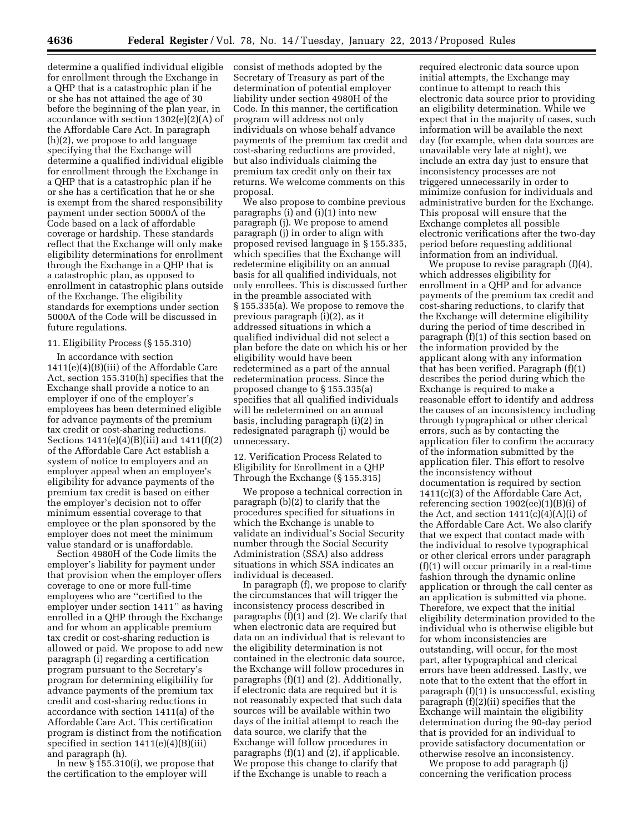determine a qualified individual eligible for enrollment through the Exchange in a QHP that is a catastrophic plan if he or she has not attained the age of 30 before the beginning of the plan year, in accordance with section 1302(e)(2)(A) of the Affordable Care Act. In paragraph (h)(2), we propose to add language specifying that the Exchange will determine a qualified individual eligible for enrollment through the Exchange in a QHP that is a catastrophic plan if he or she has a certification that he or she is exempt from the shared responsibility payment under section 5000A of the Code based on a lack of affordable coverage or hardship. These standards reflect that the Exchange will only make eligibility determinations for enrollment through the Exchange in a QHP that is a catastrophic plan, as opposed to enrollment in catastrophic plans outside of the Exchange. The eligibility standards for exemptions under section 5000A of the Code will be discussed in future regulations.

#### 11. Eligibility Process (§ 155.310)

In accordance with section 1411(e)(4)(B)(iii) of the Affordable Care Act, section 155.310(h) specifies that the Exchange shall provide a notice to an employer if one of the employer's employees has been determined eligible for advance payments of the premium tax credit or cost-sharing reductions. Sections 1411(e)(4)(B)(iii) and 1411(f)(2) of the Affordable Care Act establish a system of notice to employers and an employer appeal when an employee's eligibility for advance payments of the premium tax credit is based on either the employer's decision not to offer minimum essential coverage to that employee or the plan sponsored by the employer does not meet the minimum value standard or is unaffordable.

Section 4980H of the Code limits the employer's liability for payment under that provision when the employer offers coverage to one or more full-time employees who are ''certified to the employer under section 1411'' as having enrolled in a QHP through the Exchange and for whom an applicable premium tax credit or cost-sharing reduction is allowed or paid. We propose to add new paragraph (i) regarding a certification program pursuant to the Secretary's program for determining eligibility for advance payments of the premium tax credit and cost-sharing reductions in accordance with section 1411(a) of the Affordable Care Act. This certification program is distinct from the notification specified in section  $1411(e)(4)(B)(iii)$ and paragraph (h).

In new §  $155.310(i)$ , we propose that the certification to the employer will

consist of methods adopted by the Secretary of Treasury as part of the determination of potential employer liability under section 4980H of the Code. In this manner, the certification program will address not only individuals on whose behalf advance payments of the premium tax credit and cost-sharing reductions are provided, but also individuals claiming the premium tax credit only on their tax returns. We welcome comments on this proposal.

We also propose to combine previous paragraphs (i) and (i)(1) into new paragraph (j). We propose to amend paragraph (j) in order to align with proposed revised language in § 155.335, which specifies that the Exchange will redetermine eligibility on an annual basis for all qualified individuals, not only enrollees. This is discussed further in the preamble associated with § 155.335(a). We propose to remove the previous paragraph (i)(2), as it addressed situations in which a qualified individual did not select a plan before the date on which his or her eligibility would have been redetermined as a part of the annual redetermination process. Since the proposed change to § 155.335(a) specifies that all qualified individuals will be redetermined on an annual basis, including paragraph (i)(2) in redesignated paragraph (j) would be unnecessary.

12. Verification Process Related to Eligibility for Enrollment in a QHP Through the Exchange (§ 155.315)

We propose a technical correction in paragraph (b)(2) to clarify that the procedures specified for situations in which the Exchange is unable to validate an individual's Social Security number through the Social Security Administration (SSA) also address situations in which SSA indicates an individual is deceased.

In paragraph (f), we propose to clarify the circumstances that will trigger the inconsistency process described in paragraphs (f)(1) and (2). We clarify that when electronic data are required but data on an individual that is relevant to the eligibility determination is not contained in the electronic data source, the Exchange will follow procedures in paragraphs (f)(1) and (2). Additionally, if electronic data are required but it is not reasonably expected that such data sources will be available within two days of the initial attempt to reach the data source, we clarify that the Exchange will follow procedures in paragraphs  $(f)(1)$  and  $(2)$ , if applicable. We propose this change to clarify that if the Exchange is unable to reach a

required electronic data source upon initial attempts, the Exchange may continue to attempt to reach this electronic data source prior to providing an eligibility determination. While we expect that in the majority of cases, such information will be available the next day (for example, when data sources are unavailable very late at night), we include an extra day just to ensure that inconsistency processes are not triggered unnecessarily in order to minimize confusion for individuals and administrative burden for the Exchange. This proposal will ensure that the Exchange completes all possible electronic verifications after the two-day period before requesting additional information from an individual.

We propose to revise paragraph (f)(4), which addresses eligibility for enrollment in a QHP and for advance payments of the premium tax credit and cost-sharing reductions, to clarify that the Exchange will determine eligibility during the period of time described in paragraph (f)(1) of this section based on the information provided by the applicant along with any information that has been verified. Paragraph (f)(1) describes the period during which the Exchange is required to make a reasonable effort to identify and address the causes of an inconsistency including through typographical or other clerical errors, such as by contacting the application filer to confirm the accuracy of the information submitted by the application filer. This effort to resolve the inconsistency without documentation is required by section 1411(c)(3) of the Affordable Care Act, referencing section 1902(ee)(1)(B)(i) of the Act, and section  $1411(c)(4)(A)(i)$  of the Affordable Care Act. We also clarify that we expect that contact made with the individual to resolve typographical or other clerical errors under paragraph (f)(1) will occur primarily in a real-time fashion through the dynamic online application or through the call center as an application is submitted via phone. Therefore, we expect that the initial eligibility determination provided to the individual who is otherwise eligible but for whom inconsistencies are outstanding, will occur, for the most part, after typographical and clerical errors have been addressed. Lastly, we note that to the extent that the effort in paragraph (f)(1) is unsuccessful, existing paragraph (f)(2)(ii) specifies that the Exchange will maintain the eligibility determination during the 90-day period that is provided for an individual to provide satisfactory documentation or otherwise resolve an inconsistency.

We propose to add paragraph (j) concerning the verification process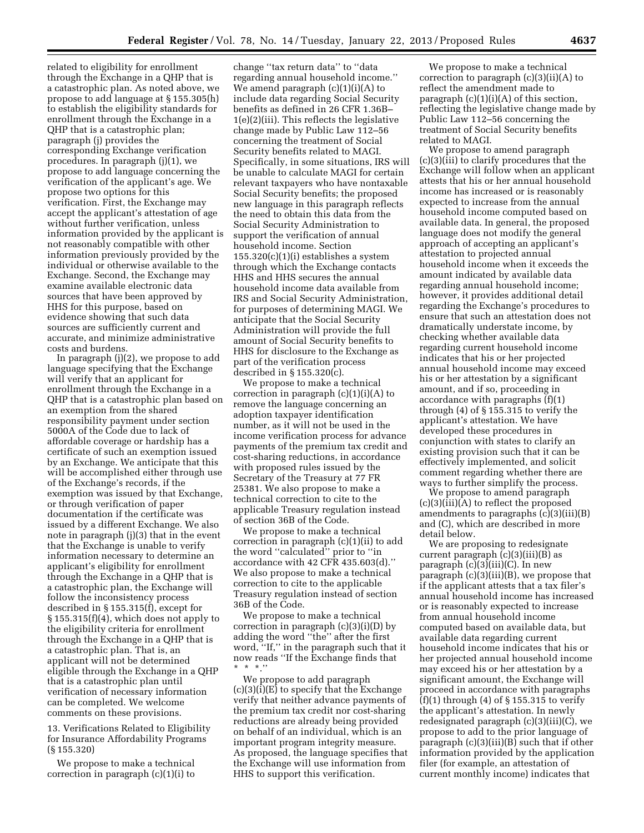related to eligibility for enrollment through the Exchange in a QHP that is a catastrophic plan. As noted above, we propose to add language at § 155.305(h) to establish the eligibility standards for enrollment through the Exchange in a QHP that is a catastrophic plan; paragraph (j) provides the corresponding Exchange verification procedures. In paragraph (j)(1), we propose to add language concerning the verification of the applicant's age. We propose two options for this verification. First, the Exchange may accept the applicant's attestation of age without further verification, unless information provided by the applicant is not reasonably compatible with other information previously provided by the individual or otherwise available to the Exchange. Second, the Exchange may examine available electronic data sources that have been approved by HHS for this purpose, based on evidence showing that such data sources are sufficiently current and accurate, and minimize administrative costs and burdens.

In paragraph (j)(2), we propose to add language specifying that the Exchange will verify that an applicant for enrollment through the Exchange in a QHP that is a catastrophic plan based on an exemption from the shared responsibility payment under section 5000A of the Code due to lack of affordable coverage or hardship has a certificate of such an exemption issued by an Exchange. We anticipate that this will be accomplished either through use of the Exchange's records, if the exemption was issued by that Exchange, or through verification of paper documentation if the certificate was issued by a different Exchange. We also note in paragraph (j)(3) that in the event that the Exchange is unable to verify information necessary to determine an applicant's eligibility for enrollment through the Exchange in a QHP that is a catastrophic plan, the Exchange will follow the inconsistency process described in § 155.315(f), except for § 155.315(f)(4), which does not apply to the eligibility criteria for enrollment through the Exchange in a QHP that is a catastrophic plan. That is, an applicant will not be determined eligible through the Exchange in a QHP that is a catastrophic plan until verification of necessary information can be completed. We welcome comments on these provisions.

13. Verifications Related to Eligibility for Insurance Affordability Programs (§ 155.320)

We propose to make a technical correction in paragraph (c)(1)(i) to

change ''tax return data'' to ''data regarding annual household income.'' We amend paragraph  $(c)(1)(i)(A)$  to include data regarding Social Security benefits as defined in 26 CFR 1.36B– 1(e)(2)(iii). This reflects the legislative change made by Public Law 112–56 concerning the treatment of Social Security benefits related to MAGI. Specifically, in some situations, IRS will be unable to calculate MAGI for certain relevant taxpayers who have nontaxable Social Security benefits; the proposed new language in this paragraph reflects the need to obtain this data from the Social Security Administration to support the verification of annual household income. Section  $155.320(c)(1)(i)$  establishes a system through which the Exchange contacts HHS and HHS secures the annual household income data available from IRS and Social Security Administration, for purposes of determining MAGI. We anticipate that the Social Security Administration will provide the full amount of Social Security benefits to HHS for disclosure to the Exchange as part of the verification process described in § 155.320(c).

We propose to make a technical correction in paragraph  $(c)(1)(i)(A)$  to remove the language concerning an adoption taxpayer identification number, as it will not be used in the income verification process for advance payments of the premium tax credit and cost-sharing reductions, in accordance with proposed rules issued by the Secretary of the Treasury at 77 FR 25381. We also propose to make a technical correction to cite to the applicable Treasury regulation instead of section 36B of the Code.

We propose to make a technical correction in paragraph (c)(1)(ii) to add the word ''calculated'' prior to ''in accordance with 42 CFR 435.603(d).'' We also propose to make a technical correction to cite to the applicable Treasury regulation instead of section 36B of the Code.

We propose to make a technical correction in paragraph (c)(3)(i)(D) by adding the word ''the'' after the first word, ''If,'' in the paragraph such that it now reads ''If the Exchange finds that \* \* \*.''

We propose to add paragraph (c)(3)(i)(E) to specify that the Exchange verify that neither advance payments of the premium tax credit nor cost-sharing reductions are already being provided on behalf of an individual, which is an important program integrity measure. As proposed, the language specifies that the Exchange will use information from HHS to support this verification.

We propose to make a technical correction to paragraph (c)(3)(ii)(A) to reflect the amendment made to paragraph (c)(1)(i)(A) of this section, reflecting the legislative change made by Public Law 112–56 concerning the treatment of Social Security benefits related to MAGI.

We propose to amend paragraph (c)(3)(iii) to clarify procedures that the Exchange will follow when an applicant attests that his or her annual household income has increased or is reasonably expected to increase from the annual household income computed based on available data. In general, the proposed language does not modify the general approach of accepting an applicant's attestation to projected annual household income when it exceeds the amount indicated by available data regarding annual household income; however, it provides additional detail regarding the Exchange's procedures to ensure that such an attestation does not dramatically understate income, by checking whether available data regarding current household income indicates that his or her projected annual household income may exceed his or her attestation by a significant amount, and if so, proceeding in accordance with paragraphs (f)(1) through (4) of § 155.315 to verify the applicant's attestation. We have developed these procedures in conjunction with states to clarify an existing provision such that it can be effectively implemented, and solicit comment regarding whether there are ways to further simplify the process.

We propose to amend paragraph (c)(3)(iii)(A) to reflect the proposed amendments to paragraphs (c)(3)(iii)(B) and (C), which are described in more detail below.

We are proposing to redesignate current paragraph (c)(3)(iii)(B) as paragraph (c)(3)(iii)(C). In new paragraph (c)(3)(iii)(B), we propose that if the applicant attests that a tax filer's annual household income has increased or is reasonably expected to increase from annual household income computed based on available data, but available data regarding current household income indicates that his or her projected annual household income may exceed his or her attestation by a significant amount, the Exchange will proceed in accordance with paragraphs (f)(1) through (4) of  $\S$  155.315 to verify the applicant's attestation. In newly redesignated paragraph (c)(3)(iii)(C), we propose to add to the prior language of paragraph (c)(3)(iii)(B) such that if other information provided by the application filer (for example, an attestation of current monthly income) indicates that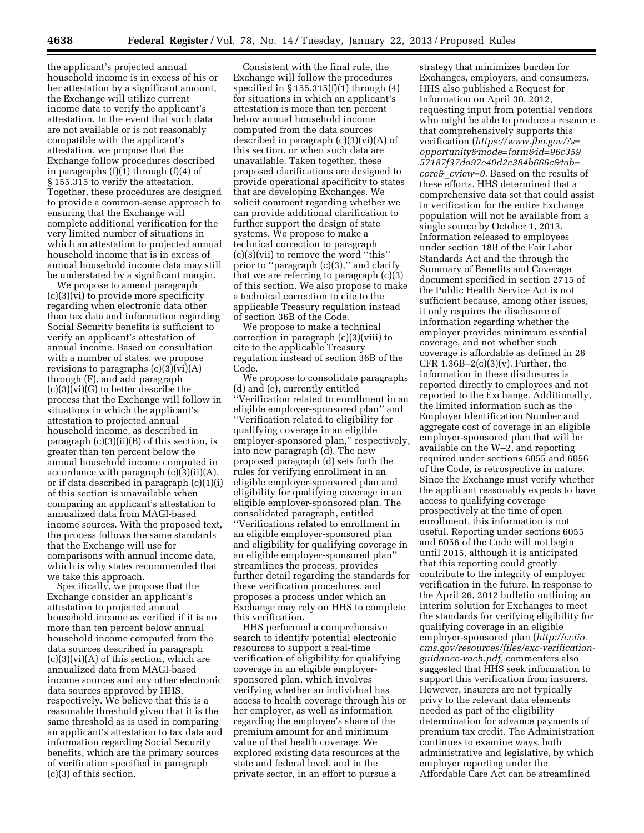the applicant's projected annual household income is in excess of his or her attestation by a significant amount, the Exchange will utilize current income data to verify the applicant's attestation. In the event that such data are not available or is not reasonably compatible with the applicant's attestation, we propose that the Exchange follow procedures described in paragraphs  $(f)(1)$  through  $(f)(4)$  of § 155.315 to verify the attestation. Together, these procedures are designed to provide a common-sense approach to ensuring that the Exchange will complete additional verification for the very limited number of situations in which an attestation to projected annual household income that is in excess of annual household income data may still be understated by a significant margin.

We propose to amend paragraph (c)(3)(vi) to provide more specificity regarding when electronic data other than tax data and information regarding Social Security benefits is sufficient to verify an applicant's attestation of annual income. Based on consultation with a number of states, we propose revisions to paragraphs  $(c)(3)(vi)(A)$ through (F), and add paragraph (c)(3)(vi)(G) to better describe the process that the Exchange will follow in situations in which the applicant's attestation to projected annual household income, as described in paragraph (c)(3)(ii)(B) of this section, is greater than ten percent below the annual household income computed in accordance with paragraph  $(c)(3)(ii)(A)$ , or if data described in paragraph (c)(1)(i) of this section is unavailable when comparing an applicant's attestation to annualized data from MAGI-based income sources. With the proposed text, the process follows the same standards that the Exchange will use for comparisons with annual income data, which is why states recommended that we take this approach.

Specifically, we propose that the Exchange consider an applicant's attestation to projected annual household income as verified if it is no more than ten percent below annual household income computed from the data sources described in paragraph  $(c)(3)(vi)(A)$  of this section, which are annualized data from MAGI-based income sources and any other electronic data sources approved by HHS, respectively. We believe that this is a reasonable threshold given that it is the same threshold as is used in comparing an applicant's attestation to tax data and information regarding Social Security benefits, which are the primary sources of verification specified in paragraph (c)(3) of this section.

Consistent with the final rule, the Exchange will follow the procedures specified in  $\S 155.315(f)(1)$  through  $(4)$ for situations in which an applicant's attestation is more than ten percent below annual household income computed from the data sources described in paragraph (c)(3)(vi)(A) of this section, or when such data are unavailable. Taken together, these proposed clarifications are designed to provide operational specificity to states that are developing Exchanges. We solicit comment regarding whether we can provide additional clarification to further support the design of state systems. We propose to make a technical correction to paragraph (c)(3)(vii) to remove the word ''this'' prior to "paragraph  $(c)(3)$ ," and clarify that we are referring to paragraph (c)(3) of this section. We also propose to make a technical correction to cite to the applicable Treasury regulation instead of section 36B of the Code.

We propose to make a technical correction in paragraph (c)(3)(viii) to cite to the applicable Treasury regulation instead of section 36B of the Code.

We propose to consolidate paragraphs (d) and (e), currently entitled ''Verification related to enrollment in an eligible employer-sponsored plan'' and ''Verification related to eligibility for qualifying coverage in an eligible employer-sponsored plan,'' respectively, into new paragraph (d). The new proposed paragraph (d) sets forth the rules for verifying enrollment in an eligible employer-sponsored plan and eligibility for qualifying coverage in an eligible employer-sponsored plan. The consolidated paragraph, entitled ''Verifications related to enrollment in an eligible employer-sponsored plan and eligibility for qualifying coverage in an eligible employer-sponsored plan'' streamlines the process, provides further detail regarding the standards for these verification procedures, and proposes a process under which an Exchange may rely on HHS to complete this verification.

HHS performed a comprehensive search to identify potential electronic resources to support a real-time verification of eligibility for qualifying coverage in an eligible employersponsored plan, which involves verifying whether an individual has access to health coverage through his or her employer, as well as information regarding the employee's share of the premium amount for and minimum value of that health coverage. We explored existing data resources at the state and federal level, and in the private sector, in an effort to pursue a

strategy that minimizes burden for Exchanges, employers, and consumers. HHS also published a Request for Information on April 30, 2012, requesting input from potential vendors who might be able to produce a resource that comprehensively supports this verification (*[https://www.fbo.gov/?s=](https://www.fbo.gov/?s=opportunity&mode=form&id=96c35957187f37da97e40d2c384b666c&tab=core&_cview=0) [opportunity&mode=form&id=96c359](https://www.fbo.gov/?s=opportunity&mode=form&id=96c35957187f37da97e40d2c384b666c&tab=core&_cview=0) [57187f37da97e40d2c384b666c&tab=](https://www.fbo.gov/?s=opportunity&mode=form&id=96c35957187f37da97e40d2c384b666c&tab=core&_cview=0) core&*\_*[cview=0](https://www.fbo.gov/?s=opportunity&mode=form&id=96c35957187f37da97e40d2c384b666c&tab=core&_cview=0)*. Based on the results of these efforts, HHS determined that a comprehensive data set that could assist in verification for the entire Exchange population will not be available from a single source by October 1, 2013. Information released to employees under section 18B of the Fair Labor Standards Act and the through the Summary of Benefits and Coverage document specified in section 2715 of the Public Health Service Act is not sufficient because, among other issues, it only requires the disclosure of information regarding whether the employer provides minimum essential coverage, and not whether such coverage is affordable as defined in 26 CFR  $1.36B-2(c)(3)(v)$ . Further, the information in these disclosures is reported directly to employees and not reported to the Exchange. Additionally, the limited information such as the Employer Identification Number and aggregate cost of coverage in an eligible employer-sponsored plan that will be available on the W–2, and reporting required under sections 6055 and 6056 of the Code, is retrospective in nature. Since the Exchange must verify whether the applicant reasonably expects to have access to qualifying coverage prospectively at the time of open enrollment, this information is not useful. Reporting under sections 6055 and 6056 of the Code will not begin until 2015, although it is anticipated that this reporting could greatly contribute to the integrity of employer verification in the future. In response to the April 26, 2012 bulletin outlining an interim solution for Exchanges to meet the standards for verifying eligibility for qualifying coverage in an eligible employer-sponsored plan (*[http://cciio.](http://cciio.cms.gov/resources/files/exc-verification-guidance-vach.pdf) [cms.gov/resources/files/exc-verification](http://cciio.cms.gov/resources/files/exc-verification-guidance-vach.pdf)[guidance-vach.pdf](http://cciio.cms.gov/resources/files/exc-verification-guidance-vach.pdf)*, commenters also suggested that HHS seek information to support this verification from insurers. However, insurers are not typically privy to the relevant data elements needed as part of the eligibility determination for advance payments of premium tax credit. The Administration continues to examine ways, both administrative and legislative, by which employer reporting under the Affordable Care Act can be streamlined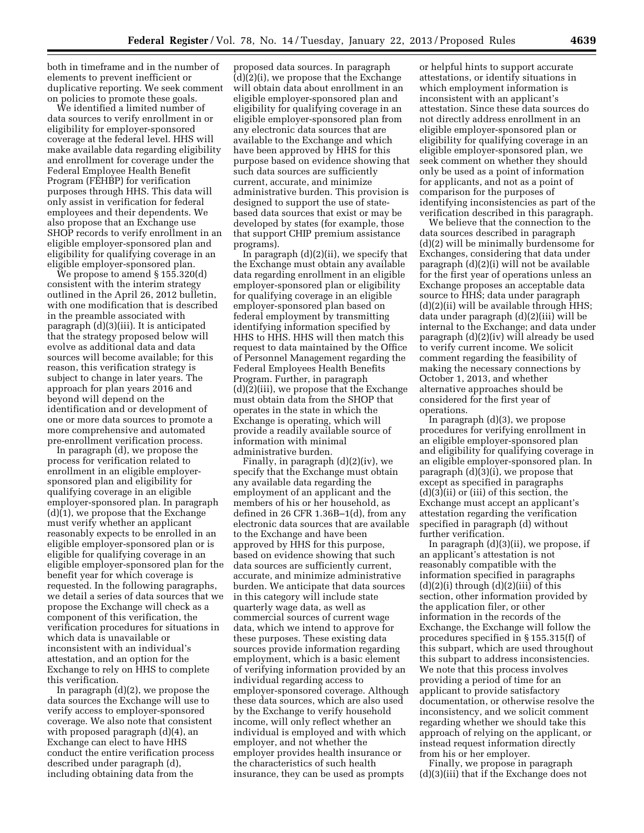both in timeframe and in the number of elements to prevent inefficient or duplicative reporting. We seek comment on policies to promote these goals.

We identified a limited number of data sources to verify enrollment in or eligibility for employer-sponsored coverage at the federal level. HHS will make available data regarding eligibility and enrollment for coverage under the Federal Employee Health Benefit Program (FEHBP) for verification purposes through HHS. This data will only assist in verification for federal employees and their dependents. We also propose that an Exchange use SHOP records to verify enrollment in an eligible employer-sponsored plan and eligibility for qualifying coverage in an eligible employer-sponsored plan.

We propose to amend § 155.320(d) consistent with the interim strategy outlined in the April 26, 2012 bulletin, with one modification that is described in the preamble associated with paragraph (d)(3)(iii). It is anticipated that the strategy proposed below will evolve as additional data and data sources will become available; for this reason, this verification strategy is subject to change in later years. The approach for plan years 2016 and beyond will depend on the identification and or development of one or more data sources to promote a more comprehensive and automated pre-enrollment verification process.

In paragraph (d), we propose the process for verification related to enrollment in an eligible employersponsored plan and eligibility for qualifying coverage in an eligible employer-sponsored plan. In paragraph (d)(1), we propose that the Exchange must verify whether an applicant reasonably expects to be enrolled in an eligible employer-sponsored plan or is eligible for qualifying coverage in an eligible employer-sponsored plan for the benefit year for which coverage is requested. In the following paragraphs, we detail a series of data sources that we propose the Exchange will check as a component of this verification, the verification procedures for situations in which data is unavailable or inconsistent with an individual's attestation, and an option for the Exchange to rely on HHS to complete this verification.

In paragraph (d)(2), we propose the data sources the Exchange will use to verify access to employer-sponsored coverage. We also note that consistent with proposed paragraph (d)(4), an Exchange can elect to have HHS conduct the entire verification process described under paragraph (d), including obtaining data from the

proposed data sources. In paragraph (d)(2)(i), we propose that the Exchange will obtain data about enrollment in an eligible employer-sponsored plan and eligibility for qualifying coverage in an eligible employer-sponsored plan from any electronic data sources that are available to the Exchange and which have been approved by HHS for this purpose based on evidence showing that such data sources are sufficiently current, accurate, and minimize administrative burden. This provision is designed to support the use of statebased data sources that exist or may be developed by states (for example, those that support CHIP premium assistance programs).

In paragraph  $(d)(2)(ii)$ , we specify that the Exchange must obtain any available data regarding enrollment in an eligible employer-sponsored plan or eligibility for qualifying coverage in an eligible employer-sponsored plan based on federal employment by transmitting identifying information specified by HHS to HHS. HHS will then match this request to data maintained by the Office of Personnel Management regarding the Federal Employees Health Benefits Program. Further, in paragraph (d)(2)(iii), we propose that the Exchange must obtain data from the SHOP that operates in the state in which the Exchange is operating, which will provide a readily available source of information with minimal administrative burden.

Finally, in paragraph (d)(2)(iv), we specify that the Exchange must obtain any available data regarding the employment of an applicant and the members of his or her household, as defined in 26 CFR 1.36B–1(d), from any electronic data sources that are available to the Exchange and have been approved by HHS for this purpose, based on evidence showing that such data sources are sufficiently current, accurate, and minimize administrative burden. We anticipate that data sources in this category will include state quarterly wage data, as well as commercial sources of current wage data, which we intend to approve for these purposes. These existing data sources provide information regarding employment, which is a basic element of verifying information provided by an individual regarding access to employer-sponsored coverage. Although these data sources, which are also used by the Exchange to verify household income, will only reflect whether an individual is employed and with which employer, and not whether the employer provides health insurance or the characteristics of such health insurance, they can be used as prompts

or helpful hints to support accurate attestations, or identify situations in which employment information is inconsistent with an applicant's attestation. Since these data sources do not directly address enrollment in an eligible employer-sponsored plan or eligibility for qualifying coverage in an eligible employer-sponsored plan, we seek comment on whether they should only be used as a point of information for applicants, and not as a point of comparison for the purposes of identifying inconsistencies as part of the verification described in this paragraph.

We believe that the connection to the data sources described in paragraph (d)(2) will be minimally burdensome for Exchanges, considering that data under paragraph (d)(2)(i) will not be available for the first year of operations unless an Exchange proposes an acceptable data source to HHS; data under paragraph (d)(2)(ii) will be available through HHS; data under paragraph (d)(2)(iii) will be internal to the Exchange; and data under paragraph (d)(2)(iv) will already be used to verify current income. We solicit comment regarding the feasibility of making the necessary connections by October 1, 2013, and whether alternative approaches should be considered for the first year of operations.

In paragraph (d)(3), we propose procedures for verifying enrollment in an eligible employer-sponsored plan and eligibility for qualifying coverage in an eligible employer-sponsored plan. In paragraph (d)(3)(i), we propose that except as specified in paragraphs (d)(3)(ii) or (iii) of this section, the Exchange must accept an applicant's attestation regarding the verification specified in paragraph (d) without further verification.

In paragraph (d)(3)(ii), we propose, if an applicant's attestation is not reasonably compatible with the information specified in paragraphs  $(d)(2)(i)$  through  $(d)(2)(iii)$  of this section, other information provided by the application filer, or other information in the records of the Exchange, the Exchange will follow the procedures specified in § 155.315(f) of this subpart, which are used throughout this subpart to address inconsistencies. We note that this process involves providing a period of time for an applicant to provide satisfactory documentation, or otherwise resolve the inconsistency, and we solicit comment regarding whether we should take this approach of relying on the applicant, or instead request information directly from his or her employer.

Finally, we propose in paragraph (d)(3)(iii) that if the Exchange does not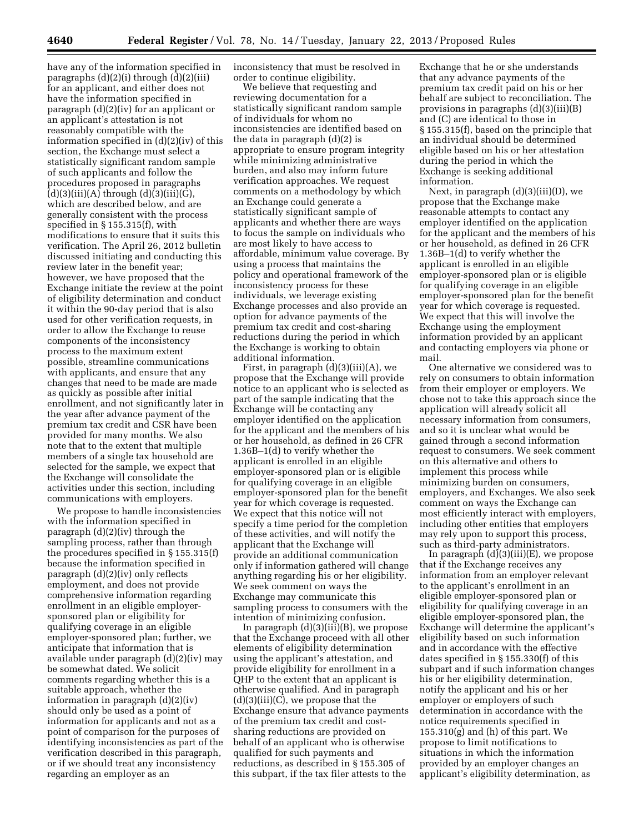have any of the information specified in paragraphs  $(d)(2)(i)$  through  $(d)(2)(iii)$ for an applicant, and either does not have the information specified in paragraph (d)(2)(iv) for an applicant or an applicant's attestation is not reasonably compatible with the information specified in (d)(2)(iv) of this section, the Exchange must select a statistically significant random sample of such applicants and follow the procedures proposed in paragraphs  $(d)(3)(iii)(A)$  through  $(d)(3)(iii)(G)$ , which are described below, and are generally consistent with the process specified in § 155.315(f), with modifications to ensure that it suits this verification. The April 26, 2012 bulletin discussed initiating and conducting this review later in the benefit year; however, we have proposed that the Exchange initiate the review at the point of eligibility determination and conduct it within the 90-day period that is also used for other verification requests, in order to allow the Exchange to reuse components of the inconsistency process to the maximum extent possible, streamline communications with applicants, and ensure that any changes that need to be made are made as quickly as possible after initial enrollment, and not significantly later in the year after advance payment of the premium tax credit and CSR have been provided for many months. We also note that to the extent that multiple members of a single tax household are selected for the sample, we expect that the Exchange will consolidate the activities under this section, including communications with employers.

We propose to handle inconsistencies with the information specified in paragraph (d)(2)(iv) through the sampling process, rather than through the procedures specified in § 155.315(f) because the information specified in paragraph (d)(2)(iv) only reflects employment, and does not provide comprehensive information regarding enrollment in an eligible employersponsored plan or eligibility for qualifying coverage in an eligible employer-sponsored plan; further, we anticipate that information that is available under paragraph (d)(2)(iv) may be somewhat dated. We solicit comments regarding whether this is a suitable approach, whether the information in paragraph (d)(2)(iv) should only be used as a point of information for applicants and not as a point of comparison for the purposes of identifying inconsistencies as part of the verification described in this paragraph, or if we should treat any inconsistency regarding an employer as an

inconsistency that must be resolved in order to continue eligibility.

We believe that requesting and reviewing documentation for a statistically significant random sample of individuals for whom no inconsistencies are identified based on the data in paragraph (d)(2) is appropriate to ensure program integrity while minimizing administrative burden, and also may inform future verification approaches. We request comments on a methodology by which an Exchange could generate a statistically significant sample of applicants and whether there are ways to focus the sample on individuals who are most likely to have access to affordable, minimum value coverage. By using a process that maintains the policy and operational framework of the inconsistency process for these individuals, we leverage existing Exchange processes and also provide an option for advance payments of the premium tax credit and cost-sharing reductions during the period in which the Exchange is working to obtain additional information.

First, in paragraph  $(d)(3)(iii)(A)$ , we propose that the Exchange will provide notice to an applicant who is selected as part of the sample indicating that the Exchange will be contacting any employer identified on the application for the applicant and the members of his or her household, as defined in 26 CFR 1.36B–1(d) to verify whether the applicant is enrolled in an eligible employer-sponsored plan or is eligible for qualifying coverage in an eligible employer-sponsored plan for the benefit year for which coverage is requested. We expect that this notice will not specify a time period for the completion of these activities, and will notify the applicant that the Exchange will provide an additional communication only if information gathered will change anything regarding his or her eligibility. We seek comment on ways the Exchange may communicate this sampling process to consumers with the intention of minimizing confusion.

In paragraph (d)(3)(iii)(B), we propose that the Exchange proceed with all other elements of eligibility determination using the applicant's attestation, and provide eligibility for enrollment in a QHP to the extent that an applicant is otherwise qualified. And in paragraph  $(d)(3)(iii)(C)$ , we propose that the Exchange ensure that advance payments of the premium tax credit and costsharing reductions are provided on behalf of an applicant who is otherwise qualified for such payments and reductions, as described in § 155.305 of this subpart, if the tax filer attests to the

Exchange that he or she understands that any advance payments of the premium tax credit paid on his or her behalf are subject to reconciliation. The provisions in paragraphs (d)(3)(iii)(B) and (C) are identical to those in § 155.315(f), based on the principle that an individual should be determined eligible based on his or her attestation during the period in which the Exchange is seeking additional information.

Next, in paragraph (d)(3)(iii)(D), we propose that the Exchange make reasonable attempts to contact any employer identified on the application for the applicant and the members of his or her household, as defined in 26 CFR 1.36B–1(d) to verify whether the applicant is enrolled in an eligible employer-sponsored plan or is eligible for qualifying coverage in an eligible employer-sponsored plan for the benefit year for which coverage is requested. We expect that this will involve the Exchange using the employment information provided by an applicant and contacting employers via phone or mail.

One alternative we considered was to rely on consumers to obtain information from their employer or employers. We chose not to take this approach since the application will already solicit all necessary information from consumers, and so it is unclear what would be gained through a second information request to consumers. We seek comment on this alternative and others to implement this process while minimizing burden on consumers, employers, and Exchanges. We also seek comment on ways the Exchange can most efficiently interact with employers, including other entities that employers may rely upon to support this process, such as third-party administrators.

In paragraph  $(d)(3)(iii)(E)$ , we propose that if the Exchange receives any information from an employer relevant to the applicant's enrollment in an eligible employer-sponsored plan or eligibility for qualifying coverage in an eligible employer-sponsored plan, the Exchange will determine the applicant's eligibility based on such information and in accordance with the effective dates specified in § 155.330(f) of this subpart and if such information changes his or her eligibility determination, notify the applicant and his or her employer or employers of such determination in accordance with the notice requirements specified in  $155.310(g)$  and (h) of this part. We propose to limit notifications to situations in which the information provided by an employer changes an applicant's eligibility determination, as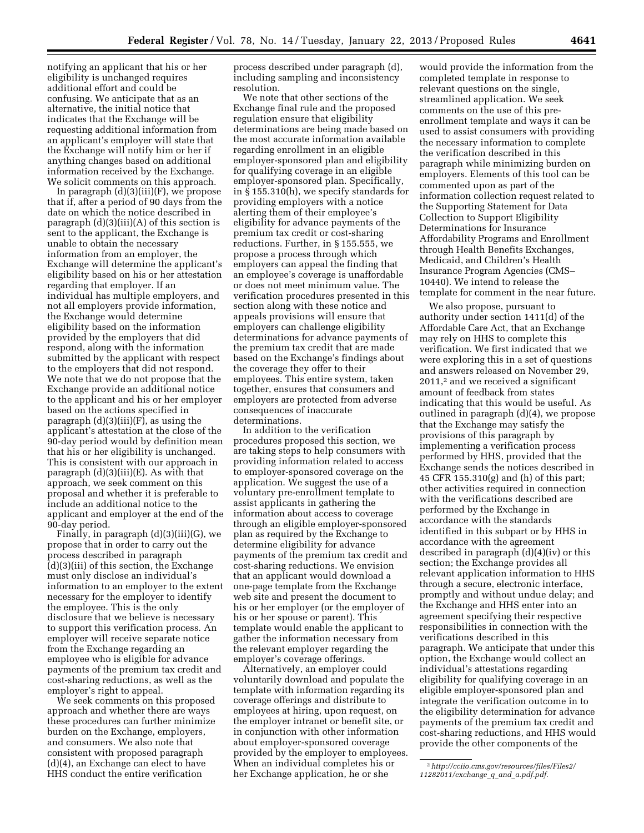notifying an applicant that his or her eligibility is unchanged requires additional effort and could be confusing. We anticipate that as an alternative, the initial notice that indicates that the Exchange will be requesting additional information from an applicant's employer will state that the Exchange will notify him or her if anything changes based on additional information received by the Exchange. We solicit comments on this approach.

In paragraph  $(d)(3)(iii)(F)$ , we propose that if, after a period of 90 days from the date on which the notice described in paragraph (d)(3)(iii)(A) of this section is sent to the applicant, the Exchange is unable to obtain the necessary information from an employer, the Exchange will determine the applicant's eligibility based on his or her attestation regarding that employer. If an individual has multiple employers, and not all employers provide information, the Exchange would determine eligibility based on the information provided by the employers that did respond, along with the information submitted by the applicant with respect to the employers that did not respond. We note that we do not propose that the Exchange provide an additional notice to the applicant and his or her employer based on the actions specified in paragraph  $(d)(3)(iii)(F)$ , as using the applicant's attestation at the close of the 90-day period would by definition mean that his or her eligibility is unchanged. This is consistent with our approach in paragraph  $(d)(3)(iii)(E)$ . As with that approach, we seek comment on this proposal and whether it is preferable to include an additional notice to the applicant and employer at the end of the 90-day period.

Finally, in paragraph  $(d)(3)(iii)(G)$ , we propose that in order to carry out the process described in paragraph (d)(3)(iii) of this section, the Exchange must only disclose an individual's information to an employer to the extent necessary for the employer to identify the employee. This is the only disclosure that we believe is necessary to support this verification process. An employer will receive separate notice from the Exchange regarding an employee who is eligible for advance payments of the premium tax credit and cost-sharing reductions, as well as the employer's right to appeal.

We seek comments on this proposed approach and whether there are ways these procedures can further minimize burden on the Exchange, employers, and consumers. We also note that consistent with proposed paragraph (d)(4), an Exchange can elect to have HHS conduct the entire verification

process described under paragraph (d), including sampling and inconsistency resolution.

We note that other sections of the Exchange final rule and the proposed regulation ensure that eligibility determinations are being made based on the most accurate information available regarding enrollment in an eligible employer-sponsored plan and eligibility for qualifying coverage in an eligible employer-sponsored plan. Specifically, in § 155.310(h), we specify standards for providing employers with a notice alerting them of their employee's eligibility for advance payments of the premium tax credit or cost-sharing reductions. Further, in § 155.555, we propose a process through which employers can appeal the finding that an employee's coverage is unaffordable or does not meet minimum value. The verification procedures presented in this section along with these notice and appeals provisions will ensure that employers can challenge eligibility determinations for advance payments of the premium tax credit that are made based on the Exchange's findings about the coverage they offer to their employees. This entire system, taken together, ensures that consumers and employers are protected from adverse consequences of inaccurate determinations.

In addition to the verification procedures proposed this section, we are taking steps to help consumers with providing information related to access to employer-sponsored coverage on the application. We suggest the use of a voluntary pre-enrollment template to assist applicants in gathering the information about access to coverage through an eligible employer-sponsored plan as required by the Exchange to determine eligibility for advance payments of the premium tax credit and cost-sharing reductions. We envision that an applicant would download a one-page template from the Exchange web site and present the document to his or her employer (or the employer of his or her spouse or parent). This template would enable the applicant to gather the information necessary from the relevant employer regarding the employer's coverage offerings.

Alternatively, an employer could voluntarily download and populate the template with information regarding its coverage offerings and distribute to employees at hiring, upon request, on the employer intranet or benefit site, or in conjunction with other information about employer-sponsored coverage provided by the employer to employees. When an individual completes his or her Exchange application, he or she

would provide the information from the completed template in response to relevant questions on the single, streamlined application. We seek comments on the use of this preenrollment template and ways it can be used to assist consumers with providing the necessary information to complete the verification described in this paragraph while minimizing burden on employers. Elements of this tool can be commented upon as part of the information collection request related to the Supporting Statement for Data Collection to Support Eligibility Determinations for Insurance Affordability Programs and Enrollment through Health Benefits Exchanges, Medicaid, and Children's Health Insurance Program Agencies (CMS– 10440). We intend to release the template for comment in the near future.

We also propose, pursuant to authority under section 1411(d) of the Affordable Care Act, that an Exchange may rely on HHS to complete this verification. We first indicated that we were exploring this in a set of questions and answers released on November 29, 2011,2 and we received a significant amount of feedback from states indicating that this would be useful. As outlined in paragraph (d)(4), we propose that the Exchange may satisfy the provisions of this paragraph by implementing a verification process performed by HHS, provided that the Exchange sends the notices described in 45 CFR 155.310(g) and (h) of this part; other activities required in connection with the verifications described are performed by the Exchange in accordance with the standards identified in this subpart or by HHS in accordance with the agreement described in paragraph (d)(4)(iv) or this section; the Exchange provides all relevant application information to HHS through a secure, electronic interface, promptly and without undue delay; and the Exchange and HHS enter into an agreement specifying their respective responsibilities in connection with the verifications described in this paragraph. We anticipate that under this option, the Exchange would collect an individual's attestations regarding eligibility for qualifying coverage in an eligible employer-sponsored plan and integrate the verification outcome in to the eligibility determination for advance payments of the premium tax credit and cost-sharing reductions, and HHS would provide the other components of the

<sup>2</sup>*[http://cciio.cms.gov/resources/files/Files2/](http://cciio.cms.gov/resources/files/Files2/11282011/exchange_q_and_a.pdf.pdf) [11282011/exchange](http://cciio.cms.gov/resources/files/Files2/11282011/exchange_q_and_a.pdf.pdf)*\_*q*\_*and*\_*a.pdf.pdf*.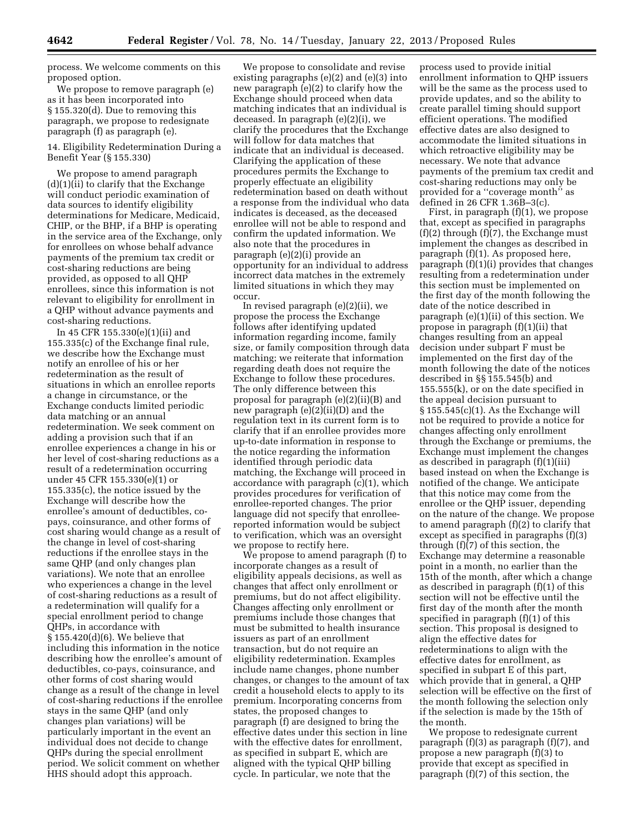process. We welcome comments on this proposed option.

We propose to remove paragraph (e) as it has been incorporated into § 155.320(d). Due to removing this paragraph, we propose to redesignate paragraph (f) as paragraph (e).

14. Eligibility Redetermination During a Benefit Year (§ 155.330)

We propose to amend paragraph  $(d)(1)(ii)$  to clarify that the Exchange will conduct periodic examination of data sources to identify eligibility determinations for Medicare, Medicaid, CHIP, or the BHP, if a BHP is operating in the service area of the Exchange, only for enrollees on whose behalf advance payments of the premium tax credit or cost-sharing reductions are being provided, as opposed to all QHP enrollees, since this information is not relevant to eligibility for enrollment in a QHP without advance payments and cost-sharing reductions.

In 45 CFR 155.330(e)(1)(ii) and 155.335(c) of the Exchange final rule, we describe how the Exchange must notify an enrollee of his or her redetermination as the result of situations in which an enrollee reports a change in circumstance, or the Exchange conducts limited periodic data matching or an annual redetermination. We seek comment on adding a provision such that if an enrollee experiences a change in his or her level of cost-sharing reductions as a result of a redetermination occurring under 45 CFR 155.330(e)(1) or 155.335(c), the notice issued by the Exchange will describe how the enrollee's amount of deductibles, copays, coinsurance, and other forms of cost sharing would change as a result of the change in level of cost-sharing reductions if the enrollee stays in the same QHP (and only changes plan variations). We note that an enrollee who experiences a change in the level of cost-sharing reductions as a result of a redetermination will qualify for a special enrollment period to change QHPs, in accordance with § 155.420(d)(6). We believe that including this information in the notice describing how the enrollee's amount of deductibles, co-pays, coinsurance, and other forms of cost sharing would change as a result of the change in level of cost-sharing reductions if the enrollee stays in the same QHP (and only changes plan variations) will be particularly important in the event an individual does not decide to change QHPs during the special enrollment period. We solicit comment on whether HHS should adopt this approach.

We propose to consolidate and revise existing paragraphs (e)(2) and (e)(3) into new paragraph (e)(2) to clarify how the Exchange should proceed when data matching indicates that an individual is deceased. In paragraph (e)(2)(i), we clarify the procedures that the Exchange will follow for data matches that indicate that an individual is deceased. Clarifying the application of these procedures permits the Exchange to properly effectuate an eligibility redetermination based on death without a response from the individual who data indicates is deceased, as the deceased enrollee will not be able to respond and confirm the updated information. We also note that the procedures in paragraph (e)(2)(i) provide an opportunity for an individual to address incorrect data matches in the extremely limited situations in which they may occur.

In revised paragraph (e)(2)(ii), we propose the process the Exchange follows after identifying updated information regarding income, family size, or family composition through data matching; we reiterate that information regarding death does not require the Exchange to follow these procedures. The only difference between this proposal for paragraph (e)(2)(ii)(B) and new paragraph (e)(2)(ii)(D) and the regulation text in its current form is to clarify that if an enrollee provides more up-to-date information in response to the notice regarding the information identified through periodic data matching, the Exchange will proceed in accordance with paragraph (c)(1), which provides procedures for verification of enrollee-reported changes. The prior language did not specify that enrolleereported information would be subject to verification, which was an oversight we propose to rectify here.

We propose to amend paragraph (f) to incorporate changes as a result of eligibility appeals decisions, as well as changes that affect only enrollment or premiums, but do not affect eligibility. Changes affecting only enrollment or premiums include those changes that must be submitted to health insurance issuers as part of an enrollment transaction, but do not require an eligibility redetermination. Examples include name changes, phone number changes, or changes to the amount of tax credit a household elects to apply to its premium. Incorporating concerns from states, the proposed changes to paragraph (f) are designed to bring the effective dates under this section in line with the effective dates for enrollment, as specified in subpart E, which are aligned with the typical QHP billing cycle. In particular, we note that the

process used to provide initial enrollment information to QHP issuers will be the same as the process used to provide updates, and so the ability to create parallel timing should support efficient operations. The modified effective dates are also designed to accommodate the limited situations in which retroactive eligibility may be necessary. We note that advance payments of the premium tax credit and cost-sharing reductions may only be provided for a ''coverage month'' as defined in 26 CFR 1.36B–3(c).

First, in paragraph (f)(1), we propose that, except as specified in paragraphs (f)(2) through (f)(7), the Exchange must implement the changes as described in paragraph (f)(1). As proposed here, paragraph (f)(1)(i) provides that changes resulting from a redetermination under this section must be implemented on the first day of the month following the date of the notice described in paragraph (e)(1)(ii) of this section. We propose in paragraph (f)(1)(ii) that changes resulting from an appeal decision under subpart F must be implemented on the first day of the month following the date of the notices described in §§ 155.545(b) and 155.555(k), or on the date specified in the appeal decision pursuant to  $§ 155.545(c)(1)$ . As the Exchange will not be required to provide a notice for changes affecting only enrollment through the Exchange or premiums, the Exchange must implement the changes as described in paragraph (f)(1)(iii) based instead on when the Exchange is notified of the change. We anticipate that this notice may come from the enrollee or the QHP issuer, depending on the nature of the change. We propose to amend paragraph (f)(2) to clarify that except as specified in paragraphs (f)(3) through (f)(7) of this section, the Exchange may determine a reasonable point in a month, no earlier than the 15th of the month, after which a change as described in paragraph (f)(1) of this section will not be effective until the first day of the month after the month specified in paragraph (f)(1) of this section. This proposal is designed to align the effective dates for redeterminations to align with the effective dates for enrollment, as specified in subpart E of this part, which provide that in general, a QHP selection will be effective on the first of the month following the selection only if the selection is made by the 15th of the month.

We propose to redesignate current paragraph (f)(3) as paragraph (f)(7), and propose a new paragraph (f)(3) to provide that except as specified in paragraph (f)(7) of this section, the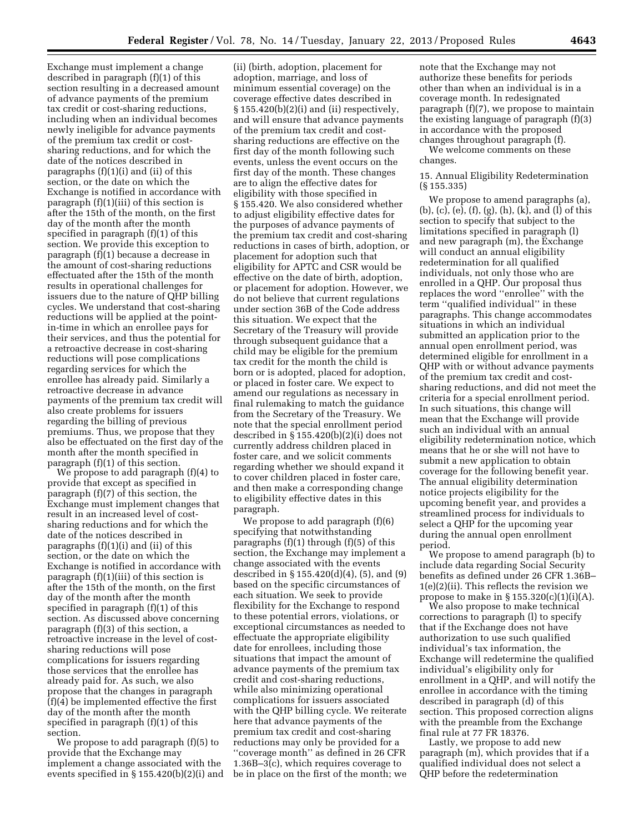Exchange must implement a change described in paragraph (f)(1) of this section resulting in a decreased amount of advance payments of the premium tax credit or cost-sharing reductions, including when an individual becomes newly ineligible for advance payments of the premium tax credit or costsharing reductions, and for which the date of the notices described in paragraphs (f)(1)(i) and (ii) of this section, or the date on which the Exchange is notified in accordance with paragraph (f)(1)(iii) of this section is after the 15th of the month, on the first day of the month after the month specified in paragraph (f)(1) of this section. We provide this exception to paragraph (f)(1) because a decrease in the amount of cost-sharing reductions effectuated after the 15th of the month results in operational challenges for issuers due to the nature of QHP billing cycles. We understand that cost-sharing reductions will be applied at the pointin-time in which an enrollee pays for their services, and thus the potential for a retroactive decrease in cost-sharing reductions will pose complications regarding services for which the enrollee has already paid. Similarly a retroactive decrease in advance payments of the premium tax credit will also create problems for issuers regarding the billing of previous premiums. Thus, we propose that they also be effectuated on the first day of the month after the month specified in paragraph (f)(1) of this section.

We propose to add paragraph (f)(4) to provide that except as specified in paragraph (f)(7) of this section, the Exchange must implement changes that result in an increased level of costsharing reductions and for which the date of the notices described in paragraphs (f)(1)(i) and (ii) of this section, or the date on which the Exchange is notified in accordance with paragraph (f)(1)(iii) of this section is after the 15th of the month, on the first day of the month after the month specified in paragraph (f)(1) of this section. As discussed above concerning paragraph (f)(3) of this section, a retroactive increase in the level of costsharing reductions will pose complications for issuers regarding those services that the enrollee has already paid for. As such, we also propose that the changes in paragraph (f)(4) be implemented effective the first day of the month after the month specified in paragraph (f)(1) of this section.

We propose to add paragraph (f)(5) to provide that the Exchange may implement a change associated with the events specified in § 155.420(b)(2)(i) and

(ii) (birth, adoption, placement for adoption, marriage, and loss of minimum essential coverage) on the coverage effective dates described in  $§ 155.420(b)(2)(i)$  and (ii) respectively, and will ensure that advance payments of the premium tax credit and costsharing reductions are effective on the first day of the month following such events, unless the event occurs on the first day of the month. These changes are to align the effective dates for eligibility with those specified in § 155.420. We also considered whether to adjust eligibility effective dates for the purposes of advance payments of the premium tax credit and cost-sharing reductions in cases of birth, adoption, or placement for adoption such that eligibility for APTC and CSR would be effective on the date of birth, adoption, or placement for adoption. However, we do not believe that current regulations under section 36B of the Code address this situation. We expect that the Secretary of the Treasury will provide through subsequent guidance that a child may be eligible for the premium tax credit for the month the child is born or is adopted, placed for adoption, or placed in foster care. We expect to amend our regulations as necessary in final rulemaking to match the guidance from the Secretary of the Treasury. We note that the special enrollment period described in § 155.420(b)(2)(i) does not currently address children placed in foster care, and we solicit comments regarding whether we should expand it to cover children placed in foster care, and then make a corresponding change to eligibility effective dates in this paragraph.

We propose to add paragraph (f)(6) specifying that notwithstanding paragraphs (f)(1) through (f)(5) of this section, the Exchange may implement a change associated with the events described in  $\S 155.420(d)(4)$ ,  $(5)$ , and  $(9)$ based on the specific circumstances of each situation. We seek to provide flexibility for the Exchange to respond to these potential errors, violations, or exceptional circumstances as needed to effectuate the appropriate eligibility date for enrollees, including those situations that impact the amount of advance payments of the premium tax credit and cost-sharing reductions, while also minimizing operational complications for issuers associated with the QHP billing cycle. We reiterate here that advance payments of the premium tax credit and cost-sharing reductions may only be provided for a ''coverage month'' as defined in 26 CFR 1.36B $-3(c)$ , which requires coverage to be in place on the first of the month; we note that the Exchange may not authorize these benefits for periods other than when an individual is in a coverage month. In redesignated paragraph (f)(7), we propose to maintain the existing language of paragraph (f)(3) in accordance with the proposed changes throughout paragraph (f).

We welcome comments on these changes.

15. Annual Eligibility Redetermination (§ 155.335)

We propose to amend paragraphs (a), (b), (c), (e), (f), (g), (h), (k), and (l) of this section to specify that subject to the limitations specified in paragraph (l) and new paragraph (m), the Exchange will conduct an annual eligibility redetermination for all qualified individuals, not only those who are enrolled in a QHP. Our proposal thus replaces the word ''enrollee'' with the term ''qualified individual'' in these paragraphs. This change accommodates situations in which an individual submitted an application prior to the annual open enrollment period, was determined eligible for enrollment in a QHP with or without advance payments of the premium tax credit and costsharing reductions, and did not meet the criteria for a special enrollment period. In such situations, this change will mean that the Exchange will provide such an individual with an annual eligibility redetermination notice, which means that he or she will not have to submit a new application to obtain coverage for the following benefit year. The annual eligibility determination notice projects eligibility for the upcoming benefit year, and provides a streamlined process for individuals to select a QHP for the upcoming year during the annual open enrollment period.

We propose to amend paragraph (b) to include data regarding Social Security benefits as defined under 26 CFR 1.36B– 1(e)(2)(ii). This reflects the revision we propose to make in  $\S 155.320(c)(1)(i)(A)$ .

We also propose to make technical corrections to paragraph (l) to specify that if the Exchange does not have authorization to use such qualified individual's tax information, the Exchange will redetermine the qualified individual's eligibility only for enrollment in a QHP, and will notify the enrollee in accordance with the timing described in paragraph (d) of this section. This proposed correction aligns with the preamble from the Exchange final rule at 77 FR 18376.

Lastly, we propose to add new paragraph (m), which provides that if a qualified individual does not select a QHP before the redetermination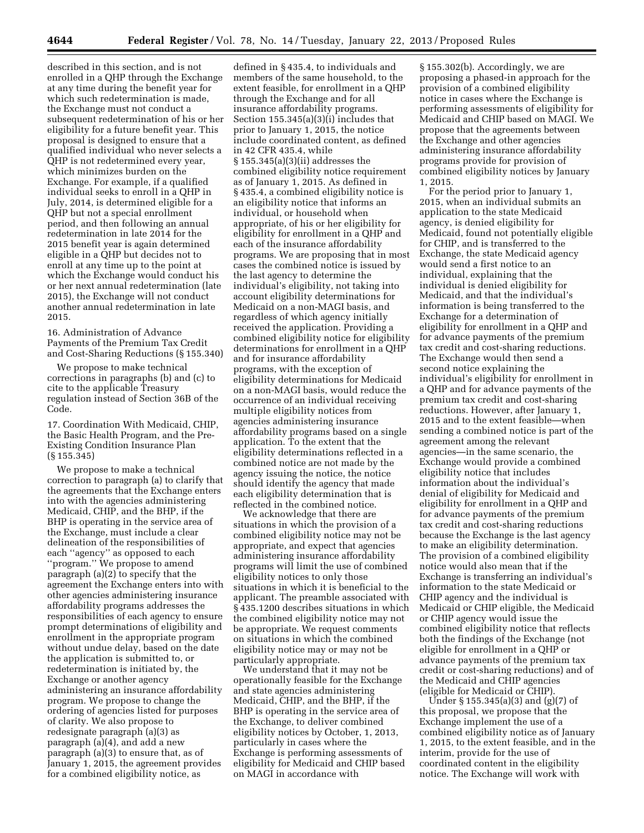described in this section, and is not enrolled in a QHP through the Exchange at any time during the benefit year for which such redetermination is made, the Exchange must not conduct a subsequent redetermination of his or her eligibility for a future benefit year. This proposal is designed to ensure that a qualified individual who never selects a QHP is not redetermined every year, which minimizes burden on the Exchange. For example, if a qualified individual seeks to enroll in a QHP in July, 2014, is determined eligible for a QHP but not a special enrollment period, and then following an annual redetermination in late 2014 for the 2015 benefit year is again determined eligible in a QHP but decides not to enroll at any time up to the point at which the Exchange would conduct his or her next annual redetermination (late 2015), the Exchange will not conduct another annual redetermination in late 2015.

16. Administration of Advance Payments of the Premium Tax Credit and Cost-Sharing Reductions (§ 155.340)

We propose to make technical corrections in paragraphs (b) and (c) to cite to the applicable Treasury regulation instead of Section 36B of the Code.

17. Coordination With Medicaid, CHIP, the Basic Health Program, and the Pre-Existing Condition Insurance Plan (§ 155.345)

We propose to make a technical correction to paragraph (a) to clarify that the agreements that the Exchange enters into with the agencies administering Medicaid, CHIP, and the BHP, if the BHP is operating in the service area of the Exchange, must include a clear delineation of the responsibilities of each ''agency'' as opposed to each ''program.'' We propose to amend paragraph (a)(2) to specify that the agreement the Exchange enters into with other agencies administering insurance affordability programs addresses the responsibilities of each agency to ensure prompt determinations of eligibility and enrollment in the appropriate program without undue delay, based on the date the application is submitted to, or redetermination is initiated by, the Exchange or another agency administering an insurance affordability program. We propose to change the ordering of agencies listed for purposes of clarity. We also propose to redesignate paragraph (a)(3) as paragraph (a)(4), and add a new paragraph (a)(3) to ensure that, as of January 1, 2015, the agreement provides for a combined eligibility notice, as

defined in § 435.4, to individuals and members of the same household, to the extent feasible, for enrollment in a QHP through the Exchange and for all insurance affordability programs. Section 155.345(a)(3)(i) includes that prior to January 1, 2015, the notice include coordinated content, as defined in 42 CFR 435.4, while § 155.345(a)(3)(ii) addresses the combined eligibility notice requirement as of January 1, 2015. As defined in § 435.4, a combined eligibility notice is an eligibility notice that informs an individual, or household when appropriate, of his or her eligibility for eligibility for enrollment in a QHP and each of the insurance affordability programs. We are proposing that in most cases the combined notice is issued by the last agency to determine the individual's eligibility, not taking into account eligibility determinations for Medicaid on a non-MAGI basis, and regardless of which agency initially received the application. Providing a combined eligibility notice for eligibility determinations for enrollment in a QHP and for insurance affordability programs, with the exception of eligibility determinations for Medicaid on a non-MAGI basis, would reduce the occurrence of an individual receiving multiple eligibility notices from agencies administering insurance affordability programs based on a single application. To the extent that the eligibility determinations reflected in a combined notice are not made by the agency issuing the notice, the notice should identify the agency that made each eligibility determination that is reflected in the combined notice.

We acknowledge that there are situations in which the provision of a combined eligibility notice may not be appropriate, and expect that agencies administering insurance affordability programs will limit the use of combined eligibility notices to only those situations in which it is beneficial to the applicant. The preamble associated with § 435.1200 describes situations in which the combined eligibility notice may not be appropriate. We request comments on situations in which the combined eligibility notice may or may not be particularly appropriate.

We understand that it may not be operationally feasible for the Exchange and state agencies administering Medicaid, CHIP, and the BHP, if the BHP is operating in the service area of the Exchange, to deliver combined eligibility notices by October, 1, 2013, particularly in cases where the Exchange is performing assessments of eligibility for Medicaid and CHIP based on MAGI in accordance with

§ 155.302(b). Accordingly, we are proposing a phased-in approach for the provision of a combined eligibility notice in cases where the Exchange is performing assessments of eligibility for Medicaid and CHIP based on MAGI. We propose that the agreements between the Exchange and other agencies administering insurance affordability programs provide for provision of combined eligibility notices by January 1, 2015.

For the period prior to January 1, 2015, when an individual submits an application to the state Medicaid agency, is denied eligibility for Medicaid, found not potentially eligible for CHIP, and is transferred to the Exchange, the state Medicaid agency would send a first notice to an individual, explaining that the individual is denied eligibility for Medicaid, and that the individual's information is being transferred to the Exchange for a determination of eligibility for enrollment in a QHP and for advance payments of the premium tax credit and cost-sharing reductions. The Exchange would then send a second notice explaining the individual's eligibility for enrollment in a QHP and for advance payments of the premium tax credit and cost-sharing reductions. However, after January 1, 2015 and to the extent feasible—when sending a combined notice is part of the agreement among the relevant agencies—in the same scenario, the Exchange would provide a combined eligibility notice that includes information about the individual's denial of eligibility for Medicaid and eligibility for enrollment in a QHP and for advance payments of the premium tax credit and cost-sharing reductions because the Exchange is the last agency to make an eligibility determination. The provision of a combined eligibility notice would also mean that if the Exchange is transferring an individual's information to the state Medicaid or CHIP agency and the individual is Medicaid or CHIP eligible, the Medicaid or CHIP agency would issue the combined eligibility notice that reflects both the findings of the Exchange (not eligible for enrollment in a QHP or advance payments of the premium tax credit or cost-sharing reductions) and of the Medicaid and CHIP agencies (eligible for Medicaid or CHIP).

Under § 155.345(a)(3) and (g)(7) of this proposal, we propose that the Exchange implement the use of a combined eligibility notice as of January 1, 2015, to the extent feasible, and in the interim, provide for the use of coordinated content in the eligibility notice. The Exchange will work with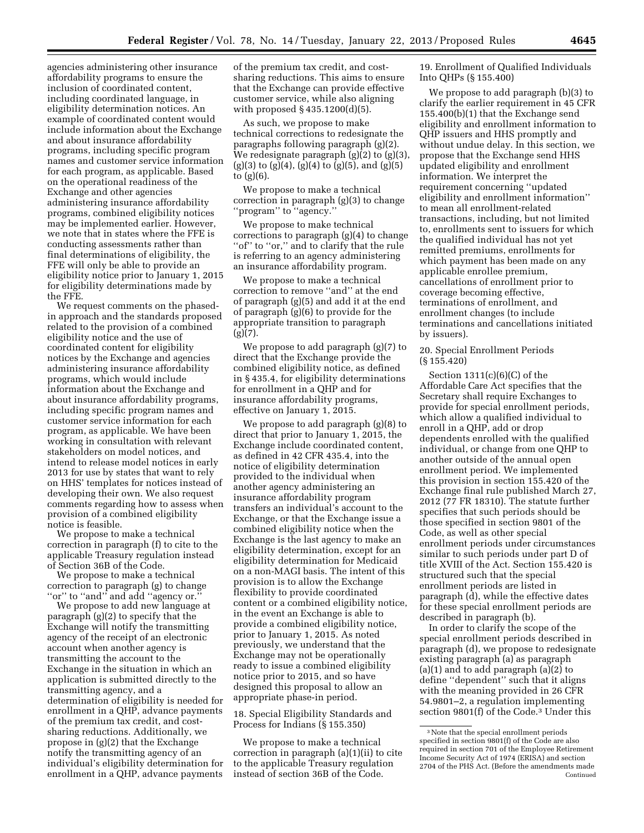agencies administering other insurance affordability programs to ensure the inclusion of coordinated content, including coordinated language, in eligibility determination notices. An example of coordinated content would include information about the Exchange and about insurance affordability programs, including specific program names and customer service information for each program, as applicable. Based on the operational readiness of the Exchange and other agencies administering insurance affordability programs, combined eligibility notices may be implemented earlier. However, we note that in states where the FFE is conducting assessments rather than final determinations of eligibility, the FFE will only be able to provide an eligibility notice prior to January 1, 2015 for eligibility determinations made by the FFE.

We request comments on the phasedin approach and the standards proposed related to the provision of a combined eligibility notice and the use of coordinated content for eligibility notices by the Exchange and agencies administering insurance affordability programs, which would include information about the Exchange and about insurance affordability programs, including specific program names and customer service information for each program, as applicable. We have been working in consultation with relevant stakeholders on model notices, and intend to release model notices in early 2013 for use by states that want to rely on HHS' templates for notices instead of developing their own. We also request comments regarding how to assess when provision of a combined eligibility notice is feasible.

We propose to make a technical correction in paragraph (f) to cite to the applicable Treasury regulation instead of Section 36B of the Code.

We propose to make a technical correction to paragraph (g) to change ''or'' to ''and'' and add ''agency or.''

We propose to add new language at paragraph (g)(2) to specify that the Exchange will notify the transmitting agency of the receipt of an electronic account when another agency is transmitting the account to the Exchange in the situation in which an application is submitted directly to the transmitting agency, and a determination of eligibility is needed for enrollment in a QHP, advance payments of the premium tax credit, and costsharing reductions. Additionally, we propose in (g)(2) that the Exchange notify the transmitting agency of an individual's eligibility determination for enrollment in a QHP, advance payments

of the premium tax credit, and costsharing reductions. This aims to ensure that the Exchange can provide effective customer service, while also aligning with proposed § 435.1200(d)(5).

As such, we propose to make technical corrections to redesignate the paragraphs following paragraph (g)(2). We redesignate paragraph (g)(2) to (g)(3),  $(g)(3)$  to  $(g)(4)$ ,  $(g)(4)$  to  $(g)(5)$ , and  $(g)(5)$ to (g)(6).

We propose to make a technical correction in paragraph (g)(3) to change 'program'' to "agency.'

We propose to make technical corrections to paragraph (g)(4) to change "of" to "or," and to clarify that the rule is referring to an agency administering an insurance affordability program.

We propose to make a technical correction to remove ''and'' at the end of paragraph (g)(5) and add it at the end of paragraph (g)(6) to provide for the appropriate transition to paragraph  $\lbrack \varrho \rbrack \rbrack$  (7).

We propose to add paragraph (g)(7) to direct that the Exchange provide the combined eligibility notice, as defined in § 435.4, for eligibility determinations for enrollment in a QHP and for insurance affordability programs, effective on January 1, 2015.

We propose to add paragraph (g)(8) to direct that prior to January 1, 2015, the Exchange include coordinated content, as defined in 42 CFR 435.4, into the notice of eligibility determination provided to the individual when another agency administering an insurance affordability program transfers an individual's account to the Exchange, or that the Exchange issue a combined eligibility notice when the Exchange is the last agency to make an eligibility determination, except for an eligibility determination for Medicaid on a non-MAGI basis. The intent of this provision is to allow the Exchange flexibility to provide coordinated content or a combined eligibility notice, in the event an Exchange is able to provide a combined eligibility notice, prior to January 1, 2015. As noted previously, we understand that the Exchange may not be operationally ready to issue a combined eligibility notice prior to 2015, and so have designed this proposal to allow an appropriate phase-in period.

18. Special Eligibility Standards and Process for Indians (§ 155.350)

We propose to make a technical correction in paragraph (a)(1)(ii) to cite to the applicable Treasury regulation instead of section 36B of the Code.

19. Enrollment of Qualified Individuals Into QHPs (§ 155.400)

We propose to add paragraph (b)(3) to clarify the earlier requirement in 45 CFR 155.400(b)(1) that the Exchange send eligibility and enrollment information to QHP issuers and HHS promptly and without undue delay. In this section, we propose that the Exchange send HHS updated eligibility and enrollment information. We interpret the requirement concerning ''updated eligibility and enrollment information'' to mean all enrollment-related transactions, including, but not limited to, enrollments sent to issuers for which the qualified individual has not yet remitted premiums, enrollments for which payment has been made on any applicable enrollee premium, cancellations of enrollment prior to coverage becoming effective, terminations of enrollment, and enrollment changes (to include terminations and cancellations initiated by issuers).

20. Special Enrollment Periods (§ 155.420)

Section 1311(c)(6)(C) of the Affordable Care Act specifies that the Secretary shall require Exchanges to provide for special enrollment periods, which allow a qualified individual to enroll in a QHP, add or drop dependents enrolled with the qualified individual, or change from one QHP to another outside of the annual open enrollment period. We implemented this provision in section 155.420 of the Exchange final rule published March 27, 2012 (77 FR 18310). The statute further specifies that such periods should be those specified in section 9801 of the Code, as well as other special enrollment periods under circumstances similar to such periods under part D of title XVIII of the Act. Section 155.420 is structured such that the special enrollment periods are listed in paragraph (d), while the effective dates for these special enrollment periods are described in paragraph (b).

In order to clarify the scope of the special enrollment periods described in paragraph (d), we propose to redesignate existing paragraph (a) as paragraph (a)(1) and to add paragraph (a)(2) to define ''dependent'' such that it aligns with the meaning provided in 26 CFR 54.9801–2, a regulation implementing section 9801(f) of the Code.3 Under this

<sup>3</sup>Note that the special enrollment periods specified in section 9801(f) of the Code are also required in section 701 of the Employee Retirement Income Security Act of 1974 (ERISA) and section 2704 of the PHS Act. (Before the amendments made Continued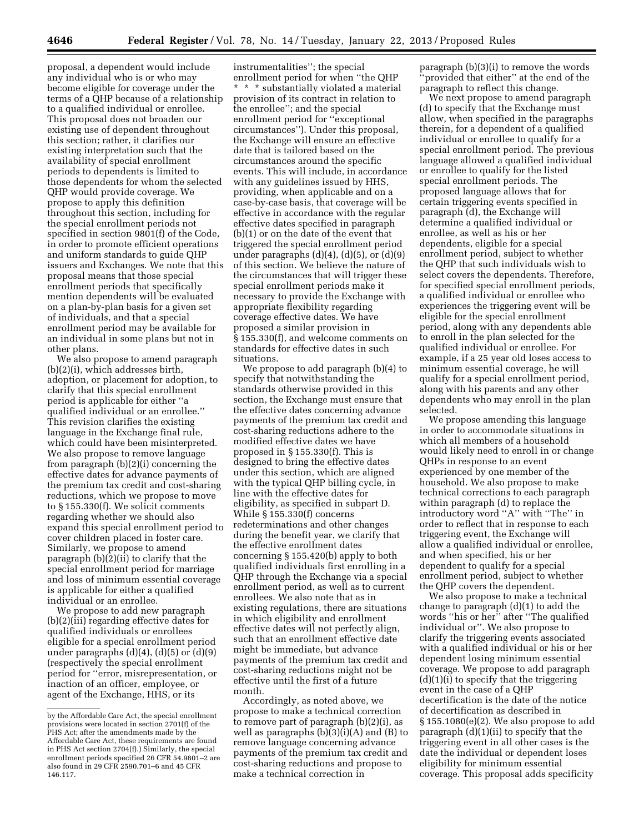proposal, a dependent would include any individual who is or who may become eligible for coverage under the terms of a QHP because of a relationship to a qualified individual or enrollee. This proposal does not broaden our existing use of dependent throughout this section; rather, it clarifies our existing interpretation such that the availability of special enrollment periods to dependents is limited to those dependents for whom the selected QHP would provide coverage. We propose to apply this definition throughout this section, including for the special enrollment periods not specified in section 9801(f) of the Code, in order to promote efficient operations and uniform standards to guide QHP issuers and Exchanges. We note that this proposal means that those special enrollment periods that specifically mention dependents will be evaluated on a plan-by-plan basis for a given set of individuals, and that a special enrollment period may be available for an individual in some plans but not in other plans.

We also propose to amend paragraph (b)(2)(i), which addresses birth, adoption, or placement for adoption, to clarify that this special enrollment period is applicable for either ''a qualified individual or an enrollee.'' This revision clarifies the existing language in the Exchange final rule, which could have been misinterpreted. We also propose to remove language from paragraph (b)(2)(i) concerning the effective dates for advance payments of the premium tax credit and cost-sharing reductions, which we propose to move to § 155.330(f). We solicit comments regarding whether we should also expand this special enrollment period to cover children placed in foster care. Similarly, we propose to amend paragraph (b)(2)(ii) to clarify that the special enrollment period for marriage and loss of minimum essential coverage is applicable for either a qualified individual or an enrollee.

We propose to add new paragraph (b)(2)(iii) regarding effective dates for qualified individuals or enrollees eligible for a special enrollment period under paragraphs  $(d)(4)$ ,  $(d)(5)$  or  $(d)(9)$ (respectively the special enrollment period for ''error, misrepresentation, or inaction of an officer, employee, or agent of the Exchange, HHS, or its

instrumentalities''; the special enrollment period for when ''the QHP \* \* \* substantially violated a material provision of its contract in relation to the enrollee''; and the special enrollment period for ''exceptional circumstances''). Under this proposal, the Exchange will ensure an effective date that is tailored based on the circumstances around the specific events. This will include, in accordance with any guidelines issued by HHS, providing, when applicable and on a case-by-case basis, that coverage will be effective in accordance with the regular effective dates specified in paragraph (b)(1) or on the date of the event that triggered the special enrollment period under paragraphs  $(d)(4)$ ,  $(d)(5)$ , or  $(d)(9)$ of this section. We believe the nature of the circumstances that will trigger these special enrollment periods make it necessary to provide the Exchange with appropriate flexibility regarding coverage effective dates. We have proposed a similar provision in § 155.330(f), and welcome comments on standards for effective dates in such situations.

We propose to add paragraph (b)(4) to specify that notwithstanding the standards otherwise provided in this section, the Exchange must ensure that the effective dates concerning advance payments of the premium tax credit and cost-sharing reductions adhere to the modified effective dates we have proposed in § 155.330(f). This is designed to bring the effective dates under this section, which are aligned with the typical QHP billing cycle, in line with the effective dates for eligibility, as specified in subpart D. While § 155.330(f) concerns redeterminations and other changes during the benefit year, we clarify that the effective enrollment dates concerning § 155.420(b) apply to both qualified individuals first enrolling in a QHP through the Exchange via a special enrollment period, as well as to current enrollees. We also note that as in existing regulations, there are situations in which eligibility and enrollment effective dates will not perfectly align, such that an enrollment effective date might be immediate, but advance payments of the premium tax credit and cost-sharing reductions might not be effective until the first of a future month.

Accordingly, as noted above, we propose to make a technical correction to remove part of paragraph (b)(2)(i), as well as paragraphs (b)(3)(i)(A) and (B) to remove language concerning advance payments of the premium tax credit and cost-sharing reductions and propose to make a technical correction in

paragraph (b)(3)(i) to remove the words 'provided that either'' at the end of the paragraph to reflect this change.

We next propose to amend paragraph (d) to specify that the Exchange must allow, when specified in the paragraphs therein, for a dependent of a qualified individual or enrollee to qualify for a special enrollment period. The previous language allowed a qualified individual or enrollee to qualify for the listed special enrollment periods. The proposed language allows that for certain triggering events specified in paragraph (d), the Exchange will determine a qualified individual or enrollee, as well as his or her dependents, eligible for a special enrollment period, subject to whether the QHP that such individuals wish to select covers the dependents. Therefore, for specified special enrollment periods, a qualified individual or enrollee who experiences the triggering event will be eligible for the special enrollment period, along with any dependents able to enroll in the plan selected for the qualified individual or enrollee. For example, if a 25 year old loses access to minimum essential coverage, he will qualify for a special enrollment period, along with his parents and any other dependents who may enroll in the plan selected.

We propose amending this language in order to accommodate situations in which all members of a household would likely need to enroll in or change QHPs in response to an event experienced by one member of the household. We also propose to make technical corrections to each paragraph within paragraph (d) to replace the introductory word ''A'' with ''The'' in order to reflect that in response to each triggering event, the Exchange will allow a qualified individual or enrollee, and when specified, his or her dependent to qualify for a special enrollment period, subject to whether the QHP covers the dependent.

We also propose to make a technical change to paragraph (d)(1) to add the words ''his or her'' after ''The qualified individual or''. We also propose to clarify the triggering events associated with a qualified individual or his or her dependent losing minimum essential coverage. We propose to add paragraph  $(d)(1)(i)$  to specify that the triggering event in the case of a QHP decertification is the date of the notice of decertification as described in § 155.1080(e)(2). We also propose to add paragraph (d)(1)(ii) to specify that the triggering event in all other cases is the date the individual or dependent loses eligibility for minimum essential coverage. This proposal adds specificity

by the Affordable Care Act, the special enrollment provisions were located in section 2701(f) of the PHS Act; after the amendments made by the Affordable Care Act, these requirements are found in PHS Act section 2704(f).) Similarly, the special enrollment periods specified 26 CFR 54.9801–2 are also found in 29 CFR 2590.701–6 and 45 CFR 146.117.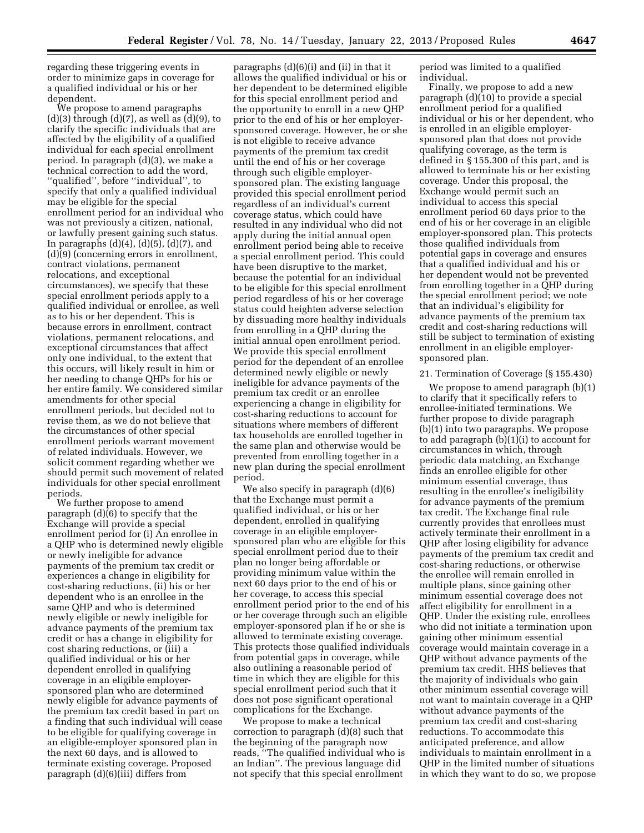regarding these triggering events in order to minimize gaps in coverage for a qualified individual or his or her dependent.

We propose to amend paragraphs  $(d)(3)$  through  $(d)(7)$ , as well as  $(d)(9)$ , to clarify the specific individuals that are affected by the eligibility of a qualified individual for each special enrollment period. In paragraph (d)(3), we make a technical correction to add the word, ''qualified'', before ''individual'', to specify that only a qualified individual may be eligible for the special enrollment period for an individual who was not previously a citizen, national, or lawfully present gaining such status. In paragraphs  $(d)(4)$ ,  $(d)(5)$ ,  $(d)(7)$ , and (d)(9) (concerning errors in enrollment, contract violations, permanent relocations, and exceptional circumstances), we specify that these special enrollment periods apply to a qualified individual or enrollee, as well as to his or her dependent. This is because errors in enrollment, contract violations, permanent relocations, and exceptional circumstances that affect only one individual, to the extent that this occurs, will likely result in him or her needing to change QHPs for his or her entire family. We considered similar amendments for other special enrollment periods, but decided not to revise them, as we do not believe that the circumstances of other special enrollment periods warrant movement of related individuals. However, we solicit comment regarding whether we should permit such movement of related individuals for other special enrollment periods.

We further propose to amend paragraph (d)(6) to specify that the Exchange will provide a special enrollment period for (i) An enrollee in a QHP who is determined newly eligible or newly ineligible for advance payments of the premium tax credit or experiences a change in eligibility for cost-sharing reductions, (ii) his or her dependent who is an enrollee in the same QHP and who is determined newly eligible or newly ineligible for advance payments of the premium tax credit or has a change in eligibility for cost sharing reductions, or (iii) a qualified individual or his or her dependent enrolled in qualifying coverage in an eligible employersponsored plan who are determined newly eligible for advance payments of the premium tax credit based in part on a finding that such individual will cease to be eligible for qualifying coverage in an eligible-employer sponsored plan in the next 60 days, and is allowed to terminate existing coverage. Proposed paragraph (d)(6)(iii) differs from

paragraphs (d)(6)(i) and (ii) in that it allows the qualified individual or his or her dependent to be determined eligible for this special enrollment period and the opportunity to enroll in a new QHP prior to the end of his or her employersponsored coverage. However, he or she is not eligible to receive advance payments of the premium tax credit until the end of his or her coverage through such eligible employersponsored plan. The existing language provided this special enrollment period regardless of an individual's current coverage status, which could have resulted in any individual who did not apply during the initial annual open enrollment period being able to receive a special enrollment period. This could have been disruptive to the market, because the potential for an individual to be eligible for this special enrollment period regardless of his or her coverage status could heighten adverse selection by dissuading more healthy individuals from enrolling in a QHP during the initial annual open enrollment period. We provide this special enrollment period for the dependent of an enrollee determined newly eligible or newly ineligible for advance payments of the premium tax credit or an enrollee experiencing a change in eligibility for cost-sharing reductions to account for situations where members of different tax households are enrolled together in the same plan and otherwise would be prevented from enrolling together in a new plan during the special enrollment period.

We also specify in paragraph (d)(6) that the Exchange must permit a qualified individual, or his or her dependent, enrolled in qualifying coverage in an eligible employersponsored plan who are eligible for this special enrollment period due to their plan no longer being affordable or providing minimum value within the next 60 days prior to the end of his or her coverage, to access this special enrollment period prior to the end of his or her coverage through such an eligible employer-sponsored plan if he or she is allowed to terminate existing coverage. This protects those qualified individuals from potential gaps in coverage, while also outlining a reasonable period of time in which they are eligible for this special enrollment period such that it does not pose significant operational complications for the Exchange.

We propose to make a technical correction to paragraph (d)(8) such that the beginning of the paragraph now reads, ''The qualified individual who is an Indian''. The previous language did not specify that this special enrollment

period was limited to a qualified individual.

Finally, we propose to add a new paragraph (d)(10) to provide a special enrollment period for a qualified individual or his or her dependent, who is enrolled in an eligible employersponsored plan that does not provide qualifying coverage, as the term is defined in § 155.300 of this part, and is allowed to terminate his or her existing coverage. Under this proposal, the Exchange would permit such an individual to access this special enrollment period 60 days prior to the end of his or her coverage in an eligible employer-sponsored plan. This protects those qualified individuals from potential gaps in coverage and ensures that a qualified individual and his or her dependent would not be prevented from enrolling together in a QHP during the special enrollment period; we note that an individual's eligibility for advance payments of the premium tax credit and cost-sharing reductions will still be subject to termination of existing enrollment in an eligible employersponsored plan.

## 21. Termination of Coverage (§ 155.430)

We propose to amend paragraph (b)(1) to clarify that it specifically refers to enrollee-initiated terminations. We further propose to divide paragraph (b)(1) into two paragraphs. We propose to add paragraph (b)(1)(i) to account for circumstances in which, through periodic data matching, an Exchange finds an enrollee eligible for other minimum essential coverage, thus resulting in the enrollee's ineligibility for advance payments of the premium tax credit. The Exchange final rule currently provides that enrollees must actively terminate their enrollment in a QHP after losing eligibility for advance payments of the premium tax credit and cost-sharing reductions, or otherwise the enrollee will remain enrolled in multiple plans, since gaining other minimum essential coverage does not affect eligibility for enrollment in a QHP. Under the existing rule, enrollees who did not initiate a termination upon gaining other minimum essential coverage would maintain coverage in a QHP without advance payments of the premium tax credit. HHS believes that the majority of individuals who gain other minimum essential coverage will not want to maintain coverage in a QHP without advance payments of the premium tax credit and cost-sharing reductions. To accommodate this anticipated preference, and allow individuals to maintain enrollment in a QHP in the limited number of situations in which they want to do so, we propose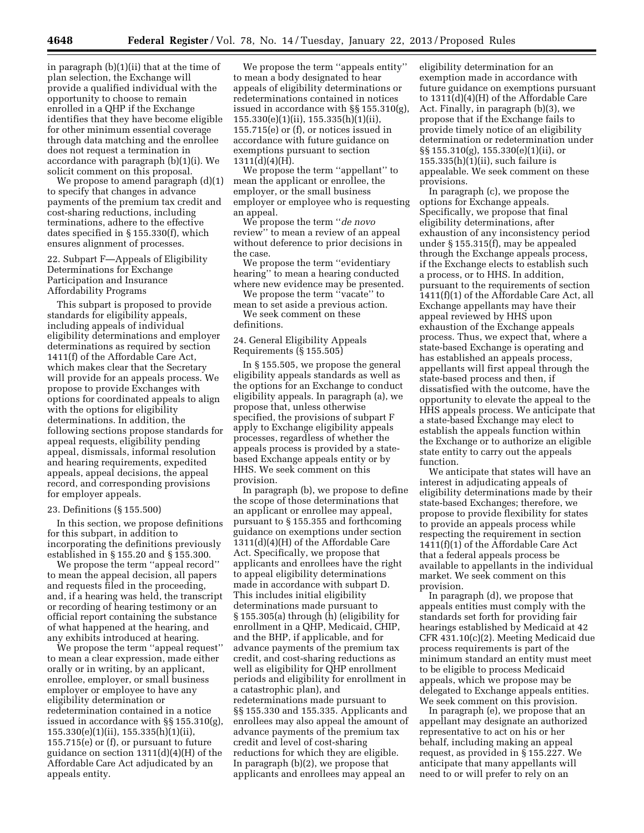in paragraph (b)(1)(ii) that at the time of plan selection, the Exchange will provide a qualified individual with the opportunity to choose to remain enrolled in a QHP if the Exchange identifies that they have become eligible for other minimum essential coverage through data matching and the enrollee does not request a termination in accordance with paragraph (b)(1)(i). We solicit comment on this proposal.

We propose to amend paragraph (d)(1) to specify that changes in advance payments of the premium tax credit and cost-sharing reductions, including terminations, adhere to the effective dates specified in § 155.330(f), which ensures alignment of processes.

22. Subpart F—Appeals of Eligibility Determinations for Exchange Participation and Insurance Affordability Programs

This subpart is proposed to provide standards for eligibility appeals, including appeals of individual eligibility determinations and employer determinations as required by section 1411(f) of the Affordable Care Act, which makes clear that the Secretary will provide for an appeals process. We propose to provide Exchanges with options for coordinated appeals to align with the options for eligibility determinations. In addition, the following sections propose standards for appeal requests, eligibility pending appeal, dismissals, informal resolution and hearing requirements, expedited appeals, appeal decisions, the appeal record, and corresponding provisions for employer appeals.

#### 23. Definitions (§ 155.500)

In this section, we propose definitions for this subpart, in addition to incorporating the definitions previously established in § 155.20 and § 155.300.

We propose the term ''appeal record'' to mean the appeal decision, all papers and requests filed in the proceeding, and, if a hearing was held, the transcript or recording of hearing testimony or an official report containing the substance of what happened at the hearing, and any exhibits introduced at hearing.

We propose the term ''appeal request'' to mean a clear expression, made either orally or in writing, by an applicant, enrollee, employer, or small business employer or employee to have any eligibility determination or redetermination contained in a notice issued in accordance with §§ 155.310(g), 155.330(e)(1)(ii), 155.335(h)(1)(ii), 155.715(e) or (f), or pursuant to future guidance on section 1311(d)(4)(H) of the Affordable Care Act adjudicated by an appeals entity.

We propose the term ''appeals entity'' to mean a body designated to hear appeals of eligibility determinations or redeterminations contained in notices issued in accordance with §§ 155.310(g), 155.330(e)(1)(ii), 155.335(h)(1)(ii), 155.715(e) or (f), or notices issued in accordance with future guidance on exemptions pursuant to section  $1311(d)(4)(H)$ .

We propose the term ''appellant'' to mean the applicant or enrollee, the employer, or the small business employer or employee who is requesting an appeal.

We propose the term ''*de novo*  review'' to mean a review of an appeal without deference to prior decisions in the case.

We propose the term ''evidentiary hearing'' to mean a hearing conducted where new evidence may be presented.

We propose the term "vacate" to mean to set aside a previous action. We seek comment on these

24. General Eligibility Appeals Requirements (§ 155.505)

In § 155.505, we propose the general eligibility appeals standards as well as the options for an Exchange to conduct eligibility appeals. In paragraph (a), we propose that, unless otherwise specified, the provisions of subpart F apply to Exchange eligibility appeals processes, regardless of whether the appeals process is provided by a statebased Exchange appeals entity or by HHS. We seek comment on this provision.

In paragraph (b), we propose to define the scope of those determinations that an applicant or enrollee may appeal, pursuant to § 155.355 and forthcoming guidance on exemptions under section 1311(d)(4)(H) of the Affordable Care Act. Specifically, we propose that applicants and enrollees have the right to appeal eligibility determinations made in accordance with subpart D. This includes initial eligibility determinations made pursuant to § 155.305(a) through (h) (eligibility for enrollment in a QHP, Medicaid, CHIP, and the BHP, if applicable, and for advance payments of the premium tax credit, and cost-sharing reductions as well as eligibility for QHP enrollment periods and eligibility for enrollment in a catastrophic plan), and redeterminations made pursuant to §§ 155.330 and 155.335. Applicants and enrollees may also appeal the amount of advance payments of the premium tax credit and level of cost-sharing reductions for which they are eligible. In paragraph (b)(2), we propose that applicants and enrollees may appeal an

eligibility determination for an exemption made in accordance with future guidance on exemptions pursuant to 1311(d)(4)(H) of the Affordable Care Act. Finally, in paragraph (b)(3), we propose that if the Exchange fails to provide timely notice of an eligibility determination or redetermination under §§ 155.310(g), 155.330(e)(1)(ii), or  $155.335(h)(1)(ii)$ , such failure is appealable. We seek comment on these provisions.

In paragraph (c), we propose the options for Exchange appeals. Specifically, we propose that final eligibility determinations, after exhaustion of any inconsistency period under § 155.315(f), may be appealed through the Exchange appeals process, if the Exchange elects to establish such a process, or to HHS. In addition, pursuant to the requirements of section 1411(f)(1) of the Affordable Care Act, all Exchange appellants may have their appeal reviewed by HHS upon exhaustion of the Exchange appeals process. Thus, we expect that, where a state-based Exchange is operating and has established an appeals process, appellants will first appeal through the state-based process and then, if dissatisfied with the outcome, have the opportunity to elevate the appeal to the HHS appeals process. We anticipate that a state-based Exchange may elect to establish the appeals function within the Exchange or to authorize an eligible state entity to carry out the appeals function.

We anticipate that states will have an interest in adjudicating appeals of eligibility determinations made by their state-based Exchanges; therefore, we propose to provide flexibility for states to provide an appeals process while respecting the requirement in section 1411(f)(1) of the Affordable Care Act that a federal appeals process be available to appellants in the individual market. We seek comment on this provision.

In paragraph (d), we propose that appeals entities must comply with the standards set forth for providing fair hearings established by Medicaid at 42 CFR 431.10(c)(2). Meeting Medicaid due process requirements is part of the minimum standard an entity must meet to be eligible to process Medicaid appeals, which we propose may be delegated to Exchange appeals entities. We seek comment on this provision.

In paragraph (e), we propose that an appellant may designate an authorized representative to act on his or her behalf, including making an appeal request, as provided in § 155.227. We anticipate that many appellants will need to or will prefer to rely on an

definitions.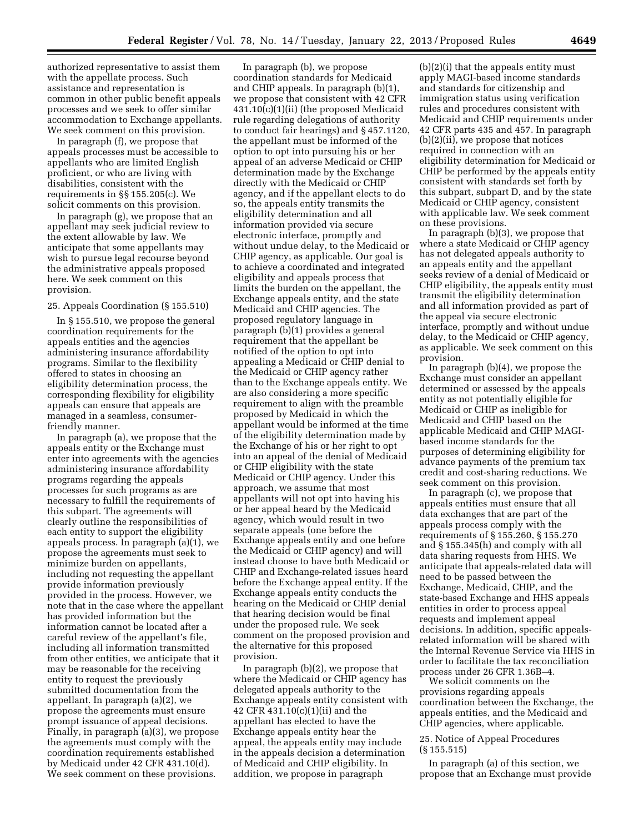authorized representative to assist them with the appellate process. Such assistance and representation is common in other public benefit appeals processes and we seek to offer similar accommodation to Exchange appellants. We seek comment on this provision.

In paragraph (f), we propose that appeals processes must be accessible to appellants who are limited English proficient, or who are living with disabilities, consistent with the requirements in §§ 155.205(c). We solicit comments on this provision.

In paragraph (g), we propose that an appellant may seek judicial review to the extent allowable by law. We anticipate that some appellants may wish to pursue legal recourse beyond the administrative appeals proposed here. We seek comment on this provision.

# 25. Appeals Coordination (§ 155.510)

In § 155.510, we propose the general coordination requirements for the appeals entities and the agencies administering insurance affordability programs. Similar to the flexibility offered to states in choosing an eligibility determination process, the corresponding flexibility for eligibility appeals can ensure that appeals are managed in a seamless, consumerfriendly manner.

In paragraph (a), we propose that the appeals entity or the Exchange must enter into agreements with the agencies administering insurance affordability programs regarding the appeals processes for such programs as are necessary to fulfill the requirements of this subpart. The agreements will clearly outline the responsibilities of each entity to support the eligibility appeals process. In paragraph (a)(1), we propose the agreements must seek to minimize burden on appellants, including not requesting the appellant provide information previously provided in the process. However, we note that in the case where the appellant has provided information but the information cannot be located after a careful review of the appellant's file, including all information transmitted from other entities, we anticipate that it may be reasonable for the receiving entity to request the previously submitted documentation from the appellant. In paragraph (a)(2), we propose the agreements must ensure prompt issuance of appeal decisions. Finally, in paragraph (a)(3), we propose the agreements must comply with the coordination requirements established by Medicaid under 42 CFR 431.10(d). We seek comment on these provisions.

In paragraph (b), we propose coordination standards for Medicaid and CHIP appeals. In paragraph (b)(1), we propose that consistent with 42 CFR 431.10(c)(1)(ii) (the proposed Medicaid rule regarding delegations of authority to conduct fair hearings) and § 457.1120, the appellant must be informed of the option to opt into pursuing his or her appeal of an adverse Medicaid or CHIP determination made by the Exchange directly with the Medicaid or CHIP agency, and if the appellant elects to do so, the appeals entity transmits the eligibility determination and all information provided via secure electronic interface, promptly and without undue delay, to the Medicaid or CHIP agency, as applicable. Our goal is to achieve a coordinated and integrated eligibility and appeals process that limits the burden on the appellant, the Exchange appeals entity, and the state Medicaid and CHIP agencies. The proposed regulatory language in paragraph (b)(1) provides a general requirement that the appellant be notified of the option to opt into appealing a Medicaid or CHIP denial to the Medicaid or CHIP agency rather than to the Exchange appeals entity. We are also considering a more specific requirement to align with the preamble proposed by Medicaid in which the appellant would be informed at the time of the eligibility determination made by the Exchange of his or her right to opt into an appeal of the denial of Medicaid or CHIP eligibility with the state Medicaid or CHIP agency. Under this approach, we assume that most appellants will not opt into having his or her appeal heard by the Medicaid agency, which would result in two separate appeals (one before the Exchange appeals entity and one before the Medicaid or CHIP agency) and will instead choose to have both Medicaid or CHIP and Exchange-related issues heard before the Exchange appeal entity. If the Exchange appeals entity conducts the hearing on the Medicaid or CHIP denial that hearing decision would be final under the proposed rule. We seek comment on the proposed provision and the alternative for this proposed provision.

In paragraph (b)(2), we propose that where the Medicaid or CHIP agency has delegated appeals authority to the Exchange appeals entity consistent with 42 CFR 431.10(c)(1)(ii) and the appellant has elected to have the Exchange appeals entity hear the appeal, the appeals entity may include in the appeals decision a determination of Medicaid and CHIP eligibility. In addition, we propose in paragraph

(b)(2)(i) that the appeals entity must apply MAGI-based income standards and standards for citizenship and immigration status using verification rules and procedures consistent with Medicaid and CHIP requirements under 42 CFR parts 435 and 457. In paragraph (b)(2)(ii), we propose that notices required in connection with an eligibility determination for Medicaid or CHIP be performed by the appeals entity consistent with standards set forth by this subpart, subpart D, and by the state Medicaid or CHIP agency, consistent with applicable law. We seek comment on these provisions.

In paragraph (b)(3), we propose that where a state Medicaid or CHIP agency has not delegated appeals authority to an appeals entity and the appellant seeks review of a denial of Medicaid or CHIP eligibility, the appeals entity must transmit the eligibility determination and all information provided as part of the appeal via secure electronic interface, promptly and without undue delay, to the Medicaid or CHIP agency, as applicable. We seek comment on this provision.

In paragraph (b)(4), we propose the Exchange must consider an appellant determined or assessed by the appeals entity as not potentially eligible for Medicaid or CHIP as ineligible for Medicaid and CHIP based on the applicable Medicaid and CHIP MAGIbased income standards for the purposes of determining eligibility for advance payments of the premium tax credit and cost-sharing reductions. We seek comment on this provision.

In paragraph (c), we propose that appeals entities must ensure that all data exchanges that are part of the appeals process comply with the requirements of § 155.260, § 155.270 and § 155.345(h) and comply with all data sharing requests from HHS. We anticipate that appeals-related data will need to be passed between the Exchange, Medicaid, CHIP, and the state-based Exchange and HHS appeals entities in order to process appeal requests and implement appeal decisions. In addition, specific appealsrelated information will be shared with the Internal Revenue Service via HHS in order to facilitate the tax reconciliation process under 26 CFR 1.36B–4.

We solicit comments on the provisions regarding appeals coordination between the Exchange, the appeals entities, and the Medicaid and CHIP agencies, where applicable.

# 25. Notice of Appeal Procedures (§ 155.515)

In paragraph (a) of this section, we propose that an Exchange must provide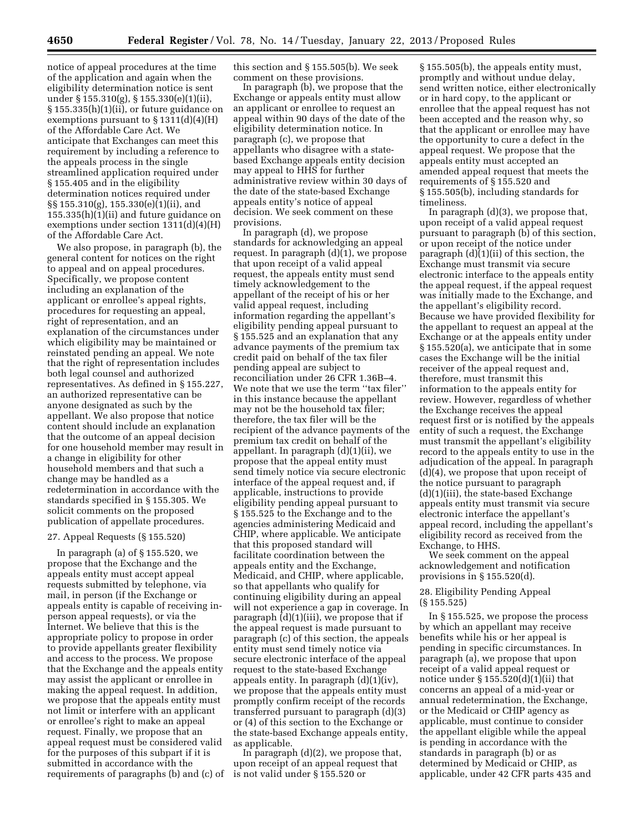notice of appeal procedures at the time of the application and again when the eligibility determination notice is sent under § 155.310(g), § 155.330(e)(1)(ii), § 155.335(h)(1)(ii), or future guidance on exemptions pursuant to  $\S 1311(d)(4)(H)$ of the Affordable Care Act. We anticipate that Exchanges can meet this requirement by including a reference to the appeals process in the single streamlined application required under § 155.405 and in the eligibility determination notices required under §§ 155.310(g), 155.330(e)(1)(ii), and 155.335(h)(1)(ii) and future guidance on exemptions under section 1311(d)(4)(H) of the Affordable Care Act.

We also propose, in paragraph (b), the general content for notices on the right to appeal and on appeal procedures. Specifically, we propose content including an explanation of the applicant or enrollee's appeal rights, procedures for requesting an appeal, right of representation, and an explanation of the circumstances under which eligibility may be maintained or reinstated pending an appeal. We note that the right of representation includes both legal counsel and authorized representatives. As defined in § 155.227, an authorized representative can be anyone designated as such by the appellant. We also propose that notice content should include an explanation that the outcome of an appeal decision for one household member may result in a change in eligibility for other household members and that such a change may be handled as a redetermination in accordance with the standards specified in § 155.305. We solicit comments on the proposed publication of appellate procedures.

### 27. Appeal Requests (§ 155.520)

In paragraph (a) of § 155.520, we propose that the Exchange and the appeals entity must accept appeal requests submitted by telephone, via mail, in person (if the Exchange or appeals entity is capable of receiving inperson appeal requests), or via the Internet. We believe that this is the appropriate policy to propose in order to provide appellants greater flexibility and access to the process. We propose that the Exchange and the appeals entity may assist the applicant or enrollee in making the appeal request. In addition, we propose that the appeals entity must not limit or interfere with an applicant or enrollee's right to make an appeal request. Finally, we propose that an appeal request must be considered valid for the purposes of this subpart if it is submitted in accordance with the requirements of paragraphs (b) and (c) of this section and § 155.505(b). We seek comment on these provisions.

In paragraph (b), we propose that the Exchange or appeals entity must allow an applicant or enrollee to request an appeal within 90 days of the date of the eligibility determination notice. In paragraph (c), we propose that appellants who disagree with a statebased Exchange appeals entity decision may appeal to HHS for further administrative review within 30 days of the date of the state-based Exchange appeals entity's notice of appeal decision. We seek comment on these provisions.

In paragraph (d), we propose standards for acknowledging an appeal request. In paragraph (d)(1), we propose that upon receipt of a valid appeal request, the appeals entity must send timely acknowledgement to the appellant of the receipt of his or her valid appeal request, including information regarding the appellant's eligibility pending appeal pursuant to § 155.525 and an explanation that any advance payments of the premium tax credit paid on behalf of the tax filer pending appeal are subject to reconciliation under 26 CFR 1.36B–4. We note that we use the term ''tax filer'' in this instance because the appellant may not be the household tax filer; therefore, the tax filer will be the recipient of the advance payments of the premium tax credit on behalf of the appellant. In paragraph (d)(1)(ii), we propose that the appeal entity must send timely notice via secure electronic interface of the appeal request and, if applicable, instructions to provide eligibility pending appeal pursuant to § 155.525 to the Exchange and to the agencies administering Medicaid and CHIP, where applicable. We anticipate that this proposed standard will facilitate coordination between the appeals entity and the Exchange, Medicaid, and CHIP, where applicable, so that appellants who qualify for continuing eligibility during an appeal will not experience a gap in coverage. In paragraph (d)(1)(iii), we propose that if the appeal request is made pursuant to paragraph (c) of this section, the appeals entity must send timely notice via secure electronic interface of the appeal request to the state-based Exchange appeals entity. In paragraph (d)(1)(iv), we propose that the appeals entity must promptly confirm receipt of the records transferred pursuant to paragraph (d)(3) or (4) of this section to the Exchange or the state-based Exchange appeals entity, as applicable.

In paragraph (d)(2), we propose that, upon receipt of an appeal request that is not valid under § 155.520 or

§ 155.505(b), the appeals entity must, promptly and without undue delay, send written notice, either electronically or in hard copy, to the applicant or enrollee that the appeal request has not been accepted and the reason why, so that the applicant or enrollee may have the opportunity to cure a defect in the appeal request. We propose that the appeals entity must accepted an amended appeal request that meets the requirements of § 155.520 and § 155.505(b), including standards for timeliness.

In paragraph (d)(3), we propose that, upon receipt of a valid appeal request pursuant to paragraph (b) of this section, or upon receipt of the notice under paragraph (d)(1)(ii) of this section, the Exchange must transmit via secure electronic interface to the appeals entity the appeal request, if the appeal request was initially made to the Exchange, and the appellant's eligibility record. Because we have provided flexibility for the appellant to request an appeal at the Exchange or at the appeals entity under § 155.520(a), we anticipate that in some cases the Exchange will be the initial receiver of the appeal request and, therefore, must transmit this information to the appeals entity for review. However, regardless of whether the Exchange receives the appeal request first or is notified by the appeals entity of such a request, the Exchange must transmit the appellant's eligibility record to the appeals entity to use in the adjudication of the appeal. In paragraph (d)(4), we propose that upon receipt of the notice pursuant to paragraph (d)(1)(iii), the state-based Exchange appeals entity must transmit via secure electronic interface the appellant's appeal record, including the appellant's eligibility record as received from the Exchange, to HHS.

We seek comment on the appeal acknowledgement and notification provisions in § 155.520(d).

# 28. Eligibility Pending Appeal (§ 155.525)

In § 155.525, we propose the process by which an appellant may receive benefits while his or her appeal is pending in specific circumstances. In paragraph (a), we propose that upon receipt of a valid appeal request or notice under  $\S 155.520(d)(1)(ii)$  that concerns an appeal of a mid-year or annual redetermination, the Exchange, or the Medicaid or CHIP agency as applicable, must continue to consider the appellant eligible while the appeal is pending in accordance with the standards in paragraph (b) or as determined by Medicaid or CHIP, as applicable, under 42 CFR parts 435 and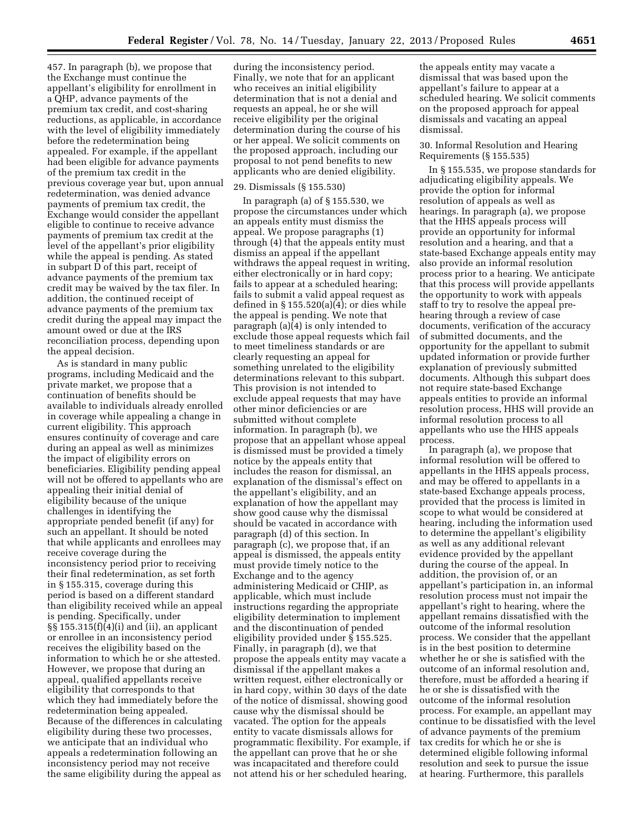457. In paragraph (b), we propose that the Exchange must continue the appellant's eligibility for enrollment in a QHP, advance payments of the premium tax credit, and cost-sharing reductions, as applicable, in accordance with the level of eligibility immediately before the redetermination being appealed. For example, if the appellant had been eligible for advance payments of the premium tax credit in the previous coverage year but, upon annual redetermination, was denied advance payments of premium tax credit, the Exchange would consider the appellant eligible to continue to receive advance payments of premium tax credit at the level of the appellant's prior eligibility while the appeal is pending. As stated in subpart D of this part, receipt of advance payments of the premium tax credit may be waived by the tax filer. In addition, the continued receipt of advance payments of the premium tax credit during the appeal may impact the amount owed or due at the IRS reconciliation process, depending upon the appeal decision.

As is standard in many public programs, including Medicaid and the private market, we propose that a continuation of benefits should be available to individuals already enrolled in coverage while appealing a change in current eligibility. This approach ensures continuity of coverage and care during an appeal as well as minimizes the impact of eligibility errors on beneficiaries. Eligibility pending appeal will not be offered to appellants who are appealing their initial denial of eligibility because of the unique challenges in identifying the appropriate pended benefit (if any) for such an appellant. It should be noted that while applicants and enrollees may receive coverage during the inconsistency period prior to receiving their final redetermination, as set forth in § 155.315, coverage during this period is based on a different standard than eligibility received while an appeal is pending. Specifically, under  $\S\S 155.315(f)(4)(i)$  and (ii), an applicant or enrollee in an inconsistency period receives the eligibility based on the information to which he or she attested. However, we propose that during an appeal, qualified appellants receive eligibility that corresponds to that which they had immediately before the redetermination being appealed. Because of the differences in calculating eligibility during these two processes, we anticipate that an individual who appeals a redetermination following an inconsistency period may not receive the same eligibility during the appeal as

during the inconsistency period. Finally, we note that for an applicant who receives an initial eligibility determination that is not a denial and requests an appeal, he or she will receive eligibility per the original determination during the course of his or her appeal. We solicit comments on the proposed approach, including our proposal to not pend benefits to new applicants who are denied eligibility.

#### 29. Dismissals (§ 155.530)

In paragraph (a) of § 155.530, we propose the circumstances under which an appeals entity must dismiss the appeal. We propose paragraphs (1) through (4) that the appeals entity must dismiss an appeal if the appellant withdraws the appeal request in writing, either electronically or in hard copy; fails to appear at a scheduled hearing; fails to submit a valid appeal request as defined in  $\S 155.520(a)(4)$ ; or dies while the appeal is pending. We note that paragraph (a)(4) is only intended to exclude those appeal requests which fail to meet timeliness standards or are clearly requesting an appeal for something unrelated to the eligibility determinations relevant to this subpart. This provision is not intended to exclude appeal requests that may have other minor deficiencies or are submitted without complete information. In paragraph (b), we propose that an appellant whose appeal is dismissed must be provided a timely notice by the appeals entity that includes the reason for dismissal, an explanation of the dismissal's effect on the appellant's eligibility, and an explanation of how the appellant may show good cause why the dismissal should be vacated in accordance with paragraph (d) of this section. In paragraph (c), we propose that, if an appeal is dismissed, the appeals entity must provide timely notice to the Exchange and to the agency administering Medicaid or CHIP, as applicable, which must include instructions regarding the appropriate eligibility determination to implement and the discontinuation of pended eligibility provided under § 155.525. Finally, in paragraph (d), we that propose the appeals entity may vacate a dismissal if the appellant makes a written request, either electronically or in hard copy, within 30 days of the date of the notice of dismissal, showing good cause why the dismissal should be vacated. The option for the appeals entity to vacate dismissals allows for programmatic flexibility. For example, if the appellant can prove that he or she was incapacitated and therefore could not attend his or her scheduled hearing,

the appeals entity may vacate a dismissal that was based upon the appellant's failure to appear at a scheduled hearing. We solicit comments on the proposed approach for appeal dismissals and vacating an appeal dismissal.

### 30. Informal Resolution and Hearing Requirements (§ 155.535)

In § 155.535, we propose standards for adjudicating eligibility appeals. We provide the option for informal resolution of appeals as well as hearings. In paragraph (a), we propose that the HHS appeals process will provide an opportunity for informal resolution and a hearing, and that a state-based Exchange appeals entity may also provide an informal resolution process prior to a hearing. We anticipate that this process will provide appellants the opportunity to work with appeals staff to try to resolve the appeal prehearing through a review of case documents, verification of the accuracy of submitted documents, and the opportunity for the appellant to submit updated information or provide further explanation of previously submitted documents. Although this subpart does not require state-based Exchange appeals entities to provide an informal resolution process, HHS will provide an informal resolution process to all appellants who use the HHS appeals process.

In paragraph (a), we propose that informal resolution will be offered to appellants in the HHS appeals process, and may be offered to appellants in a state-based Exchange appeals process, provided that the process is limited in scope to what would be considered at hearing, including the information used to determine the appellant's eligibility as well as any additional relevant evidence provided by the appellant during the course of the appeal. In addition, the provision of, or an appellant's participation in, an informal resolution process must not impair the appellant's right to hearing, where the appellant remains dissatisfied with the outcome of the informal resolution process. We consider that the appellant is in the best position to determine whether he or she is satisfied with the outcome of an informal resolution and, therefore, must be afforded a hearing if he or she is dissatisfied with the outcome of the informal resolution process. For example, an appellant may continue to be dissatisfied with the level of advance payments of the premium tax credits for which he or she is determined eligible following informal resolution and seek to pursue the issue at hearing. Furthermore, this parallels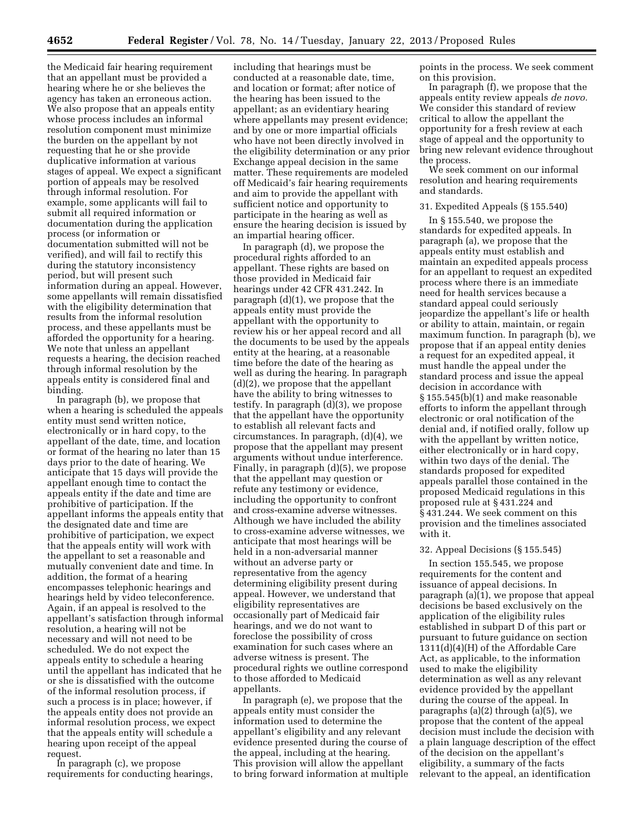the Medicaid fair hearing requirement that an appellant must be provided a hearing where he or she believes the agency has taken an erroneous action. We also propose that an appeals entity whose process includes an informal resolution component must minimize the burden on the appellant by not requesting that he or she provide duplicative information at various stages of appeal. We expect a significant portion of appeals may be resolved through informal resolution. For example, some applicants will fail to submit all required information or documentation during the application process (or information or documentation submitted will not be verified), and will fail to rectify this during the statutory inconsistency period, but will present such information during an appeal. However, some appellants will remain dissatisfied with the eligibility determination that results from the informal resolution process, and these appellants must be afforded the opportunity for a hearing. We note that unless an appellant requests a hearing, the decision reached through informal resolution by the appeals entity is considered final and binding.

In paragraph (b), we propose that when a hearing is scheduled the appeals entity must send written notice, electronically or in hard copy, to the appellant of the date, time, and location or format of the hearing no later than 15 days prior to the date of hearing. We anticipate that 15 days will provide the appellant enough time to contact the appeals entity if the date and time are prohibitive of participation. If the appellant informs the appeals entity that the designated date and time are prohibitive of participation, we expect that the appeals entity will work with the appellant to set a reasonable and mutually convenient date and time. In addition, the format of a hearing encompasses telephonic hearings and hearings held by video teleconference. Again, if an appeal is resolved to the appellant's satisfaction through informal resolution, a hearing will not be necessary and will not need to be scheduled. We do not expect the appeals entity to schedule a hearing until the appellant has indicated that he or she is dissatisfied with the outcome of the informal resolution process, if such a process is in place; however, if the appeals entity does not provide an informal resolution process, we expect that the appeals entity will schedule a hearing upon receipt of the appeal request.

In paragraph (c), we propose requirements for conducting hearings,

including that hearings must be conducted at a reasonable date, time, and location or format; after notice of the hearing has been issued to the appellant; as an evidentiary hearing where appellants may present evidence; and by one or more impartial officials who have not been directly involved in the eligibility determination or any prior Exchange appeal decision in the same matter. These requirements are modeled off Medicaid's fair hearing requirements and aim to provide the appellant with sufficient notice and opportunity to participate in the hearing as well as ensure the hearing decision is issued by an impartial hearing officer.

In paragraph (d), we propose the procedural rights afforded to an appellant. These rights are based on those provided in Medicaid fair hearings under 42 CFR 431.242. In paragraph (d)(1), we propose that the appeals entity must provide the appellant with the opportunity to review his or her appeal record and all the documents to be used by the appeals entity at the hearing, at a reasonable time before the date of the hearing as well as during the hearing. In paragraph (d)(2), we propose that the appellant have the ability to bring witnesses to testify. In paragraph (d)(3), we propose that the appellant have the opportunity to establish all relevant facts and circumstances. In paragraph, (d)(4), we propose that the appellant may present arguments without undue interference. Finally, in paragraph (d)(5), we propose that the appellant may question or refute any testimony or evidence, including the opportunity to confront and cross-examine adverse witnesses. Although we have included the ability to cross-examine adverse witnesses, we anticipate that most hearings will be held in a non-adversarial manner without an adverse party or representative from the agency determining eligibility present during appeal. However, we understand that eligibility representatives are occasionally part of Medicaid fair hearings, and we do not want to foreclose the possibility of cross examination for such cases where an adverse witness is present. The procedural rights we outline correspond to those afforded to Medicaid appellants.

In paragraph (e), we propose that the appeals entity must consider the information used to determine the appellant's eligibility and any relevant evidence presented during the course of the appeal, including at the hearing. This provision will allow the appellant to bring forward information at multiple

points in the process. We seek comment on this provision.

In paragraph (f), we propose that the appeals entity review appeals *de novo.*  We consider this standard of review critical to allow the appellant the opportunity for a fresh review at each stage of appeal and the opportunity to bring new relevant evidence throughout the process.

We seek comment on our informal resolution and hearing requirements and standards.

31. Expedited Appeals (§ 155.540)

In § 155.540, we propose the standards for expedited appeals. In paragraph (a), we propose that the appeals entity must establish and maintain an expedited appeals process for an appellant to request an expedited process where there is an immediate need for health services because a standard appeal could seriously jeopardize the appellant's life or health or ability to attain, maintain, or regain maximum function. In paragraph (b), we propose that if an appeal entity denies a request for an expedited appeal, it must handle the appeal under the standard process and issue the appeal decision in accordance with § 155.545(b)(1) and make reasonable efforts to inform the appellant through electronic or oral notification of the denial and, if notified orally, follow up with the appellant by written notice, either electronically or in hard copy, within two days of the denial. The standards proposed for expedited appeals parallel those contained in the proposed Medicaid regulations in this proposed rule at § 431.224 and § 431.244. We seek comment on this provision and the timelines associated with it.

#### 32. Appeal Decisions (§ 155.545)

In section 155.545, we propose requirements for the content and issuance of appeal decisions. In paragraph (a)(1), we propose that appeal decisions be based exclusively on the application of the eligibility rules established in subpart D of this part or pursuant to future guidance on section 1311(d)(4)(H) of the Affordable Care Act, as applicable, to the information used to make the eligibility determination as well as any relevant evidence provided by the appellant during the course of the appeal. In paragraphs (a)(2) through (a)(5), we propose that the content of the appeal decision must include the decision with a plain language description of the effect of the decision on the appellant's eligibility, a summary of the facts relevant to the appeal, an identification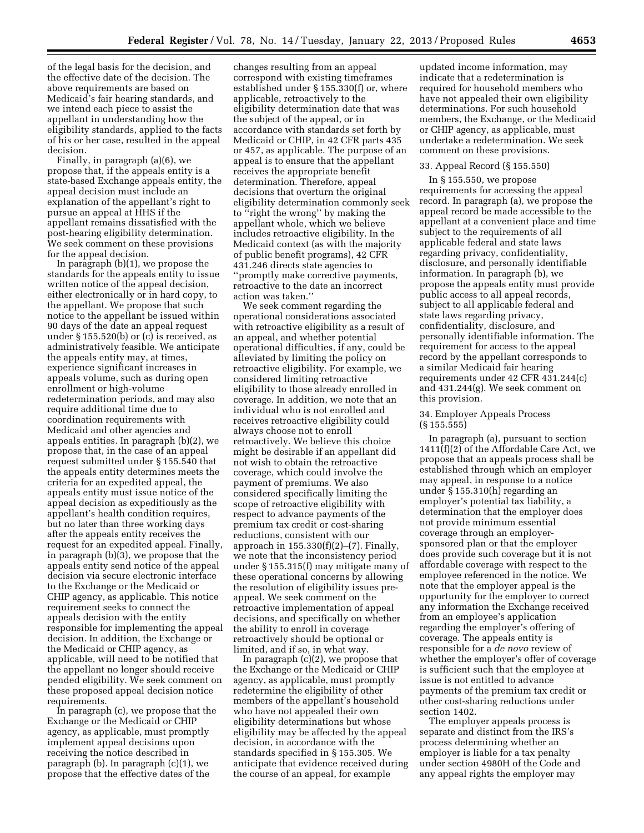of the legal basis for the decision, and the effective date of the decision. The above requirements are based on Medicaid's fair hearing standards, and we intend each piece to assist the appellant in understanding how the eligibility standards, applied to the facts of his or her case, resulted in the appeal decision.

Finally, in paragraph (a)(6), we propose that, if the appeals entity is a state-based Exchange appeals entity, the appeal decision must include an explanation of the appellant's right to pursue an appeal at HHS if the appellant remains dissatisfied with the post-hearing eligibility determination. We seek comment on these provisions for the appeal decision.

In paragraph (b)(1), we propose the standards for the appeals entity to issue written notice of the appeal decision, either electronically or in hard copy, to the appellant. We propose that such notice to the appellant be issued within 90 days of the date an appeal request under § 155.520(b) or (c) is received, as administratively feasible. We anticipate the appeals entity may, at times, experience significant increases in appeals volume, such as during open enrollment or high-volume redetermination periods, and may also require additional time due to coordination requirements with Medicaid and other agencies and appeals entities. In paragraph (b)(2), we propose that, in the case of an appeal request submitted under § 155.540 that the appeals entity determines meets the criteria for an expedited appeal, the appeals entity must issue notice of the appeal decision as expeditiously as the appellant's health condition requires, but no later than three working days after the appeals entity receives the request for an expedited appeal. Finally, in paragraph (b)(3), we propose that the appeals entity send notice of the appeal decision via secure electronic interface to the Exchange or the Medicaid or CHIP agency, as applicable. This notice requirement seeks to connect the appeals decision with the entity responsible for implementing the appeal decision. In addition, the Exchange or the Medicaid or CHIP agency, as applicable, will need to be notified that the appellant no longer should receive pended eligibility. We seek comment on these proposed appeal decision notice requirements.

In paragraph (c), we propose that the Exchange or the Medicaid or CHIP agency, as applicable, must promptly implement appeal decisions upon receiving the notice described in paragraph (b). In paragraph (c)(1), we propose that the effective dates of the

changes resulting from an appeal correspond with existing timeframes established under § 155.330(f) or, where applicable, retroactively to the eligibility determination date that was the subject of the appeal, or in accordance with standards set forth by Medicaid or CHIP, in 42 CFR parts 435 or 457, as applicable. The purpose of an appeal is to ensure that the appellant receives the appropriate benefit determination. Therefore, appeal decisions that overturn the original eligibility determination commonly seek to ''right the wrong'' by making the appellant whole, which we believe includes retroactive eligibility. In the Medicaid context (as with the majority of public benefit programs), 42 CFR 431.246 directs state agencies to ''promptly make corrective payments, retroactive to the date an incorrect action was taken.''

We seek comment regarding the operational considerations associated with retroactive eligibility as a result of an appeal, and whether potential operational difficulties, if any, could be alleviated by limiting the policy on retroactive eligibility. For example, we considered limiting retroactive eligibility to those already enrolled in coverage. In addition, we note that an individual who is not enrolled and receives retroactive eligibility could always choose not to enroll retroactively. We believe this choice might be desirable if an appellant did not wish to obtain the retroactive coverage, which could involve the payment of premiums. We also considered specifically limiting the scope of retroactive eligibility with respect to advance payments of the premium tax credit or cost-sharing reductions, consistent with our approach in 155.330(f)(2)–(7). Finally, we note that the inconsistency period under § 155.315(f) may mitigate many of these operational concerns by allowing the resolution of eligibility issues preappeal. We seek comment on the retroactive implementation of appeal decisions, and specifically on whether the ability to enroll in coverage retroactively should be optional or limited, and if so, in what way.

In paragraph (c)(2), we propose that the Exchange or the Medicaid or CHIP agency, as applicable, must promptly redetermine the eligibility of other members of the appellant's household who have not appealed their own eligibility determinations but whose eligibility may be affected by the appeal decision, in accordance with the standards specified in § 155.305. We anticipate that evidence received during the course of an appeal, for example

updated income information, may indicate that a redetermination is required for household members who have not appealed their own eligibility determinations. For such household members, the Exchange, or the Medicaid or CHIP agency, as applicable, must undertake a redetermination. We seek comment on these provisions.

### 33. Appeal Record (§ 155.550)

In § 155.550, we propose requirements for accessing the appeal record. In paragraph (a), we propose the appeal record be made accessible to the appellant at a convenient place and time subject to the requirements of all applicable federal and state laws regarding privacy, confidentiality, disclosure, and personally identifiable information. In paragraph (b), we propose the appeals entity must provide public access to all appeal records, subject to all applicable federal and state laws regarding privacy, confidentiality, disclosure, and personally identifiable information. The requirement for access to the appeal record by the appellant corresponds to a similar Medicaid fair hearing requirements under 42 CFR 431.244(c) and 431.244(g). We seek comment on this provision.

### 34. Employer Appeals Process (§ 155.555)

In paragraph (a), pursuant to section 1411(f)(2) of the Affordable Care Act, we propose that an appeals process shall be established through which an employer may appeal, in response to a notice under § 155.310(h) regarding an employer's potential tax liability, a determination that the employer does not provide minimum essential coverage through an employersponsored plan or that the employer does provide such coverage but it is not affordable coverage with respect to the employee referenced in the notice. We note that the employer appeal is the opportunity for the employer to correct any information the Exchange received from an employee's application regarding the employer's offering of coverage. The appeals entity is responsible for a *de novo* review of whether the employer's offer of coverage is sufficient such that the employee at issue is not entitled to advance payments of the premium tax credit or other cost-sharing reductions under section 1402.

The employer appeals process is separate and distinct from the IRS's process determining whether an employer is liable for a tax penalty under section 4980H of the Code and any appeal rights the employer may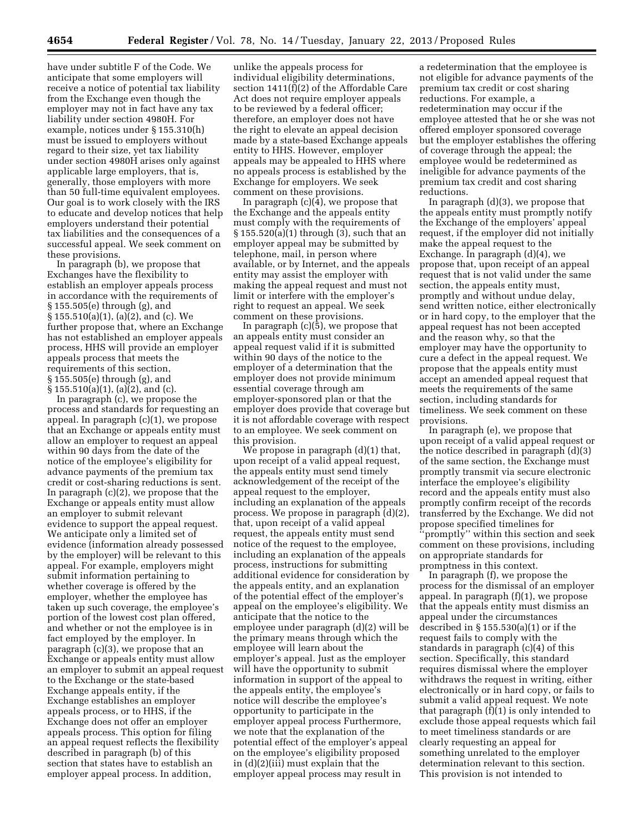have under subtitle F of the Code. We anticipate that some employers will receive a notice of potential tax liability from the Exchange even though the employer may not in fact have any tax liability under section 4980H. For example, notices under § 155.310(h) must be issued to employers without regard to their size, yet tax liability under section 4980H arises only against applicable large employers, that is, generally, those employers with more than 50 full-time equivalent employees. Our goal is to work closely with the IRS to educate and develop notices that help employers understand their potential tax liabilities and the consequences of a successful appeal. We seek comment on these provisions.

In paragraph (b), we propose that Exchanges have the flexibility to establish an employer appeals process in accordance with the requirements of § 155.505(e) through (g), and § 155.510(a)(1), (a)(2), and (c). We further propose that, where an Exchange has not established an employer appeals process, HHS will provide an employer appeals process that meets the requirements of this section, § 155.505(e) through (g), and  $\S 155.510(a)(1)$ , (a)(2), and (c).

In paragraph (c), we propose the process and standards for requesting an appeal. In paragraph (c)(1), we propose that an Exchange or appeals entity must allow an employer to request an appeal within 90 days from the date of the notice of the employee's eligibility for advance payments of the premium tax credit or cost-sharing reductions is sent. In paragraph (c)(2), we propose that the Exchange or appeals entity must allow an employer to submit relevant evidence to support the appeal request. We anticipate only a limited set of evidence (information already possessed by the employer) will be relevant to this appeal. For example, employers might submit information pertaining to whether coverage is offered by the employer, whether the employee has taken up such coverage, the employee's portion of the lowest cost plan offered, and whether or not the employee is in fact employed by the employer. In paragraph (c)(3), we propose that an Exchange or appeals entity must allow an employer to submit an appeal request to the Exchange or the state-based Exchange appeals entity, if the Exchange establishes an employer appeals process, or to HHS, if the Exchange does not offer an employer appeals process. This option for filing an appeal request reflects the flexibility described in paragraph (b) of this section that states have to establish an employer appeal process. In addition,

unlike the appeals process for individual eligibility determinations, section 1411(f)(2) of the Affordable Care Act does not require employer appeals to be reviewed by a federal officer; therefore, an employer does not have the right to elevate an appeal decision made by a state-based Exchange appeals entity to HHS. However, employer appeals may be appealed to HHS where no appeals process is established by the Exchange for employers. We seek comment on these provisions.

In paragraph  $(c)(4)$ , we propose that the Exchange and the appeals entity must comply with the requirements of § 155.520(a)(1) through (3), such that an employer appeal may be submitted by telephone, mail, in person where available, or by Internet, and the appeals entity may assist the employer with making the appeal request and must not limit or interfere with the employer's right to request an appeal. We seek comment on these provisions.

In paragraph (c)(5), we propose that an appeals entity must consider an appeal request valid if it is submitted within 90 days of the notice to the employer of a determination that the employer does not provide minimum essential coverage through am employer-sponsored plan or that the employer does provide that coverage but it is not affordable coverage with respect to an employee. We seek comment on this provision.

We propose in paragraph (d)(1) that, upon receipt of a valid appeal request, the appeals entity must send timely acknowledgement of the receipt of the appeal request to the employer, including an explanation of the appeals process. We propose in paragraph (d)(2), that, upon receipt of a valid appeal request, the appeals entity must send notice of the request to the employee, including an explanation of the appeals process, instructions for submitting additional evidence for consideration by the appeals entity, and an explanation of the potential effect of the employer's appeal on the employee's eligibility. We anticipate that the notice to the employee under paragraph (d)(2) will be the primary means through which the employee will learn about the employer's appeal. Just as the employer will have the opportunity to submit information in support of the appeal to the appeals entity, the employee's notice will describe the employee's opportunity to participate in the employer appeal process Furthermore, we note that the explanation of the potential effect of the employer's appeal on the employee's eligibility proposed in (d)(2)(iii) must explain that the employer appeal process may result in

a redetermination that the employee is not eligible for advance payments of the premium tax credit or cost sharing reductions. For example, a redetermination may occur if the employee attested that he or she was not offered employer sponsored coverage but the employer establishes the offering of coverage through the appeal; the employee would be redetermined as ineligible for advance payments of the premium tax credit and cost sharing reductions.

In paragraph (d)(3), we propose that the appeals entity must promptly notify the Exchange of the employers' appeal request, if the employer did not initially make the appeal request to the Exchange. In paragraph (d)(4), we propose that, upon receipt of an appeal request that is not valid under the same section, the appeals entity must, promptly and without undue delay, send written notice, either electronically or in hard copy, to the employer that the appeal request has not been accepted and the reason why, so that the employer may have the opportunity to cure a defect in the appeal request. We propose that the appeals entity must accept an amended appeal request that meets the requirements of the same section, including standards for timeliness. We seek comment on these provisions.

In paragraph (e), we propose that upon receipt of a valid appeal request or the notice described in paragraph (d)(3) of the same section, the Exchange must promptly transmit via secure electronic interface the employee's eligibility record and the appeals entity must also promptly confirm receipt of the records transferred by the Exchange. We did not propose specified timelines for 'promptly'' within this section and seek comment on these provisions, including on appropriate standards for promptness in this context.

In paragraph (f), we propose the process for the dismissal of an employer appeal. In paragraph (f)(1), we propose that the appeals entity must dismiss an appeal under the circumstances described in § 155.530(a)(1) or if the request fails to comply with the standards in paragraph (c)(4) of this section. Specifically, this standard requires dismissal where the employer withdraws the request in writing, either electronically or in hard copy, or fails to submit a valid appeal request. We note that paragraph (f)(1) is only intended to exclude those appeal requests which fail to meet timeliness standards or are clearly requesting an appeal for something unrelated to the employer determination relevant to this section. This provision is not intended to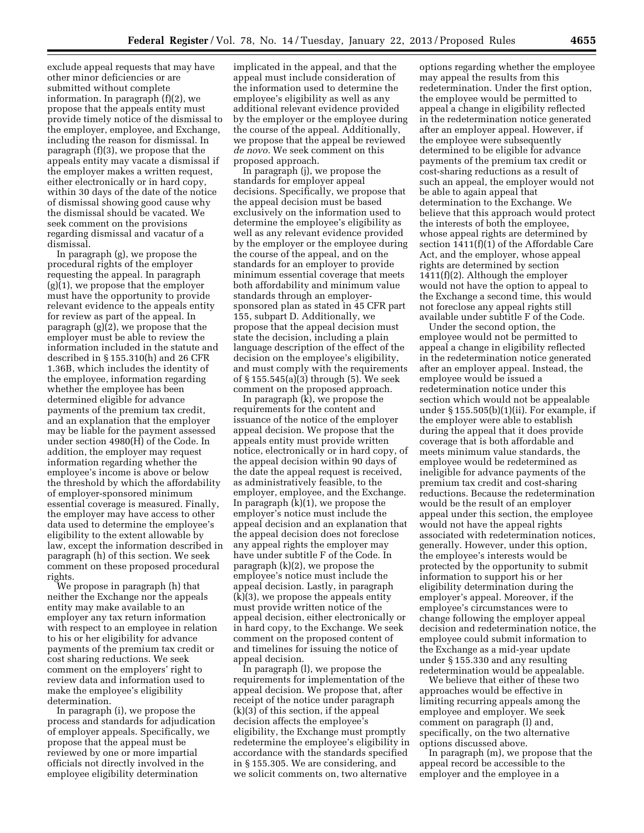exclude appeal requests that may have other minor deficiencies or are submitted without complete information. In paragraph (f)(2), we propose that the appeals entity must provide timely notice of the dismissal to the employer, employee, and Exchange, including the reason for dismissal. In paragraph (f)(3), we propose that the appeals entity may vacate a dismissal if the employer makes a written request, either electronically or in hard copy, within 30 days of the date of the notice of dismissal showing good cause why the dismissal should be vacated. We seek comment on the provisions regarding dismissal and vacatur of a dismissal.

In paragraph (g), we propose the procedural rights of the employer requesting the appeal. In paragraph (g)(1), we propose that the employer must have the opportunity to provide relevant evidence to the appeals entity for review as part of the appeal. In paragraph (g)(2), we propose that the employer must be able to review the information included in the statute and described in § 155.310(h) and 26 CFR 1.36B, which includes the identity of the employee, information regarding whether the employee has been determined eligible for advance payments of the premium tax credit, and an explanation that the employer may be liable for the payment assessed under section 4980(H) of the Code. In addition, the employer may request information regarding whether the employee's income is above or below the threshold by which the affordability of employer-sponsored minimum essential coverage is measured. Finally, the employer may have access to other data used to determine the employee's eligibility to the extent allowable by law, except the information described in paragraph (h) of this section. We seek comment on these proposed procedural rights.

We propose in paragraph (h) that neither the Exchange nor the appeals entity may make available to an employer any tax return information with respect to an employee in relation to his or her eligibility for advance payments of the premium tax credit or cost sharing reductions. We seek comment on the employers' right to review data and information used to make the employee's eligibility determination.

In paragraph (i), we propose the process and standards for adjudication of employer appeals. Specifically, we propose that the appeal must be reviewed by one or more impartial officials not directly involved in the employee eligibility determination

implicated in the appeal, and that the appeal must include consideration of the information used to determine the employee's eligibility as well as any additional relevant evidence provided by the employer or the employee during the course of the appeal. Additionally, we propose that the appeal be reviewed *de novo.* We seek comment on this proposed approach.

In paragraph (j), we propose the standards for employer appeal decisions. Specifically, we propose that the appeal decision must be based exclusively on the information used to determine the employee's eligibility as well as any relevant evidence provided by the employer or the employee during the course of the appeal, and on the standards for an employer to provide minimum essential coverage that meets both affordability and minimum value standards through an employersponsored plan as stated in 45 CFR part 155, subpart D. Additionally, we propose that the appeal decision must state the decision, including a plain language description of the effect of the decision on the employee's eligibility, and must comply with the requirements of § 155.545(a)(3) through (5). We seek comment on the proposed approach.

In paragraph  $(k)$ , we propose the requirements for the content and issuance of the notice of the employer appeal decision. We propose that the appeals entity must provide written notice, electronically or in hard copy, of the appeal decision within 90 days of the date the appeal request is received, as administratively feasible, to the employer, employee, and the Exchange. In paragraph (k)(1), we propose the employer's notice must include the appeal decision and an explanation that the appeal decision does not foreclose any appeal rights the employer may have under subtitle F of the Code. In paragraph (k)(2), we propose the employee's notice must include the appeal decision. Lastly, in paragraph (k)(3), we propose the appeals entity must provide written notice of the appeal decision, either electronically or in hard copy, to the Exchange. We seek comment on the proposed content of and timelines for issuing the notice of appeal decision.

In paragraph (l), we propose the requirements for implementation of the appeal decision. We propose that, after receipt of the notice under paragraph (k)(3) of this section, if the appeal decision affects the employee's eligibility, the Exchange must promptly redetermine the employee's eligibility in accordance with the standards specified in § 155.305. We are considering, and we solicit comments on, two alternative

options regarding whether the employee may appeal the results from this redetermination. Under the first option, the employee would be permitted to appeal a change in eligibility reflected in the redetermination notice generated after an employer appeal. However, if the employee were subsequently determined to be eligible for advance payments of the premium tax credit or cost-sharing reductions as a result of such an appeal, the employer would not be able to again appeal that determination to the Exchange. We believe that this approach would protect the interests of both the employee, whose appeal rights are determined by section 1411(f)(1) of the Affordable Care Act, and the employer, whose appeal rights are determined by section 1411(f)(2). Although the employer would not have the option to appeal to the Exchange a second time, this would not foreclose any appeal rights still available under subtitle F of the Code.

Under the second option, the employee would not be permitted to appeal a change in eligibility reflected in the redetermination notice generated after an employer appeal. Instead, the employee would be issued a redetermination notice under this section which would not be appealable under § 155.505(b)(1)(ii). For example, if the employer were able to establish during the appeal that it does provide coverage that is both affordable and meets minimum value standards, the employee would be redetermined as ineligible for advance payments of the premium tax credit and cost-sharing reductions. Because the redetermination would be the result of an employer appeal under this section, the employee would not have the appeal rights associated with redetermination notices, generally. However, under this option, the employee's interests would be protected by the opportunity to submit information to support his or her eligibility determination during the employer's appeal. Moreover, if the employee's circumstances were to change following the employer appeal decision and redetermination notice, the employee could submit information to the Exchange as a mid-year update under § 155.330 and any resulting redetermination would be appealable.

We believe that either of these two approaches would be effective in limiting recurring appeals among the employee and employer. We seek comment on paragraph (l) and, specifically, on the two alternative options discussed above.

In paragraph (m), we propose that the appeal record be accessible to the employer and the employee in a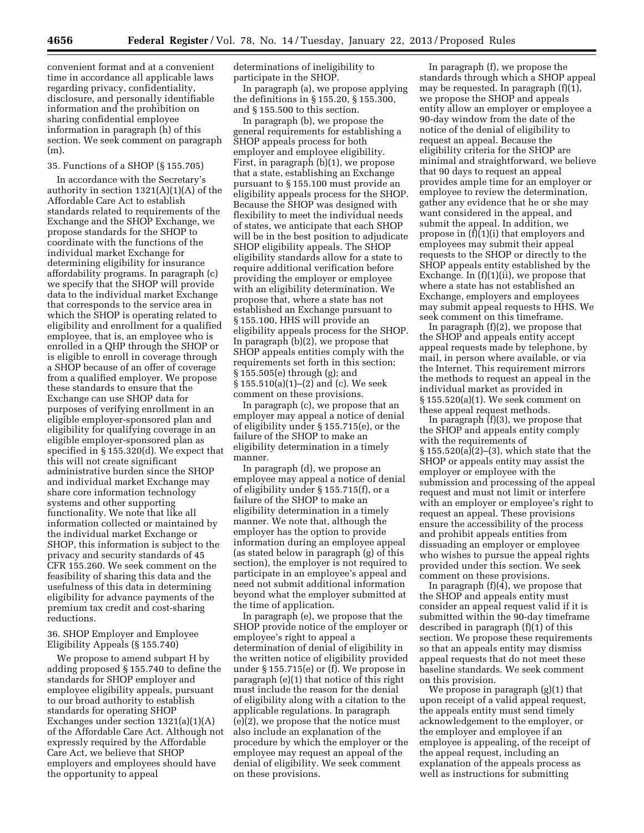convenient format and at a convenient time in accordance all applicable laws regarding privacy, confidentiality, disclosure, and personally identifiable information and the prohibition on sharing confidential employee information in paragraph (h) of this section. We seek comment on paragraph (m).

# 35. Functions of a SHOP (§ 155.705)

In accordance with the Secretary's authority in section  $1321(A)(1)(A)$  of the Affordable Care Act to establish standards related to requirements of the Exchange and the SHOP Exchange, we propose standards for the SHOP to coordinate with the functions of the individual market Exchange for determining eligibility for insurance affordability programs. In paragraph (c) we specify that the SHOP will provide data to the individual market Exchange that corresponds to the service area in which the SHOP is operating related to eligibility and enrollment for a qualified employee, that is, an employee who is enrolled in a QHP through the SHOP or is eligible to enroll in coverage through a SHOP because of an offer of coverage from a qualified employer. We propose these standards to ensure that the Exchange can use SHOP data for purposes of verifying enrollment in an eligible employer-sponsored plan and eligibility for qualifying coverage in an eligible employer-sponsored plan as specified in § 155.320(d). We expect that this will not create significant administrative burden since the SHOP and individual market Exchange may share core information technology systems and other supporting functionality. We note that like all information collected or maintained by the individual market Exchange or SHOP, this information is subject to the privacy and security standards of 45 CFR 155.260. We seek comment on the feasibility of sharing this data and the usefulness of this data in determining eligibility for advance payments of the premium tax credit and cost-sharing reductions.

### 36. SHOP Employer and Employee Eligibility Appeals (§ 155.740)

We propose to amend subpart H by adding proposed § 155.740 to define the standards for SHOP employer and employee eligibility appeals, pursuant to our broad authority to establish standards for operating SHOP Exchanges under section 1321(a)(1)(A) of the Affordable Care Act. Although not expressly required by the Affordable Care Act, we believe that SHOP employers and employees should have the opportunity to appeal

determinations of ineligibility to participate in the SHOP.

In paragraph (a), we propose applying the definitions in § 155.20, § 155.300, and § 155.500 to this section.

In paragraph (b), we propose the general requirements for establishing a SHOP appeals process for both employer and employee eligibility. First, in paragraph (b)(1), we propose that a state, establishing an Exchange pursuant to § 155.100 must provide an eligibility appeals process for the SHOP. Because the SHOP was designed with flexibility to meet the individual needs of states, we anticipate that each SHOP will be in the best position to adjudicate SHOP eligibility appeals. The SHOP eligibility standards allow for a state to require additional verification before providing the employer or employee with an eligibility determination. We propose that, where a state has not established an Exchange pursuant to § 155.100, HHS will provide an eligibility appeals process for the SHOP. In paragraph (b)(2), we propose that SHOP appeals entities comply with the requirements set forth in this section; § 155.505(e) through (g); and § 155.510(a)(1)–(2) and (c). We seek comment on these provisions.

In paragraph (c), we propose that an employer may appeal a notice of denial of eligibility under § 155.715(e), or the failure of the SHOP to make an eligibility determination in a timely manner.

In paragraph (d), we propose an employee may appeal a notice of denial of eligibility under § 155.715(f), or a failure of the SHOP to make an eligibility determination in a timely manner. We note that, although the employer has the option to provide information during an employee appeal (as stated below in paragraph (g) of this section), the employer is not required to participate in an employee's appeal and need not submit additional information beyond what the employer submitted at the time of application.

In paragraph (e), we propose that the SHOP provide notice of the employer or employee's right to appeal a determination of denial of eligibility in the written notice of eligibility provided under § 155.715(e) or (f). We propose in paragraph (e)(1) that notice of this right must include the reason for the denial of eligibility along with a citation to the applicable regulations. In paragraph (e)(2), we propose that the notice must also include an explanation of the procedure by which the employer or the employee may request an appeal of the denial of eligibility. We seek comment on these provisions.

In paragraph (f), we propose the standards through which a SHOP appeal may be requested. In paragraph (f)(1), we propose the SHOP and appeals entity allow an employer or employee a 90-day window from the date of the notice of the denial of eligibility to request an appeal. Because the eligibility criteria for the SHOP are minimal and straightforward, we believe that 90 days to request an appeal provides ample time for an employer or employee to review the determination, gather any evidence that he or she may want considered in the appeal, and submit the appeal. In addition, we propose in (f)(1)(i) that employers and employees may submit their appeal requests to the SHOP or directly to the SHOP appeals entity established by the Exchange. In (f)(1)(ii), we propose that where a state has not established an Exchange, employers and employees may submit appeal requests to HHS. We seek comment on this timeframe.

In paragraph (f)(2), we propose that the SHOP and appeals entity accept appeal requests made by telephone, by mail, in person where available, or via the Internet. This requirement mirrors the methods to request an appeal in the individual market as provided in § 155.520(a)(1). We seek comment on these appeal request methods.

In paragraph (f)(3), we propose that the SHOP and appeals entity comply with the requirements of § 155.520(a)(2)–(3), which state that the SHOP or appeals entity may assist the employer or employee with the submission and processing of the appeal request and must not limit or interfere with an employer or employee's right to request an appeal. These provisions ensure the accessibility of the process and prohibit appeals entities from dissuading an employer or employee who wishes to pursue the appeal rights provided under this section. We seek comment on these provisions.

In paragraph  $(f)(4)$ , we propose that the SHOP and appeals entity must consider an appeal request valid if it is submitted within the 90-day timeframe described in paragraph (f)(1) of this section. We propose these requirements so that an appeals entity may dismiss appeal requests that do not meet these baseline standards. We seek comment on this provision.

We propose in paragraph (g)(1) that upon receipt of a valid appeal request, the appeals entity must send timely acknowledgement to the employer, or the employer and employee if an employee is appealing, of the receipt of the appeal request, including an explanation of the appeals process as well as instructions for submitting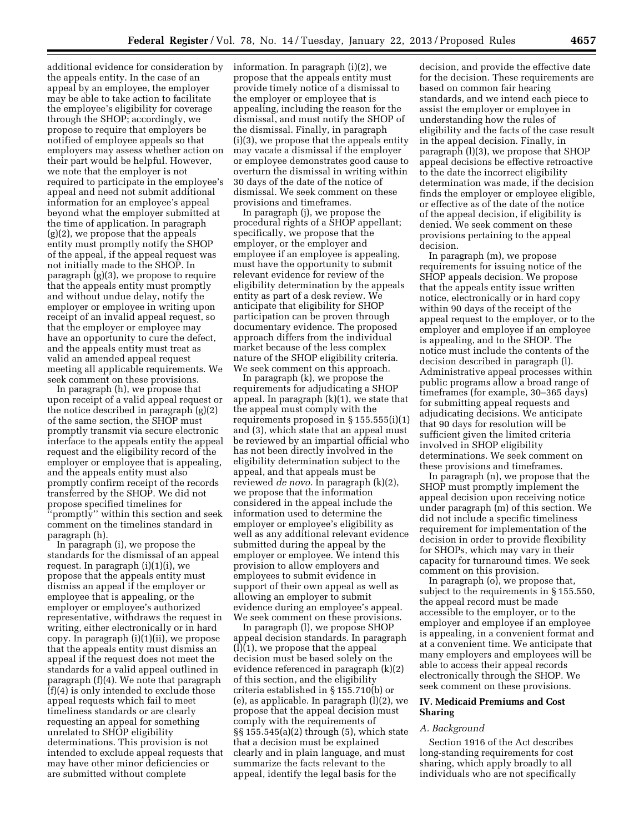additional evidence for consideration by the appeals entity. In the case of an appeal by an employee, the employer may be able to take action to facilitate the employee's eligibility for coverage through the SHOP; accordingly, we propose to require that employers be notified of employee appeals so that employers may assess whether action on their part would be helpful. However, we note that the employer is not required to participate in the employee's appeal and need not submit additional information for an employee's appeal beyond what the employer submitted at the time of application. In paragraph (g)(2), we propose that the appeals entity must promptly notify the SHOP of the appeal, if the appeal request was not initially made to the SHOP. In paragraph (g)(3), we propose to require that the appeals entity must promptly and without undue delay, notify the employer or employee in writing upon receipt of an invalid appeal request, so that the employer or employee may have an opportunity to cure the defect, and the appeals entity must treat as valid an amended appeal request meeting all applicable requirements. We seek comment on these provisions.

In paragraph (h), we propose that upon receipt of a valid appeal request or the notice described in paragraph (g)(2) of the same section, the SHOP must promptly transmit via secure electronic interface to the appeals entity the appeal request and the eligibility record of the employer or employee that is appealing, and the appeals entity must also promptly confirm receipt of the records transferred by the SHOP. We did not propose specified timelines for 'promptly'' within this section and seek comment on the timelines standard in paragraph (h).

In paragraph (i), we propose the standards for the dismissal of an appeal request. In paragraph (i)(1)(i), we propose that the appeals entity must dismiss an appeal if the employer or employee that is appealing, or the employer or employee's authorized representative, withdraws the request in writing, either electronically or in hard copy. In paragraph (i)(1)(ii), we propose that the appeals entity must dismiss an appeal if the request does not meet the standards for a valid appeal outlined in paragraph (f)(4). We note that paragraph (f)(4) is only intended to exclude those appeal requests which fail to meet timeliness standards or are clearly requesting an appeal for something unrelated to SHOP eligibility determinations. This provision is not intended to exclude appeal requests that may have other minor deficiencies or are submitted without complete

information. In paragraph (i)(2), we propose that the appeals entity must provide timely notice of a dismissal to the employer or employee that is appealing, including the reason for the dismissal, and must notify the SHOP of the dismissal. Finally, in paragraph (i)(3), we propose that the appeals entity may vacate a dismissal if the employer or employee demonstrates good cause to overturn the dismissal in writing within 30 days of the date of the notice of dismissal. We seek comment on these provisions and timeframes.

In paragraph (j), we propose the procedural rights of a SHOP appellant; specifically, we propose that the employer, or the employer and employee if an employee is appealing, must have the opportunity to submit relevant evidence for review of the eligibility determination by the appeals entity as part of a desk review. We anticipate that eligibility for SHOP participation can be proven through documentary evidence. The proposed approach differs from the individual market because of the less complex nature of the SHOP eligibility criteria. We seek comment on this approach.

In paragraph (k), we propose the requirements for adjudicating a SHOP appeal. In paragraph (k)(1), we state that the appeal must comply with the requirements proposed in § 155.555(i)(1) and (3), which state that an appeal must be reviewed by an impartial official who has not been directly involved in the eligibility determination subject to the appeal, and that appeals must be reviewed *de novo.* In paragraph (k)(2), we propose that the information considered in the appeal include the information used to determine the employer or employee's eligibility as well as any additional relevant evidence submitted during the appeal by the employer or employee. We intend this provision to allow employers and employees to submit evidence in support of their own appeal as well as allowing an employer to submit evidence during an employee's appeal. We seek comment on these provisions.

In paragraph (l), we propose SHOP appeal decision standards. In paragraph (l)(1), we propose that the appeal decision must be based solely on the evidence referenced in paragraph (k)(2) of this section, and the eligibility criteria established in § 155.710(b) or (e), as applicable. In paragraph (l)(2), we propose that the appeal decision must comply with the requirements of §§ 155.545(a)(2) through (5), which state that a decision must be explained clearly and in plain language, and must summarize the facts relevant to the appeal, identify the legal basis for the

decision, and provide the effective date for the decision. These requirements are based on common fair hearing standards, and we intend each piece to assist the employer or employee in understanding how the rules of eligibility and the facts of the case result in the appeal decision. Finally, in paragraph (l)(3), we propose that SHOP appeal decisions be effective retroactive to the date the incorrect eligibility determination was made, if the decision finds the employer or employee eligible, or effective as of the date of the notice of the appeal decision, if eligibility is denied. We seek comment on these provisions pertaining to the appeal decision.

In paragraph (m), we propose requirements for issuing notice of the SHOP appeals decision. We propose that the appeals entity issue written notice, electronically or in hard copy within 90 days of the receipt of the appeal request to the employer, or to the employer and employee if an employee is appealing, and to the SHOP. The notice must include the contents of the decision described in paragraph (l). Administrative appeal processes within public programs allow a broad range of timeframes (for example, 30–365 days) for submitting appeal requests and adjudicating decisions. We anticipate that 90 days for resolution will be sufficient given the limited criteria involved in SHOP eligibility determinations. We seek comment on these provisions and timeframes.

In paragraph (n), we propose that the SHOP must promptly implement the appeal decision upon receiving notice under paragraph (m) of this section. We did not include a specific timeliness requirement for implementation of the decision in order to provide flexibility for SHOPs, which may vary in their capacity for turnaround times. We seek comment on this provision.

In paragraph (o), we propose that, subject to the requirements in § 155.550, the appeal record must be made accessible to the employer, or to the employer and employee if an employee is appealing, in a convenient format and at a convenient time. We anticipate that many employers and employees will be able to access their appeal records electronically through the SHOP. We seek comment on these provisions.

# **IV. Medicaid Premiums and Cost Sharing**

## *A. Background*

Section 1916 of the Act describes long-standing requirements for cost sharing, which apply broadly to all individuals who are not specifically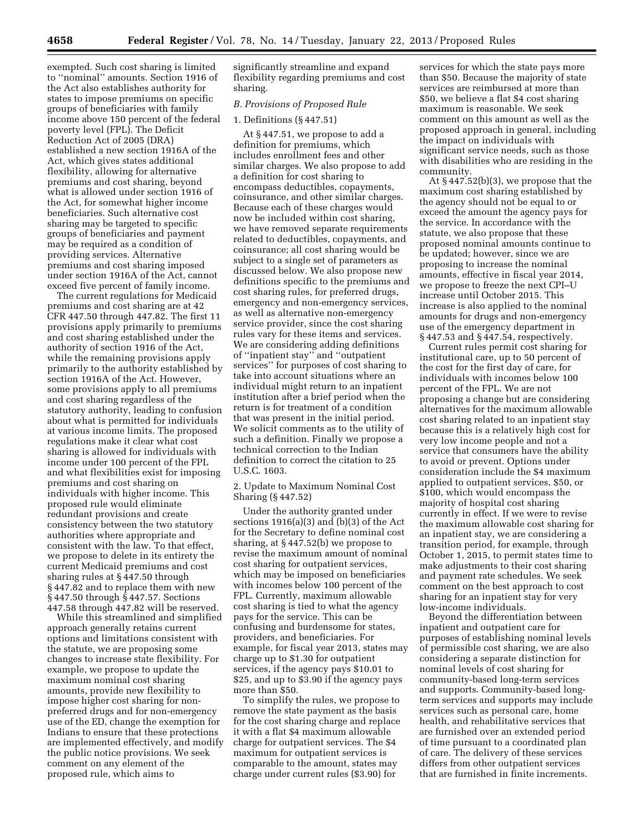exempted. Such cost sharing is limited to ''nominal'' amounts. Section 1916 of the Act also establishes authority for states to impose premiums on specific groups of beneficiaries with family income above 150 percent of the federal poverty level (FPL). The Deficit Reduction Act of 2005 (DRA) established a new section 1916A of the Act, which gives states additional flexibility, allowing for alternative premiums and cost sharing, beyond what is allowed under section 1916 of the Act, for somewhat higher income beneficiaries. Such alternative cost sharing may be targeted to specific groups of beneficiaries and payment may be required as a condition of providing services. Alternative premiums and cost sharing imposed under section 1916A of the Act, cannot exceed five percent of family income.

The current regulations for Medicaid premiums and cost sharing are at 42 CFR 447.50 through 447.82. The first 11 provisions apply primarily to premiums and cost sharing established under the authority of section 1916 of the Act, while the remaining provisions apply primarily to the authority established by section 1916A of the Act. However, some provisions apply to all premiums and cost sharing regardless of the statutory authority, leading to confusion about what is permitted for individuals at various income limits. The proposed regulations make it clear what cost sharing is allowed for individuals with income under 100 percent of the FPL and what flexibilities exist for imposing premiums and cost sharing on individuals with higher income. This proposed rule would eliminate redundant provisions and create consistency between the two statutory authorities where appropriate and consistent with the law. To that effect, we propose to delete in its entirety the current Medicaid premiums and cost sharing rules at § 447.50 through § 447.82 and to replace them with new § 447.50 through § 447.57. Sections 447.58 through 447.82 will be reserved.

While this streamlined and simplified approach generally retains current options and limitations consistent with the statute, we are proposing some changes to increase state flexibility. For example, we propose to update the maximum nominal cost sharing amounts, provide new flexibility to impose higher cost sharing for nonpreferred drugs and for non-emergency use of the ED, change the exemption for Indians to ensure that these protections are implemented effectively, and modify the public notice provisions. We seek comment on any element of the proposed rule, which aims to

significantly streamline and expand flexibility regarding premiums and cost sharing.

# *B. Provisions of Proposed Rule*

# 1. Definitions (§ 447.51)

At § 447.51, we propose to add a definition for premiums, which includes enrollment fees and other similar charges. We also propose to add a definition for cost sharing to encompass deductibles, copayments, coinsurance, and other similar charges. Because each of these charges would now be included within cost sharing, we have removed separate requirements related to deductibles, copayments, and coinsurance; all cost sharing would be subject to a single set of parameters as discussed below. We also propose new definitions specific to the premiums and cost sharing rules, for preferred drugs, emergency and non-emergency services, as well as alternative non-emergency service provider, since the cost sharing rules vary for these items and services. We are considering adding definitions of ''inpatient stay'' and ''outpatient services'' for purposes of cost sharing to take into account situations where an individual might return to an inpatient institution after a brief period when the return is for treatment of a condition that was present in the initial period. We solicit comments as to the utility of such a definition. Finally we propose a technical correction to the Indian definition to correct the citation to 25 U.S.C. 1603.

2. Update to Maximum Nominal Cost Sharing (§ 447.52)

Under the authority granted under sections 1916(a)(3) and (b)(3) of the Act for the Secretary to define nominal cost sharing, at § 447.52(b) we propose to revise the maximum amount of nominal cost sharing for outpatient services, which may be imposed on beneficiaries with incomes below 100 percent of the FPL. Currently, maximum allowable cost sharing is tied to what the agency pays for the service. This can be confusing and burdensome for states, providers, and beneficiaries. For example, for fiscal year 2013, states may charge up to \$1.30 for outpatient services, if the agency pays \$10.01 to \$25, and up to \$3.90 if the agency pays more than \$50.

To simplify the rules, we propose to remove the state payment as the basis for the cost sharing charge and replace it with a flat \$4 maximum allowable charge for outpatient services. The \$4 maximum for outpatient services is comparable to the amount, states may charge under current rules (\$3.90) for

services for which the state pays more than \$50. Because the majority of state services are reimbursed at more than \$50, we believe a flat \$4 cost sharing maximum is reasonable. We seek comment on this amount as well as the proposed approach in general, including the impact on individuals with significant service needs, such as those with disabilities who are residing in the community.

At § 447.52(b)(3), we propose that the maximum cost sharing established by the agency should not be equal to or exceed the amount the agency pays for the service. In accordance with the statute, we also propose that these proposed nominal amounts continue to be updated; however, since we are proposing to increase the nominal amounts, effective in fiscal year 2014, we propose to freeze the next CPI–U increase until October 2015. This increase is also applied to the nominal amounts for drugs and non-emergency use of the emergency department in § 447.53 and § 447.54, respectively.

Current rules permit cost sharing for institutional care, up to 50 percent of the cost for the first day of care, for individuals with incomes below 100 percent of the FPL. We are not proposing a change but are considering alternatives for the maximum allowable cost sharing related to an inpatient stay because this is a relatively high cost for very low income people and not a service that consumers have the ability to avoid or prevent. Options under consideration include the \$4 maximum applied to outpatient services, \$50, or \$100, which would encompass the majority of hospital cost sharing currently in effect. If we were to revise the maximum allowable cost sharing for an inpatient stay, we are considering a transition period, for example, through October 1, 2015, to permit states time to make adjustments to their cost sharing and payment rate schedules. We seek comment on the best approach to cost sharing for an inpatient stay for very low-income individuals.

Beyond the differentiation between inpatient and outpatient care for purposes of establishing nominal levels of permissible cost sharing, we are also considering a separate distinction for nominal levels of cost sharing for community-based long-term services and supports. Community-based longterm services and supports may include services such as personal care, home health, and rehabilitative services that are furnished over an extended period of time pursuant to a coordinated plan of care. The delivery of these services differs from other outpatient services that are furnished in finite increments.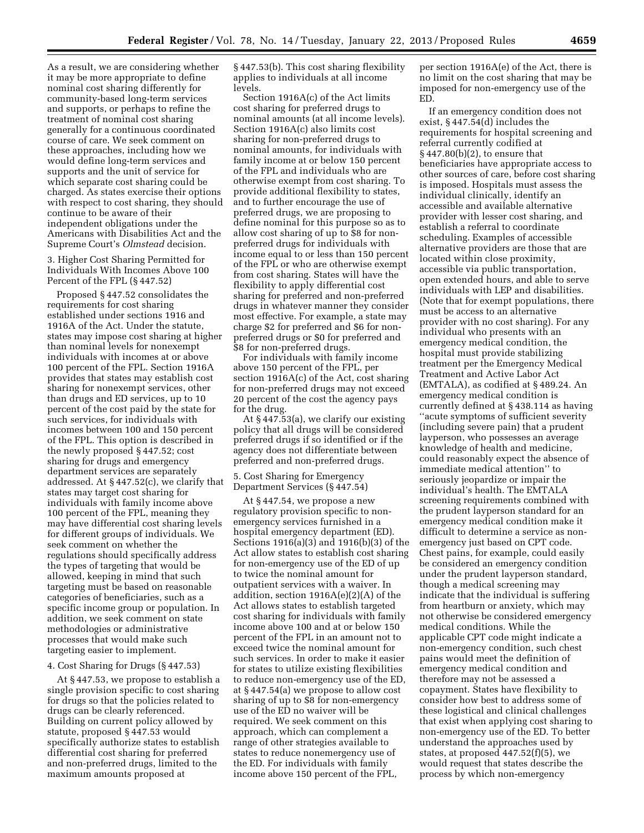As a result, we are considering whether it may be more appropriate to define nominal cost sharing differently for community-based long-term services and supports, or perhaps to refine the treatment of nominal cost sharing generally for a continuous coordinated course of care. We seek comment on these approaches, including how we would define long-term services and supports and the unit of service for which separate cost sharing could be charged. As states exercise their options with respect to cost sharing, they should continue to be aware of their independent obligations under the Americans with Disabilities Act and the Supreme Court's *Olmstead* decision.

3. Higher Cost Sharing Permitted for Individuals With Incomes Above 100 Percent of the FPL (§ 447.52)

Proposed § 447.52 consolidates the requirements for cost sharing established under sections 1916 and 1916A of the Act. Under the statute, states may impose cost sharing at higher than nominal levels for nonexempt individuals with incomes at or above 100 percent of the FPL. Section 1916A provides that states may establish cost sharing for nonexempt services, other than drugs and ED services, up to 10 percent of the cost paid by the state for such services, for individuals with incomes between 100 and 150 percent of the FPL. This option is described in the newly proposed § 447.52; cost sharing for drugs and emergency department services are separately addressed. At § 447.52(c), we clarify that states may target cost sharing for individuals with family income above 100 percent of the FPL, meaning they may have differential cost sharing levels for different groups of individuals. We seek comment on whether the regulations should specifically address the types of targeting that would be allowed, keeping in mind that such targeting must be based on reasonable categories of beneficiaries, such as a specific income group or population. In addition, we seek comment on state methodologies or administrative processes that would make such targeting easier to implement.

#### 4. Cost Sharing for Drugs (§ 447.53)

At § 447.53, we propose to establish a single provision specific to cost sharing for drugs so that the policies related to drugs can be clearly referenced. Building on current policy allowed by statute, proposed § 447.53 would specifically authorize states to establish differential cost sharing for preferred and non-preferred drugs, limited to the maximum amounts proposed at

§ 447.53(b). This cost sharing flexibility applies to individuals at all income levels.

Section 1916A(c) of the Act limits cost sharing for preferred drugs to nominal amounts (at all income levels). Section 1916A(c) also limits cost sharing for non-preferred drugs to nominal amounts, for individuals with family income at or below 150 percent of the FPL and individuals who are otherwise exempt from cost sharing. To provide additional flexibility to states, and to further encourage the use of preferred drugs, we are proposing to define nominal for this purpose so as to allow cost sharing of up to \$8 for nonpreferred drugs for individuals with income equal to or less than 150 percent of the FPL or who are otherwise exempt from cost sharing. States will have the flexibility to apply differential cost sharing for preferred and non-preferred drugs in whatever manner they consider most effective. For example, a state may charge \$2 for preferred and \$6 for nonpreferred drugs or \$0 for preferred and \$8 for non-preferred drugs.

For individuals with family income above 150 percent of the FPL, per section 1916A(c) of the Act, cost sharing for non-preferred drugs may not exceed 20 percent of the cost the agency pays for the drug.

At § 447.53(a), we clarify our existing policy that all drugs will be considered preferred drugs if so identified or if the agency does not differentiate between preferred and non-preferred drugs.

5. Cost Sharing for Emergency Department Services (§ 447.54)

At § 447.54, we propose a new regulatory provision specific to nonemergency services furnished in a hospital emergency department (ED). Sections 1916(a)(3) and 1916(b)(3) of the Act allow states to establish cost sharing for non-emergency use of the ED of up to twice the nominal amount for outpatient services with a waiver. In addition, section 1916A(e)(2)(A) of the Act allows states to establish targeted cost sharing for individuals with family income above 100 and at or below 150 percent of the FPL in an amount not to exceed twice the nominal amount for such services. In order to make it easier for states to utilize existing flexibilities to reduce non-emergency use of the ED, at § 447.54(a) we propose to allow cost sharing of up to \$8 for non-emergency use of the ED no waiver will be required. We seek comment on this approach, which can complement a range of other strategies available to states to reduce nonemergency use of the ED. For individuals with family income above 150 percent of the FPL,

per section 1916A(e) of the Act, there is no limit on the cost sharing that may be imposed for non-emergency use of the ED.

If an emergency condition does not exist, § 447.54(d) includes the requirements for hospital screening and referral currently codified at § 447.80(b)(2), to ensure that beneficiaries have appropriate access to other sources of care, before cost sharing is imposed. Hospitals must assess the individual clinically, identify an accessible and available alternative provider with lesser cost sharing, and establish a referral to coordinate scheduling. Examples of accessible alternative providers are those that are located within close proximity, accessible via public transportation, open extended hours, and able to serve individuals with LEP and disabilities. (Note that for exempt populations, there must be access to an alternative provider with no cost sharing). For any individual who presents with an emergency medical condition, the hospital must provide stabilizing treatment per the Emergency Medical Treatment and Active Labor Act (EMTALA), as codified at § 489.24. An emergency medical condition is currently defined at § 438.114 as having ''acute symptoms of sufficient severity (including severe pain) that a prudent layperson, who possesses an average knowledge of health and medicine, could reasonably expect the absence of immediate medical attention'' to seriously jeopardize or impair the individual's health. The EMTALA screening requirements combined with the prudent layperson standard for an emergency medical condition make it difficult to determine a service as nonemergency just based on CPT code. Chest pains, for example, could easily be considered an emergency condition under the prudent layperson standard, though a medical screening may indicate that the individual is suffering from heartburn or anxiety, which may not otherwise be considered emergency medical conditions. While the applicable CPT code might indicate a non-emergency condition, such chest pains would meet the definition of emergency medical condition and therefore may not be assessed a copayment. States have flexibility to consider how best to address some of these logistical and clinical challenges that exist when applying cost sharing to non-emergency use of the ED. To better understand the approaches used by states, at proposed 447.52(f)(5), we would request that states describe the process by which non-emergency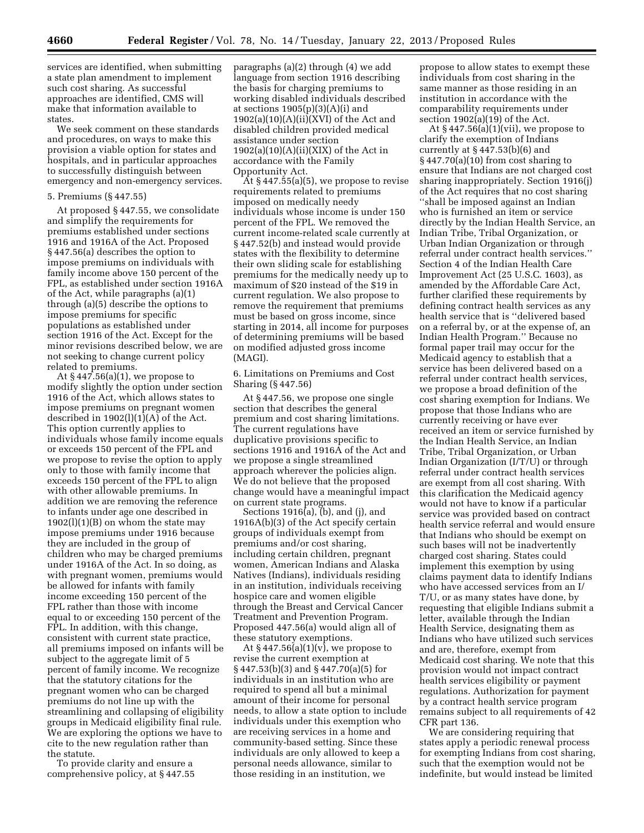services are identified, when submitting a state plan amendment to implement such cost sharing. As successful approaches are identified, CMS will make that information available to states.

We seek comment on these standards and procedures, on ways to make this provision a viable option for states and hospitals, and in particular approaches to successfully distinguish between emergency and non-emergency services.

### 5. Premiums (§ 447.55)

At proposed § 447.55, we consolidate and simplify the requirements for premiums established under sections 1916 and 1916A of the Act. Proposed § 447.56(a) describes the option to impose premiums on individuals with family income above 150 percent of the FPL, as established under section 1916A of the Act, while paragraphs (a)(1) through (a)(5) describe the options to impose premiums for specific populations as established under section 1916 of the Act. Except for the minor revisions described below, we are not seeking to change current policy related to premiums.

At § 447.56(a)(1), we propose to modify slightly the option under section 1916 of the Act, which allows states to impose premiums on pregnant women described in  $1902(l)(1)(A)$  of the Act. This option currently applies to individuals whose family income equals or exceeds 150 percent of the FPL and we propose to revise the option to apply only to those with family income that exceeds 150 percent of the FPL to align with other allowable premiums. In addition we are removing the reference to infants under age one described in  $1902(1)(1)(B)$  on whom the state may impose premiums under 1916 because they are included in the group of children who may be charged premiums under 1916A of the Act. In so doing, as with pregnant women, premiums would be allowed for infants with family income exceeding 150 percent of the FPL rather than those with income equal to or exceeding 150 percent of the FPL. In addition, with this change, consistent with current state practice, all premiums imposed on infants will be subject to the aggregate limit of 5 percent of family income. We recognize that the statutory citations for the pregnant women who can be charged premiums do not line up with the streamlining and collapsing of eligibility groups in Medicaid eligibility final rule. We are exploring the options we have to cite to the new regulation rather than the statute.

To provide clarity and ensure a comprehensive policy, at § 447.55 paragraphs (a)(2) through (4) we add language from section 1916 describing the basis for charging premiums to working disabled individuals described at sections 1905(p)(3)(A)(i) and  $1902(a)(10)(A)(ii)(XVI)$  of the Act and disabled children provided medical assistance under section  $1902(a)(10)(A)(ii)(XIX)$  of the Act in accordance with the Family Opportunity Act.

At § 447.55(a)(5), we propose to revise requirements related to premiums imposed on medically needy individuals whose income is under 150 percent of the FPL. We removed the current income-related scale currently at § 447.52(b) and instead would provide states with the flexibility to determine their own sliding scale for establishing premiums for the medically needy up to maximum of \$20 instead of the \$19 in current regulation. We also propose to remove the requirement that premiums must be based on gross income, since starting in 2014, all income for purposes of determining premiums will be based on modified adjusted gross income (MAGI).

6. Limitations on Premiums and Cost Sharing (§ 447.56)

At § 447.56, we propose one single section that describes the general premium and cost sharing limitations. The current regulations have duplicative provisions specific to sections 1916 and 1916A of the Act and we propose a single streamlined approach wherever the policies align. We do not believe that the proposed change would have a meaningful impact on current state programs.

Sections 1916(a), (b), and (j), and 1916A(b)(3) of the Act specify certain groups of individuals exempt from premiums and/or cost sharing, including certain children, pregnant women, American Indians and Alaska Natives (Indians), individuals residing in an institution, individuals receiving hospice care and women eligible through the Breast and Cervical Cancer Treatment and Prevention Program. Proposed 447.56(a) would align all of these statutory exemptions.

At  $§$  447.56(a)(1)(v), we propose to revise the current exemption at § 447.53(b)(3) and § 447.70(a)(5) for individuals in an institution who are required to spend all but a minimal amount of their income for personal needs, to allow a state option to include individuals under this exemption who are receiving services in a home and community-based setting. Since these individuals are only allowed to keep a personal needs allowance, similar to those residing in an institution, we

propose to allow states to exempt these individuals from cost sharing in the same manner as those residing in an institution in accordance with the comparability requirements under section  $1902(a)(19)$  of the Act.

At § 447.56(a)(1)(vii), we propose to clarify the exemption of Indians currently at  $\S 447.53(b)(6)$  and  $§ 447.70(a)(10)$  from cost sharing to ensure that Indians are not charged cost sharing inappropriately. Section 1916(j) of the Act requires that no cost sharing ''shall be imposed against an Indian who is furnished an item or service directly by the Indian Health Service, an Indian Tribe, Tribal Organization, or Urban Indian Organization or through referral under contract health services.'' Section 4 of the Indian Health Care Improvement Act (25 U.S.C. 1603), as amended by the Affordable Care Act, further clarified these requirements by defining contract health services as any health service that is ''delivered based on a referral by, or at the expense of, an Indian Health Program.'' Because no formal paper trail may occur for the Medicaid agency to establish that a service has been delivered based on a referral under contract health services, we propose a broad definition of the cost sharing exemption for Indians. We propose that those Indians who are currently receiving or have ever received an item or service furnished by the Indian Health Service, an Indian Tribe, Tribal Organization, or Urban Indian Organization (I/T/U) or through referral under contract health services are exempt from all cost sharing. With this clarification the Medicaid agency would not have to know if a particular service was provided based on contract health service referral and would ensure that Indians who should be exempt on such bases will not be inadvertently charged cost sharing. States could implement this exemption by using claims payment data to identify Indians who have accessed services from an I/ T/U, or as many states have done, by requesting that eligible Indians submit a letter, available through the Indian Health Service, designating them as Indians who have utilized such services and are, therefore, exempt from Medicaid cost sharing. We note that this provision would not impact contract health services eligibility or payment regulations. Authorization for payment by a contract health service program remains subject to all requirements of 42 CFR part 136.

We are considering requiring that states apply a periodic renewal process for exempting Indians from cost sharing, such that the exemption would not be indefinite, but would instead be limited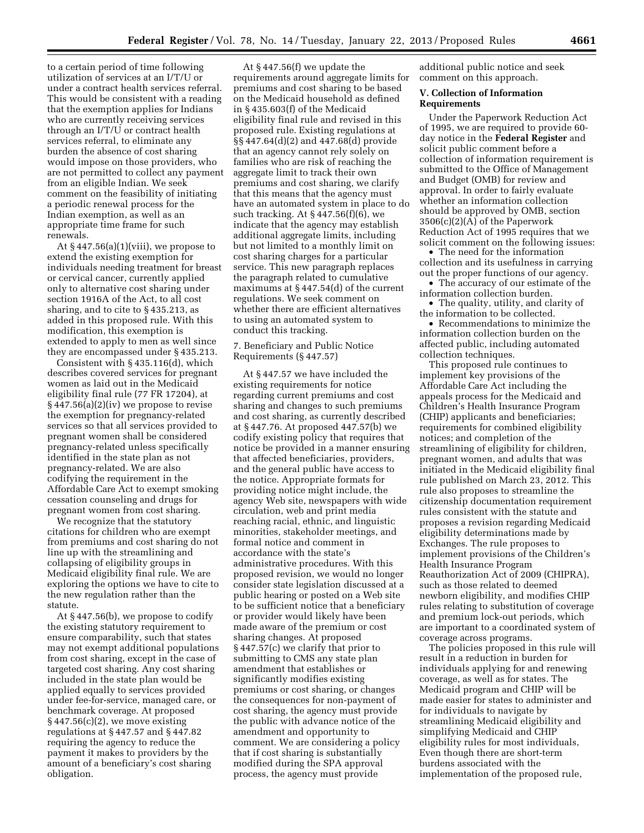to a certain period of time following utilization of services at an I/T/U or under a contract health services referral. This would be consistent with a reading that the exemption applies for Indians who are currently receiving services through an I/T/U or contract health services referral, to eliminate any burden the absence of cost sharing would impose on those providers, who are not permitted to collect any payment from an eligible Indian. We seek comment on the feasibility of initiating a periodic renewal process for the Indian exemption, as well as an appropriate time frame for such renewals.

At  $§$  447.56(a)(1)(viii), we propose to extend the existing exemption for individuals needing treatment for breast or cervical cancer, currently applied only to alternative cost sharing under section 1916A of the Act, to all cost sharing, and to cite to § 435.213, as added in this proposed rule. With this modification, this exemption is extended to apply to men as well since they are encompassed under § 435.213.

Consistent with § 435.116(d), which describes covered services for pregnant women as laid out in the Medicaid eligibility final rule (77 FR 17204), at § 447.56(a)(2)(iv) we propose to revise the exemption for pregnancy-related services so that all services provided to pregnant women shall be considered pregnancy-related unless specifically identified in the state plan as not pregnancy-related. We are also codifying the requirement in the Affordable Care Act to exempt smoking cessation counseling and drugs for pregnant women from cost sharing.

We recognize that the statutory citations for children who are exempt from premiums and cost sharing do not line up with the streamlining and collapsing of eligibility groups in Medicaid eligibility final rule. We are exploring the options we have to cite to the new regulation rather than the statute.

At § 447.56(b), we propose to codify the existing statutory requirement to ensure comparability, such that states may not exempt additional populations from cost sharing, except in the case of targeted cost sharing. Any cost sharing included in the state plan would be applied equally to services provided under fee-for-service, managed care, or benchmark coverage. At proposed  $§ 447.56(c)(2)$ , we move existing regulations at § 447.57 and § 447.82 requiring the agency to reduce the payment it makes to providers by the amount of a beneficiary's cost sharing obligation.

At § 447.56(f) we update the requirements around aggregate limits for premiums and cost sharing to be based on the Medicaid household as defined in § 435.603(f) of the Medicaid eligibility final rule and revised in this proposed rule. Existing regulations at §§ 447.64(d)(2) and 447.68(d) provide that an agency cannot rely solely on families who are risk of reaching the aggregate limit to track their own premiums and cost sharing, we clarify that this means that the agency must have an automated system in place to do such tracking. At § 447.56(f)(6), we indicate that the agency may establish additional aggregate limits, including but not limited to a monthly limit on cost sharing charges for a particular service. This new paragraph replaces the paragraph related to cumulative maximums at § 447.54(d) of the current regulations. We seek comment on whether there are efficient alternatives to using an automated system to conduct this tracking.

7. Beneficiary and Public Notice Requirements (§ 447.57)

At § 447.57 we have included the existing requirements for notice regarding current premiums and cost sharing and changes to such premiums and cost sharing, as currently described at § 447.76. At proposed 447.57(b) we codify existing policy that requires that notice be provided in a manner ensuring that affected beneficiaries, providers, and the general public have access to the notice. Appropriate formats for providing notice might include, the agency Web site, newspapers with wide circulation, web and print media reaching racial, ethnic, and linguistic minorities, stakeholder meetings, and formal notice and comment in accordance with the state's administrative procedures. With this proposed revision, we would no longer consider state legislation discussed at a public hearing or posted on a Web site to be sufficient notice that a beneficiary or provider would likely have been made aware of the premium or cost sharing changes. At proposed § 447.57(c) we clarify that prior to submitting to CMS any state plan amendment that establishes or significantly modifies existing premiums or cost sharing, or changes the consequences for non-payment of cost sharing, the agency must provide the public with advance notice of the amendment and opportunity to comment. We are considering a policy that if cost sharing is substantially modified during the SPA approval process, the agency must provide

additional public notice and seek comment on this approach.

#### **V. Collection of Information Requirements**

Under the Paperwork Reduction Act of 1995, we are required to provide 60 day notice in the **Federal Register** and solicit public comment before a collection of information requirement is submitted to the Office of Management and Budget (OMB) for review and approval. In order to fairly evaluate whether an information collection should be approved by OMB, section 3506(c)(2)(A) of the Paperwork Reduction Act of 1995 requires that we solicit comment on the following issues:

• The need for the information collection and its usefulness in carrying out the proper functions of our agency.

• The accuracy of our estimate of the information collection burden.

• The quality, utility, and clarity of the information to be collected.

• Recommendations to minimize the information collection burden on the affected public, including automated collection techniques.

This proposed rule continues to implement key provisions of the Affordable Care Act including the appeals process for the Medicaid and Children's Health Insurance Program (CHIP) applicants and beneficiaries; requirements for combined eligibility notices; and completion of the streamlining of eligibility for children, pregnant women, and adults that was initiated in the Medicaid eligibility final rule published on March 23, 2012. This rule also proposes to streamline the citizenship documentation requirement rules consistent with the statute and proposes a revision regarding Medicaid eligibility determinations made by Exchanges. The rule proposes to implement provisions of the Children's Health Insurance Program Reauthorization Act of 2009 (CHIPRA), such as those related to deemed newborn eligibility, and modifies CHIP rules relating to substitution of coverage and premium lock-out periods, which are important to a coordinated system of coverage across programs.

The policies proposed in this rule will result in a reduction in burden for individuals applying for and renewing coverage, as well as for states. The Medicaid program and CHIP will be made easier for states to administer and for individuals to navigate by streamlining Medicaid eligibility and simplifying Medicaid and CHIP eligibility rules for most individuals, Even though there are short-term burdens associated with the implementation of the proposed rule,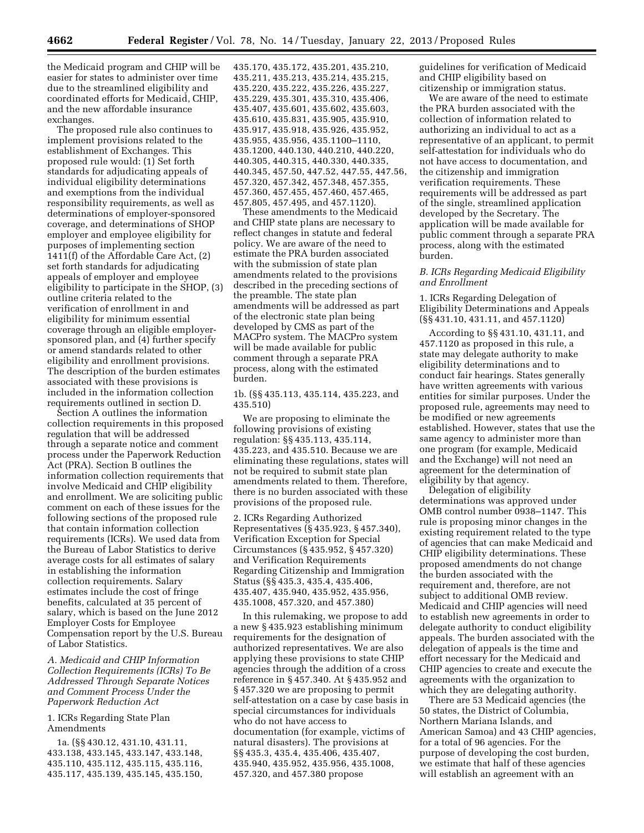the Medicaid program and CHIP will be easier for states to administer over time due to the streamlined eligibility and coordinated efforts for Medicaid, CHIP, and the new affordable insurance exchanges.

The proposed rule also continues to implement provisions related to the establishment of Exchanges. This proposed rule would: (1) Set forth standards for adjudicating appeals of individual eligibility determinations and exemptions from the individual responsibility requirements, as well as determinations of employer-sponsored coverage, and determinations of SHOP employer and employee eligibility for purposes of implementing section 1411(f) of the Affordable Care Act, (2) set forth standards for adjudicating appeals of employer and employee eligibility to participate in the SHOP, (3) outline criteria related to the verification of enrollment in and eligibility for minimum essential coverage through an eligible employersponsored plan, and (4) further specify or amend standards related to other eligibility and enrollment provisions. The description of the burden estimates associated with these provisions is included in the information collection requirements outlined in section D.

Section A outlines the information collection requirements in this proposed regulation that will be addressed through a separate notice and comment process under the Paperwork Reduction Act (PRA). Section B outlines the information collection requirements that involve Medicaid and CHIP eligibility and enrollment. We are soliciting public comment on each of these issues for the following sections of the proposed rule that contain information collection requirements (ICRs). We used data from the Bureau of Labor Statistics to derive average costs for all estimates of salary in establishing the information collection requirements. Salary estimates include the cost of fringe benefits, calculated at 35 percent of salary, which is based on the June 2012 Employer Costs for Employee Compensation report by the U.S. Bureau of Labor Statistics.

*A. Medicaid and CHIP Information Collection Requirements (ICRs) To Be Addressed Through Separate Notices and Comment Process Under the Paperwork Reduction Act* 

1. ICRs Regarding State Plan Amendments

1a. (§§ 430.12, 431.10, 431.11, 433.138, 433.145, 433.147, 433.148, 435.110, 435.112, 435.115, 435.116, 435.117, 435.139, 435.145, 435.150,

```
435.170, 435.172, 435.201, 435.210, 
435.211, 435.213, 435.214, 435.215, 
435.220, 435.222, 435.226, 435.227, 
435.229, 435.301, 435.310, 435.406, 
435.407, 435.601, 435.602, 435.603, 
435.610, 435.831, 435.905, 435.910, 
435.917, 435.918, 435.926, 435.952, 
435.955, 435.956, 435.1100–1110, 
435.1200, 440.130, 440.210, 440.220, 
440.305, 440.315, 440.330, 440.335, 
440.345, 457.50, 447.52, 447.55, 447.56, 
457.320, 457.342, 457.348, 457.355, 
457.360, 457.455, 457.460, 457.465, 
457.805, 457.495, and 457.1120).
```
These amendments to the Medicaid and CHIP state plans are necessary to reflect changes in statute and federal policy. We are aware of the need to estimate the PRA burden associated with the submission of state plan amendments related to the provisions described in the preceding sections of the preamble. The state plan amendments will be addressed as part of the electronic state plan being developed by CMS as part of the MACPro system. The MACPro system will be made available for public comment through a separate PRA process, along with the estimated burden.

1b. (§§ 435.113, 435.114, 435.223, and 435.510)

We are proposing to eliminate the following provisions of existing regulation: §§ 435.113, 435.114, 435.223, and 435.510. Because we are eliminating these regulations, states will not be required to submit state plan amendments related to them. Therefore, there is no burden associated with these provisions of the proposed rule.

2. ICRs Regarding Authorized Representatives (§ 435.923, § 457.340), Verification Exception for Special Circumstances (§ 435.952, § 457.320) and Verification Requirements Regarding Citizenship and Immigration Status (§§ 435.3, 435.4, 435.406, 435.407, 435.940, 435.952, 435.956, 435.1008, 457.320, and 457.380)

In this rulemaking, we propose to add a new § 435.923 establishing minimum requirements for the designation of authorized representatives. We are also applying these provisions to state CHIP agencies through the addition of a cross reference in § 457.340. At § 435.952 and § 457.320 we are proposing to permit self-attestation on a case by case basis in special circumstances for individuals who do not have access to documentation (for example, victims of natural disasters). The provisions at §§ 435.3, 435.4, 435.406, 435.407, 435.940, 435.952, 435.956, 435.1008, 457.320, and 457.380 propose

guidelines for verification of Medicaid and CHIP eligibility based on citizenship or immigration status.

We are aware of the need to estimate the PRA burden associated with the collection of information related to authorizing an individual to act as a representative of an applicant, to permit self-attestation for individuals who do not have access to documentation, and the citizenship and immigration verification requirements. These requirements will be addressed as part of the single, streamlined application developed by the Secretary. The application will be made available for public comment through a separate PRA process, along with the estimated burden.

## *B. ICRs Regarding Medicaid Eligibility and Enrollment*

1. ICRs Regarding Delegation of Eligibility Determinations and Appeals (§§ 431.10, 431.11, and 457.1120)

According to §§ 431.10, 431.11, and 457.1120 as proposed in this rule, a state may delegate authority to make eligibility determinations and to conduct fair hearings. States generally have written agreements with various entities for similar purposes. Under the proposed rule, agreements may need to be modified or new agreements established. However, states that use the same agency to administer more than one program (for example, Medicaid and the Exchange) will not need an agreement for the determination of eligibility by that agency.

Delegation of eligibility determinations was approved under OMB control number 0938–1147. This rule is proposing minor changes in the existing requirement related to the type of agencies that can make Medicaid and CHIP eligibility determinations. These proposed amendments do not change the burden associated with the requirement and, therefore, are not subject to additional OMB review. Medicaid and CHIP agencies will need to establish new agreements in order to delegate authority to conduct eligibility appeals. The burden associated with the delegation of appeals is the time and effort necessary for the Medicaid and CHIP agencies to create and execute the agreements with the organization to which they are delegating authority.

There are 53 Medicaid agencies (the 50 states, the District of Columbia, Northern Mariana Islands, and American Samoa) and 43 CHIP agencies, for a total of 96 agencies. For the purpose of developing the cost burden, we estimate that half of these agencies will establish an agreement with an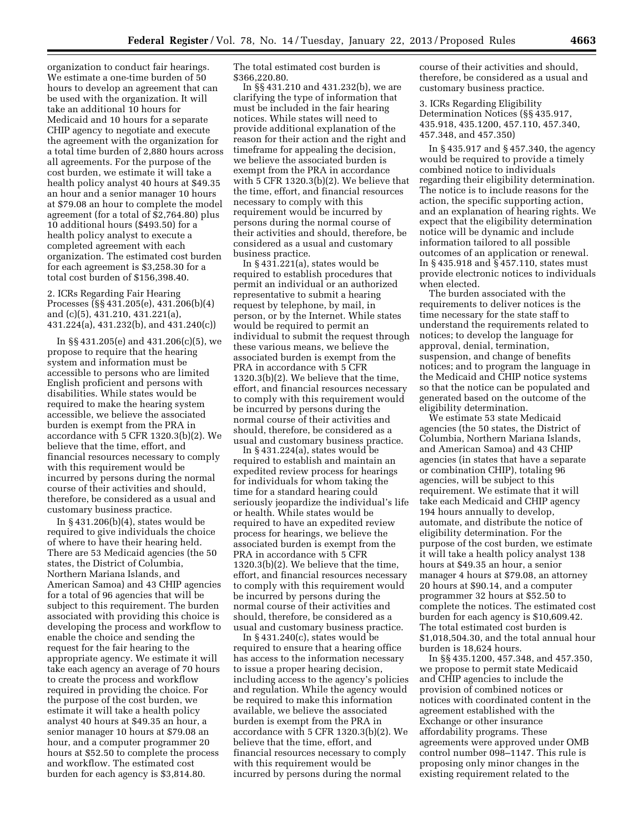organization to conduct fair hearings. We estimate a one-time burden of 50 hours to develop an agreement that can be used with the organization. It will take an additional 10 hours for Medicaid and 10 hours for a separate CHIP agency to negotiate and execute the agreement with the organization for a total time burden of 2,880 hours across all agreements. For the purpose of the cost burden, we estimate it will take a health policy analyst 40 hours at \$49.35 an hour and a senior manager 10 hours at \$79.08 an hour to complete the model agreement (for a total of \$2,764.80) plus 10 additional hours (\$493.50) for a health policy analyst to execute a completed agreement with each organization. The estimated cost burden for each agreement is \$3,258.30 for a total cost burden of \$156,398.40.

2. ICRs Regarding Fair Hearing Processes (§§ 431.205(e), 431.206(b)(4) and (c)(5), 431.210, 431.221(a), 431.224(a), 431.232(b), and 431.240(c))

In §§ 431.205(e) and 431.206(c)(5), we propose to require that the hearing system and information must be accessible to persons who are limited English proficient and persons with disabilities. While states would be required to make the hearing system accessible, we believe the associated burden is exempt from the PRA in accordance with 5 CFR 1320.3(b)(2). We believe that the time, effort, and financial resources necessary to comply with this requirement would be incurred by persons during the normal course of their activities and should, therefore, be considered as a usual and customary business practice.

In § 431.206(b)(4), states would be required to give individuals the choice of where to have their hearing held. There are 53 Medicaid agencies (the 50 states, the District of Columbia, Northern Mariana Islands, and American Samoa) and 43 CHIP agencies for a total of 96 agencies that will be subject to this requirement. The burden associated with providing this choice is developing the process and workflow to enable the choice and sending the request for the fair hearing to the appropriate agency. We estimate it will take each agency an average of 70 hours to create the process and workflow required in providing the choice. For the purpose of the cost burden, we estimate it will take a health policy analyst 40 hours at \$49.35 an hour, a senior manager 10 hours at \$79.08 an hour, and a computer programmer 20 hours at \$52.50 to complete the process and workflow. The estimated cost burden for each agency is \$3,814.80.

The total estimated cost burden is \$366,220.80.

In §§ 431.210 and 431.232(b), we are clarifying the type of information that must be included in the fair hearing notices. While states will need to provide additional explanation of the reason for their action and the right and timeframe for appealing the decision, we believe the associated burden is exempt from the PRA in accordance with 5 CFR 1320.3(b)(2). We believe that the time, effort, and financial resources necessary to comply with this requirement would be incurred by persons during the normal course of their activities and should, therefore, be considered as a usual and customary business practice.

In  $\S 43\overline{1}$ .221(a), states would be required to establish procedures that permit an individual or an authorized representative to submit a hearing request by telephone, by mail, in person, or by the Internet. While states would be required to permit an individual to submit the request through these various means, we believe the associated burden is exempt from the PRA in accordance with 5 CFR 1320.3(b)(2). We believe that the time, effort, and financial resources necessary to comply with this requirement would be incurred by persons during the normal course of their activities and should, therefore, be considered as a usual and customary business practice.

In § 431.224(a), states would be required to establish and maintain an expedited review process for hearings for individuals for whom taking the time for a standard hearing could seriously jeopardize the individual's life or health. While states would be required to have an expedited review process for hearings, we believe the associated burden is exempt from the PRA in accordance with 5 CFR 1320.3(b)(2). We believe that the time, effort, and financial resources necessary to comply with this requirement would be incurred by persons during the normal course of their activities and should, therefore, be considered as a usual and customary business practice.

In § 431.240(c), states would be required to ensure that a hearing office has access to the information necessary to issue a proper hearing decision, including access to the agency's policies and regulation. While the agency would be required to make this information available, we believe the associated burden is exempt from the PRA in accordance with 5 CFR 1320.3(b)(2). We believe that the time, effort, and financial resources necessary to comply with this requirement would be incurred by persons during the normal

course of their activities and should, therefore, be considered as a usual and customary business practice.

3. ICRs Regarding Eligibility Determination Notices (§§ 435.917, 435.918, 435.1200, 457.110, 457.340, 457.348, and 457.350)

In § 435.917 and § 457.340, the agency would be required to provide a timely combined notice to individuals regarding their eligibility determination. The notice is to include reasons for the action, the specific supporting action, and an explanation of hearing rights. We expect that the eligibility determination notice will be dynamic and include information tailored to all possible outcomes of an application or renewal. In § 435.918 and § 457.110, states must provide electronic notices to individuals when elected.

The burden associated with the requirements to deliver notices is the time necessary for the state staff to understand the requirements related to notices; to develop the language for approval, denial, termination, suspension, and change of benefits notices; and to program the language in the Medicaid and CHIP notice systems so that the notice can be populated and generated based on the outcome of the eligibility determination.

We estimate 53 state Medicaid agencies (the 50 states, the District of Columbia, Northern Mariana Islands, and American Samoa) and 43 CHIP agencies (in states that have a separate or combination CHIP), totaling 96 agencies, will be subject to this requirement. We estimate that it will take each Medicaid and CHIP agency 194 hours annually to develop, automate, and distribute the notice of eligibility determination. For the purpose of the cost burden, we estimate it will take a health policy analyst 138 hours at \$49.35 an hour, a senior manager 4 hours at \$79.08, an attorney 20 hours at \$90.14, and a computer programmer 32 hours at \$52.50 to complete the notices. The estimated cost burden for each agency is \$10,609.42. The total estimated cost burden is \$1,018,504.30, and the total annual hour burden is 18,624 hours.

In §§ 435.1200, 457.348, and 457.350, we propose to permit state Medicaid and CHIP agencies to include the provision of combined notices or notices with coordinated content in the agreement established with the Exchange or other insurance affordability programs. These agreements were approved under OMB control number 098–1147. This rule is proposing only minor changes in the existing requirement related to the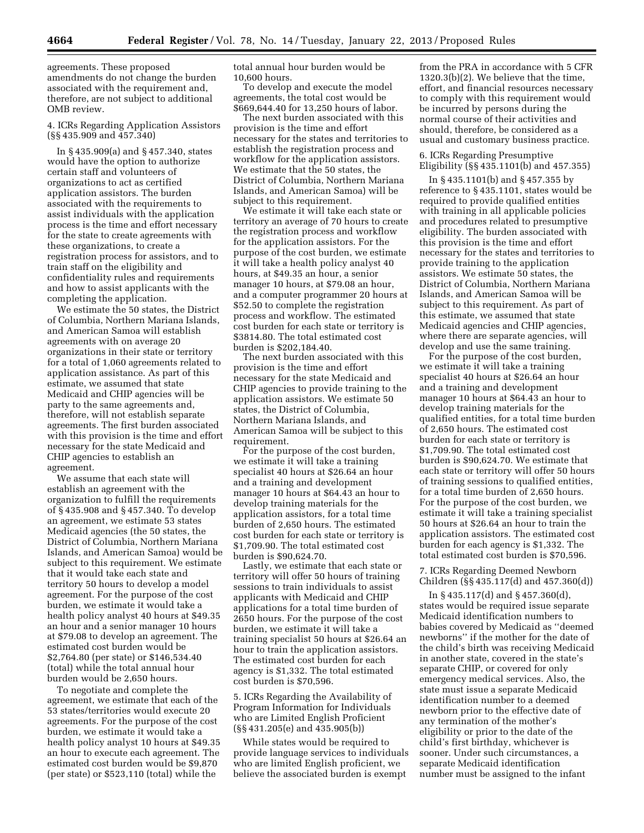agreements. These proposed amendments do not change the burden associated with the requirement and, therefore, are not subject to additional OMB review.

4. ICRs Regarding Application Assistors (§§ 435.909 and 457.340)

In § 435.909(a) and § 457.340, states would have the option to authorize certain staff and volunteers of organizations to act as certified application assistors. The burden associated with the requirements to assist individuals with the application process is the time and effort necessary for the state to create agreements with these organizations, to create a registration process for assistors, and to train staff on the eligibility and confidentiality rules and requirements and how to assist applicants with the completing the application.

We estimate the 50 states, the District of Columbia, Northern Mariana Islands, and American Samoa will establish agreements with on average 20 organizations in their state or territory for a total of 1,060 agreements related to application assistance. As part of this estimate, we assumed that state Medicaid and CHIP agencies will be party to the same agreements and, therefore, will not establish separate agreements. The first burden associated with this provision is the time and effort necessary for the state Medicaid and CHIP agencies to establish an agreement.

We assume that each state will establish an agreement with the organization to fulfill the requirements of § 435.908 and § 457.340. To develop an agreement, we estimate 53 states Medicaid agencies (the 50 states, the District of Columbia, Northern Mariana Islands, and American Samoa) would be subject to this requirement. We estimate that it would take each state and territory 50 hours to develop a model agreement. For the purpose of the cost burden, we estimate it would take a health policy analyst 40 hours at \$49.35 an hour and a senior manager 10 hours at \$79.08 to develop an agreement. The estimated cost burden would be \$2,764.80 (per state) or \$146,534.40 (total) while the total annual hour burden would be 2,650 hours.

To negotiate and complete the agreement, we estimate that each of the 53 states/territories would execute 20 agreements. For the purpose of the cost burden, we estimate it would take a health policy analyst 10 hours at \$49.35 an hour to execute each agreement. The estimated cost burden would be \$9,870 (per state) or \$523,110 (total) while the

total annual hour burden would be 10,600 hours.

To develop and execute the model agreements, the total cost would be \$669,644.40 for 13,250 hours of labor.

The next burden associated with this provision is the time and effort necessary for the states and territories to establish the registration process and workflow for the application assistors. We estimate that the 50 states, the District of Columbia, Northern Mariana Islands, and American Samoa) will be subject to this requirement.

We estimate it will take each state or territory an average of 70 hours to create the registration process and workflow for the application assistors. For the purpose of the cost burden, we estimate it will take a health policy analyst 40 hours, at \$49.35 an hour, a senior manager 10 hours, at \$79.08 an hour, and a computer programmer 20 hours at \$52.50 to complete the registration process and workflow. The estimated cost burden for each state or territory is \$3814.80. The total estimated cost burden is \$202,184.40.

The next burden associated with this provision is the time and effort necessary for the state Medicaid and CHIP agencies to provide training to the application assistors. We estimate 50 states, the District of Columbia, Northern Mariana Islands, and American Samoa will be subject to this requirement.

For the purpose of the cost burden, we estimate it will take a training specialist 40 hours at \$26.64 an hour and a training and development manager 10 hours at \$64.43 an hour to develop training materials for the application assistors, for a total time burden of 2,650 hours. The estimated cost burden for each state or territory is \$1,709.90. The total estimated cost burden is \$90,624.70.

Lastly, we estimate that each state or territory will offer 50 hours of training sessions to train individuals to assist applicants with Medicaid and CHIP applications for a total time burden of 2650 hours. For the purpose of the cost burden, we estimate it will take a training specialist 50 hours at \$26.64 an hour to train the application assistors. The estimated cost burden for each agency is \$1,332. The total estimated cost burden is \$70,596.

5. ICRs Regarding the Availability of Program Information for Individuals who are Limited English Proficient (§§ 431.205(e) and 435.905(b))

While states would be required to provide language services to individuals who are limited English proficient, we believe the associated burden is exempt

from the PRA in accordance with 5 CFR 1320.3(b)(2). We believe that the time, effort, and financial resources necessary to comply with this requirement would be incurred by persons during the normal course of their activities and should, therefore, be considered as a usual and customary business practice.

6. ICRs Regarding Presumptive Eligibility (§§ 435.1101(b) and 457.355)

In § 435.1101(b) and § 457.355 by reference to § 435.1101, states would be required to provide qualified entities with training in all applicable policies and procedures related to presumptive eligibility. The burden associated with this provision is the time and effort necessary for the states and territories to provide training to the application assistors. We estimate 50 states, the District of Columbia, Northern Mariana Islands, and American Samoa will be subject to this requirement. As part of this estimate, we assumed that state Medicaid agencies and CHIP agencies, where there are separate agencies, will develop and use the same training.

For the purpose of the cost burden, we estimate it will take a training specialist 40 hours at \$26.64 an hour and a training and development manager 10 hours at \$64.43 an hour to develop training materials for the qualified entities, for a total time burden of 2,650 hours. The estimated cost burden for each state or territory is \$1,709.90. The total estimated cost burden is \$90,624.70. We estimate that each state or territory will offer 50 hours of training sessions to qualified entities, for a total time burden of 2,650 hours. For the purpose of the cost burden, we estimate it will take a training specialist 50 hours at \$26.64 an hour to train the application assistors. The estimated cost burden for each agency is \$1,332. The total estimated cost burden is \$70,596.

7. ICRs Regarding Deemed Newborn Children (§§ 435.117(d) and 457.360(d))

In § 435.117(d) and § 457.360(d), states would be required issue separate Medicaid identification numbers to babies covered by Medicaid as ''deemed newborns'' if the mother for the date of the child's birth was receiving Medicaid in another state, covered in the state's separate CHIP, or covered for only emergency medical services. Also, the state must issue a separate Medicaid identification number to a deemed newborn prior to the effective date of any termination of the mother's eligibility or prior to the date of the child's first birthday, whichever is sooner. Under such circumstances, a separate Medicaid identification number must be assigned to the infant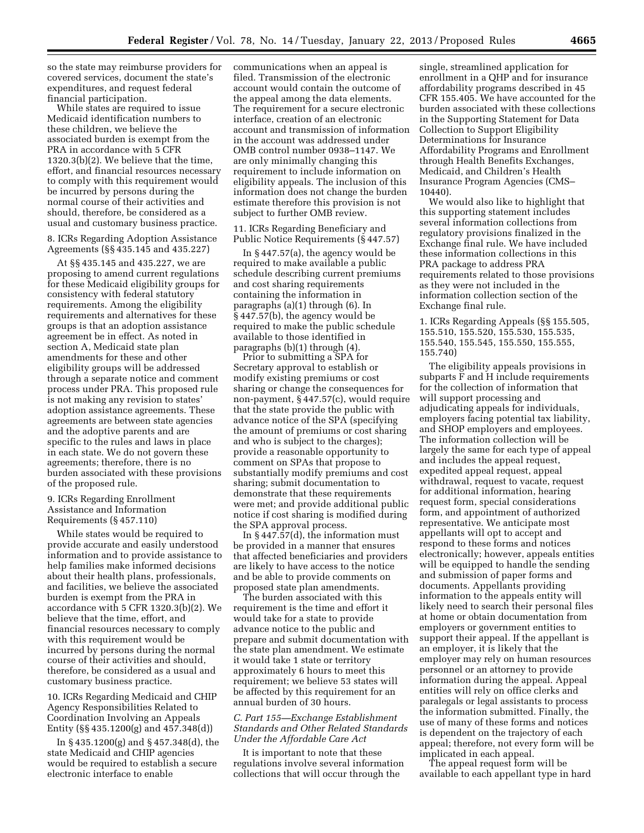so the state may reimburse providers for covered services, document the state's expenditures, and request federal financial participation.

While states are required to issue Medicaid identification numbers to these children, we believe the associated burden is exempt from the PRA in accordance with 5 CFR 1320.3(b)(2). We believe that the time, effort, and financial resources necessary to comply with this requirement would be incurred by persons during the normal course of their activities and should, therefore, be considered as a usual and customary business practice.

8. ICRs Regarding Adoption Assistance Agreements (§§ 435.145 and 435.227)

At §§ 435.145 and 435.227, we are proposing to amend current regulations for these Medicaid eligibility groups for consistency with federal statutory requirements. Among the eligibility requirements and alternatives for these groups is that an adoption assistance agreement be in effect. As noted in section A, Medicaid state plan amendments for these and other eligibility groups will be addressed through a separate notice and comment process under PRA. This proposed rule is not making any revision to states' adoption assistance agreements. These agreements are between state agencies and the adoptive parents and are specific to the rules and laws in place in each state. We do not govern these agreements; therefore, there is no burden associated with these provisions of the proposed rule.

9. ICRs Regarding Enrollment Assistance and Information Requirements (§ 457.110)

While states would be required to provide accurate and easily understood information and to provide assistance to help families make informed decisions about their health plans, professionals, and facilities, we believe the associated burden is exempt from the PRA in accordance with 5 CFR 1320.3(b)(2). We believe that the time, effort, and financial resources necessary to comply with this requirement would be incurred by persons during the normal course of their activities and should, therefore, be considered as a usual and customary business practice.

10. ICRs Regarding Medicaid and CHIP Agency Responsibilities Related to Coordination Involving an Appeals Entity (§§ 435.1200(g) and 457.348(d))

In § 435.1200(g) and § 457.348(d), the state Medicaid and CHIP agencies would be required to establish a secure electronic interface to enable

communications when an appeal is filed. Transmission of the electronic account would contain the outcome of the appeal among the data elements. The requirement for a secure electronic interface, creation of an electronic account and transmission of information in the account was addressed under OMB control number 0938–1147. We are only minimally changing this requirement to include information on eligibility appeals. The inclusion of this information does not change the burden estimate therefore this provision is not subject to further OMB review.

11. ICRs Regarding Beneficiary and Public Notice Requirements (§ 447.57)

In § 447.57(a), the agency would be required to make available a public schedule describing current premiums and cost sharing requirements containing the information in paragraphs (a)(1) through (6). In § 447.57(b), the agency would be required to make the public schedule available to those identified in paragraphs (b)(1) through (4).

Prior to submitting a SPA for Secretary approval to establish or modify existing premiums or cost sharing or change the consequences for non-payment, § 447.57(c), would require that the state provide the public with advance notice of the SPA (specifying the amount of premiums or cost sharing and who is subject to the charges); provide a reasonable opportunity to comment on SPAs that propose to substantially modify premiums and cost sharing; submit documentation to demonstrate that these requirements were met; and provide additional public notice if cost sharing is modified during the SPA approval process.

In § 447.57(d), the information must be provided in a manner that ensures that affected beneficiaries and providers are likely to have access to the notice and be able to provide comments on proposed state plan amendments.

The burden associated with this requirement is the time and effort it would take for a state to provide advance notice to the public and prepare and submit documentation with the state plan amendment. We estimate it would take 1 state or territory approximately 6 hours to meet this requirement; we believe 53 states will be affected by this requirement for an annual burden of 30 hours.

# *C. Part 155—Exchange Establishment Standards and Other Related Standards Under the Affordable Care Act*

It is important to note that these regulations involve several information collections that will occur through the

single, streamlined application for enrollment in a QHP and for insurance affordability programs described in 45 CFR 155.405. We have accounted for the burden associated with these collections in the Supporting Statement for Data Collection to Support Eligibility Determinations for Insurance Affordability Programs and Enrollment through Health Benefits Exchanges, Medicaid, and Children's Health Insurance Program Agencies (CMS– 10440).

We would also like to highlight that this supporting statement includes several information collections from regulatory provisions finalized in the Exchange final rule. We have included these information collections in this PRA package to address PRA requirements related to those provisions as they were not included in the information collection section of the Exchange final rule.

1. ICRs Regarding Appeals (§§ 155.505, 155.510, 155.520, 155.530, 155.535, 155.540, 155.545, 155.550, 155.555, 155.740)

The eligibility appeals provisions in subparts F and H include requirements for the collection of information that will support processing and adjudicating appeals for individuals, employers facing potential tax liability, and SHOP employers and employees. The information collection will be largely the same for each type of appeal and includes the appeal request, expedited appeal request, appeal withdrawal, request to vacate, request for additional information, hearing request form, special considerations form, and appointment of authorized representative. We anticipate most appellants will opt to accept and respond to these forms and notices electronically; however, appeals entities will be equipped to handle the sending and submission of paper forms and documents. Appellants providing information to the appeals entity will likely need to search their personal files at home or obtain documentation from employers or government entities to support their appeal. If the appellant is an employer, it is likely that the employer may rely on human resources personnel or an attorney to provide information during the appeal. Appeal entities will rely on office clerks and paralegals or legal assistants to process the information submitted. Finally, the use of many of these forms and notices is dependent on the trajectory of each appeal; therefore, not every form will be implicated in each appeal.

The appeal request form will be available to each appellant type in hard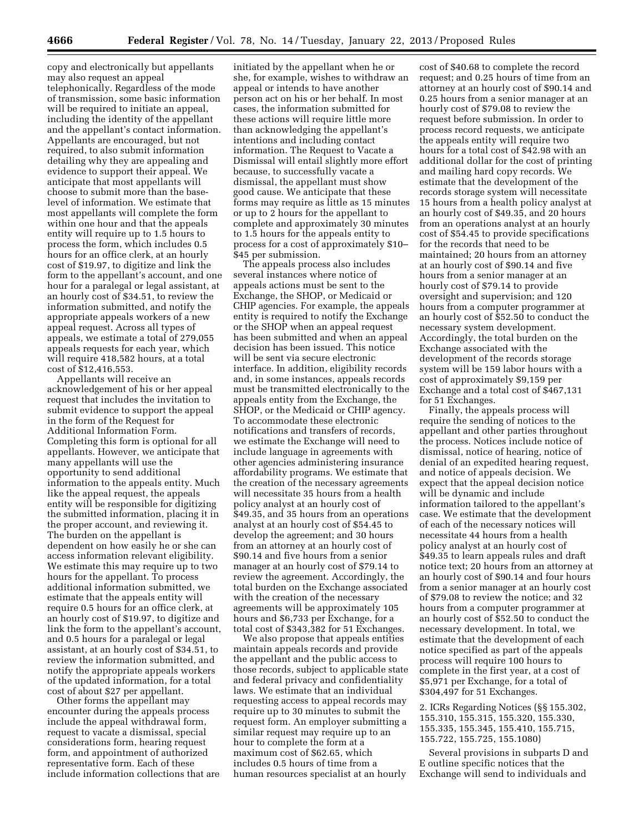copy and electronically but appellants may also request an appeal telephonically. Regardless of the mode of transmission, some basic information will be required to initiate an appeal, including the identity of the appellant and the appellant's contact information. Appellants are encouraged, but not required, to also submit information detailing why they are appealing and evidence to support their appeal. We anticipate that most appellants will choose to submit more than the baselevel of information. We estimate that most appellants will complete the form within one hour and that the appeals entity will require up to 1.5 hours to process the form, which includes 0.5 hours for an office clerk, at an hourly cost of \$19.97, to digitize and link the form to the appellant's account, and one hour for a paralegal or legal assistant, at an hourly cost of \$34.51, to review the information submitted, and notify the appropriate appeals workers of a new appeal request. Across all types of appeals, we estimate a total of 279,055 appeals requests for each year, which will require 418,582 hours, at a total cost of \$12,416,553.

Appellants will receive an acknowledgement of his or her appeal request that includes the invitation to submit evidence to support the appeal in the form of the Request for Additional Information Form. Completing this form is optional for all appellants. However, we anticipate that many appellants will use the opportunity to send additional information to the appeals entity. Much like the appeal request, the appeals entity will be responsible for digitizing the submitted information, placing it in the proper account, and reviewing it. The burden on the appellant is dependent on how easily he or she can access information relevant eligibility. We estimate this may require up to two hours for the appellant. To process additional information submitted, we estimate that the appeals entity will require 0.5 hours for an office clerk, at an hourly cost of \$19.97, to digitize and link the form to the appellant's account, and 0.5 hours for a paralegal or legal assistant, at an hourly cost of \$34.51, to review the information submitted, and notify the appropriate appeals workers of the updated information, for a total cost of about \$27 per appellant.

Other forms the appellant may encounter during the appeals process include the appeal withdrawal form, request to vacate a dismissal, special considerations form, hearing request form, and appointment of authorized representative form. Each of these include information collections that are

initiated by the appellant when he or she, for example, wishes to withdraw an appeal or intends to have another person act on his or her behalf. In most cases, the information submitted for these actions will require little more than acknowledging the appellant's intentions and including contact information. The Request to Vacate a Dismissal will entail slightly more effort because, to successfully vacate a dismissal, the appellant must show good cause. We anticipate that these forms may require as little as 15 minutes or up to 2 hours for the appellant to complete and approximately 30 minutes to 1.5 hours for the appeals entity to process for a cost of approximately \$10– \$45 per submission.

The appeals process also includes several instances where notice of appeals actions must be sent to the Exchange, the SHOP, or Medicaid or CHIP agencies. For example, the appeals entity is required to notify the Exchange or the SHOP when an appeal request has been submitted and when an appeal decision has been issued. This notice will be sent via secure electronic interface. In addition, eligibility records and, in some instances, appeals records must be transmitted electronically to the appeals entity from the Exchange, the SHOP, or the Medicaid or CHIP agency. To accommodate these electronic notifications and transfers of records, we estimate the Exchange will need to include language in agreements with other agencies administering insurance affordability programs. We estimate that the creation of the necessary agreements will necessitate 35 hours from a health policy analyst at an hourly cost of \$49.35, and 35 hours from an operations analyst at an hourly cost of \$54.45 to develop the agreement; and 30 hours from an attorney at an hourly cost of \$90.14 and five hours from a senior manager at an hourly cost of \$79.14 to review the agreement. Accordingly, the total burden on the Exchange associated with the creation of the necessary agreements will be approximately 105 hours and \$6,733 per Exchange, for a total cost of \$343,382 for 51 Exchanges.

We also propose that appeals entities maintain appeals records and provide the appellant and the public access to those records, subject to applicable state and federal privacy and confidentiality laws. We estimate that an individual requesting access to appeal records may require up to 30 minutes to submit the request form. An employer submitting a similar request may require up to an hour to complete the form at a maximum cost of \$62.65, which includes 0.5 hours of time from a human resources specialist at an hourly

cost of \$40.68 to complete the record request; and 0.25 hours of time from an attorney at an hourly cost of \$90.14 and 0.25 hours from a senior manager at an hourly cost of \$79.08 to review the request before submission. In order to process record requests, we anticipate the appeals entity will require two hours for a total cost of \$42.98 with an additional dollar for the cost of printing and mailing hard copy records. We estimate that the development of the records storage system will necessitate 15 hours from a health policy analyst at an hourly cost of \$49.35, and 20 hours from an operations analyst at an hourly cost of \$54.45 to provide specifications for the records that need to be maintained; 20 hours from an attorney at an hourly cost of \$90.14 and five hours from a senior manager at an hourly cost of \$79.14 to provide oversight and supervision; and 120 hours from a computer programmer at an hourly cost of \$52.50 to conduct the necessary system development. Accordingly, the total burden on the Exchange associated with the development of the records storage system will be 159 labor hours with a cost of approximately \$9,159 per Exchange and a total cost of \$467,131 for 51 Exchanges.

Finally, the appeals process will require the sending of notices to the appellant and other parties throughout the process. Notices include notice of dismissal, notice of hearing, notice of denial of an expedited hearing request, and notice of appeals decision. We expect that the appeal decision notice will be dynamic and include information tailored to the appellant's case. We estimate that the development of each of the necessary notices will necessitate 44 hours from a health policy analyst at an hourly cost of \$49.35 to learn appeals rules and draft notice text; 20 hours from an attorney at an hourly cost of \$90.14 and four hours from a senior manager at an hourly cost of \$79.08 to review the notice; and 32 hours from a computer programmer at an hourly cost of \$52.50 to conduct the necessary development. In total, we estimate that the development of each notice specified as part of the appeals process will require 100 hours to complete in the first year, at a cost of \$5,971 per Exchange, for a total of \$304,497 for 51 Exchanges.

2. ICRs Regarding Notices (§§ 155.302, 155.310, 155.315, 155.320, 155.330, 155.335, 155.345, 155.410, 155.715, 155.722, 155.725, 155.1080)

Several provisions in subparts D and E outline specific notices that the Exchange will send to individuals and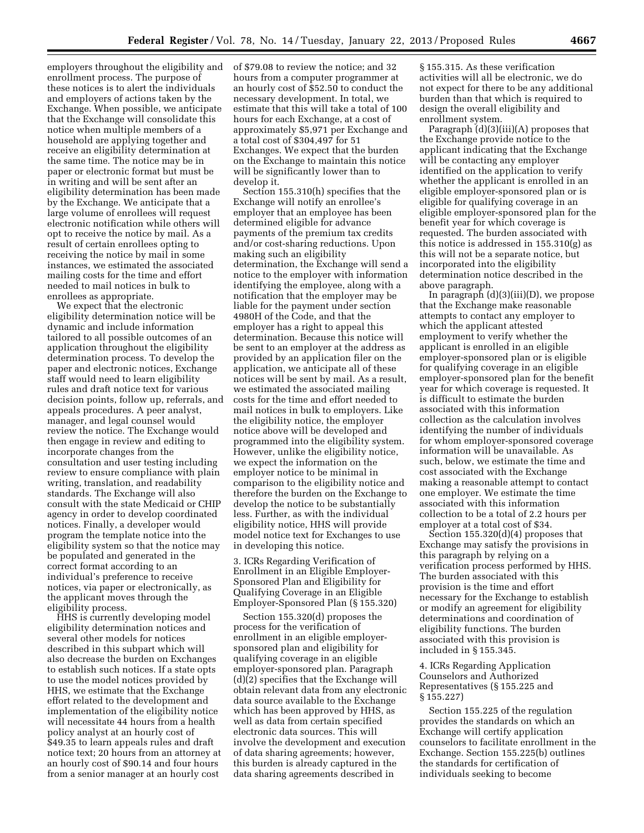employers throughout the eligibility and enrollment process. The purpose of these notices is to alert the individuals and employers of actions taken by the Exchange. When possible, we anticipate that the Exchange will consolidate this notice when multiple members of a household are applying together and receive an eligibility determination at the same time. The notice may be in paper or electronic format but must be in writing and will be sent after an eligibility determination has been made by the Exchange. We anticipate that a large volume of enrollees will request electronic notification while others will opt to receive the notice by mail. As a result of certain enrollees opting to receiving the notice by mail in some instances, we estimated the associated mailing costs for the time and effort needed to mail notices in bulk to enrollees as appropriate.

We expect that the electronic eligibility determination notice will be dynamic and include information tailored to all possible outcomes of an application throughout the eligibility determination process. To develop the paper and electronic notices, Exchange staff would need to learn eligibility rules and draft notice text for various decision points, follow up, referrals, and appeals procedures. A peer analyst, manager, and legal counsel would review the notice. The Exchange would then engage in review and editing to incorporate changes from the consultation and user testing including review to ensure compliance with plain writing, translation, and readability standards. The Exchange will also consult with the state Medicaid or CHIP agency in order to develop coordinated notices. Finally, a developer would program the template notice into the eligibility system so that the notice may be populated and generated in the correct format according to an individual's preference to receive notices, via paper or electronically, as the applicant moves through the eligibility process.

HHS is currently developing model eligibility determination notices and several other models for notices described in this subpart which will also decrease the burden on Exchanges to establish such notices. If a state opts to use the model notices provided by HHS, we estimate that the Exchange effort related to the development and implementation of the eligibility notice will necessitate 44 hours from a health policy analyst at an hourly cost of \$49.35 to learn appeals rules and draft notice text; 20 hours from an attorney at an hourly cost of \$90.14 and four hours from a senior manager at an hourly cost

of \$79.08 to review the notice; and 32 hours from a computer programmer at an hourly cost of \$52.50 to conduct the necessary development. In total, we estimate that this will take a total of 100 hours for each Exchange, at a cost of approximately \$5,971 per Exchange and a total cost of \$304,497 for 51 Exchanges. We expect that the burden on the Exchange to maintain this notice will be significantly lower than to develop it.

Section 155.310(h) specifies that the Exchange will notify an enrollee's employer that an employee has been determined eligible for advance payments of the premium tax credits and/or cost-sharing reductions. Upon making such an eligibility determination, the Exchange will send a notice to the employer with information identifying the employee, along with a notification that the employer may be liable for the payment under section 4980H of the Code, and that the employer has a right to appeal this determination. Because this notice will be sent to an employer at the address as provided by an application filer on the application, we anticipate all of these notices will be sent by mail. As a result, we estimated the associated mailing costs for the time and effort needed to mail notices in bulk to employers. Like the eligibility notice, the employer notice above will be developed and programmed into the eligibility system. However, unlike the eligibility notice, we expect the information on the employer notice to be minimal in comparison to the eligibility notice and therefore the burden on the Exchange to develop the notice to be substantially less. Further, as with the individual eligibility notice, HHS will provide model notice text for Exchanges to use in developing this notice.

3. ICRs Regarding Verification of Enrollment in an Eligible Employer-Sponsored Plan and Eligibility for Qualifying Coverage in an Eligible Employer-Sponsored Plan (§ 155.320)

Section 155.320(d) proposes the process for the verification of enrollment in an eligible employersponsored plan and eligibility for qualifying coverage in an eligible employer-sponsored plan. Paragraph (d)(2) specifies that the Exchange will obtain relevant data from any electronic data source available to the Exchange which has been approved by HHS, as well as data from certain specified electronic data sources. This will involve the development and execution of data sharing agreements; however, this burden is already captured in the data sharing agreements described in

§ 155.315. As these verification activities will all be electronic, we do not expect for there to be any additional burden than that which is required to design the overall eligibility and enrollment system.

Paragraph (d)(3)(iii)(A) proposes that the Exchange provide notice to the applicant indicating that the Exchange will be contacting any employer identified on the application to verify whether the applicant is enrolled in an eligible employer-sponsored plan or is eligible for qualifying coverage in an eligible employer-sponsored plan for the benefit year for which coverage is requested. The burden associated with this notice is addressed in 155.310(g) as this will not be a separate notice, but incorporated into the eligibility determination notice described in the above paragraph.

In paragraph (d)(3)(iii)(D), we propose that the Exchange make reasonable attempts to contact any employer to which the applicant attested employment to verify whether the applicant is enrolled in an eligible employer-sponsored plan or is eligible for qualifying coverage in an eligible employer-sponsored plan for the benefit year for which coverage is requested. It is difficult to estimate the burden associated with this information collection as the calculation involves identifying the number of individuals for whom employer-sponsored coverage information will be unavailable. As such, below, we estimate the time and cost associated with the Exchange making a reasonable attempt to contact one employer. We estimate the time associated with this information collection to be a total of 2.2 hours per employer at a total cost of \$34.

Section 155.320(d)(4) proposes that Exchange may satisfy the provisions in this paragraph by relying on a verification process performed by HHS. The burden associated with this provision is the time and effort necessary for the Exchange to establish or modify an agreement for eligibility determinations and coordination of eligibility functions. The burden associated with this provision is included in § 155.345.

# 4. ICRs Regarding Application Counselors and Authorized Representatives (§ 155.225 and § 155.227)

Section 155.225 of the regulation provides the standards on which an Exchange will certify application counselors to facilitate enrollment in the Exchange. Section 155.225(b) outlines the standards for certification of individuals seeking to become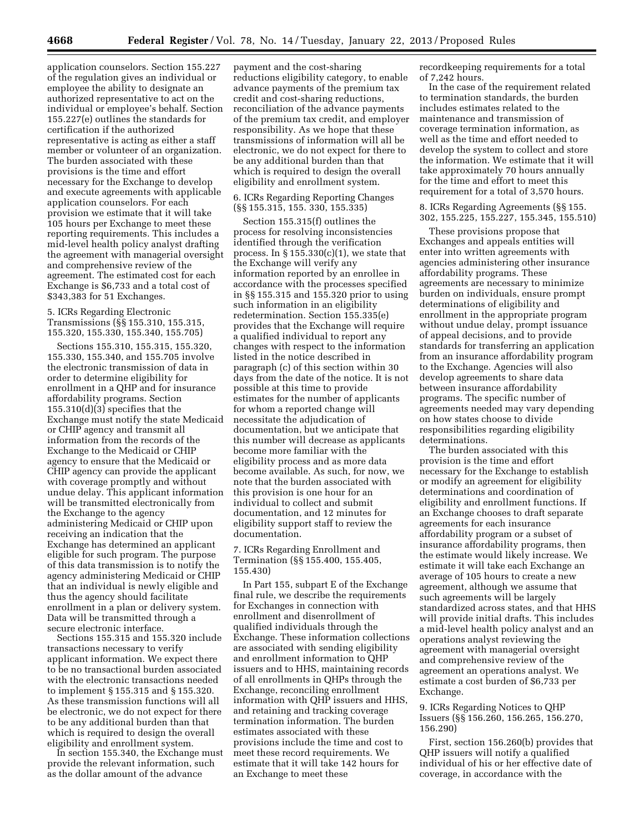application counselors. Section 155.227 of the regulation gives an individual or employee the ability to designate an authorized representative to act on the individual or employee's behalf. Section 155.227(e) outlines the standards for certification if the authorized representative is acting as either a staff member or volunteer of an organization. The burden associated with these provisions is the time and effort necessary for the Exchange to develop and execute agreements with applicable application counselors. For each provision we estimate that it will take 105 hours per Exchange to meet these reporting requirements. This includes a mid-level health policy analyst drafting the agreement with managerial oversight and comprehensive review of the agreement. The estimated cost for each Exchange is \$6,733 and a total cost of \$343,383 for 51 Exchanges.

5. ICRs Regarding Electronic Transmissions (§§ 155.310, 155.315, 155.320, 155.330, 155.340, 155.705)

Sections 155.310, 155.315, 155.320, 155.330, 155.340, and 155.705 involve the electronic transmission of data in order to determine eligibility for enrollment in a QHP and for insurance affordability programs. Section 155.310(d)(3) specifies that the Exchange must notify the state Medicaid or CHIP agency and transmit all information from the records of the Exchange to the Medicaid or CHIP agency to ensure that the Medicaid or CHIP agency can provide the applicant with coverage promptly and without undue delay. This applicant information will be transmitted electronically from the Exchange to the agency administering Medicaid or CHIP upon receiving an indication that the Exchange has determined an applicant eligible for such program. The purpose of this data transmission is to notify the agency administering Medicaid or CHIP that an individual is newly eligible and thus the agency should facilitate enrollment in a plan or delivery system. Data will be transmitted through a secure electronic interface.

Sections 155.315 and 155.320 include transactions necessary to verify applicant information. We expect there to be no transactional burden associated with the electronic transactions needed to implement § 155.315 and § 155.320. As these transmission functions will all be electronic, we do not expect for there to be any additional burden than that which is required to design the overall eligibility and enrollment system.

In section 155.340, the Exchange must provide the relevant information, such as the dollar amount of the advance

payment and the cost-sharing reductions eligibility category, to enable advance payments of the premium tax credit and cost-sharing reductions, reconciliation of the advance payments of the premium tax credit, and employer responsibility. As we hope that these transmissions of information will all be electronic, we do not expect for there to be any additional burden than that which is required to design the overall eligibility and enrollment system.

# 6. ICRs Regarding Reporting Changes (§§ 155.315, 155. 330, 155.335)

Section 155.315(f) outlines the process for resolving inconsistencies identified through the verification process. In  $\S 155.330(c)(1)$ , we state that the Exchange will verify any information reported by an enrollee in accordance with the processes specified in §§ 155.315 and 155.320 prior to using such information in an eligibility redetermination. Section 155.335(e) provides that the Exchange will require a qualified individual to report any changes with respect to the information listed in the notice described in paragraph (c) of this section within 30 days from the date of the notice. It is not possible at this time to provide estimates for the number of applicants for whom a reported change will necessitate the adjudication of documentation, but we anticipate that this number will decrease as applicants become more familiar with the eligibility process and as more data become available. As such, for now, we note that the burden associated with this provision is one hour for an individual to collect and submit documentation, and 12 minutes for eligibility support staff to review the documentation.

7. ICRs Regarding Enrollment and Termination (§§ 155.400, 155.405, 155.430)

In Part 155, subpart E of the Exchange final rule, we describe the requirements for Exchanges in connection with enrollment and disenrollment of qualified individuals through the Exchange. These information collections are associated with sending eligibility and enrollment information to QHP issuers and to HHS, maintaining records of all enrollments in QHPs through the Exchange, reconciling enrollment information with QHP issuers and HHS, and retaining and tracking coverage termination information. The burden estimates associated with these provisions include the time and cost to meet these record requirements. We estimate that it will take 142 hours for an Exchange to meet these

recordkeeping requirements for a total of 7,242 hours.

In the case of the requirement related to termination standards, the burden includes estimates related to the maintenance and transmission of coverage termination information, as well as the time and effort needed to develop the system to collect and store the information. We estimate that it will take approximately 70 hours annually for the time and effort to meet this requirement for a total of 3,570 hours.

8. ICRs Regarding Agreements (§§ 155. 302, 155.225, 155.227, 155.345, 155.510)

These provisions propose that Exchanges and appeals entities will enter into written agreements with agencies administering other insurance affordability programs. These agreements are necessary to minimize burden on individuals, ensure prompt determinations of eligibility and enrollment in the appropriate program without undue delay, prompt issuance of appeal decisions, and to provide standards for transferring an application from an insurance affordability program to the Exchange. Agencies will also develop agreements to share data between insurance affordability programs. The specific number of agreements needed may vary depending on how states choose to divide responsibilities regarding eligibility determinations.

The burden associated with this provision is the time and effort necessary for the Exchange to establish or modify an agreement for eligibility determinations and coordination of eligibility and enrollment functions. If an Exchange chooses to draft separate agreements for each insurance affordability program or a subset of insurance affordability programs, then the estimate would likely increase. We estimate it will take each Exchange an average of 105 hours to create a new agreement, although we assume that such agreements will be largely standardized across states, and that HHS will provide initial drafts. This includes a mid-level health policy analyst and an operations analyst reviewing the agreement with managerial oversight and comprehensive review of the agreement an operations analyst. We estimate a cost burden of \$6,733 per Exchange.

9. ICRs Regarding Notices to QHP Issuers (§§ 156.260, 156.265, 156.270, 156.290)

First, section 156.260(b) provides that QHP issuers will notify a qualified individual of his or her effective date of coverage, in accordance with the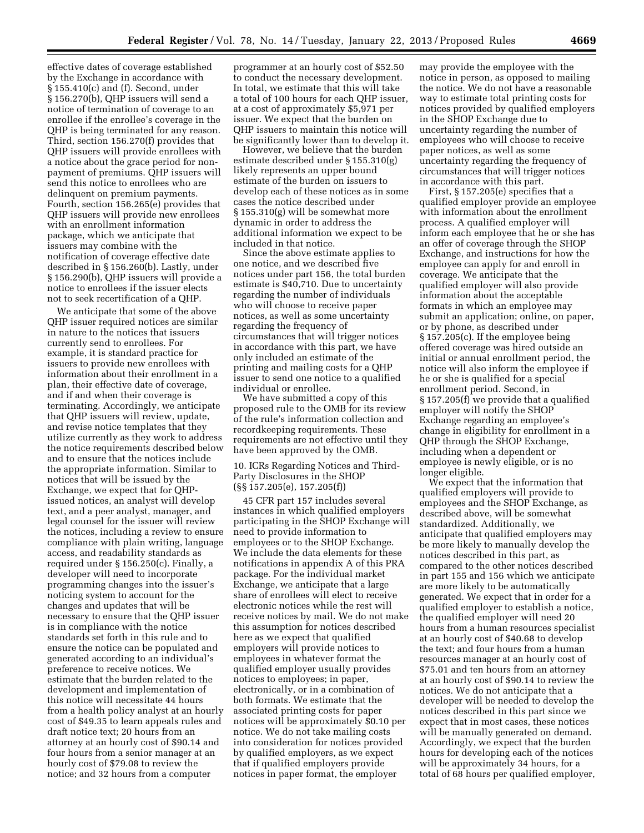effective dates of coverage established by the Exchange in accordance with § 155.410(c) and (f). Second, under § 156.270(b), QHP issuers will send a notice of termination of coverage to an enrollee if the enrollee's coverage in the QHP is being terminated for any reason. Third, section 156.270(f) provides that QHP issuers will provide enrollees with a notice about the grace period for nonpayment of premiums. QHP issuers will send this notice to enrollees who are delinquent on premium payments. Fourth, section 156.265(e) provides that QHP issuers will provide new enrollees with an enrollment information package, which we anticipate that issuers may combine with the notification of coverage effective date described in § 156.260(b). Lastly, under § 156.290(b), QHP issuers will provide a notice to enrollees if the issuer elects not to seek recertification of a QHP.

We anticipate that some of the above QHP issuer required notices are similar in nature to the notices that issuers currently send to enrollees. For example, it is standard practice for issuers to provide new enrollees with information about their enrollment in a plan, their effective date of coverage, and if and when their coverage is terminating. Accordingly, we anticipate that QHP issuers will review, update, and revise notice templates that they utilize currently as they work to address the notice requirements described below and to ensure that the notices include the appropriate information. Similar to notices that will be issued by the Exchange, we expect that for QHPissued notices, an analyst will develop text, and a peer analyst, manager, and legal counsel for the issuer will review the notices, including a review to ensure compliance with plain writing, language access, and readability standards as required under § 156.250(c). Finally, a developer will need to incorporate programming changes into the issuer's noticing system to account for the changes and updates that will be necessary to ensure that the QHP issuer is in compliance with the notice standards set forth in this rule and to ensure the notice can be populated and generated according to an individual's preference to receive notices. We estimate that the burden related to the development and implementation of this notice will necessitate 44 hours from a health policy analyst at an hourly cost of \$49.35 to learn appeals rules and draft notice text; 20 hours from an attorney at an hourly cost of \$90.14 and four hours from a senior manager at an hourly cost of \$79.08 to review the notice; and 32 hours from a computer

programmer at an hourly cost of \$52.50 to conduct the necessary development. In total, we estimate that this will take a total of 100 hours for each QHP issuer, at a cost of approximately \$5,971 per issuer. We expect that the burden on QHP issuers to maintain this notice will be significantly lower than to develop it.

However, we believe that the burden estimate described under § 155.310(g) likely represents an upper bound estimate of the burden on issuers to develop each of these notices as in some cases the notice described under § 155.310(g) will be somewhat more dynamic in order to address the additional information we expect to be included in that notice.

Since the above estimate applies to one notice, and we described five notices under part 156, the total burden estimate is \$40,710. Due to uncertainty regarding the number of individuals who will choose to receive paper notices, as well as some uncertainty regarding the frequency of circumstances that will trigger notices in accordance with this part, we have only included an estimate of the printing and mailing costs for a QHP issuer to send one notice to a qualified individual or enrollee.

We have submitted a copy of this proposed rule to the OMB for its review of the rule's information collection and recordkeeping requirements. These requirements are not effective until they have been approved by the OMB.

10. ICRs Regarding Notices and Third-Party Disclosures in the SHOP (§§ 157.205(e), 157.205(f))

45 CFR part 157 includes several instances in which qualified employers participating in the SHOP Exchange will need to provide information to employees or to the SHOP Exchange. We include the data elements for these notifications in appendix A of this PRA package. For the individual market Exchange, we anticipate that a large share of enrollees will elect to receive electronic notices while the rest will receive notices by mail. We do not make this assumption for notices described here as we expect that qualified employers will provide notices to employees in whatever format the qualified employer usually provides notices to employees; in paper, electronically, or in a combination of both formats. We estimate that the associated printing costs for paper notices will be approximately \$0.10 per notice. We do not take mailing costs into consideration for notices provided by qualified employers, as we expect that if qualified employers provide notices in paper format, the employer

may provide the employee with the notice in person, as opposed to mailing the notice. We do not have a reasonable way to estimate total printing costs for notices provided by qualified employers in the SHOP Exchange due to uncertainty regarding the number of employees who will choose to receive paper notices, as well as some uncertainty regarding the frequency of circumstances that will trigger notices in accordance with this part.

First, § 157.205(e) specifies that a qualified employer provide an employee with information about the enrollment process. A qualified employer will inform each employee that he or she has an offer of coverage through the SHOP Exchange, and instructions for how the employee can apply for and enroll in coverage. We anticipate that the qualified employer will also provide information about the acceptable formats in which an employee may submit an application; online, on paper, or by phone, as described under § 157.205(c). If the employee being offered coverage was hired outside an initial or annual enrollment period, the notice will also inform the employee if he or she is qualified for a special enrollment period. Second, in § 157.205(f) we provide that a qualified employer will notify the SHOP Exchange regarding an employee's change in eligibility for enrollment in a QHP through the SHOP Exchange, including when a dependent or employee is newly eligible, or is no longer eligible.

We expect that the information that qualified employers will provide to employees and the SHOP Exchange, as described above, will be somewhat standardized. Additionally, we anticipate that qualified employers may be more likely to manually develop the notices described in this part, as compared to the other notices described in part 155 and 156 which we anticipate are more likely to be automatically generated. We expect that in order for a qualified employer to establish a notice, the qualified employer will need 20 hours from a human resources specialist at an hourly cost of \$40.68 to develop the text; and four hours from a human resources manager at an hourly cost of \$75.01 and ten hours from an attorney at an hourly cost of \$90.14 to review the notices. We do not anticipate that a developer will be needed to develop the notices described in this part since we expect that in most cases, these notices will be manually generated on demand. Accordingly, we expect that the burden hours for developing each of the notices will be approximately 34 hours, for a total of 68 hours per qualified employer,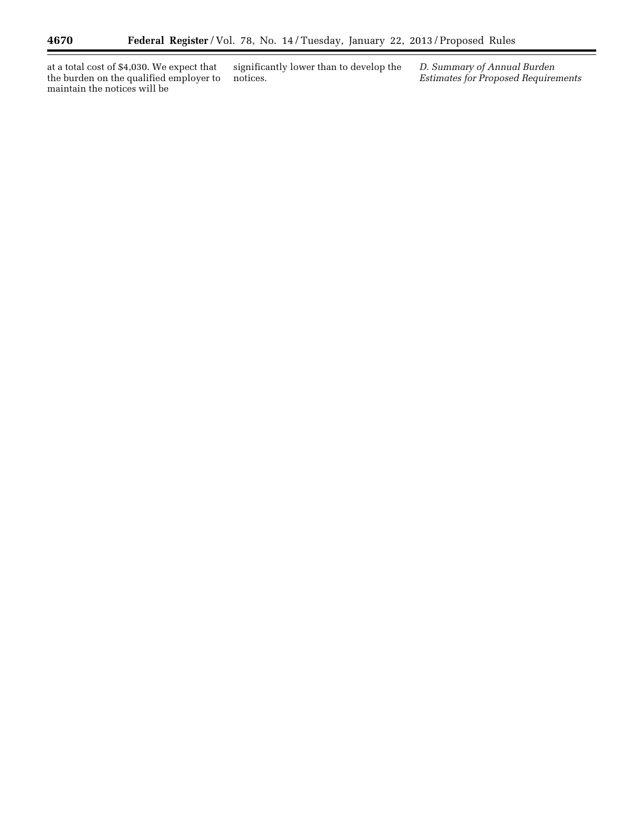at a total cost of \$4,030. We expect that the burden on the qualified employer to maintain the notices will be

significantly lower than to develop the notices.

*D. Summary of Annual Burden Estimates for Proposed Requirements*  ٠

 $\equiv$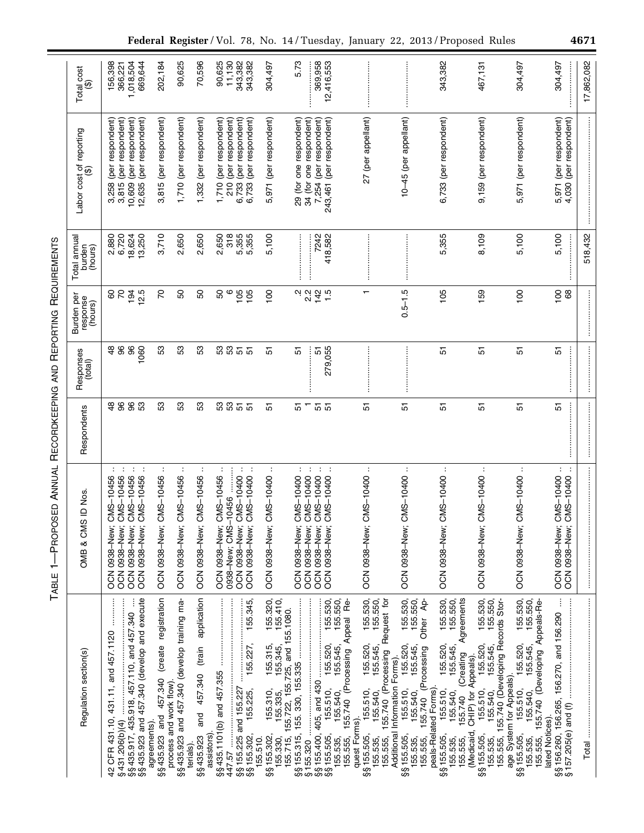| ו<br>ו<br>ו  |
|--------------|
| $\vdots$     |
| ï<br>I<br>I  |
|              |
|              |
|              |
|              |
| Í            |
|              |
| ı            |
| $\mathbf{I}$ |
|              |
|              |
|              |
|              |
| ĺ            |
|              |
|              |
|              |
| ı<br>ĺ       |
| l            |
| i            |
| ı            |
|              |
|              |
|              |
|              |
|              |
| í            |
| I<br>į       |
| ĺ            |
|              |
|              |
| I            |
| ı            |
|              |
|              |
| ı<br>!       |
| ֕<br>l       |
| י            |
| l            |

|                                                                        | Total cost<br>$\widehat{\mathbf{\Theta}}$ | 1,018,504<br>156,398<br>669,644<br>366,221                                                                                                          | 202,184                                                                              | 90,625                                                   | 70,596                                                        | 11,130<br>90,625                                     | 343,382<br>343,382                                                                  | 304,497                                                                                                                                                                | 5.73                                 | 369,958                                                             | 12,416,553                                                                                                                                                                |               |                                                                                                                                                |                                                                                                                                                                                   | 343,382                                                                                                                                                                 | 467,131                                                                                                                                                                               | 304,497                                                                                                                                                              | 304,497                                                             | 17,862,082 |
|------------------------------------------------------------------------|-------------------------------------------|-----------------------------------------------------------------------------------------------------------------------------------------------------|--------------------------------------------------------------------------------------|----------------------------------------------------------|---------------------------------------------------------------|------------------------------------------------------|-------------------------------------------------------------------------------------|------------------------------------------------------------------------------------------------------------------------------------------------------------------------|--------------------------------------|---------------------------------------------------------------------|---------------------------------------------------------------------------------------------------------------------------------------------------------------------------|---------------|------------------------------------------------------------------------------------------------------------------------------------------------|-----------------------------------------------------------------------------------------------------------------------------------------------------------------------------------|-------------------------------------------------------------------------------------------------------------------------------------------------------------------------|---------------------------------------------------------------------------------------------------------------------------------------------------------------------------------------|----------------------------------------------------------------------------------------------------------------------------------------------------------------------|---------------------------------------------------------------------|------------|
|                                                                        | Labor cost of reporting<br>(\$)           | (per respondent)<br>(per respondent)<br>(per respondent)<br>12,635 (per respondent)<br>10,609<br>3,258<br>3,815                                     | 3,815 (per respondent)                                                               | 1,710 (per respondent)                                   | 1,332 (per respondent)                                        | (per respondent)<br>(per respondent)<br>1,710<br>210 | (per respondent)<br>(per respondent)<br>6,733<br>6,733                              | 5,971 (per respondent)                                                                                                                                                 | 29 (for one respondent)              | 34 (for one respondent)<br>(per respondent)<br>7,254                | 243,461 (per respondent)                                                                                                                                                  |               | 27 (per appellant)                                                                                                                             | 10-45 (per appellant)                                                                                                                                                             | 6,733 (per respondent)                                                                                                                                                  | 9,159 (per respondent)                                                                                                                                                                | 5,971 (per respondent)                                                                                                                                               | 5,971 (per respondent)<br>(per respondent)<br>4,030                 |            |
|                                                                        | Total annual<br>burden<br>(hours)         | 2,880<br>6,720<br>18,624<br>13,250                                                                                                                  | 3,710                                                                                | 2,650                                                    | 2,650                                                         | 318<br>2,650                                         | 5,355<br>5,355                                                                      | 5,100                                                                                                                                                                  | <b><i><u><u><u>.</u></u></u></i></b> | 7242                                                                | 418,582                                                                                                                                                                   |               |                                                                                                                                                |                                                                                                                                                                                   | 5,355                                                                                                                                                                   | 8,109                                                                                                                                                                                 | 5,100                                                                                                                                                                | 5,100                                                               | 518,432    |
|                                                                        | Burden per<br>response<br>(hours)         | $\overline{r}$<br>194<br>12.5<br>8                                                                                                                  | 20                                                                                   | SO                                                       | 50                                                            | SO<br>ဖ                                              | 105<br>105                                                                          | 100                                                                                                                                                                    | بہ بہ<br>م                           | 142                                                                 | 1.5                                                                                                                                                                       |               | ↽                                                                                                                                              | $0.5 - 1.5$                                                                                                                                                                       | 105                                                                                                                                                                     | 159                                                                                                                                                                                   | $\frac{8}{100}$                                                                                                                                                      | 89<br>$\overline{100}$                                              |            |
|                                                                        | Responses<br>(total)                      | 96<br>96<br>1060<br>$\frac{8}{4}$                                                                                                                   | က္တ                                                                                  | S3                                                       | က္တ                                                           | 53<br>33                                             | $\overline{5}$ $\overline{5}$                                                       | 5                                                                                                                                                                      | 꼬                                    | 5                                                                   | 279,055                                                                                                                                                                   |               |                                                                                                                                                |                                                                                                                                                                                   | 5                                                                                                                                                                       | 57                                                                                                                                                                                    | 5                                                                                                                                                                    | İ<br>5                                                              |            |
| ANNUAL RECORDKEEPING AND REPORTING REQUIREMENTS<br>1-PROPOSED<br>TABLE | Respondents                               | 96<br>96<br>S3<br>$\frac{8}{4}$                                                                                                                     | S3                                                                                   | 53                                                       | က္တ                                                           | 53<br>53                                             | 57<br>51                                                                            | 5                                                                                                                                                                      | Τ<br>5                               | 55                                                                  |                                                                                                                                                                           |               | 5                                                                                                                                              | 5                                                                                                                                                                                 | 5                                                                                                                                                                       | 5                                                                                                                                                                                     | 5                                                                                                                                                                    | 5                                                                   |            |
|                                                                        | ID Nos.<br>OMB & CMS                      | $\sim$<br>÷<br>÷<br>- 1<br>OCN 0938-New; CMS-10456<br>CMS-10456<br>OCN 0938-New; CMS-10456<br>OCN 0938-New; CMS-10456<br>OCN 0938-New;              | OCN 0938-New; CMS-10456                                                              | ÷<br>OCN 0938-New; CMS-10456                             | OCN 0938-New; CMS-10456                                       | OCN 0938-New; CMS-10456<br>10456<br>0938-New; CMS-   | $\mathcal{I}^{\mathcal{I}}$ .<br>OCN 0938-New; CMS-10400<br>OCN 0938-New; CMS-10400 | ÷<br>OCN 0938-New; CMS-10400                                                                                                                                           | ÷<br>OCN 0938-New; CMS-10400         | $\sim$ 1<br>÷<br>OCN 0938-New; CMS-10400<br>OCN 0938-New; CMS-10400 | $\sim$<br>OCN 0938-New; CMS-10400                                                                                                                                         |               | ÷<br>OCN 0938-New; CM60                                                                                                                        | $\ddot{\phantom{a}}$                                                                                                                                                              | $\ddot{\phantom{a}}$<br>OCN 0938-New; CMS-10400                                                                                                                         | ÷<br>OCN 0938-New; CMS-10400                                                                                                                                                          | ÷<br>OCN 0938-New; CMS-10400                                                                                                                                         | ÷<br>$\sim$ 1<br>OCN 0938-New; CMS-10400<br>OCN 0938-New; CMS-10400 |            |
|                                                                        | Regulation section(s)                     | §§435.917, 435.918, 457.110, and 457.340<br>§§435.923 and 457.340 (develop and execute<br>42 CFR 431.10, 431.11, and 457.1120<br>431.206(b)(4)<br>ဖ | §§435.923 and 457.340 (create registration<br>process and work flow).<br>agreements) | §§435.923 and 457.340 (develop training ma-<br>terials). | application<br>and 457.340 (train<br>assistors)<br>\$§435.923 | §§435.1101(b) and 457.355<br>447.57                  |                                                                                     | 155.320,<br>155.410,<br>\$155.302, 155.310, 155.315, 155.32<br>155.330, 155.335, 155.345, 155.41<br>155.715, 155.722, 155.725, and 155.1080.<br>\$155.302,<br>155.510. |                                      | 155.320<br>ဟက္ကေတ                                                   | 155.530,<br>155.550,<br>3 155.505, 155.510, 155.520, 155.530,<br>155.535, 155.540, 155.545, 155.550,<br>155.555, 155.740 (Processing Appeal Re-<br>155.510,<br>\$155.505, | quest Forms). | 155.530,<br>155.550,<br>155.740 (Processing Request for<br>155.520,<br>155.545,<br>155.510,<br>155.540,<br>\$§155.505,<br>155.555,<br>155.535, | 155.530,<br>155.550,<br>Other Ap-<br>155.520,<br>155.545,<br>155.740 (Processing<br>Additional Information Forms).<br>155.510,<br>155.540,<br>\$§155.505,<br>155.535,<br>155.555, | 155.530,<br>155.550,<br>(Creating Agreements<br>155.520,<br>155.545,<br>peals-Related Forms).<br>155.510,<br>155.540,<br>155.740<br>\$§155.505,<br>155.535,<br>155.555, | 155.530,<br>155.550,<br>155.555, 155.740 (Developing Records Stor-<br>155.510, 155.520,<br>155.540, 155.545,<br>(Medicaid, CHIP) for Appeals).<br>155.540,<br>\$§155.505,<br>155.535, | 155.530,<br>155.550,<br>155.740 (Developing Appeals-Re-<br>155.510, 155.520,<br>155.540, 155.545,<br>age System for Appeals).<br>\$§155.505,<br>155.555,<br>155.535, | lated Notices).                                                     |            |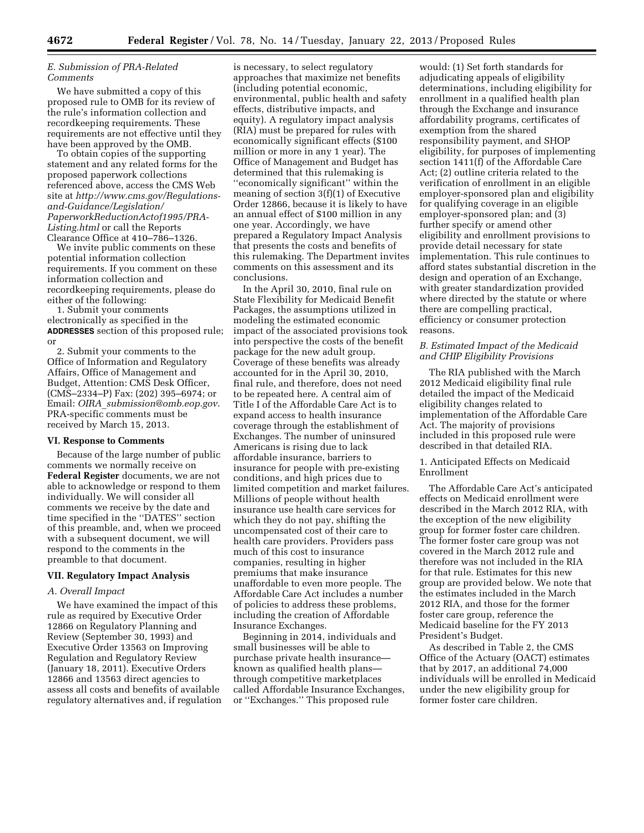# *E. Submission of PRA-Related Comments*

We have submitted a copy of this proposed rule to OMB for its review of the rule's information collection and recordkeeping requirements. These requirements are not effective until they have been approved by the OMB.

To obtain copies of the supporting statement and any related forms for the proposed paperwork collections referenced above, access the CMS Web site at *[http://www.cms.gov/Regulations](http://www.cms.gov/Regulations-and-Guidance/Legislation/PaperworkReductionActof1995/PRA-Listing.html)and-Guidance/Legislation/ [PaperworkReductionActof1995/PRA-](http://www.cms.gov/Regulations-and-Guidance/Legislation/PaperworkReductionActof1995/PRA-Listing.html)[Listing.html](http://www.cms.gov/Regulations-and-Guidance/Legislation/PaperworkReductionActof1995/PRA-Listing.html)* or call the Reports Clearance Office at 410–786–1326.

We invite public comments on these potential information collection requirements. If you comment on these information collection and recordkeeping requirements, please do either of the following:

1. Submit your comments electronically as specified in the **ADDRESSES** section of this proposed rule; or

2. Submit your comments to the Office of Information and Regulatory Affairs, Office of Management and Budget, Attention: CMS Desk Officer, (CMS–2334–P) Fax: (202) 395–6974; or Email: *OIRA*\_*[submission@omb.eop.gov](mailto:OIRA_submission@omb.eop.gov)*. PRA-specific comments must be received by March 15, 2013.

# **VI. Response to Comments**

Because of the large number of public comments we normally receive on **Federal Register** documents, we are not able to acknowledge or respond to them individually. We will consider all comments we receive by the date and time specified in the ''DATES'' section of this preamble, and, when we proceed with a subsequent document, we will respond to the comments in the preamble to that document.

### **VII. Regulatory Impact Analysis**

# *A. Overall Impact*

We have examined the impact of this rule as required by Executive Order 12866 on Regulatory Planning and Review (September 30, 1993) and Executive Order 13563 on Improving Regulation and Regulatory Review (January 18, 2011). Executive Orders 12866 and 13563 direct agencies to assess all costs and benefits of available regulatory alternatives and, if regulation is necessary, to select regulatory approaches that maximize net benefits (including potential economic, environmental, public health and safety effects, distributive impacts, and equity). A regulatory impact analysis (RIA) must be prepared for rules with economically significant effects (\$100 million or more in any 1 year). The Office of Management and Budget has determined that this rulemaking is ''economically significant'' within the meaning of section 3(f)(1) of Executive Order 12866, because it is likely to have an annual effect of \$100 million in any one year. Accordingly, we have prepared a Regulatory Impact Analysis that presents the costs and benefits of this rulemaking. The Department invites comments on this assessment and its conclusions.

In the April 30, 2010, final rule on State Flexibility for Medicaid Benefit Packages, the assumptions utilized in modeling the estimated economic impact of the associated provisions took into perspective the costs of the benefit package for the new adult group. Coverage of these benefits was already accounted for in the April 30, 2010, final rule, and therefore, does not need to be repeated here. A central aim of Title I of the Affordable Care Act is to expand access to health insurance coverage through the establishment of Exchanges. The number of uninsured Americans is rising due to lack affordable insurance, barriers to insurance for people with pre-existing conditions, and high prices due to limited competition and market failures. Millions of people without health insurance use health care services for which they do not pay, shifting the uncompensated cost of their care to health care providers. Providers pass much of this cost to insurance companies, resulting in higher premiums that make insurance unaffordable to even more people. The Affordable Care Act includes a number of policies to address these problems, including the creation of Affordable Insurance Exchanges.

Beginning in 2014, individuals and small businesses will be able to purchase private health insurance known as qualified health plans through competitive marketplaces called Affordable Insurance Exchanges, or ''Exchanges.'' This proposed rule

would: (1) Set forth standards for adjudicating appeals of eligibility determinations, including eligibility for enrollment in a qualified health plan through the Exchange and insurance affordability programs, certificates of exemption from the shared responsibility payment, and SHOP eligibility, for purposes of implementing section 1411(f) of the Affordable Care Act; (2) outline criteria related to the verification of enrollment in an eligible employer-sponsored plan and eligibility for qualifying coverage in an eligible employer-sponsored plan; and (3) further specify or amend other eligibility and enrollment provisions to provide detail necessary for state implementation. This rule continues to afford states substantial discretion in the design and operation of an Exchange, with greater standardization provided where directed by the statute or where there are compelling practical, efficiency or consumer protection reasons.

# *B. Estimated Impact of the Medicaid and CHIP Eligibility Provisions*

The RIA published with the March 2012 Medicaid eligibility final rule detailed the impact of the Medicaid eligibility changes related to implementation of the Affordable Care Act. The majority of provisions included in this proposed rule were described in that detailed RIA.

# 1. Anticipated Effects on Medicaid Enrollment

The Affordable Care Act's anticipated effects on Medicaid enrollment were described in the March 2012 RIA, with the exception of the new eligibility group for former foster care children. The former foster care group was not covered in the March 2012 rule and therefore was not included in the RIA for that rule. Estimates for this new group are provided below. We note that the estimates included in the March 2012 RIA, and those for the former foster care group, reference the Medicaid baseline for the FY 2013 President's Budget.

As described in Table 2, the CMS Office of the Actuary (OACT) estimates that by 2017, an additional 74,000 individuals will be enrolled in Medicaid under the new eligibility group for former foster care children.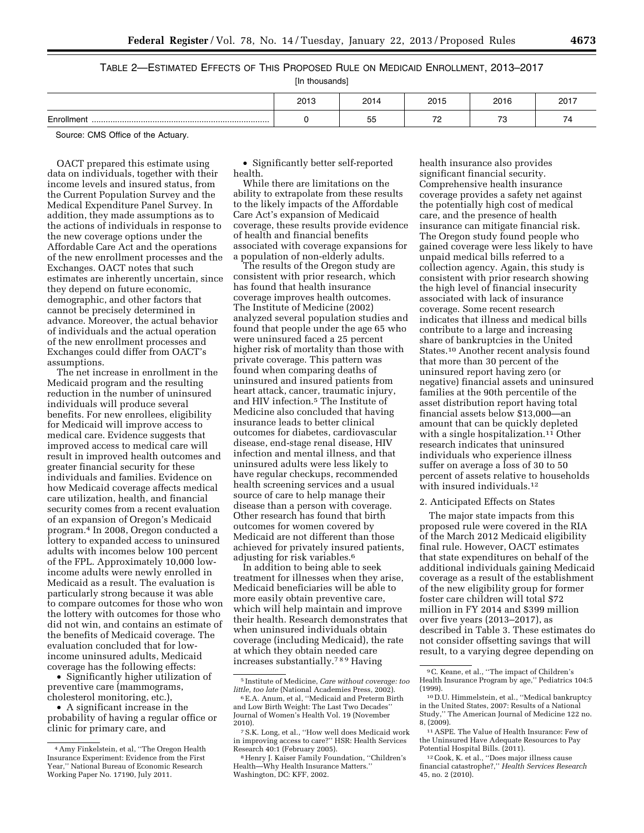| TABLE 2—ESTIMATED EFFECTS OF THIS PROPOSED RULE ON MEDICAID ENROLLMENT, 2013—2017 |  |
|-----------------------------------------------------------------------------------|--|
|-----------------------------------------------------------------------------------|--|

[In thousands]

|                                                                                         | 2013 | 2014 | 2015                                 | 2016                            | 2017                           |  |  |
|-----------------------------------------------------------------------------------------|------|------|--------------------------------------|---------------------------------|--------------------------------|--|--|
| Enrollment                                                                              |      | 55   | $\overline{\phantom{a}}$<br><u>.</u> | $\overline{\phantom{a}}$<br>ں ، | $\overline{\phantom{a}}$<br>70 |  |  |
| $O_{\text{SUS2}}$ $OMO_{\text{SUS2}}$ $H_{\text{B2}}$ $M_{\text{B2}}$ $M_{\text{SUS2}}$ |      |      |                                      |                                 |                                |  |  |

Source: CMS Office of the Actuary.

OACT prepared this estimate using data on individuals, together with their income levels and insured status, from the Current Population Survey and the Medical Expenditure Panel Survey. In addition, they made assumptions as to the actions of individuals in response to the new coverage options under the Affordable Care Act and the operations of the new enrollment processes and the Exchanges. OACT notes that such estimates are inherently uncertain, since they depend on future economic, demographic, and other factors that cannot be precisely determined in advance. Moreover, the actual behavior of individuals and the actual operation of the new enrollment processes and Exchanges could differ from OACT's assumptions.

The net increase in enrollment in the Medicaid program and the resulting reduction in the number of uninsured individuals will produce several benefits. For new enrollees, eligibility for Medicaid will improve access to medical care. Evidence suggests that improved access to medical care will result in improved health outcomes and greater financial security for these individuals and families. Evidence on how Medicaid coverage affects medical care utilization, health, and financial security comes from a recent evaluation of an expansion of Oregon's Medicaid program.4 In 2008, Oregon conducted a lottery to expanded access to uninsured adults with incomes below 100 percent of the FPL. Approximately 10,000 lowincome adults were newly enrolled in Medicaid as a result. The evaluation is particularly strong because it was able to compare outcomes for those who won the lottery with outcomes for those who did not win, and contains an estimate of the benefits of Medicaid coverage. The evaluation concluded that for lowincome uninsured adults, Medicaid coverage has the following effects:

• Significantly higher utilization of preventive care (mammograms, cholesterol monitoring, etc.),

• A significant increase in the probability of having a regular office or clinic for primary care, and

• Significantly better self-reported health.

While there are limitations on the ability to extrapolate from these results to the likely impacts of the Affordable Care Act's expansion of Medicaid coverage, these results provide evidence of health and financial benefits associated with coverage expansions for a population of non-elderly adults.

The results of the Oregon study are consistent with prior research, which has found that health insurance coverage improves health outcomes. The Institute of Medicine (2002) analyzed several population studies and found that people under the age 65 who were uninsured faced a 25 percent higher risk of mortality than those with private coverage. This pattern was found when comparing deaths of uninsured and insured patients from heart attack, cancer, traumatic injury, and HIV infection.5 The Institute of Medicine also concluded that having insurance leads to better clinical outcomes for diabetes, cardiovascular disease, end-stage renal disease, HIV infection and mental illness, and that uninsured adults were less likely to have regular checkups, recommended health screening services and a usual source of care to help manage their disease than a person with coverage. Other research has found that birth outcomes for women covered by Medicaid are not different than those achieved for privately insured patients, adjusting for risk variables.6

In addition to being able to seek treatment for illnesses when they arise, Medicaid beneficiaries will be able to more easily obtain preventive care, which will help maintain and improve their health. Research demonstrates that when uninsured individuals obtain coverage (including Medicaid), the rate at which they obtain needed care increases substantially.789 Having

health insurance also provides significant financial security. Comprehensive health insurance coverage provides a safety net against the potentially high cost of medical care, and the presence of health insurance can mitigate financial risk. The Oregon study found people who gained coverage were less likely to have unpaid medical bills referred to a collection agency. Again, this study is consistent with prior research showing the high level of financial insecurity associated with lack of insurance coverage. Some recent research indicates that illness and medical bills contribute to a large and increasing share of bankruptcies in the United States.10 Another recent analysis found that more than 30 percent of the uninsured report having zero (or negative) financial assets and uninsured families at the 90th percentile of the asset distribution report having total financial assets below \$13,000—an amount that can be quickly depleted with a single hospitalization.<sup>11</sup> Other research indicates that uninsured individuals who experience illness suffer on average a loss of 30 to 50 percent of assets relative to households with insured individuals.<sup>12</sup>

#### 2. Anticipated Effects on States

The major state impacts from this proposed rule were covered in the RIA of the March 2012 Medicaid eligibility final rule. However, OACT estimates that state expenditures on behalf of the additional individuals gaining Medicaid coverage as a result of the establishment of the new eligibility group for former foster care children will total \$72 million in FY 2014 and \$399 million over five years (2013–2017), as described in Table 3. These estimates do not consider offsetting savings that will result, to a varying degree depending on

<sup>4</sup>Amy Finkelstein, et al, ''The Oregon Health Insurance Experiment: Evidence from the First Year,'' National Bureau of Economic Research Working Paper No. 17190, July 2011.

<sup>5</sup> Institute of Medicine, *Care without coverage: too* 

<sup>&</sup>lt;sup>6</sup> E.A. Anum, et al, "Medicaid and Preterm Birth and Low Birth Weight: The Last Two Decades'' Journal of Women's Health Vol. 19 (November

<sup>&</sup>lt;sup>7</sup> S.K. Long, et al., "How well does Medicaid work in improving access to care?'' HSR: Health Services

<sup>&</sup>lt;sup>8</sup> Henry J. Kaiser Family Foundation, "Children's Health—Why Health Insurance Matters.'' Washington, DC: KFF, 2002.

<sup>9</sup>C. Keane, et al., ''The impact of Children's Health Insurance Program by age,'' Pediatrics 104:5

<sup>&</sup>lt;sup>10</sup> D.U. Himmelstein, et al., "Medical bankruptcy in the United States, 2007: Results of a National Study,'' The American Journal of Medicine 122 no. 8, (2009).

<sup>11</sup>ASPE. The Value of Health Insurance: Few of the Uninsured Have Adequate Resources to Pay Potential Hospital Bills. (2011).

<sup>12</sup>Cook, K. et al., ''Does major illness cause financial catastrophe?,'' *Health Services Research*  45, no. 2 (2010).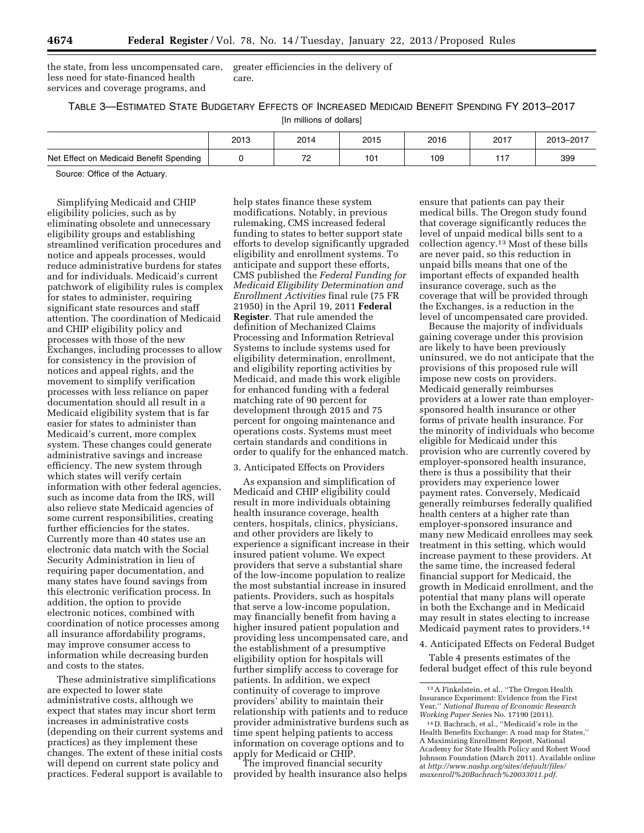the state, from less uncompensated care, less need for state-financed health services and coverage programs, and

greater efficiencies in the delivery of care.

# TABLE 3—ESTIMATED STATE BUDGETARY EFFECTS OF INCREASED MEDICAID BENEFIT SPENDING FY 2013–2017

[In millions of dollars]

|                                         | 2013 | 2014                            | 2015 | 2016 | 2017 | 2013-2017 |
|-----------------------------------------|------|---------------------------------|------|------|------|-----------|
| Net Effect on Medicaid Benefit Spending |      | $\overline{\phantom{a}}$<br>. . | 101  | 109  |      | 399       |

Source: Office of the Actuary.

Simplifying Medicaid and CHIP eligibility policies, such as by eliminating obsolete and unnecessary eligibility groups and establishing streamlined verification procedures and notice and appeals processes, would reduce administrative burdens for states and for individuals. Medicaid's current patchwork of eligibility rules is complex for states to administer, requiring significant state resources and staff attention. The coordination of Medicaid and CHIP eligibility policy and processes with those of the new Exchanges, including processes to allow for consistency in the provision of notices and appeal rights, and the movement to simplify verification processes with less reliance on paper documentation should all result in a Medicaid eligibility system that is far easier for states to administer than Medicaid's current, more complex system. These changes could generate administrative savings and increase efficiency. The new system through which states will verify certain information with other federal agencies, such as income data from the IRS, will also relieve state Medicaid agencies of some current responsibilities, creating further efficiencies for the states. Currently more than 40 states use an electronic data match with the Social Security Administration in lieu of requiring paper documentation, and many states have found savings from this electronic verification process. In addition, the option to provide electronic notices, combined with coordination of notice processes among all insurance affordability programs, may improve consumer access to information while decreasing burden and costs to the states.

These administrative simplifications are expected to lower state administrative costs, although we expect that states may incur short term increases in administrative costs (depending on their current systems and practices) as they implement these changes. The extent of these initial costs will depend on current state policy and practices. Federal support is available to

help states finance these system modifications. Notably, in previous rulemaking, CMS increased federal funding to states to better support state efforts to develop significantly upgraded eligibility and enrollment systems. To anticipate and support these efforts, CMS published the *Federal Funding for Medicaid Eligibility Determination and Enrollment Activities* final rule (75 FR 21950) in the April 19, 2011 **Federal Register**. That rule amended the definition of Mechanized Claims Processing and Information Retrieval Systems to include systems used for eligibility determination, enrollment, and eligibility reporting activities by Medicaid, and made this work eligible for enhanced funding with a federal matching rate of 90 percent for development through 2015 and 75 percent for ongoing maintenance and operations costs. Systems must meet certain standards and conditions in order to qualify for the enhanced match.

# 3. Anticipated Effects on Providers

As expansion and simplification of Medicaid and CHIP eligibility could result in more individuals obtaining health insurance coverage, health centers, hospitals, clinics, physicians, and other providers are likely to experience a significant increase in their insured patient volume. We expect providers that serve a substantial share of the low-income population to realize the most substantial increase in insured patients. Providers, such as hospitals that serve a low-income population, may financially benefit from having a higher insured patient population and providing less uncompensated care, and the establishment of a presumptive eligibility option for hospitals will further simplify access to coverage for patients. In addition, we expect continuity of coverage to improve providers' ability to maintain their relationship with patients and to reduce provider administrative burdens such as time spent helping patients to access information on coverage options and to apply for Medicaid or CHIP.

The improved financial security provided by health insurance also helps

ensure that patients can pay their medical bills. The Oregon study found that coverage significantly reduces the level of unpaid medical bills sent to a collection agency.13 Most of these bills are never paid, so this reduction in unpaid bills means that one of the important effects of expanded health insurance coverage, such as the coverage that will be provided through the Exchanges, is a reduction in the level of uncompensated care provided.

Because the majority of individuals gaining coverage under this provision are likely to have been previously uninsured, we do not anticipate that the provisions of this proposed rule will impose new costs on providers. Medicaid generally reimburses providers at a lower rate than employersponsored health insurance or other forms of private health insurance. For the minority of individuals who become eligible for Medicaid under this provision who are currently covered by employer-sponsored health insurance, there is thus a possibility that their providers may experience lower payment rates. Conversely, Medicaid generally reimburses federally qualified health centers at a higher rate than employer-sponsored insurance and many new Medicaid enrollees may seek treatment in this setting, which would increase payment to these providers. At the same time, the increased federal financial support for Medicaid, the growth in Medicaid enrollment, and the potential that many plans will operate in both the Exchange and in Medicaid may result in states electing to increase Medicaid payment rates to providers.<sup>14</sup>

4. Anticipated Effects on Federal Budget

Table 4 presents estimates of the federal budget effect of this rule beyond

<sup>13</sup>A Finkelstein, et al., ''The Oregon Health Insurance Experiment: Evidence from the First Year,'' *National Bureau of Economic Research Working Paper Series* No. 17190 (2011).

<sup>14</sup> D. Bachrach, et al., ''Medicaid's role in the Health Benefits Exchange: A road map for States,'' A Maximizing Enrollment Report, National Academy for State Health Policy and Robert Wood Johnson Foundation (March 2011). Available online at *[http://www.nashp.org/sites/default/files/](http://www.nashp.org/sites/default/files/maxenroll%20Bachrach%20033011.pdf) [maxenroll%20Bachrach%20033011.pdf.](http://www.nashp.org/sites/default/files/maxenroll%20Bachrach%20033011.pdf)*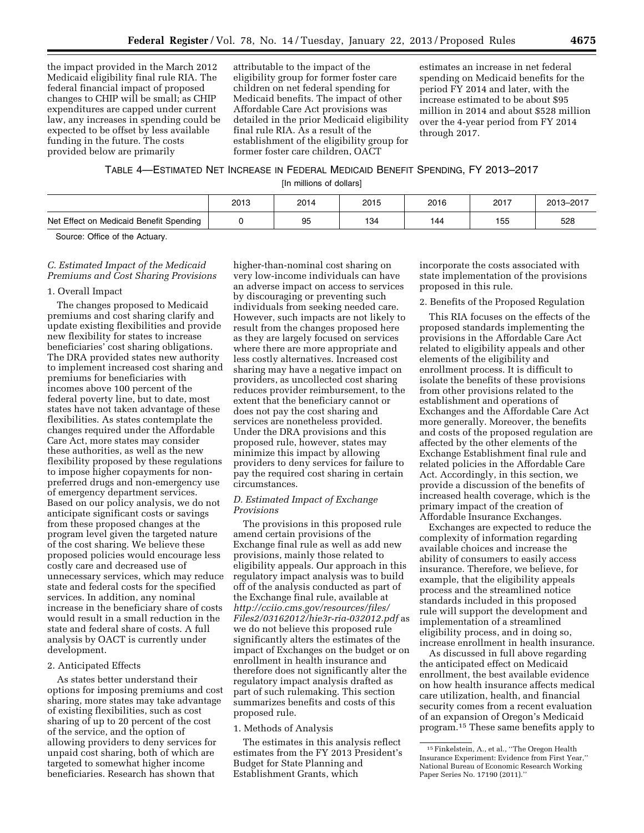the impact provided in the March 2012 Medicaid eligibility final rule RIA. The federal financial impact of proposed changes to CHIP will be small; as CHIP expenditures are capped under current law, any increases in spending could be expected to be offset by less available funding in the future. The costs provided below are primarily

attributable to the impact of the eligibility group for former foster care children on net federal spending for Medicaid benefits. The impact of other Affordable Care Act provisions was detailed in the prior Medicaid eligibility final rule RIA. As a result of the establishment of the eligibility group for former foster care children, OACT

estimates an increase in net federal spending on Medicaid benefits for the period FY 2014 and later, with the increase estimated to be about \$95 million in 2014 and about \$528 million over the 4-year period from FY 2014 through 2017.

# TABLE 4—ESTIMATED NET INCREASE IN FEDERAL MEDICAID BENEFIT SPENDING, FY 2013–2017

[In millions of dollars]

|                                         | 2013 | 2014 | 2015 | 2016 | 2017 | 2013-2017 |
|-----------------------------------------|------|------|------|------|------|-----------|
| Net Effect on Medicaid Benefit Spending |      | 95   | 134  | 144  | 155  | 528       |

Source: Office of the Actuary.

# *C. Estimated Impact of the Medicaid Premiums and Cost Sharing Provisions*

#### 1. Overall Impact

The changes proposed to Medicaid premiums and cost sharing clarify and update existing flexibilities and provide new flexibility for states to increase beneficiaries' cost sharing obligations. The DRA provided states new authority to implement increased cost sharing and premiums for beneficiaries with incomes above 100 percent of the federal poverty line, but to date, most states have not taken advantage of these flexibilities. As states contemplate the changes required under the Affordable Care Act, more states may consider these authorities, as well as the new flexibility proposed by these regulations to impose higher copayments for nonpreferred drugs and non-emergency use of emergency department services. Based on our policy analysis, we do not anticipate significant costs or savings from these proposed changes at the program level given the targeted nature of the cost sharing. We believe these proposed policies would encourage less costly care and decreased use of unnecessary services, which may reduce state and federal costs for the specified services. In addition, any nominal increase in the beneficiary share of costs would result in a small reduction in the state and federal share of costs. A full analysis by OACT is currently under development.

### 2. Anticipated Effects

As states better understand their options for imposing premiums and cost sharing, more states may take advantage of existing flexibilities, such as cost sharing of up to 20 percent of the cost of the service, and the option of allowing providers to deny services for unpaid cost sharing, both of which are targeted to somewhat higher income beneficiaries. Research has shown that

higher-than-nominal cost sharing on very low-income individuals can have an adverse impact on access to services by discouraging or preventing such individuals from seeking needed care. However, such impacts are not likely to result from the changes proposed here as they are largely focused on services where there are more appropriate and less costly alternatives. Increased cost sharing may have a negative impact on providers, as uncollected cost sharing reduces provider reimbursement, to the extent that the beneficiary cannot or does not pay the cost sharing and services are nonetheless provided. Under the DRA provisions and this proposed rule, however, states may minimize this impact by allowing providers to deny services for failure to pay the required cost sharing in certain circumstances.

# *D. Estimated Impact of Exchange Provisions*

The provisions in this proposed rule amend certain provisions of the Exchange final rule as well as add new provisions, mainly those related to eligibility appeals. Our approach in this regulatory impact analysis was to build off of the analysis conducted as part of the Exchange final rule, available at *[http://cciio.cms.gov/resources/files/](http://cciio.cms.gov/resources/files/Files2/03162012/hie3r-ria-032012.pdf)  [Files2/03162012/hie3r-ria-032012.pdf](http://cciio.cms.gov/resources/files/Files2/03162012/hie3r-ria-032012.pdf)* as we do not believe this proposed rule significantly alters the estimates of the impact of Exchanges on the budget or on enrollment in health insurance and therefore does not significantly alter the regulatory impact analysis drafted as part of such rulemaking. This section summarizes benefits and costs of this proposed rule.

#### 1. Methods of Analysis

The estimates in this analysis reflect estimates from the FY 2013 President's Budget for State Planning and Establishment Grants, which

incorporate the costs associated with state implementation of the provisions proposed in this rule.

#### 2. Benefits of the Proposed Regulation

This RIA focuses on the effects of the proposed standards implementing the provisions in the Affordable Care Act related to eligibility appeals and other elements of the eligibility and enrollment process. It is difficult to isolate the benefits of these provisions from other provisions related to the establishment and operations of Exchanges and the Affordable Care Act more generally. Moreover, the benefits and costs of the proposed regulation are affected by the other elements of the Exchange Establishment final rule and related policies in the Affordable Care Act. Accordingly, in this section, we provide a discussion of the benefits of increased health coverage, which is the primary impact of the creation of Affordable Insurance Exchanges.

Exchanges are expected to reduce the complexity of information regarding available choices and increase the ability of consumers to easily access insurance. Therefore, we believe, for example, that the eligibility appeals process and the streamlined notice standards included in this proposed rule will support the development and implementation of a streamlined eligibility process, and in doing so, increase enrollment in health insurance.

As discussed in full above regarding the anticipated effect on Medicaid enrollment, the best available evidence on how health insurance affects medical care utilization, health, and financial security comes from a recent evaluation of an expansion of Oregon's Medicaid program.15 These same benefits apply to

<sup>15</sup>Finkelstein, A., et al., ''The Oregon Health Insurance Experiment: Evidence from First Year,'' National Bureau of Economic Research Working Paper Series No. 17190 (2011).''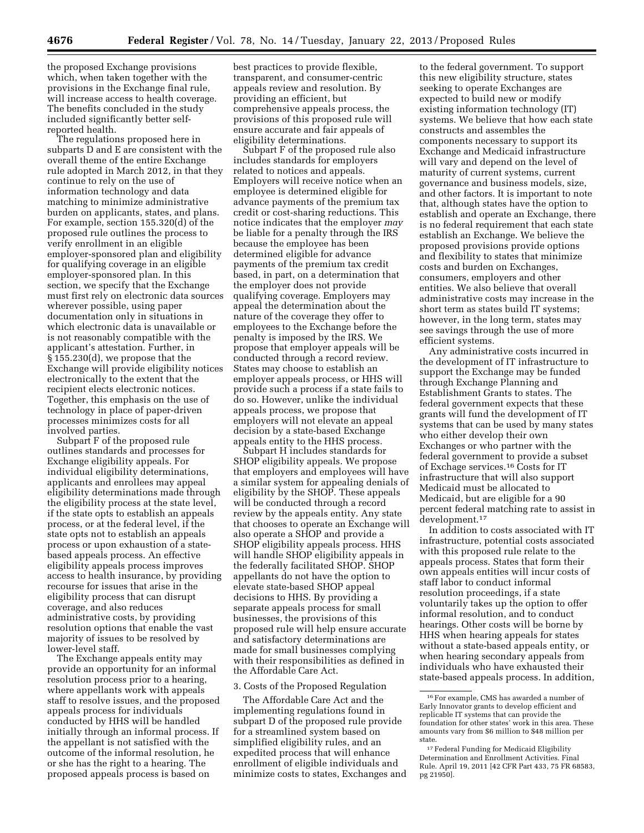the proposed Exchange provisions which, when taken together with the provisions in the Exchange final rule, will increase access to health coverage. The benefits concluded in the study included significantly better selfreported health.

The regulations proposed here in subparts D and E are consistent with the overall theme of the entire Exchange rule adopted in March 2012, in that they continue to rely on the use of information technology and data matching to minimize administrative burden on applicants, states, and plans. For example, section 155.320(d) of the proposed rule outlines the process to verify enrollment in an eligible employer-sponsored plan and eligibility for qualifying coverage in an eligible employer-sponsored plan. In this section, we specify that the Exchange must first rely on electronic data sources wherever possible, using paper documentation only in situations in which electronic data is unavailable or is not reasonably compatible with the applicant's attestation. Further, in § 155.230(d), we propose that the Exchange will provide eligibility notices electronically to the extent that the recipient elects electronic notices. Together, this emphasis on the use of technology in place of paper-driven processes minimizes costs for all involved parties.

Subpart F of the proposed rule outlines standards and processes for Exchange eligibility appeals. For individual eligibility determinations, applicants and enrollees may appeal eligibility determinations made through the eligibility process at the state level, if the state opts to establish an appeals process, or at the federal level, if the state opts not to establish an appeals process or upon exhaustion of a statebased appeals process. An effective eligibility appeals process improves access to health insurance, by providing recourse for issues that arise in the eligibility process that can disrupt coverage, and also reduces administrative costs, by providing resolution options that enable the vast majority of issues to be resolved by lower-level staff.

The Exchange appeals entity may provide an opportunity for an informal resolution process prior to a hearing, where appellants work with appeals staff to resolve issues, and the proposed appeals process for individuals conducted by HHS will be handled initially through an informal process. If the appellant is not satisfied with the outcome of the informal resolution, he or she has the right to a hearing. The proposed appeals process is based on

best practices to provide flexible, transparent, and consumer-centric appeals review and resolution. By providing an efficient, but comprehensive appeals process, the provisions of this proposed rule will ensure accurate and fair appeals of eligibility determinations.

Subpart F of the proposed rule also includes standards for employers related to notices and appeals. Employers will receive notice when an employee is determined eligible for advance payments of the premium tax credit or cost-sharing reductions. This notice indicates that the employer *may*  be liable for a penalty through the IRS because the employee has been determined eligible for advance payments of the premium tax credit based, in part, on a determination that the employer does not provide qualifying coverage. Employers may appeal the determination about the nature of the coverage they offer to employees to the Exchange before the penalty is imposed by the IRS. We propose that employer appeals will be conducted through a record review. States may choose to establish an employer appeals process, or HHS will provide such a process if a state fails to do so. However, unlike the individual appeals process, we propose that employers will not elevate an appeal decision by a state-based Exchange appeals entity to the HHS process.

Subpart H includes standards for SHOP eligibility appeals. We propose that employers and employees will have a similar system for appealing denials of eligibility by the SHOP. These appeals will be conducted through a record review by the appeals entity. Any state that chooses to operate an Exchange will also operate a SHOP and provide a SHOP eligibility appeals process. HHS will handle SHOP eligibility appeals in the federally facilitated SHOP. SHOP appellants do not have the option to elevate state-based SHOP appeal decisions to HHS. By providing a separate appeals process for small businesses, the provisions of this proposed rule will help ensure accurate and satisfactory determinations are made for small businesses complying with their responsibilities as defined in the Affordable Care Act.

#### 3. Costs of the Proposed Regulation

The Affordable Care Act and the implementing regulations found in subpart D of the proposed rule provide for a streamlined system based on simplified eligibility rules, and an expedited process that will enhance enrollment of eligible individuals and minimize costs to states, Exchanges and

to the federal government. To support this new eligibility structure, states seeking to operate Exchanges are expected to build new or modify existing information technology (IT) systems. We believe that how each state constructs and assembles the components necessary to support its Exchange and Medicaid infrastructure will vary and depend on the level of maturity of current systems, current governance and business models, size, and other factors. It is important to note that, although states have the option to establish and operate an Exchange, there is no federal requirement that each state establish an Exchange. We believe the proposed provisions provide options and flexibility to states that minimize costs and burden on Exchanges, consumers, employers and other entities. We also believe that overall administrative costs may increase in the short term as states build IT systems; however, in the long term, states may see savings through the use of more efficient systems.

Any administrative costs incurred in the development of IT infrastructure to support the Exchange may be funded through Exchange Planning and Establishment Grants to states. The federal government expects that these grants will fund the development of IT systems that can be used by many states who either develop their own Exchanges or who partner with the federal government to provide a subset of Exchage services.16 Costs for IT infrastructure that will also support Medicaid must be allocated to Medicaid, but are eligible for a 90 percent federal matching rate to assist in development.17

In addition to costs associated with IT infrastructure, potential costs associated with this proposed rule relate to the appeals process. States that form their own appeals entities will incur costs of staff labor to conduct informal resolution proceedings, if a state voluntarily takes up the option to offer informal resolution, and to conduct hearings. Other costs will be borne by HHS when hearing appeals for states without a state-based appeals entity, or when hearing secondary appeals from individuals who have exhausted their state-based appeals process. In addition,

<sup>16</sup>For example, CMS has awarded a number of Early Innovator grants to develop efficient and replicable IT systems that can provide the foundation for other states' work in this area. These amounts vary from \$6 million to \$48 million per state.

<sup>17</sup>Federal Funding for Medicaid Eligibility Determination and Enrollment Activities. Final Rule. April 19, 2011 [42 CFR Part 433, 75 FR 68583, pg 21950].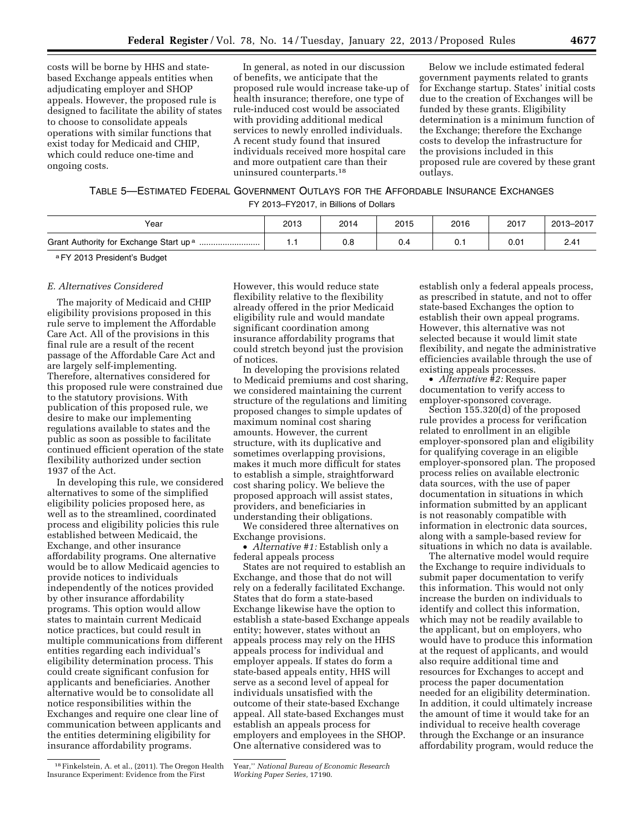costs will be borne by HHS and statebased Exchange appeals entities when adjudicating employer and SHOP appeals. However, the proposed rule is designed to facilitate the ability of states to choose to consolidate appeals operations with similar functions that exist today for Medicaid and CHIP, which could reduce one-time and ongoing costs.

In general, as noted in our discussion of benefits, we anticipate that the proposed rule would increase take-up of health insurance; therefore, one type of rule-induced cost would be associated with providing additional medical services to newly enrolled individuals. A recent study found that insured individuals received more hospital care and more outpatient care than their uninsured counterparts.18

Below we include estimated federal government payments related to grants for Exchange startup. States' initial costs due to the creation of Exchanges will be funded by these grants. Eligibility determination is a minimum function of the Exchange; therefore the Exchange costs to develop the infrastructure for the provisions included in this proposed rule are covered by these grant outlays.

TABLE 5—ESTIMATED FEDERAL GOVERNMENT OUTLAYS FOR THE AFFORDABLE INSURANCE EXCHANGES

FY 2013–FY2017, in Billions of Dollars

| Year                                                   | 2013 | 2014 | 2015 | 2016 | 2017 | 2013-2017 |
|--------------------------------------------------------|------|------|------|------|------|-----------|
| Grant Authority for Exchange Start up <sup>a</sup><br> |      | v.a  | υ.   | U. 1 | 0.01 | 2.41      |

aFY 2013 President's Budget

#### *E. Alternatives Considered*

The majority of Medicaid and CHIP eligibility provisions proposed in this rule serve to implement the Affordable Care Act. All of the provisions in this final rule are a result of the recent passage of the Affordable Care Act and are largely self-implementing. Therefore, alternatives considered for this proposed rule were constrained due to the statutory provisions. With publication of this proposed rule, we desire to make our implementing regulations available to states and the public as soon as possible to facilitate continued efficient operation of the state flexibility authorized under section 1937 of the Act.

In developing this rule, we considered alternatives to some of the simplified eligibility policies proposed here, as well as to the streamlined, coordinated process and eligibility policies this rule established between Medicaid, the Exchange, and other insurance affordability programs. One alternative would be to allow Medicaid agencies to provide notices to individuals independently of the notices provided by other insurance affordability programs. This option would allow states to maintain current Medicaid notice practices, but could result in multiple communications from different entities regarding each individual's eligibility determination process. This could create significant confusion for applicants and beneficiaries. Another alternative would be to consolidate all notice responsibilities within the Exchanges and require one clear line of communication between applicants and the entities determining eligibility for insurance affordability programs.

However, this would reduce state flexibility relative to the flexibility already offered in the prior Medicaid eligibility rule and would mandate significant coordination among insurance affordability programs that could stretch beyond just the provision of notices.

In developing the provisions related to Medicaid premiums and cost sharing, we considered maintaining the current structure of the regulations and limiting proposed changes to simple updates of maximum nominal cost sharing amounts. However, the current structure, with its duplicative and sometimes overlapping provisions, makes it much more difficult for states to establish a simple, straightforward cost sharing policy. We believe the proposed approach will assist states, providers, and beneficiaries in understanding their obligations.

We considered three alternatives on Exchange provisions.

• *Alternative #1:* Establish only a federal appeals process

States are not required to establish an Exchange, and those that do not will rely on a federally facilitated Exchange. States that do form a state-based Exchange likewise have the option to establish a state-based Exchange appeals entity; however, states without an appeals process may rely on the HHS appeals process for individual and employer appeals. If states do form a state-based appeals entity, HHS will serve as a second level of appeal for individuals unsatisfied with the outcome of their state-based Exchange appeal. All state-based Exchanges must establish an appeals process for employers and employees in the SHOP. One alternative considered was to

establish only a federal appeals process, as prescribed in statute, and not to offer state-based Exchanges the option to establish their own appeal programs. However, this alternative was not selected because it would limit state flexibility, and negate the administrative efficiencies available through the use of existing appeals processes.

• *Alternative #2:* Require paper documentation to verify access to employer-sponsored coverage.

Section 155.320(d) of the proposed rule provides a process for verification related to enrollment in an eligible employer-sponsored plan and eligibility for qualifying coverage in an eligible employer-sponsored plan. The proposed process relies on available electronic data sources, with the use of paper documentation in situations in which information submitted by an applicant is not reasonably compatible with information in electronic data sources, along with a sample-based review for situations in which no data is available.

The alternative model would require the Exchange to require individuals to submit paper documentation to verify this information. This would not only increase the burden on individuals to identify and collect this information, which may not be readily available to the applicant, but on employers, who would have to produce this information at the request of applicants, and would also require additional time and resources for Exchanges to accept and process the paper documentation needed for an eligibility determination. In addition, it could ultimately increase the amount of time it would take for an individual to receive health coverage through the Exchange or an insurance affordability program, would reduce the

<sup>18</sup>Finkelstein, A. et al., (2011). The Oregon Health Insurance Experiment: Evidence from the First

Year,'' *National Bureau of Economic Research Working Paper Series,* 17190.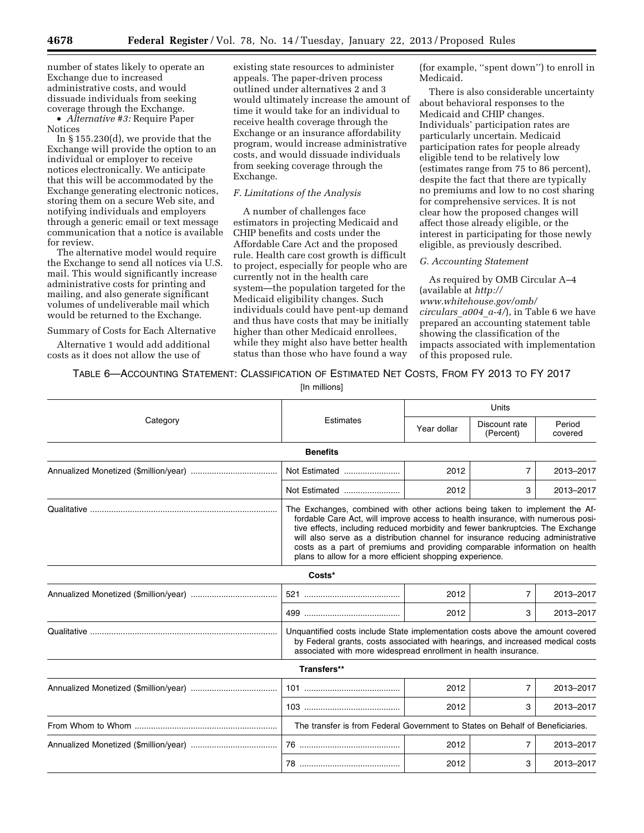number of states likely to operate an Exchange due to increased administrative costs, and would dissuade individuals from seeking coverage through the Exchange.

• *Alternative #3:* Require Paper Notices

In § 155.230(d), we provide that the Exchange will provide the option to an individual or employer to receive notices electronically. We anticipate that this will be accommodated by the Exchange generating electronic notices, storing them on a secure Web site, and notifying individuals and employers through a generic email or text message communication that a notice is available for review.

The alternative model would require the Exchange to send all notices via U.S. mail. This would significantly increase administrative costs for printing and mailing, and also generate significant volumes of undeliverable mail which would be returned to the Exchange.

Summary of Costs for Each Alternative

Alternative 1 would add additional costs as it does not allow the use of

existing state resources to administer appeals. The paper-driven process outlined under alternatives 2 and 3 would ultimately increase the amount of time it would take for an individual to receive health coverage through the Exchange or an insurance affordability program, would increase administrative costs, and would dissuade individuals from seeking coverage through the Exchange.

# *F. Limitations of the Analysis*

A number of challenges face estimators in projecting Medicaid and CHIP benefits and costs under the Affordable Care Act and the proposed rule. Health care cost growth is difficult to project, especially for people who are currently not in the health care system—the population targeted for the Medicaid eligibility changes. Such individuals could have pent-up demand and thus have costs that may be initially higher than other Medicaid enrollees, while they might also have better health status than those who have found a way

(for example, ''spent down'') to enroll in Medicaid.

There is also considerable uncertainty about behavioral responses to the Medicaid and CHIP changes. Individuals' participation rates are particularly uncertain. Medicaid participation rates for people already eligible tend to be relatively low (estimates range from 75 to 86 percent), despite the fact that there are typically no premiums and low to no cost sharing for comprehensive services. It is not clear how the proposed changes will affect those already eligible, or the interest in participating for those newly eligible, as previously described.

# *G. Accounting Statement*

78 ........................................... 2012 3 2013–2017

As required by OMB Circular A–4 (available at *[http://](http://www.whitehouse.gov/omb/circulars_a004_a-4/)  [www.whitehouse.gov/omb/](http://www.whitehouse.gov/omb/circulars_a004_a-4/)  [circulars](http://www.whitehouse.gov/omb/circulars_a004_a-4/)*\_*a004*\_*a-4/*), in Table 6 we have prepared an accounting statement table showing the classification of the impacts associated with implementation of this proposed rule.

# TABLE 6—ACCOUNTING STATEMENT: CLASSIFICATION OF ESTIMATED NET COSTS, FROM FY 2013 TO FY 2017

[In millions]

|          |                                                                                                                                                                                                                                                                                                                                                                                                                                                                               | Units       |                            |                   |  |  |
|----------|-------------------------------------------------------------------------------------------------------------------------------------------------------------------------------------------------------------------------------------------------------------------------------------------------------------------------------------------------------------------------------------------------------------------------------------------------------------------------------|-------------|----------------------------|-------------------|--|--|
| Category | Estimates                                                                                                                                                                                                                                                                                                                                                                                                                                                                     | Year dollar | Discount rate<br>(Percent) | Period<br>covered |  |  |
|          | <b>Benefits</b>                                                                                                                                                                                                                                                                                                                                                                                                                                                               |             |                            |                   |  |  |
|          | Not Estimated                                                                                                                                                                                                                                                                                                                                                                                                                                                                 | 2012        | 7                          | 2013-2017         |  |  |
|          | Not Estimated                                                                                                                                                                                                                                                                                                                                                                                                                                                                 | 2012        | 3                          | 2013-2017         |  |  |
|          | The Exchanges, combined with other actions being taken to implement the Af-<br>fordable Care Act, will improve access to health insurance, with numerous posi-<br>tive effects, including reduced morbidity and fewer bankruptcies. The Exchange<br>will also serve as a distribution channel for insurance reducing administrative<br>costs as a part of premiums and providing comparable information on health<br>plans to allow for a more efficient shopping experience. |             |                            |                   |  |  |
|          | Costs*                                                                                                                                                                                                                                                                                                                                                                                                                                                                        |             |                            |                   |  |  |
|          |                                                                                                                                                                                                                                                                                                                                                                                                                                                                               | 2012        | 7                          | 2013-2017         |  |  |
|          |                                                                                                                                                                                                                                                                                                                                                                                                                                                                               | 2012        | 3                          | 2013-2017         |  |  |
|          | Unquantified costs include State implementation costs above the amount covered<br>by Federal grants, costs associated with hearings, and increased medical costs<br>associated with more widespread enrollment in health insurance.                                                                                                                                                                                                                                           |             |                            |                   |  |  |
|          | Transfers**                                                                                                                                                                                                                                                                                                                                                                                                                                                                   |             |                            |                   |  |  |
|          |                                                                                                                                                                                                                                                                                                                                                                                                                                                                               | 2012        | 7                          | 2013-2017         |  |  |
|          |                                                                                                                                                                                                                                                                                                                                                                                                                                                                               | 2012        | 3                          | 2013-2017         |  |  |
|          | The transfer is from Federal Government to States on Behalf of Beneficiaries.                                                                                                                                                                                                                                                                                                                                                                                                 |             |                            |                   |  |  |
|          |                                                                                                                                                                                                                                                                                                                                                                                                                                                                               | 2012        | $\overline{7}$             | 2013-2017         |  |  |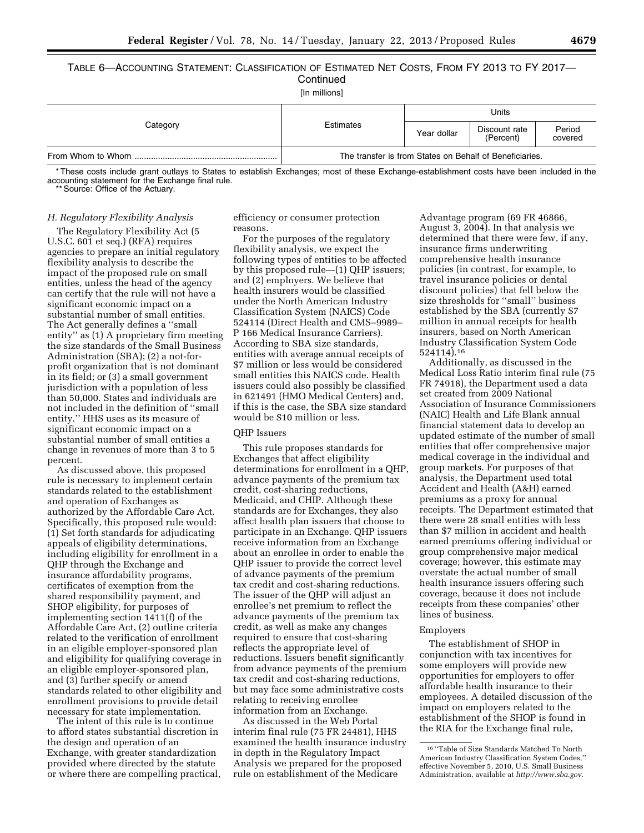### TABLE 6—ACCOUNTING STATEMENT: CLASSIFICATION OF ESTIMATED NET COSTS, FROM FY 2013 TO FY 2017— **Continued** [In millions]

| $\frac{1}{2}$ . The contract state $\frac{1}{2}$ |                                                         |             |                            |                   |  |  |  |  |  |
|--------------------------------------------------|---------------------------------------------------------|-------------|----------------------------|-------------------|--|--|--|--|--|
|                                                  |                                                         | Units       |                            |                   |  |  |  |  |  |
| Category                                         | Estimates                                               | Year dollar | Discount rate<br>(Percent) | Period<br>covered |  |  |  |  |  |
|                                                  | The transfer is from States on Behalf of Beneficiaries. |             |                            |                   |  |  |  |  |  |

\* These costs include grant outlays to States to establish Exchanges; most of these Exchange-establishment costs have been included in the accounting statement for the Exchange final rule.

\*\* Source: Office of the Actuary.

# *H. Regulatory Flexibility Analysis*

The Regulatory Flexibility Act (5 U.S.C. 601 et seq.) (RFA) requires agencies to prepare an initial regulatory flexibility analysis to describe the impact of the proposed rule on small entities, unless the head of the agency can certify that the rule will not have a significant economic impact on a substantial number of small entities. The Act generally defines a ''small entity'' as (1) A proprietary firm meeting the size standards of the Small Business Administration (SBA); (2) a not-forprofit organization that is not dominant in its field; or (3) a small government jurisdiction with a population of less than 50,000. States and individuals are not included in the definition of ''small entity.'' HHS uses as its measure of significant economic impact on a substantial number of small entities a change in revenues of more than 3 to 5 percent.

As discussed above, this proposed rule is necessary to implement certain standards related to the establishment and operation of Exchanges as authorized by the Affordable Care Act. Specifically, this proposed rule would: (1) Set forth standards for adjudicating appeals of eligibility determinations, including eligibility for enrollment in a QHP through the Exchange and insurance affordability programs, certificates of exemption from the shared responsibility payment, and SHOP eligibility, for purposes of implementing section 1411(f) of the Affordable Care Act, (2) outline criteria related to the verification of enrollment in an eligible employer-sponsored plan and eligibility for qualifying coverage in an eligible employer-sponsored plan, and (3) further specify or amend standards related to other eligibility and enrollment provisions to provide detail necessary for state implementation.

The intent of this rule is to continue to afford states substantial discretion in the design and operation of an Exchange, with greater standardization provided where directed by the statute or where there are compelling practical, efficiency or consumer protection reasons.

For the purposes of the regulatory flexibility analysis, we expect the following types of entities to be affected by this proposed rule—(1) QHP issuers; and (2) employers. We believe that health insurers would be classified under the North American Industry Classification System (NAICS) Code 524114 (Direct Health and CMS–9989– P 166 Medical Insurance Carriers). According to SBA size standards, entities with average annual receipts of \$7 million or less would be considered small entities this NAICS code. Health issuers could also possibly be classified in 621491 (HMO Medical Centers) and, if this is the case, the SBA size standard would be \$10 million or less.

### QHP Issuers

This rule proposes standards for Exchanges that affect eligibility determinations for enrollment in a QHP, advance payments of the premium tax credit, cost-sharing reductions, Medicaid, and CHIP. Although these standards are for Exchanges, they also affect health plan issuers that choose to participate in an Exchange. QHP issuers receive information from an Exchange about an enrollee in order to enable the QHP issuer to provide the correct level of advance payments of the premium tax credit and cost-sharing reductions. The issuer of the QHP will adjust an enrollee's net premium to reflect the advance payments of the premium tax credit, as well as make any changes required to ensure that cost-sharing reflects the appropriate level of reductions. Issuers benefit significantly from advance payments of the premium tax credit and cost-sharing reductions, but may face some administrative costs relating to receiving enrollee information from an Exchange.

As discussed in the Web Portal interim final rule (75 FR 24481), HHS examined the health insurance industry in depth in the Regulatory Impact Analysis we prepared for the proposed rule on establishment of the Medicare

Advantage program (69 FR 46866, August 3, 2004). In that analysis we determined that there were few, if any, insurance firms underwriting comprehensive health insurance policies (in contrast, for example, to travel insurance policies or dental discount policies) that fell below the size thresholds for ''small'' business established by the SBA (currently \$7 million in annual receipts for health insurers, based on North American Industry Classification System Code 524114).16

Additionally, as discussed in the Medical Loss Ratio interim final rule (75 FR 74918), the Department used a data set created from 2009 National Association of Insurance Commissioners (NAIC) Health and Life Blank annual financial statement data to develop an updated estimate of the number of small entities that offer comprehensive major medical coverage in the individual and group markets. For purposes of that analysis, the Department used total Accident and Health (A&H) earned premiums as a proxy for annual receipts. The Department estimated that there were 28 small entities with less than \$7 million in accident and health earned premiums offering individual or group comprehensive major medical coverage; however, this estimate may overstate the actual number of small health insurance issuers offering such coverage, because it does not include receipts from these companies' other lines of business.

### Employers

The establishment of SHOP in conjunction with tax incentives for some employers will provide new opportunities for employers to offer affordable health insurance to their employees. A detailed discussion of the impact on employers related to the establishment of the SHOP is found in the RIA for the Exchange final rule,

<sup>16</sup> ''Table of Size Standards Matched To North American Industry Classification System Codes,'' effective November 5, 2010, U.S. Small Business Administration, available at *[http://www.sba.gov.](http://www.sba.gov)*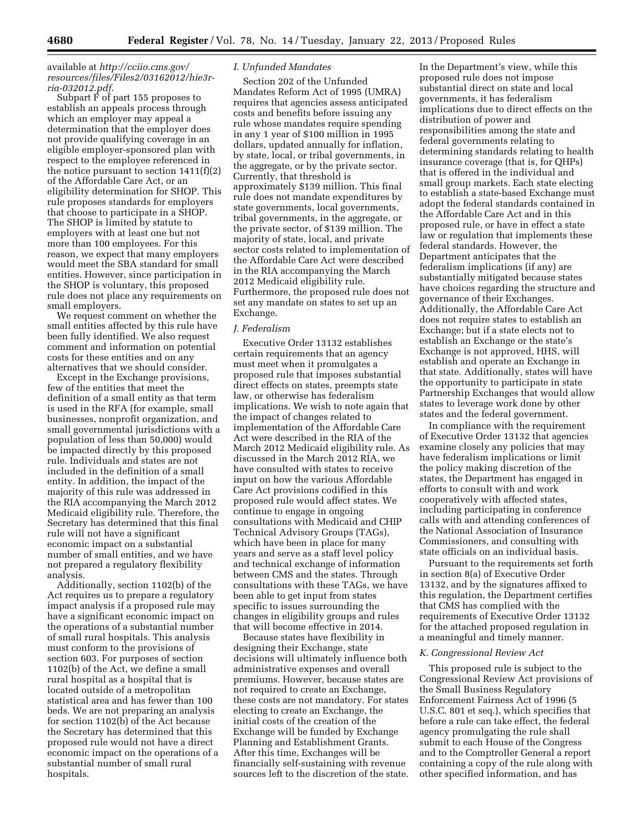# available at *[http://cciio.cms.gov/](http://cciio.cms.gov/resources/files/Files2/03162012/hie3r-ria-032012.pdf)  [resources/files/Files2/03162012/hie3r](http://cciio.cms.gov/resources/files/Files2/03162012/hie3r-ria-032012.pdf)[ria-032012.pdf](http://cciio.cms.gov/resources/files/Files2/03162012/hie3r-ria-032012.pdf)*.

Subpart F of part 155 proposes to establish an appeals process through which an employer may appeal a determination that the employer does not provide qualifying coverage in an eligible employer-sponsored plan with respect to the employee referenced in the notice pursuant to section  $1411(f)(2)$ of the Affordable Care Act, or an eligibility determination for SHOP. This rule proposes standards for employers that choose to participate in a SHOP. The SHOP is limited by statute to employers with at least one but not more than 100 employees. For this reason, we expect that many employers would meet the SBA standard for small entities. However, since participation in the SHOP is voluntary, this proposed rule does not place any requirements on small employers.

We request comment on whether the small entities affected by this rule have been fully identified. We also request comment and information on potential costs for these entities and on any alternatives that we should consider.

Except in the Exchange provisions, few of the entities that meet the definition of a small entity as that term is used in the RFA (for example, small businesses, nonprofit organization, and small governmental jurisdictions with a population of less than 50,000) would be impacted directly by this proposed rule. Individuals and states are not included in the definition of a small entity. In addition, the impact of the majority of this rule was addressed in the RIA accompanying the March 2012 Medicaid eligibility rule. Therefore, the Secretary has determined that this final rule will not have a significant economic impact on a substantial number of small entities, and we have not prepared a regulatory flexibility analysis.

Additionally, section 1102(b) of the Act requires us to prepare a regulatory impact analysis if a proposed rule may have a significant economic impact on the operations of a substantial number of small rural hospitals. This analysis must conform to the provisions of section 603. For purposes of section 1102(b) of the Act, we define a small rural hospital as a hospital that is located outside of a metropolitan statistical area and has fewer than 100 beds. We are not preparing an analysis for section  $1102(b)$  of the Act because the Secretary has determined that this proposed rule would not have a direct economic impact on the operations of a substantial number of small rural hospitals.

# *I. Unfunded Mandates*

Section 202 of the Unfunded Mandates Reform Act of 1995 (UMRA) requires that agencies assess anticipated costs and benefits before issuing any rule whose mandates require spending in any 1 year of \$100 million in 1995 dollars, updated annually for inflation, by state, local, or tribal governments, in the aggregate, or by the private sector. Currently, that threshold is approximately \$139 million. This final rule does not mandate expenditures by state governments, local governments, tribal governments, in the aggregate, or the private sector, of \$139 million. The majority of state, local, and private sector costs related to implementation of the Affordable Care Act were described in the RIA accompanying the March 2012 Medicaid eligibility rule. Furthermore, the proposed rule does not set any mandate on states to set up an Exchange.

#### *J. Federalism*

Executive Order 13132 establishes certain requirements that an agency must meet when it promulgates a proposed rule that imposes substantial direct effects on states, preempts state law, or otherwise has federalism implications. We wish to note again that the impact of changes related to implementation of the Affordable Care Act were described in the RIA of the March 2012 Medicaid eligibility rule. As discussed in the March 2012 RIA, we have consulted with states to receive input on how the various Affordable Care Act provisions codified in this proposed rule would affect states. We continue to engage in ongoing consultations with Medicaid and CHIP Technical Advisory Groups (TAGs), which have been in place for many years and serve as a staff level policy and technical exchange of information between CMS and the states. Through consultations with these TAGs, we have been able to get input from states specific to issues surrounding the changes in eligibility groups and rules that will become effective in 2014.

Because states have flexibility in designing their Exchange, state decisions will ultimately influence both administrative expenses and overall premiums. However, because states are not required to create an Exchange, these costs are not mandatory. For states electing to create an Exchange, the initial costs of the creation of the Exchange will be funded by Exchange Planning and Establishment Grants. After this time, Exchanges will be financially self-sustaining with revenue sources left to the discretion of the state.

In the Department's view, while this proposed rule does not impose substantial direct on state and local governments, it has federalism implications due to direct effects on the distribution of power and responsibilities among the state and federal governments relating to determining standards relating to health insurance coverage (that is, for QHPs) that is offered in the individual and small group markets. Each state electing to establish a state-based Exchange must adopt the federal standards contained in the Affordable Care Act and in this proposed rule, or have in effect a state law or regulation that implements these federal standards. However, the Department anticipates that the federalism implications (if any) are substantially mitigated because states have choices regarding the structure and governance of their Exchanges. Additionally, the Affordable Care Act does not require states to establish an Exchange; but if a state elects not to establish an Exchange or the state's Exchange is not approved, HHS, will establish and operate an Exchange in that state. Additionally, states will have the opportunity to participate in state Partnership Exchanges that would allow states to leverage work done by other states and the federal government.

In compliance with the requirement of Executive Order 13132 that agencies examine closely any policies that may have federalism implications or limit the policy making discretion of the states, the Department has engaged in efforts to consult with and work cooperatively with affected states, including participating in conference calls with and attending conferences of the National Association of Insurance Commissioners, and consulting with state officials on an individual basis.

Pursuant to the requirements set forth in section 8(a) of Executive Order 13132, and by the signatures affixed to this regulation, the Department certifies that CMS has complied with the requirements of Executive Order 13132 for the attached proposed regulation in a meaningful and timely manner.

#### *K. Congressional Review Act*

This proposed rule is subject to the Congressional Review Act provisions of the Small Business Regulatory Enforcement Fairness Act of 1996 (5 U.S.C. 801 et seq.), which specifies that before a rule can take effect, the federal agency promulgating the rule shall submit to each House of the Congress and to the Comptroller General a report containing a copy of the rule along with other specified information, and has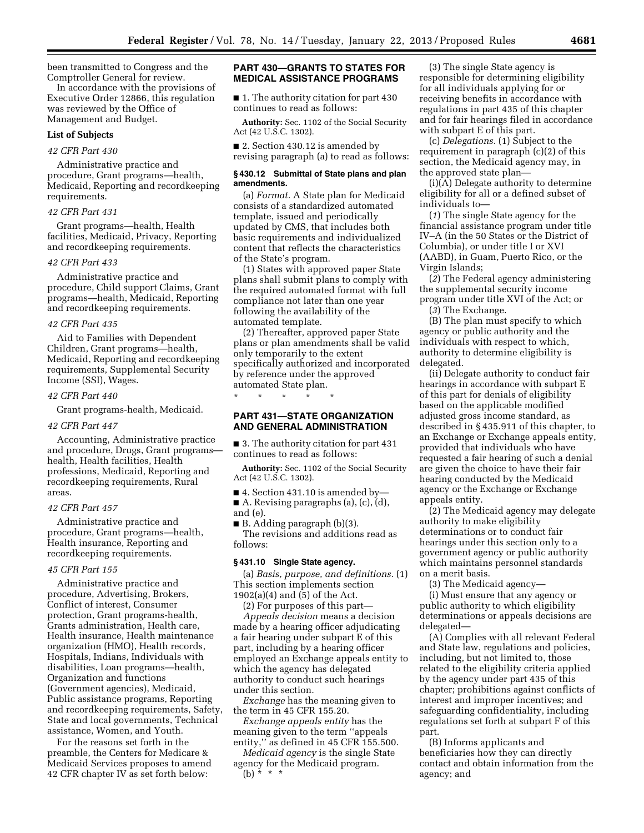been transmitted to Congress and the Comptroller General for review.

In accordance with the provisions of Executive Order 12866, this regulation was reviewed by the Office of Management and Budget.

#### **List of Subjects**

# *42 CFR Part 430*

Administrative practice and procedure, Grant programs—health, Medicaid, Reporting and recordkeeping requirements.

### *42 CFR Part 431*

Grant programs—health, Health facilities, Medicaid, Privacy, Reporting and recordkeeping requirements.

#### *42 CFR Part 433*

Administrative practice and procedure, Child support Claims, Grant programs—health, Medicaid, Reporting and recordkeeping requirements.

### *42 CFR Part 435*

Aid to Families with Dependent Children, Grant programs—health, Medicaid, Reporting and recordkeeping requirements, Supplemental Security Income (SSI), Wages.

#### *42 CFR Part 440*

Grant programs-health, Medicaid.

#### *42 CFR Part 447*

Accounting, Administrative practice and procedure, Drugs, Grant programs health, Health facilities, Health professions, Medicaid, Reporting and recordkeeping requirements, Rural areas.

# *42 CFR Part 457*

Administrative practice and procedure, Grant programs—health, Health insurance, Reporting and recordkeeping requirements.

# *45 CFR Part 155*

Administrative practice and procedure, Advertising, Brokers, Conflict of interest, Consumer protection, Grant programs-health, Grants administration, Health care, Health insurance, Health maintenance organization (HMO), Health records, Hospitals, Indians, Individuals with disabilities, Loan programs—health, Organization and functions (Government agencies), Medicaid, Public assistance programs, Reporting and recordkeeping requirements, Safety, State and local governments, Technical assistance, Women, and Youth.

For the reasons set forth in the preamble, the Centers for Medicare & Medicaid Services proposes to amend 42 CFR chapter IV as set forth below:

# **PART 430—GRANTS TO STATES FOR MEDICAL ASSISTANCE PROGRAMS**

■ 1. The authority citation for part 430 continues to read as follows:

**Authority:** Sec. 1102 of the Social Security Act (42 U.S.C. 1302).

■ 2. Section 430.12 is amended by revising paragraph (a) to read as follows:

#### **§ 430.12 Submittal of State plans and plan amendments.**

(a) *Format.* A State plan for Medicaid consists of a standardized automated template, issued and periodically updated by CMS, that includes both basic requirements and individualized content that reflects the characteristics of the State's program.

(1) States with approved paper State plans shall submit plans to comply with the required automated format with full compliance not later than one year following the availability of the automated template.

(2) Thereafter, approved paper State plans or plan amendments shall be valid only temporarily to the extent specifically authorized and incorporated by reference under the approved automated State plan.

\* \* \* \* \*

# **PART 431—STATE ORGANIZATION AND GENERAL ADMINISTRATION**

■ 3. The authority citation for part 431 continues to read as follows:

**Authority:** Sec. 1102 of the Social Security Act (42 U.S.C. 1302).

■ 4. Section 431.10 is amended by-A. Revising paragraphs  $(a)$ ,  $(c)$ ,  $(d)$ , and (e).

■ B. Adding paragraph (b)(3). The revisions and additions read as follows:

#### **§ 431.10 Single State agency.**

(a) *Basis, purpose, and definitions.* (1) This section implements section 1902(a)(4) and (5) of the Act.

(2) For purposes of this part— *Appeals decision* means a decision

made by a hearing officer adjudicating a fair hearing under subpart E of this part, including by a hearing officer employed an Exchange appeals entity to which the agency has delegated authority to conduct such hearings under this section.

*Exchange* has the meaning given to the term in 45 CFR 155.20.

*Exchange appeals entity* has the meaning given to the term ''appeals entity,'' as defined in 45 CFR 155.500.

*Medicaid agency* is the single State agency for the Medicaid program.  $(b) * * * *$ 

(3) The single State agency is responsible for determining eligibility for all individuals applying for or receiving benefits in accordance with regulations in part 435 of this chapter and for fair hearings filed in accordance with subpart E of this part.

(c) *Delegations.* (1) Subject to the requirement in paragraph (c)(2) of this section, the Medicaid agency may, in the approved state plan—

(i)(A) Delegate authority to determine eligibility for all or a defined subset of individuals to—

(*1*) The single State agency for the financial assistance program under title IV–A (in the 50 States or the District of Columbia), or under title I or XVI (AABD), in Guam, Puerto Rico, or the Virgin Islands;

(*2*) The Federal agency administering the supplemental security income program under title XVI of the Act; or

(*3*) The Exchange.

(B) The plan must specify to which agency or public authority and the individuals with respect to which, authority to determine eligibility is delegated.

(ii) Delegate authority to conduct fair hearings in accordance with subpart E of this part for denials of eligibility based on the applicable modified adjusted gross income standard, as described in § 435.911 of this chapter, to an Exchange or Exchange appeals entity, provided that individuals who have requested a fair hearing of such a denial are given the choice to have their fair hearing conducted by the Medicaid agency or the Exchange or Exchange appeals entity.

(2) The Medicaid agency may delegate authority to make eligibility determinations or to conduct fair hearings under this section only to a government agency or public authority which maintains personnel standards on a merit basis.

(3) The Medicaid agency—

(i) Must ensure that any agency or public authority to which eligibility determinations or appeals decisions are delegated—

(A) Complies with all relevant Federal and State law, regulations and policies, including, but not limited to, those related to the eligibility criteria applied by the agency under part 435 of this chapter; prohibitions against conflicts of interest and improper incentives; and safeguarding confidentiality, including regulations set forth at subpart F of this part.

(B) Informs applicants and beneficiaries how they can directly contact and obtain information from the agency; and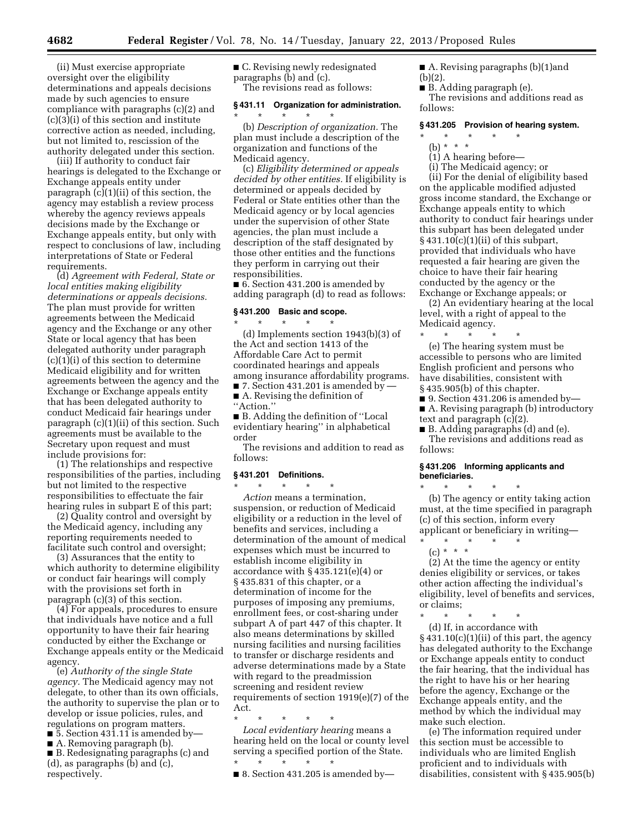(ii) Must exercise appropriate oversight over the eligibility determinations and appeals decisions made by such agencies to ensure compliance with paragraphs (c)(2) and  $(c)(3)(i)$  of this section and institute corrective action as needed, including, but not limited to, rescission of the authority delegated under this section.

(iii) If authority to conduct fair hearings is delegated to the Exchange or Exchange appeals entity under paragraph (c)(1)(ii) of this section, the agency may establish a review process whereby the agency reviews appeals decisions made by the Exchange or Exchange appeals entity, but only with respect to conclusions of law, including interpretations of State or Federal requirements.

(d) *Agreement with Federal, State or local entities making eligibility determinations or appeals decisions.*  The plan must provide for written agreements between the Medicaid agency and the Exchange or any other State or local agency that has been delegated authority under paragraph (c)(1)(i) of this section to determine Medicaid eligibility and for written agreements between the agency and the Exchange or Exchange appeals entity that has been delegated authority to conduct Medicaid fair hearings under paragraph (c)(1)(ii) of this section. Such agreements must be available to the Secretary upon request and must include provisions for:

(1) The relationships and respective responsibilities of the parties, including but not limited to the respective responsibilities to effectuate the fair hearing rules in subpart E of this part;

(2) Quality control and oversight by the Medicaid agency, including any reporting requirements needed to facilitate such control and oversight;

(3) Assurances that the entity to which authority to determine eligibility or conduct fair hearings will comply with the provisions set forth in paragraph (c)(3) of this section.

(4) For appeals, procedures to ensure that individuals have notice and a full opportunity to have their fair hearing conducted by either the Exchange or Exchange appeals entity or the Medicaid agency.

(e) *Authority of the single State agency.* The Medicaid agency may not delegate, to other than its own officials, the authority to supervise the plan or to develop or issue policies, rules, and regulations on program matters.

 $\blacksquare$  5. Section 431.11 is amended by—

■ A. Removing paragraph (b).

■ B. Redesignating paragraphs (c) and (d), as paragraphs (b) and (c), respectively.

■ C. Revising newly redesignated paragraphs (b) and (c). The revisions read as follows:

### **§ 431.11 Organization for administration.**

\* \* \* \* \* (b) *Description of organization.* The plan must include a description of the organization and functions of the Medicaid agency.

(c) *Eligibility determined or appeals decided by other entities.* If eligibility is determined or appeals decided by Federal or State entities other than the Medicaid agency or by local agencies under the supervision of other State agencies, the plan must include a description of the staff designated by those other entities and the functions they perform in carrying out their responsibilities.

■ 6. Section 431.200 is amended by adding paragraph (d) to read as follows:

# **§ 431.200 Basic and scope.**

\* \* \* \* \* (d) Implements section 1943(b)(3) of the Act and section 1413 of the Affordable Care Act to permit coordinated hearings and appeals among insurance affordability programs.  $\blacksquare$  7. Section 431.201 is amended by

■ A. Revising the definition of ''Action.''

■ B. Adding the definition of "Local evidentiary hearing'' in alphabetical order

The revisions and addition to read as follows:

# **§ 431.201 Definitions.**

\* \* \* \* \* *Action* means a termination, suspension, or reduction of Medicaid eligibility or a reduction in the level of benefits and services, including a determination of the amount of medical expenses which must be incurred to establish income eligibility in accordance with § 435.121(e)(4) or § 435.831 of this chapter, or a determination of income for the purposes of imposing any premiums, enrollment fees, or cost-sharing under subpart A of part 447 of this chapter. It also means determinations by skilled nursing facilities and nursing facilities to transfer or discharge residents and adverse determinations made by a State with regard to the preadmission screening and resident review requirements of section 1919(e)(7) of the Act.

\* \* \* \* \*

*Local evidentiary hearing* means a hearing held on the local or county level serving a specified portion of the State. \* \* \* \* \*

 $\blacksquare$  8. Section 431.205 is amended by-

■ A. Revising paragraphs (b)(1)and

- (b)(2).
- B. Adding paragraph (e).

The revisions and additions read as follows:

#### **§ 431.205 Provision of hearing system.**

- \* \* \* \* \*
	- (b) \* \* \*
	- $(1)$  A hearing before—

(i) The Medicaid agency; or (ii) For the denial of eligibility based on the applicable modified adjusted gross income standard, the Exchange or Exchange appeals entity to which authority to conduct fair hearings under this subpart has been delegated under § 431.10(c)(1)(ii) of this subpart, provided that individuals who have requested a fair hearing are given the choice to have their fair hearing conducted by the agency or the Exchange or Exchange appeals; or

(2) An evidentiary hearing at the local level, with a right of appeal to the Medicaid agency.

\* \* \* \* \* (e) The hearing system must be accessible to persons who are limited English proficient and persons who have disabilities, consistent with § 435.905(b) of this chapter.

 $\blacksquare$  9. Section 431.206 is amended by-

■ A. Revising paragraph (b) introductory text and paragraph (c)(2).

■ B. Adding paragraphs (d) and (e). The revisions and additions read as follows:

# **§ 431.206 Informing applicants and beneficiaries.**

\* \* \* \* \* (b) The agency or entity taking action must, at the time specified in paragraph (c) of this section, inform every applicant or beneficiary in writing—

\* \* \* \* \*  $(c) * * * *$ 

(2) At the time the agency or entity denies eligibility or services, or takes other action affecting the individual's eligibility, level of benefits and services, or claims;

\* \* \* \* \* (d) If, in accordance with  $\S$  431.10(c)(1)(ii) of this part, the agency has delegated authority to the Exchange or Exchange appeals entity to conduct the fair hearing, that the individual has the right to have his or her hearing before the agency, Exchange or the Exchange appeals entity, and the method by which the individual may make such election.

(e) The information required under this section must be accessible to individuals who are limited English proficient and to individuals with disabilities, consistent with § 435.905(b)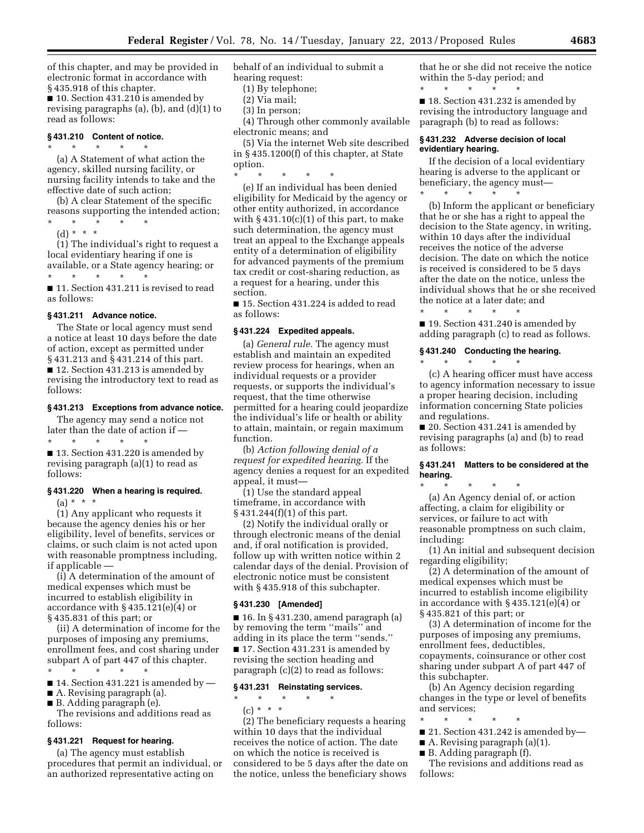of this chapter, and may be provided in electronic format in accordance with § 435.918 of this chapter.

■ 10. Section 431.210 is amended by revising paragraphs (a), (b), and (d)(1) to read as follows:

# **§ 431.210 Content of notice.**

\* \* \* \* \* (a) A Statement of what action the agency, skilled nursing facility, or nursing facility intends to take and the effective date of such action;

(b) A clear Statement of the specific reasons supporting the intended action;

\* \* \* \* \*

(d) \* \* \*

(1) The individual's right to request a local evidentiary hearing if one is available, or a State agency hearing; or \* \* \* \* \*

■ 11. Section 431.211 is revised to read as follows:

#### **§ 431.211 Advance notice.**

The State or local agency must send a notice at least 10 days before the date of action, except as permitted under § 431.213 and § 431.214 of this part. ■ 12. Section 431.213 is amended by revising the introductory text to read as follows:

### **§ 431.213 Exceptions from advance notice.**

The agency may send a notice not later than the date of action if —

\* \* \* \* \* ■ 13. Section 431.220 is amended by revising paragraph (a)(1) to read as follows:

# **§ 431.220 When a hearing is required.**

 $(a) * * * *$ 

(1) Any applicant who requests it because the agency denies his or her eligibility, level of benefits, services or claims, or such claim is not acted upon with reasonable promptness including, if applicable —

(i) A determination of the amount of medical expenses which must be incurred to establish eligibility in accordance with § 435.121(e)(4) or § 435.831 of this part; or

(ii) A determination of income for the purposes of imposing any premiums, enrollment fees, and cost sharing under subpart A of part 447 of this chapter.

 $\star$   $\qquad$   $\star$   $\qquad$   $\star$   $\qquad$   $\star$ 

 $\blacksquare$  14. Section 431.221 is amended by  $\blacksquare$ 

■ A. Revising paragraph (a).

■ B. Adding paragraph (e).

The revisions and additions read as follows:

# **§ 431.221 Request for hearing.**

(a) The agency must establish procedures that permit an individual, or an authorized representative acting on

behalf of an individual to submit a hearing request:

- (1) By telephone;
- (2) Via mail;
- (3) In person;

(4) Through other commonly available electronic means; and

(5) Via the internet Web site described in § 435.1200(f) of this chapter, at State option.

\* \* \* \* \*

(e) If an individual has been denied eligibility for Medicaid by the agency or other entity authorized, in accordance with  $\S$  431.10(c)(1) of this part, to make such determination, the agency must treat an appeal to the Exchange appeals entity of a determination of eligibility for advanced payments of the premium tax credit or cost-sharing reduction, as a request for a hearing, under this section.

■ 15. Section 431.224 is added to read as follows:

# **§ 431.224 Expedited appeals.**

(a) *General rule.* The agency must establish and maintain an expedited review process for hearings, when an individual requests or a provider requests, or supports the individual's request, that the time otherwise permitted for a hearing could jeopardize the individual's life or health or ability to attain, maintain, or regain maximum function.

(b) *Action following denial of a request for expedited hearing.* If the agency denies a request for an expedited appeal, it must—

(1) Use the standard appeal timeframe, in accordance with § 431.244(f)(1) of this part.

(2) Notify the individual orally or through electronic means of the denial and, if oral notification is provided, follow up with written notice within 2 calendar days of the denial. Provision of electronic notice must be consistent with §435.918 of this subchapter.

#### **§ 431.230 [Amended]**

■ 16. In § 431.230, amend paragraph (a) by removing the term ''mails'' and adding in its place the term ''sends.'' ■ 17. Section 431.231 is amended by revising the section heading and paragraph (c)(2) to read as follows:

# **§ 431.231 Reinstating services.**

\* \* \* \* \*

(c) \* \* \*

(2) The beneficiary requests a hearing within 10 days that the individual receives the notice of action. The date on which the notice is received is considered to be 5 days after the date on the notice, unless the beneficiary shows

that he or she did not receive the notice within the 5-day period; and \* \* \* \* \*

■ 18. Section 431.232 is amended by revising the introductory language and paragraph (b) to read as follows:

# **§ 431.232 Adverse decision of local evidentiary hearing.**

If the decision of a local evidentiary hearing is adverse to the applicant or beneficiary, the agency must— \* \* \* \* \*

(b) Inform the applicant or beneficiary that he or she has a right to appeal the decision to the State agency, in writing, within 10 days after the individual receives the notice of the adverse decision. The date on which the notice is received is considered to be 5 days after the date on the notice, unless the individual shows that he or she received the notice at a later date; and

\* \* \* \* \*

■ 19. Section 431.240 is amended by adding paragraph (c) to read as follows.

# **§ 431.240 Conducting the hearing.**

\* \* \* \* \*

(c) A hearing officer must have access to agency information necessary to issue a proper hearing decision, including information concerning State policies and regulations.

■ 20. Section 431.241 is amended by revising paragraphs (a) and (b) to read as follows:

# **§ 431.241 Matters to be considered at the hearing.**

\* \* \* \* \*

(a) An Agency denial of, or action affecting, a claim for eligibility or services, or failure to act with reasonable promptness on such claim, including:

(1) An initial and subsequent decision regarding eligibility;

(2) A determination of the amount of medical expenses which must be incurred to establish income eligibility in accordance with § 435.121(e)(4) or § 435.821 of this part; or

(3) A determination of income for the purposes of imposing any premiums, enrollment fees, deductibles, copayments, coinsurance or other cost sharing under subpart A of part 447 of this subchapter.

(b) An Agency decision regarding changes in the type or level of benefits and services;

- \* \* \* \* \*
- 21. Section 431.242 is amended by—
- A. Revising paragraph (a)(1).
- B. Adding paragraph (f).

The revisions and additions read as follows: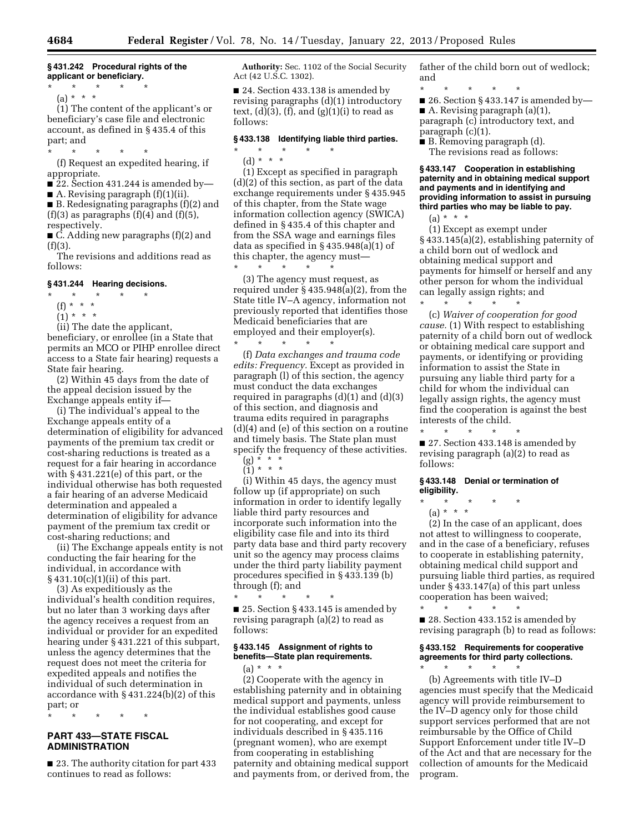# **§ 431.242 Procedural rights of the applicant or beneficiary.**

\* \* \* \* \* (a) \* \* \*

(1) The content of the applicant's or beneficiary's case file and electronic account, as defined in § 435.4 of this part; and

\* \* \* \* \*

(f) Request an expedited hearing, if appropriate.

■ 22. Section 431.244 is amended by-

■ A. Revising paragraph (f)(1)(ii).

■ B. Redesignating paragraphs (f)(2) and  $(f)(3)$  as paragraphs  $(f)(4)$  and  $(f)(5)$ , respectively.

■ C. Adding new paragraphs (f)(2) and  $(f)(3)$ .

The revisions and additions read as follows:

### **§ 431.244 Hearing decisions.**

### \* \* \* \* \*

- (f) \* \* \*
- $(1) * * * *$

(ii) The date the applicant, beneficiary, or enrollee (in a State that permits an MCO or PIHP enrollee direct access to a State fair hearing) requests a State fair hearing.

(2) Within 45 days from the date of the appeal decision issued by the Exchange appeals entity if—

(i) The individual's appeal to the Exchange appeals entity of a determination of eligibility for advanced payments of the premium tax credit or cost-sharing reductions is treated as a request for a fair hearing in accordance with § 431.221(e) of this part, or the individual otherwise has both requested a fair hearing of an adverse Medicaid determination and appealed a determination of eligibility for advance payment of the premium tax credit or cost-sharing reductions; and

(ii) The Exchange appeals entity is not conducting the fair hearing for the individual, in accordance with § 431.10(c)(1)(ii) of this part.

(3) As expeditiously as the individual's health condition requires, but no later than 3 working days after the agency receives a request from an individual or provider for an expedited hearing under § 431.221 of this subpart, unless the agency determines that the request does not meet the criteria for expedited appeals and notifies the individual of such determination in accordance with § 431.224(b)(2) of this part; or

\* \* \* \* \*

# **PART 433—STATE FISCAL ADMINISTRATION**

■ 23. The authority citation for part 433 continues to read as follows:

**Authority:** Sec. 1102 of the Social Security Act (42 U.S.C. 1302).

■ 24. Section 433.138 is amended by revising paragraphs (d)(1) introductory text,  $(d)(3)$ ,  $(f)$ , and  $(g)(1)(i)$  to read as follows:

# **§ 433.138 Identifying liable third parties.**

\* \* \* \* \*

(d) \* \* \*

(1) Except as specified in paragraph (d)(2) of this section, as part of the data exchange requirements under § 435.945 of this chapter, from the State wage information collection agency (SWICA) defined in § 435.4 of this chapter and from the SSA wage and earnings files data as specified in § 435.948(a)(1) of this chapter, the agency must—

\* \* \* \* \* (3) The agency must request, as required under § 435.948(a)(2), from the State title IV–A agency, information not previously reported that identifies those Medicaid beneficiaries that are employed and their employer(s).

\* \* \* \* \* (f) *Data exchanges and trauma code edits: Frequency.* Except as provided in paragraph (l) of this section, the agency must conduct the data exchanges required in paragraphs  $(d)(1)$  and  $(d)(3)$ of this section, and diagnosis and trauma edits required in paragraphs (d)(4) and (e) of this section on a routine and timely basis. The State plan must specify the frequency of these activities. (g) \* \* \*

 $(1) * * * *$ 

(i) Within 45 days, the agency must follow up (if appropriate) on such information in order to identify legally liable third party resources and incorporate such information into the eligibility case file and into its third party data base and third party recovery unit so the agency may process claims under the third party liability payment procedures specified in § 433.139 (b) through (f); and

\* \* \* \* \* ■ 25. Section § 433.145 is amended by revising paragraph (a)(2) to read as follows:

# **§ 433.145 Assignment of rights to benefits—State plan requirements.**

(a) \* \* \*

(2) Cooperate with the agency in establishing paternity and in obtaining medical support and payments, unless the individual establishes good cause for not cooperating, and except for individuals described in § 435.116 (pregnant women), who are exempt from cooperating in establishing paternity and obtaining medical support and payments from, or derived from, the father of the child born out of wedlock; and

\* \* \* \* \* ■ 26. Section § 433.147 is amended by—  $\blacksquare$  A. Revising paragraph (a)(1), paragraph (c) introductory text, and paragraph (c)(1).

■ B. Removing paragraph (d). The revisions read as follows:

**§ 433.147 Cooperation in establishing paternity and in obtaining medical support and payments and in identifying and providing information to assist in pursuing third parties who may be liable to pay.** 

 $(a) * * * *$ 

(1) Except as exempt under § 433.145(a)(2), establishing paternity of a child born out of wedlock and obtaining medical support and payments for himself or herself and any other person for whom the individual can legally assign rights; and \* \* \* \* \*

(c) *Waiver of cooperation for good cause.* (1) With respect to establishing paternity of a child born out of wedlock or obtaining medical care support and payments, or identifying or providing information to assist the State in pursuing any liable third party for a child for whom the individual can legally assign rights, the agency must find the cooperation is against the best interests of the child.

■ 27. Section 433.148 is amended by revising paragraph (a)(2) to read as follows:

#### **§ 433.148 Denial or termination of eligibility.**

\* \* \* \* \*

(a) \* \* \*

\* \* \* \* \*

(2) In the case of an applicant, does not attest to willingness to cooperate, and in the case of a beneficiary, refuses to cooperate in establishing paternity, obtaining medical child support and pursuing liable third parties, as required under § 433.147(a) of this part unless cooperation has been waived;

\* \* \* \* \* ■ 28. Section 433.152 is amended by revising paragraph (b) to read as follows:

# **§ 433.152 Requirements for cooperative agreements for third party collections.**

\* \* \* \* \*

(b) Agreements with title IV–D agencies must specify that the Medicaid agency will provide reimbursement to the IV–D agency only for those child support services performed that are not reimbursable by the Office of Child Support Enforcement under title IV–D of the Act and that are necessary for the collection of amounts for the Medicaid program.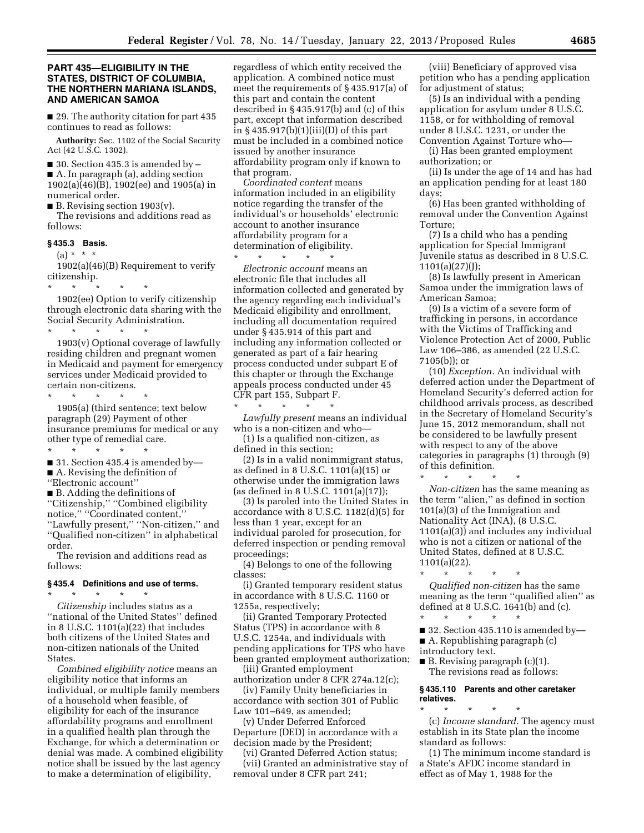# **PART 435—ELIGIBILITY IN THE STATES, DISTRICT OF COLUMBIA, THE NORTHERN MARIANA ISLANDS, AND AMERICAN SAMOA**

■ 29. The authority citation for part 435 continues to read as follows:

**Authority:** Sec. 1102 of the Social Security Act (42 U.S.C. 1302).

 $\blacksquare$  30. Section 435.3 is amended by  $\blacksquare$ ■ A. In paragraph (a), adding section

1902(a)(46)(B), 1902(ee) and 1905(a) in numerical order.

 $\blacksquare$  B. Revising section 1903(v).

The revisions and additions read as follows:

# **§ 435.3 Basis.**

 $(a) * * * *$ 1902(a)(46)(B) Requirement to verify

citizenship.

\* \* \* \* \* 1902(ee) Option to verify citizenship through electronic data sharing with the Social Security Administration.

\* \* \* \* \* 1903(v) Optional coverage of lawfully residing children and pregnant women in Medicaid and payment for emergency services under Medicaid provided to certain non-citizens.

\* \* \* \* \*

1905(a) (third sentence; text below paragraph (29) Payment of other insurance premiums for medical or any % other type of remedial care.

\* \* \* \* \* ■ 31. Section 435.4 is amended by-

■ A. Revising the definition of

''Electronic account''

■ B. Adding the definitions of ''Citizenship,'' ''Combined eligibility notice,'' ''Coordinated content,'' ''Lawfully present,'' ''Non-citizen,'' and ''Qualified non-citizen'' in alphabetical order.

The revision and additions read as follows:

# **§ 435.4 Definitions and use of terms.**  \* \* \* \* \*

*Citizenship* includes status as a ''national of the United States'' defined in 8 U.S.C. 1101(a)(22) that includes both citizens of the United States and non-citizen nationals of the United States.

*Combined eligibility notice* means an eligibility notice that informs an individual, or multiple family members of a household when feasible, of eligibility for each of the insurance affordability programs and enrollment in a qualified health plan through the Exchange, for which a determination or denial was made. A combined eligibility notice shall be issued by the last agency to make a determination of eligibility,

regardless of which entity received the application. A combined notice must meet the requirements of § 435.917(a) of this part and contain the content described in § 435.917(b) and (c) of this part, except that information described in § 435.917(b)(1)(iii)(D) of this part must be included in a combined notice issued by another insurance affordability program only if known to that program.

*Coordinated content* means information included in an eligibility notice regarding the transfer of the individual's or households' electronic account to another insurance affordability program for a determination of eligibility.

\* \* \* \* \* *Electronic account* means an electronic file that includes all information collected and generated by the agency regarding each individual's Medicaid eligibility and enrollment, including all documentation required under § 435.914 of this part and including any information collected or generated as part of a fair hearing process conducted under subpart E of this chapter or through the Exchange appeals process conducted under 45 CFR part 155, Subpart F. \* \* \* \* \*

*Lawfully present* means an individual who is a non-citizen and who—

(1) Is a qualified non-citizen, as defined in this section;

(2) Is in a valid nonimmigrant status, as defined in 8 U.S.C. 1101(a)(15) or otherwise under the immigration laws (as defined in 8 U.S.C. 1101(a)(17));

(3) Is paroled into the United States in accordance with 8 U.S.C. 1182(d)(5) for less than 1 year, except for an individual paroled for prosecution, for deferred inspection or pending removal proceedings;

(4) Belongs to one of the following classes:

(i) Granted temporary resident status in accordance with 8 U.S.C. 1160 or 1255a, respectively;

(ii) Granted Temporary Protected Status (TPS) in accordance with 8 U.S.C. 1254a, and individuals with pending applications for TPS who have been granted employment authorization;

(iii) Granted employment authorization under 8 CFR 274a.12(c);

(iv) Family Unity beneficiaries in accordance with section 301 of Public Law 101–649, as amended;

(v) Under Deferred Enforced Departure (DED) in accordance with a decision made by the President;

(vi) Granted Deferred Action status; (vii) Granted an administrative stay of removal under 8 CFR part 241;

(viii) Beneficiary of approved visa petition who has a pending application for adjustment of status;

(5) Is an individual with a pending application for asylum under 8 U.S.C. 1158, or for withholding of removal under 8 U.S.C. 1231, or under the Convention Against Torture who—

(i) Has been granted employment authorization; or

(ii) Is under the age of 14 and has had an application pending for at least 180 days;

(6) Has been granted withholding of removal under the Convention Against Torture;

(7) Is a child who has a pending application for Special Immigrant Juvenile status as described in 8 U.S.C. 1101(a)(27)(J);

(8) Is lawfully present in American Samoa under the immigration laws of American Samoa;

(9) Is a victim of a severe form of trafficking in persons, in accordance with the Victims of Trafficking and Violence Protection Act of 2000, Public Law 106–386, as amended (22 U.S.C. 7105(b)); or

(10) *Exception.* An individual with deferred action under the Department of Homeland Security's deferred action for childhood arrivals process, as described in the Secretary of Homeland Security's June 15, 2012 memorandum, shall not be considered to be lawfully present with respect to any of the above categories in paragraphs (1) through (9) of this definition.

\* \* \* \* \*

*Non-citizen* has the same meaning as the term ''alien,'' as defined in section 101(a)(3) of the Immigration and Nationality Act (INA), (8 U.S.C. 1101(a)(3)) and includes any individual who is not a citizen or national of the United States, defined at 8 U.S.C. 1101(a)(22).

\* \* \* \* \* *Qualified non-citizen* has the same meaning as the term ''qualified alien'' as defined at 8 U.S.C. 1641(b) and (c).

\* \* \* \* \* ■ 32. Section 435.110 is amended by—

■ A. Republishing paragraph (c)

introductory text.

■ B. Revising paragraph (c)(1). The revisions read as follows:

**§ 435.110 Parents and other caretaker relatives.** 

\* \* \* \* \* (c) *Income standard.* The agency must establish in its State plan the income standard as follows:

(1) The minimum income standard is a State's AFDC income standard in effect as of May 1, 1988 for the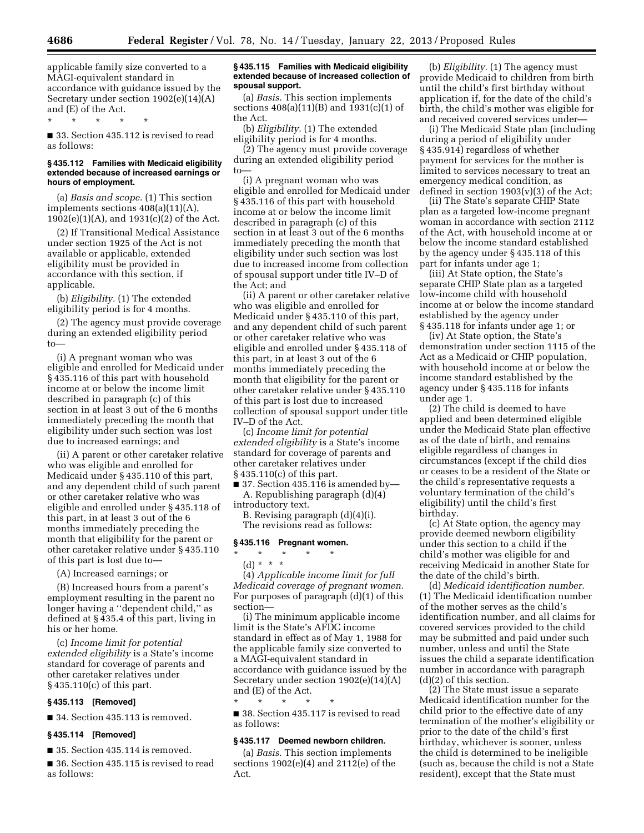applicable family size converted to a MAGI-equivalent standard in accordance with guidance issued by the Secretary under section 1902(e)(14)(A) and (E) of the Act.

\* \* \* \* \*

■ 33. Section 435.112 is revised to read as follows:

#### **§ 435.112 Families with Medicaid eligibility extended because of increased earnings or hours of employment.**

(a) *Basis and scope.* (1) This section implements sections 408(a)(11)(A), 1902(e)(1)(A), and 1931(c)(2) of the Act.

(2) If Transitional Medical Assistance under section 1925 of the Act is not available or applicable, extended eligibility must be provided in accordance with this section, if applicable.

(b) *Eligibility.* (1) The extended eligibility period is for 4 months.

(2) The agency must provide coverage during an extended eligibility period to—

(i) A pregnant woman who was eligible and enrolled for Medicaid under § 435.116 of this part with household income at or below the income limit described in paragraph (c) of this section in at least 3 out of the 6 months immediately preceding the month that eligibility under such section was lost due to increased earnings; and

(ii) A parent or other caretaker relative who was eligible and enrolled for Medicaid under § 435.110 of this part, and any dependent child of such parent or other caretaker relative who was eligible and enrolled under § 435.118 of this part, in at least 3 out of the 6 months immediately preceding the month that eligibility for the parent or other caretaker relative under § 435.110 of this part is lost due to—

(A) Increased earnings; or

(B) Increased hours from a parent's employment resulting in the parent no longer having a ''dependent child,'' as defined at § 435.4 of this part, living in his or her home.

(c) *Income limit for potential extended eligibility* is a State's income standard for coverage of parents and other caretaker relatives under § 435.110(c) of this part.

# **§ 435.113 [Removed]**

■ 34. Section 435.113 is removed.

### **§ 435.114 [Removed]**

■ 35. Section 435.114 is removed.

■ 36. Section 435.115 is revised to read as follows:

### **§ 435.115 Families with Medicaid eligibility extended because of increased collection of spousal support.**

(a) *Basis.* This section implements sections 408(a)(11)(B) and 1931(c)(1) of the Act.

(b) *Eligibility.* (1) The extended eligibility period is for 4 months.

(2) The agency must provide coverage during an extended eligibility period to—

(i) A pregnant woman who was eligible and enrolled for Medicaid under § 435.116 of this part with household income at or below the income limit described in paragraph (c) of this section in at least 3 out of the 6 months immediately preceding the month that eligibility under such section was lost due to increased income from collection of spousal support under title IV–D of the Act; and

(ii) A parent or other caretaker relative who was eligible and enrolled for Medicaid under § 435.110 of this part, and any dependent child of such parent or other caretaker relative who was eligible and enrolled under § 435.118 of this part, in at least 3 out of the 6 months immediately preceding the month that eligibility for the parent or other caretaker relative under § 435.110 of this part is lost due to increased collection of spousal support under title IV–D of the Act.

(c) *Income limit for potential extended eligibility* is a State's income standard for coverage of parents and other caretaker relatives under § 435.110(c) of this part.

■ 37. Section 435.116 is amended by— A. Republishing paragraph (d)(4) introductory text.

B. Revising paragraph (d)(4)(i). The revisions read as follows:

# **§ 435.116 Pregnant women.**

# \* \* \* \* \*

(d) \* \* \*

(4) *Applicable income limit for full Medicaid coverage of pregnant women.*  For purposes of paragraph (d)(1) of this section—

(i) The minimum applicable income limit is the State's AFDC income standard in effect as of May 1, 1988 for the applicable family size converted to a MAGI-equivalent standard in accordance with guidance issued by the Secretary under section 1902(e)(14)(A) and (E) of the Act.

\* \* \* \* \* ■ 38. Section 435.117 is revised to read as follows:

#### **§ 435.117 Deemed newborn children.**

(a) *Basis.* This section implements sections 1902(e)(4) and 2112(e) of the Act.

(b) *Eligibility.* (1) The agency must provide Medicaid to children from birth until the child's first birthday without application if, for the date of the child's birth, the child's mother was eligible for and received covered services under—

(i) The Medicaid State plan (including during a period of eligibility under § 435.914) regardless of whether payment for services for the mother is limited to services necessary to treat an emergency medical condition, as defined in section  $1903(v)(3)$  of the Act;

(ii) The State's separate CHIP State plan as a targeted low-income pregnant woman in accordance with section 2112 of the Act, with household income at or below the income standard established by the agency under § 435.118 of this part for infants under age 1;

(iii) At State option, the State's separate CHIP State plan as a targeted low-income child with household income at or below the income standard established by the agency under § 435.118 for infants under age 1; or

(iv) At State option, the State's demonstration under section 1115 of the Act as a Medicaid or CHIP population, with household income at or below the income standard established by the agency under § 435.118 for infants under age 1.

(2) The child is deemed to have applied and been determined eligible under the Medicaid State plan effective as of the date of birth, and remains eligible regardless of changes in circumstances (except if the child dies or ceases to be a resident of the State or the child's representative requests a voluntary termination of the child's eligibility) until the child's first birthday.

(c) At State option, the agency may provide deemed newborn eligibility under this section to a child if the child's mother was eligible for and receiving Medicaid in another State for the date of the child's birth.

(d) *Medicaid identification number.*  (1) The Medicaid identification number of the mother serves as the child's identification number, and all claims for covered services provided to the child may be submitted and paid under such number, unless and until the State issues the child a separate identification number in accordance with paragraph (d)(2) of this section.

(2) The State must issue a separate Medicaid identification number for the child prior to the effective date of any termination of the mother's eligibility or prior to the date of the child's first birthday, whichever is sooner, unless the child is determined to be ineligible (such as, because the child is not a State resident), except that the State must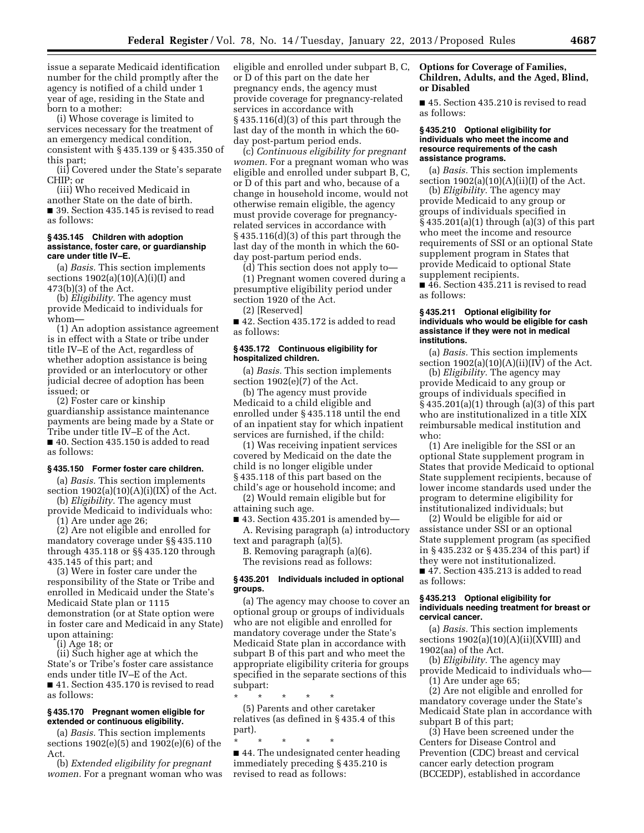issue a separate Medicaid identification number for the child promptly after the agency is notified of a child under 1 year of age, residing in the State and born to a mother:

(i) Whose coverage is limited to services necessary for the treatment of an emergency medical condition, consistent with § 435.139 or § 435.350 of this part;

(ii) Covered under the State's separate CHIP; or

(iii) Who received Medicaid in another State on the date of birth. ■ 39. Section 435.145 is revised to read as follows:

#### **§ 435.145 Children with adoption assistance, foster care, or guardianship care under title IV–E.**

(a) *Basis.* This section implements sections  $1902(a)(10)(A)(i)(I)$  and 473(b)(3) of the Act.

(b) *Eligibility.* The agency must provide Medicaid to individuals for whom—

(1) An adoption assistance agreement is in effect with a State or tribe under title IV–E of the Act, regardless of whether adoption assistance is being provided or an interlocutory or other judicial decree of adoption has been issued; or

(2) Foster care or kinship guardianship assistance maintenance payments are being made by a State or Tribe under title IV–E of the Act.

■ 40. Section 435.150 is added to read as follows:

# **§ 435.150 Former foster care children.**

(a) *Basis.* This section implements section  $1902(a)(10)(A)(i)(IX)$  of the Act.

(b) *Eligibility.* The agency must provide Medicaid to individuals who:

(1) Are under age 26;

(2) Are not eligible and enrolled for mandatory coverage under §§ 435.110 through 435.118 or §§ 435.120 through 435.145 of this part; and

(3) Were in foster care under the responsibility of the State or Tribe and enrolled in Medicaid under the State's Medicaid State plan or 1115 demonstration (or at State option were in foster care and Medicaid in any State) upon attaining:

(i) Age 18; or

(ii) Such higher age at which the State's or Tribe's foster care assistance ends under title IV–E of the Act. ■ 41. Section 435.170 is revised to read as follows:

# **§ 435.170 Pregnant women eligible for extended or continuous eligibility.**

(a) *Basis.* This section implements sections 1902(e)(5) and 1902(e)(6) of the Act.

(b) *Extended eligibility for pregnant women.* For a pregnant woman who was eligible and enrolled under subpart B, C, or D of this part on the date her pregnancy ends, the agency must provide coverage for pregnancy-related services in accordance with § 435.116(d)(3) of this part through the last day of the month in which the 60 day post-partum period ends.

(c) *Continuous eligibility for pregnant women.* For a pregnant woman who was eligible and enrolled under subpart B, C, or D of this part and who, because of a change in household income, would not otherwise remain eligible, the agency must provide coverage for pregnancyrelated services in accordance with § 435.116(d)(3) of this part through the last day of the month in which the 60 day post-partum period ends.

(d) This section does not apply to—

(1) Pregnant women covered during a presumptive eligibility period under section 1920 of the Act.

(2) [Reserved]

■ 42. Section 435.172 is added to read as follows:

#### **§ 435.172 Continuous eligibility for hospitalized children.**

(a) *Basis.* This section implements section 1902(e)(7) of the Act.

(b) The agency must provide Medicaid to a child eligible and enrolled under § 435.118 until the end of an inpatient stay for which inpatient services are furnished, if the child:

(1) Was receiving inpatient services covered by Medicaid on the date the child is no longer eligible under § 435.118 of this part based on the child's age or household income; and

(2) Would remain eligible but for attaining such age.

 $\blacksquare$  43. Section 435.201 is amended by-A. Revising paragraph (a) introductory

text and paragraph (a)(5).

B. Removing paragraph (a)(6). The revisions read as follows:

# **§ 435.201 Individuals included in optional groups.**

(a) The agency may choose to cover an optional group or groups of individuals who are not eligible and enrolled for mandatory coverage under the State's Medicaid State plan in accordance with subpart B of this part and who meet the appropriate eligibility criteria for groups specified in the separate sections of this subpart:

\* \* \* \* \* (5) Parents and other caretaker relatives (as defined in § 435.4 of this part).

\* \* \* \* \* ■ 44. The undesignated center heading immediately preceding § 435.210 is revised to read as follows:

# **Options for Coverage of Families, Children, Adults, and the Aged, Blind, or Disabled**

■ 45. Section 435.210 is revised to read as follows:

#### **§ 435.210 Optional eligibility for individuals who meet the income and resource requirements of the cash assistance programs.**

(a) *Basis.* This section implements section  $1902(a)(10)(A)(ii)(I)$  of the Act.

(b) *Eligibility.* The agency may provide Medicaid to any group or groups of individuals specified in § 435.201(a)(1) through (a)(3) of this part who meet the income and resource requirements of SSI or an optional State supplement program in States that provide Medicaid to optional State supplement recipients.

■ 46. Section 435.211 is revised to read as follows:

#### **§ 435.211 Optional eligibility for individuals who would be eligible for cash assistance if they were not in medical institutions.**

(a) *Basis.* This section implements section  $1902(a)(10)(A)(ii)(IV)$  of the Act.

(b) *Eligibility.* The agency may provide Medicaid to any group or groups of individuals specified in § 435.201(a)(1) through (a)(3) of this part who are institutionalized in a title XIX reimbursable medical institution and who:

(1) Are ineligible for the SSI or an optional State supplement program in States that provide Medicaid to optional State supplement recipients, because of lower income standards used under the program to determine eligibility for institutionalized individuals; but

(2) Would be eligible for aid or assistance under SSI or an optional State supplement program (as specified in § 435.232 or § 435.234 of this part) if they were not institutionalized. ■ 47. Section 435.213 is added to read

as follows:

# **§ 435.213 Optional eligibility for individuals needing treatment for breast or cervical cancer.**

(a) *Basis.* This section implements sections  $1902(a)(10)(A)(ii)(XVIII)$  and 1902(aa) of the Act.

(b) *Eligibility.* The agency may provide Medicaid to individuals who— (1) Are under age 65;

(2) Are not eligible and enrolled for mandatory coverage under the State's Medicaid State plan in accordance with subpart B of this part;

(3) Have been screened under the Centers for Disease Control and Prevention (CDC) breast and cervical cancer early detection program (BCCEDP), established in accordance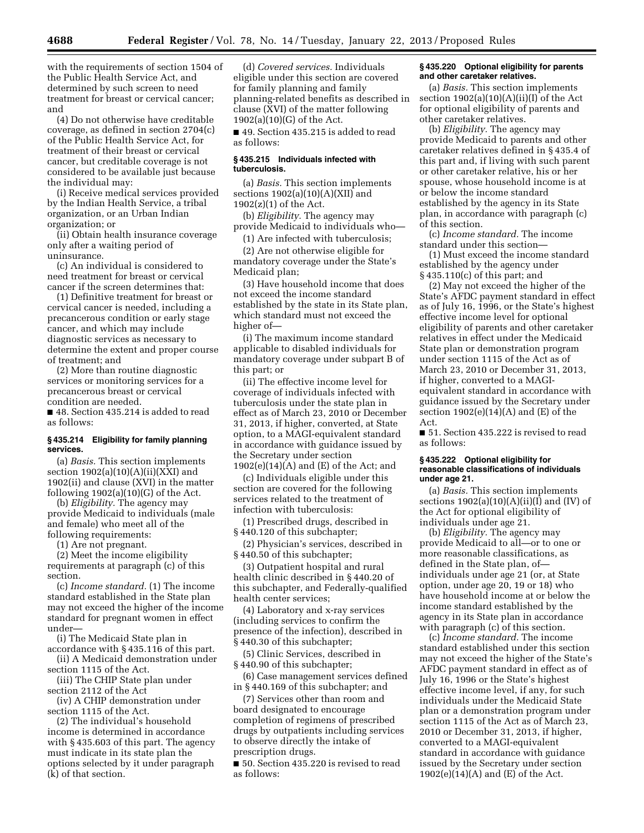with the requirements of section 1504 of the Public Health Service Act, and determined by such screen to need treatment for breast or cervical cancer; and

(4) Do not otherwise have creditable coverage, as defined in section 2704(c) of the Public Health Service Act, for treatment of their breast or cervical cancer, but creditable coverage is not considered to be available just because the individual may:

(i) Receive medical services provided by the Indian Health Service, a tribal organization, or an Urban Indian organization; or

(ii) Obtain health insurance coverage only after a waiting period of uninsurance.

(c) An individual is considered to need treatment for breast or cervical cancer if the screen determines that:

(1) Definitive treatment for breast or cervical cancer is needed, including a precancerous condition or early stage cancer, and which may include diagnostic services as necessary to determine the extent and proper course of treatment; and

(2) More than routine diagnostic services or monitoring services for a precancerous breast or cervical condition are needed.

■ 48. Section 435.214 is added to read as follows:

# **§ 435.214 Eligibility for family planning services.**

(a) *Basis.* This section implements section  $1902(a)(10)(A)(ii)(XXI)$  and 1902(ii) and clause (XVI) in the matter following  $1902(a)(10)(G)$  of the Act.

(b) *Eligibility.* The agency may provide Medicaid to individuals (male and female) who meet all of the following requirements:

(1) Are not pregnant.

(2) Meet the income eligibility requirements at paragraph (c) of this section.

(c) *Income standard.* (1) The income standard established in the State plan may not exceed the higher of the income standard for pregnant women in effect under—

(i) The Medicaid State plan in accordance with § 435.116 of this part.

(ii) A Medicaid demonstration under section 1115 of the Act.

(iii) The CHIP State plan under section 2112 of the Act

(iv) A CHIP demonstration under section 1115 of the Act.

(2) The individual's household income is determined in accordance with § 435.603 of this part. The agency must indicate in its state plan the options selected by it under paragraph (k) of that section.

(d) *Covered services.* Individuals eligible under this section are covered for family planning and family planning-related benefits as described in clause (XVI) of the matter following 1902(a)(10)(G) of the Act.

■ 49. Section 435.215 is added to read as follows:

# **§ 435.215 Individuals infected with tuberculosis.**

(a) *Basis.* This section implements sections  $1902(a)(10)(A)(XII)$  and 1902(z)(1) of the Act.

(b) *Eligibility.* The agency may provide Medicaid to individuals who—

(1) Are infected with tuberculosis;

(2) Are not otherwise eligible for mandatory coverage under the State's Medicaid plan;

(3) Have household income that does not exceed the income standard established by the state in its State plan, which standard must not exceed the higher of—

(i) The maximum income standard applicable to disabled individuals for mandatory coverage under subpart B of this part; or

(ii) The effective income level for coverage of individuals infected with tuberculosis under the state plan in effect as of March 23, 2010 or December 31, 2013, if higher, converted, at State option, to a MAGI-equivalent standard in accordance with guidance issued by the Secretary under section  $1902(e)(14)(A)$  and  $(E)$  of the Act; and

(c) Individuals eligible under this section are covered for the following services related to the treatment of infection with tuberculosis:

(1) Prescribed drugs, described in § 440.120 of this subchapter;

(2) Physician's services, described in § 440.50 of this subchapter;

(3) Outpatient hospital and rural health clinic described in § 440.20 of this subchapter, and Federally-qualified health center services;

(4) Laboratory and x-ray services (including services to confirm the presence of the infection), described in § 440.30 of this subchapter;

(5) Clinic Services, described in § 440.90 of this subchapter;

(6) Case management services defined in § 440.169 of this subchapter; and

(7) Services other than room and board designated to encourage completion of regimens of prescribed drugs by outpatients including services to observe directly the intake of prescription drugs.

■ 50. Section 435.220 is revised to read as follows:

#### **§ 435.220 Optional eligibility for parents and other caretaker relatives.**

(a) *Basis.* This section implements section  $1902(a)(10)(A)(ii)(I)$  of the Act for optional eligibility of parents and other caretaker relatives.

(b) *Eligibility.* The agency may provide Medicaid to parents and other caretaker relatives defined in § 435.4 of this part and, if living with such parent or other caretaker relative, his or her spouse, whose household income is at or below the income standard established by the agency in its State plan, in accordance with paragraph (c) of this section.

(c) *Income standard.* The income standard under this section—

(1) Must exceed the income standard established by the agency under § 435.110(c) of this part; and

(2) May not exceed the higher of the State's AFDC payment standard in effect as of July 16, 1996, or the State's highest effective income level for optional eligibility of parents and other caretaker relatives in effect under the Medicaid State plan or demonstration program under section 1115 of the Act as of March 23, 2010 or December 31, 2013, if higher, converted to a MAGIequivalent standard in accordance with guidance issued by the Secretary under section  $1902(e)(14)(A)$  and  $(E)$  of the Act.

■ 51. Section 435.222 is revised to read as follows:

#### **§ 435.222 Optional eligibility for reasonable classifications of individuals under age 21.**

(a) *Basis.* This section implements sections  $1902(a)(10)(A)(ii)(I)$  and (IV) of the Act for optional eligibility of individuals under age 21.

(b) *Eligibility.* The agency may provide Medicaid to all—or to one or more reasonable classifications, as defined in the State plan, of individuals under age 21 (or, at State option, under age 20, 19 or 18) who have household income at or below the income standard established by the agency in its State plan in accordance with paragraph (c) of this section.

(c) *Income standard.* The income standard established under this section may not exceed the higher of the State's AFDC payment standard in effect as of July 16, 1996 or the State's highest effective income level, if any, for such individuals under the Medicaid State plan or a demonstration program under section 1115 of the Act as of March 23, 2010 or December 31, 2013, if higher, converted to a MAGI-equivalent standard in accordance with guidance issued by the Secretary under section  $1902(e)(14)(A)$  and  $(E)$  of the Act.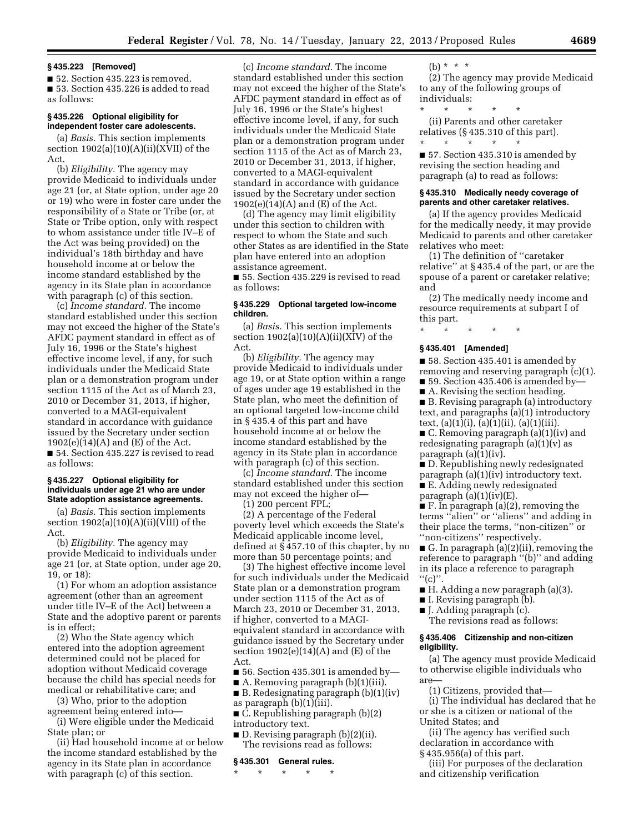# **§ 435.223 [Removed]**

■ 52. Section 435.223 is removed. ■ 53. Section 435.226 is added to read as follows:

# **§ 435.226 Optional eligibility for independent foster care adolescents.**

(a) *Basis.* This section implements section  $1902(a)(10)(A)(ii)(XVII)$  of the Act.

(b) *Eligibility.* The agency may provide Medicaid to individuals under age 21 (or, at State option, under age 20 or 19) who were in foster care under the responsibility of a State or Tribe (or, at State or Tribe option, only with respect to whom assistance under title IV–E of the Act was being provided) on the individual's 18th birthday and have household income at or below the income standard established by the agency in its State plan in accordance with paragraph (c) of this section.

(c) *Income standard.* The income standard established under this section may not exceed the higher of the State's AFDC payment standard in effect as of July 16, 1996 or the State's highest effective income level, if any, for such individuals under the Medicaid State plan or a demonstration program under section 1115 of the Act as of March 23, 2010 or December 31, 2013, if higher, converted to a MAGI-equivalent standard in accordance with guidance issued by the Secretary under section  $1902(e)(14)(A)$  and  $(E)$  of the Act. ■ 54. Section 435.227 is revised to read as follows:

#### **§ 435.227 Optional eligibility for individuals under age 21 who are under State adoption assistance agreements.**

(a) *Basis.* This section implements section  $1902(a)(10)(A)(ii)(VIII)$  of the Act.

(b) *Eligibility.* The agency may provide Medicaid to individuals under age 21 (or, at State option, under age 20, 19, or 18):

(1) For whom an adoption assistance agreement (other than an agreement under title IV–E of the Act) between a State and the adoptive parent or parents is in effect;

(2) Who the State agency which entered into the adoption agreement determined could not be placed for adoption without Medicaid coverage because the child has special needs for medical or rehabilitative care; and

(3) Who, prior to the adoption agreement being entered into—

(i) Were eligible under the Medicaid State plan; or

(ii) Had household income at or below the income standard established by the agency in its State plan in accordance with paragraph (c) of this section.

(c) *Income standard.* The income standard established under this section may not exceed the higher of the State's AFDC payment standard in effect as of July 16, 1996 or the State's highest effective income level, if any, for such individuals under the Medicaid State plan or a demonstration program under section 1115 of the Act as of March 23, 2010 or December 31, 2013, if higher, converted to a MAGI-equivalent standard in accordance with guidance issued by the Secretary under section 1902(e)(14)(A) and (E) of the Act.

(d) The agency may limit eligibility under this section to children with respect to whom the State and such other States as are identified in the State plan have entered into an adoption assistance agreement.

■ 55. Section 435.229 is revised to read as follows:

# **§ 435.229 Optional targeted low-income children.**

(a) *Basis.* This section implements section  $1902(a)(10)(A)(ii)(XIV)$  of the Act.

(b) *Eligibility.* The agency may provide Medicaid to individuals under age 19, or at State option within a range of ages under age 19 established in the State plan, who meet the definition of an optional targeted low-income child in § 435.4 of this part and have household income at or below the income standard established by the agency in its State plan in accordance with paragraph (c) of this section.

(c) *Income standard.* The income standard established under this section may not exceed the higher of—

(1) 200 percent FPL;

(2) A percentage of the Federal poverty level which exceeds the State's Medicaid applicable income level, defined at § 457.10 of this chapter, by no more than 50 percentage points; and

(3) The highest effective income level for such individuals under the Medicaid State plan or a demonstration program under section 1115 of the Act as of March 23, 2010 or December 31, 2013, if higher, converted to a MAGIequivalent standard in accordance with guidance issued by the Secretary under section  $1902(e)(14)(A)$  and  $(E)$  of the Act.

■ 56. Section 435.301 is amended by—

■ A. Removing paragraph (b)(1)(iii). ■ B. Redesignating paragraph (b)(1)(iv)

as paragraph (b)(1)(iii). ■ C. Republishing paragraph (b)(2)

introductory text.

■ D. Revising paragraph (b)(2)(ii). The revisions read as follows:

# **§ 435.301 General rules.**

\* \* \* \* \*

 $(h) * * * *$ 

(2) The agency may provide Medicaid to any of the following groups of individuals:

\* \* \* \* \* (ii) Parents and other caretaker relatives (§ 435.310 of this part).

\* \* \* \* \* ■ 57. Section 435.310 is amended by revising the section heading and paragraph (a) to read as follows:

# **§ 435.310 Medically needy coverage of parents and other caretaker relatives.**

(a) If the agency provides Medicaid for the medically needy, it may provide Medicaid to parents and other caretaker relatives who meet:

(1) The definition of ''caretaker relative'' at § 435.4 of the part, or are the spouse of a parent or caretaker relative; and

(2) The medically needy income and resource requirements at subpart I of this part.

\* \* \* \* \*

#### **§ 435.401 [Amended]**

■ 58. Section 435.401 is amended by removing and reserving paragraph (c)(1).

■ 59. Section 435.406 is amended by-

■ A. Revising the section heading.

■ B. Revising paragraph (a) introductory text, and paragraphs (a)(1) introductory text, (a)(1)(i), (a)(1)(ii), (a)(1)(iii).

■ C. Removing paragraph (a)(1)(iv) and redesignating paragraph (a)(1)(v) as paragraph (a)(1)(iv).

■ D. Republishing newly redesignated paragraph (a)(1)(iv) introductory text. ■ E. Adding newly redesignated paragraph  $(a)(1)(iv)(E)$ .

■ F. In paragraph (a)(2), removing the terms ''alien'' or ''aliens'' and adding in their place the terms, ''non-citizen'' or ''non-citizens'' respectively.

■ G. In paragraph (a)(2)(ii), removing the reference to paragraph ''(b)'' and adding in its place a reference to paragraph  $"$ (c)".

- H. Adding a new paragraph (a)(3).
- I. Revising paragraph (b).
- J. Adding paragraph (c).
- The revisions read as follows:

#### **§ 435.406 Citizenship and non-citizen eligibility.**

(a) The agency must provide Medicaid to otherwise eligible individuals who are—

(1) Citizens, provided that—

(i) The individual has declared that he or she is a citizen or national of the United States; and

(ii) The agency has verified such declaration in accordance with § 435.956(a) of this part.

(iii) For purposes of the declaration

and citizenship verification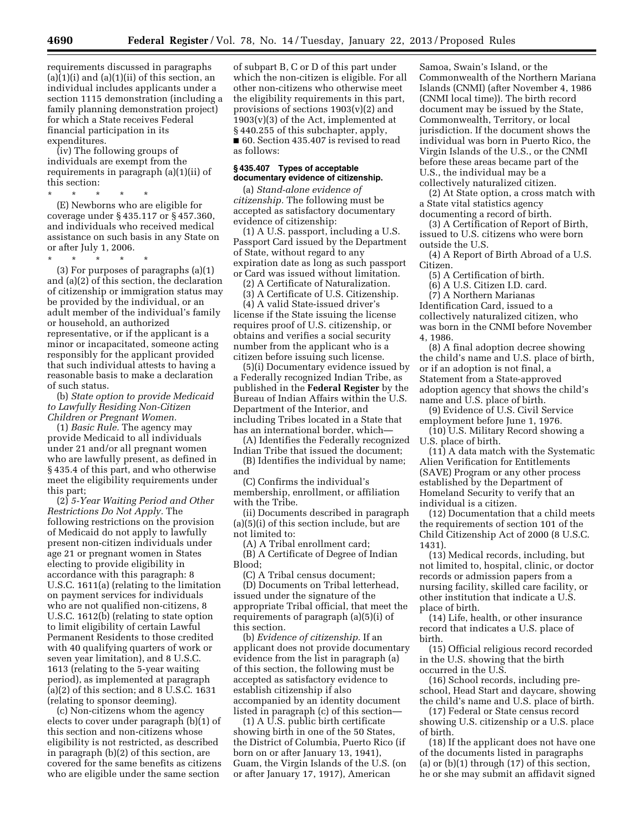requirements discussed in paragraphs  $(a)(1)(i)$  and  $(a)(1)(ii)$  of this section, an individual includes applicants under a section 1115 demonstration (including a family planning demonstration project) for which a State receives Federal financial participation in its expenditures.

(iv) The following groups of individuals are exempt from the requirements in paragraph (a)(1)(ii) of this section:

\* \* \* \* \* (E) Newborns who are eligible for coverage under § 435.117 or § 457.360, and individuals who received medical assistance on such basis in any State on or after July 1, 2006.

\* \* \* \* \*

(3) For purposes of paragraphs (a)(1) and (a)(2) of this section, the declaration of citizenship or immigration status may be provided by the individual, or an adult member of the individual's family or household, an authorized representative, or if the applicant is a minor or incapacitated, someone acting responsibly for the applicant provided that such individual attests to having a reasonable basis to make a declaration of such status.

(b) *State option to provide Medicaid to Lawfully Residing Non-Citizen Children or Pregnant Women.* 

(1) *Basic Rule.* The agency may provide Medicaid to all individuals under 21 and/or all pregnant women who are lawfully present, as defined in § 435.4 of this part, and who otherwise meet the eligibility requirements under this part;

(2) *5-Year Waiting Period and Other Restrictions Do Not Apply.* The following restrictions on the provision of Medicaid do not apply to lawfully present non-citizen individuals under age 21 or pregnant women in States electing to provide eligibility in accordance with this paragraph: 8 U.S.C. 1611(a) (relating to the limitation on payment services for individuals who are not qualified non-citizens, 8 U.S.C. 1612(b) (relating to state option to limit eligibility of certain Lawful Permanent Residents to those credited with 40 qualifying quarters of work or seven year limitation), and 8 U.S.C. 1613 (relating to the 5-year waiting period), as implemented at paragraph (a)(2) of this section; and 8 U.S.C. 1631 (relating to sponsor deeming).

(c) Non-citizens whom the agency elects to cover under paragraph (b)(1) of this section and non-citizens whose eligibility is not restricted, as described in paragraph (b)(2) of this section, are covered for the same benefits as citizens who are eligible under the same section

of subpart B, C or D of this part under which the non-citizen is eligible. For all other non-citizens who otherwise meet the eligibility requirements in this part, provisions of sections 1903(v)(2) and  $1903(v)(3)$  of the Act, implemented at § 440.255 of this subchapter, apply, ■ 60. Section 435.407 is revised to read as follows:

# **§ 435.407 Types of acceptable documentary evidence of citizenship.**

(a) *Stand-alone evidence of citizenship.* The following must be accepted as satisfactory documentary evidence of citizenship:

(1) A U.S. passport, including a U.S. Passport Card issued by the Department of State, without regard to any expiration date as long as such passport or Card was issued without limitation.

(2) A Certificate of Naturalization.

(3) A Certificate of U.S. Citizenship.

(4) A valid State-issued driver's license if the State issuing the license requires proof of U.S. citizenship, or obtains and verifies a social security number from the applicant who is a citizen before issuing such license.

(5)(i) Documentary evidence issued by a Federally recognized Indian Tribe, as published in the **Federal Register** by the Bureau of Indian Affairs within the U.S. Department of the Interior, and including Tribes located in a State that has an international border, which—

(A) Identifies the Federally recognized Indian Tribe that issued the document;

(B) Identifies the individual by name; and

(C) Confirms the individual's membership, enrollment, or affiliation with the Tribe.

(ii) Documents described in paragraph (a)(5)(i) of this section include, but are not limited to:

(A) A Tribal enrollment card;

(B) A Certificate of Degree of Indian Blood;

(C) A Tribal census document; (D) Documents on Tribal letterhead, issued under the signature of the appropriate Tribal official, that meet the requirements of paragraph (a)(5)(i) of this section.

(b) *Evidence of citizenship.* If an applicant does not provide documentary evidence from the list in paragraph (a) of this section, the following must be accepted as satisfactory evidence to establish citizenship if also accompanied by an identity document listed in paragraph (c) of this section—

(1) A U.S. public birth certificate showing birth in one of the 50 States, the District of Columbia, Puerto Rico (if born on or after January 13, 1941), Guam, the Virgin Islands of the U.S. (on or after January 17, 1917), American

Samoa, Swain's Island, or the Commonwealth of the Northern Mariana Islands (CNMI) (after November 4, 1986 (CNMI local time)). The birth record document may be issued by the State, Commonwealth, Territory, or local jurisdiction. If the document shows the individual was born in Puerto Rico, the Virgin Islands of the U.S., or the CNMI before these areas became part of the U.S., the individual may be a collectively naturalized citizen.

(2) At State option, a cross match with a State vital statistics agency documenting a record of birth.

(3) A Certification of Report of Birth, issued to U.S. citizens who were born outside the U.S.

(4) A Report of Birth Abroad of a U.S. Citizen.

(5) A Certification of birth.

(6) A U.S. Citizen I.D. card.

(7) A Northern Marianas

Identification Card, issued to a collectively naturalized citizen, who was born in the CNMI before November 4, 1986.

(8) A final adoption decree showing the child's name and U.S. place of birth, or if an adoption is not final, a Statement from a State-approved adoption agency that shows the child's name and U.S. place of birth.

(9) Evidence of U.S. Civil Service employment before June 1, 1976.

(10) U.S. Military Record showing a U.S. place of birth.

(11) A data match with the Systematic Alien Verification for Entitlements (SAVE) Program or any other process established by the Department of Homeland Security to verify that an individual is a citizen.

(12) Documentation that a child meets the requirements of section 101 of the Child Citizenship Act of 2000 (8 U.S.C. 1431).

(13) Medical records, including, but not limited to, hospital, clinic, or doctor records or admission papers from a nursing facility, skilled care facility, or other institution that indicate a U.S. place of birth.

(14) Life, health, or other insurance record that indicates a U.S. place of birth.

(15) Official religious record recorded in the U.S. showing that the birth occurred in the U.S.

(16) School records, including preschool, Head Start and daycare, showing the child's name and U.S. place of birth.

(17) Federal or State census record showing U.S. citizenship or a U.S. place of birth.

(18) If the applicant does not have one of the documents listed in paragraphs (a) or (b)(1) through (17) of this section, he or she may submit an affidavit signed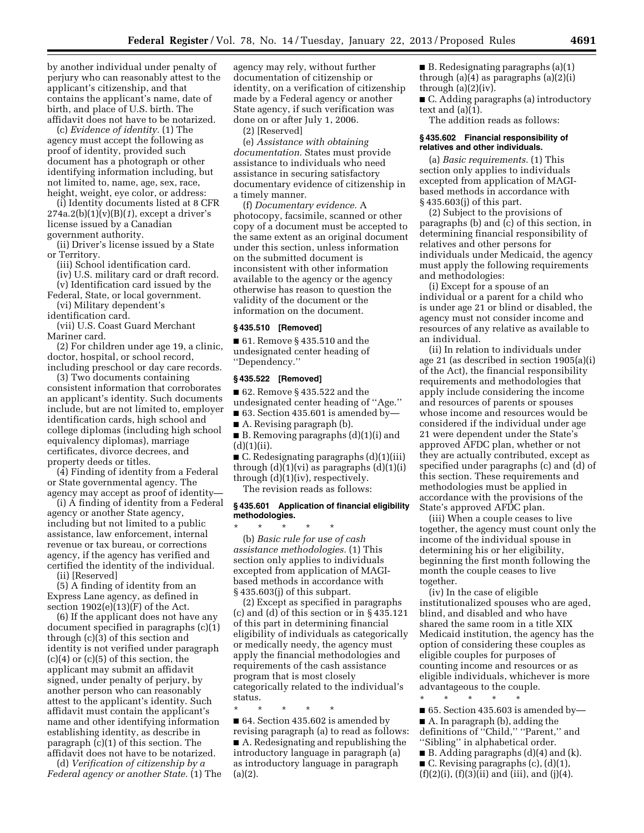by another individual under penalty of perjury who can reasonably attest to the applicant's citizenship, and that contains the applicant's name, date of birth, and place of U.S. birth. The affidavit does not have to be notarized.

(c) *Evidence of identity.* (1) The agency must accept the following as proof of identity, provided such document has a photograph or other identifying information including, but not limited to, name, age, sex, race, height, weight, eye color, or address:

(i) Identity documents listed at 8 CFR 274a.2(b)(1)(v)(B)(*1*), except a driver's license issued by a Canadian government authority.

(ii) Driver's license issued by a State or Territory.

(iii) School identification card.

(iv) U.S. military card or draft record. (v) Identification card issued by the

Federal, State, or local government. (vi) Military dependent's

identification card.

(vii) U.S. Coast Guard Merchant Mariner card.

(2) For children under age 19, a clinic, doctor, hospital, or school record, including preschool or day care records.

(3) Two documents containing consistent information that corroborates an applicant's identity. Such documents include, but are not limited to, employer identification cards, high school and college diplomas (including high school equivalency diplomas), marriage certificates, divorce decrees, and property deeds or titles.

(4) Finding of identity from a Federal or State governmental agency. The agency may accept as proof of identity—

(i) A finding of identity from a Federal agency or another State agency, including but not limited to a public assistance, law enforcement, internal revenue or tax bureau, or corrections agency, if the agency has verified and certified the identity of the individual.

(ii) [Reserved]

(5) A finding of identity from an Express Lane agency, as defined in section  $1902(e)(13)(F)$  of the Act.

(6) If the applicant does not have any document specified in paragraphs (c)(1) through (c)(3) of this section and identity is not verified under paragraph (c)(4) or (c)(5) of this section, the applicant may submit an affidavit signed, under penalty of perjury, by another person who can reasonably attest to the applicant's identity. Such affidavit must contain the applicant's name and other identifying information establishing identity, as describe in paragraph (c)(1) of this section. The affidavit does not have to be notarized.

(d) *Verification of citizenship by a Federal agency or another State.* (1) The agency may rely, without further documentation of citizenship or identity, on a verification of citizenship made by a Federal agency or another State agency, if such verification was done on or after July 1, 2006.

(2) [Reserved]

(e) *Assistance with obtaining documentation.* States must provide assistance to individuals who need assistance in securing satisfactory documentary evidence of citizenship in a timely manner.

(f) *Documentary evidence.* A photocopy, facsimile, scanned or other copy of a document must be accepted to the same extent as an original document under this section, unless information on the submitted document is inconsistent with other information available to the agency or the agency otherwise has reason to question the validity of the document or the information on the document.

# **§ 435.510 [Removed]**

■ 61. Remove § 435.510 and the undesignated center heading of ''Dependency.''

#### **§ 435.522 [Removed]**

■ 62. Remove § 435.522 and the

undesignated center heading of ''Age.''  $\blacksquare$  63. Section 435.601 is amended by-

■ A. Revising paragraph (b).

■ B. Removing paragraphs (d)(1)(i) and  $(d)(1)(ii)$ .

■ C. Redesignating paragraphs (d)(1)(iii) through (d)(1)(vi) as paragraphs (d)(1)(i) through (d)(1)(iv), respectively.

The revision reads as follows:

# **§ 435.601 Application of financial eligibility methodologies.**

\* \* \* \* \* (b) *Basic rule for use of cash assistance methodologies.* (1) This section only applies to individuals excepted from application of MAGIbased methods in accordance with § 435.603(j) of this subpart.

(2) Except as specified in paragraphs (c) and (d) of this section or in § 435.121 of this part in determining financial eligibility of individuals as categorically or medically needy, the agency must apply the financial methodologies and requirements of the cash assistance program that is most closely categorically related to the individual's status.

\* \* \* \* \* ■ 64. Section 435.602 is amended by revising paragraph (a) to read as follows: ■ A. Redesignating and republishing the introductory language in paragraph (a) as introductory language in paragraph

 $(a)(2)$ .

 $\blacksquare$  B. Redesignating paragraphs (a)(1) through (a)(4) as paragraphs (a)(2)(i) through  $(a)(2)(iv)$ .

■ C. Adding paragraphs (a) introductory text and (a)(1).

The addition reads as follows:

#### **§ 435.602 Financial responsibility of relatives and other individuals.**

(a) *Basic requirements.* (1) This section only applies to individuals excepted from application of MAGIbased methods in accordance with § 435.603(j) of this part.

(2) Subject to the provisions of paragraphs (b) and (c) of this section, in determining financial responsibility of relatives and other persons for individuals under Medicaid, the agency must apply the following requirements and methodologies:

(i) Except for a spouse of an individual or a parent for a child who is under age 21 or blind or disabled, the agency must not consider income and resources of any relative as available to an individual.

(ii) In relation to individuals under age 21 (as described in section 1905(a)(i) of the Act), the financial responsibility requirements and methodologies that apply include considering the income and resources of parents or spouses whose income and resources would be considered if the individual under age 21 were dependent under the State's approved AFDC plan, whether or not they are actually contributed, except as specified under paragraphs (c) and (d) of this section. These requirements and methodologies must be applied in accordance with the provisions of the State's approved AFDC plan.

(iii) When a couple ceases to live together, the agency must count only the income of the individual spouse in determining his or her eligibility, beginning the first month following the month the couple ceases to live together.

(iv) In the case of eligible institutionalized spouses who are aged, blind, and disabled and who have shared the same room in a title XIX Medicaid institution, the agency has the option of considering these couples as eligible couples for purposes of counting income and resources or as eligible individuals, whichever is more advantageous to the couple.

\* \* \* \* \*  $\blacksquare$  65. Section 435.603 is amended by-■ A. In paragraph (b), adding the definitions of ''Child,'' ''Parent,'' and ''Sibling'' in alphabetical order.  $\blacksquare$  B. Adding paragraphs (d)(4) and (k).  $\blacksquare$  C. Revising paragraphs (c), (d)(1),  $(f)(2)(i)$ ,  $(f)(3)(ii)$  and  $(iii)$ , and  $(j)(4)$ .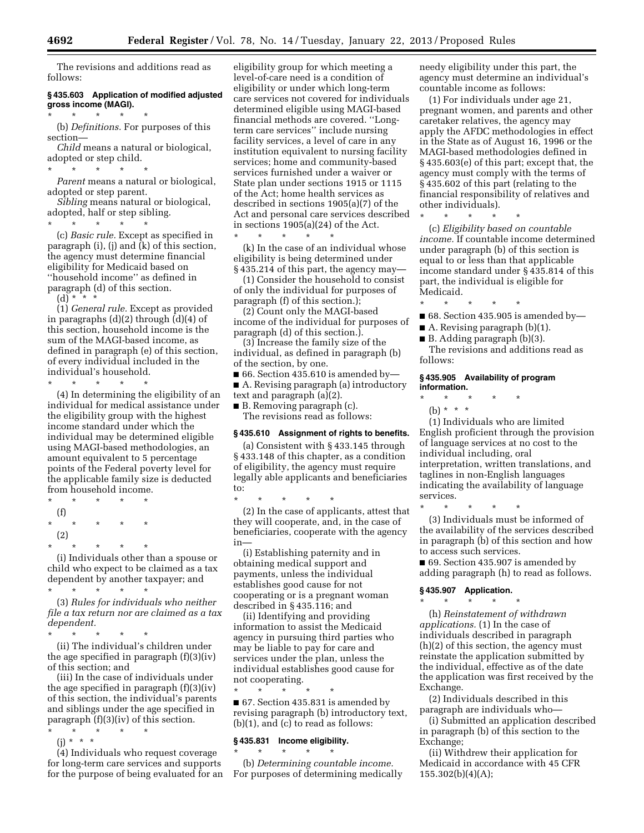The revisions and additions read as follows:

# **§ 435.603 Application of modified adjusted gross income (MAGI).**

 $\star$   $\star$   $\star$ (b) *Definitions.* For purposes of this section—

*Child* means a natural or biological, adopted or step child.

\* \* \* \* \*

*Parent* means a natural or biological, adopted or step parent.

*Sibling* means natural or biological, adopted, half or step sibling.

\* \* \* \* \* (c) *Basic rule.* Except as specified in paragraph (i), (j) and (k) of this section, the agency must determine financial eligibility for Medicaid based on ''household income'' as defined in paragraph (d) of this section.

 $(d)$  \* \* \*

(1) *General rule.* Except as provided in paragraphs (d)(2) through (d)(4) of this section, household income is the sum of the MAGI-based income, as defined in paragraph (e) of this section, of every individual included in the individual's household. \* \* \* \* \*

(4) In determining the eligibility of an individual for medical assistance under the eligibility group with the highest income standard under which the individual may be determined eligible using MAGI-based methodologies, an amount equivalent to 5 percentage points of the Federal poverty level for the applicable family size is deducted from household income.

\* \* \* \* \* (f) \* \* \* \* \* (2) \* \* \* \* \*

(i) Individuals other than a spouse or child who expect to be claimed as a tax dependent by another taxpayer; and \* \* \* \* \*

(3) *Rules for individuals who neither file a tax return nor are claimed as a tax dependent.* 

\* \* \* \* \*

(ii) The individual's children under the age specified in paragraph (f)(3)(iv) of this section; and

(iii) In the case of individuals under the age specified in paragraph (f)(3)(iv) of this section, the individual's parents and siblings under the age specified in paragraph (f)(3)(iv) of this section.

\* \* \* \* \* (j) \* \* \*

(4) Individuals who request coverage for long-term care services and supports for the purpose of being evaluated for an eligibility group for which meeting a level-of-care need is a condition of eligibility or under which long-term care services not covered for individuals determined eligible using MAGI-based financial methods are covered. ''Longterm care services'' include nursing facility services, a level of care in any institution equivalent to nursing facility services; home and community-based services furnished under a waiver or State plan under sections 1915 or 1115 of the Act; home health services as described in sections 1905(a)(7) of the Act and personal care services described in sections 1905(a)(24) of the Act. \* \* \* \* \*

(k) In the case of an individual whose eligibility is being determined under § 435.214 of this part, the agency may—

(1) Consider the household to consist of only the individual for purposes of paragraph (f) of this section.);

(2) Count only the MAGI-based income of the individual for purposes of paragraph (d) of this section.).

(3) Increase the family size of the individual, as defined in paragraph (b) of the section, by one.

 $\blacksquare$  66. Section 435.610 is amended by-■ A. Revising paragraph (a) introductory

text and paragraph (a)(2). ■ B. Removing paragraph (c).

The revisions read as follows:

# **§ 435.610 Assignment of rights to benefits.**

(a) Consistent with § 433.145 through § 433.148 of this chapter, as a condition of eligibility, the agency must require legally able applicants and beneficiaries to:

\* \* \* \* \* (2) In the case of applicants, attest that they will cooperate, and, in the case of beneficiaries, cooperate with the agency in—

(i) Establishing paternity and in obtaining medical support and payments, unless the individual establishes good cause for not cooperating or is a pregnant woman described in § 435.116; and

(ii) Identifying and providing information to assist the Medicaid agency in pursuing third parties who may be liable to pay for care and services under the plan, unless the individual establishes good cause for not cooperating.

\* \* \* \* \* ■ 67. Section 435.831 is amended by revising paragraph (b) introductory text, (b)(1), and (c) to read as follows:

# **§ 435.831 Income eligibility.**  \* \* \* \* \*

(b) *Determining countable income.*  For purposes of determining medically needy eligibility under this part, the agency must determine an individual's countable income as follows:

(1) For individuals under age 21, pregnant women, and parents and other caretaker relatives, the agency may apply the AFDC methodologies in effect in the State as of August 16, 1996 or the MAGI-based methodologies defined in § 435.603(e) of this part; except that, the agency must comply with the terms of § 435.602 of this part (relating to the financial responsibility of relatives and other individuals).

\* \* \* \* \* (c) *Eligibility based on countable income.* If countable income determined under paragraph (b) of this section is equal to or less than that applicable income standard under § 435.814 of this part, the individual is eligible for Medicaid.

\* \* \* \* \*

- $\blacksquare$  68. Section 435.905 is amended by—
- A. Revising paragraph  $(b)(1)$ .
- $\blacksquare$  B. Adding paragraph (b)(3).

The revisions and additions read as follows:

# **§ 435.905 Availability of program information.**

- \* \* \* \* \*
- (b) \* \* \*

(1) Individuals who are limited English proficient through the provision of language services at no cost to the individual including, oral interpretation, written translations, and taglines in non-English languages indicating the availability of language services.

\* \* \* \* \* (3) Individuals must be informed of the availability of the services described in paragraph (b) of this section and how to access such services.

■ 69. Section 435.907 is amended by adding paragraph (h) to read as follows.

#### **§ 435.907 Application.**  \* \* \* \* \*

(h) *Reinstatement of withdrawn applications.* (1) In the case of individuals described in paragraph (h)(2) of this section, the agency must reinstate the application submitted by the individual, effective as of the date the application was first received by the Exchange.

(2) Individuals described in this paragraph are individuals who—

(i) Submitted an application described in paragraph (b) of this section to the Exchange;

(ii) Withdrew their application for Medicaid in accordance with 45 CFR 155.302(b)(4)(A);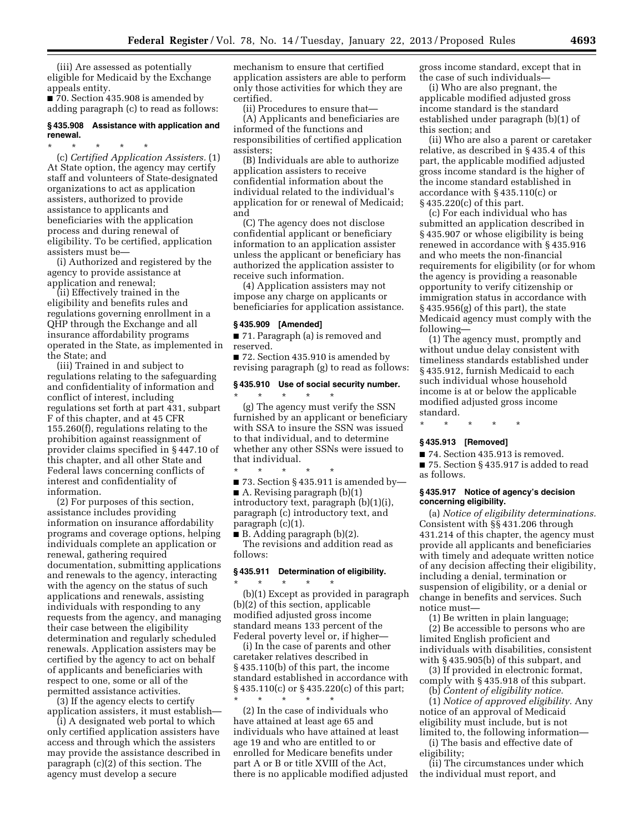(iii) Are assessed as potentially eligible for Medicaid by the Exchange appeals entity.

■ 70. Section 435.908 is amended by adding paragraph (c) to read as follows:

# **§ 435.908 Assistance with application and renewal.**

\* \* \* \* \* (c) *Certified Application Assisters.* (1) At State option, the agency may certify staff and volunteers of State-designated organizations to act as application assisters, authorized to provide assistance to applicants and beneficiaries with the application process and during renewal of eligibility. To be certified, application assisters must be—

(i) Authorized and registered by the agency to provide assistance at application and renewal;

(ii) Effectively trained in the eligibility and benefits rules and regulations governing enrollment in a QHP through the Exchange and all insurance affordability programs operated in the State, as implemented in the State; and

(iii) Trained in and subject to regulations relating to the safeguarding and confidentiality of information and conflict of interest, including regulations set forth at part 431, subpart F of this chapter, and at 45 CFR 155.260(f), regulations relating to the prohibition against reassignment of provider claims specified in § 447.10 of this chapter, and all other State and Federal laws concerning conflicts of interest and confidentiality of information.

(2) For purposes of this section, assistance includes providing information on insurance affordability programs and coverage options, helping individuals complete an application or renewal, gathering required documentation, submitting applications and renewals to the agency, interacting with the agency on the status of such applications and renewals, assisting individuals with responding to any requests from the agency, and managing their case between the eligibility determination and regularly scheduled renewals. Application assisters may be certified by the agency to act on behalf of applicants and beneficiaries with respect to one, some or all of the permitted assistance activities.

(3) If the agency elects to certify application assisters, it must establish—

(i) A designated web portal to which only certified application assisters have access and through which the assisters may provide the assistance described in paragraph (c)(2) of this section. The agency must develop a secure

mechanism to ensure that certified application assisters are able to perform only those activities for which they are certified.

(ii) Procedures to ensure that—

(A) Applicants and beneficiaries are informed of the functions and responsibilities of certified application assisters;

(B) Individuals are able to authorize application assisters to receive confidential information about the individual related to the individual's application for or renewal of Medicaid; and

(C) The agency does not disclose confidential applicant or beneficiary information to an application assister unless the applicant or beneficiary has authorized the application assister to receive such information.

(4) Application assisters may not impose any charge on applicants or beneficiaries for application assistance.

#### **§ 435.909 [Amended]**

■ 71. Paragraph (a) is removed and reserved.

■ 72. Section 435.910 is amended by revising paragraph (g) to read as follows:

#### **§ 435.910 Use of social security number.**

\* \* \* \* \* (g) The agency must verify the SSN furnished by an applicant or beneficiary with SSA to insure the SSN was issued to that individual, and to determine whether any other SSNs were issued to that individual.

\* \* \* \* \*  $\blacksquare$  73. Section § 435.911 is amended by— ■ A. Revising paragraph (b)(1) introductory text, paragraph (b)(1)(i), paragraph (c) introductory text, and paragraph (c)(1).

■ B. Adding paragraph (b)(2).

\* \* \* \* \*

The revisions and addition read as follows:

# **§ 435.911 Determination of eligibility.**

(b)(1) Except as provided in paragraph (b)(2) of this section, applicable modified adjusted gross income standard means 133 percent of the Federal poverty level or, if higher—

(i) In the case of parents and other caretaker relatives described in § 435.110(b) of this part, the income standard established in accordance with § 435.110(c) or § 435.220(c) of this part; \* \* \* \* \*

(2) In the case of individuals who have attained at least age 65 and individuals who have attained at least age 19 and who are entitled to or enrolled for Medicare benefits under part A or B or title XVIII of the Act, there is no applicable modified adjusted gross income standard, except that in the case of such individuals—

(i) Who are also pregnant, the applicable modified adjusted gross income standard is the standard established under paragraph (b)(1) of this section; and

(ii) Who are also a parent or caretaker relative, as described in § 435.4 of this part, the applicable modified adjusted gross income standard is the higher of the income standard established in accordance with § 435.110(c) or § 435.220(c) of this part.

(c) For each individual who has submitted an application described in § 435.907 or whose eligibility is being renewed in accordance with § 435.916 and who meets the non-financial requirements for eligibility (or for whom the agency is providing a reasonable opportunity to verify citizenship or immigration status in accordance with § 435.956(g) of this part), the state Medicaid agency must comply with the following—

(1) The agency must, promptly and without undue delay consistent with timeliness standards established under § 435.912, furnish Medicaid to each such individual whose household income is at or below the applicable modified adjusted gross income standard.

\* \* \* \* \*

# **§ 435.913 [Removed]**

■ 74. Section 435.913 is removed.

■ 75. Section § 435.917 is added to read as follows.

# **§ 435.917 Notice of agency's decision concerning eligibility.**

(a) *Notice of eligibility determinations.*  Consistent with §§ 431.206 through 431.214 of this chapter, the agency must provide all applicants and beneficiaries with timely and adequate written notice of any decision affecting their eligibility, including a denial, termination or suspension of eligibility, or a denial or change in benefits and services. Such notice must—

(1) Be written in plain language; (2) Be accessible to persons who are limited English proficient and individuals with disabilities, consistent with § 435.905(b) of this subpart, and

(3) If provided in electronic format, comply with § 435.918 of this subpart. (b) *Content of eligibility notice.* 

(1) *Notice of approved eligibility.* Any notice of an approval of Medicaid eligibility must include, but is not limited to, the following information—

(i) The basis and effective date of eligibility;

(ii) The circumstances under which the individual must report, and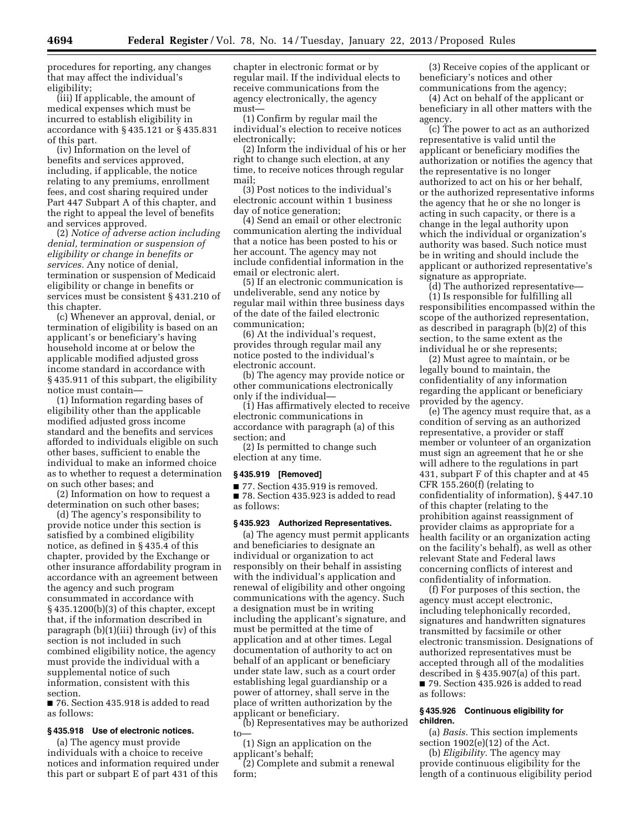procedures for reporting, any changes that may affect the individual's eligibility;

(iii) If applicable, the amount of medical expenses which must be incurred to establish eligibility in accordance with § 435.121 or § 435.831 of this part.

(iv) Information on the level of benefits and services approved, including, if applicable, the notice relating to any premiums, enrollment fees, and cost sharing required under Part 447 Subpart A of this chapter, and the right to appeal the level of benefits and services approved.

(2) *Notice of adverse action including denial, termination or suspension of eligibility or change in benefits or services.* Any notice of denial, termination or suspension of Medicaid eligibility or change in benefits or services must be consistent § 431.210 of this chapter.

(c) Whenever an approval, denial, or termination of eligibility is based on an applicant's or beneficiary's having household income at or below the applicable modified adjusted gross income standard in accordance with § 435.911 of this subpart, the eligibility notice must contain—

(1) Information regarding bases of eligibility other than the applicable modified adjusted gross income standard and the benefits and services afforded to individuals eligible on such other bases, sufficient to enable the individual to make an informed choice as to whether to request a determination on such other bases; and

(2) Information on how to request a determination on such other bases;

(d) The agency's responsibility to provide notice under this section is satisfied by a combined eligibility notice, as defined in § 435.4 of this chapter, provided by the Exchange or other insurance affordability program in accordance with an agreement between the agency and such program consummated in accordance with § 435.1200(b)(3) of this chapter, except that, if the information described in paragraph (b)(1)(iii) through (iv) of this section is not included in such combined eligibility notice, the agency must provide the individual with a supplemental notice of such information, consistent with this section.

■ 76. Section 435.918 is added to read as follows:

# **§ 435.918 Use of electronic notices.**

(a) The agency must provide individuals with a choice to receive notices and information required under this part or subpart E of part 431 of this

chapter in electronic format or by regular mail. If the individual elects to receive communications from the agency electronically, the agency must—

(1) Confirm by regular mail the individual's election to receive notices electronically;

(2) Inform the individual of his or her right to change such election, at any time, to receive notices through regular mail;

(3) Post notices to the individual's electronic account within 1 business day of notice generation;

(4) Send an email or other electronic communication alerting the individual that a notice has been posted to his or her account. The agency may not include confidential information in the email or electronic alert.

(5) If an electronic communication is undeliverable, send any notice by regular mail within three business days of the date of the failed electronic communication;

(6) At the individual's request, provides through regular mail any notice posted to the individual's electronic account.

(b) The agency may provide notice or other communications electronically only if the individual—

(1) Has affirmatively elected to receive electronic communications in accordance with paragraph (a) of this section; and

(2) Is permitted to change such election at any time.

#### **§ 435.919 [Removed]**

■ 77. Section 435.919 is removed.

■ 78. Section 435.923 is added to read as follows:

# **§ 435.923 Authorized Representatives.**

(a) The agency must permit applicants and beneficiaries to designate an individual or organization to act responsibly on their behalf in assisting with the individual's application and renewal of eligibility and other ongoing communications with the agency. Such a designation must be in writing including the applicant's signature, and must be permitted at the time of application and at other times. Legal documentation of authority to act on behalf of an applicant or beneficiary under state law, such as a court order establishing legal guardianship or a power of attorney, shall serve in the place of written authorization by the applicant or beneficiary.

(b) Representatives may be authorized to—

(1) Sign an application on the applicant's behalf;

(2) Complete and submit a renewal form;

(3) Receive copies of the applicant or beneficiary's notices and other communications from the agency;

(4) Act on behalf of the applicant or beneficiary in all other matters with the agency.

(c) The power to act as an authorized representative is valid until the applicant or beneficiary modifies the authorization or notifies the agency that the representative is no longer authorized to act on his or her behalf, or the authorized representative informs the agency that he or she no longer is acting in such capacity, or there is a change in the legal authority upon which the individual or organization's authority was based. Such notice must be in writing and should include the applicant or authorized representative's signature as appropriate.

(d) The authorized representative— (1) Is responsible for fulfilling all responsibilities encompassed within the scope of the authorized representation, as described in paragraph (b)(2) of this section, to the same extent as the individual he or she represents;

(2) Must agree to maintain, or be legally bound to maintain, the confidentiality of any information regarding the applicant or beneficiary provided by the agency.

(e) The agency must require that, as a condition of serving as an authorized representative, a provider or staff member or volunteer of an organization must sign an agreement that he or she will adhere to the regulations in part 431, subpart F of this chapter and at 45 CFR 155.260(f) (relating to confidentiality of information), § 447.10 of this chapter (relating to the prohibition against reassignment of provider claims as appropriate for a health facility or an organization acting on the facility's behalf), as well as other relevant State and Federal laws concerning conflicts of interest and confidentiality of information.

(f) For purposes of this section, the agency must accept electronic, including telephonically recorded, signatures and handwritten signatures transmitted by facsimile or other electronic transmission. Designations of authorized representatives must be accepted through all of the modalities described in § 435.907(a) of this part. ■ 79. Section 435.926 is added to read

as follows: **§ 435.926 Continuous eligibility for children.** 

(a) *Basis.* This section implements section 1902(e)(12) of the Act.

(b) *Eligibility.* The agency may provide continuous eligibility for the length of a continuous eligibility period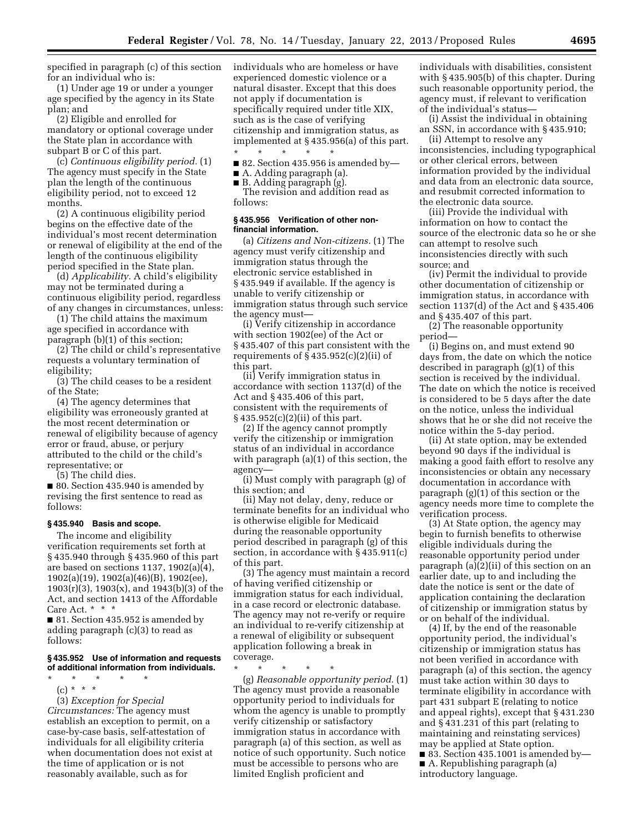specified in paragraph (c) of this section for an individual who is:

(1) Under age 19 or under a younger age specified by the agency in its State plan; and

(2) Eligible and enrolled for mandatory or optional coverage under the State plan in accordance with subpart B or C of this part.

(c) *Continuous eligibility period.* (1) The agency must specify in the State plan the length of the continuous eligibility period, not to exceed 12 months.

(2) A continuous eligibility period begins on the effective date of the individual's most recent determination or renewal of eligibility at the end of the length of the continuous eligibility period specified in the State plan.

(d) *Applicability.* A child's eligibility may not be terminated during a continuous eligibility period, regardless of any changes in circumstances, unless:

(1) The child attains the maximum age specified in accordance with paragraph (b)(1) of this section;

(2) The child or child's representative requests a voluntary termination of eligibility;

(3) The child ceases to be a resident of the State;

(4) The agency determines that eligibility was erroneously granted at the most recent determination or renewal of eligibility because of agency error or fraud, abuse, or perjury attributed to the child or the child's representative; or

(5) The child dies.

■ 80. Section 435.940 is amended by revising the first sentence to read as follows:

#### **§ 435.940 Basis and scope.**

The income and eligibility verification requirements set forth at § 435.940 through § 435.960 of this part are based on sections 1137, 1902(a)(4), 1902(a)(19), 1902(a)(46)(B), 1902(ee), 1903(r)(3), 1903(x), and 1943(b)(3) of the Act, and section 1413 of the Affordable Care Act. \* \* \*

■ 81. Section 435.952 is amended by adding paragraph (c)(3) to read as follows:

# **§ 435.952 Use of information and requests of additional information from individuals.**

- \* \* \* \* \*
	- (c) \* \* \*

(3) *Exception for Special Circumstances:* The agency must establish an exception to permit, on a case-by-case basis, self-attestation of individuals for all eligibility criteria when documentation does not exist at the time of application or is not reasonably available, such as for

individuals who are homeless or have experienced domestic violence or a natural disaster. Except that this does not apply if documentation is specifically required under title XIX, such as is the case of verifying citizenship and immigration status, as implemented at § 435.956(a) of this part.

\* \* \* \* \*  $\blacksquare$  82. Section 435.956 is amended by-

■ A. Adding paragraph (a). ■ B. Adding paragraph (g).

The revision and addition read as follows:

### **§ 435.956 Verification of other nonfinancial information.**

(a) *Citizens and Non-citizens.* (1) The agency must verify citizenship and immigration status through the electronic service established in § 435.949 if available. If the agency is unable to verify citizenship or immigration status through such service the agency must—

(i) Verify citizenship in accordance with section 1902(ee) of the Act or § 435.407 of this part consistent with the requirements of  $\S 435.952(c)(2)(ii)$  of this part.

(ii) Verify immigration status in accordance with section 1137(d) of the Act and § 435.406 of this part, consistent with the requirements of § 435.952(c)(2)(ii) of this part.

(2) If the agency cannot promptly verify the citizenship or immigration status of an individual in accordance with paragraph (a)(1) of this section, the agency—

(i) Must comply with paragraph (g) of this section; and

(ii) May not delay, deny, reduce or terminate benefits for an individual who is otherwise eligible for Medicaid during the reasonable opportunity period described in paragraph (g) of this section, in accordance with § 435.911(c) of this part.

(3) The agency must maintain a record of having verified citizenship or immigration status for each individual, in a case record or electronic database. The agency may not re-verify or require an individual to re-verify citizenship at a renewal of eligibility or subsequent application following a break in coverage.

\* \* \* \* \*

(g) *Reasonable opportunity period.* (1) The agency must provide a reasonable opportunity period to individuals for whom the agency is unable to promptly verify citizenship or satisfactory immigration status in accordance with paragraph (a) of this section, as well as notice of such opportunity. Such notice must be accessible to persons who are limited English proficient and

individuals with disabilities, consistent with § 435.905(b) of this chapter. During such reasonable opportunity period, the agency must, if relevant to verification of the individual's status—

(i) Assist the individual in obtaining an SSN, in accordance with § 435.910;

(ii) Attempt to resolve any inconsistencies, including typographical or other clerical errors, between information provided by the individual and data from an electronic data source, and resubmit corrected information to the electronic data source.

(iii) Provide the individual with information on how to contact the source of the electronic data so he or she can attempt to resolve such inconsistencies directly with such source; and

(iv) Permit the individual to provide other documentation of citizenship or immigration status, in accordance with section 1137(d) of the Act and § 435.406 and § 435.407 of this part.

(2) The reasonable opportunity period—

(i) Begins on, and must extend 90 days from, the date on which the notice described in paragraph (g)(1) of this section is received by the individual. The date on which the notice is received is considered to be 5 days after the date on the notice, unless the individual shows that he or she did not receive the notice within the 5-day period.

(ii) At state option, may be extended beyond 90 days if the individual is making a good faith effort to resolve any inconsistencies or obtain any necessary documentation in accordance with paragraph (g)(1) of this section or the agency needs more time to complete the verification process.

(3) At State option, the agency may begin to furnish benefits to otherwise eligible individuals during the reasonable opportunity period under paragraph (a)(2)(ii) of this section on an earlier date, up to and including the date the notice is sent or the date of application containing the declaration of citizenship or immigration status by or on behalf of the individual.

(4) If, by the end of the reasonable opportunity period, the individual's citizenship or immigration status has not been verified in accordance with paragraph (a) of this section, the agency must take action within 30 days to terminate eligibility in accordance with part 431 subpart E (relating to notice and appeal rights), except that § 431.230 and § 431.231 of this part (relating to maintaining and reinstating services) may be applied at State option.  $\blacksquare$  83. Section 435.1001 is amended by— ■ A. Republishing paragraph (a) introductory language.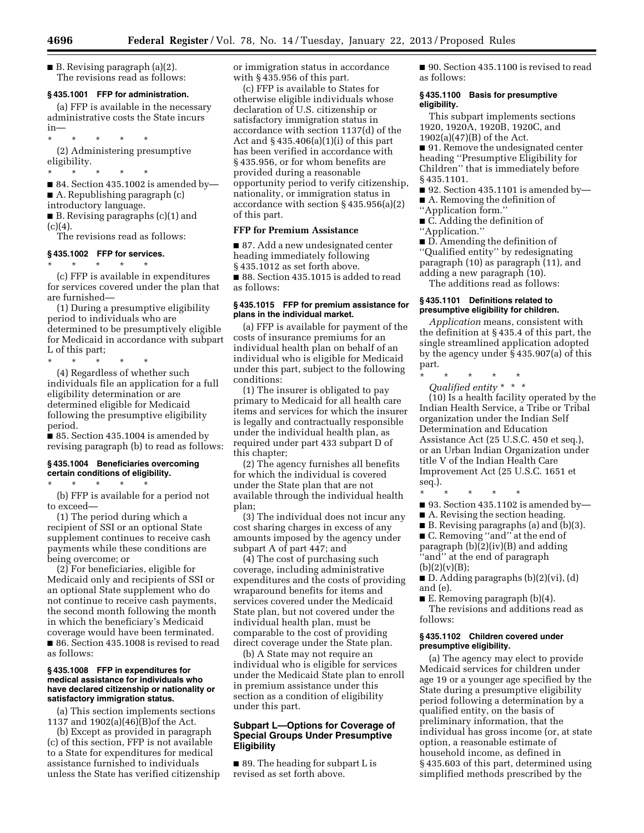■ B. Revising paragraph (a)(2). The revisions read as follows:

### **§ 435.1001 FFP for administration.**

(a) FFP is available in the necessary administrative costs the State incurs in—

\* \* \* \* \*

(2) Administering presumptive eligibility.

\* \* \* \* \*

■ 84. Section 435.1002 is amended by-

■ A. Republishing paragraph (c)

introductory language.

■ B. Revising paragraphs (c)(1) and  $(c)(4).$ 

The revisions read as follows:

# **§ 435.1002 FFP for services.**

\* \* \* \* \* (c) FFP is available in expenditures for services covered under the plan that are furnished—

(1) During a presumptive eligibility period to individuals who are determined to be presumptively eligible for Medicaid in accordance with subpart L of this part;

\* \* \* \* \* (4) Regardless of whether such individuals file an application for a full eligibility determination or are determined eligible for Medicaid following the presumptive eligibility period.

■ 85. Section 435.1004 is amended by revising paragraph (b) to read as follows:

# **§ 435.1004 Beneficiaries overcoming certain conditions of eligibility.**

\* \* \* \* \*

(b) FFP is available for a period not to exceed—

(1) The period during which a recipient of SSI or an optional State supplement continues to receive cash payments while these conditions are being overcome; or

(2) For beneficiaries, eligible for Medicaid only and recipients of SSI or an optional State supplement who do not continue to receive cash payments, the second month following the month in which the beneficiary's Medicaid coverage would have been terminated. ■ 86. Section 435.1008 is revised to read as follows:

### **§ 435.1008 FFP in expenditures for medical assistance for individuals who have declared citizenship or nationality or satisfactory immigration status.**

(a) This section implements sections 1137 and 1902(a)(46)(B)of the Act.

(b) Except as provided in paragraph (c) of this section, FFP is not available to a State for expenditures for medical assistance furnished to individuals unless the State has verified citizenship or immigration status in accordance with § 435.956 of this part.

(c) FFP is available to States for otherwise eligible individuals whose declaration of U.S. citizenship or satisfactory immigration status in accordance with section 1137(d) of the Act and  $§$  435.406(a)(1)(i) of this part has been verified in accordance with § 435.956, or for whom benefits are provided during a reasonable opportunity period to verify citizenship, nationality, or immigration status in accordance with section § 435.956(a)(2) of this part.

# **FFP for Premium Assistance**

■ 87. Add a new undesignated center heading immediately following § 435.1012 as set forth above. ■ 88. Section 435.1015 is added to read as follows:

# **§ 435.1015 FFP for premium assistance for plans in the individual market.**

(a) FFP is available for payment of the costs of insurance premiums for an individual health plan on behalf of an individual who is eligible for Medicaid under this part, subject to the following conditions:

(1) The insurer is obligated to pay primary to Medicaid for all health care items and services for which the insurer is legally and contractually responsible under the individual health plan, as required under part 433 subpart D of this chapter;

(2) The agency furnishes all benefits for which the individual is covered under the State plan that are not available through the individual health plan;

(3) The individual does not incur any cost sharing charges in excess of any amounts imposed by the agency under subpart A of part 447; and

(4) The cost of purchasing such coverage, including administrative expenditures and the costs of providing wraparound benefits for items and services covered under the Medicaid State plan, but not covered under the individual health plan, must be comparable to the cost of providing direct coverage under the State plan.

(b) A State may not require an individual who is eligible for services under the Medicaid State plan to enroll in premium assistance under this section as a condition of eligibility under this part.

# **Subpart L—Options for Coverage of Special Groups Under Presumptive Eligibility**

■ 89. The heading for subpart L is revised as set forth above.

■ 90. Section 435,1100 is revised to read as follows:

# **§ 435.1100 Basis for presumptive eligibility.**

This subpart implements sections 1920, 1920A, 1920B, 1920C, and 1902(a)(47)(B) of the Act.

■ 91. Remove the undesignated center heading ''Presumptive Eligibility for Children'' that is immediately before § 435.1101.

- 92. Section 435.1101 is amended by—
- A. Removing the definition of
- ''Application form.''
- C. Adding the definition of ''Application.''

■ D. Amending the definition of ''Qualified entity'' by redesignating paragraph (10) as paragraph (11), and adding a new paragraph (10).

The additions read as follows:

# **§ 435.1101 Definitions related to presumptive eligibility for children.**

*Application* means, consistent with the definition at § 435.4 of this part, the single streamlined application adopted by the agency under § 435.907(a) of this part.

\* \* \* \* \* *Qualified entity* \* \* \*

(10) Is a health facility operated by the Indian Health Service, a Tribe or Tribal organization under the Indian Self Determination and Education Assistance Act (25 U.S.C. 450 et seq.), or an Urban Indian Organization under title V of the Indian Health Care Improvement Act (25 U.S.C. 1651 et seq.).

\* \* \* \* \*  $\blacksquare$  93. Section 435.1102 is amended by—

- A. Revising the section heading.
- B. Revising paragraphs (a) and (b)(3).

■ C. Removing "and" at the end of paragraph (b)(2)(iv)(B) and adding ''and'' at the end of paragraph  $(b)(2)(v)(B);$ 

■ D. Adding paragraphs (b)(2)(vi), (d) and (e).

■ E. Removing paragraph (b)(4). The revisions and additions read as follows:

# **§ 435.1102 Children covered under presumptive eligibility.**

(a) The agency may elect to provide Medicaid services for children under age 19 or a younger age specified by the State during a presumptive eligibility period following a determination by a qualified entity, on the basis of preliminary information, that the individual has gross income (or, at state option, a reasonable estimate of household income, as defined in § 435.603 of this part, determined using simplified methods prescribed by the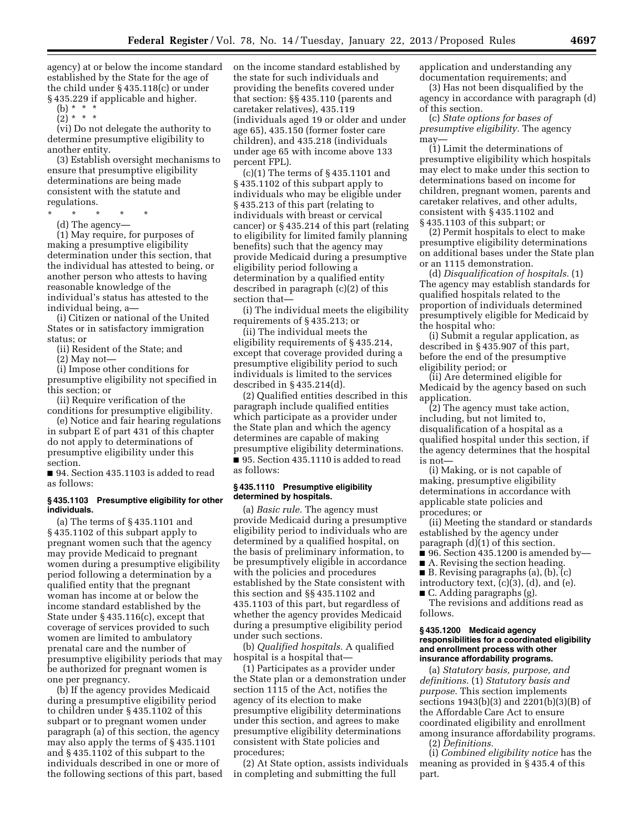agency) at or below the income standard established by the State for the age of the child under § 435.118(c) or under § 435.229 if applicable and higher.

(b) \* \* \*  $(2) * * * *$ 

(vi) Do not delegate the authority to determine presumptive eligibility to another entity.

(3) Establish oversight mechanisms to ensure that presumptive eligibility determinations are being made consistent with the statute and regulations.

\* \* \* \* \* (d) The agency—

(1) May require, for purposes of making a presumptive eligibility determination under this section, that the individual has attested to being, or another person who attests to having reasonable knowledge of the individual's status has attested to the individual being, a—

(i) Citizen or national of the United States or in satisfactory immigration status; or

(ii) Resident of the State; and

(2) May not—

(i) Impose other conditions for presumptive eligibility not specified in this section; or

(ii) Require verification of the conditions for presumptive eligibility.

(e) Notice and fair hearing regulations in subpart E of part 431 of this chapter do not apply to determinations of presumptive eligibility under this section.

■ 94. Section 435.1103 is added to read as follows:

#### **§ 435.1103 Presumptive eligibility for other individuals.**

(a) The terms of § 435.1101 and § 435.1102 of this subpart apply to pregnant women such that the agency may provide Medicaid to pregnant women during a presumptive eligibility period following a determination by a qualified entity that the pregnant woman has income at or below the income standard established by the State under § 435.116(c), except that coverage of services provided to such women are limited to ambulatory prenatal care and the number of presumptive eligibility periods that may be authorized for pregnant women is one per pregnancy.

(b) If the agency provides Medicaid during a presumptive eligibility period to children under § 435.1102 of this subpart or to pregnant women under paragraph (a) of this section, the agency may also apply the terms of § 435.1101 and § 435.1102 of this subpart to the individuals described in one or more of the following sections of this part, based on the income standard established by the state for such individuals and providing the benefits covered under that section: §§ 435.110 (parents and caretaker relatives), 435.119 (individuals aged 19 or older and under age 65), 435.150 (former foster care children), and 435.218 (individuals under age 65 with income above 133 percent FPL).

(c)(1) The terms of § 435.1101 and § 435.1102 of this subpart apply to individuals who may be eligible under § 435.213 of this part (relating to individuals with breast or cervical cancer) or § 435.214 of this part (relating to eligibility for limited family planning benefits) such that the agency may provide Medicaid during a presumptive eligibility period following a determination by a qualified entity described in paragraph (c)(2) of this section that—

(i) The individual meets the eligibility requirements of § 435.213; or

(ii) The individual meets the eligibility requirements of § 435.214, except that coverage provided during a presumptive eligibility period to such individuals is limited to the services described in § 435.214(d).

(2) Qualified entities described in this paragraph include qualified entities which participate as a provider under the State plan and which the agency determines are capable of making presumptive eligibility determinations. ■ 95. Section 435.1110 is added to read as follows:

# **§ 435.1110 Presumptive eligibility determined by hospitals.**

(a) *Basic rule.* The agency must provide Medicaid during a presumptive eligibility period to individuals who are determined by a qualified hospital, on the basis of preliminary information, to be presumptively eligible in accordance with the policies and procedures established by the State consistent with this section and §§ 435.1102 and 435.1103 of this part, but regardless of whether the agency provides Medicaid during a presumptive eligibility period under such sections.

(b) *Qualified hospitals.* A qualified hospital is a hospital that—

(1) Participates as a provider under the State plan or a demonstration under section 1115 of the Act, notifies the agency of its election to make presumptive eligibility determinations under this section, and agrees to make presumptive eligibility determinations consistent with State policies and procedures;

(2) At State option, assists individuals in completing and submitting the full

application and understanding any documentation requirements; and

(3) Has not been disqualified by the agency in accordance with paragraph (d) of this section.

(c) *State options for bases of presumptive eligibility.* The agency may—

(1) Limit the determinations of presumptive eligibility which hospitals may elect to make under this section to determinations based on income for children, pregnant women, parents and caretaker relatives, and other adults, consistent with § 435.1102 and § 435.1103 of this subpart; or

(2) Permit hospitals to elect to make presumptive eligibility determinations on additional bases under the State plan or an 1115 demonstration.

(d) *Disqualification of hospitals.* (1) The agency may establish standards for qualified hospitals related to the proportion of individuals determined presumptively eligible for Medicaid by the hospital who:

(i) Submit a regular application, as described in § 435.907 of this part, before the end of the presumptive eligibility period; or

(ii) Are determined eligible for Medicaid by the agency based on such application.

(2) The agency must take action, including, but not limited to, disqualification of a hospital as a qualified hospital under this section, if the agency determines that the hospital is not—

(i) Making, or is not capable of making, presumptive eligibility determinations in accordance with applicable state policies and procedures; or

(ii) Meeting the standard or standards established by the agency under paragraph (d)(1) of this section.

 $\blacksquare$  96. Section 435.1200 is amended by-

■ A. Revising the section heading.

- B. Revising paragraphs (a), (b), (c)
- introductory text, (c)(3), (d), and (e).

■ C. Adding paragraphs (g).

The revisions and additions read as follows.

#### **§ 435.1200 Medicaid agency responsibilities for a coordinated eligibility and enrollment process with other insurance affordability programs.**

(a) *Statutory basis, purpose, and definitions.* (1) *Statutory basis and purpose.* This section implements sections 1943(b)(3) and 2201(b)(3)(B) of the Affordable Care Act to ensure coordinated eligibility and enrollment among insurance affordability programs. (2) *Definitions.* 

(i) *Combined eligibility notice* has the meaning as provided in § 435.4 of this part.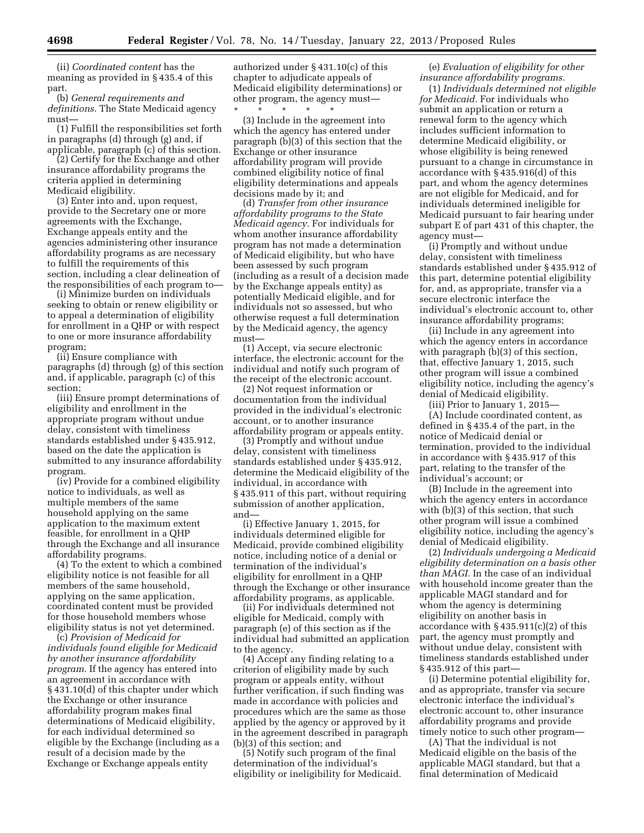(ii) *Coordinated content* has the meaning as provided in § 435.4 of this part.

(b) *General requirements and definitions.* The State Medicaid agency must—

(1) Fulfill the responsibilities set forth in paragraphs (d) through (g) and, if applicable, paragraph (c) of this section.

(2) Certify for the Exchange and other insurance affordability programs the criteria applied in determining Medicaid eligibility.

(3) Enter into and, upon request, provide to the Secretary one or more agreements with the Exchange, Exchange appeals entity and the agencies administering other insurance affordability programs as are necessary to fulfill the requirements of this section, including a clear delineation of the responsibilities of each program to—

(i) Minimize burden on individuals seeking to obtain or renew eligibility or to appeal a determination of eligibility for enrollment in a QHP or with respect to one or more insurance affordability program;

(ii) Ensure compliance with paragraphs (d) through (g) of this section and, if applicable, paragraph (c) of this section;

(iii) Ensure prompt determinations of eligibility and enrollment in the appropriate program without undue delay, consistent with timeliness standards established under § 435.912, based on the date the application is submitted to any insurance affordability program.

(iv) Provide for a combined eligibility notice to individuals, as well as multiple members of the same household applying on the same application to the maximum extent feasible, for enrollment in a QHP through the Exchange and all insurance affordability programs.

(4) To the extent to which a combined eligibility notice is not feasible for all members of the same household, applying on the same application, coordinated content must be provided for those household members whose eligibility status is not yet determined.

(c) *Provision of Medicaid for individuals found eligible for Medicaid by another insurance affordability program.* If the agency has entered into an agreement in accordance with § 431.10(d) of this chapter under which the Exchange or other insurance affordability program makes final determinations of Medicaid eligibility, for each individual determined so eligible by the Exchange (including as a result of a decision made by the Exchange or Exchange appeals entity

authorized under § 431.10(c) of this chapter to adjudicate appeals of Medicaid eligibility determinations) or other program, the agency must—

\* \* \* \* \* (3) Include in the agreement into which the agency has entered under paragraph (b)(3) of this section that the Exchange or other insurance affordability program will provide combined eligibility notice of final eligibility determinations and appeals decisions made by it; and

(d) *Transfer from other insurance affordability programs to the State Medicaid agency.* For individuals for whom another insurance affordability program has not made a determination of Medicaid eligibility, but who have been assessed by such program (including as a result of a decision made by the Exchange appeals entity) as potentially Medicaid eligible, and for individuals not so assessed, but who otherwise request a full determination by the Medicaid agency, the agency must—

(1) Accept, via secure electronic interface, the electronic account for the individual and notify such program of the receipt of the electronic account.

(2) Not request information or documentation from the individual provided in the individual's electronic account, or to another insurance affordability program or appeals entity.

(3) Promptly and without undue delay, consistent with timeliness standards established under § 435.912, determine the Medicaid eligibility of the individual, in accordance with § 435.911 of this part, without requiring submission of another application, and—

(i) Effective January 1, 2015, for individuals determined eligible for Medicaid, provide combined eligibility notice, including notice of a denial or termination of the individual's eligibility for enrollment in a QHP through the Exchange or other insurance affordability programs, as applicable.

(ii) For individuals determined not eligible for Medicaid, comply with paragraph (e) of this section as if the individual had submitted an application to the agency.

(4) Accept any finding relating to a criterion of eligibility made by such program or appeals entity, without further verification, if such finding was made in accordance with policies and procedures which are the same as those applied by the agency or approved by it in the agreement described in paragraph (b)(3) of this section; and

(5) Notify such program of the final determination of the individual's eligibility or ineligibility for Medicaid.

(e) *Evaluation of eligibility for other insurance affordability programs.* 

(1) *Individuals determined not eligible for Medicaid.* For individuals who submit an application or return a renewal form to the agency which includes sufficient information to determine Medicaid eligibility, or whose eligibility is being renewed pursuant to a change in circumstance in accordance with § 435.916(d) of this part, and whom the agency determines are not eligible for Medicaid, and for individuals determined ineligible for Medicaid pursuant to fair hearing under subpart E of part 431 of this chapter, the agency must—

(i) Promptly and without undue delay, consistent with timeliness standards established under § 435.912 of this part, determine potential eligibility for, and, as appropriate, transfer via a secure electronic interface the individual's electronic account to, other insurance affordability programs;

(ii) Include in any agreement into which the agency enters in accordance with paragraph (b)(3) of this section, that, effective January 1, 2015, such other program will issue a combined eligibility notice, including the agency's denial of Medicaid eligibility.

(iii) Prior to January 1, 2015—

(A) Include coordinated content, as defined in § 435.4 of the part, in the notice of Medicaid denial or termination, provided to the individual in accordance with § 435.917 of this part, relating to the transfer of the individual's account; or

(B) Include in the agreement into which the agency enters in accordance with (b)(3) of this section, that such other program will issue a combined eligibility notice, including the agency's denial of Medicaid eligibility.

(2) *Individuals undergoing a Medicaid eligibility determination on a basis other than MAGI.* In the case of an individual with household income greater than the applicable MAGI standard and for whom the agency is determining eligibility on another basis in accordance with § 435.911(c)(2) of this part, the agency must promptly and without undue delay, consistent with timeliness standards established under § 435.912 of this part—

(i) Determine potential eligibility for, and as appropriate, transfer via secure electronic interface the individual's electronic account to, other insurance affordability programs and provide timely notice to such other program—

(A) That the individual is not Medicaid eligible on the basis of the applicable MAGI standard, but that a final determination of Medicaid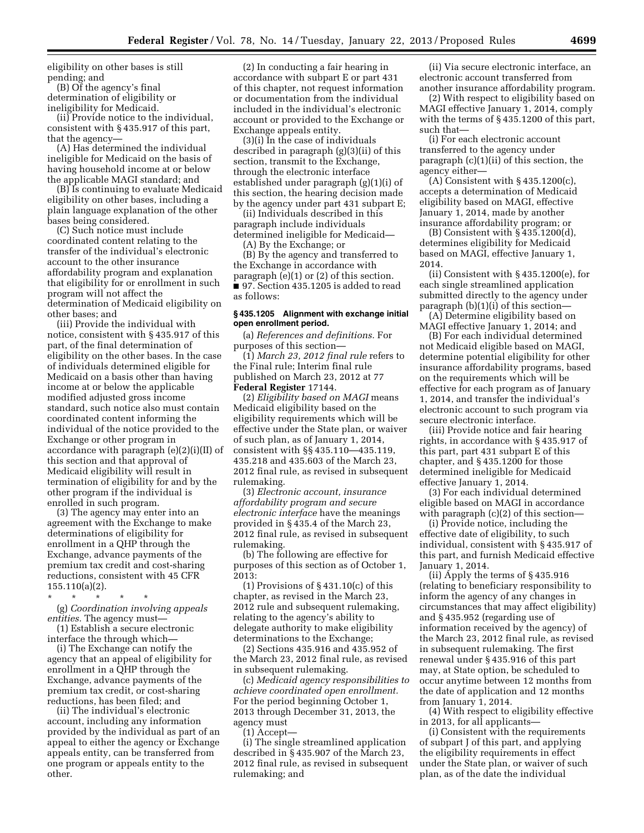eligibility on other bases is still pending; and

(B) Of the agency's final determination of eligibility or ineligibility for Medicaid.

(ii) Provide notice to the individual, consistent with § 435.917 of this part, that the agency—

(A) Has determined the individual ineligible for Medicaid on the basis of having household income at or below the applicable MAGI standard; and

(B) Is continuing to evaluate Medicaid eligibility on other bases, including a plain language explanation of the other bases being considered.

(C) Such notice must include coordinated content relating to the transfer of the individual's electronic account to the other insurance affordability program and explanation that eligibility for or enrollment in such program will not affect the determination of Medicaid eligibility on other bases; and

(iii) Provide the individual with notice, consistent with § 435.917 of this part, of the final determination of eligibility on the other bases. In the case of individuals determined eligible for Medicaid on a basis other than having income at or below the applicable modified adjusted gross income standard, such notice also must contain coordinated content informing the individual of the notice provided to the Exchange or other program in accordance with paragraph (e)(2)(i)(II) of this section and that approval of Medicaid eligibility will result in termination of eligibility for and by the other program if the individual is enrolled in such program.

(3) The agency may enter into an agreement with the Exchange to make determinations of eligibility for enrollment in a QHP through the Exchange, advance payments of the premium tax credit and cost-sharing reductions, consistent with 45 CFR 155.110(a)(2).

\* \* \* \* \* (g) *Coordination involving appeals entities.* The agency must—

(1) Establish a secure electronic interface the through which—

(i) The Exchange can notify the agency that an appeal of eligibility for enrollment in a QHP through the Exchange, advance payments of the premium tax credit, or cost-sharing reductions, has been filed; and

(ii) The individual's electronic account, including any information provided by the individual as part of an appeal to either the agency or Exchange appeals entity, can be transferred from one program or appeals entity to the other.

(2) In conducting a fair hearing in accordance with subpart E or part 431 of this chapter, not request information or documentation from the individual included in the individual's electronic account or provided to the Exchange or Exchange appeals entity.

(3)(i) In the case of individuals described in paragraph (g)(3)(ii) of this section, transmit to the Exchange, through the electronic interface established under paragraph (g)(1)(i) of this section, the hearing decision made by the agency under part 431 subpart E;

(ii) Individuals described in this paragraph include individuals determined ineligible for Medicaid—

(A) By the Exchange; or

(B) By the agency and transferred to the Exchange in accordance with paragraph (e)(1) or (2) of this section. ■ 97. Section 435.1205 is added to read as follows:

#### **§ 435.1205 Alignment with exchange initial open enrollment period.**

(a) *References and definitions.* For purposes of this section—

(1) *March 23, 2012 final rule* refers to the Final rule; Interim final rule published on March 23, 2012 at 77 **Federal Register** 17144.

(2) *Eligibility based on MAGI* means Medicaid eligibility based on the eligibility requirements which will be effective under the State plan, or waiver of such plan, as of January 1, 2014, consistent with §§ 435.110—435.119, 435.218 and 435.603 of the March 23, 2012 final rule, as revised in subsequent rulemaking.

(3) *Electronic account, insurance affordability program and secure electronic interface* have the meanings provided in § 435.4 of the March 23, 2012 final rule, as revised in subsequent rulemaking.

(b) The following are effective for purposes of this section as of October 1, 2013:

(1) Provisions of  $\S$  431.10(c) of this chapter, as revised in the March 23, 2012 rule and subsequent rulemaking, relating to the agency's ability to delegate authority to make eligibility determinations to the Exchange;

(2) Sections 435.916 and 435.952 of the March 23, 2012 final rule, as revised in subsequent rulemaking.

(c) *Medicaid agency responsibilities to achieve coordinated open enrollment.*  For the period beginning October 1, 2013 through December 31, 2013, the agency must

(1) Accept—

(i) The single streamlined application described in § 435.907 of the March 23, 2012 final rule, as revised in subsequent rulemaking; and

(ii) Via secure electronic interface, an electronic account transferred from another insurance affordability program.

(2) With respect to eligibility based on MAGI effective January 1, 2014, comply with the terms of § 435.1200 of this part, such that—

(i) For each electronic account transferred to the agency under paragraph (c)(1)(ii) of this section, the agency either—

 $(A)$  Consistent with § 435.1200 $(c)$ , accepts a determination of Medicaid eligibility based on MAGI, effective January 1, 2014, made by another insurance affordability program; or

(B) Consistent with § 435.1200(d), determines eligibility for Medicaid based on MAGI, effective January 1, 2014.

(ii) Consistent with § 435.1200(e), for each single streamlined application submitted directly to the agency under paragraph (b)(1)(i) of this section—

(A) Determine eligibility based on MAGI effective January 1, 2014; and

(B) For each individual determined not Medicaid eligible based on MAGI, determine potential eligibility for other insurance affordability programs, based on the requirements which will be effective for each program as of January 1, 2014, and transfer the individual's electronic account to such program via secure electronic interface.

(iii) Provide notice and fair hearing rights, in accordance with § 435.917 of this part, part 431 subpart E of this chapter, and § 435.1200 for those determined ineligible for Medicaid effective January 1, 2014.

(3) For each individual determined eligible based on MAGI in accordance with paragraph  $(c)(2)$  of this section-

(i) Provide notice, including the effective date of eligibility, to such individual, consistent with § 435.917 of this part, and furnish Medicaid effective January 1, 2014.

(ii) Apply the terms of § 435.916 (relating to beneficiary responsibility to inform the agency of any changes in circumstances that may affect eligibility) and § 435.952 (regarding use of information received by the agency) of the March 23, 2012 final rule, as revised in subsequent rulemaking. The first renewal under § 435.916 of this part may, at State option, be scheduled to occur anytime between 12 months from the date of application and 12 months from January 1, 2014.

(4) With respect to eligibility effective in 2013, for all applicants—

(i) Consistent with the requirements of subpart J of this part, and applying the eligibility requirements in effect under the State plan, or waiver of such plan, as of the date the individual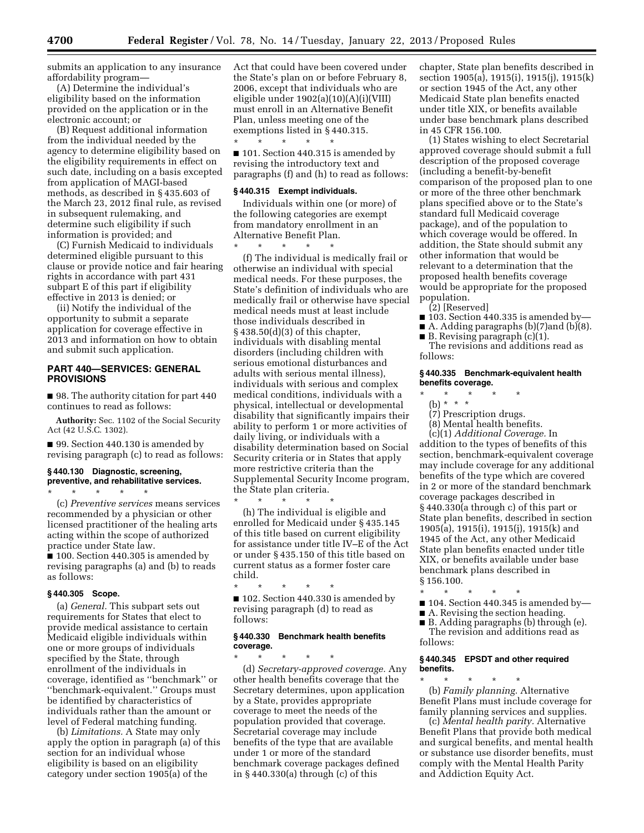submits an application to any insurance affordability program—

(A) Determine the individual's eligibility based on the information provided on the application or in the electronic account; or

(B) Request additional information from the individual needed by the agency to determine eligibility based on the eligibility requirements in effect on such date, including on a basis excepted from application of MAGI-based methods, as described in § 435.603 of the March 23, 2012 final rule, as revised in subsequent rulemaking, and determine such eligibility if such information is provided; and

(C) Furnish Medicaid to individuals determined eligible pursuant to this clause or provide notice and fair hearing rights in accordance with part 431 subpart E of this part if eligibility effective in 2013 is denied; or

(ii) Notify the individual of the opportunity to submit a separate application for coverage effective in 2013 and information on how to obtain and submit such application.

# **PART 440—SERVICES: GENERAL PROVISIONS**

■ 98. The authority citation for part 440 continues to read as follows:

**Authority:** Sec. 1102 of the Social Security Act (42 U.S.C. 1302).

■ 99. Section 440.130 is amended by revising paragraph (c) to read as follows:

#### **§ 440.130 Diagnostic, screening, preventive, and rehabilitative services.**  \* \* \* \* \*

(c) *Preventive services* means services recommended by a physician or other licensed practitioner of the healing arts acting within the scope of authorized practice under State law.

■ 100. Section 440.305 is amended by revising paragraphs (a) and (b) to reads as follows:

# **§ 440.305 Scope.**

(a) *General.* This subpart sets out requirements for States that elect to provide medical assistance to certain Medicaid eligible individuals within one or more groups of individuals specified by the State, through enrollment of the individuals in coverage, identified as ''benchmark'' or ''benchmark-equivalent.'' Groups must be identified by characteristics of individuals rather than the amount or level of Federal matching funding.

(b) *Limitations.* A State may only apply the option in paragraph (a) of this section for an individual whose eligibility is based on an eligibility category under section 1905(a) of the

Act that could have been covered under the State's plan on or before February 8, 2006, except that individuals who are eligible under 1902(a)(10)(A)(i)(VIII) must enroll in an Alternative Benefit Plan, unless meeting one of the exemptions listed in § 440.315. \* \* \* \* \*

■ 101. Section 440.315 is amended by revising the introductory text and paragraphs (f) and (h) to read as follows:

#### **§ 440.315 Exempt individuals.**

Individuals within one (or more) of the following categories are exempt from mandatory enrollment in an Alternative Benefit Plan.

\* \* \* \* \* (f) The individual is medically frail or otherwise an individual with special medical needs. For these purposes, the State's definition of individuals who are medically frail or otherwise have special medical needs must at least include those individuals described in § 438.50(d)(3) of this chapter, individuals with disabling mental disorders (including children with serious emotional disturbances and adults with serious mental illness), individuals with serious and complex medical conditions, individuals with a physical, intellectual or developmental disability that significantly impairs their ability to perform 1 or more activities of daily living, or individuals with a disability determination based on Social Security criteria or in States that apply more restrictive criteria than the Supplemental Security Income program, the State plan criteria.

\* \* \* \* \* (h) The individual is eligible and enrolled for Medicaid under § 435.145 of this title based on current eligibility for assistance under title IV–E of the Act or under § 435.150 of this title based on current status as a former foster care child.

\* \* \* \* \* ■ 102. Section 440.330 is amended by revising paragraph (d) to read as follows:

# **§ 440.330 Benchmark health benefits coverage.**

\* \* \* \* \* (d) *Secretary-approved coverage.* Any other health benefits coverage that the Secretary determines, upon application by a State, provides appropriate coverage to meet the needs of the population provided that coverage. Secretarial coverage may include benefits of the type that are available under 1 or more of the standard benchmark coverage packages defined in § 440.330(a) through (c) of this

chapter, State plan benefits described in section 1905(a), 1915(i), 1915(j), 1915(k) or section 1945 of the Act, any other Medicaid State plan benefits enacted under title XIX, or benefits available under base benchmark plans described in 45 CFR 156.100.

(1) States wishing to elect Secretarial approved coverage should submit a full description of the proposed coverage (including a benefit-by-benefit comparison of the proposed plan to one or more of the three other benchmark plans specified above or to the State's standard full Medicaid coverage package), and of the population to which coverage would be offered. In addition, the State should submit any other information that would be relevant to a determination that the proposed health benefits coverage would be appropriate for the proposed population.

(2) [Reserved]

- $\blacksquare$  103. Section 440.335 is amended by-
- A. Adding paragraphs (b)(7) and (b)(8).
- $\blacksquare$  B. Revising paragraph  $(c)(1)$ . The revisions and additions read as

follows:

# **§ 440.335 Benchmark-equivalent health benefits coverage.**

- \* \* \* \* \*
	- (b) \* \* \*
- (7) Prescription drugs. (8) Mental health benefits.
- 

(c)(1) *Additional Coverage.* In addition to the types of benefits of this section, benchmark-equivalent coverage may include coverage for any additional benefits of the type which are covered in 2 or more of the standard benchmark coverage packages described in § 440.330(a through c) of this part or State plan benefits, described in section 1905(a), 1915(i), 1915(j), 1915(k) and 1945 of the Act, any other Medicaid State plan benefits enacted under title XIX, or benefits available under base benchmark plans described in § 156.100.

- \* \* \* \* \* ■ 104. Section 440.345 is amended by—
- A. Revising the section heading.
- B. Adding paragraphs (b) through (e).

The revision and additions read as follows:

### **§ 440.345 EPSDT and other required benefits.**

\* \* \* \* \* (b) *Family planning.* Alternative Benefit Plans must include coverage for family planning services and supplies.

(c) *Mental health parity.* Alternative Benefit Plans that provide both medical and surgical benefits, and mental health or substance use disorder benefits, must comply with the Mental Health Parity and Addiction Equity Act.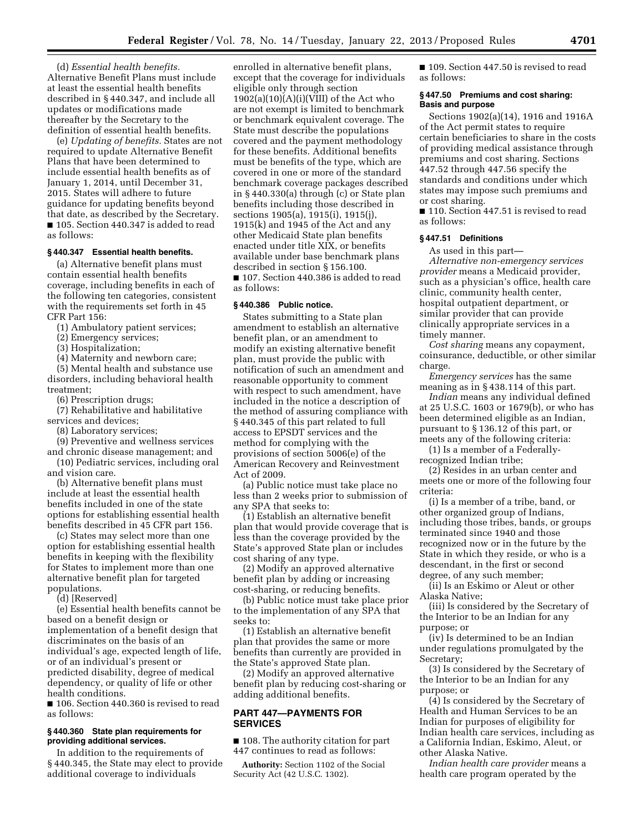(d) *Essential health benefits.*  Alternative Benefit Plans must include at least the essential health benefits described in § 440.347, and include all updates or modifications made thereafter by the Secretary to the definition of essential health benefits.

(e) *Updating of benefits.* States are not required to update Alternative Benefit Plans that have been determined to include essential health benefits as of January 1, 2014, until December 31, 2015. States will adhere to future guidance for updating benefits beyond that date, as described by the Secretary. ■ 105. Section 440.347 is added to read as follows:

#### **§ 440.347 Essential health benefits.**

(a) Alternative benefit plans must contain essential health benefits coverage, including benefits in each of the following ten categories, consistent with the requirements set forth in 45 CFR Part 156:

(1) Ambulatory patient services;

(2) Emergency services;

(3) Hospitalization;

(4) Maternity and newborn care;

(5) Mental health and substance use disorders, including behavioral health treatment;

(6) Prescription drugs;

(7) Rehabilitative and habilitative services and devices;

(8) Laboratory services;

(9) Preventive and wellness services and chronic disease management; and

(10) Pediatric services, including oral and vision care.

(b) Alternative benefit plans must include at least the essential health benefits included in one of the state options for establishing essential health benefits described in 45 CFR part 156.

(c) States may select more than one option for establishing essential health benefits in keeping with the flexibility for States to implement more than one alternative benefit plan for targeted populations.

(d) [Reserved]

(e) Essential health benefits cannot be based on a benefit design or implementation of a benefit design that discriminates on the basis of an individual's age, expected length of life, or of an individual's present or predicted disability, degree of medical dependency, or quality of life or other health conditions.

■ 106. Section 440.360 is revised to read as follows:

# **§ 440.360 State plan requirements for providing additional services.**

In addition to the requirements of § 440.345, the State may elect to provide additional coverage to individuals

enrolled in alternative benefit plans, except that the coverage for individuals eligible only through section  $1902(a)(10)(A)(i)(VIII)$  of the Act who are not exempt is limited to benchmark or benchmark equivalent coverage. The State must describe the populations covered and the payment methodology for these benefits. Additional benefits must be benefits of the type, which are covered in one or more of the standard benchmark coverage packages described in § 440.330(a) through (c) or State plan benefits including those described in sections 1905(a), 1915(i), 1915(j), 1915(k) and 1945 of the Act and any other Medicaid State plan benefits enacted under title XIX, or benefits available under base benchmark plans described in section § 156.100. ■ 107. Section 440.386 is added to read as follows:

## **§ 440.386 Public notice.**

States submitting to a State plan amendment to establish an alternative benefit plan, or an amendment to modify an existing alternative benefit plan, must provide the public with notification of such an amendment and reasonable opportunity to comment with respect to such amendment, have included in the notice a description of the method of assuring compliance with § 440.345 of this part related to full access to EPSDT services and the method for complying with the provisions of section 5006(e) of the American Recovery and Reinvestment Act of 2009.

(a) Public notice must take place no less than 2 weeks prior to submission of any SPA that seeks to:

(1) Establish an alternative benefit plan that would provide coverage that is less than the coverage provided by the State's approved State plan or includes cost sharing of any type.

(2) Modify an approved alternative benefit plan by adding or increasing cost-sharing, or reducing benefits.

(b) Public notice must take place prior to the implementation of any SPA that seeks to:

(1) Establish an alternative benefit plan that provides the same or more benefits than currently are provided in the State's approved State plan.

(2) Modify an approved alternative benefit plan by reducing cost-sharing or adding additional benefits.

# **PART 447—PAYMENTS FOR SERVICES**

■ 108. The authority citation for part 447 continues to read as follows:

**Authority:** Section 1102 of the Social Security Act (42 U.S.C. 1302).

■ 109. Section 447.50 is revised to read as follows:

## **§ 447.50 Premiums and cost sharing: Basis and purpose**

Sections 1902(a)(14), 1916 and 1916A of the Act permit states to require certain beneficiaries to share in the costs of providing medical assistance through premiums and cost sharing. Sections 447.52 through 447.56 specify the standards and conditions under which states may impose such premiums and or cost sharing.

■ 110. Section 447.51 is revised to read as follows:

### **§ 447.51 Definitions**

As used in this part—

*Alternative non-emergency services provider* means a Medicaid provider, such as a physician's office, health care clinic, community health center, hospital outpatient department, or similar provider that can provide clinically appropriate services in a timely manner.

*Cost sharing* means any copayment, coinsurance, deductible, or other similar charge.

*Emergency services* has the same meaning as in § 438.114 of this part.

*Indian* means any individual defined at 25 U.S.C. 1603 or 1679(b), or who has been determined eligible as an Indian, pursuant to § 136.12 of this part, or meets any of the following criteria:

(1) Is a member of a Federallyrecognized Indian tribe;

(2) Resides in an urban center and meets one or more of the following four criteria:

(i) Is a member of a tribe, band, or other organized group of Indians, including those tribes, bands, or groups terminated since 1940 and those recognized now or in the future by the State in which they reside, or who is a descendant, in the first or second degree, of any such member;

(ii) Is an Eskimo or Aleut or other Alaska Native;

(iii) Is considered by the Secretary of the Interior to be an Indian for any purpose; or

(iv) Is determined to be an Indian under regulations promulgated by the Secretary;

(3) Is considered by the Secretary of the Interior to be an Indian for any purpose; or

(4) Is considered by the Secretary of Health and Human Services to be an Indian for purposes of eligibility for Indian health care services, including as a California Indian, Eskimo, Aleut, or other Alaska Native.

*Indian health care provider* means a health care program operated by the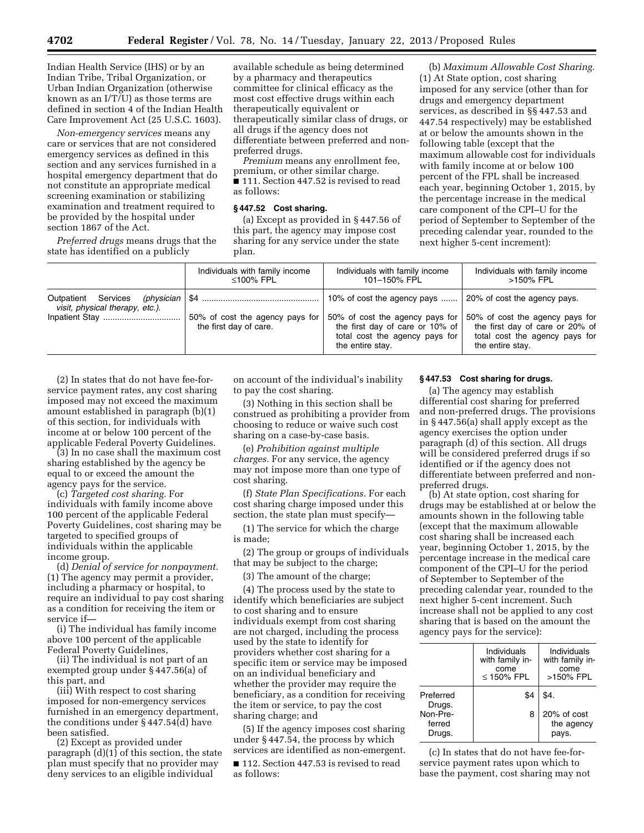Indian Health Service (IHS) or by an Indian Tribe, Tribal Organization, or Urban Indian Organization (otherwise known as an I/T/U) as those terms are defined in section 4 of the Indian Health Care Improvement Act (25 U.S.C. 1603).

*Non-emergency services* means any care or services that are not considered emergency services as defined in this section and any services furnished in a hospital emergency department that do not constitute an appropriate medical screening examination or stabilizing examination and treatment required to be provided by the hospital under section 1867 of the Act.

*Preferred drugs* means drugs that the state has identified on a publicly

available schedule as being determined by a pharmacy and therapeutics committee for clinical efficacy as the most cost effective drugs within each therapeutically equivalent or therapeutically similar class of drugs, or all drugs if the agency does not differentiate between preferred and nonpreferred drugs.

*Premium* means any enrollment fee, premium, or other similar charge. ■ 111. Section 447.52 is revised to read as follows:

## **§ 447.52 Cost sharing.**

(a) Except as provided in § 447.56 of this part, the agency may impose cost sharing for any service under the state plan.

(b) *Maximum Allowable Cost Sharing.*  (1) At State option, cost sharing imposed for any service (other than for drugs and emergency department services, as described in §§ 447.53 and 447.54 respectively) may be established at or below the amounts shown in the following table (except that the maximum allowable cost for individuals with family income at or below 100 percent of the FPL shall be increased each year, beginning October 1, 2015, by the percentage increase in the medical care component of the CPI–U for the period of September to September of the preceding calendar year, rounded to the next higher 5-cent increment):

|                                                                      | Individuals with family income                            | Individuals with family income                                                                                                                          | Individuals with family income                                                                                                                           |
|----------------------------------------------------------------------|-----------------------------------------------------------|---------------------------------------------------------------------------------------------------------------------------------------------------------|----------------------------------------------------------------------------------------------------------------------------------------------------------|
|                                                                      | ≤100% FPL                                                 | 101-150% FPL                                                                                                                                            | >150% FPL                                                                                                                                                |
| Outpatient Services<br>(physician<br>visit, physical therapy, etc.). | 50% of cost the agency pays for<br>the first day of care. | 10% of cost the agency pays<br>50% of cost the agency pays for<br>the first day of care or 10% of<br>total cost the agency pays for<br>the entire stay. | 20% of cost the agency pays.<br>50% of cost the agency pays for<br>the first day of care or 20% of<br>total cost the agency pays for<br>the entire stay. |

(2) In states that do not have fee-forservice payment rates, any cost sharing imposed may not exceed the maximum amount established in paragraph (b)(1) of this section, for individuals with income at or below 100 percent of the applicable Federal Poverty Guidelines.

(3) In no case shall the maximum cost sharing established by the agency be equal to or exceed the amount the agency pays for the service.

(c) *Targeted cost sharing.* For individuals with family income above 100 percent of the applicable Federal Poverty Guidelines, cost sharing may be targeted to specified groups of individuals within the applicable income group.

(d) *Denial of service for nonpayment.*  (1) The agency may permit a provider, including a pharmacy or hospital, to require an individual to pay cost sharing as a condition for receiving the item or service if—

(i) The individual has family income above 100 percent of the applicable Federal Poverty Guidelines,

(ii) The individual is not part of an exempted group under § 447.56(a) of this part, and

(iii) With respect to cost sharing imposed for non-emergency services furnished in an emergency department, the conditions under § 447.54(d) have been satisfied.

(2) Except as provided under paragraph (d)(1) of this section, the state plan must specify that no provider may deny services to an eligible individual

on account of the individual's inability to pay the cost sharing.

(3) Nothing in this section shall be construed as prohibiting a provider from choosing to reduce or waive such cost sharing on a case-by-case basis.

(e) *Prohibition against multiple charges.* For any service, the agency may not impose more than one type of cost sharing.

(f) *State Plan Specifications.* For each cost sharing charge imposed under this section, the state plan must specify—

(1) The service for which the charge is made;

(2) The group or groups of individuals that may be subject to the charge;

(3) The amount of the charge;

(4) The process used by the state to identify which beneficiaries are subject to cost sharing and to ensure individuals exempt from cost sharing are not charged, including the process used by the state to identify for providers whether cost sharing for a specific item or service may be imposed on an individual beneficiary and whether the provider may require the beneficiary, as a condition for receiving the item or service, to pay the cost sharing charge; and

(5) If the agency imposes cost sharing under § 447.54, the process by which services are identified as non-emergent.

■ 112. Section 447.53 is revised to read as follows:

#### **§ 447.53 Cost sharing for drugs.**

(a) The agency may establish differential cost sharing for preferred and non-preferred drugs. The provisions in § 447.56(a) shall apply except as the agency exercises the option under paragraph (d) of this section. All drugs will be considered preferred drugs if so identified or if the agency does not differentiate between preferred and nonpreferred drugs.

(b) At state option, cost sharing for drugs may be established at or below the amounts shown in the following table (except that the maximum allowable cost sharing shall be increased each year, beginning October 1, 2015, by the percentage increase in the medical care component of the CPI–U for the period of September to September of the preceding calendar year, rounded to the next higher 5-cent increment. Such increase shall not be applied to any cost sharing that is based on the amount the agency pays for the service):

|                              | Individuals<br>with family in-<br>come<br>$\leq$ 150% FPL | Individuals<br>with family in-<br>come<br>>150% FPL |
|------------------------------|-----------------------------------------------------------|-----------------------------------------------------|
| Preferred<br>Drugs.          | \$4                                                       | \$4.                                                |
| Non-Pre-<br>ferred<br>Drugs. | 8                                                         | 20% of cost<br>the agency<br>pays.                  |

(c) In states that do not have fee-forservice payment rates upon which to base the payment, cost sharing may not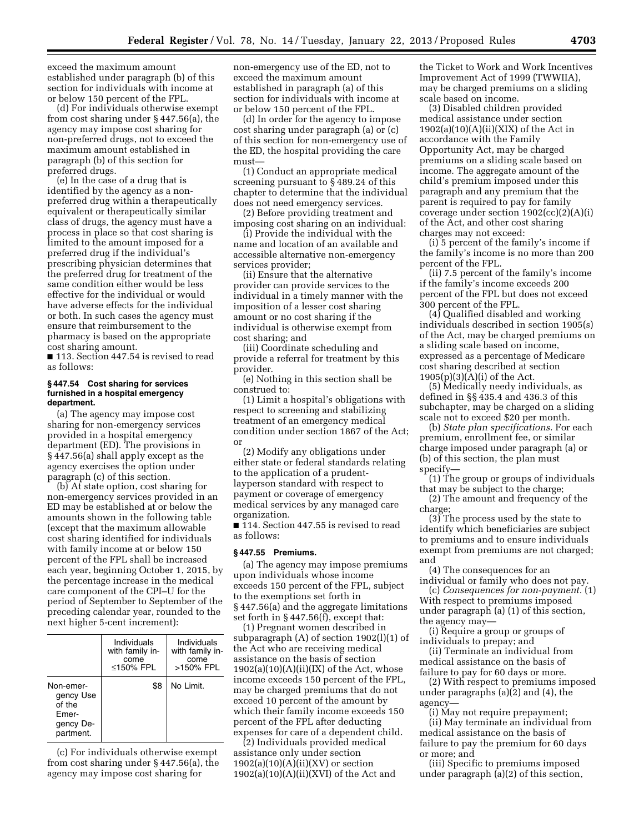exceed the maximum amount established under paragraph (b) of this section for individuals with income at or below 150 percent of the FPL.

(d) For individuals otherwise exempt from cost sharing under § 447.56(a), the agency may impose cost sharing for non-preferred drugs, not to exceed the maximum amount established in paragraph (b) of this section for preferred drugs.

(e) In the case of a drug that is identified by the agency as a nonpreferred drug within a therapeutically equivalent or therapeutically similar class of drugs, the agency must have a process in place so that cost sharing is limited to the amount imposed for a preferred drug if the individual's prescribing physician determines that the preferred drug for treatment of the same condition either would be less effective for the individual or would have adverse effects for the individual or both. In such cases the agency must ensure that reimbursement to the pharmacy is based on the appropriate cost sharing amount.

■ 113. Section 447.54 is revised to read as follows:

### **§ 447.54 Cost sharing for services furnished in a hospital emergency department.**

(a) The agency may impose cost sharing for non-emergency services provided in a hospital emergency department (ED). The provisions in § 447.56(a) shall apply except as the agency exercises the option under paragraph (c) of this section.

(b) At state option, cost sharing for non-emergency services provided in an ED may be established at or below the amounts shown in the following table (except that the maximum allowable cost sharing identified for individuals with family income at or below 150 percent of the FPL shall be increased each year, beginning October 1, 2015, by the percentage increase in the medical care component of the CPI–U for the period of September to September of the preceding calendar year, rounded to the next higher 5-cent increment):

|                                                                     | Individuals<br>with family in-<br>come<br>$\leq$ 150% FPL | Individuals<br>with family in-<br>come<br>>150% FPL |
|---------------------------------------------------------------------|-----------------------------------------------------------|-----------------------------------------------------|
| Non-emer-<br>gency Use<br>of the<br>Emer-<br>gency De-<br>partment. | \$8                                                       | No Limit.                                           |

(c) For individuals otherwise exempt from cost sharing under § 447.56(a), the agency may impose cost sharing for

non-emergency use of the ED, not to exceed the maximum amount established in paragraph (a) of this section for individuals with income at or below 150 percent of the FPL.

(d) In order for the agency to impose cost sharing under paragraph (a) or (c) of this section for non-emergency use of the ED, the hospital providing the care must—

(1) Conduct an appropriate medical screening pursuant to § 489.24 of this chapter to determine that the individual does not need emergency services.

(2) Before providing treatment and imposing cost sharing on an individual:

(i) Provide the individual with the name and location of an available and accessible alternative non-emergency services provider;

(ii) Ensure that the alternative provider can provide services to the individual in a timely manner with the imposition of a lesser cost sharing amount or no cost sharing if the individual is otherwise exempt from cost sharing; and

(iii) Coordinate scheduling and provide a referral for treatment by this provider.

(e) Nothing in this section shall be construed to:

(1) Limit a hospital's obligations with respect to screening and stabilizing treatment of an emergency medical condition under section 1867 of the Act; or

(2) Modify any obligations under either state or federal standards relating to the application of a prudentlayperson standard with respect to payment or coverage of emergency medical services by any managed care organization.

■ 114. Section 447.55 is revised to read as follows:

# **§ 447.55 Premiums.**

(a) The agency may impose premiums upon individuals whose income exceeds 150 percent of the FPL, subject to the exemptions set forth in § 447.56(a) and the aggregate limitations set forth in § 447.56(f), except that:

(1) Pregnant women described in subparagraph (A) of section 1902(l)(1) of the Act who are receiving medical assistance on the basis of section  $1902(a)(10)(A)(ii)(IX)$  of the Act, whose income exceeds 150 percent of the FPL, may be charged premiums that do not exceed 10 percent of the amount by which their family income exceeds 150 percent of the FPL after deducting expenses for care of a dependent child.

(2) Individuals provided medical assistance only under section  $1902(a)(10)(A)(ii)(XV)$  or section  $1902(a)(10)(A)(ii)(XVI)$  of the Act and

the Ticket to Work and Work Incentives Improvement Act of 1999 (TWWIIA), may be charged premiums on a sliding scale based on income.

(3) Disabled children provided medical assistance under section  $1902(a)(10)(A)(ii)(XIX)$  of the Act in accordance with the Family Opportunity Act, may be charged premiums on a sliding scale based on income. The aggregate amount of the child's premium imposed under this paragraph and any premium that the parent is required to pay for family coverage under section  $1902(cc)(2)(A)(i)$ of the Act, and other cost sharing charges may not exceed:

(i) 5 percent of the family's income if the family's income is no more than 200 percent of the FPL.

(ii) 7.5 percent of the family's income if the family's income exceeds 200 percent of the FPL but does not exceed 300 percent of the FPL.

(4) Qualified disabled and working individuals described in section 1905(s) of the Act, may be charged premiums on a sliding scale based on income, expressed as a percentage of Medicare cost sharing described at section  $1905(p)(3)(A)(i)$  of the Act.

(5) Medically needy individuals, as defined in §§ 435.4 and 436.3 of this subchapter, may be charged on a sliding scale not to exceed \$20 per month.

(b) *State plan specifications.* For each premium, enrollment fee, or similar charge imposed under paragraph (a) or (b) of this section, the plan must specify—

(1) The group or groups of individuals that may be subject to the charge;

(2) The amount and frequency of the charge;

(3) The process used by the state to identify which beneficiaries are subject to premiums and to ensure individuals exempt from premiums are not charged; and

(4) The consequences for an individual or family who does not pay.

(c) *Consequences for non-payment.* (1) With respect to premiums imposed under paragraph (a) (1) of this section, the agency may—

(i) Require a group or groups of individuals to prepay; and

(ii) Terminate an individual from medical assistance on the basis of failure to pay for 60 days or more.

(2) With respect to premiums imposed under paragraphs (a)(2) and (4), the agency—

(i) May not require prepayment; (ii) May terminate an individual from medical assistance on the basis of failure to pay the premium for 60 days or more; and

(iii) Specific to premiums imposed under paragraph (a)(2) of this section,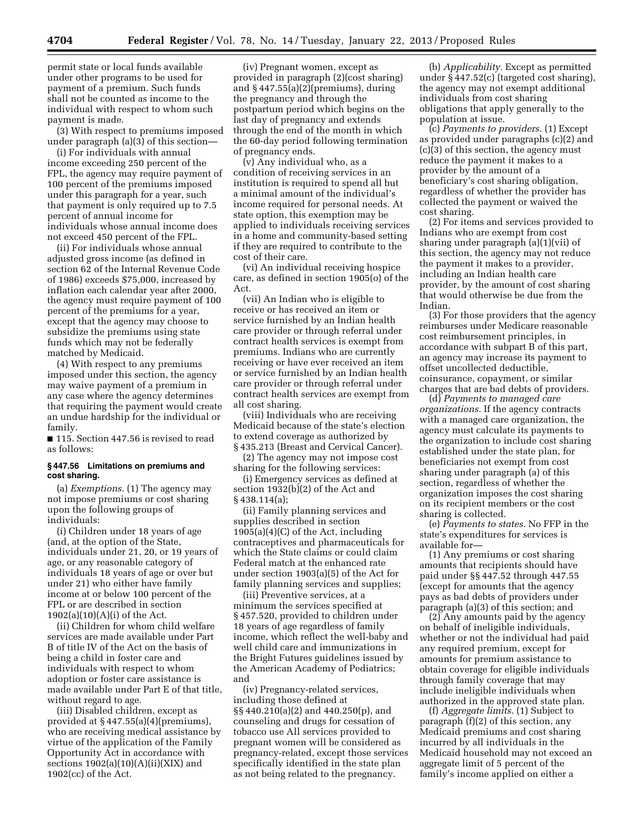permit state or local funds available under other programs to be used for payment of a premium. Such funds shall not be counted as income to the individual with respect to whom such payment is made.

(3) With respect to premiums imposed under paragraph (a)(3) of this section—

(i) For individuals with annual income exceeding 250 percent of the FPL, the agency may require payment of 100 percent of the premiums imposed under this paragraph for a year, such that payment is only required up to 7.5 percent of annual income for individuals whose annual income does not exceed 450 percent of the FPL.

(ii) For individuals whose annual adjusted gross income (as defined in section 62 of the Internal Revenue Code of 1986) exceeds \$75,000, increased by inflation each calendar year after 2000, the agency must require payment of 100 percent of the premiums for a year, except that the agency may choose to subsidize the premiums using state funds which may not be federally matched by Medicaid.

(4) With respect to any premiums imposed under this section, the agency may waive payment of a premium in any case where the agency determines that requiring the payment would create an undue hardship for the individual or family.

■ 115. Section 447.56 is revised to read as follows:

#### **§ 447.56 Limitations on premiums and cost sharing.**

(a) *Exemptions.* (1) The agency may not impose premiums or cost sharing upon the following groups of individuals:

(i) Children under 18 years of age (and, at the option of the State, individuals under 21, 20, or 19 years of age, or any reasonable category of individuals 18 years of age or over but under 21) who either have family income at or below 100 percent of the FPL or are described in section 1902(a)(10)(A)(i) of the Act.

(ii) Children for whom child welfare services are made available under Part B of title IV of the Act on the basis of being a child in foster care and individuals with respect to whom adoption or foster care assistance is made available under Part E of that title, without regard to age.

(iii) Disabled children, except as provided at § 447.55(a)(4)(premiums), who are receiving medical assistance by virtue of the application of the Family Opportunity Act in accordance with sections  $1902(a)(10)(A)(ii)(XIX)$  and 1902(cc) of the Act.

(iv) Pregnant women, except as provided in paragraph (2)(cost sharing) and § 447.55(a)(2)(premiums), during the pregnancy and through the postpartum period which begins on the last day of pregnancy and extends through the end of the month in which the 60-day period following termination of pregnancy ends.

(v) Any individual who, as a condition of receiving services in an institution is required to spend all but a minimal amount of the individual's income required for personal needs. At state option, this exemption may be applied to individuals receiving services in a home and community-based setting if they are required to contribute to the cost of their care.

(vi) An individual receiving hospice care, as defined in section 1905(o) of the Act.

(vii) An Indian who is eligible to receive or has received an item or service furnished by an Indian health care provider or through referral under contract health services is exempt from premiums. Indians who are currently receiving or have ever received an item or service furnished by an Indian health care provider or through referral under contract health services are exempt from all cost sharing.

(viii) Individuals who are receiving Medicaid because of the state's election to extend coverage as authorized by § 435.213 (Breast and Cervical Cancer).

(2) The agency may not impose cost sharing for the following services:

(i) Emergency services as defined at section 1932(b)(2) of the Act and § 438.114(a);

(ii) Family planning services and supplies described in section 1905(a)(4)(C) of the Act, including contraceptives and pharmaceuticals for which the State claims or could claim Federal match at the enhanced rate under section 1903(a)(5) of the Act for family planning services and supplies;

(iii) Preventive services, at a minimum the services specified at § 457.520, provided to children under 18 years of age regardless of family income, which reflect the well-baby and well child care and immunizations in the Bright Futures guidelines issued by the American Academy of Pediatrics; and

(iv) Pregnancy-related services, including those defined at §§ 440.210(a)(2) and 440.250(p), and counseling and drugs for cessation of tobacco use All services provided to pregnant women will be considered as pregnancy-related, except those services specifically identified in the state plan as not being related to the pregnancy.

(b) *Applicability.* Except as permitted under § 447.52(c) (targeted cost sharing), the agency may not exempt additional individuals from cost sharing obligations that apply generally to the population at issue.

(c) *Payments to providers.* (1) Except as provided under paragraphs (c)(2) and (c)(3) of this section, the agency must reduce the payment it makes to a provider by the amount of a beneficiary's cost sharing obligation, regardless of whether the provider has collected the payment or waived the cost sharing.

(2) For items and services provided to Indians who are exempt from cost sharing under paragraph (a)(1)(vii) of this section, the agency may not reduce the payment it makes to a provider, including an Indian health care provider, by the amount of cost sharing that would otherwise be due from the Indian.

(3) For those providers that the agency reimburses under Medicare reasonable cost reimbursement principles, in accordance with subpart B of this part, an agency may increase its payment to offset uncollected deductible, coinsurance, copayment, or similar charges that are bad debts of providers.

(d) *Payments to managed care organizations.* If the agency contracts with a managed care organization, the agency must calculate its payments to the organization to include cost sharing established under the state plan, for beneficiaries not exempt from cost sharing under paragraph (a) of this section, regardless of whether the organization imposes the cost sharing on its recipient members or the cost sharing is collected.

(e) *Payments to states.* No FFP in the state's expenditures for services is available for—

(1) Any premiums or cost sharing amounts that recipients should have paid under §§ 447.52 through 447.55 (except for amounts that the agency pays as bad debts of providers under paragraph (a)(3) of this section; and

(2) Any amounts paid by the agency on behalf of ineligible individuals, whether or not the individual had paid any required premium, except for amounts for premium assistance to obtain coverage for eligible individuals through family coverage that may include ineligible individuals when authorized in the approved state plan.

(f) *Aggregate limits.* (1) Subject to paragraph (f)(2) of this section, any Medicaid premiums and cost sharing incurred by all individuals in the Medicaid household may not exceed an aggregate limit of 5 percent of the family's income applied on either a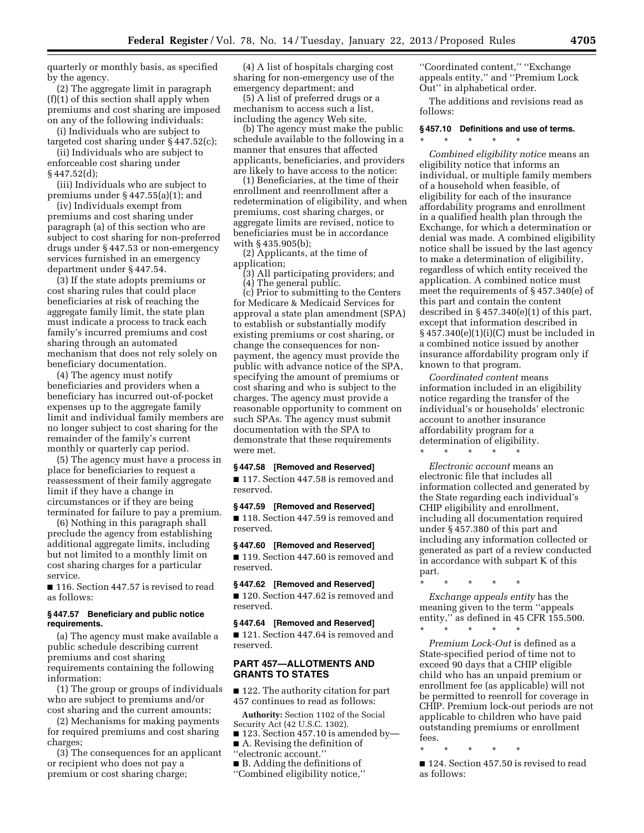quarterly or monthly basis, as specified by the agency.

(2) The aggregate limit in paragraph (f)(1) of this section shall apply when premiums and cost sharing are imposed on any of the following individuals:

(i) Individuals who are subject to targeted cost sharing under § 447.52(c);

(ii) Individuals who are subject to enforceable cost sharing under

 $§ 447.52(d);$ 

(iii) Individuals who are subject to premiums under § 447.55(a)(1); and

(iv) Individuals exempt from premiums and cost sharing under paragraph (a) of this section who are subject to cost sharing for non-preferred drugs under § 447.53 or non-emergency services furnished in an emergency department under § 447.54.

(3) If the state adopts premiums or cost sharing rules that could place beneficiaries at risk of reaching the aggregate family limit, the state plan must indicate a process to track each family's incurred premiums and cost sharing through an automated mechanism that does not rely solely on beneficiary documentation.

(4) The agency must notify beneficiaries and providers when a beneficiary has incurred out-of-pocket expenses up to the aggregate family limit and individual family members are no longer subject to cost sharing for the remainder of the family's current monthly or quarterly cap period.

(5) The agency must have a process in place for beneficiaries to request a reassessment of their family aggregate limit if they have a change in circumstances or if they are being terminated for failure to pay a premium.

(6) Nothing in this paragraph shall preclude the agency from establishing additional aggregate limits, including but not limited to a monthly limit on cost sharing charges for a particular service.

■ 116. Section 447.57 is revised to read as follows:

## **§ 447.57 Beneficiary and public notice requirements.**

(a) The agency must make available a public schedule describing current premiums and cost sharing requirements containing the following information:

(1) The group or groups of individuals who are subject to premiums and/or cost sharing and the current amounts;

(2) Mechanisms for making payments for required premiums and cost sharing charges;

(3) The consequences for an applicant or recipient who does not pay a premium or cost sharing charge;

(4) A list of hospitals charging cost sharing for non-emergency use of the emergency department; and

(5) A list of preferred drugs or a mechanism to access such a list, including the agency Web site.

(b) The agency must make the public schedule available to the following in a manner that ensures that affected applicants, beneficiaries, and providers are likely to have access to the notice:

(1) Beneficiaries, at the time of their enrollment and reenrollment after a redetermination of eligibility, and when premiums, cost sharing charges, or aggregate limits are revised, notice to beneficiaries must be in accordance with § 435.905(b);

(2) Applicants, at the time of application;

- (3) All participating providers; and
- (4) The general public.

(c) Prior to submitting to the Centers for Medicare & Medicaid Services for approval a state plan amendment (SPA) to establish or substantially modify existing premiums or cost sharing, or change the consequences for nonpayment, the agency must provide the public with advance notice of the SPA, specifying the amount of premiums or cost sharing and who is subject to the charges. The agency must provide a reasonable opportunity to comment on such SPAs. The agency must submit documentation with the SPA to demonstrate that these requirements were met.

# **§ 447.58 [Removed and Reserved]**

■ 117. Section 447.58 is removed and reserved.

**§ 447.59 [Removed and Reserved]**  ■ 118. Section 447.59 is removed and reserved.

**§ 447.60 [Removed and Reserved]**  ■ 119. Section 447.60 is removed and reserved.

**§ 447.62 [Removed and Reserved]**  ■ 120. Section 447.62 is removed and reserved.

**§ 447.64 [Removed and Reserved]** 

■ 121. Section 447.64 is removed and reserved.

# **PART 457—ALLOTMENTS AND GRANTS TO STATES**

■ 122. The authority citation for part 457 continues to read as follows:

**Authority:** Section 1102 of the Social Security Act (42 U.S.C. 1302).

■ 123. Section 457.10 is amended by—

■ A. Revising the definition of

- ''electronic account.''
- B. Adding the definitions of
- ''Combined eligibility notice,''

''Coordinated content,'' ''Exchange appeals entity,'' and ''Premium Lock Out'' in alphabetical order.

The additions and revisions read as follows:

# **§ 457.10 Definitions and use of terms.**

\* \* \* \* \*

*Combined eligibility notice* means an eligibility notice that informs an individual, or multiple family members of a household when feasible, of eligibility for each of the insurance affordability programs and enrollment in a qualified health plan through the Exchange, for which a determination or denial was made. A combined eligibility notice shall be issued by the last agency to make a determination of eligibility, regardless of which entity received the application. A combined notice must meet the requirements of § 457.340(e) of this part and contain the content described in § 457.340(e)(1) of this part, except that information described in  $§$  457.340(e)(1)(i)(C) must be included in a combined notice issued by another insurance affordability program only if known to that program.

*Coordinated content* means information included in an eligibility notice regarding the transfer of the individual's or households' electronic account to another insurance affordability program for a determination of eligibility. \* \* \* \* \*

*Electronic account* means an electronic file that includes all information collected and generated by the State regarding each individual's CHIP eligibility and enrollment, including all documentation required under § 457.380 of this part and including any information collected or generated as part of a review conducted in accordance with subpart K of this part.

\* \* \* \* \*

*Exchange appeals entity* has the meaning given to the term ''appeals entity,'' as defined in 45 CFR 155.500. \* \* \* \* \*

*Premium Lock-Out* is defined as a State-specified period of time not to exceed 90 days that a CHIP eligible child who has an unpaid premium or enrollment fee (as applicable) will not be permitted to reenroll for coverage in CHIP. Premium lock-out periods are not applicable to children who have paid outstanding premiums or enrollment fees.

\* \* \* \* \*

■ 124. Section 457.50 is revised to read as follows: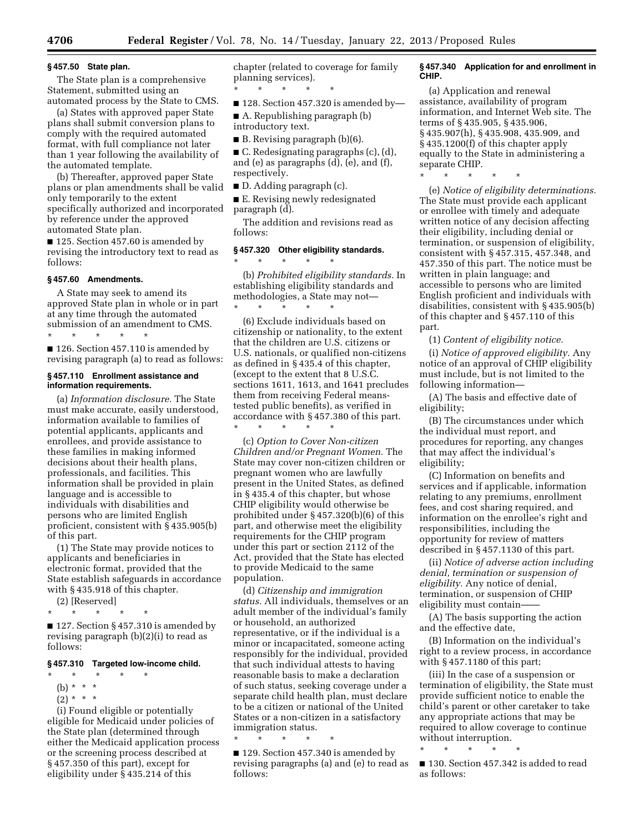# **§ 457.50 State plan.**

The State plan is a comprehensive Statement, submitted using an automated process by the State to CMS.

(a) States with approved paper State plans shall submit conversion plans to comply with the required automated format, with full compliance not later than 1 year following the availability of the automated template.

(b) Thereafter, approved paper State plans or plan amendments shall be valid only temporarily to the extent specifically authorized and incorporated by reference under the approved automated State plan.

■ 125. Section 457.60 is amended by revising the introductory text to read as follows:

#### **§ 457.60 Amendments.**

A State may seek to amend its approved State plan in whole or in part at any time through the automated submission of an amendment to CMS.

\* \* \* \* \* ■ 126. Section 457.110 is amended by revising paragraph (a) to read as follows:

#### **§ 457.110 Enrollment assistance and information requirements.**

(a) *Information disclosure.* The State must make accurate, easily understood, information available to families of potential applicants, applicants and enrollees, and provide assistance to these families in making informed decisions about their health plans, professionals, and facilities. This information shall be provided in plain language and is accessible to individuals with disabilities and persons who are limited English proficient, consistent with § 435.905(b) of this part.

(1) The State may provide notices to applicants and beneficiaries in electronic format, provided that the State establish safeguards in accordance with § 435.918 of this chapter.

(2) [Reserved]

\* \* \* \* \*

■ 127. Section § 457.310 is amended by revising paragraph (b)(2)(i) to read as follows:

## **§ 457.310 Targeted low-income child.**

\* \* \* \* \*

- (b) \* \* \*
- $(2) * * * *$

(i) Found eligible or potentially eligible for Medicaid under policies of the State plan (determined through either the Medicaid application process or the screening process described at § 457.350 of this part), except for eligibility under § 435.214 of this

chapter (related to coverage for family planning services).

\* \* \* \* \* ■ 128. Section 457.320 is amended by-

■ A. Republishing paragraph (b) introductory text.

■ B. Revising paragraph (b)(6).

 $\blacksquare$  C. Redesignating paragraphs (c), (d), and (e) as paragraphs (d), (e), and (f), respectively.

■ D. Adding paragraph (c).

■ E. Revising newly redesignated paragraph (d).

The addition and revisions read as follows:

# **§ 457.320 Other eligibility standards.**  \* \* \* \* \*

(b) *Prohibited eligibility standards.* In establishing eligibility standards and methodologies, a State may not— \* \* \* \* \*

(6) Exclude individuals based on citizenship or nationality, to the extent that the children are U.S. citizens or U.S. nationals, or qualified non-citizens as defined in § 435.4 of this chapter, (except to the extent that 8 U.S.C. sections 1611, 1613, and 1641 precludes them from receiving Federal meanstested public benefits), as verified in accordance with § 457.380 of this part. \* \* \* \* \*

(c) *Option to Cover Non-citizen Children and/or Pregnant Women.* The State may cover non-citizen children or pregnant women who are lawfully present in the United States, as defined in § 435.4 of this chapter, but whose CHIP eligibility would otherwise be prohibited under § 457.320(b)(6) of this part, and otherwise meet the eligibility requirements for the CHIP program under this part or section 2112 of the Act, provided that the State has elected to provide Medicaid to the same population.

(d) *Citizenship and immigration status.* All individuals, themselves or an adult member of the individual's family or household, an authorized representative, or if the individual is a minor or incapacitated, someone acting responsibly for the individual, provided that such individual attests to having reasonable basis to make a declaration of such status, seeking coverage under a separate child health plan, must declare to be a citizen or national of the United States or a non-citizen in a satisfactory immigration status.

\* \* \* \* \*

■ 129. Section 457.340 is amended by revising paragraphs (a) and (e) to read as follows:

### **§ 457.340 Application for and enrollment in CHIP.**

(a) Application and renewal assistance, availability of program information, and Internet Web site. The terms of § 435.905, § 435.906, § 435.907(h), § 435.908, 435.909, and § 435.1200(f) of this chapter apply equally to the State in administering a separate CHIP.

\* \* \* \* \*

(e) *Notice of eligibility determinations.*  The State must provide each applicant or enrollee with timely and adequate written notice of any decision affecting their eligibility, including denial or termination, or suspension of eligibility, consistent with § 457.315, 457.348, and 457.350 of this part. The notice must be written in plain language; and accessible to persons who are limited English proficient and individuals with disabilities, consistent with § 435.905(b) of this chapter and § 457.110 of this part.

(1) *Content of eligibility notice.* 

(i) *Notice of approved eligibility.* Any notice of an approval of CHIP eligibility must include, but is not limited to the following information—

(A) The basis and effective date of eligibility;

(B) The circumstances under which the individual must report, and procedures for reporting, any changes that may affect the individual's eligibility;

(C) Information on benefits and services and if applicable, information relating to any premiums, enrollment fees, and cost sharing required, and information on the enrollee's right and responsibilities, including the opportunity for review of matters described in § 457.1130 of this part.

(ii) *Notice of adverse action including denial, termination or suspension of eligibility.* Any notice of denial, termination, or suspension of CHIP eligibility must contain-

(A) The basis supporting the action and the effective date,

(B) Information on the individual's right to a review process, in accordance with § 457.1180 of this part;

(iii) In the case of a suspension or termination of eligibility, the State must provide sufficient notice to enable the child's parent or other caretaker to take any appropriate actions that may be required to allow coverage to continue without interruption.

\* \* \* \* \* ■ 130. Section 457.342 is added to read

as follows: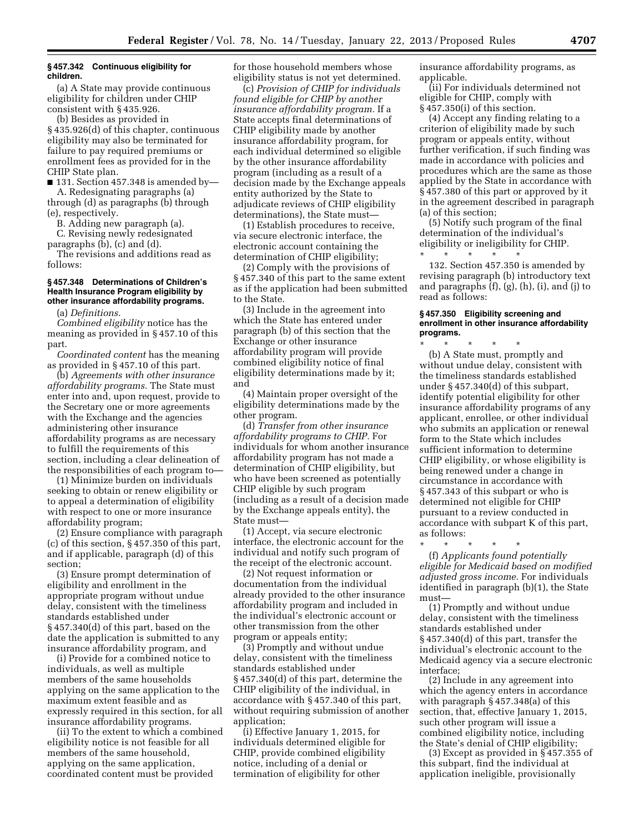## **§ 457.342 Continuous eligibility for children.**

(a) A State may provide continuous eligibility for children under CHIP consistent with § 435.926.

(b) Besides as provided in § 435.926(d) of this chapter, continuous eligibility may also be terminated for failure to pay required premiums or enrollment fees as provided for in the CHIP State plan.

 $\blacksquare$  131. Section 457.348 is amended by— A. Redesignating paragraphs (a)

through (d) as paragraphs (b) through (e), respectively.

B. Adding new paragraph (a).

C. Revising newly redesignated paragraphs (b), (c) and (d).

The revisions and additions read as follows:

## **§ 457.348 Determinations of Children's Health Insurance Program eligibility by other insurance affordability programs.**

(a) *Definitions.* 

*Combined eligibility* notice has the meaning as provided in § 457.10 of this part.

*Coordinated content* has the meaning as provided in § 457.10 of this part.

(b) *Agreements with other insurance affordability programs.* The State must enter into and, upon request, provide to the Secretary one or more agreements with the Exchange and the agencies administering other insurance affordability programs as are necessary to fulfill the requirements of this section, including a clear delineation of the responsibilities of each program to—

(1) Minimize burden on individuals seeking to obtain or renew eligibility or to appeal a determination of eligibility with respect to one or more insurance affordability program;

(2) Ensure compliance with paragraph (c) of this section, § 457.350 of this part, and if applicable, paragraph (d) of this section;

(3) Ensure prompt determination of eligibility and enrollment in the appropriate program without undue delay, consistent with the timeliness standards established under § 457.340(d) of this part, based on the date the application is submitted to any insurance affordability program, and

(i) Provide for a combined notice to individuals, as well as multiple members of the same households applying on the same application to the maximum extent feasible and as expressly required in this section, for all insurance affordability programs.

(ii) To the extent to which a combined eligibility notice is not feasible for all members of the same household, applying on the same application, coordinated content must be provided

for those household members whose eligibility status is not yet determined.

(c) *Provision of CHIP for individuals found eligible for CHIP by another insurance affordability program.* If a State accepts final determinations of CHIP eligibility made by another insurance affordability program, for each individual determined so eligible by the other insurance affordability program (including as a result of a decision made by the Exchange appeals entity authorized by the State to adjudicate reviews of CHIP eligibility determinations), the State must—

(1) Establish procedures to receive, via secure electronic interface, the electronic account containing the determination of CHIP eligibility;

(2) Comply with the provisions of § 457.340 of this part to the same extent as if the application had been submitted to the State.

(3) Include in the agreement into which the State has entered under paragraph (b) of this section that the Exchange or other insurance affordability program will provide combined eligibility notice of final eligibility determinations made by it; and

(4) Maintain proper oversight of the eligibility determinations made by the other program.

(d) *Transfer from other insurance affordability programs to CHIP.* For individuals for whom another insurance affordability program has not made a determination of CHIP eligibility, but who have been screened as potentially CHIP eligible by such program (including as a result of a decision made by the Exchange appeals entity), the State must—

(1) Accept, via secure electronic interface, the electronic account for the individual and notify such program of the receipt of the electronic account.

(2) Not request information or documentation from the individual already provided to the other insurance affordability program and included in the individual's electronic account or other transmission from the other program or appeals entity;

(3) Promptly and without undue delay, consistent with the timeliness standards established under § 457.340(d) of this part, determine the CHIP eligibility of the individual, in accordance with § 457.340 of this part, without requiring submission of another application;

(i) Effective January 1, 2015, for individuals determined eligible for CHIP, provide combined eligibility notice, including of a denial or termination of eligibility for other

insurance affordability programs, as applicable.

(ii) For individuals determined not eligible for CHIP, comply with § 457.350(i) of this section.

(4) Accept any finding relating to a criterion of eligibility made by such program or appeals entity, without further verification, if such finding was made in accordance with policies and procedures which are the same as those applied by the State in accordance with § 457.380 of this part or approved by it in the agreement described in paragraph (a) of this section;

(5) Notify such program of the final determination of the individual's eligibility or ineligibility for CHIP. \* \* \* \* \*

132. Section 457.350 is amended by revising paragraph (b) introductory text and paragraphs (f), (g), (h), (i), and (j) to read as follows:

#### **§ 457.350 Eligibility screening and enrollment in other insurance affordability programs.**

\* \* \* \* \* (b) A State must, promptly and without undue delay, consistent with the timeliness standards established under § 457.340(d) of this subpart, identify potential eligibility for other insurance affordability programs of any applicant, enrollee, or other individual who submits an application or renewal form to the State which includes sufficient information to determine CHIP eligibility, or whose eligibility is being renewed under a change in circumstance in accordance with § 457.343 of this subpart or who is determined not eligible for CHIP pursuant to a review conducted in accordance with subpart K of this part, as follows:

\* \* \* \* \*

(f) *Applicants found potentially eligible for Medicaid based on modified adjusted gross income.* For individuals identified in paragraph (b)(1), the State must—

(1) Promptly and without undue delay, consistent with the timeliness standards established under § 457.340(d) of this part, transfer the individual's electronic account to the Medicaid agency via a secure electronic interface;

(2) Include in any agreement into which the agency enters in accordance with paragraph § 457.348(a) of this section, that, effective January 1, 2015, such other program will issue a combined eligibility notice, including the State's denial of CHIP eligibility;

(3) Except as provided in § 457.355 of this subpart, find the individual at application ineligible, provisionally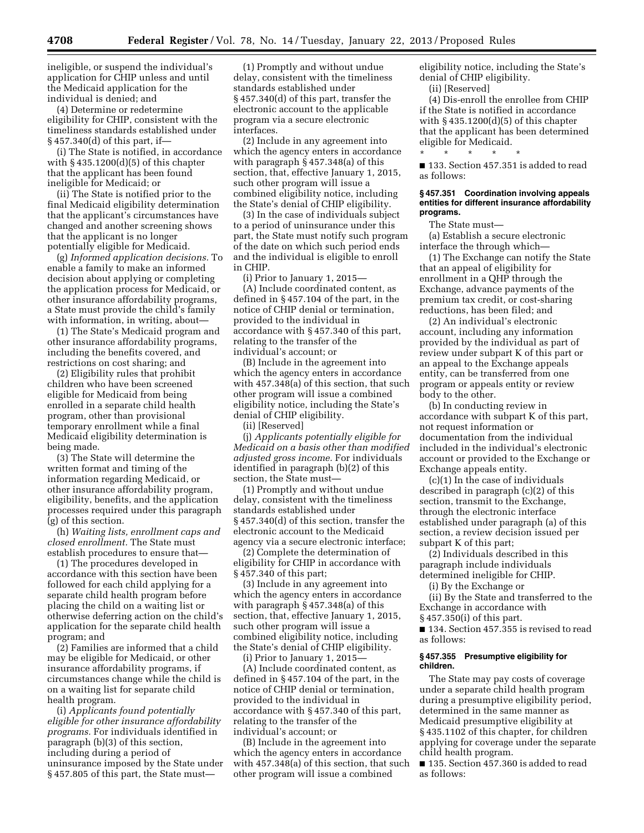ineligible, or suspend the individual's application for CHIP unless and until the Medicaid application for the individual is denied; and

(4) Determine or redetermine eligibility for CHIP, consistent with the timeliness standards established under § 457.340(d) of this part, if—

(i) The State is notified, in accordance with  $§$  435.1200 $(d)(5)$  of this chapter that the applicant has been found ineligible for Medicaid; or

(ii) The State is notified prior to the final Medicaid eligibility determination that the applicant's circumstances have changed and another screening shows that the applicant is no longer potentially eligible for Medicaid.

(g) *Informed application decisions.* To enable a family to make an informed decision about applying or completing the application process for Medicaid, or other insurance affordability programs, a State must provide the child's family with information, in writing, about—

(1) The State's Medicaid program and other insurance affordability programs, including the benefits covered, and restrictions on cost sharing; and

(2) Eligibility rules that prohibit children who have been screened eligible for Medicaid from being enrolled in a separate child health program, other than provisional temporary enrollment while a final Medicaid eligibility determination is being made.

(3) The State will determine the written format and timing of the information regarding Medicaid, or other insurance affordability program, eligibility, benefits, and the application processes required under this paragraph (g) of this section.

(h) *Waiting lists, enrollment caps and closed enrollment.* The State must establish procedures to ensure that—

(1) The procedures developed in accordance with this section have been followed for each child applying for a separate child health program before placing the child on a waiting list or otherwise deferring action on the child's application for the separate child health program; and

(2) Families are informed that a child may be eligible for Medicaid, or other insurance affordability programs, if circumstances change while the child is on a waiting list for separate child health program.

(i) *Applicants found potentially eligible for other insurance affordability programs.* For individuals identified in paragraph (b)(3) of this section, including during a period of uninsurance imposed by the State under § 457.805 of this part, the State must—

(1) Promptly and without undue delay, consistent with the timeliness standards established under § 457.340(d) of this part, transfer the electronic account to the applicable program via a secure electronic interfaces.

(2) Include in any agreement into which the agency enters in accordance with paragraph § 457.348(a) of this section, that, effective January 1, 2015, such other program will issue a combined eligibility notice, including the State's denial of CHIP eligibility.

(3) In the case of individuals subject to a period of uninsurance under this part, the State must notify such program of the date on which such period ends and the individual is eligible to enroll in CHIP.

(i) Prior to January 1, 2015— (A) Include coordinated content, as defined in § 457.104 of the part, in the notice of CHIP denial or termination, provided to the individual in accordance with § 457.340 of this part, relating to the transfer of the individual's account; or

(B) Include in the agreement into which the agency enters in accordance with 457.348(a) of this section, that such other program will issue a combined eligibility notice, including the State's denial of CHIP eligibility.

(ii) [Reserved]

(j) *Applicants potentially eligible for Medicaid on a basis other than modified adjusted gross income.* For individuals identified in paragraph (b)(2) of this section, the State must—

(1) Promptly and without undue delay, consistent with the timeliness standards established under § 457.340(d) of this section, transfer the electronic account to the Medicaid agency via a secure electronic interface;

(2) Complete the determination of eligibility for CHIP in accordance with § 457.340 of this part;

(3) Include in any agreement into which the agency enters in accordance with paragraph § 457.348(a) of this section, that, effective January 1, 2015, such other program will issue a combined eligibility notice, including the State's denial of CHIP eligibility.

(i) Prior to January 1, 2015—

(A) Include coordinated content, as defined in § 457.104 of the part, in the notice of CHIP denial or termination, provided to the individual in accordance with § 457.340 of this part, relating to the transfer of the individual's account; or

(B) Include in the agreement into which the agency enters in accordance with 457.348(a) of this section, that such other program will issue a combined

eligibility notice, including the State's denial of CHIP eligibility.

(ii) [Reserved]

(4) Dis-enroll the enrollee from CHIP if the State is notified in accordance with  $§$  435.1200 $(d)(5)$  of this chapter that the applicant has been determined eligible for Medicaid.

■ 133. Section 457.351 is added to read as follows:

#### **§ 457.351 Coordination involving appeals entities for different insurance affordability programs.**

The State must—

\* \* \* \* \*

(a) Establish a secure electronic interface the through which—

(1) The Exchange can notify the State that an appeal of eligibility for enrollment in a QHP through the Exchange, advance payments of the premium tax credit, or cost-sharing reductions, has been filed; and

(2) An individual's electronic account, including any information provided by the individual as part of review under subpart K of this part or an appeal to the Exchange appeals entity, can be transferred from one program or appeals entity or review body to the other.

(b) In conducting review in accordance with subpart K of this part, not request information or documentation from the individual included in the individual's electronic account or provided to the Exchange or Exchange appeals entity.

(c)(1) In the case of individuals described in paragraph (c)(2) of this section, transmit to the Exchange, through the electronic interface established under paragraph (a) of this section, a review decision issued per subpart K of this part;

(2) Individuals described in this paragraph include individuals determined ineligible for CHIP.

(i) By the Exchange or

(ii) By the State and transferred to the Exchange in accordance with § 457.350(i) of this part.

■ 134. Section 457.355 is revised to read as follows:

#### **§ 457.355 Presumptive eligibility for children.**

The State may pay costs of coverage under a separate child health program during a presumptive eligibility period, determined in the same manner as Medicaid presumptive eligibility at § 435.1102 of this chapter, for children applying for coverage under the separate child health program.

■ 135. Section 457.360 is added to read as follows: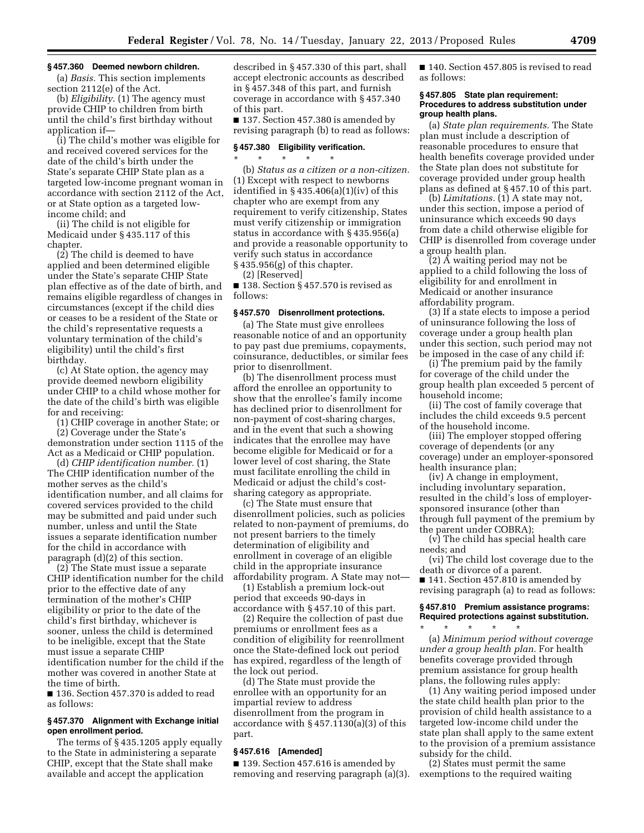# **§ 457.360 Deemed newborn children.**

(a) *Basis.* This section implements section 2112(e) of the Act.

(b) *Eligibility.* (1) The agency must provide CHIP to children from birth until the child's first birthday without application if—

(i) The child's mother was eligible for and received covered services for the date of the child's birth under the State's separate CHIP State plan as a targeted low-income pregnant woman in accordance with section 2112 of the Act, or at State option as a targeted lowincome child; and

(ii) The child is not eligible for Medicaid under § 435.117 of this chapter.

(2) The child is deemed to have applied and been determined eligible under the State's separate CHIP State plan effective as of the date of birth, and remains eligible regardless of changes in circumstances (except if the child dies or ceases to be a resident of the State or the child's representative requests a voluntary termination of the child's eligibility) until the child's first birthday.

(c) At State option, the agency may provide deemed newborn eligibility under CHIP to a child whose mother for the date of the child's birth was eligible for and receiving:

(1) CHIP coverage in another State; or (2) Coverage under the State's demonstration under section 1115 of the Act as a Medicaid or CHIP population.

(d) *CHIP identification number.* (1) The CHIP identification number of the mother serves as the child's identification number, and all claims for covered services provided to the child may be submitted and paid under such number, unless and until the State issues a separate identification number for the child in accordance with paragraph (d)(2) of this section.

(2) The State must issue a separate CHIP identification number for the child prior to the effective date of any termination of the mother's CHIP eligibility or prior to the date of the child's first birthday, whichever is sooner, unless the child is determined to be ineligible, except that the State must issue a separate CHIP identification number for the child if the mother was covered in another State at the time of birth.

■ 136. Section 457.370 is added to read as follows:

## **§ 457.370 Alignment with Exchange initial open enrollment period.**

The terms of § 435.1205 apply equally to the State in administering a separate CHIP, except that the State shall make available and accept the application

described in § 457.330 of this part, shall accept electronic accounts as described in § 457.348 of this part, and furnish coverage in accordance with § 457.340 of this part.

■ 137. Section 457.380 is amended by revising paragraph (b) to read as follows:

## **§ 457.380 Eligibility verification.**

\* \* \* \* \* (b) *Status as a citizen or a non-citizen.*  (1) Except with respect to newborns identified in  $\S 435.406(a)(1)(iv)$  of this chapter who are exempt from any requirement to verify citizenship, States must verify citizenship or immigration status in accordance with § 435.956(a) and provide a reasonable opportunity to verify such status in accordance § 435.956(g) of this chapter.

(2) [Reserved]

■ 138. Section § 457.570 is revised as follows:

#### **§ 457.570 Disenrollment protections.**

(a) The State must give enrollees reasonable notice of and an opportunity to pay past due premiums, copayments, coinsurance, deductibles, or similar fees prior to disenrollment.

(b) The disenrollment process must afford the enrollee an opportunity to show that the enrollee's family income has declined prior to disenrollment for non-payment of cost-sharing charges, and in the event that such a showing indicates that the enrollee may have become eligible for Medicaid or for a lower level of cost sharing, the State must facilitate enrolling the child in Medicaid or adjust the child's costsharing category as appropriate.

(c) The State must ensure that disenrollment policies, such as policies related to non-payment of premiums, do not present barriers to the timely determination of eligibility and enrollment in coverage of an eligible child in the appropriate insurance affordability program. A State may not—

(1) Establish a premium lock-out period that exceeds 90-days in accordance with § 457.10 of this part.

(2) Require the collection of past due premiums or enrollment fees as a condition of eligibility for reenrollment once the State-defined lock out period has expired, regardless of the length of the lock out period.

(d) The State must provide the enrollee with an opportunity for an impartial review to address disenrollment from the program in accordance with § 457.1130(a)(3) of this part.

### **§ 457.616 [Amended]**

■ 139. Section 457.616 is amended by removing and reserving paragraph (a)(3). ■ 140. Section 457,805 is revised to read as follows:

### **§ 457.805 State plan requirement: Procedures to address substitution under group health plans.**

(a) *State plan requirements.* The State plan must include a description of reasonable procedures to ensure that health benefits coverage provided under the State plan does not substitute for coverage provided under group health plans as defined at § 457.10 of this part.

(b) *Limitations.* (1) A state may not, under this section, impose a period of uninsurance which exceeds 90 days from date a child otherwise eligible for CHIP is disenrolled from coverage under a group health plan.

(2) A waiting period may not be applied to a child following the loss of eligibility for and enrollment in Medicaid or another insurance affordability program.

(3) If a state elects to impose a period of uninsurance following the loss of coverage under a group health plan under this section, such period may not be imposed in the case of any child if:

(i) The premium paid by the family for coverage of the child under the group health plan exceeded 5 percent of household income;

(ii) The cost of family coverage that includes the child exceeds 9.5 percent of the household income.

(iii) The employer stopped offering coverage of dependents (or any coverage) under an employer-sponsored health insurance plan;

(iv) A change in employment, including involuntary separation, resulted in the child's loss of employersponsored insurance (other than through full payment of the premium by the parent under COBRA);

(v) The child has special health care needs; and

(vi) The child lost coverage due to the death or divorce of a parent. ■ 141. Section 457.810 is amended by

revising paragraph (a) to read as follows:

#### **§ 457.810 Premium assistance programs: Required protections against substitution.**  \* \* \* \* \*

(a) *Minimum period without coverage under a group health plan.* For health benefits coverage provided through premium assistance for group health plans, the following rules apply:

(1) Any waiting period imposed under the state child health plan prior to the provision of child health assistance to a targeted low-income child under the state plan shall apply to the same extent to the provision of a premium assistance subsidy for the child.

(2) States must permit the same exemptions to the required waiting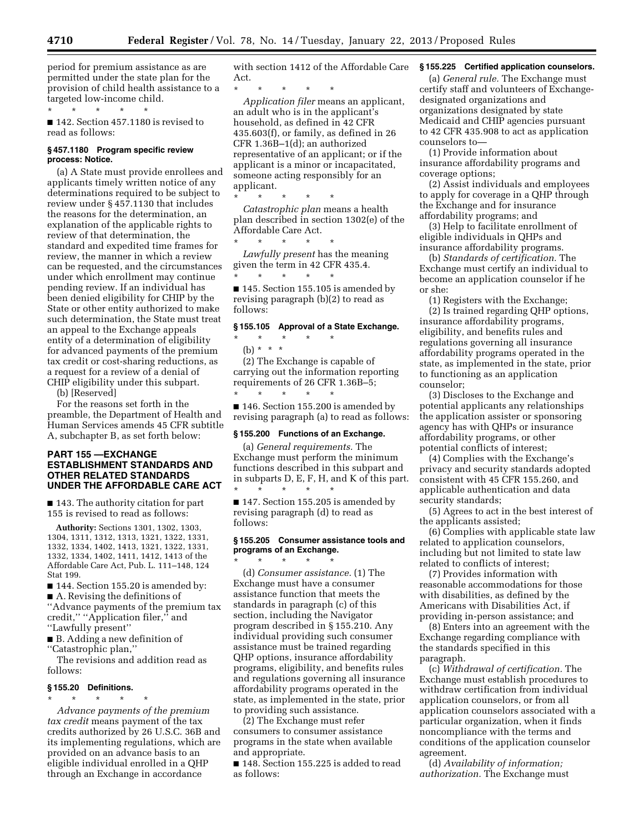period for premium assistance as are permitted under the state plan for the provision of child health assistance to a targeted low-income child.

\* \* \* \* \* ■ 142. Section 457.1180 is revised to read as follows:

### **§ 457.1180 Program specific review process: Notice.**

(a) A State must provide enrollees and applicants timely written notice of any determinations required to be subject to review under § 457.1130 that includes the reasons for the determination, an explanation of the applicable rights to review of that determination, the standard and expedited time frames for review, the manner in which a review can be requested, and the circumstances under which enrollment may continue pending review. If an individual has been denied eligibility for CHIP by the State or other entity authorized to make such determination, the State must treat an appeal to the Exchange appeals entity of a determination of eligibility for advanced payments of the premium tax credit or cost-sharing reductions, as a request for a review of a denial of CHIP eligibility under this subpart.

(b) [Reserved]

For the reasons set forth in the preamble, the Department of Health and Human Services amends 45 CFR subtitle A, subchapter B, as set forth below:

# **PART 155 —EXCHANGE ESTABLISHMENT STANDARDS AND OTHER RELATED STANDARDS UNDER THE AFFORDABLE CARE ACT**

■ 143. The authority citation for part 155 is revised to read as follows:

**Authority:** Sections 1301, 1302, 1303, 1304, 1311, 1312, 1313, 1321, 1322, 1331, 1332, 1334, 1402, 1413, 1321, 1322, 1331, 1332, 1334, 1402, 1411, 1412, 1413 of the Affordable Care Act, Pub. L. 111–148, 124 Stat 199.

■ 144. Section 155.20 is amended by:

■ A. Revising the definitions of ''Advance payments of the premium tax credit,'' ''Application filer,'' and ''Lawfully present''

■ B. Adding a new definition of ''Catastrophic plan,''

The revisions and addition read as follows:

# **§ 155.20 Definitions.**

\* \* \* \* \*

*Advance payments of the premium tax credit* means payment of the tax credits authorized by 26 U.S.C. 36B and its implementing regulations, which are provided on an advance basis to an eligible individual enrolled in a QHP through an Exchange in accordance

with section 1412 of the Affordable Care Act.

\* \* \* \* \* *Application filer* means an applicant, an adult who is in the applicant's household, as defined in 42 CFR 435.603(f), or family, as defined in 26 CFR 1.36B–1(d); an authorized representative of an applicant; or if the applicant is a minor or incapacitated, someone acting responsibly for an applicant.

\* \* \* \* \* *Catastrophic plan* means a health plan described in section 1302(e) of the Affordable Care Act.

\* \* \* \* \* *Lawfully present* has the meaning given the term in 42 CFR 435.4. \* \* \* \* \*

■ 145. Section 155.105 is amended by revising paragraph (b)(2) to read as follows:

#### **§ 155.105 Approval of a State Exchange.**

\* \* \* \* \*

(b) \* \* \*

(2) The Exchange is capable of carrying out the information reporting requirements of 26 CFR 1.36B–5; \* \* \* \* \*

■ 146. Section 155.200 is amended by revising paragraph (a) to read as follows:

#### **§ 155.200 Functions of an Exchange.**

(a) *General requirements.* The Exchange must perform the minimum functions described in this subpart and in subparts D, E, F, H, and K of this part. \* \* \* \* \*

■ 147. Section 155.205 is amended by revising paragraph (d) to read as follows:

#### **§ 155.205 Consumer assistance tools and programs of an Exchange.**   $\star$   $\qquad$   $\star$   $\qquad$   $\star$

(d) *Consumer assistance.* (1) The Exchange must have a consumer assistance function that meets the standards in paragraph (c) of this section, including the Navigator program described in § 155.210. Any individual providing such consumer assistance must be trained regarding QHP options, insurance affordability programs, eligibility, and benefits rules and regulations governing all insurance affordability programs operated in the state, as implemented in the state, prior to providing such assistance.

(2) The Exchange must refer consumers to consumer assistance programs in the state when available and appropriate.

■ 148. Section 155.225 is added to read as follows:

# **§ 155.225 Certified application counselors.**

(a) *General rule.* The Exchange must certify staff and volunteers of Exchangedesignated organizations and organizations designated by state Medicaid and CHIP agencies pursuant to 42 CFR 435.908 to act as application counselors to—

(1) Provide information about insurance affordability programs and coverage options;

(2) Assist individuals and employees to apply for coverage in a QHP through the Exchange and for insurance affordability programs; and

(3) Help to facilitate enrollment of eligible individuals in QHPs and insurance affordability programs.

(b) *Standards of certification.* The Exchange must certify an individual to become an application counselor if he or she:

(1) Registers with the Exchange; (2) Is trained regarding QHP options, insurance affordability programs, eligibility, and benefits rules and regulations governing all insurance affordability programs operated in the state, as implemented in the state, prior to functioning as an application counselor;

(3) Discloses to the Exchange and potential applicants any relationships the application assister or sponsoring agency has with QHPs or insurance affordability programs, or other potential conflicts of interest;

(4) Complies with the Exchange's privacy and security standards adopted consistent with 45 CFR 155.260, and applicable authentication and data security standards;

(5) Agrees to act in the best interest of the applicants assisted;

(6) Complies with applicable state law related to application counselors, including but not limited to state law related to conflicts of interest;

(7) Provides information with reasonable accommodations for those with disabilities, as defined by the Americans with Disabilities Act, if providing in-person assistance; and

(8) Enters into an agreement with the Exchange regarding compliance with the standards specified in this paragraph.

(c) *Withdrawal of certification.* The Exchange must establish procedures to withdraw certification from individual application counselors, or from all application counselors associated with a particular organization, when it finds noncompliance with the terms and conditions of the application counselor agreement.

(d) *Availability of information; authorization.* The Exchange must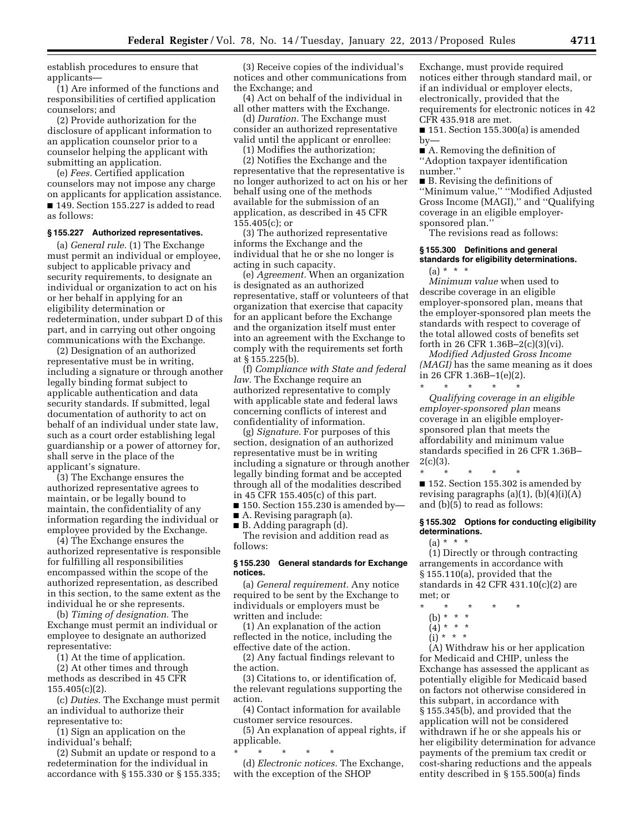establish procedures to ensure that applicants—

(1) Are informed of the functions and responsibilities of certified application counselors; and

(2) Provide authorization for the disclosure of applicant information to an application counselor prior to a counselor helping the applicant with submitting an application.

(e) *Fees.* Certified application counselors may not impose any charge on applicants for application assistance. ■ 149. Section 155.227 is added to read as follows:

## **§ 155.227 Authorized representatives.**

(a) *General rule.* (1) The Exchange must permit an individual or employee, subject to applicable privacy and security requirements, to designate an individual or organization to act on his or her behalf in applying for an eligibility determination or redetermination, under subpart D of this part, and in carrying out other ongoing communications with the Exchange.

(2) Designation of an authorized representative must be in writing, including a signature or through another legally binding format subject to applicable authentication and data security standards. If submitted, legal documentation of authority to act on behalf of an individual under state law, such as a court order establishing legal guardianship or a power of attorney for, shall serve in the place of the applicant's signature.

(3) The Exchange ensures the authorized representative agrees to maintain, or be legally bound to maintain, the confidentiality of any information regarding the individual or employee provided by the Exchange.

(4) The Exchange ensures the authorized representative is responsible for fulfilling all responsibilities encompassed within the scope of the authorized representation, as described in this section, to the same extent as the individual he or she represents.

(b) *Timing of designation.* The Exchange must permit an individual or employee to designate an authorized representative:

(1) At the time of application.

(2) At other times and through methods as described in 45 CFR 155.405(c)(2).

(c) *Duties.* The Exchange must permit an individual to authorize their representative to:

(1) Sign an application on the individual's behalf;

(2) Submit an update or respond to a redetermination for the individual in accordance with § 155.330 or § 155.335;

(3) Receive copies of the individual's notices and other communications from the Exchange; and

(4) Act on behalf of the individual in all other matters with the Exchange.

(d) *Duration.* The Exchange must consider an authorized representative valid until the applicant or enrollee: (1) Modifies the authorization;

(2) Notifies the Exchange and the representative that the representative is no longer authorized to act on his or her behalf using one of the methods available for the submission of an application, as described in 45 CFR  $155.405(c)$ ; or

(3) The authorized representative informs the Exchange and the individual that he or she no longer is acting in such capacity.

(e) *Agreement.* When an organization is designated as an authorized representative, staff or volunteers of that organization that exercise that capacity for an applicant before the Exchange and the organization itself must enter into an agreement with the Exchange to comply with the requirements set forth at § 155.225(b).

(f) *Compliance with State and federal law.* The Exchange require an authorized representative to comply with applicable state and federal laws concerning conflicts of interest and confidentiality of information.

(g) *Signature.* For purposes of this section, designation of an authorized representative must be in writing including a signature or through another legally binding format and be accepted through all of the modalities described in 45 CFR 155.405(c) of this part.

 $\blacksquare$  150. Section 155.230 is amended by—

■ A. Revising paragraph (a). ■ B. Adding paragraph (d).

The revision and addition read as follows:

## **§ 155.230 General standards for Exchange notices.**

(a) *General requirement.* Any notice required to be sent by the Exchange to individuals or employers must be written and include:

(1) An explanation of the action reflected in the notice, including the effective date of the action.

(2) Any factual findings relevant to the action.

(3) Citations to, or identification of, the relevant regulations supporting the action.

(4) Contact information for available customer service resources.

(5) An explanation of appeal rights, if applicable.

\* \* \* \* \* (d) *Electronic notices.* The Exchange, with the exception of the SHOP

Exchange, must provide required notices either through standard mail, or if an individual or employer elects, electronically, provided that the requirements for electronic notices in 42 CFR 435.918 are met.

■ 151. Section 155.300(a) is amended  $by-$ 

■ A. Removing the definition of ''Adoption taxpayer identification number.''

■ B. Revising the definitions of ''Minimum value,'' ''Modified Adjusted Gross Income (MAGI),'' and ''Qualifying coverage in an eligible employersponsored plan.''

The revisions read as follows:

## **§ 155.300 Definitions and general standards for eligibility determinations.**

 $(a) * * * *$ 

*Minimum value* when used to describe coverage in an eligible employer-sponsored plan, means that the employer-sponsored plan meets the standards with respect to coverage of the total allowed costs of benefits set forth in 26 CFR 1.36B–2(c)(3)(vi).

*Modified Adjusted Gross Income (MAGI)* has the same meaning as it does in 26 CFR 1.36B–1(e)(2). \* \* \* \* \*

*Qualifying coverage in an eligible employer-sponsored plan* means coverage in an eligible employersponsored plan that meets the affordability and minimum value standards specified in 26 CFR 1.36B–  $2(c)(3)$ .

\* \* \* \* \* ■ 152. Section 155.302 is amended by revising paragraphs  $(a)(1)$ ,  $(b)(4)(i)(A)$ and (b)(5) to read as follows:

# **§ 155.302 Options for conducting eligibility determinations.**

 $(a) * * * *$ 

(1) Directly or through contracting arrangements in accordance with § 155.110(a), provided that the standards in 42 CFR 431.10(c)(2) are met; or

- \* \* \* \* \*
	- (b) \* \* \*
	- $(4) * * * *$
	- $(i)$  \* \* \*

(A) Withdraw his or her application for Medicaid and CHIP, unless the Exchange has assessed the applicant as potentially eligible for Medicaid based on factors not otherwise considered in this subpart, in accordance with § 155.345(b), and provided that the application will not be considered withdrawn if he or she appeals his or her eligibility determination for advance payments of the premium tax credit or cost-sharing reductions and the appeals entity described in § 155.500(a) finds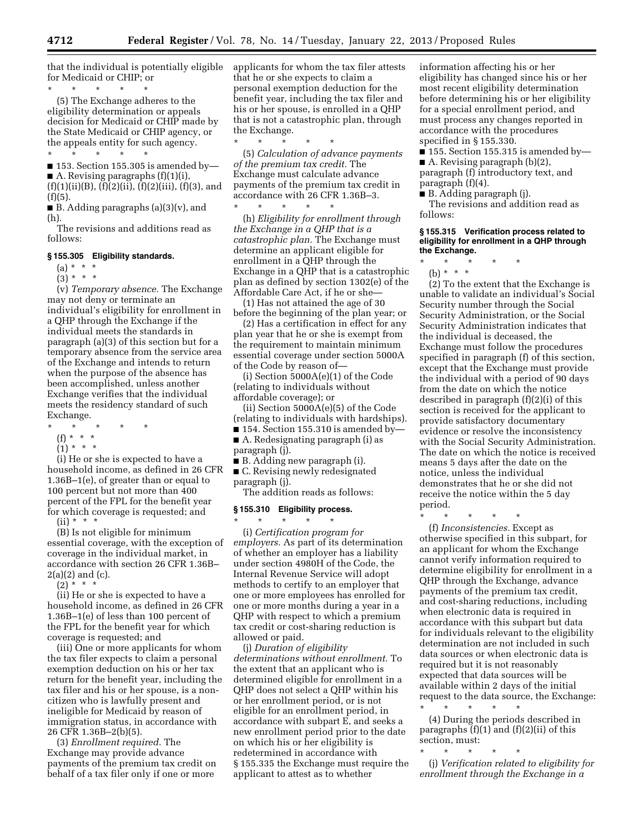that the individual is potentially eligible for Medicaid or CHIP; or

\* \* \* \* \* (5) The Exchange adheres to the eligibility determination or appeals decision for Medicaid or CHIP made by the State Medicaid or CHIP agency, or the appeals entity for such agency.

\* \* \* \* \* ■ 153. Section 155.305 is amended by—  $\blacksquare$  A. Revising paragraphs  $(f)(1)(i)$ ,

 $(f)(1)(ii)(B)$ ,  $(f)(2)(ii)$ ,  $(f)(2)(iii)$ ,  $(f)(3)$ , and (f)(5).

 $\blacksquare$  B. Adding paragraphs (a)(3)(v), and (h).

The revisions and additions read as follows:

## **§ 155.305 Eligibility standards.**

 $(a) * * * *$ 

 $(3) * * * *$ 

(v) *Temporary absence.* The Exchange may not deny or terminate an individual's eligibility for enrollment in a QHP through the Exchange if the individual meets the standards in paragraph (a)(3) of this section but for a temporary absence from the service area of the Exchange and intends to return when the purpose of the absence has been accomplished, unless another Exchange verifies that the individual meets the residency standard of such Exchange.

- \* \* \* \* \*
	- (f) \* \* \*
	- $(1) * * * *$

(i) He or she is expected to have a household income, as defined in 26 CFR 1.36B–1(e), of greater than or equal to 100 percent but not more than 400 percent of the FPL for the benefit year for which coverage is requested; and

 $(ii) * * * *$ 

(B) Is not eligible for minimum essential coverage, with the exception of coverage in the individual market, in accordance with section 26 CFR 1.36B–  $2(a)(2)$  and  $(c)$ .

 $(2)$  \* \* \*

(ii) He or she is expected to have a household income, as defined in 26 CFR 1.36B–1(e) of less than 100 percent of the FPL for the benefit year for which coverage is requested; and

(iii) One or more applicants for whom the tax filer expects to claim a personal exemption deduction on his or her tax return for the benefit year, including the tax filer and his or her spouse, is a noncitizen who is lawfully present and ineligible for Medicaid by reason of immigration status, in accordance with 26 CFR 1.36B–2(b)(5).

(3) *Enrollment required.* The Exchange may provide advance payments of the premium tax credit on behalf of a tax filer only if one or more

applicants for whom the tax filer attests that he or she expects to claim a personal exemption deduction for the benefit year, including the tax filer and his or her spouse, is enrolled in a QHP that is not a catastrophic plan, through the Exchange.

\* \* \* \* \* (5) *Calculation of advance payments of the premium tax credit.* The Exchange must calculate advance payments of the premium tax credit in accordance with 26 CFR 1.36B–3.  $\star$   $\star$   $\star$   $\star$ 

(h) *Eligibility for enrollment through the Exchange in a QHP that is a catastrophic plan.* The Exchange must determine an applicant eligible for enrollment in a QHP through the Exchange in a QHP that is a catastrophic plan as defined by section 1302(e) of the Affordable Care Act, if he or she—

(1) Has not attained the age of 30 before the beginning of the plan year; or

(2) Has a certification in effect for any plan year that he or she is exempt from the requirement to maintain minimum essential coverage under section 5000A of the Code by reason of—

(i) Section 5000A(e)(1) of the Code (relating to individuals without affordable coverage); or

(ii) Section 5000A(e)(5) of the Code (relating to individuals with hardships).

 $\blacksquare$  154. Section 155.310 is amended by— ■ A. Redesignating paragraph (i) as paragraph (j).

■ B. Adding new paragraph (i).

■ C. Revising newly redesignated

paragraph (j). The addition reads as follows:

# **§ 155.310 Eligibility process.**

\* \* \* \* \* (i) *Certification program for* 

*employers.* As part of its determination of whether an employer has a liability under section 4980H of the Code, the Internal Revenue Service will adopt methods to certify to an employer that one or more employees has enrolled for one or more months during a year in a QHP with respect to which a premium tax credit or cost-sharing reduction is allowed or paid.

(j) *Duration of eligibility determinations without enrollment.* To the extent that an applicant who is determined eligible for enrollment in a QHP does not select a QHP within his or her enrollment period, or is not eligible for an enrollment period, in accordance with subpart E, and seeks a new enrollment period prior to the date on which his or her eligibility is redetermined in accordance with § 155.335 the Exchange must require the applicant to attest as to whether

information affecting his or her eligibility has changed since his or her most recent eligibility determination before determining his or her eligibility for a special enrollment period, and must process any changes reported in accordance with the procedures specified in § 155.330.

 $\blacksquare$  155. Section 155.315 is amended by— ■ A. Revising paragraph (b)(2), paragraph (f) introductory text, and paragraph (f)(4).

■ B. Adding paragraph (j).

The revisions and addition read as follows:

## **§ 155.315 Verification process related to eligibility for enrollment in a QHP through the Exchange.**

\* \* \* \* \* (b) \* \* \*

(2) To the extent that the Exchange is

unable to validate an individual's Social Security number through the Social Security Administration, or the Social Security Administration indicates that the individual is deceased, the Exchange must follow the procedures specified in paragraph (f) of this section, except that the Exchange must provide the individual with a period of 90 days from the date on which the notice described in paragraph (f)(2)(i) of this section is received for the applicant to provide satisfactory documentary evidence or resolve the inconsistency with the Social Security Administration. The date on which the notice is received means 5 days after the date on the notice, unless the individual demonstrates that he or she did not receive the notice within the 5 day period.

\* \* \* \* \*

(f) *Inconsistencies.* Except as otherwise specified in this subpart, for an applicant for whom the Exchange cannot verify information required to determine eligibility for enrollment in a QHP through the Exchange, advance payments of the premium tax credit, and cost-sharing reductions, including when electronic data is required in accordance with this subpart but data for individuals relevant to the eligibility determination are not included in such data sources or when electronic data is required but it is not reasonably expected that data sources will be available within 2 days of the initial request to the data source, the Exchange:

\* \* \* \* \* (4) During the periods described in paragraphs  $(f)(1)$  and  $(f)(2)(ii)$  of this section, must:

\* \* \* \* \*

(j) *Verification related to eligibility for enrollment through the Exchange in a*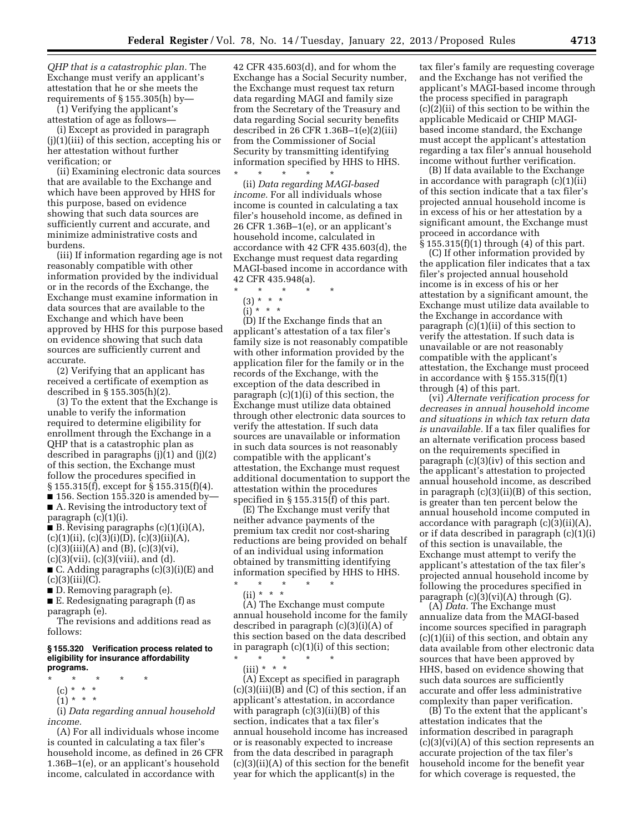*QHP that is a catastrophic plan.* The Exchange must verify an applicant's attestation that he or she meets the requirements of § 155.305(h) by—

(1) Verifying the applicant's attestation of age as follows—

(i) Except as provided in paragraph (j)(1)(iii) of this section, accepting his or her attestation without further verification; or

(ii) Examining electronic data sources that are available to the Exchange and which have been approved by HHS for this purpose, based on evidence showing that such data sources are sufficiently current and accurate, and minimize administrative costs and burdens.

(iii) If information regarding age is not reasonably compatible with other information provided by the individual or in the records of the Exchange, the Exchange must examine information in data sources that are available to the Exchange and which have been approved by HHS for this purpose based on evidence showing that such data sources are sufficiently current and accurate.

(2) Verifying that an applicant has received a certificate of exemption as described in § 155.305(h)(2).

(3) To the extent that the Exchange is unable to verify the information required to determine eligibility for enrollment through the Exchange in a QHP that is a catastrophic plan as described in paragraphs (j)(1) and (j)(2) of this section, the Exchange must follow the procedures specified in § 155.315(f), except for § 155.315(f)(4).  $\blacksquare$  156. Section 155.320 is amended by-

■ A. Revising the introductory text of paragraph (c)(1)(i).

■ B. Revising paragraphs  $(c)(1)(i)(A)$ ,  $(c)(1)(ii)$ ,  $(c)(3)(i)(D)$ ,  $(c)(3)(ii)(A)$ ,  $(c)(3)(iii)(A)$  and  $(B)$ ,  $(c)(3)(vi)$ ,  $(c)(3)(vii)$ ,  $(c)(3)(viii)$ , and  $(d)$ .

■ C. Adding paragraphs (c)(3)(i)(E) and  $(c)(3)(iii)(C).$ 

■ D. Removing paragraph (e).

■ E. Redesignating paragraph (f) as

paragraph (e). The revisions and additions read as follows:

## **§ 155.320 Verification process related to eligibility for insurance affordability programs.**

- \* \* \* \* \*
	- (c) \* \* \*
	- $(1) * * * *$

(i) *Data regarding annual household income.* 

(A) For all individuals whose income is counted in calculating a tax filer's household income, as defined in 26 CFR 1.36B–1(e), or an applicant's household income, calculated in accordance with

42 CFR 435.603(d), and for whom the Exchange has a Social Security number, the Exchange must request tax return data regarding MAGI and family size from the Secretary of the Treasury and data regarding Social security benefits described in 26 CFR 1.36B–1(e)(2)(iii) from the Commissioner of Social Security by transmitting identifying information specified by HHS to HHS. \* \* \* \* \*

(ii) *Data regarding MAGI-based income.* For all individuals whose income is counted in calculating a tax filer's household income, as defined in 26 CFR 1.36B–1(e), or an applicant's household income, calculated in accordance with 42 CFR 435.603(d), the Exchange must request data regarding MAGI-based income in accordance with 42 CFR 435.948(a).

- \* \* \* \* \*
	- (3) \* \* \*
	- $(i) * * * *$

(D) If the Exchange finds that an applicant's attestation of a tax filer's family size is not reasonably compatible with other information provided by the application filer for the family or in the records of the Exchange, with the exception of the data described in paragraph  $(c)(1)(i)$  of this section, the Exchange must utilize data obtained through other electronic data sources to verify the attestation. If such data sources are unavailable or information in such data sources is not reasonably compatible with the applicant's attestation, the Exchange must request additional documentation to support the attestation within the procedures specified in § 155.315(f) of this part.

(E) The Exchange must verify that neither advance payments of the premium tax credit nor cost-sharing reductions are being provided on behalf of an individual using information obtained by transmitting identifying information specified by HHS to HHS.

\* \* \* \* \*  $(ii) * * * *$ 

(A) The Exchange must compute annual household income for the family described in paragraph (c)(3)(i)(A) of this section based on the data described in paragraph (c)(1)(i) of this section; \* \* \* \* \*

(iii) \* \* \*

(A) Except as specified in paragraph (c)(3)(iii)(B) and (C) of this section, if an applicant's attestation, in accordance with paragraph  $(c)(3)(ii)(B)$  of this section, indicates that a tax filer's annual household income has increased or is reasonably expected to increase from the data described in paragraph (c)(3)(ii)(A) of this section for the benefit year for which the applicant(s) in the

tax filer's family are requesting coverage and the Exchange has not verified the applicant's MAGI-based income through the process specified in paragraph  $(c)(\overline{2})(ii)$  of this section to be within the applicable Medicaid or CHIP MAGIbased income standard, the Exchange must accept the applicant's attestation regarding a tax filer's annual household income without further verification.

(B) If data available to the Exchange in accordance with paragraph  $(c)(1)(ii)$ of this section indicate that a tax filer's projected annual household income is in excess of his or her attestation by a significant amount, the Exchange must proceed in accordance with § 155.315(f)(1) through (4) of this part.

(C) If other information provided by the application filer indicates that a tax filer's projected annual household income is in excess of his or her attestation by a significant amount, the Exchange must utilize data available to the Exchange in accordance with paragraph (c)(1)(ii) of this section to verify the attestation. If such data is unavailable or are not reasonably compatible with the applicant's attestation, the Exchange must proceed in accordance with  $\S 155.315(f)(1)$ through (4) of this part.

(vi) *Alternate verification process for decreases in annual household income and situations in which tax return data is unavailable.* If a tax filer qualifies for an alternate verification process based on the requirements specified in paragraph (c)(3)(iv) of this section and the applicant's attestation to projected annual household income, as described in paragraph (c)(3)(ii)(B) of this section, is greater than ten percent below the annual household income computed in accordance with paragraph (c)(3)(ii)(A), or if data described in paragraph (c)(1)(i) of this section is unavailable, the Exchange must attempt to verify the applicant's attestation of the tax filer's projected annual household income by following the procedures specified in paragraph  $(c)(3)(vi)(A)$  through  $(G)$ .

(A) *Data.* The Exchange must annualize data from the MAGI-based income sources specified in paragraph  $(c)(1)(ii)$  of this section, and obtain any data available from other electronic data sources that have been approved by HHS, based on evidence showing that such data sources are sufficiently accurate and offer less administrative complexity than paper verification.

(B) To the extent that the applicant's attestation indicates that the information described in paragraph  $(c)(3)(vi)(A)$  of this section represents an accurate projection of the tax filer's household income for the benefit year for which coverage is requested, the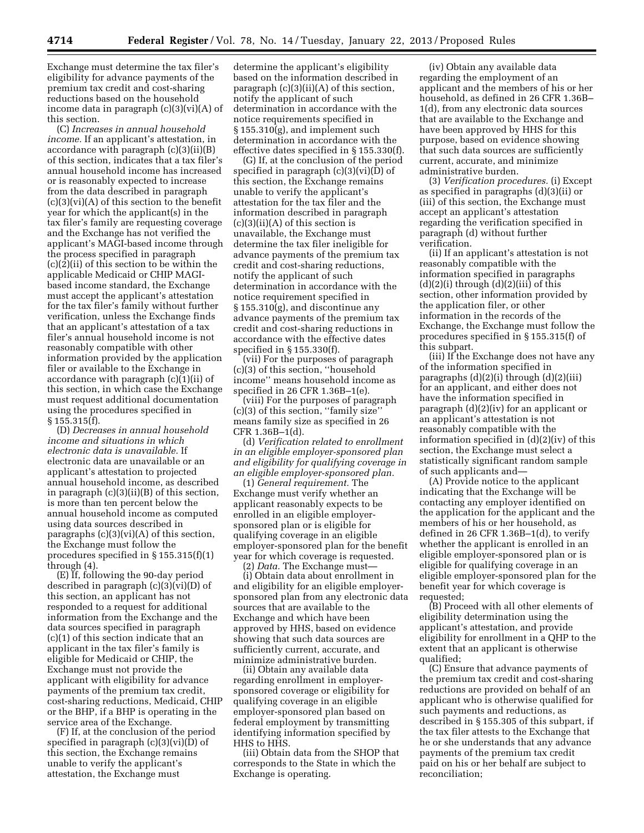Exchange must determine the tax filer's eligibility for advance payments of the premium tax credit and cost-sharing reductions based on the household income data in paragraph (c)(3)(vi)(A) of this section.

(C) *Increases in annual household income.* If an applicant's attestation, in accordance with paragraph (c)(3)(ii)(B) of this section, indicates that a tax filer's annual household income has increased or is reasonably expected to increase from the data described in paragraph  $(c)(3)(vi)(A)$  of this section to the benefit year for which the applicant(s) in the tax filer's family are requesting coverage and the Exchange has not verified the applicant's MAGI-based income through the process specified in paragraph (c)(2)(ii) of this section to be within the applicable Medicaid or CHIP MAGIbased income standard, the Exchange must accept the applicant's attestation for the tax filer's family without further verification, unless the Exchange finds that an applicant's attestation of a tax filer's annual household income is not reasonably compatible with other information provided by the application filer or available to the Exchange in accordance with paragraph (c)(1)(ii) of this section, in which case the Exchange must request additional documentation using the procedures specified in § 155.315(f).

(D) *Decreases in annual household income and situations in which electronic data is unavailable.* If electronic data are unavailable or an applicant's attestation to projected annual household income, as described in paragraph (c)(3)(ii)(B) of this section, is more than ten percent below the annual household income as computed using data sources described in paragraphs  $(c)(3)(vi)(A)$  of this section, the Exchange must follow the procedures specified in § 155.315(f)(1) through (4).

(E) If, following the 90-day period described in paragraph (c)(3)(vi)(D) of this section, an applicant has not responded to a request for additional information from the Exchange and the data sources specified in paragraph (c)(1) of this section indicate that an applicant in the tax filer's family is eligible for Medicaid or CHIP, the Exchange must not provide the applicant with eligibility for advance payments of the premium tax credit, cost-sharing reductions, Medicaid, CHIP or the BHP, if a BHP is operating in the service area of the Exchange.

(F) If, at the conclusion of the period specified in paragraph (c)(3)(vi)(D) of this section, the Exchange remains unable to verify the applicant's attestation, the Exchange must

determine the applicant's eligibility based on the information described in paragraph (c)(3)(ii)(A) of this section, notify the applicant of such determination in accordance with the notice requirements specified in § 155.310(g), and implement such determination in accordance with the effective dates specified in § 155.330(f).

(G) If, at the conclusion of the period specified in paragraph (c)(3)(vi)(D) of this section, the Exchange remains unable to verify the applicant's attestation for the tax filer and the information described in paragraph  $(c)(3)(ii)(A)$  of this section is unavailable, the Exchange must determine the tax filer ineligible for advance payments of the premium tax credit and cost-sharing reductions, notify the applicant of such determination in accordance with the notice requirement specified in § 155.310(g), and discontinue any advance payments of the premium tax credit and cost-sharing reductions in accordance with the effective dates specified in § 155.330(f).

(vii) For the purposes of paragraph (c)(3) of this section, ''household income'' means household income as specified in 26 CFR 1.36B–1(e).

(viii) For the purposes of paragraph (c)(3) of this section, ''family size'' means family size as specified in 26 CFR 1.36B–1(d).

(d) *Verification related to enrollment in an eligible employer-sponsored plan and eligibility for qualifying coverage in an eligible employer-sponsored plan.* 

(1) *General requirement.* The Exchange must verify whether an applicant reasonably expects to be enrolled in an eligible employersponsored plan or is eligible for qualifying coverage in an eligible employer-sponsored plan for the benefit year for which coverage is requested.

(2) *Data.* The Exchange must— (i) Obtain data about enrollment in and eligibility for an eligible employersponsored plan from any electronic data sources that are available to the Exchange and which have been approved by HHS, based on evidence showing that such data sources are sufficiently current, accurate, and minimize administrative burden.

(ii) Obtain any available data regarding enrollment in employersponsored coverage or eligibility for qualifying coverage in an eligible employer-sponsored plan based on federal employment by transmitting identifying information specified by HHS to HHS.

(iii) Obtain data from the SHOP that corresponds to the State in which the Exchange is operating.

(iv) Obtain any available data regarding the employment of an applicant and the members of his or her household, as defined in 26 CFR 1.36B– 1(d), from any electronic data sources that are available to the Exchange and have been approved by HHS for this purpose, based on evidence showing that such data sources are sufficiently current, accurate, and minimize administrative burden.

(3) *Verification procedures.* (i) Except as specified in paragraphs (d)(3)(ii) or (iii) of this section, the Exchange must accept an applicant's attestation regarding the verification specified in paragraph (d) without further verification.

(ii) If an applicant's attestation is not reasonably compatible with the information specified in paragraphs  $(d)(2)(i)$  through  $(d)(2)(iii)$  of this section, other information provided by the application filer, or other information in the records of the Exchange, the Exchange must follow the procedures specified in § 155.315(f) of this subpart.

(iii) If the Exchange does not have any of the information specified in paragraphs  $(d)(2)(i)$  through  $(d)(2)(iii)$ for an applicant, and either does not have the information specified in paragraph (d)(2)(iv) for an applicant or an applicant's attestation is not reasonably compatible with the information specified in (d)(2)(iv) of this section, the Exchange must select a statistically significant random sample of such applicants and—

(A) Provide notice to the applicant indicating that the Exchange will be contacting any employer identified on the application for the applicant and the members of his or her household, as defined in 26 CFR 1.36B–1(d), to verify whether the applicant is enrolled in an eligible employer-sponsored plan or is eligible for qualifying coverage in an eligible employer-sponsored plan for the benefit year for which coverage is requested;

(B) Proceed with all other elements of eligibility determination using the applicant's attestation, and provide eligibility for enrollment in a QHP to the extent that an applicant is otherwise qualified;

(C) Ensure that advance payments of the premium tax credit and cost-sharing reductions are provided on behalf of an applicant who is otherwise qualified for such payments and reductions, as described in § 155.305 of this subpart, if the tax filer attests to the Exchange that he or she understands that any advance payments of the premium tax credit paid on his or her behalf are subject to reconciliation;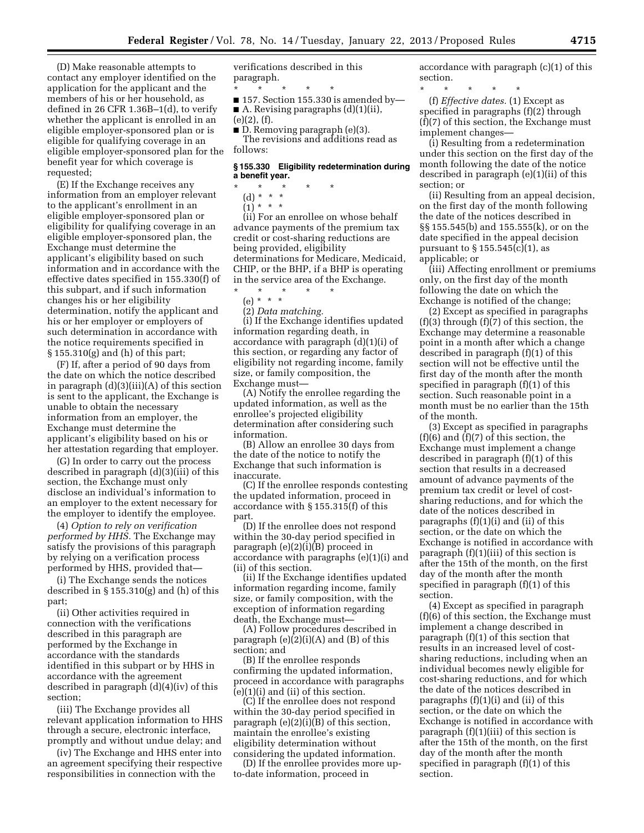(D) Make reasonable attempts to contact any employer identified on the application for the applicant and the members of his or her household, as defined in 26 CFR 1.36B–1(d), to verify whether the applicant is enrolled in an eligible employer-sponsored plan or is eligible for qualifying coverage in an eligible employer-sponsored plan for the benefit year for which coverage is requested;

(E) If the Exchange receives any information from an employer relevant to the applicant's enrollment in an eligible employer-sponsored plan or eligibility for qualifying coverage in an eligible employer-sponsored plan, the Exchange must determine the applicant's eligibility based on such information and in accordance with the effective dates specified in 155.330(f) of this subpart, and if such information changes his or her eligibility determination, notify the applicant and his or her employer or employers of such determination in accordance with the notice requirements specified in § 155.310(g) and (h) of this part;

(F) If, after a period of 90 days from the date on which the notice described in paragraph (d)(3)(iii)(A) of this section is sent to the applicant, the Exchange is unable to obtain the necessary information from an employer, the Exchange must determine the applicant's eligibility based on his or her attestation regarding that employer.

(G) In order to carry out the process described in paragraph (d)(3)(iii) of this section, the Exchange must only disclose an individual's information to an employer to the extent necessary for the employer to identify the employee.

(4) *Option to rely on verification performed by HHS.* The Exchange may satisfy the provisions of this paragraph by relying on a verification process performed by HHS, provided that—

(i) The Exchange sends the notices described in § 155.310(g) and (h) of this part;

(ii) Other activities required in connection with the verifications described in this paragraph are performed by the Exchange in accordance with the standards identified in this subpart or by HHS in accordance with the agreement described in paragraph (d)(4)(iv) of this section;

(iii) The Exchange provides all relevant application information to HHS through a secure, electronic interface, promptly and without undue delay; and

(iv) The Exchange and HHS enter into an agreement specifying their respective responsibilities in connection with the

verifications described in this paragraph.

\* \* \* \* \*

 $\blacksquare$  157. Section 155.330 is amended by— ■ A. Revising paragraphs (d)(1)(ii),

(e)(2), (f).

■ D. Removing paragraph (e)(3).

The revisions and additions read as follows:

# **§ 155.330 Eligibility redetermination during a benefit year.**

- \* \* \* \* \*
	- (d) \* \* \*  $(1) * * * *$

(ii) For an enrollee on whose behalf advance payments of the premium tax credit or cost-sharing reductions are being provided, eligibility determinations for Medicare, Medicaid, CHIP, or the BHP, if a BHP is operating in the service area of the Exchange.

### \* \* \* \* \* (e) \* \* \*

(2) *Data matching.* 

(i) If the Exchange identifies updated information regarding death, in accordance with paragraph (d)(1)(i) of this section, or regarding any factor of eligibility not regarding income, family size, or family composition, the Exchange must—

(A) Notify the enrollee regarding the updated information, as well as the enrollee's projected eligibility determination after considering such information.

(B) Allow an enrollee 30 days from the date of the notice to notify the Exchange that such information is inaccurate.

(C) If the enrollee responds contesting the updated information, proceed in accordance with § 155.315(f) of this part.

(D) If the enrollee does not respond within the 30-day period specified in paragraph (e)(2)(i)(B) proceed in accordance with paragraphs (e)(1)(i) and (ii) of this section.

(ii) If the Exchange identifies updated information regarding income, family size, or family composition, with the exception of information regarding death, the Exchange must—

(A) Follow procedures described in paragraph (e)(2)(i)(A) and (B) of this section; and

(B) If the enrollee responds confirming the updated information, proceed in accordance with paragraphs  $(e)(1)(i)$  and  $(ii)$  of this section.

(C) If the enrollee does not respond within the 30-day period specified in paragraph (e)(2)(i)(B) of this section, maintain the enrollee's existing eligibility determination without considering the updated information.

(D) If the enrollee provides more upto-date information, proceed in

accordance with paragraph (c)(1) of this section.

\* \* \* \* \* (f) *Effective dates.* (1) Except as specified in paragraphs (f)(2) through (f)(7) of this section, the Exchange must implement changes—

(i) Resulting from a redetermination under this section on the first day of the month following the date of the notice described in paragraph (e)(1)(ii) of this section; or

(ii) Resulting from an appeal decision, on the first day of the month following the date of the notices described in §§ 155.545(b) and 155.555(k), or on the date specified in the appeal decision pursuant to  $\S 155.545(c)(1)$ , as applicable; or

(iii) Affecting enrollment or premiums only, on the first day of the month following the date on which the Exchange is notified of the change;

(2) Except as specified in paragraphs  $(f)(3)$  through  $(f)(7)$  of this section, the Exchange may determine a reasonable point in a month after which a change described in paragraph (f)(1) of this section will not be effective until the first day of the month after the month specified in paragraph (f)(1) of this section. Such reasonable point in a month must be no earlier than the 15th of the month.

(3) Except as specified in paragraphs  $(f)(6)$  and  $(f)(7)$  of this section, the Exchange must implement a change described in paragraph (f)(1) of this section that results in a decreased amount of advance payments of the premium tax credit or level of costsharing reductions, and for which the date of the notices described in paragraphs (f)(1)(i) and (ii) of this section, or the date on which the Exchange is notified in accordance with paragraph (f)(1)(iii) of this section is after the 15th of the month, on the first day of the month after the month specified in paragraph (f)(1) of this section.

(4) Except as specified in paragraph (f)(6) of this section, the Exchange must implement a change described in paragraph (f)(1) of this section that results in an increased level of costsharing reductions, including when an individual becomes newly eligible for cost-sharing reductions, and for which the date of the notices described in paragraphs  $(f)(1)(i)$  and  $(ii)$  of this section, or the date on which the Exchange is notified in accordance with paragraph (f)(1)(iii) of this section is after the 15th of the month, on the first day of the month after the month specified in paragraph (f)(1) of this section.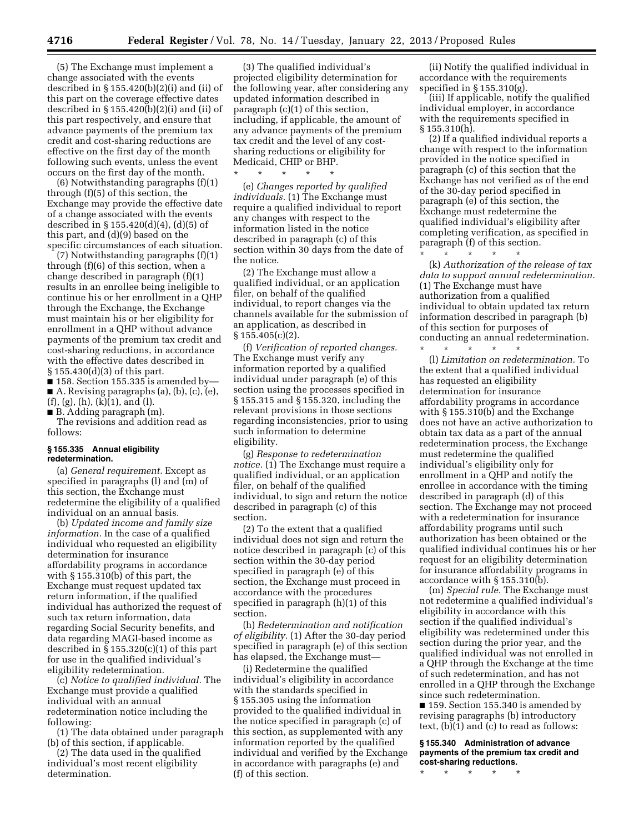(5) The Exchange must implement a change associated with the events described in  $\S 155.420(b)(2)(i)$  and (ii) of this part on the coverage effective dates described in  $\S 155.420(b)(2)(i)$  and (ii) of this part respectively, and ensure that advance payments of the premium tax credit and cost-sharing reductions are effective on the first day of the month following such events, unless the event occurs on the first day of the month.

(6) Notwithstanding paragraphs (f)(1) through (f)(5) of this section, the Exchange may provide the effective date of a change associated with the events described in § 155.420(d)(4), (d)(5) of this part, and (d)(9) based on the specific circumstances of each situation.

(7) Notwithstanding paragraphs (f)(1) through (f)(6) of this section, when a change described in paragraph (f)(1) results in an enrollee being ineligible to continue his or her enrollment in a QHP through the Exchange, the Exchange must maintain his or her eligibility for enrollment in a QHP without advance payments of the premium tax credit and cost-sharing reductions, in accordance with the effective dates described in § 155.430(d)(3) of this part.

■ 158. Section 155.335 is amended by— ■ A. Revising paragraphs (a), (b), (c), (e),  $(f), (g), (h), (k)(1),$  and  $(l).$ 

■ B. Adding paragraph (m).

The revisions and addition read as follows:

## **§ 155.335 Annual eligibility redetermination.**

(a) *General requirement.* Except as specified in paragraphs (l) and (m) of this section, the Exchange must redetermine the eligibility of a qualified individual on an annual basis.

(b) *Updated income and family size information.* In the case of a qualified individual who requested an eligibility determination for insurance affordability programs in accordance with § 155.310(b) of this part, the Exchange must request updated tax return information, if the qualified individual has authorized the request of such tax return information, data regarding Social Security benefits, and data regarding MAGI-based income as described in  $\S 155.320(c)(1)$  of this part for use in the qualified individual's eligibility redetermination.

(c) *Notice to qualified individual.* The Exchange must provide a qualified individual with an annual redetermination notice including the following:

(1) The data obtained under paragraph (b) of this section, if applicable.

(2) The data used in the qualified individual's most recent eligibility determination.

(3) The qualified individual's projected eligibility determination for the following year, after considering any updated information described in paragraph (c)(1) of this section, including, if applicable, the amount of any advance payments of the premium tax credit and the level of any costsharing reductions or eligibility for Medicaid, CHIP or BHP. \* \* \* \* \*

(e) *Changes reported by qualified individuals.* (1) The Exchange must require a qualified individual to report any changes with respect to the information listed in the notice described in paragraph (c) of this section within 30 days from the date of the notice.

(2) The Exchange must allow a qualified individual, or an application filer, on behalf of the qualified individual, to report changes via the channels available for the submission of an application, as described in  $§ 155.405(c)(2).$ 

(f) *Verification of reported changes.*  The Exchange must verify any information reported by a qualified individual under paragraph (e) of this section using the processes specified in § 155.315 and § 155.320, including the relevant provisions in those sections regarding inconsistencies, prior to using such information to determine eligibility.

(g) *Response to redetermination notice.* (1) The Exchange must require a qualified individual, or an application filer, on behalf of the qualified individual, to sign and return the notice described in paragraph (c) of this section.

(2) To the extent that a qualified individual does not sign and return the notice described in paragraph (c) of this section within the 30-day period specified in paragraph (e) of this section, the Exchange must proceed in accordance with the procedures specified in paragraph (h)(1) of this section.

(h) *Redetermination and notification of eligibility.* (1) After the 30-day period specified in paragraph (e) of this section has elapsed, the Exchange must—

(i) Redetermine the qualified individual's eligibility in accordance with the standards specified in § 155.305 using the information provided to the qualified individual in the notice specified in paragraph (c) of this section, as supplemented with any information reported by the qualified individual and verified by the Exchange in accordance with paragraphs (e) and (f) of this section.

(ii) Notify the qualified individual in accordance with the requirements specified in § 155.310(g).

(iii) If applicable, notify the qualified individual employer, in accordance with the requirements specified in § 155.310(h).

(2) If a qualified individual reports a change with respect to the information provided in the notice specified in paragraph (c) of this section that the Exchange has not verified as of the end of the 30-day period specified in paragraph (e) of this section, the Exchange must redetermine the qualified individual's eligibility after completing verification, as specified in paragraph (f) of this section.

\* \* \* \* \* (k) *Authorization of the release of tax data to support annual redetermination.*  (1) The Exchange must have authorization from a qualified individual to obtain updated tax return information described in paragraph (b) of this section for purposes of conducting an annual redetermination.

\* \* \* \* \* (l) *Limitation on redetermination.* To the extent that a qualified individual has requested an eligibility determination for insurance affordability programs in accordance with § 155.310(b) and the Exchange does not have an active authorization to obtain tax data as a part of the annual redetermination process, the Exchange must redetermine the qualified individual's eligibility only for enrollment in a QHP and notify the enrollee in accordance with the timing described in paragraph (d) of this section. The Exchange may not proceed with a redetermination for insurance affordability programs until such authorization has been obtained or the qualified individual continues his or her request for an eligibility determination for insurance affordability programs in accordance with § 155.310(b).

(m) *Special rule.* The Exchange must not redetermine a qualified individual's eligibility in accordance with this section if the qualified individual's eligibility was redetermined under this section during the prior year, and the qualified individual was not enrolled in a QHP through the Exchange at the time of such redetermination, and has not enrolled in a QHP through the Exchange since such redetermination.

■ 159. Section 155.340 is amended by revising paragraphs (b) introductory text, (b)(1) and (c) to read as follows:

**§ 155.340 Administration of advance payments of the premium tax credit and cost-sharing reductions.** 

\* \* \* \* \*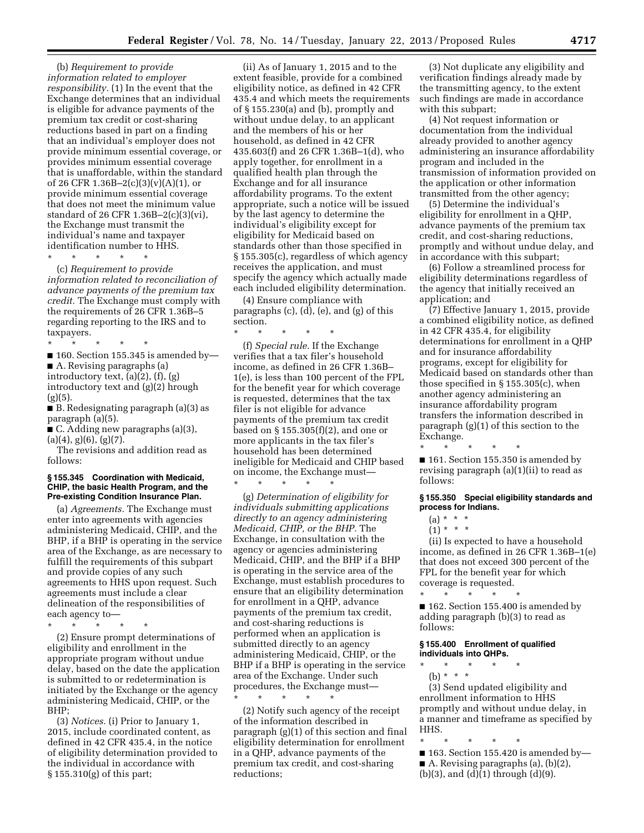(b) *Requirement to provide information related to employer responsibility.* (1) In the event that the Exchange determines that an individual is eligible for advance payments of the premium tax credit or cost-sharing reductions based in part on a finding that an individual's employer does not provide minimum essential coverage, or provides minimum essential coverage that is unaffordable, within the standard of 26 CFR 1.36B-2(c)(3)(v)(A)(1), or provide minimum essential coverage that does not meet the minimum value standard of 26 CFR 1.36B–2(c)(3)(vi), the Exchange must transmit the individual's name and taxpayer identification number to HHS.

\* \* \* \* \*

(c) *Requirement to provide information related to reconciliation of advance payments of the premium tax credit.* The Exchange must comply with the requirements of 26 CFR 1.36B–5 regarding reporting to the IRS and to taxpayers.

\* \* \* \* \*  $\blacksquare$  160. Section 155.345 is amended by— ■ A. Revising paragraphs (a) introductory text, (a)(2), (f), (g) introductory text and (g)(2) hrough  $(g)(5)$ .

■ B. Redesignating paragraph (a)(3) as paragraph (a)(5).

■ C. Adding new paragraphs (a)(3),  $(a)(4)$ ,  $g)(6)$ ,  $(g)(7)$ .

The revisions and addition read as follows:

#### **§ 155.345 Coordination with Medicaid, CHIP, the basic Health Program, and the Pre-existing Condition Insurance Plan.**

(a) *Agreements.* The Exchange must enter into agreements with agencies administering Medicaid, CHIP, and the BHP, if a BHP is operating in the service area of the Exchange, as are necessary to fulfill the requirements of this subpart and provide copies of any such agreements to HHS upon request. Such agreements must include a clear delineation of the responsibilities of each agency to—

\* \* \* \* \* (2) Ensure prompt determinations of eligibility and enrollment in the appropriate program without undue delay, based on the date the application is submitted to or redetermination is initiated by the Exchange or the agency administering Medicaid, CHIP, or the BHP;

(3) *Notices.* (i) Prior to January 1, 2015, include coordinated content, as defined in 42 CFR 435.4, in the notice of eligibility determination provided to the individual in accordance with § 155.310(g) of this part;

(ii) As of January 1, 2015 and to the extent feasible, provide for a combined eligibility notice, as defined in 42 CFR 435.4 and which meets the requirements of § 155.230(a) and (b), promptly and without undue delay, to an applicant and the members of his or her household, as defined in 42 CFR 435.603(f) and 26 CFR 1.36B–1(d), who apply together, for enrollment in a qualified health plan through the Exchange and for all insurance affordability programs. To the extent appropriate, such a notice will be issued by the last agency to determine the individual's eligibility except for eligibility for Medicaid based on standards other than those specified in § 155.305(c), regardless of which agency receives the application, and must specify the agency which actually made each included eligibility determination.

(4) Ensure compliance with paragraphs (c), (d), (e), and (g) of this section.

\* \* \* \* \* (f) *Special rule.* If the Exchange verifies that a tax filer's household income, as defined in 26 CFR 1.36B– 1(e), is less than 100 percent of the FPL for the benefit year for which coverage is requested, determines that the tax filer is not eligible for advance payments of the premium tax credit based on § 155.305(f)(2), and one or more applicants in the tax filer's household has been determined ineligible for Medicaid and CHIP based on income, the Exchange must—

\* \* \* \* \*

\* \* \* \* \*

(g) *Determination of eligibility for individuals submitting applications directly to an agency administering Medicaid, CHIP, or the BHP.* The Exchange, in consultation with the agency or agencies administering Medicaid, CHIP, and the BHP if a BHP is operating in the service area of the Exchange, must establish procedures to ensure that an eligibility determination for enrollment in a QHP, advance payments of the premium tax credit, and cost-sharing reductions is performed when an application is submitted directly to an agency administering Medicaid, CHIP, or the BHP if a BHP is operating in the service area of the Exchange. Under such procedures, the Exchange must—

(2) Notify such agency of the receipt of the information described in paragraph (g)(1) of this section and final eligibility determination for enrollment in a QHP, advance payments of the premium tax credit, and cost-sharing reductions;

(3) Not duplicate any eligibility and verification findings already made by the transmitting agency, to the extent such findings are made in accordance with this subpart;

(4) Not request information or documentation from the individual already provided to another agency administering an insurance affordability program and included in the transmission of information provided on the application or other information transmitted from the other agency;

(5) Determine the individual's eligibility for enrollment in a QHP, advance payments of the premium tax credit, and cost-sharing reductions, promptly and without undue delay, and in accordance with this subpart;

(6) Follow a streamlined process for eligibility determinations regardless of the agency that initially received an application; and

(7) Effective January 1, 2015, provide a combined eligibility notice, as defined in 42 CFR 435.4, for eligibility determinations for enrollment in a QHP and for insurance affordability programs, except for eligibility for Medicaid based on standards other than those specified in § 155.305(c), when another agency administering an insurance affordability program transfers the information described in paragraph (g)(1) of this section to the Exchange.

\* \* \* \* \* ■ 161. Section 155.350 is amended by revising paragraph (a)(1)(ii) to read as follows:

## **§ 155.350 Special eligibility standards and process for Indians.**

 $(a) * * * *$ 

 $(1) * * * *$ 

(ii) Is expected to have a household income, as defined in 26 CFR 1.36B–1(e) that does not exceed 300 percent of the FPL for the benefit year for which coverage is requested.

\* \* \* \* \* ■ 162. Section 155.400 is amended by adding paragraph (b)(3) to read as follows:

# **§ 155.400 Enrollment of qualified individuals into QHPs.**

- \* \* \* \* \*
	- (b) \* \* \*

(3) Send updated eligibility and enrollment information to HHS promptly and without undue delay, in a manner and timeframe as specified by HHS.

\* \* \* \* \* ■ 163. Section 155.420 is amended by-■ A. Revising paragraphs (a), (b)(2),  $(b)(3)$ , and  $(d)(1)$  through  $(d)(9)$ .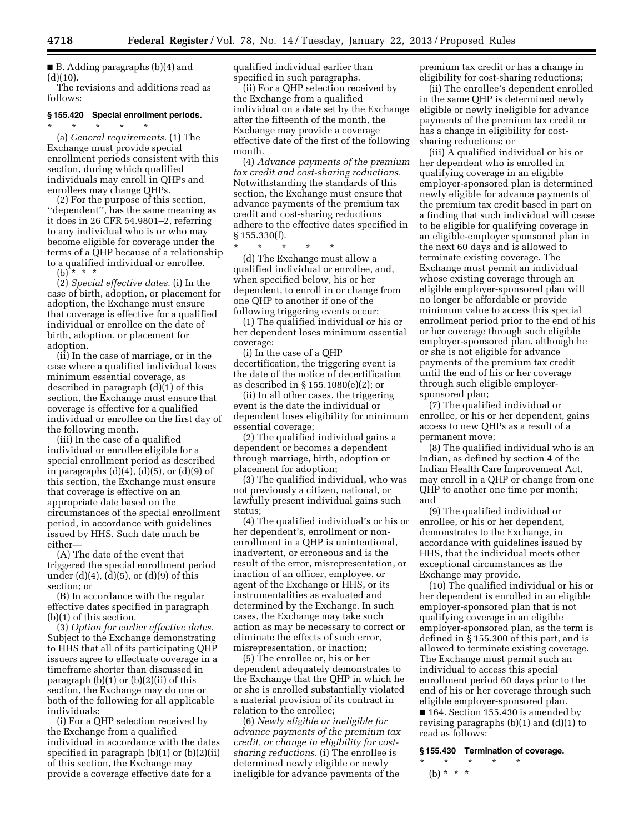■ B. Adding paragraphs (b)(4) and  $(d)(10)$ .

The revisions and additions read as follows:

# **§ 155.420 Special enrollment periods.**

\* \* \* \* \* (a) *General requirements.* (1) The Exchange must provide special enrollment periods consistent with this section, during which qualified individuals may enroll in QHPs and enrollees may change QHPs.

(2) For the purpose of this section, ''dependent'', has the same meaning as it does in 26 CFR 54.9801–2, referring to any individual who is or who may become eligible for coverage under the terms of a QHP because of a relationship to a qualified individual or enrollee.  $(b)$  \* \* \*

(2) *Special effective dates.* (i) In the

case of birth, adoption, or placement for adoption, the Exchange must ensure that coverage is effective for a qualified individual or enrollee on the date of birth, adoption, or placement for adoption.

(ii) In the case of marriage, or in the case where a qualified individual loses minimum essential coverage, as described in paragraph (d)(1) of this section, the Exchange must ensure that coverage is effective for a qualified individual or enrollee on the first day of the following month.

(iii) In the case of a qualified individual or enrollee eligible for a special enrollment period as described in paragraphs  $(d)(4)$ ,  $(d)(5)$ , or  $(d)(9)$  of this section, the Exchange must ensure that coverage is effective on an appropriate date based on the circumstances of the special enrollment period, in accordance with guidelines issued by HHS. Such date much be either—

(A) The date of the event that triggered the special enrollment period under (d)(4), (d)(5), or (d)(9) of this section; or

(B) In accordance with the regular effective dates specified in paragraph (b)(1) of this section.

(3) *Option for earlier effective dates.*  Subject to the Exchange demonstrating to HHS that all of its participating QHP issuers agree to effectuate coverage in a timeframe shorter than discussed in paragraph  $(b)(1)$  or  $(b)(2)(ii)$  of this section, the Exchange may do one or both of the following for all applicable individuals:

(i) For a QHP selection received by the Exchange from a qualified individual in accordance with the dates specified in paragraph (b)(1) or (b)(2)(ii) of this section, the Exchange may provide a coverage effective date for a

qualified individual earlier than specified in such paragraphs.

(ii) For a QHP selection received by the Exchange from a qualified individual on a date set by the Exchange after the fifteenth of the month, the Exchange may provide a coverage effective date of the first of the following month.

(4) *Advance payments of the premium tax credit and cost-sharing reductions.*  Notwithstanding the standards of this section, the Exchange must ensure that advance payments of the premium tax credit and cost-sharing reductions adhere to the effective dates specified in § 155.330(f).

\* \* \* \* \*

(d) The Exchange must allow a qualified individual or enrollee, and, when specified below, his or her dependent, to enroll in or change from one QHP to another if one of the following triggering events occur:

(1) The qualified individual or his or her dependent loses minimum essential coverage:

(i) In the case of a QHP decertification, the triggering event is the date of the notice of decertification as described in § 155.1080(e)(2); or

(ii) In all other cases, the triggering event is the date the individual or dependent loses eligibility for minimum essential coverage;

(2) The qualified individual gains a dependent or becomes a dependent through marriage, birth, adoption or placement for adoption;

(3) The qualified individual, who was not previously a citizen, national, or lawfully present individual gains such status;

(4) The qualified individual's or his or her dependent's, enrollment or nonenrollment in a QHP is unintentional, inadvertent, or erroneous and is the result of the error, misrepresentation, or inaction of an officer, employee, or agent of the Exchange or HHS, or its instrumentalities as evaluated and determined by the Exchange. In such cases, the Exchange may take such action as may be necessary to correct or eliminate the effects of such error, misrepresentation, or inaction;

(5) The enrollee or, his or her dependent adequately demonstrates to the Exchange that the QHP in which he or she is enrolled substantially violated a material provision of its contract in relation to the enrollee;

(6) *Newly eligible or ineligible for advance payments of the premium tax credit, or change in eligibility for costsharing reductions.* (i) The enrollee is determined newly eligible or newly ineligible for advance payments of the

premium tax credit or has a change in eligibility for cost-sharing reductions;

(ii) The enrollee's dependent enrolled in the same QHP is determined newly eligible or newly ineligible for advance payments of the premium tax credit or has a change in eligibility for costsharing reductions; or

(iii) A qualified individual or his or her dependent who is enrolled in qualifying coverage in an eligible employer-sponsored plan is determined newly eligible for advance payments of the premium tax credit based in part on a finding that such individual will cease to be eligible for qualifying coverage in an eligible-employer sponsored plan in the next 60 days and is allowed to terminate existing coverage. The Exchange must permit an individual whose existing coverage through an eligible employer-sponsored plan will no longer be affordable or provide minimum value to access this special enrollment period prior to the end of his or her coverage through such eligible employer-sponsored plan, although he or she is not eligible for advance payments of the premium tax credit until the end of his or her coverage through such eligible employersponsored plan;

(7) The qualified individual or enrollee, or his or her dependent, gains access to new QHPs as a result of a permanent move;

(8) The qualified individual who is an Indian, as defined by section 4 of the Indian Health Care Improvement Act, may enroll in a QHP or change from one QHP to another one time per month; and

(9) The qualified individual or enrollee, or his or her dependent, demonstrates to the Exchange, in accordance with guidelines issued by HHS, that the individual meets other exceptional circumstances as the Exchange may provide.

(10) The qualified individual or his or her dependent is enrolled in an eligible employer-sponsored plan that is not qualifying coverage in an eligible employer-sponsored plan, as the term is defined in § 155.300 of this part, and is allowed to terminate existing coverage. The Exchange must permit such an individual to access this special enrollment period 60 days prior to the end of his or her coverage through such eligible employer-sponsored plan. ■ 164. Section 155.430 is amended by revising paragraphs (b)(1) and (d)(1) to read as follows:

#### **§ 155.430 Termination of coverage.**

\* \* \* \* \* (b) \* \* \*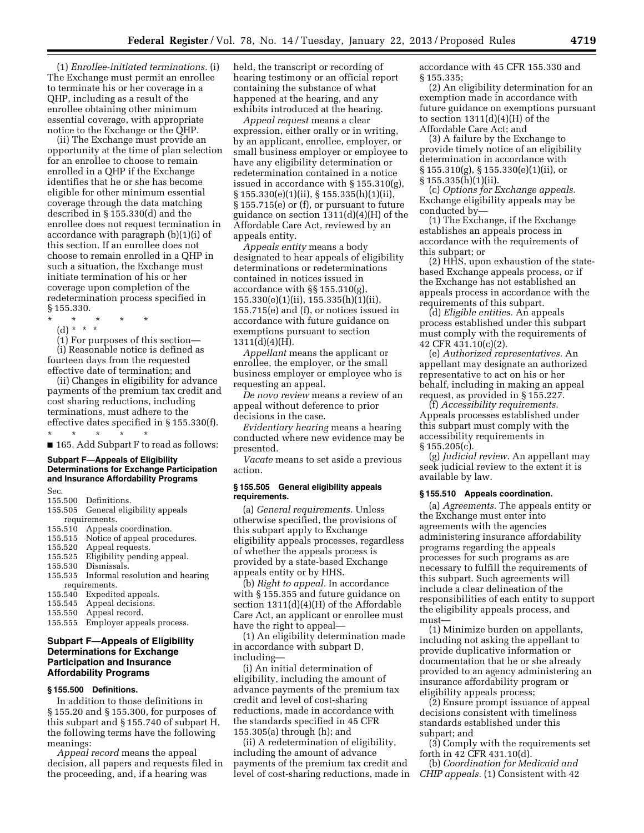(1) *Enrollee-initiated terminations.* (i) The Exchange must permit an enrollee to terminate his or her coverage in a QHP, including as a result of the enrollee obtaining other minimum essential coverage, with appropriate notice to the Exchange or the QHP.

(ii) The Exchange must provide an opportunity at the time of plan selection for an enrollee to choose to remain enrolled in a QHP if the Exchange identifies that he or she has become eligible for other minimum essential coverage through the data matching described in § 155.330(d) and the enrollee does not request termination in accordance with paragraph (b)(1)(i) of this section. If an enrollee does not choose to remain enrolled in a QHP in such a situation, the Exchange must initiate termination of his or her coverage upon completion of the redetermination process specified in § 155.330.

- \* \* \* \* \*
	- (d) \* \* \*
- (1) For purposes of this section—

(i) Reasonable notice is defined as fourteen days from the requested effective date of termination; and

(ii) Changes in eligibility for advance payments of the premium tax credit and cost sharing reductions, including terminations, must adhere to the effective dates specified in § 155.330(f). \* \* \* \* \*

■ 165. Add Subpart F to read as follows:

# **Subpart F—Appeals of Eligibility Determinations for Exchange Participation and Insurance Affordability Programs**

Sec.

- 155.500 Definitions.
- 155.505 General eligibility appeals requirements.
- 155.510 Appeals coordination.
- 155.515 Notice of appeal procedures.
- 155.520 Appeal requests.
- 155.525 Eligibility pending appeal.
- Dismissals.
- 155.535 Informal resolution and hearing requirements.<br>155.540 Expedit
- Expedited appeals.
- 155.545 Appeal decisions.
- 155.550 Appeal record.
- 155.555 Employer appeals process.

# **Subpart F—Appeals of Eligibility Determinations for Exchange Participation and Insurance Affordability Programs**

## **§ 155.500 Definitions.**

In addition to those definitions in § 155.20 and § 155.300, for purposes of this subpart and § 155.740 of subpart H, the following terms have the following meanings:

*Appeal record* means the appeal decision, all papers and requests filed in the proceeding, and, if a hearing was

held, the transcript or recording of hearing testimony or an official report containing the substance of what happened at the hearing, and any exhibits introduced at the hearing.

*Appeal request* means a clear expression, either orally or in writing, by an applicant, enrollee, employer, or small business employer or employee to have any eligibility determination or redetermination contained in a notice issued in accordance with § 155.310(g), § 155.330(e)(1)(ii), § 155.335(h)(1)(ii), § 155.715(e) or (f), or pursuant to future guidance on section 1311(d)(4)(H) of the Affordable Care Act, reviewed by an appeals entity.

*Appeals entity* means a body designated to hear appeals of eligibility determinations or redeterminations contained in notices issued in accordance with §§ 155.310(g), 155.330(e)(1)(ii), 155.335(h)(1)(ii), 155.715(e) and (f), or notices issued in accordance with future guidance on exemptions pursuant to section 1311(d)(4)(H).

*Appellant* means the applicant or enrollee, the employer, or the small business employer or employee who is requesting an appeal.

*De novo review* means a review of an appeal without deference to prior decisions in the case.

*Evidentiary hearing* means a hearing conducted where new evidence may be presented.

*Vacate* means to set aside a previous action.

### **§ 155.505 General eligibility appeals requirements.**

(a) *General requirements.* Unless otherwise specified, the provisions of this subpart apply to Exchange eligibility appeals processes, regardless of whether the appeals process is provided by a state-based Exchange appeals entity or by HHS.

(b) *Right to appeal.* In accordance with § 155.355 and future guidance on section 1311(d)(4)(H) of the Affordable Care Act, an applicant or enrollee must have the right to appeal—

(1) An eligibility determination made in accordance with subpart D, including—

(i) An initial determination of eligibility, including the amount of advance payments of the premium tax credit and level of cost-sharing reductions, made in accordance with the standards specified in 45 CFR 155.305(a) through (h); and

(ii) A redetermination of eligibility, including the amount of advance payments of the premium tax credit and level of cost-sharing reductions, made in accordance with 45 CFR 155.330 and § 155.335;

(2) An eligibility determination for an exemption made in accordance with future guidance on exemptions pursuant to section  $1311(d)(4)(H)$  of the Affordable Care Act; and

(3) A failure by the Exchange to provide timely notice of an eligibility determination in accordance with § 155.310(g), § 155.330(e)(1)(ii), or § 155.335(h)(1)(ii).

(c) *Options for Exchange appeals.*  Exchange eligibility appeals may be conducted by—

(1) The Exchange, if the Exchange establishes an appeals process in accordance with the requirements of this subpart; or

(2) HHS, upon exhaustion of the statebased Exchange appeals process, or if the Exchange has not established an appeals process in accordance with the requirements of this subpart.

(d) *Eligible entities.* An appeals process established under this subpart must comply with the requirements of 42 CFR 431.10(c)(2).

(e) *Authorized representatives.* An appellant may designate an authorized representative to act on his or her behalf, including in making an appeal request, as provided in § 155.227.

(f) *Accessibility requirements.*  Appeals processes established under this subpart must comply with the accessibility requirements in  $§ 155.205(c).$ 

(g) *Judicial review.* An appellant may seek judicial review to the extent it is available by law.

#### **§ 155.510 Appeals coordination.**

(a) *Agreements.* The appeals entity or the Exchange must enter into agreements with the agencies administering insurance affordability programs regarding the appeals processes for such programs as are necessary to fulfill the requirements of this subpart. Such agreements will include a clear delineation of the responsibilities of each entity to support the eligibility appeals process, and must—

(1) Minimize burden on appellants, including not asking the appellant to provide duplicative information or documentation that he or she already provided to an agency administering an insurance affordability program or eligibility appeals process;

(2) Ensure prompt issuance of appeal decisions consistent with timeliness standards established under this subpart; and

(3) Comply with the requirements set forth in 42 CFR 431.10(d).

(b) *Coordination for Medicaid and CHIP appeals.* (1) Consistent with 42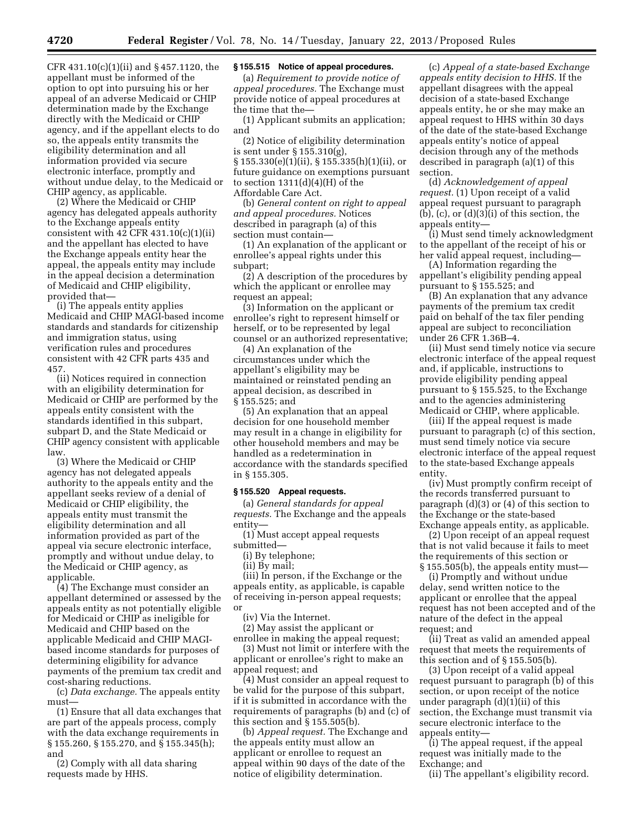CFR 431.10(c)(1)(ii) and § 457.1120, the appellant must be informed of the option to opt into pursuing his or her appeal of an adverse Medicaid or CHIP determination made by the Exchange directly with the Medicaid or CHIP agency, and if the appellant elects to do so, the appeals entity transmits the eligibility determination and all information provided via secure electronic interface, promptly and without undue delay, to the Medicaid or CHIP agency, as applicable.

(2) Where the Medicaid or CHIP agency has delegated appeals authority to the Exchange appeals entity consistent with 42 CFR  $431.10(c)(1)(ii)$ and the appellant has elected to have the Exchange appeals entity hear the appeal, the appeals entity may include in the appeal decision a determination of Medicaid and CHIP eligibility, provided that—

(i) The appeals entity applies Medicaid and CHIP MAGI-based income standards and standards for citizenship and immigration status, using verification rules and procedures consistent with 42 CFR parts 435 and 457.

(ii) Notices required in connection with an eligibility determination for Medicaid or CHIP are performed by the appeals entity consistent with the standards identified in this subpart, subpart D, and the State Medicaid or CHIP agency consistent with applicable law.

(3) Where the Medicaid or CHIP agency has not delegated appeals authority to the appeals entity and the appellant seeks review of a denial of Medicaid or CHIP eligibility, the appeals entity must transmit the eligibility determination and all information provided as part of the appeal via secure electronic interface, promptly and without undue delay, to the Medicaid or CHIP agency, as applicable.

(4) The Exchange must consider an appellant determined or assessed by the appeals entity as not potentially eligible for Medicaid or CHIP as ineligible for Medicaid and CHIP based on the applicable Medicaid and CHIP MAGIbased income standards for purposes of determining eligibility for advance payments of the premium tax credit and cost-sharing reductions.

(c) *Data exchange.* The appeals entity must—

(1) Ensure that all data exchanges that are part of the appeals process, comply with the data exchange requirements in § 155.260, § 155.270, and § 155.345(h); and

(2) Comply with all data sharing requests made by HHS.

# **§ 155.515 Notice of appeal procedures.**

(a) *Requirement to provide notice of appeal procedures.* The Exchange must provide notice of appeal procedures at the time that the—

(1) Applicant submits an application; and

(2) Notice of eligibility determination is sent under § 155.310(g), § 155.330(e)(1)(ii), § 155.335(h)(1)(ii), or future guidance on exemptions pursuant to section  $1311(d)(4)(H)$  of the Affordable Care Act.

(b) *General content on right to appeal and appeal procedures.* Notices described in paragraph (a) of this section must contain—

(1) An explanation of the applicant or enrollee's appeal rights under this subpart;

(2) A description of the procedures by which the applicant or enrollee may request an appeal;

(3) Information on the applicant or enrollee's right to represent himself or herself, or to be represented by legal counsel or an authorized representative;

(4) An explanation of the circumstances under which the appellant's eligibility may be maintained or reinstated pending an appeal decision, as described in § 155.525; and

(5) An explanation that an appeal decision for one household member may result in a change in eligibility for other household members and may be handled as a redetermination in accordance with the standards specified in § 155.305.

### **§ 155.520 Appeal requests.**

(a) *General standards for appeal requests.* The Exchange and the appeals entity—

(1) Must accept appeal requests

submitted—

(i) By telephone;

(ii) By mail;

(iii) In person, if the Exchange or the appeals entity, as applicable, is capable of receiving in-person appeal requests; or

(iv) Via the Internet.

(2) May assist the applicant or enrollee in making the appeal request;

(3) Must not limit or interfere with the applicant or enrollee's right to make an appeal request; and

(4) Must consider an appeal request to be valid for the purpose of this subpart, if it is submitted in accordance with the requirements of paragraphs (b) and (c) of this section and § 155.505(b).

(b) *Appeal request.* The Exchange and the appeals entity must allow an applicant or enrollee to request an appeal within 90 days of the date of the notice of eligibility determination.

(c) *Appeal of a state-based Exchange appeals entity decision to HHS.* If the appellant disagrees with the appeal decision of a state-based Exchange appeals entity, he or she may make an appeal request to HHS within 30 days of the date of the state-based Exchange appeals entity's notice of appeal decision through any of the methods described in paragraph (a)(1) of this section.

(d) *Acknowledgement of appeal request.* (1) Upon receipt of a valid appeal request pursuant to paragraph  $(b)$ ,  $(c)$ , or  $(d)(3)(i)$  of this section, the appeals entity—

(i) Must send timely acknowledgment to the appellant of the receipt of his or her valid appeal request, including—

(A) Information regarding the appellant's eligibility pending appeal pursuant to § 155.525; and

(B) An explanation that any advance payments of the premium tax credit paid on behalf of the tax filer pending appeal are subject to reconciliation under 26 CFR 1.36B–4.

(ii) Must send timely notice via secure electronic interface of the appeal request and, if applicable, instructions to provide eligibility pending appeal pursuant to § 155.525, to the Exchange and to the agencies administering Medicaid or CHIP, where applicable.

(iii) If the appeal request is made pursuant to paragraph (c) of this section, must send timely notice via secure electronic interface of the appeal request to the state-based Exchange appeals entity.

(iv) Must promptly confirm receipt of the records transferred pursuant to paragraph (d)(3) or (4) of this section to the Exchange or the state-based Exchange appeals entity, as applicable.

(2) Upon receipt of an appeal request that is not valid because it fails to meet the requirements of this section or § 155.505(b), the appeals entity must—

(i) Promptly and without undue delay, send written notice to the applicant or enrollee that the appeal request has not been accepted and of the nature of the defect in the appeal request; and

(ii) Treat as valid an amended appeal request that meets the requirements of this section and of § 155.505(b).

(3) Upon receipt of a valid appeal request pursuant to paragraph (b) of this section, or upon receipt of the notice under paragraph (d)(1)(ii) of this section, the Exchange must transmit via secure electronic interface to the appeals entity—

(i) The appeal request, if the appeal request was initially made to the Exchange; and

(ii) The appellant's eligibility record.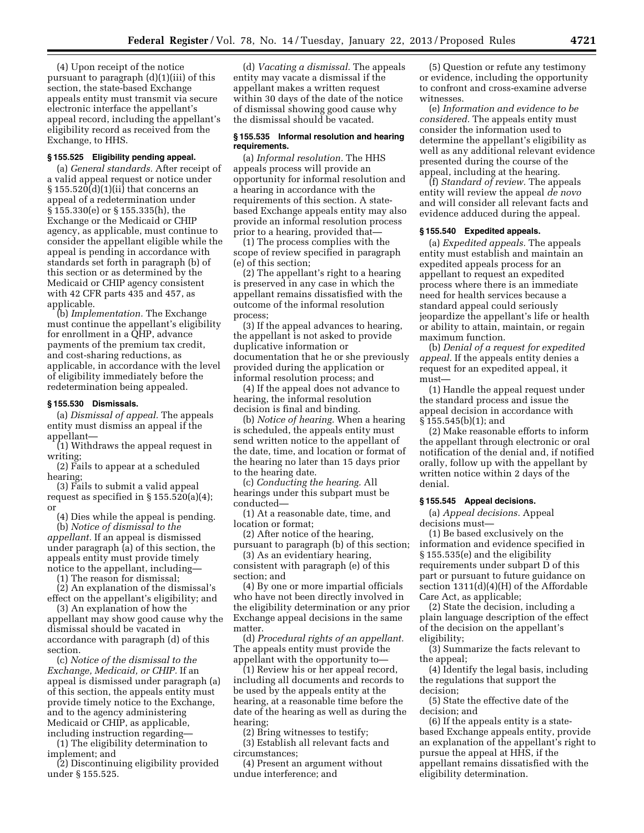(4) Upon receipt of the notice pursuant to paragraph (d)(1)(iii) of this section, the state-based Exchange appeals entity must transmit via secure electronic interface the appellant's appeal record, including the appellant's eligibility record as received from the Exchange, to HHS.

#### **§ 155.525 Eligibility pending appeal.**

(a) *General standards.* After receipt of a valid appeal request or notice under  $\S 155.520(d)(1)(ii)$  that concerns an appeal of a redetermination under § 155.330(e) or § 155.335(h), the Exchange or the Medicaid or CHIP agency, as applicable, must continue to consider the appellant eligible while the appeal is pending in accordance with standards set forth in paragraph (b) of this section or as determined by the Medicaid or CHIP agency consistent with 42 CFR parts 435 and 457, as applicable.

(b) *Implementation.* The Exchange must continue the appellant's eligibility for enrollment in a QHP, advance payments of the premium tax credit, and cost-sharing reductions, as applicable, in accordance with the level of eligibility immediately before the redetermination being appealed.

## **§ 155.530 Dismissals.**

(a) *Dismissal of appeal.* The appeals entity must dismiss an appeal if the appellant—

(1) Withdraws the appeal request in writing;

(2) Fails to appear at a scheduled hearing;

(3) Fails to submit a valid appeal request as specified in  $\S 155.520(a)(4)$ ; or

(4) Dies while the appeal is pending. (b) *Notice of dismissal to the appellant.* If an appeal is dismissed under paragraph (a) of this section, the appeals entity must provide timely

notice to the appellant, including—

(1) The reason for dismissal;

(2) An explanation of the dismissal's effect on the appellant's eligibility; and

(3) An explanation of how the appellant may show good cause why the dismissal should be vacated in accordance with paragraph (d) of this section.

(c) *Notice of the dismissal to the Exchange, Medicaid, or CHIP.* If an appeal is dismissed under paragraph (a) of this section, the appeals entity must provide timely notice to the Exchange, and to the agency administering Medicaid or CHIP, as applicable, including instruction regarding—

(1) The eligibility determination to implement; and

(2) Discontinuing eligibility provided under § 155.525.

(d) *Vacating a dismissal.* The appeals entity may vacate a dismissal if the appellant makes a written request within 30 days of the date of the notice of dismissal showing good cause why the dismissal should be vacated.

## **§ 155.535 Informal resolution and hearing requirements.**

(a) *Informal resolution.* The HHS appeals process will provide an opportunity for informal resolution and a hearing in accordance with the requirements of this section. A statebased Exchange appeals entity may also provide an informal resolution process prior to a hearing, provided that—

(1) The process complies with the scope of review specified in paragraph (e) of this section;

(2) The appellant's right to a hearing is preserved in any case in which the appellant remains dissatisfied with the outcome of the informal resolution process;

(3) If the appeal advances to hearing, the appellant is not asked to provide duplicative information or documentation that he or she previously provided during the application or informal resolution process; and

(4) If the appeal does not advance to hearing, the informal resolution decision is final and binding.

(b) *Notice of hearing.* When a hearing is scheduled, the appeals entity must send written notice to the appellant of the date, time, and location or format of the hearing no later than 15 days prior to the hearing date.

(c) *Conducting the hearing.* All hearings under this subpart must be conducted—

(1) At a reasonable date, time, and location or format;

(2) After notice of the hearing, pursuant to paragraph (b) of this section;

(3) As an evidentiary hearing, consistent with paragraph (e) of this section; and

(4) By one or more impartial officials who have not been directly involved in the eligibility determination or any prior Exchange appeal decisions in the same matter.

(d) *Procedural rights of an appellant.*  The appeals entity must provide the appellant with the opportunity to—

(1) Review his or her appeal record, including all documents and records to be used by the appeals entity at the hearing, at a reasonable time before the date of the hearing as well as during the hearing;

(2) Bring witnesses to testify;

(3) Establish all relevant facts and circumstances;

(4) Present an argument without undue interference; and

(5) Question or refute any testimony or evidence, including the opportunity to confront and cross-examine adverse witnesses.

(e) *Information and evidence to be considered.* The appeals entity must consider the information used to determine the appellant's eligibility as well as any additional relevant evidence presented during the course of the appeal, including at the hearing.

(f) *Standard of review.* The appeals entity will review the appeal *de novo*  and will consider all relevant facts and evidence adduced during the appeal.

## **§ 155.540 Expedited appeals.**

(a) *Expedited appeals.* The appeals entity must establish and maintain an expedited appeals process for an appellant to request an expedited process where there is an immediate need for health services because a standard appeal could seriously jeopardize the appellant's life or health or ability to attain, maintain, or regain maximum function.

(b) *Denial of a request for expedited appeal.* If the appeals entity denies a request for an expedited appeal, it must—

(1) Handle the appeal request under the standard process and issue the appeal decision in accordance with § 155.545(b)(1); and

(2) Make reasonable efforts to inform the appellant through electronic or oral notification of the denial and, if notified orally, follow up with the appellant by written notice within 2 days of the denial.

## **§ 155.545 Appeal decisions.**

(a) *Appeal decisions.* Appeal decisions must—

(1) Be based exclusively on the information and evidence specified in § 155.535(e) and the eligibility requirements under subpart D of this part or pursuant to future guidance on section 1311(d)(4)(H) of the Affordable Care Act, as applicable;

(2) State the decision, including a plain language description of the effect of the decision on the appellant's eligibility;

(3) Summarize the facts relevant to the appeal;

(4) Identify the legal basis, including the regulations that support the decision;

(5) State the effective date of the decision; and

(6) If the appeals entity is a statebased Exchange appeals entity, provide an explanation of the appellant's right to pursue the appeal at HHS, if the appellant remains dissatisfied with the eligibility determination.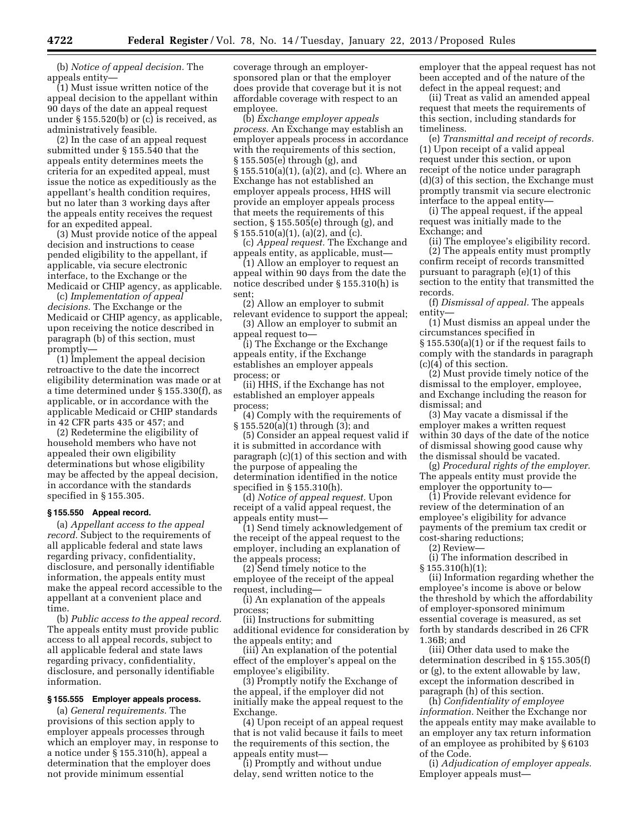(b) *Notice of appeal decision.* The appeals entity—

(1) Must issue written notice of the appeal decision to the appellant within 90 days of the date an appeal request under § 155.520(b) or (c) is received, as administratively feasible.

(2) In the case of an appeal request submitted under § 155.540 that the appeals entity determines meets the criteria for an expedited appeal, must issue the notice as expeditiously as the appellant's health condition requires, but no later than 3 working days after the appeals entity receives the request for an expedited appeal.

(3) Must provide notice of the appeal decision and instructions to cease pended eligibility to the appellant, if applicable, via secure electronic interface, to the Exchange or the Medicaid or CHIP agency, as applicable.

(c) *Implementation of appeal decisions.* The Exchange or the Medicaid or CHIP agency, as applicable, upon receiving the notice described in paragraph (b) of this section, must promptly—

(1) Implement the appeal decision retroactive to the date the incorrect eligibility determination was made or at a time determined under § 155.330(f), as applicable, or in accordance with the applicable Medicaid or CHIP standards in 42 CFR parts 435 or 457; and

(2) Redetermine the eligibility of household members who have not appealed their own eligibility determinations but whose eligibility may be affected by the appeal decision, in accordance with the standards specified in § 155.305.

## **§ 155.550 Appeal record.**

(a) *Appellant access to the appeal record.* Subject to the requirements of all applicable federal and state laws regarding privacy, confidentiality, disclosure, and personally identifiable information, the appeals entity must make the appeal record accessible to the appellant at a convenient place and time.

(b) *Public access to the appeal record.*  The appeals entity must provide public access to all appeal records, subject to all applicable federal and state laws regarding privacy, confidentiality, disclosure, and personally identifiable information.

## **§ 155.555 Employer appeals process.**

(a) *General requirements.* The provisions of this section apply to employer appeals processes through which an employer may, in response to a notice under § 155.310(h), appeal a determination that the employer does not provide minimum essential

coverage through an employersponsored plan or that the employer does provide that coverage but it is not affordable coverage with respect to an employee.

(b) *Exchange employer appeals process.* An Exchange may establish an employer appeals process in accordance with the requirements of this section, § 155.505(e) through (g), and § 155.510(a)(1), (a)(2), and (c). Where an Exchange has not established an employer appeals process, HHS will provide an employer appeals process that meets the requirements of this section, § 155.505(e) through (g), and § 155.510(a)(1), (a)(2), and (c).

(c) *Appeal request.* The Exchange and appeals entity, as applicable, must—

(1) Allow an employer to request an appeal within 90 days from the date the notice described under § 155.310(h) is sent;

(2) Allow an employer to submit relevant evidence to support the appeal;

(3) Allow an employer to submit an appeal request to—

(i) The Exchange or the Exchange appeals entity, if the Exchange establishes an employer appeals process; or

(ii) HHS, if the Exchange has not established an employer appeals process;

(4) Comply with the requirements of § 155.520(a)(1) through (3); and

(5) Consider an appeal request valid if it is submitted in accordance with paragraph (c)(1) of this section and with the purpose of appealing the determination identified in the notice specified in § 155.310(h).

(d) *Notice of appeal request.* Upon receipt of a valid appeal request, the appeals entity must—

(1) Send timely acknowledgement of the receipt of the appeal request to the employer, including an explanation of the appeals process;

(2) Send timely notice to the employee of the receipt of the appeal request, including—

(i) An explanation of the appeals process;

(ii) Instructions for submitting additional evidence for consideration by the appeals entity; and

(iii) An explanation of the potential effect of the employer's appeal on the employee's eligibility.

(3) Promptly notify the Exchange of the appeal, if the employer did not initially make the appeal request to the Exchange.

(4) Upon receipt of an appeal request that is not valid because it fails to meet the requirements of this section, the appeals entity must—

(i) Promptly and without undue delay, send written notice to the

employer that the appeal request has not been accepted and of the nature of the defect in the appeal request; and

(ii) Treat as valid an amended appeal request that meets the requirements of this section, including standards for timeliness.

(e) *Transmittal and receipt of records.*  (1) Upon receipt of a valid appeal request under this section, or upon receipt of the notice under paragraph (d)(3) of this section, the Exchange must promptly transmit via secure electronic interface to the appeal entity—

(i) The appeal request, if the appeal request was initially made to the Exchange; and

(ii) The employee's eligibility record.

(2) The appeals entity must promptly confirm receipt of records transmitted pursuant to paragraph (e)(1) of this section to the entity that transmitted the records.

(f) *Dismissal of appeal.* The appeals entity—

(1) Must dismiss an appeal under the circumstances specified in § 155.530(a)(1) or if the request fails to comply with the standards in paragraph (c)(4) of this section.

(2) Must provide timely notice of the dismissal to the employer, employee, and Exchange including the reason for dismissal; and

(3) May vacate a dismissal if the employer makes a written request within 30 days of the date of the notice of dismissal showing good cause why the dismissal should be vacated.

(g) *Procedural rights of the employer.*  The appeals entity must provide the employer the opportunity to—

(1) Provide relevant evidence for review of the determination of an employee's eligibility for advance payments of the premium tax credit or cost-sharing reductions;

(2) Review—

(i) The information described in § 155.310(h)(1);

(ii) Information regarding whether the employee's income is above or below the threshold by which the affordability of employer-sponsored minimum essential coverage is measured, as set forth by standards described in 26 CFR 1.36B; and

(iii) Other data used to make the determination described in § 155.305(f) or (g), to the extent allowable by law, except the information described in paragraph (h) of this section.

(h) *Confidentiality of employee information.* Neither the Exchange nor the appeals entity may make available to an employer any tax return information of an employee as prohibited by § 6103 of the Code.

(i) *Adjudication of employer appeals.*  Employer appeals must—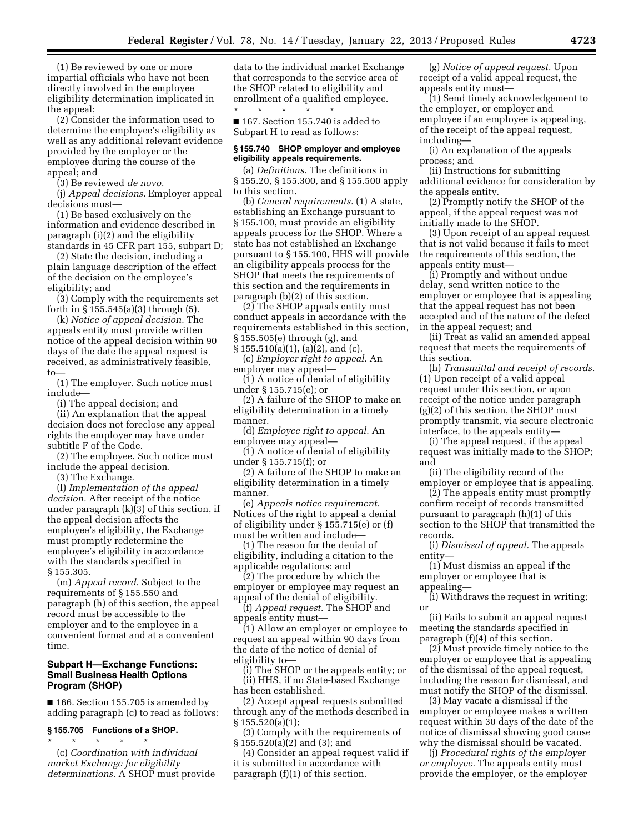(1) Be reviewed by one or more impartial officials who have not been directly involved in the employee eligibility determination implicated in the appeal;

(2) Consider the information used to determine the employee's eligibility as well as any additional relevant evidence provided by the employer or the employee during the course of the appeal; and

(3) Be reviewed *de novo.* 

(j) *Appeal decisions.* Employer appeal decisions must—

(1) Be based exclusively on the information and evidence described in paragraph (i)(2) and the eligibility standards in 45 CFR part 155, subpart D;

(2) State the decision, including a plain language description of the effect of the decision on the employee's eligibility; and

(3) Comply with the requirements set forth in  $\S 155.545(a)(3)$  through  $(5)$ .

(k) *Notice of appeal decision.* The appeals entity must provide written notice of the appeal decision within 90 days of the date the appeal request is received, as administratively feasible, to—

(1) The employer. Such notice must include—

(i) The appeal decision; and

(ii) An explanation that the appeal decision does not foreclose any appeal rights the employer may have under subtitle F of the Code.

(2) The employee. Such notice must include the appeal decision.

(3) The Exchange.

(l) *Implementation of the appeal decision.* After receipt of the notice under paragraph (k)(3) of this section, if the appeal decision affects the employee's eligibility, the Exchange must promptly redetermine the employee's eligibility in accordance with the standards specified in § 155.305.

(m) *Appeal record.* Subject to the requirements of § 155.550 and paragraph (h) of this section, the appeal record must be accessible to the employer and to the employee in a convenient format and at a convenient time.

## **Subpart H—Exchange Functions: Small Business Health Options Program (SHOP)**

■ 166. Section 155.705 is amended by adding paragraph (c) to read as follows:

# **§ 155.705 Functions of a SHOP.**

\* \* \* \* \* (c) *Coordination with individual market Exchange for eligibility determinations.* A SHOP must provide data to the individual market Exchange that corresponds to the service area of the SHOP related to eligibility and enrollment of a qualified employee.

\* \* \* \* \* ■ 167. Section 155.740 is added to Subpart H to read as follows:

#### **§ 155.740 SHOP employer and employee eligibility appeals requirements.**

(a) *Definitions.* The definitions in § 155.20, § 155.300, and § 155.500 apply to this section.

(b) *General requirements.* (1) A state, establishing an Exchange pursuant to § 155.100, must provide an eligibility appeals process for the SHOP. Where a state has not established an Exchange pursuant to § 155.100, HHS will provide an eligibility appeals process for the SHOP that meets the requirements of this section and the requirements in paragraph (b)(2) of this section.

(2) The SHOP appeals entity must conduct appeals in accordance with the requirements established in this section, § 155.505(e) through (g), and § 155.510(a)(1), (a)(2), and (c).

(c) *Employer right to appeal.* An employer may appeal—

(1) A notice of denial of eligibility under § 155.715(e); or

(2) A failure of the SHOP to make an eligibility determination in a timely manner.

(d) *Employee right to appeal.* An employee may appeal—

(1) A notice of denial of eligibility under § 155.715(f); or

(2) A failure of the SHOP to make an eligibility determination in a timely manner.

(e) *Appeals notice requirement.*  Notices of the right to appeal a denial of eligibility under § 155.715(e) or (f) must be written and include—

(1) The reason for the denial of eligibility, including a citation to the applicable regulations; and

(2) The procedure by which the employer or employee may request an appeal of the denial of eligibility.

(f) *Appeal request.* The SHOP and appeals entity must—

(1) Allow an employer or employee to request an appeal within 90 days from the date of the notice of denial of eligibility to—

(i) The SHOP or the appeals entity; or (ii) HHS, if no State-based Exchange has been established.

(2) Accept appeal requests submitted through any of the methods described in § 155.520(a)(1);

(3) Comply with the requirements of § 155.520(a)(2) and (3); and

(4) Consider an appeal request valid if it is submitted in accordance with paragraph (f)(1) of this section.

(g) *Notice of appeal request.* Upon receipt of a valid appeal request, the appeals entity must—

(1) Send timely acknowledgement to the employer, or employer and employee if an employee is appealing, of the receipt of the appeal request, including—

(i) An explanation of the appeals process; and

(ii) Instructions for submitting additional evidence for consideration by the appeals entity.

(2) Promptly notify the SHOP of the appeal, if the appeal request was not initially made to the SHOP.

(3) Upon receipt of an appeal request that is not valid because it fails to meet the requirements of this section, the appeals entity must—

(i) Promptly and without undue delay, send written notice to the employer or employee that is appealing that the appeal request has not been accepted and of the nature of the defect in the appeal request; and

(ii) Treat as valid an amended appeal request that meets the requirements of this section.

(h) *Transmittal and receipt of records.*  (1) Upon receipt of a valid appeal request under this section, or upon receipt of the notice under paragraph (g)(2) of this section, the SHOP must promptly transmit, via secure electronic interface, to the appeals entity—

(i) The appeal request, if the appeal request was initially made to the SHOP; and

(ii) The eligibility record of the employer or employee that is appealing.

(2) The appeals entity must promptly confirm receipt of records transmitted pursuant to paragraph (h)(1) of this section to the SHOP that transmitted the records.

(i) *Dismissal of appeal.* The appeals entity—

(1) Must dismiss an appeal if the employer or employee that is appealing—

(i) Withdraws the request in writing; or

(ii) Fails to submit an appeal request meeting the standards specified in paragraph (f)(4) of this section.

(2) Must provide timely notice to the employer or employee that is appealing of the dismissal of the appeal request, including the reason for dismissal, and must notify the SHOP of the dismissal.

(3) May vacate a dismissal if the employer or employee makes a written request within 30 days of the date of the notice of dismissal showing good cause why the dismissal should be vacated.

(j) *Procedural rights of the employer or employee.* The appeals entity must provide the employer, or the employer